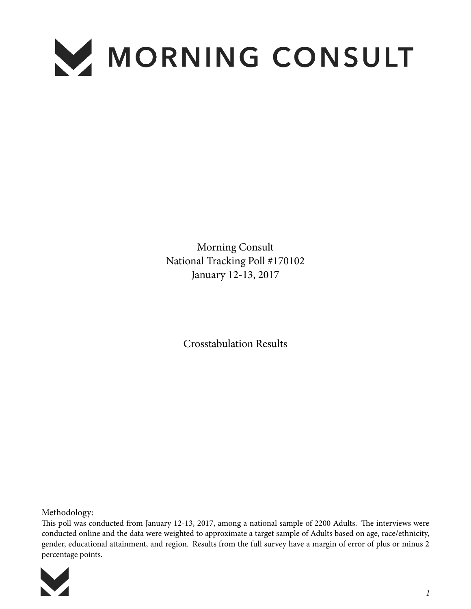

Morning Consult National Tracking Poll #170102 January 12-13, 2017

Crosstabulation Results

Methodology:

This poll was conducted from January 12-13, 2017, among a national sample of 2200 Adults. The interviews were conducted online and the data were weighted to approximate a target sample of Adults based on age, race/ethnicity, gender, educational attainment, and region. Results from the full survey have a margin of error of plus or minus 2 percentage points.

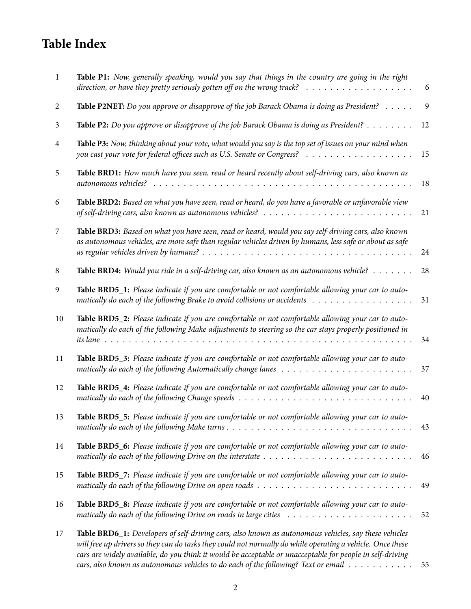## **Table Index**

| 1  | Table P1: Now, generally speaking, would you say that things in the country are going in the right<br>direction, or have they pretty seriously gotten off on the wrong track?<br>.                                                                                                                                                                                                                                       | 6              |
|----|--------------------------------------------------------------------------------------------------------------------------------------------------------------------------------------------------------------------------------------------------------------------------------------------------------------------------------------------------------------------------------------------------------------------------|----------------|
| 2  | Table P2NET: Do you approve or disapprove of the job Barack Obama is doing as President?                                                                                                                                                                                                                                                                                                                                 | $\overline{9}$ |
| 3  | Table P2: Do you approve or disapprove of the job Barack Obama is doing as President?                                                                                                                                                                                                                                                                                                                                    | 12             |
| 4  | Table P3: Now, thinking about your vote, what would you say is the top set of issues on your mind when                                                                                                                                                                                                                                                                                                                   | 15             |
| 5  | Table BRD1: How much have you seen, read or heard recently about self-driving cars, also known as                                                                                                                                                                                                                                                                                                                        | 18             |
| 6  | Table BRD2: Based on what you have seen, read or heard, do you have a favorable or unfavorable view                                                                                                                                                                                                                                                                                                                      | 21             |
| 7  | Table BRD3: Based on what you have seen, read or heard, would you say self-driving cars, also known<br>as autonomous vehicles, are more safe than regular vehicles driven by humans, less safe or about as safe                                                                                                                                                                                                          | 24             |
| 8  | Table BRD4: Would you ride in a self-driving car, also known as an autonomous vehicle?                                                                                                                                                                                                                                                                                                                                   | 28             |
| 9  | Table BRD5_1: Please indicate if you are comfortable or not comfortable allowing your car to auto-                                                                                                                                                                                                                                                                                                                       | 31             |
| 10 | Table BRD5_2: Please indicate if you are comfortable or not comfortable allowing your car to auto-<br>matically do each of the following Make adjustments to steering so the car stays properly positioned in                                                                                                                                                                                                            | 34             |
| 11 | Table BRD5_3: Please indicate if you are comfortable or not comfortable allowing your car to auto-                                                                                                                                                                                                                                                                                                                       | 37             |
| 12 | Table BRD5_4: Please indicate if you are comfortable or not comfortable allowing your car to auto-                                                                                                                                                                                                                                                                                                                       | 40             |
| 13 | Table BRD5_5: Please indicate if you are comfortable or not comfortable allowing your car to auto-                                                                                                                                                                                                                                                                                                                       | 43             |
| 14 | Table BRD5_6: Please indicate if you are comfortable or not comfortable allowing your car to auto-                                                                                                                                                                                                                                                                                                                       | 46             |
| 15 | Table BRD5_7: Please indicate if you are comfortable or not comfortable allowing your car to auto-<br>matically do each of the following Drive on open roads $\ldots \ldots \ldots \ldots \ldots \ldots \ldots \ldots \ldots \ldots$                                                                                                                                                                                     | 49             |
| 16 | Table BRD5_8: Please indicate if you are comfortable or not comfortable allowing your car to auto-<br>matically do each of the following Drive on roads in large cities $\dots \dots \dots \dots \dots \dots \dots \dots$                                                                                                                                                                                                | 52             |
| 17 | Table BRD6_1: Developers of self-driving cars, also known as autonomous vehicles, say these vehicles<br>will free up drivers so they can do tasks they could not normally do while operating a vehicle. Once these<br>cars are widely available, do you think it would be acceptable or unacceptable for people in self-driving<br>cars, also known as autonomous vehicles to do each of the following? Text or email 55 |                |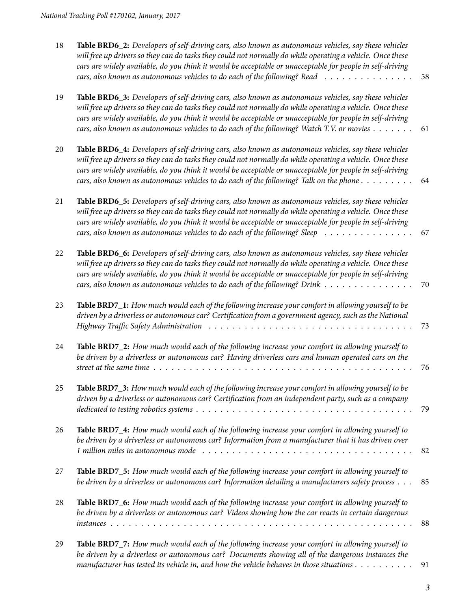| 18 | Table BRD6_2: Developers of self-driving cars, also known as autonomous vehicles, say these vehicles<br>will free up drivers so they can do tasks they could not normally do while operating a vehicle. Once these<br>cars are widely available, do you think it would be acceptable or unacceptable for people in self-driving<br>cars, also known as autonomous vehicles to do each of the following? Read                                       | 58 |
|----|----------------------------------------------------------------------------------------------------------------------------------------------------------------------------------------------------------------------------------------------------------------------------------------------------------------------------------------------------------------------------------------------------------------------------------------------------|----|
| 19 | Table BRD6_3: Developers of self-driving cars, also known as autonomous vehicles, say these vehicles<br>will free up drivers so they can do tasks they could not normally do while operating a vehicle. Once these<br>cars are widely available, do you think it would be acceptable or unacceptable for people in self-driving<br>cars, also known as autonomous vehicles to do each of the following? Watch T.V. or movies                       | 61 |
| 20 | Table BRD6_4: Developers of self-driving cars, also known as autonomous vehicles, say these vehicles<br>will free up drivers so they can do tasks they could not normally do while operating a vehicle. Once these<br>cars are widely available, do you think it would be acceptable or unacceptable for people in self-driving<br>cars, also known as autonomous vehicles to do each of the following? Talk on the phone $\dots \dots \dots$      | 64 |
| 21 | Table BRD6_5: Developers of self-driving cars, also known as autonomous vehicles, say these vehicles<br>will free up drivers so they can do tasks they could not normally do while operating a vehicle. Once these<br>cars are widely available, do you think it would be acceptable or unacceptable for people in self-driving<br>cars, also known as autonomous vehicles to do each of the following? Sleep $\ldots \ldots \ldots \ldots \ldots$ | 67 |
| 22 | Table BRD6_6: Developers of self-driving cars, also known as autonomous vehicles, say these vehicles<br>will free up drivers so they can do tasks they could not normally do while operating a vehicle. Once these<br>cars are widely available, do you think it would be acceptable or unacceptable for people in self-driving<br>cars, also known as autonomous vehicles to do each of the following? Drink                                      | 70 |
| 23 | Table BRD7_1: How much would each of the following increase your comfort in allowing yourself to be<br>driven by a driverless or autonomous car? Certification from a government agency, such as the National                                                                                                                                                                                                                                      | 73 |
| 24 | Table BRD7_2: How much would each of the following increase your comfort in allowing yourself to<br>be driven by a driverless or autonomous car? Having driverless cars and human operated cars on the<br>street at the same time $\ldots \ldots \ldots \ldots \ldots \ldots \ldots \ldots \ldots \ldots \ldots \ldots$                                                                                                                            | 76 |
| 25 | Table BRD7_3: How much would each of the following increase your comfort in allowing yourself to be<br>driven by a driverless or autonomous car? Certification from an independent party, such as a company                                                                                                                                                                                                                                        | 79 |
| 26 | Table BRD7_4: How much would each of the following increase your comfort in allowing yourself to<br>be driven by a driverless or autonomous car? Information from a manufacturer that it has driven over                                                                                                                                                                                                                                           | 82 |
| 27 | Table BRD7_5: How much would each of the following increase your comfort in allowing yourself to<br>be driven by a driverless or autonomous car? Information detailing a manufacturers safety process                                                                                                                                                                                                                                              | 85 |
| 28 | Table BRD7_6: How much would each of the following increase your comfort in allowing yourself to<br>be driven by a driverless or autonomous car? Videos showing how the car reacts in certain dangerous                                                                                                                                                                                                                                            | 88 |
| 29 | Table BRD7_7: How much would each of the following increase your comfort in allowing yourself to<br>les duiver les a duiverders en outenances sous Demuseute chaming all of the domesness instances the                                                                                                                                                                                                                                            |    |

*[be driven by a driverless or autonomous car? Documents showing all of the dangerous instances the](#page-90-0) [manufacturer has tested its vehicle in, and how the vehicle behaves in those situations](#page-90-0)* . . . . . . . . . . 91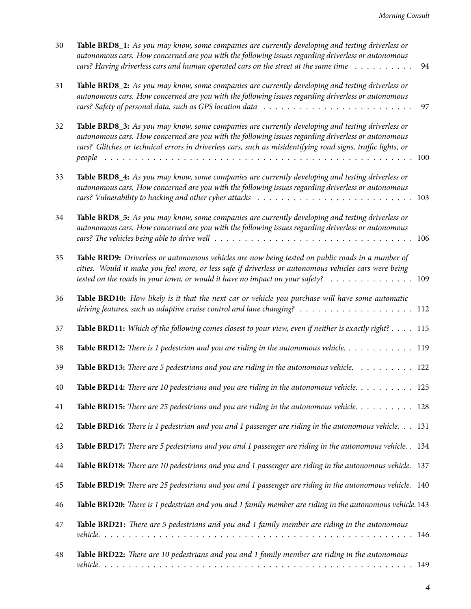| 30       | <b>Table BRD8_1:</b> As you may know, some companies are currently developing and testing driverless or<br>autonomous cars. How concerned are you with the following issues regarding driverless or autonomous<br>cars? Having driverless cars and human operated cars on the street at the same time $\dots \dots \dots$                               | 94 |
|----------|---------------------------------------------------------------------------------------------------------------------------------------------------------------------------------------------------------------------------------------------------------------------------------------------------------------------------------------------------------|----|
| 31       | Table BRD8_2: As you may know, some companies are currently developing and testing driverless or<br>autonomous cars. How concerned are you with the following issues regarding driverless or autonomous<br>cars? Safety of personal data, such as GPS location data $\ldots \ldots \ldots \ldots \ldots \ldots \ldots \ldots \ldots$                    | 97 |
| 32       | Table BRD8_3: As you may know, some companies are currently developing and testing driverless or<br>autonomous cars. How concerned are you with the following issues regarding driverless or autonomous<br>cars? Glitches or technical errors in driverless cars, such as misidentifying road signs, traffic lights, or                                 |    |
| 33       | Table BRD8_4: As you may know, some companies are currently developing and testing driverless or<br>autonomous cars. How concerned are you with the following issues regarding driverless or autonomous<br>cars? Vulnerability to hacking and other cyber attacks $\ldots \ldots \ldots \ldots \ldots \ldots \ldots \ldots \ldots \ldots \ldots$        |    |
| 34       | Table BRD8_5: As you may know, some companies are currently developing and testing driverless or<br>autonomous cars. How concerned are you with the following issues regarding driverless or autonomous<br>cars? The vehicles being able to drive well $\ldots \ldots \ldots \ldots \ldots \ldots \ldots \ldots \ldots \ldots \ldots \ldots \ldots 106$ |    |
| 35       | Table BRD9: Driverless or autonomous vehicles are now being tested on public roads in a number of<br>cities. Would it make you feel more, or less safe if driverless or autonomous vehicles cars were being<br>tested on the roads in your town, or would it have no impact on your safety? $\ldots \ldots \ldots \ldots \ldots$                        |    |
| 36       | Table BRD10: How likely is it that the next car or vehicle you purchase will have some automatic                                                                                                                                                                                                                                                        |    |
| 37       | Table BRD11: Which of the following comes closest to your view, even if neither is exactly right? 115                                                                                                                                                                                                                                                   |    |
| 38       | Table BRD12: There is 1 pedestrian and you are riding in the autonomous vehicle. $\dots \dots \dots \dots \dots \dots$                                                                                                                                                                                                                                  |    |
| 39       | <b>Table BRD13:</b> There are 5 pedestrians and you are riding in the autonomous vehicle. $\ldots \ldots \ldots$ 122                                                                                                                                                                                                                                    |    |
| 40       | Table BRD14: There are 10 pedestrians and you are riding in the autonomous vehicle. $\dots \dots \dots \dots 125$                                                                                                                                                                                                                                       |    |
| 41       | Table BRD15: There are 25 pedestrians and you are riding in the autonomous vehicle. $\dots \dots \dots \dots$                                                                                                                                                                                                                                           |    |
| 42       | Table BRD16: There is 1 pedestrian and you and 1 passenger are riding in the autonomous vehicle. 131                                                                                                                                                                                                                                                    |    |
| 43       | Table BRD17: There are 5 pedestrians and you and 1 passenger are riding in the autonomous vehicle. . 134                                                                                                                                                                                                                                                |    |
| $\bf 44$ | Table BRD18: There are 10 pedestrians and you and 1 passenger are riding in the autonomous vehicle. 137                                                                                                                                                                                                                                                 |    |
| 45       | Table BRD19: There are 25 pedestrians and you and 1 passenger are riding in the autonomous vehicle. 140                                                                                                                                                                                                                                                 |    |
| 46       | Table BRD20: There is 1 pedestrian and you and 1 family member are riding in the autonomous vehicle. 143                                                                                                                                                                                                                                                |    |
| 47       | Table BRD21: There are 5 pedestrians and you and 1 family member are riding in the autonomous                                                                                                                                                                                                                                                           |    |
| 48       | Table BRD22: There are 10 pedestrians and you and 1 family member are riding in the autonomous                                                                                                                                                                                                                                                          |    |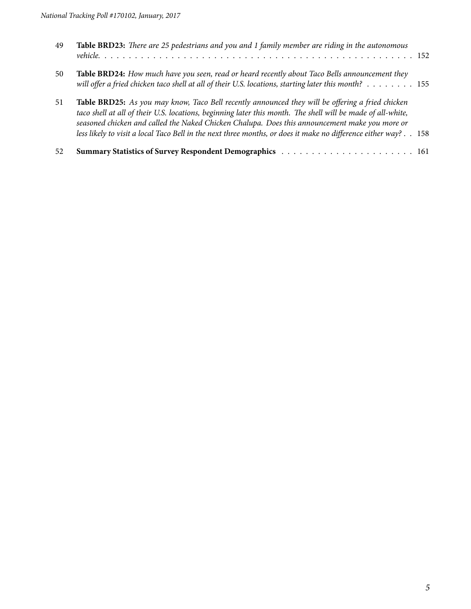| 49 | Table BRD23: There are 25 pedestrians and you and 1 family member are riding in the autonomous                                                                                                                                                                                                                                                                                                                                      |
|----|-------------------------------------------------------------------------------------------------------------------------------------------------------------------------------------------------------------------------------------------------------------------------------------------------------------------------------------------------------------------------------------------------------------------------------------|
| 50 | Table BRD24: How much have you seen, read or heard recently about Taco Bells announcement they<br>will offer a fried chicken taco shell at all of their U.S. locations, starting later this month? $\ldots \ldots \ldots 155$                                                                                                                                                                                                       |
| 51 | Table BRD25: As you may know, Taco Bell recently announced they will be offering a fried chicken<br>taco shell at all of their U.S. locations, beginning later this month. The shell will be made of all-white,<br>seasoned chicken and called the Naked Chicken Chalupa. Does this announcement make you more or<br>less likely to visit a local Taco Bell in the next three months, or does it make no difference either way? 158 |
| 52 |                                                                                                                                                                                                                                                                                                                                                                                                                                     |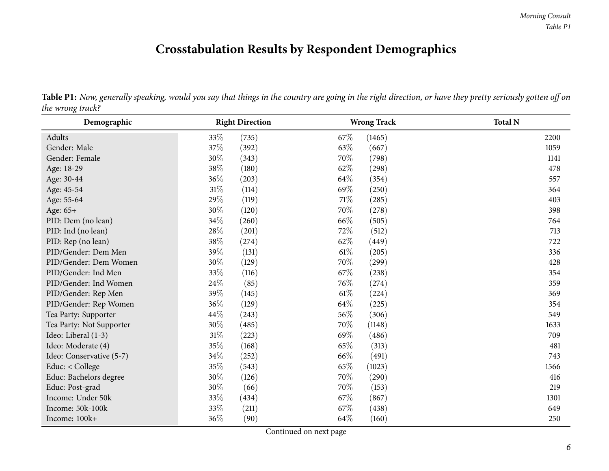## **Crosstabulation Results by Respondent Demographics**

<span id="page-5-0"></span>

| Demographic              | <b>Right Direction</b> | <b>Wrong Track</b> | <b>Total N</b> |
|--------------------------|------------------------|--------------------|----------------|
| Adults                   | 33\%<br>(735)          | 67\%<br>(1465)     | 2200           |
| Gender: Male             | 37%<br>(392)           | 63%<br>(667)       | 1059           |
| Gender: Female           | 30%<br>(343)           | 70%<br>(798)       | 1141           |
| Age: 18-29               | 38%<br>(180)           | 62%<br>(298)       | 478            |
| Age: 30-44               | 36%<br>(203)           | 64\%<br>(354)      | 557            |
| Age: 45-54               | 31%<br>(114)           | 69%<br>(250)       | 364            |
| Age: 55-64               | 29%<br>(119)           | 71\%<br>(285)      | 403            |
| Age: 65+                 | 30%<br>(120)           | 70%<br>(278)       | 398            |
| PID: Dem (no lean)       | 34\%<br>(260)          | 66%<br>(505)       | 764            |
| PID: Ind (no lean)       | 28%<br>(201)           | 72%<br>(512)       | 713            |
| PID: Rep (no lean)       | 38%<br>(274)           | 62%<br>(449)       | 722            |
| PID/Gender: Dem Men      | 39%<br>(131)           | 61\%<br>(205)      | 336            |
| PID/Gender: Dem Women    | 30%<br>(129)           | 70%<br>(299)       | 428            |
| PID/Gender: Ind Men      | 33%<br>(116)           | 67\%<br>(238)      | 354            |
| PID/Gender: Ind Women    | 24\%<br>(85)           | 76\%<br>(274)      | 359            |
| PID/Gender: Rep Men      | 39%<br>(145)           | 61\%<br>(224)      | 369            |
| PID/Gender: Rep Women    | 36\%<br>(129)          | 64%<br>(225)       | 354            |
| Tea Party: Supporter     | 44\%<br>(243)          | 56%<br>(306)       | 549            |
| Tea Party: Not Supporter | 30%<br>(485)           | 70%<br>(1148)      | 1633           |
| Ideo: Liberal (1-3)      | 31%<br>(223)           | 69%<br>(486)       | 709            |
| Ideo: Moderate (4)       | 35%<br>(168)           | 65\%<br>(313)      | 481            |
| Ideo: Conservative (5-7) | 34\%<br>(252)          | 66\%<br>(491)      | 743            |
| Educ: < College          | 35%<br>(543)           | 65\%<br>(1023)     | 1566           |
| Educ: Bachelors degree   | 30%<br>(126)           | 70%<br>(290)       | 416            |
| Educ: Post-grad          | 30%<br>(66)            | 70%<br>(153)       | 219            |
| Income: Under 50k        | 33%<br>(434)           | 67%<br>(867)       | 1301           |
| Income: 50k-100k         | 33%<br>(211)           | 67\%<br>(438)      | 649            |
| Income: 100k+            | 36%<br>(90)            | 64\%<br>(160)      | 250            |

Table P1: Now, generally speaking, would you say that things in the country are going in the right direction, or have they pretty seriously gotten off on *the wrong track?*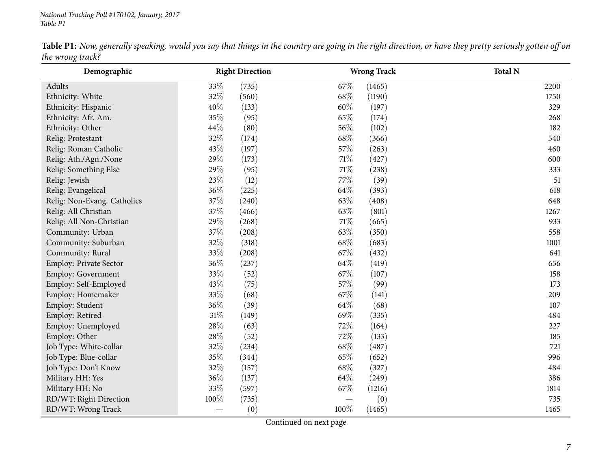| Table P1: Now, generally speaking, would you say that things in the country are going in the right direction, or have they pretty seriously gotten off on |  |  |
|-----------------------------------------------------------------------------------------------------------------------------------------------------------|--|--|
| the wrong track?                                                                                                                                          |  |  |

| Demographic                 |        | <b>Right Direction</b> |        | <b>Wrong Track</b> | <b>Total N</b> |
|-----------------------------|--------|------------------------|--------|--------------------|----------------|
| Adults                      | 33%    | (735)                  | 67%    | (1465)             | 2200           |
| Ethnicity: White            | 32%    | (560)                  | 68%    | (1190)             | 1750           |
| Ethnicity: Hispanic         | 40%    | (133)                  | 60%    | (197)              | 329            |
| Ethnicity: Afr. Am.         | 35%    | (95)                   | 65%    | (174)              | 268            |
| Ethnicity: Other            | 44%    | (80)                   | 56%    | (102)              | 182            |
| Relig: Protestant           | 32%    | (174)                  | 68%    | (366)              | 540            |
| Relig: Roman Catholic       | 43%    | (197)                  | 57%    | (263)              | 460            |
| Relig: Ath./Agn./None       | 29%    | (173)                  | $71\%$ | (427)              | 600            |
| Relig: Something Else       | 29%    | (95)                   | 71%    | (238)              | 333            |
| Relig: Jewish               | 23%    | (12)                   | 77%    | (39)               | 51             |
| Relig: Evangelical          | 36%    | (225)                  | 64%    | (393)              | 618            |
| Relig: Non-Evang. Catholics | 37%    | (240)                  | 63%    | (408)              | 648            |
| Relig: All Christian        | 37%    | (466)                  | 63%    | (801)              | 1267           |
| Relig: All Non-Christian    | 29%    | (268)                  | 71\%   | (665)              | 933            |
| Community: Urban            | 37%    | (208)                  | 63%    | (350)              | 558            |
| Community: Suburban         | 32%    | (318)                  | 68%    | (683)              | 1001           |
| Community: Rural            | 33%    | (208)                  | 67%    | (432)              | 641            |
| Employ: Private Sector      | 36%    | (237)                  | 64\%   | (419)              | 656            |
| Employ: Government          | 33%    | (52)                   | 67%    | (107)              | 158            |
| Employ: Self-Employed       | 43%    | (75)                   | 57%    | (99)               | 173            |
| Employ: Homemaker           | 33%    | (68)                   | 67%    | (141)              | 209            |
| Employ: Student             | 36%    | (39)                   | 64%    | (68)               | 107            |
| Employ: Retired             | $31\%$ | (149)                  | 69%    | (335)              | 484            |
| Employ: Unemployed          | 28%    | (63)                   | 72%    | (164)              | 227            |
| Employ: Other               | 28%    | (52)                   | 72%    | (133)              | 185            |
| Job Type: White-collar      | 32%    | (234)                  | 68%    | (487)              | 721            |
| Job Type: Blue-collar       | 35%    | (344)                  | 65%    | (652)              | 996            |
| Job Type: Don't Know        | 32%    | (157)                  | 68%    | (327)              | 484            |
| Military HH: Yes            | 36%    | (137)                  | 64%    | (249)              | 386            |
| Military HH: No             | 33%    | (597)                  | 67%    | (1216)             | 1814           |
| RD/WT: Right Direction      | 100%   | (735)                  |        | (0)                | 735            |
| RD/WT: Wrong Track          |        | (0)                    | 100%   | (1465)             | 1465           |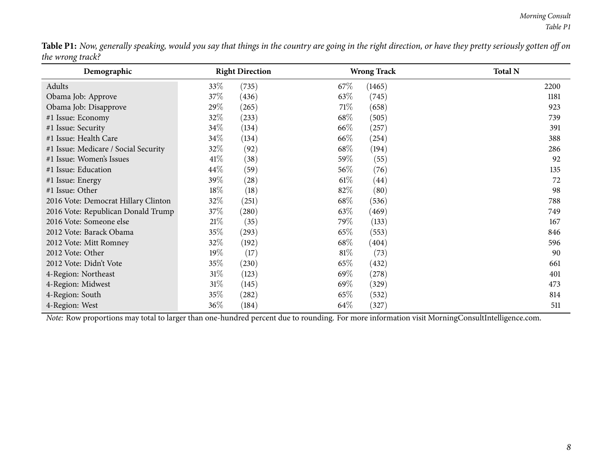Table P1: Now, generally speaking, would you say that things in the country are going in the right direction, or have they pretty seriously gotten off on *the wrong track?*

| Demographic                          | <b>Right Direction</b>      | <b>Wrong Track</b> | <b>Total N</b> |
|--------------------------------------|-----------------------------|--------------------|----------------|
| Adults                               | 33\%<br>(735)               | $67\%$<br>(1465)   | 2200           |
| Obama Job: Approve                   | 37\%<br>(436)               | 63\%<br>(745)      | 1181           |
| Obama Job: Disapprove                | 29%<br>(265)                | 71\%<br>(658)      | 923            |
| #1 Issue: Economy                    | $32\%$<br>(233)             | 68\%<br>(505)      | 739            |
| #1 Issue: Security                   | 34\%<br>(134)               | 66\%<br>(257)      | 391            |
| #1 Issue: Health Care                | 34\%<br>(134)               | 66\%<br>(254)      | 388            |
| #1 Issue: Medicare / Social Security | 32%<br>(92)                 | 68\%<br>(194)      | 286            |
| #1 Issue: Women's Issues             | 41\%<br>(38)                | 59\%<br>(55)       | 92             |
| #1 Issue: Education                  | $44\%$<br>(59)              | $56\%$<br>(76)     | 135            |
| #1 Issue: Energy                     | 39%<br>(28)                 | $61\%$<br>(44)     | 72             |
| #1 Issue: Other                      | 18\%<br>(18)                | 82\%<br>(80)       | 98             |
| 2016 Vote: Democrat Hillary Clinton  | 32\%<br>(251)               | 68\%<br>(536)      | 788            |
| 2016 Vote: Republican Donald Trump   | 37\%<br>$\left( 280\right)$ | $63\%$<br>(469)    | 749            |
| 2016 Vote: Someone else              | 21%<br>(35)                 | 79%<br>(133)       | 167            |
| 2012 Vote: Barack Obama              | 35%<br>(293)                | 65\%<br>(553)      | 846            |
| 2012 Vote: Mitt Romney               | 32%<br>(192)                | 68\%<br>(404)      | 596            |
| 2012 Vote: Other                     | 19%<br>(17)                 | $81\%$<br>(73)     | 90             |
| 2012 Vote: Didn't Vote               | 35%<br>(230)                | $65\%$<br>(432)    | 661            |
| 4-Region: Northeast                  | $31\%$<br>(123)             | 69%<br>(278)       | 401            |
| 4-Region: Midwest                    | 31%<br>(145)                | 69%<br>(329)       | 473            |
| 4-Region: South                      | 35%<br>$\left( 282\right)$  | 65\%<br>(532)      | 814            |
| 4-Region: West                       | 36\%<br>(184)               | 64%<br>(327)       | 511            |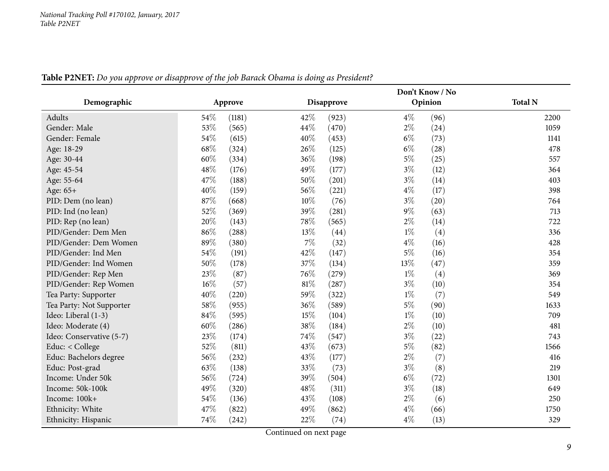<span id="page-8-0"></span>

|                          |      |         |      |                   |       | Don't Know / No |                |
|--------------------------|------|---------|------|-------------------|-------|-----------------|----------------|
| Demographic              |      | Approve |      | <b>Disapprove</b> |       | Opinion         | <b>Total N</b> |
| Adults                   | 54\% | (1181)  | 42%  | (923)             | $4\%$ | (96)            | 2200           |
| Gender: Male             | 53%  | (565)   | 44\% | (470)             | $2\%$ | (24)            | 1059           |
| Gender: Female           | 54%  | (615)   | 40%  | (453)             | $6\%$ | (73)            | 1141           |
| Age: 18-29               | 68%  | (324)   | 26%  | (125)             | $6\%$ | (28)            | 478            |
| Age: 30-44               | 60%  | (334)   | 36%  | (198)             | $5\%$ | (25)            | 557            |
| Age: 45-54               | 48%  | (176)   | 49%  | (177)             | $3\%$ | (12)            | 364            |
| Age: 55-64               | 47%  | (188)   | 50%  | (201)             | $3\%$ | (14)            | 403            |
| Age: 65+                 | 40%  | (159)   | 56%  | (221)             | $4\%$ | (17)            | 398            |
| PID: Dem (no lean)       | 87%  | (668)   | 10%  | (76)              | $3\%$ | (20)            | 764            |
| PID: Ind (no lean)       | 52%  | (369)   | 39%  | (281)             | $9\%$ | (63)            | 713            |
| PID: Rep (no lean)       | 20%  | (143)   | 78%  | (565)             | $2\%$ | (14)            | 722            |
| PID/Gender: Dem Men      | 86%  | (288)   | 13%  | (44)              | $1\%$ | (4)             | 336            |
| PID/Gender: Dem Women    | 89%  | (380)   | 7%   | (32)              | $4\%$ | (16)            | 428            |
| PID/Gender: Ind Men      | 54%  | (191)   | 42%  | (147)             | $5\%$ | (16)            | 354            |
| PID/Gender: Ind Women    | 50%  | (178)   | 37%  | (134)             | 13%   | (47)            | 359            |
| PID/Gender: Rep Men      | 23%  | (87)    | 76%  | (279)             | $1\%$ | (4)             | 369            |
| PID/Gender: Rep Women    | 16%  | (57)    | 81%  | (287)             | $3\%$ | (10)            | 354            |
| Tea Party: Supporter     | 40%  | (220)   | 59%  | (322)             | $1\%$ | (7)             | 549            |
| Tea Party: Not Supporter | 58%  | (955)   | 36%  | (589)             | $5\%$ | (90)            | 1633           |
| Ideo: Liberal (1-3)      | 84%  | (595)   | 15%  | (104)             | $1\%$ | (10)            | 709            |
| Ideo: Moderate (4)       | 60%  | (286)   | 38%  | (184)             | $2\%$ | (10)            | 481            |
| Ideo: Conservative (5-7) | 23%  | (174)   | 74%  | (547)             | $3\%$ | (22)            | 743            |
| Educ: < College          | 52%  | (811)   | 43%  | (673)             | $5\%$ | (82)            | 1566           |
| Educ: Bachelors degree   | 56%  | (232)   | 43%  | (177)             | $2\%$ | (7)             | 416            |
| Educ: Post-grad          | 63%  | (138)   | 33%  | (73)              | $3\%$ | (8)             | 219            |
| Income: Under 50k        | 56%  | (724)   | 39%  | (504)             | $6\%$ | (72)            | 1301           |
| Income: 50k-100k         | 49%  | (320)   | 48%  | (311)             | $3\%$ | (18)            | 649            |
| Income: 100k+            | 54%  | (136)   | 43%  | (108)             | $2\%$ | (6)             | 250            |
| Ethnicity: White         | 47%  | (822)   | 49%  | (862)             | $4\%$ | (66)            | 1750           |
| Ethnicity: Hispanic      | 74%  | (242)   | 22%  | (74)              | $4\%$ | (13)            | 329            |

Table P2NET: Do you approve or disapprove of the job Barack Obama is doing as President?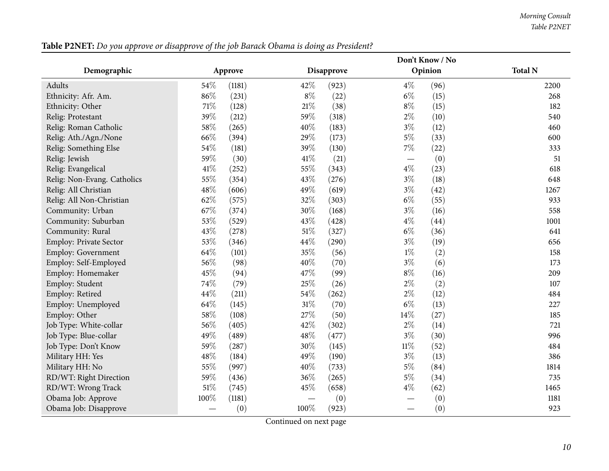| Table P2NET: Do you approve or disapprove of the job Barack Obama is doing as President? |
|------------------------------------------------------------------------------------------|
|------------------------------------------------------------------------------------------|

|                             |      |         |        |            |        | Don't Know / No |                |
|-----------------------------|------|---------|--------|------------|--------|-----------------|----------------|
| Demographic                 |      | Approve |        | Disapprove |        | Opinion         | <b>Total N</b> |
| Adults                      | 54%  | (1181)  | 42%    | (923)      | $4\%$  | (96)            | 2200           |
| Ethnicity: Afr. Am.         | 86%  | (231)   | $8\%$  | (22)       | $6\%$  | (15)            | 268            |
| Ethnicity: Other            | 71%  | (128)   | 21%    | (38)       | $8\%$  | (15)            | 182            |
| Relig: Protestant           | 39%  | (212)   | 59%    | (318)      | $2\%$  | (10)            | 540            |
| Relig: Roman Catholic       | 58%  | (265)   | 40%    | (183)      | $3\%$  | (12)            | 460            |
| Relig: Ath./Agn./None       | 66%  | (394)   | 29%    | (173)      | $5\%$  | (33)            | 600            |
| Relig: Something Else       | 54%  | (181)   | 39%    | (130)      | $7\%$  | (22)            | 333            |
| Relig: Jewish               | 59%  | (30)    | 41%    | (21)       |        | (0)             | 51             |
| Relig: Evangelical          | 41%  | (252)   | 55%    | (343)      | $4\%$  | (23)            | 618            |
| Relig: Non-Evang. Catholics | 55%  | (354)   | 43%    | (276)      | $3\%$  | (18)            | 648            |
| Relig: All Christian        | 48%  | (606)   | 49%    | (619)      | $3\%$  | (42)            | 1267           |
| Relig: All Non-Christian    | 62%  | (575)   | 32%    | (303)      | $6\%$  | (55)            | 933            |
| Community: Urban            | 67%  | (374)   | 30%    | (168)      | $3\%$  | (16)            | 558            |
| Community: Suburban         | 53%  | (529)   | 43%    | (428)      | $4\%$  | (44)            | 1001           |
| Community: Rural            | 43%  | (278)   | 51%    | (327)      | $6\%$  | (36)            | 641            |
| Employ: Private Sector      | 53%  | (346)   | 44%    | (290)      | $3\%$  | (19)            | 656            |
| Employ: Government          | 64%  | (101)   | 35%    | (56)       | $1\%$  | (2)             | 158            |
| Employ: Self-Employed       | 56%  | (98)    | 40%    | (70)       | $3\%$  | (6)             | 173            |
| Employ: Homemaker           | 45%  | (94)    | 47%    | (99)       | $8\%$  | (16)            | 209            |
| Employ: Student             | 74%  | (79)    | 25%    | (26)       | $2\%$  | (2)             | 107            |
| Employ: Retired             | 44%  | (211)   | 54%    | (262)      | $2\%$  | (12)            | 484            |
| Employ: Unemployed          | 64%  | (145)   | $31\%$ | (70)       | $6\%$  | (13)            | 227            |
| Employ: Other               | 58%  | (108)   | 27%    | (50)       | 14%    | (27)            | 185            |
| Job Type: White-collar      | 56%  | (405)   | 42%    | (302)      | $2\%$  | (14)            | 721            |
| Job Type: Blue-collar       | 49%  | (489)   | 48%    | (477)      | $3\%$  | (30)            | 996            |
| Job Type: Don't Know        | 59%  | (287)   | 30%    | (145)      | $11\%$ | (52)            | 484            |
| Military HH: Yes            | 48%  | (184)   | 49%    | (190)      | $3\%$  | (13)            | 386            |
| Military HH: No             | 55%  | (997)   | 40%    | (733)      | $5\%$  | (84)            | 1814           |
| RD/WT: Right Direction      | 59%  | (436)   | 36%    | (265)      | $5\%$  | (34)            | 735            |
| RD/WT: Wrong Track          | 51%  | (745)   | 45%    | (658)      | $4\%$  | (62)            | 1465           |
| Obama Job: Approve          | 100% | (1181)  |        | (0)        |        | (0)             | 1181           |
| Obama Job: Disapprove       |      | (0)     | 100%   | (923)      |        | (0)             | 923            |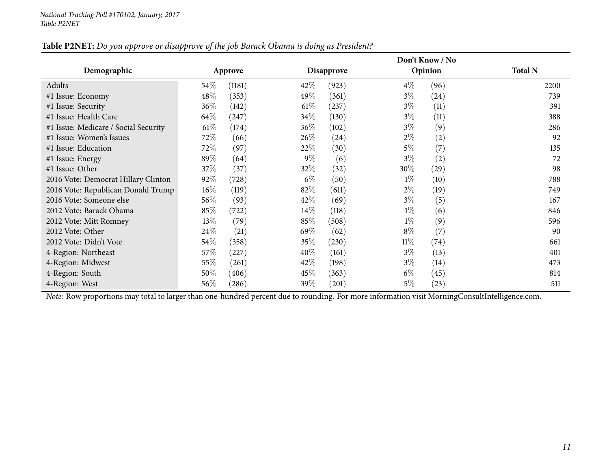| Table P2NET: Do you approve or disapprove of the job Barack Obama is doing as President? |  |
|------------------------------------------------------------------------------------------|--|
|------------------------------------------------------------------------------------------|--|

|                                      |        |         |        |                   |        | Don't Know / No |                |  |
|--------------------------------------|--------|---------|--------|-------------------|--------|-----------------|----------------|--|
| Demographic                          |        | Approve |        | <b>Disapprove</b> |        | Opinion         | <b>Total N</b> |  |
| Adults                               | 54\%   | (1181)  | $42\%$ | (923)             | $4\%$  | (96)            | 2200           |  |
| #1 Issue: Economy                    | 48\%   | (353)   | 49\%   | (361)             | $3\%$  | (24)            | 739            |  |
| #1 Issue: Security                   | $36\%$ | (142)   | $61\%$ | (237)             | $3\%$  | (11)            | 391            |  |
| #1 Issue: Health Care                | 64\%   | (247)   | 34\%   | (130)             | $3\%$  | (11)            | 388            |  |
| #1 Issue: Medicare / Social Security | $61\%$ | (174)   | $36\%$ | (102)             | $3\%$  | (9)             | 286            |  |
| #1 Issue: Women's Issues             | 72\%   | (66)    | 26\%   | (24)              | $2\%$  | (2)             | 92             |  |
| #1 Issue: Education                  | 72\%   | (97)    | 22%    | (30)              | $5\%$  | (7)             | 135            |  |
| #1 Issue: Energy                     | 89%    | (64)    | $9\%$  | (6)               | $3\%$  | (2)             | 72             |  |
| #1 Issue: Other                      | 37\%   | (37)    | 32\%   | (32)              | $30\%$ | (29)            | 98             |  |
| 2016 Vote: Democrat Hillary Clinton  | 92%    | (728)   | $6\%$  | (50)              | $1\%$  | (10)            | 788            |  |
| 2016 Vote: Republican Donald Trump   | $16\%$ | (119)   | 82\%   | (611)             | $2\%$  | (19)            | 749            |  |
| 2016 Vote: Someone else              | 56\%   | (93)    | 42\%   | (69)              | $3\%$  | (5)             | 167            |  |
| 2012 Vote: Barack Obama              | 85%    | (722)   | $14\%$ | (118)             | $1\%$  | (6)             | 846            |  |
| 2012 Vote: Mitt Romney               | $13\%$ | (79)    | 85%    | (508)             | $1\%$  | (9)             | 596            |  |
| 2012 Vote: Other                     | 24\%   | (21)    | 69\%   | (62)              | $8\%$  | (7)             | 90             |  |
| 2012 Vote: Didn't Vote               | 54\%   | (358)   | 35%    | (230)             | $11\%$ | (74)            | 661            |  |
| 4-Region: Northeast                  | 57\%   | (227)   | $40\%$ | (161)             | $3\%$  | (13)            | 401            |  |
| 4-Region: Midwest                    | 55\%   | (261)   | 42\%   | (198)             | $3\%$  | (14)            | 473            |  |
| 4-Region: South                      | 50%    | (406)   | 45\%   | (363)             | $6\%$  | (45)            | 814            |  |
| 4-Region: West                       | 56\%   | (286)   | $39\%$ | (201)             | $5\%$  | (23)            | 511            |  |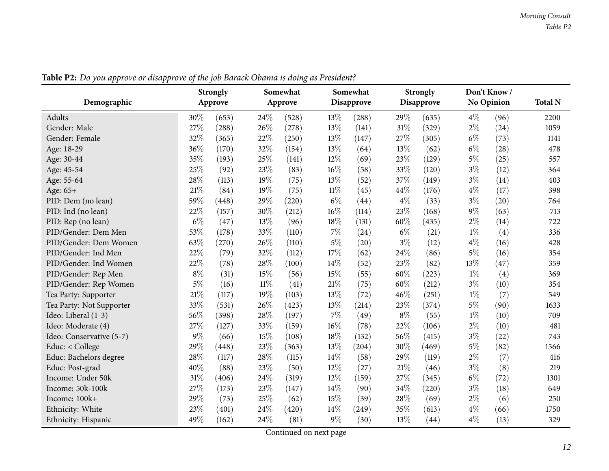<span id="page-11-0"></span>

|                          |        | <b>Strongly</b> |        | Somewhat |        | Somewhat          |       | <b>Strongly</b>   |       | Don't Know |                |
|--------------------------|--------|-----------------|--------|----------|--------|-------------------|-------|-------------------|-------|------------|----------------|
| Demographic              |        | Approve         |        | Approve  |        | <b>Disapprove</b> |       | <b>Disapprove</b> |       | No Opinion | <b>Total N</b> |
| Adults                   | 30%    | (653)           | 24\%   | (528)    | 13%    | (288)             | 29%   | (635)             | $4\%$ | (96)       | 2200           |
| Gender: Male             | 27%    | (288)           | 26%    | (278)    | 13%    | (141)             | 31%   | (329)             | $2\%$ | (24)       | 1059           |
| Gender: Female           | 32%    | (365)           | 22%    | (250)    | 13%    | (147)             | 27%   | (305)             | $6\%$ | (73)       | 1141           |
| Age: 18-29               | 36%    | (170)           | 32%    | (154)    | 13%    | (64)              | 13%   | (62)              | $6\%$ | (28)       | 478            |
| Age: 30-44               | 35%    | (193)           | 25%    | (141)    | 12%    | (69)              | 23%   | (129)             | $5\%$ | (25)       | 557            |
| Age: 45-54               | 25%    | (92)            | 23%    | (83)     | 16%    | (58)              | 33%   | (120)             | $3\%$ | (12)       | 364            |
| Age: 55-64               | 28%    | (113)           | 19%    | (75)     | 13%    | (52)              | 37%   | (149)             | $3\%$ | (14)       | 403            |
| Age: 65+                 | 21%    | (84)            | 19%    | (75)     | $11\%$ | (45)              | 44%   | (176)             | $4\%$ | (17)       | 398            |
| PID: Dem (no lean)       | 59%    | (448)           | 29%    | (220)    | $6\%$  | (44)              | $4\%$ | (33)              | $3\%$ | (20)       | 764            |
| PID: Ind (no lean)       | 22%    | (157)           | 30%    | (212)    | 16%    | (114)             | 23%   | (168)             | $9\%$ | (63)       | 713            |
| PID: Rep (no lean)       | $6\%$  | (47)            | 13%    | (96)     | 18%    | (131)             | 60%   | (435)             | $2\%$ | (14)       | 722            |
| PID/Gender: Dem Men      | 53%    | (178)           | 33%    | (110)    | $7\%$  | (24)              | $6\%$ | (21)              | $1\%$ | (4)        | 336            |
| PID/Gender: Dem Women    | 63%    | (270)           | 26%    | (110)    | $5\%$  | (20)              | $3\%$ | (12)              | $4\%$ | (16)       | 428            |
| PID/Gender: Ind Men      | 22%    | (79)            | 32%    | (112)    | 17%    | (62)              | 24%   | (86)              | $5\%$ | (16)       | 354            |
| PID/Gender: Ind Women    | 22%    | (78)            | 28%    | (100)    | 14%    | (52)              | 23%   | (82)              | 13%   | (47)       | 359            |
| PID/Gender: Rep Men      | $8\%$  | (31)            | 15%    | (56)     | 15%    | (55)              | 60%   | (223)             | $1\%$ | (4)        | 369            |
| PID/Gender: Rep Women    | $5\%$  | (16)            | $11\%$ | (41)     | $21\%$ | (75)              | 60%   | (212)             | $3\%$ | (10)       | 354            |
| Tea Party: Supporter     | 21\%   | (117)           | 19%    | (103)    | 13%    | (72)              | 46%   | (251)             | $1\%$ | (7)        | 549            |
| Tea Party: Not Supporter | 33%    | (531)           | 26%    | (423)    | 13%    | (214)             | 23%   | (374)             | $5\%$ | (90)       | 1633           |
| Ideo: Liberal (1-3)      | 56%    | (398)           | 28%    | (197)    | $7\%$  | (49)              | $8\%$ | (55)              | $1\%$ | (10)       | 709            |
| Ideo: Moderate (4)       | 27%    | (127)           | 33%    | (159)    | 16%    | (78)              | 22%   | (106)             | $2\%$ | (10)       | 481            |
| Ideo: Conservative (5-7) | $9\%$  | (66)            | 15%    | (108)    | 18%    | (132)             | 56%   | (415)             | $3\%$ | (22)       | 743            |
| Educ: < College          | 29%    | (448)           | 23%    | (363)    | 13%    | (204)             | 30%   | (469)             | $5\%$ | (82)       | 1566           |
| Educ: Bachelors degree   | 28%    | (117)           | 28%    | (115)    | 14%    | (58)              | 29%   | (119)             | $2\%$ | (7)        | 416            |
| Educ: Post-grad          | 40%    | (88)            | 23%    | (50)     | 12%    | (27)              | 21%   | (46)              | $3\%$ | (8)        | 219            |
| Income: Under 50k        | $31\%$ | (406)           | 24%    | (319)    | 12%    | (159)             | 27%   | (345)             | $6\%$ | (72)       | 1301           |
| Income: 50k-100k         | 27%    | (173)           | 23%    | (147)    | 14\%   | (90)              | 34%   | (220)             | $3\%$ | (18)       | 649            |
| Income: 100k+            | 29%    | (73)            | 25%    | (62)     | 15%    | (39)              | 28%   | (69)              | $2\%$ | (6)        | 250            |
| Ethnicity: White         | 23%    | (401)           | 24%    | (420)    | 14\%   | (249)             | 35%   | (613)             | $4\%$ | (66)       | 1750           |
| Ethnicity: Hispanic      | 49%    | (162)           | 24%    | (81)     | $9\%$  | (30)              | 13%   | (44)              | $4\%$ | (13)       | 329            |

Table P2: Do you approve or disapprove of the job Barack Obama is doing as President?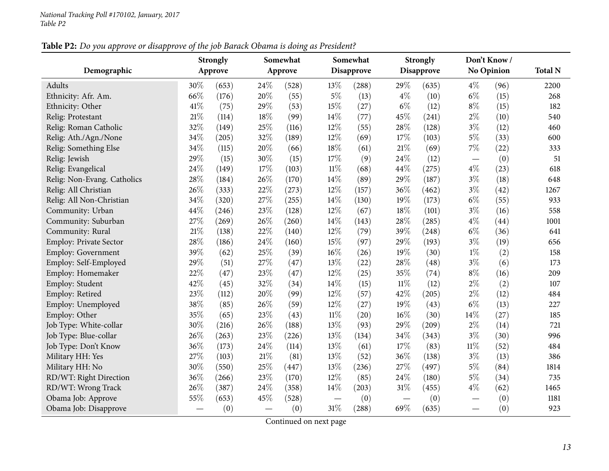## Table P2: Do you approve or disapprove of the job Barack Obama is doing as President?

|                             |        | <b>Strongly</b> |     | Somewhat |        | Somewhat          |        | <b>Strongly</b>   |        | Don't Know /      |                |
|-----------------------------|--------|-----------------|-----|----------|--------|-------------------|--------|-------------------|--------|-------------------|----------------|
| Demographic                 |        | Approve         |     | Approve  |        | <b>Disapprove</b> |        | <b>Disapprove</b> |        | <b>No Opinion</b> | <b>Total N</b> |
| Adults                      | 30%    | (653)           | 24% | (528)    | 13%    | (288)             | 29%    | (635)             | $4\%$  | (96)              | 2200           |
| Ethnicity: Afr. Am.         | 66%    | (176)           | 20% | (55)     | $5\%$  | (13)              | $4\%$  | (10)              | $6\%$  | (15)              | 268            |
| Ethnicity: Other            | 41\%   | (75)            | 29% | (53)     | 15%    | (27)              | $6\%$  | (12)              | $8\%$  | (15)              | 182            |
| Relig: Protestant           | 21%    | (114)           | 18% | (99)     | 14%    | (77)              | 45%    | (241)             | $2\%$  | (10)              | 540            |
| Relig: Roman Catholic       | 32%    | (149)           | 25% | (116)    | 12%    | (55)              | 28%    | (128)             | $3\%$  | (12)              | 460            |
| Relig: Ath./Agn./None       | 34%    | (205)           | 32% | (189)    | 12%    | (69)              | 17%    | (103)             | $5\%$  | (33)              | 600            |
| Relig: Something Else       | 34%    | (115)           | 20% | (66)     | 18%    | (61)              | 21%    | (69)              | 7%     | (22)              | 333            |
| Relig: Jewish               | 29%    | (15)            | 30% | (15)     | 17%    | (9)               | 24%    | (12)              |        | (0)               | 51             |
| Relig: Evangelical          | 24%    | (149)           | 17% | (103)    | $11\%$ | (68)              | 44%    | (275)             | $4\%$  | (23)              | 618            |
| Relig: Non-Evang. Catholics | $28\%$ | (184)           | 26% | (170)    | 14%    | (89)              | 29%    | (187)             | $3\%$  | (18)              | 648            |
| Relig: All Christian        | 26%    | (333)           | 22% | (273)    | 12%    | (157)             | 36%    | (462)             | $3\%$  | (42)              | 1267           |
| Relig: All Non-Christian    | 34%    | (320)           | 27% | (255)    | 14%    | (130)             | 19%    | (173)             | $6\%$  | (55)              | 933            |
| Community: Urban            | 44%    | (246)           | 23% | (128)    | 12%    | (67)              | 18%    | (101)             | $3\%$  | (16)              | 558            |
| Community: Suburban         | 27%    | (269)           | 26% | (260)    | 14%    | (143)             | 28%    | (285)             | $4\%$  | (44)              | 1001           |
| Community: Rural            | 21\%   | (138)           | 22% | (140)    | 12%    | (79)              | 39%    | (248)             | $6\%$  | (36)              | 641            |
| Employ: Private Sector      | 28%    | (186)           | 24% | (160)    | 15%    | (97)              | 29%    | (193)             | $3\%$  | (19)              | 656            |
| Employ: Government          | 39%    | (62)            | 25% | (39)     | 16%    | (26)              | 19%    | (30)              | $1\%$  | (2)               | 158            |
| Employ: Self-Employed       | 29%    | (51)            | 27% | (47)     | 13%    | (22)              | 28%    | (48)              | $3\%$  | (6)               | 173            |
| Employ: Homemaker           | 22%    | (47)            | 23% | (47)     | 12%    | (25)              | 35%    | (74)              | $8\%$  | (16)              | 209            |
| Employ: Student             | 42%    | (45)            | 32% | (34)     | 14%    | (15)              | $11\%$ | (12)              | $2\%$  | (2)               | 107            |
| Employ: Retired             | 23%    | (112)           | 20% | (99)     | 12%    | (57)              | 42%    | (205)             | $2\%$  | (12)              | 484            |
| Employ: Unemployed          | 38%    | (85)            | 26% | (59)     | 12%    | (27)              | 19%    | (43)              | $6\%$  | (13)              | 227            |
| Employ: Other               | 35%    | (65)            | 23% | (43)     | $11\%$ | (20)              | 16%    | (30)              | 14%    | (27)              | 185            |
| Job Type: White-collar      | 30%    | (216)           | 26% | (188)    | 13%    | (93)              | 29%    | (209)             | $2\%$  | (14)              | 721            |
| Job Type: Blue-collar       | 26%    | (263)           | 23% | (226)    | 13%    | (134)             | 34%    | (343)             | $3\%$  | (30)              | 996            |
| Job Type: Don't Know        | 36%    | (173)           | 24% | (114)    | 13%    | (61)              | 17%    | (83)              | $11\%$ | (52)              | 484            |
| Military HH: Yes            | 27%    | (103)           | 21% | (81)     | 13%    | (52)              | 36%    | (138)             | $3\%$  | (13)              | 386            |
| Military HH: No             | 30%    | (550)           | 25% | (447)    | 13%    | (236)             | 27%    | (497)             | $5\%$  | (84)              | 1814           |
| RD/WT: Right Direction      | 36%    | (266)           | 23% | (170)    | 12%    | (85)              | 24%    | (180)             | $5\%$  | (34)              | 735            |
| RD/WT: Wrong Track          | 26%    | (387)           | 24% | (358)    | 14%    | (203)             | 31%    | (455)             | $4\%$  | (62)              | 1465           |
| Obama Job: Approve          | 55%    | (653)           | 45% | (528)    |        | (0)               |        | (0)               |        | (0)               | 1181           |
| Obama Job: Disapprove       |        | (0)             |     | (0)      | $31\%$ | (288)             | 69%    | (635)             |        | (0)               | 923            |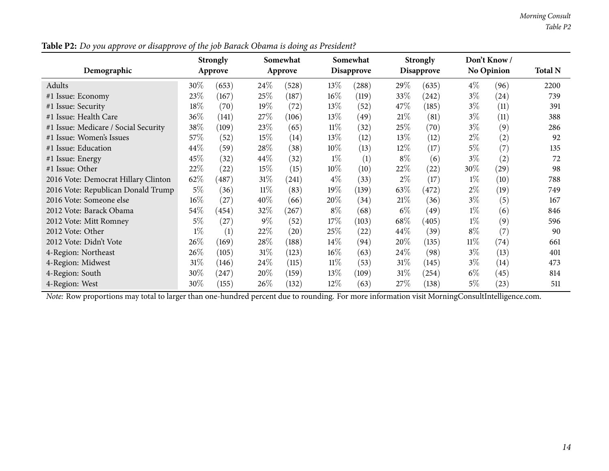|                                      |        | <b>Strongly</b> |        | Somewhat |        | Somewhat          |        | <b>Strongly</b>   |        | Don't Know/       |                |
|--------------------------------------|--------|-----------------|--------|----------|--------|-------------------|--------|-------------------|--------|-------------------|----------------|
| Demographic                          |        | Approve         |        | Approve  |        | <b>Disapprove</b> |        | <b>Disapprove</b> |        | <b>No Opinion</b> | <b>Total N</b> |
| Adults                               | 30%    | (653)           | 24\%   | (528)    | 13\%   | (288)             | 29\%   | (635)             | $4\%$  | (96)              | 2200           |
| #1 Issue: Economy                    | 23\%   | (167)           | 25%    | (187)    | $16\%$ | (119)             | 33%    | (242)             | $3\%$  | (24)              | 739            |
| #1 Issue: Security                   | 18%    | (70)            | 19%    | (72)     | $13\%$ | (52)              | 47\%   | (185)             | $3\%$  | (11)              | 391            |
| #1 Issue: Health Care                | 36%    | (141)           | 27\%   | (106)    | 13\%   | (49)              | 21%    | (81)              | $3\%$  | (11)              | 388            |
| #1 Issue: Medicare / Social Security | 38\%   | (109)           | 23%    | (65)     | $11\%$ | (32)              | 25%    | (70)              | $3\%$  | (9)               | 286            |
| #1 Issue: Women's Issues             | 57\%   | (52)            | 15%    | (14)     | $13\%$ | (12)              | 13%    | (12)              | $2\%$  | (2)               | 92             |
| #1 Issue: Education                  | 44%    | (59)            | 28%    | (38)     | 10%    | (13)              | 12\%   | (17)              | $5\%$  | (7)               | 135            |
| #1 Issue: Energy                     | 45\%   | (32)            | 44\%   | (32)     | $1\%$  | (1)               | $8\%$  | (6)               | $3\%$  | (2)               | 72             |
| #1 Issue: Other                      | 22%    | (22)            | 15%    | (15)     | $10\%$ | (10)              | 22%    | (22)              | $30\%$ | (29)              | 98             |
| 2016 Vote: Democrat Hillary Clinton  | 62\%   | (487)           | 31\%   | (241)    | $4\%$  | (33)              | $2\%$  | (17)              | $1\%$  | (10)              | 788            |
| 2016 Vote: Republican Donald Trump   | $5\%$  | (36)            | $11\%$ | (83)     | $19\%$ | (139)             | 63\%   | (472)             | $2\%$  | (19)              | 749            |
| 2016 Vote: Someone else              | $16\%$ | (27)            | $40\%$ | (66)     | 20%    | (34)              | 21%    | (36)              | $3\%$  | (5)               | 167            |
| 2012 Vote: Barack Obama              | 54\%   | (454)           | 32\%   | (267)    | $8\%$  | (68)              | $6\%$  | (49)              | $1\%$  | (6)               | 846            |
| 2012 Vote: Mitt Romney               | $5\%$  | (27)            | $9\%$  | (52)     | 17%    | (103)             | 68\%   | (405)             | $1\%$  | (9)               | 596            |
| 2012 Vote: Other                     | $1\%$  | (1)             | 22\%   | (20)     | 25\%   | (22)              | 44\%   | (39)              | $8\%$  | (7)               | 90             |
| 2012 Vote: Didn't Vote               | 26\%   | (169)           | 28\%   | (188)    | $14\%$ | (94)              | 20%    | (135)             | $11\%$ | (74)              | 661            |
| 4-Region: Northeast                  | 26\%   | (105)           | 31%    | (123)    | $16\%$ | (63)              | 24%    | (98)              | $3\%$  | (13)              | 401            |
| 4-Region: Midwest                    | $31\%$ | (146)           | $24\%$ | (115)    | $11\%$ | (53)              | 31%    | (145)             | $3\%$  | (14)              | 473            |
| 4-Region: South                      | 30%    | (247)           | 20%    | (159)    | $13\%$ | (109)             | $31\%$ | (254)             | $6\%$  | (45)              | 814            |
| 4-Region: West                       | 30%    | (155)           | 26%    | (132)    | $12\%$ | (63)              | 27\%   | (138)             | $5\%$  | (23)              | 511            |

Table P2: Do you approve or disapprove of the job Barack Obama is doing as President?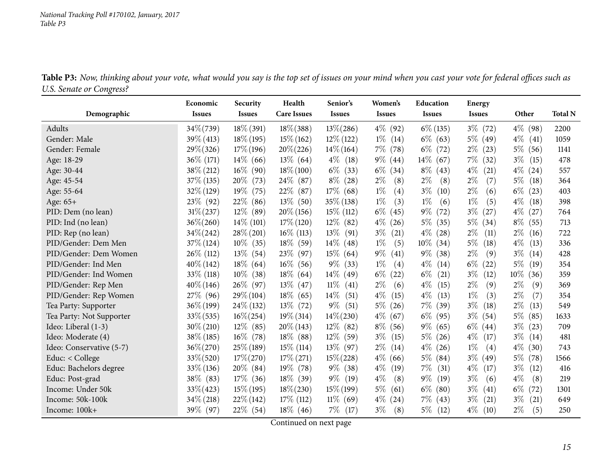<span id="page-14-0"></span>

| o                        | Economic      | Security      | Health             | Senior's       | Women's       | Education      | Energy        |                |                |
|--------------------------|---------------|---------------|--------------------|----------------|---------------|----------------|---------------|----------------|----------------|
| Demographic              | <b>Issues</b> | <b>Issues</b> | <b>Care Issues</b> | <b>Issues</b>  | <b>Issues</b> | <b>Issues</b>  | <b>Issues</b> | Other          | <b>Total N</b> |
| Adults                   | $34\% (739)$  | $18\%$ (391)  | $18\% (388)$       | $13\% (286)$   | $4\%$ (92)    | $6\%$ (135)    | $3\%$ (72)    | $4\%$ (98)     | 2200           |
| Gender: Male             | $39\% (413)$  | $18\%$ (195)  | $15\%$ (162)       | $12\%$ (122)   | $1\%$<br>(14) | $6\%$ (63)     | $5\%$ (49)    | $4\%$ (41)     | 1059           |
| Gender: Female           | $29\% (326)$  | $17\%$ (196)  | $20\% (226)$       | $14\% (164)$   | $7\%$<br>(78) | $6\%$<br>(72)  | $2\%$ (23)    | $5\%$ (56)     | 1141           |
| Age: 18-29               | $36\%$ (171)  | $14\%$ (66)   | $13\%$ (64)        | $4\%$ (18)     | $9\%$<br>(44) | $14\%$<br>(67) | $7\%$<br>(32) | $3\%$<br>(15)  | 478            |
| Age: 30-44               | 38% (212)     | $16\%$ (90)   | $18\% (100)$       | $6\%$ (33)     | $6\%$<br>(34) | $8\%$<br>(43)  | $4\%$<br>(21) | $4\%$ (24)     | 557            |
| Age: 45-54               | $37\%$ (135)  | $20\%$ (73)   | 24\% (87)          | $8\%$ (28)     | $2\%$<br>(8)  | $2\%$<br>(8)   | $2\%$<br>(7)  | $5\%$<br>(18)  | 364            |
| Age: 55-64               | $32\%$ (129)  | $19\%$ (75)   | 22\% (87)          | $17\%$ (68)    | $1\%$<br>(4)  | $3\%$<br>(10)  | $2\%$<br>(6)  | $6\%$<br>(23)  | 403            |
| Age: 65+                 | $23\%$ (92)   | 22\%<br>(86)  | 13\% (50)          | 35\% (138)     | $1\%$<br>(3)  | $1\%$<br>(6)   | $1\%$<br>(5)  | $4\%$<br>(18)  | 398            |
| PID: Dem (no lean)       | $31\% (237)$  | $12\%$ (89)   | $20\%$ (156)       | $15\%$ (112)   | $6\%$<br>(45) | $9\%$<br>(72)  | $3\%$<br>(27) | $4\%$<br>(27)  | 764            |
| PID: Ind (no lean)       | $36\% (260)$  | $14\%$ (101)  | $17\%$ (120)       | $12\%$ (82)    | $4\%$<br>(26) | $5\%$<br>(35)  | $5\%$<br>(34) | $8\%$<br>(55)  | 713            |
| PID: Rep (no lean)       | $34\% (242)$  | $28\% (201)$  | $16\%$ (113)       | $13\%$<br>(91) | $3\%$<br>(21) | $4\%$<br>(28)  | $2\%$<br>(11) | $2\%$<br>(16)  | 722            |
| PID/Gender: Dem Men      | $37\%$ (124)  | $10\%$ (35)   | $18\%$ (59)        | $14\%$ (48)    | $1\%$<br>(5)  | $10\%$<br>(34) | $5\%$<br>(18) | $4\%$<br>(13)  | 336            |
| PID/Gender: Dem Women    | $26\%$ (112)  | $13\%$ (54)   | 23\% (97)          | $15\%$ (64)    | $9\%$<br>(41) | $9\%$<br>(38)  | $2\%$<br>(9)  | $3\%$<br>(14)  | 428            |
| PID/Gender: Ind Men      | $40\% (142)$  | $18\%$ (64)   | $16\%$ (56)        | $9\%$ (33)     | $1\%$<br>(4)  | $4\%$<br>(14)  | $6\%$<br>(22) | $5\%$<br>(19)  | 354            |
| PID/Gender: Ind Women    | 33\% (118)    | $10\%$ (38)   | $18\%$ (64)        | $14\%$ (49)    | $6\%$<br>(22) | $6\%$<br>(21)  | $3\%$<br>(12) | $10\%$<br>(36) | 359            |
| PID/Gender: Rep Men      | $40\% (146)$  | $26\%$ (97)   | $13\%$ (47)        | $11\%$<br>(41) | $2\%$<br>(6)  | $4\%$<br>(15)  | $2\%$<br>(9)  | $2\%$<br>(9)   | 369            |
| PID/Gender: Rep Women    | 27\% (96)     | 29\% (104)    | $18\%$ (65)        | $14\%$<br>(51) | $4\%$<br>(15) | $4\%$<br>(13)  | $1\%$<br>(3)  | $2\%$<br>(7)   | 354            |
| Tea Party: Supporter     | $36\% (199)$  | 24\% (132)    | $13\%$ (72)        | $9\%$<br>(51)  | $5\%$<br>(26) | $7\%$<br>(39)  | $3\%$<br>(18) | $2\%$<br>(13)  | 549            |
| Tea Party: Not Supporter | $33\% (535)$  | $16\% (254)$  | $19\%$ (314)       | $14\% (230)$   | $4\%$<br>(67) | $6\%$<br>(95)  | $3\%$<br>(54) | $5\%$<br>(85)  | 1633           |
| Ideo: Liberal (1-3)      | $30\% (210)$  | $12\%$ (85)   | $20\%$ (143)       | $12\%$ (82)    | $8\%$<br>(56) | $9\%$<br>(65)  | $6\%$ (44)    | $3\%$<br>(23)  | 709            |
| Ideo: Moderate (4)       | 38\% (185)    | $16\%$ (78)   | 18% (88)           | $12\%$ (59)    | $3\%$<br>(15) | $5\%$<br>(26)  | $4\%$<br>(17) | $3\%$<br>(14)  | 481            |
| Ideo: Conservative (5-7) | $36\% (270)$  | $25\%$ (189)  | $15\%$ (114)       | $13\%$ (97)    | $2\%$<br>(14) | $4\%$<br>(26)  | $1\%$<br>(4)  | $4\%$<br>(30)  | 743            |
| Educ: < College          | $33\% (520)$  | $17\% (270)$  | $17\%$ (271)       | $15\% (228)$   | $4\%$<br>(66) | $5\%$<br>(84)  | $3\%$<br>(49) | $5\%$ (78)     | 1566           |
| Educ: Bachelors degree   | $33\% (136)$  | $20\%$ (84)   | $19\%$ (78)        | $9\%$ (38)     | $4\%$<br>(19) | $7\%$<br>(31)  | $4\%$<br>(17) | $3\%$<br>(12)  | 416            |
| Educ: Post-grad          | 38\% (83)     | $17\%$ (36)   | 18% (39)           | $9\%$ (19)     | $4\%$<br>(8)  | $9\%$<br>(19)  | $3\%$<br>(6)  | $4\%$<br>(8)   | 219            |
| Income: Under 50k        | 33% (423)     | $15\%$ (195)  | $18\% (230)$       | $15\%$ (199)   | $5\%$<br>(61) | $6\%$<br>(80)  | $3\%$<br>(41) | $6\%$<br>(72)  | 1301           |
| Income: 50k-100k         | $34\% (218)$  | $22\%$ (142)  | $17\%$ (112)       | $11\%$ (69)    | $4\%$<br>(24) | 7%<br>(43)     | $3\%$<br>(21) | $3\%$<br>(21)  | 649            |
| Income: 100k+            | 39\% (97)     | $22\%$ (54)   | $18\%$ (46)        | 7%<br>(17)     | $3\%$<br>(8)  | $5\%$<br>(12)  | $4\%$<br>(10) | $2\%$<br>(5)   | 250            |

Table P3: Now, thinking about your vote, what would you say is the top set of issues on your mind when you cast your vote for federal offices such as *U.S. Senate or Congress?*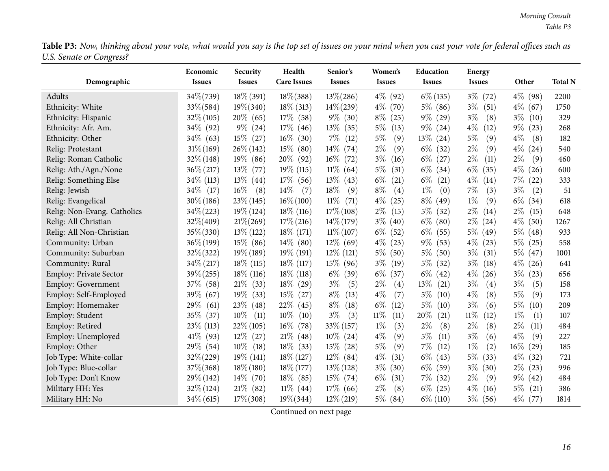Table P3: Now, thinking about your vote, what would you say is the top set of issues on your mind when you cast your vote for federal offices such as *U.S. Senate or Congress?*

| o                             | Economic      | Security       | Health             | Senior's       | Women's        | Education      | <b>Energy</b>  |                              |                |
|-------------------------------|---------------|----------------|--------------------|----------------|----------------|----------------|----------------|------------------------------|----------------|
| Demographic                   | <b>Issues</b> | <b>Issues</b>  | <b>Care Issues</b> | <b>Issues</b>  | <b>Issues</b>  | <b>Issues</b>  | <b>Issues</b>  | Other                        | <b>Total N</b> |
| Adults                        | 34\%(739)     | $18\%$ (391)   | $18\% (388)$       | $13\% (286)$   | $4\%$ (92)     | $6\%$ (135)    | $3\%$ (72)     | $4\%$ (98)                   | 2200           |
| Ethnicity: White              | $33\% (584)$  | $19\% (340)$   | $18\%$ (313)       | $14\% (239)$   | $4\%$<br>(70)  | $5\%$<br>(86)  | $3\%$<br>(51)  | $4\%$<br>(67)                | 1750           |
| Ethnicity: Hispanic           | $32\%$ (105)  | $20\%$ (65)    | $17\%$ (58)        | $9\%$ (30)     | $8\%$<br>(25)  | $9\%$ (29)     | $3\%$<br>(8)   | $3\%$<br>(10)                | 329            |
| Ethnicity: Afr. Am.           | 34\% (92)     | $9\%$ (24)     | $17\%$ (46)        | $13\%$<br>(35) | $5\%$<br>(13)  | $9\%$<br>(24)  | $4\%$<br>(12)  | $9\%$<br>(23)                | 268            |
| Ethnicity: Other              | $34\%$ (63)   | $15\%$ (27)    | $16\%$ (30)        | $7\%$<br>(12)  | $5\%$<br>(9)   | $13\%$ (24)    | $5\%$<br>(9)   | $4\%$<br>(8)                 | 182            |
| Relig: Protestant             | $31\% (169)$  | $26\% (142)$   | $15\%$ (80)        | $14\%$ (74)    | $2\%$<br>(9)   | $6\%$<br>(32)  | $2\%$<br>(9)   | $4\%$<br>(24)                | 540            |
| Relig: Roman Catholic         | $32\% (148)$  | $19\%$ (86)    | $20\%$ (92)        | $16\%$ (72)    | $3\%$<br>(16)  | $6\%$<br>(27)  | $2\%$<br>(11)  | $2\%$<br>(9)                 | 460            |
| Relig: Ath./Agn./None         | $36\% (217)$  | $13\%$<br>(77) | $19\%$ (115)       | $11\%$ (64)    | $5\%$<br>(31)  | $6\%$<br>(34)  | $6\%$<br>(35)  | $4\%$<br>(26)                | 600            |
| Relig: Something Else         | 34\% (113)    | $13\%$ (44)    | $17\%$ (56)        | $13\%$ (43)    | $6\%$<br>(21)  | $6\%$<br>(21)  | $4\%$<br>(14)  | $7\%$<br>(22)                | 333            |
| Relig: Jewish                 | $34\%$ (17)   | $16\%$<br>(8)  | 14\%<br>(7)        | 18\%<br>(9)    | $8\%$<br>(4)   | $1\%$<br>(0)   | 7%<br>(3)      | $3\%$<br>(2)                 | 51             |
| Relig: Evangelical            | $30\% (186)$  | $23\% (145)$   | $16\% (100)$       | $11\%$<br>(71) | $4\%$<br>(25)  | $8\%$<br>(49)  | $1\%$<br>(9)   | $6\%$<br>(34)                | 618            |
| Relig: Non-Evang. Catholics   | $34\% (223)$  | $19\% (124)$   | $18\%$ (116)       | $17\%$ (108)   | $2\%$<br>(15)  | $5\%$<br>(32)  | $2\%$<br>(14)  | $2\%$<br>(15)                | 648            |
| Relig: All Christian          | 32%(409)      | $21\% (269)$   | $17\%$ (216)       | $14\%$ (179)   | $3\%$<br>(40)  | $6\%$<br>(80)  | $2\%$<br>(24)  | $4\%$<br>(50)                | 1267           |
| Relig: All Non-Christian      | 35% (330)     | $13\%$ (122)   | $18\%$ (171)       | $11\% (107)$   | $6\%$<br>(52)  | $6\%$<br>(55)  | $5\%$<br>(49)  | $5\%$<br>(48)                | 933            |
| Community: Urban              | $36\% (199)$  | $15\%$ (86)    | $14\%$ (80)        | $12\%$ (69)    | $4\%$<br>(23)  | $9\%$<br>(53)  | $4\%$<br>(23)  | $5\%$<br>(25)                | 558            |
| Community: Suburban           | 32% (322)     | $19\%$ (189)   | $19\%$ (191)       | $12\%$ (121)   | $5\%$<br>(50)  | $5\%$<br>(50)  | $3\%$<br>(31)  | $5\%$ (47)                   | 1001           |
| Community: Rural              | $34\% (217)$  | $18\%$ (115)   | $18\%$ (117)       | $15\%$ (96)    | $3\%$<br>(19)  | $5\%$<br>(32)  | $3\%$<br>(18)  | $4\%$<br>(26)                | 641            |
| <b>Employ: Private Sector</b> | $39\% (255)$  | $18\%$ (116)   | $18\%$ (118)       | $6\%$<br>(39)  | $6\%$<br>(37)  | $6\%$<br>(42)  | $4\%$<br>(26)  | $3\%$<br>(23)                | 656            |
| Employ: Government            | 37\% (58)     | $21\%$<br>(33) | $18\%$ (29)        | $3\%$<br>(5)   | $2\%$<br>(4)   | $13\%$<br>(21) | $3\%$<br>(4)   | $3\%$<br>(5)                 | 158            |
| Employ: Self-Employed         | 39\% (67)     | $19\%$<br>(33) | $15\%$ (27)        | $8\%$<br>(13)  | $4\%$<br>(7)   | $5\%$<br>(10)  | $4\%$<br>(8)   | $5\%$<br>(9)                 | 173            |
| Employ: Homemaker             | 29\%<br>(61)  | $23\%$ (48)    | $22\%$ (45)        | $8\%$<br>(18)  | $6\%$<br>(12)  | $5\%$<br>(10)  | $3\%$<br>(6)   | $5\%$<br>(10)                | 209            |
| Employ: Student               | 35%<br>(37)   | 10%<br>(11)    | $10\%$<br>(10)     | $3\%$<br>(3)   | $11\%$<br>(11) | 20%<br>(21)    | $11\%$<br>(12) | $1\%$<br>(1)                 | 107            |
| Employ: Retired               | 23\% (113)    | $22\%$ (105)   | $16\%$ (78)        | $33\% (157)$   | $1\%$<br>(3)   | $2\%$<br>(8)   | $2\%$<br>(8)   | $2\%$<br>(11)                | 484            |
| Employ: Unemployed            | $41\%$ (93)   | $12\%$ (27)    | $21\%$ (48)        | $10\%$ (24)    | $4\%$<br>(9)   | 5%<br>(11)     | $3\%$<br>(6)   | $4\%$<br>(9)                 | 227            |
| Employ: Other                 | 29\% (54)     | $10\%$<br>(18) | $18\%$ (33)        | $15\%$<br>(28) | $5\%$<br>(9)   | $7\%$<br>(12)  | $1\%$<br>(2)   | $16\%$<br>$\left( 29\right)$ | 185            |
| Job Type: White-collar        | 32%(229)      | $19\%$ (141)   | $18\%$ (127)       | $12\%$ (84)    | $4\%$<br>(31)  | $6\%$<br>(43)  | $5\%$<br>(33)  | $4\%$<br>(32)                | 721            |
| Job Type: Blue-collar         | $37\% (368)$  | $18\%$ (180)   | $18\%$ (177)       | $13\%$ (128)   | $3\%$<br>(30)  | $6\%$<br>(59)  | $3\%$<br>(30)  | $2\%$<br>(23)                | 996            |
| Job Type: Don't Know          | 29\% (142)    | $14\%$ (70)    | $18\%$ (85)        | $15\%$ (74)    | $6\%$<br>(31)  | $7\%$<br>(32)  | $2\%$<br>(9)   | $9\%$ (42)                   | 484            |
| Military HH: Yes              | $32\% (124)$  | $21\%$ (82)    | $11\%$ (44)        | $17\%$ (66)    | $2\%$<br>(8)   | $6\%$<br>(25)  | $4\%$<br>(16)  | $5\%$<br>(21)                | 386            |
| Military HH: No               | $34\%$ (615)  | $17\% (308)$   | $19\% (344)$       | $12\% (219)$   | $5\%$ (84)     | $6\%$ (110)    | $3\%$<br>(56)  | $4\%$ (77)                   | 1814           |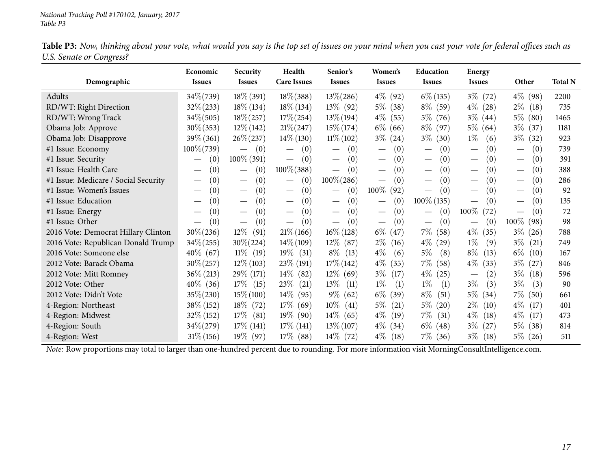Table P3: Now, thinking about your vote, what would you say is the top set of issues on your mind when you cast your vote for federal offices such as *U.S. Senate or Congress?*

|                                      | Economic                               | <b>Security</b>                          | Health                               | Senior's                               | Women's                                | <b>Education</b>                        | <b>Energy</b>                        |                                         |                |
|--------------------------------------|----------------------------------------|------------------------------------------|--------------------------------------|----------------------------------------|----------------------------------------|-----------------------------------------|--------------------------------------|-----------------------------------------|----------------|
| Demographic                          | <b>Issues</b>                          | <b>Issues</b>                            | <b>Care Issues</b>                   | <b>Issues</b>                          | <b>Issues</b>                          | <b>Issues</b>                           | <b>Issues</b>                        | Other                                   | <b>Total N</b> |
| Adults                               | 34\%(739)                              | $18\%$ (391)                             | $18\% (388)$                         | $13\% (286)$                           | $4\%$ (92)                             | $6\%$ (135)                             | $3\%$ (72)                           | $4\%$ (98)                              | 2200           |
| RD/WT: Right Direction               | $32\% (233)$                           | $18\% (134)$                             | $18\%$ (134)                         | $13\%$ (92)                            | $5\%$ (38)                             | $8\%$ (59)                              | $4\%$ (28)                           | $2\%$<br>(18)                           | 735            |
| RD/WT: Wrong Track                   | $34\% (505)$                           | $18\% (257)$                             | $17\% (254)$                         | $13\% (194)$                           | $4\%$<br>(55)                          | $5\%$ (76)                              | $3\%$ (44)                           | $5\%$ (80)                              | 1465           |
| Obama Job: Approve                   | $30\% (353)$                           | $12\%$ (142)                             | $21\% (247)$                         | $15\% (174)$                           | $6\%$ (66)                             | $8\%$ (97)                              | $5\%$ (64)                           | $3\%$ (37)                              | 1181           |
| Obama Job: Disapprove                | 39% (361)                              | $26\% (237)$                             | $14\% (130)$                         | $11\% (102)$                           | $3\% (24)$                             | $3\%$<br>(30)                           | $1\%$<br>(6)                         | $3\%$<br>(32)                           | 923            |
| #1 Issue: Economy                    | 100%(739)                              | (0)                                      | (0)<br>$\overbrace{\phantom{12333}}$ | (0)<br>$\hspace{0.1mm}-\hspace{0.1mm}$ | (0)                                    | (0)<br>$\hspace{0.05cm}$                | (0)<br>$\overbrace{\phantom{13333}}$ | (0)<br>$\hspace{0.1mm}-\hspace{0.1mm}$  | 739            |
| #1 Issue: Security                   | (0)                                    | $100\%$ (391)                            | (0)<br>$\hspace{0.05cm}$             | (0)<br>$\hspace{0.1mm}-\hspace{0.1mm}$ | (0)                                    | (0)<br>$\hspace{0.1mm}-\hspace{0.1mm}$  | (0)<br>$\qquad \qquad$               | (0)<br>$\qquad \qquad$                  | 391            |
| #1 Issue: Health Care                | (0)<br>$\overbrace{\phantom{aaaaa}}$   | (0)<br>$\overbrace{\phantom{13333}}$     | $100\% (388)$                        | (0)<br>$\hspace{0.1mm}-\hspace{0.1mm}$ | (0)                                    | (0)<br>$\hspace{0.1mm}-\hspace{0.1mm}$  | (0)<br>$\overbrace{\phantom{13333}}$ | (0)<br>$\hspace{0.1mm}-\hspace{0.1mm}$  | 388            |
| #1 Issue: Medicare / Social Security | (0)                                    | (0)<br>$\overbrace{\phantom{123221111}}$ | (0)<br>$\qquad \qquad -$             | $100\% (286)$                          | (0)                                    | (0)<br>$\overbrace{\phantom{12322111}}$ | (0)                                  | (0)<br>$\overline{\phantom{m}}$         | 286            |
| #1 Issue: Women's Issues             | (0)                                    | (0)<br>$\hspace{0.1mm}-\hspace{0.1mm}$   | (0)<br>$\qquad \qquad$               | (0)<br>$\overline{\phantom{m}}$        | $100\%$<br>(92)                        | (0)                                     | (0)<br>$\qquad \qquad$               | (0)<br>$\overline{\phantom{m}}$         | 92             |
| #1 Issue: Education                  | (0)                                    | (0)<br>$\overline{\phantom{0}}$          | (0)<br>$\qquad \qquad$               | (0)<br>$\overline{\phantom{m}}$        | (0)<br>$\hspace{0.1mm}-\hspace{0.1mm}$ | $100\%$ (135)                           | (0)                                  | (0)                                     | 135            |
| #1 Issue: Energy                     | (0)                                    | (0)<br>$\hspace{0.05cm}$                 | (0)<br>$\hspace{0.05cm}$             | (0)<br>$\hspace{0.1mm}-\hspace{0.1mm}$ | (0)                                    | (0)                                     | 100%<br>(72)                         | (0)<br>$\overbrace{\phantom{12322111}}$ | 72             |
| #1 Issue: Other                      | (0)<br>$\hspace{0.1mm}-\hspace{0.1mm}$ | (0)<br>$\hspace{0.1mm}-\hspace{0.1mm}$   | (0)<br>$\overline{\phantom{m}}$      | (0)<br>$\overline{\phantom{m}}$        | (0)                                    | (0)<br>$\hspace{0.1mm}-\hspace{0.1mm}$  | (0)<br>$\overbrace{\phantom{13333}}$ | $100\%$ (98)                            | 98             |
| 2016 Vote: Democrat Hillary Clinton  | $30\% (236)$                           | $12\%$<br>(91)                           | $21\% (166)$                         | $16\% (128)$                           | $6\%$<br>(47)                          | $7\%$<br>(58)                           | $4\%$<br>(35)                        | $3\%$ (26)                              | 788            |
| 2016 Vote: Republican Donald Trump   | $34\% (255)$                           | $30\% (224)$                             | $14\% (109)$                         | $12\%$<br>(87)                         | $2\%$<br>(16)                          | $4\%$<br>(29)                           | $1\%$<br>(9)                         | $3\%$<br>(21)                           | 749            |
| 2016 Vote: Someone else              | $40\%$ (67)                            | $11\%$ (19)                              | $19\%$ (31)                          | $8\%$<br>(13)                          | $4\%$<br>(6)                           | $5\%$<br>(8)                            | $8\%$<br>(13)                        | $6\%$<br>(10)                           | 167            |
| 2012 Vote: Barack Obama              | $30\% (257)$                           | $12\%$ (103)                             | $23\%$ (191)                         | $17\%$ (142)                           | $4\%$<br>(35)                          | $7\%$<br>(58)                           | $4\%$<br>(33)                        | $3\%$<br>(27)                           | 846            |
| 2012 Vote: Mitt Romney               | $36\% (213)$                           | 29\% (171)                               | $14\%$ (82)                          | $12\%$ (69)                            | $3\%$<br>(17)                          | $4\%$ (25)                              | (2)                                  | $3\%$<br>(18)                           | 596            |
| 2012 Vote: Other                     | $40\%$ (36)                            | $17\%$ (15)                              | 23\%<br>(21)                         | $13\%$<br>(11)                         | $1\%$<br>(1)                           | $1\%$<br>(1)                            | $3\%$<br>(3)                         | $3\%$<br>(3)                            | 90             |
| 2012 Vote: Didn't Vote               | 35%(230)                               | $15\% (100)$                             | $14\%$<br>(95)                       | $9\%$ (62)                             | $6\%$<br>(39)                          | $8\%$<br>(51)                           | $5\%$ (34)                           | $7\%$ (50)                              | 661            |
| 4-Region: Northeast                  | $38\%$ (152)                           | $18\%$ (72)                              | $17\%$ (69)                          | $10\%$<br>(41)                         | $5\%$<br>(21)                          | $5\%$<br>(20)                           | $2\%$<br>(10)                        | $4\%$<br>(17)                           | 401            |
| 4-Region: Midwest                    | $32\%$ (152)                           | $17\%$<br>(81)                           | $19\%$ (90)                          | $14\%$ (65)                            | $4\%$<br>(19)                          | $7\%$<br>(31)                           | $4\%$<br>(18)                        | $4\%$<br>(17)                           | 473            |
| 4-Region: South                      | $34\% (279)$                           | $17\%$ (141)                             | $17\%$ (141)                         | $13\% (107)$                           | $4\%$<br>(34)                          | $6\%$ (48)                              | $3\%$ (27)                           | $5\%$ (38)                              | 814            |
| 4-Region: West                       | $31\% (156)$                           | 19% (97)                                 | $17\%$ (88)                          | $14\%$ (72)                            | $4\%$<br>(18)                          | $7\%$<br>(36)                           | $3\%$ (18)                           | $5\%$ (26)                              | 511            |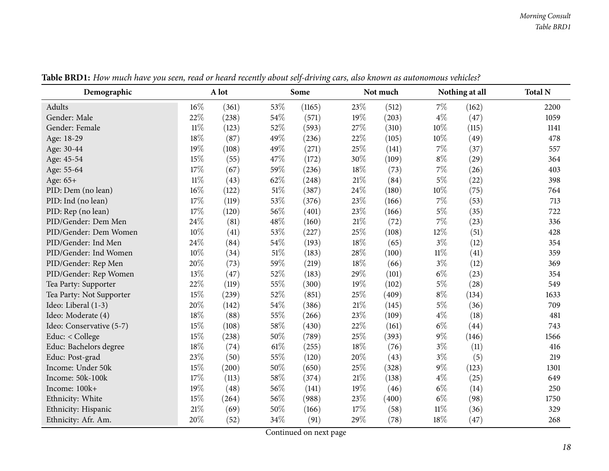<span id="page-17-0"></span>

| Demographic              |        | A lot |        | Some   |        | Not much |        | Nothing at all | <b>Total N</b> |
|--------------------------|--------|-------|--------|--------|--------|----------|--------|----------------|----------------|
| Adults                   | 16%    | (361) | 53%    | (1165) | 23%    | (512)    | $7\%$  | (162)          | 2200           |
| Gender: Male             | 22%    | (238) | 54%    | (571)  | 19%    | (203)    | $4\%$  | (47)           | 1059           |
| Gender: Female           | $11\%$ | (123) | 52%    | (593)  | 27%    | (310)    | 10%    | (115)          | 1141           |
| Age: 18-29               | 18%    | (87)  | 49%    | (236)  | 22%    | (105)    | 10%    | (49)           | 478            |
| Age: 30-44               | 19%    | (108) | 49%    | (271)  | 25%    | (141)    | $7\%$  | (37)           | 557            |
| Age: 45-54               | 15%    | (55)  | 47%    | (172)  | 30%    | (109)    | $8\%$  | (29)           | 364            |
| Age: 55-64               | 17%    | (67)  | 59%    | (236)  | 18%    | (73)     | 7%     | (26)           | 403            |
| Age: 65+                 | $11\%$ | (43)  | 62%    | (248)  | $21\%$ | (84)     | $5\%$  | (22)           | 398            |
| PID: Dem (no lean)       | 16%    | (122) | $51\%$ | (387)  | 24%    | (180)    | $10\%$ | (75)           | 764            |
| PID: Ind (no lean)       | 17%    | (119) | 53%    | (376)  | 23%    | (166)    | $7\%$  | (53)           | 713            |
| PID: Rep (no lean)       | 17%    | (120) | 56%    | (401)  | 23%    | (166)    | $5\%$  | (35)           | 722            |
| PID/Gender: Dem Men      | 24%    | (81)  | 48%    | (160)  | $21\%$ | (72)     | $7\%$  | (23)           | 336            |
| PID/Gender: Dem Women    | 10%    | (41)  | 53%    | (227)  | 25\%   | (108)    | 12\%   | (51)           | 428            |
| PID/Gender: Ind Men      | 24%    | (84)  | 54%    | (193)  | 18%    | (65)     | $3\%$  | (12)           | 354            |
| PID/Gender: Ind Women    | 10%    | (34)  | 51%    | (183)  | 28%    | (100)    | $11\%$ | (41)           | 359            |
| PID/Gender: Rep Men      | 20%    | (73)  | 59%    | (219)  | 18%    | (66)     | $3\%$  | (12)           | 369            |
| PID/Gender: Rep Women    | 13%    | (47)  | 52%    | (183)  | 29%    | (101)    | $6\%$  | (23)           | 354            |
| Tea Party: Supporter     | 22%    | (119) | 55%    | (300)  | 19%    | (102)    | $5\%$  | (28)           | 549            |
| Tea Party: Not Supporter | 15%    | (239) | 52%    | (851)  | 25%    | (409)    | $8\%$  | (134)          | 1633           |
| Ideo: Liberal (1-3)      | 20%    | (142) | 54\%   | (386)  | $21\%$ | (145)    | $5\%$  | (36)           | 709            |
| Ideo: Moderate (4)       | 18%    | (88)  | 55%    | (266)  | 23%    | (109)    | $4\%$  | (18)           | 481            |
| Ideo: Conservative (5-7) | 15%    | (108) | 58%    | (430)  | 22%    | (161)    | $6\%$  | (44)           | 743            |
| Educ: < College          | 15%    | (238) | 50%    | (789)  | 25%    | (393)    | $9\%$  | (146)          | 1566           |
| Educ: Bachelors degree   | 18%    | (74)  | $61\%$ | (255)  | 18%    | (76)     | $3\%$  | (11)           | 416            |
| Educ: Post-grad          | 23%    | (50)  | 55%    | (120)  | 20%    | (43)     | $3\%$  | (5)            | 219            |
| Income: Under 50k        | 15%    | (200) | $50\%$ | (650)  | 25%    | (328)    | $9\%$  | (123)          | 1301           |
| Income: 50k-100k         | 17%    | (113) | $58\%$ | (374)  | $21\%$ | (138)    | $4\%$  | (25)           | 649            |
| Income: 100k+            | 19%    | (48)  | 56%    | (141)  | 19%    | (46)     | $6\%$  | (14)           | 250            |
| Ethnicity: White         | 15%    | (264) | 56%    | (988)  | 23%    | (400)    | $6\%$  | (98)           | 1750           |
| Ethnicity: Hispanic      | 21%    | (69)  | $50\%$ | (166)  | 17%    | (58)     | $11\%$ | (36)           | 329            |
| Ethnicity: Afr. Am.      | 20%    | (52)  | 34%    | (91)   | 29%    | (78)     | 18%    | (47)           | 268            |

Table BRD1: How much have you seen, read or heard recently about self-driving cars, also known as autonomous vehicles?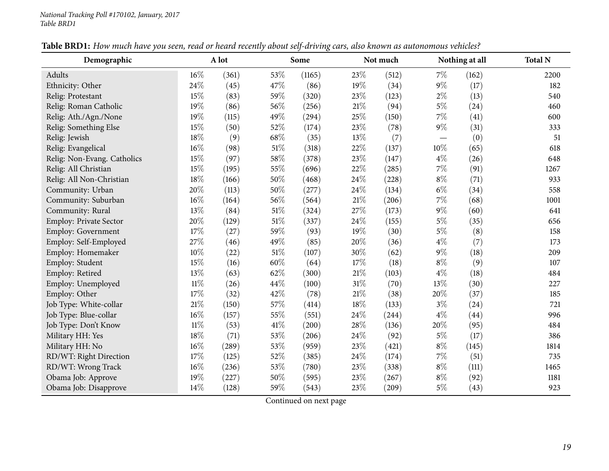| Demographic                   |        | A lot |        | Some   |     | Not much |       | Nothing at all | <b>Total N</b> |
|-------------------------------|--------|-------|--------|--------|-----|----------|-------|----------------|----------------|
| Adults                        | 16%    | (361) | 53%    | (1165) | 23% | (512)    | $7\%$ | (162)          | 2200           |
| Ethnicity: Other              | 24%    | (45)  | 47%    | (86)   | 19% | (34)     | $9\%$ | (17)           | 182            |
| Relig: Protestant             | 15%    | (83)  | 59%    | (320)  | 23% | (123)    | $2\%$ | (13)           | 540            |
| Relig: Roman Catholic         | 19%    | (86)  | 56%    | (256)  | 21% | (94)     | $5\%$ | (24)           | 460            |
| Relig: Ath./Agn./None         | 19%    | (115) | 49%    | (294)  | 25% | (150)    | 7%    | (41)           | 600            |
| Relig: Something Else         | 15%    | (50)  | 52%    | (174)  | 23% | (78)     | $9\%$ | (31)           | 333            |
| Relig: Jewish                 | 18%    | (9)   | 68%    | (35)   | 13% | (7)      |       | (0)            | 51             |
| Relig: Evangelical            | 16%    | (98)  | $51\%$ | (318)  | 22% | (137)    | 10%   | (65)           | 618            |
| Relig: Non-Evang. Catholics   | 15%    | (97)  | 58%    | (378)  | 23% | (147)    | $4\%$ | (26)           | 648            |
| Relig: All Christian          | 15%    | (195) | 55%    | (696)  | 22% | (285)    | 7%    | (91)           | 1267           |
| Relig: All Non-Christian      | 18%    | (166) | 50%    | (468)  | 24% | (228)    | $8\%$ | (71)           | 933            |
| Community: Urban              | 20%    | (113) | 50%    | (277)  | 24% | (134)    | $6\%$ | (34)           | 558            |
| Community: Suburban           | 16%    | (164) | $56\%$ | (564)  | 21% | (206)    | $7\%$ | (68)           | 1001           |
| Community: Rural              | 13%    | (84)  | 51\%   | (324)  | 27% | (173)    | $9\%$ | (60)           | 641            |
| <b>Employ: Private Sector</b> | 20%    | (129) | 51%    | (337)  | 24% | (155)    | $5\%$ | (35)           | 656            |
| <b>Employ: Government</b>     | 17%    | (27)  | 59%    | (93)   | 19% | (30)     | $5\%$ | (8)            | 158            |
| Employ: Self-Employed         | 27%    | (46)  | 49%    | (85)   | 20% | (36)     | $4\%$ | (7)            | 173            |
| Employ: Homemaker             | 10%    | (22)  | $51\%$ | (107)  | 30% | (62)     | $9\%$ | (18)           | 209            |
| Employ: Student               | 15%    | (16)  | 60%    | (64)   | 17% | (18)     | $8\%$ | (9)            | 107            |
| Employ: Retired               | 13%    | (63)  | 62%    | (300)  | 21% | (103)    | $4\%$ | (18)           | 484            |
| Employ: Unemployed            | $11\%$ | (26)  | 44%    | (100)  | 31% | (70)     | 13%   | (30)           | 227            |
| Employ: Other                 | 17%    | (32)  | 42%    | (78)   | 21% | (38)     | 20%   | (37)           | 185            |
| Job Type: White-collar        | $21\%$ | (150) | 57%    | (414)  | 18% | (133)    | $3\%$ | (24)           | 721            |
| Job Type: Blue-collar         | 16%    | (157) | 55%    | (551)  | 24% | (244)    | $4\%$ | (44)           | 996            |
| Job Type: Don't Know          | $11\%$ | (53)  | 41\%   | (200)  | 28% | (136)    | 20%   | (95)           | 484            |
| Military HH: Yes              | 18%    | (71)  | 53%    | (206)  | 24% | (92)     | $5\%$ | (17)           | 386            |
| Military HH: No               | 16%    | (289) | 53%    | (959)  | 23% | (421)    | $8\%$ | (145)          | 1814           |
| RD/WT: Right Direction        | 17%    | (125) | 52%    | (385)  | 24% | (174)    | $7\%$ | (51)           | 735            |
| RD/WT: Wrong Track            | 16%    | (236) | 53%    | (780)  | 23% | (338)    | $8\%$ | (111)          | 1465           |
| Obama Job: Approve            | 19%    | (227) | $50\%$ | (595)  | 23% | (267)    | $8\%$ | (92)           | 1181           |
| Obama Job: Disapprove         | 14%    | (128) | 59%    | (543)  | 23% | (209)    | $5\%$ | (43)           | 923            |

Table BRD1: How much have you seen, read or heard recently about self-driving cars, also known as autonomous vehicles?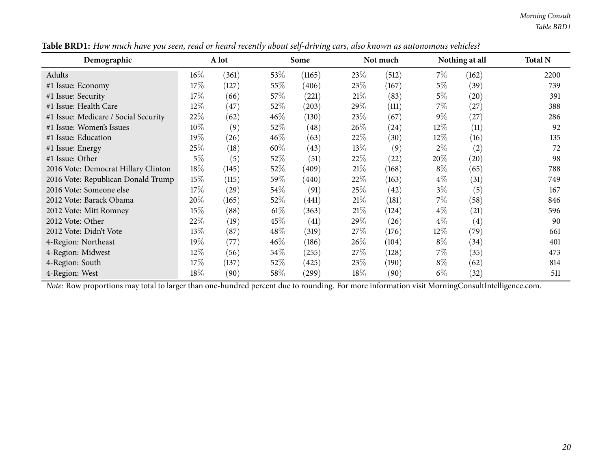| Demographic                          |        | A lot |        | Some   |        | Not much |        | Nothing at all | <b>Total N</b> |
|--------------------------------------|--------|-------|--------|--------|--------|----------|--------|----------------|----------------|
| Adults                               | $16\%$ | (361) | 53\%   | (1165) | 23\%   | (512)    | $7\%$  | (162)          | 2200           |
| #1 Issue: Economy                    | 17%    | (127) | 55\%   | (406)  | 23\%   | (167)    | $5\%$  | (39)           | 739            |
| #1 Issue: Security                   | 17\%   | (66)  | 57\%   | (221)  | 21%    | (83)     | $5\%$  | (20)           | 391            |
| #1 Issue: Health Care                | $12\%$ | (47)  | 52\%   | (203)  | 29\%   | (111)    | $7\%$  | (27)           | 388            |
| #1 Issue: Medicare / Social Security | 22%    | (62)  | 46\%   | (130)  | 23\%   | (67)     | $9\%$  | (27)           | 286            |
| #1 Issue: Women's Issues             | $10\%$ | (9)   | 52\%   | (48)   | 26%    | (24)     | $12\%$ | (11)           | 92             |
| #1 Issue: Education                  | 19%    | (26)  | $46\%$ | (63)   | 22\%   | (30)     | $12\%$ | (16)           | 135            |
| #1 Issue: Energy                     | 25%    | (18)  | $60\%$ | (43)   | $13\%$ | (9)      | $2\%$  | (2)            | 72             |
| #1 Issue: Other                      | $5\%$  | (5)   | 52\%   | (51)   | 22\%   | (22)     | 20%    | (20)           | 98             |
| 2016 Vote: Democrat Hillary Clinton  | 18%    | (145) | $52\%$ | (409)  | 21%    | (168)    | $8\%$  | (65)           | 788            |
| 2016 Vote: Republican Donald Trump   | 15%    | (115) | 59\%   | (440)  | 22\%   | (163)    | $4\%$  | (31)           | 749            |
| 2016 Vote: Someone else              | 17%    | (29)  | 54\%   | (91)   | 25\%   | (42)     | $3\%$  | (5)            | 167            |
| 2012 Vote: Barack Obama              | 20%    | (165) | 52\%   | (441)  | 21%    | (181)    | $7\%$  | (58)           | 846            |
| 2012 Vote: Mitt Romney               | 15%    | (88)  | $61\%$ | (363)  | 21%    | (124)    | $4\%$  | (21)           | 596            |
| 2012 Vote: Other                     | 22%    | (19)  | 45\%   | (41)   | 29\%   | (26)     | $4\%$  | (4)            | 90             |
| 2012 Vote: Didn't Vote               | 13%    | (87)  | 48\%   | (319)  | 27%    | (176)    | $12\%$ | (79)           | 661            |
| 4-Region: Northeast                  | 19%    | (77)  | $46\%$ | (186)  | $26\%$ | (104)    | $8\%$  | $^{(34)}$      | 401            |
| 4-Region: Midwest                    | $12\%$ | (56)  | 54\%   | (255)  | 27%    | (128)    | $7\%$  | (35)           | 473            |
| 4-Region: South                      | 17%    | (137) | 52\%   | (425)  | 23\%   | (190)    | $8\%$  | (62)           | 814            |
| 4-Region: West                       | 18%    | (90)  | 58\%   | (299)  | $18\%$ | (90)     | $6\%$  | (32)           | 511            |

Table BRD1: How much have you seen, read or heard recently about self-driving cars, also known as autonomous vehicles?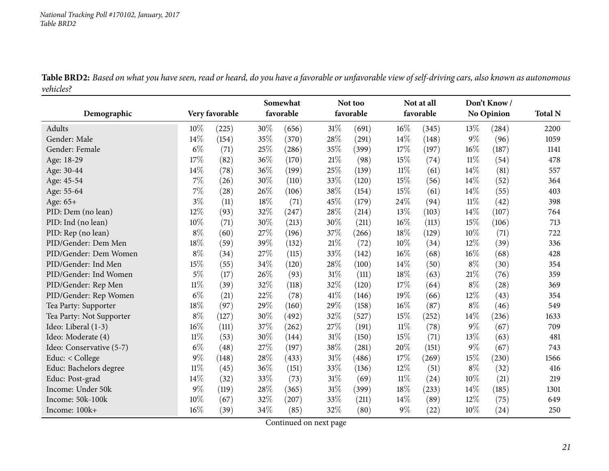Educ: Post-grad

<span id="page-20-0"></span>Income: 100k+

Income: Under 50k

Income: 50k-100k

**Demographic Very favorable SomewhatfavorableNot too favorableNot at all favorableDon't Know / No Opinion Total <sup>N</sup>**Adults**s**  $10\%$  (225)  $)$  30% (656) 31% (691) 16% (345) 13% (284) 2200 1059 Gender: Male  $14\%$   $(154)$   $35\%$   $(370)$   $28\%$   $(291)$   $14\%$   $(148)$   $9\%$   $(96)$   $1059$ 1141 Gender: Female  $6\%$   $(71)$   $25\%$   $(286)$   $35\%$   $(399)$   $17\%$   $(197)$   $16\%$   $(187)$   $1141$ Age: 18-29 17% (82)  $36\%$  (170)  $21\%$  (98)  $15\%$  (74)  $11\%$  (54)  $478$ Age: 30-44 14% (78) 36% (199) 25% (139)  $11\%$  (61)  $14\%$  (81) 557 Age: 45-54  $7\%$  (26)  $30\%$  (110)  $33\%$  (120)  $15\%$  (56)  $14\%$  (52)  $364$ 403 Age: 55-64  $7\%$  (28)  $26\%$  (106)  $38\%$  (154)  $15\%$  (61)  $14\%$  (55)  $403$ Age: 65+<br>PID: Dem (no lean)  $+$  3% (11)  $18\%$  (71)  $45\%$  (179)  $24\%$  (94)  $11\%$  (42) 398 PID: Dem (no lean) 29% (93) 32% (247) 28% (214)  $13\%$  (103)  $14\%$  (107) 764 713 PID: Ind (no lean)  $10\%$  (71)  $30\%$  (213)  $30\%$  (211)  $16\%$  (113)  $15\%$  (106) 713 PID: Rep (no lean)  $8\%$  (60)  $27\%$  (196)  $37\%$  (266)  $18\%$  (129)  $10\%$  (71) 722 PID/Gender: Dem Men $n \hspace{1.5cm} 18\% \hspace{1.5cm} (59) \hspace{1.5cm} 39\% \hspace{1.5cm} (132) \hspace{1.5cm} 21\% \hspace{1.5cm} (72) \hspace{1.5cm} 10\% \hspace{1.5cm} (34) \hspace{1.5cm} 12\% \hspace{1.5cm} (39) \hspace{1.5cm} 336$ PID/Gender: Dem Womenn  $8\%$  (34)  $27\%$  (115)  $33\%$  (142)  $16\%$  (68)  $16\%$  (68)  $428$ PID/Gender: Ind Men $\text{n}$  15% (55) 34% (120) 28% (100) 14% (50) 8% (30) 354 PID/Gender: Ind Womenn 5% (17)  $26\%$  (93)  $31\%$  (111)  $18\%$  (63)  $21\%$  (76) 359 PID/Gender: Rep Men $\text{n}$  11% (39) 32% (118) 32% (120) 17% (64) 8% (28) 369 PID/Gender: Rep Womenn 6% (21) 22% (78) 41% (146) 19% (66) 12% (43) 354 Tea Party: Supporter  $18\%$  (97)  $29\%$  (160)  $29\%$  (158)  $16\%$  (87)  $8\%$  (46) 549 1633 Tea Party: Not Supporter  $8\%$  (127)  $30\%$  (492)  $32\%$  (527)  $15\%$  (252)  $14\%$  (236) 1633<br>Ideo: Liberal (1-3)  $16\%$  (111)  $37\%$  (262)  $27\%$  (191)  $11\%$  (78)  $9\%$  (67) 709 Ideo: Liberal (1-3) 6% (111) 37% (262) 27% (191) 11% (78) 9% (67) 709 481 Ideo: Moderate (4)  $11\%$  (53)  $30\%$  (144)  $31\%$  (150)  $15\%$  (71)  $13\%$  (63) 481 Ideo: Conservative (5-7)  $6\%$   $(48)$   $27\%$   $(197)$   $38\%$   $(281)$   $20\%$   $(151)$   $9\%$   $(67)$   $743$ 

Table BRD2: Based on what you have seen, read or heard, do you have a favorable or unfavorable view of self-driving cars, also known as autonomous *vehicles?*

Continued on next page

Educ: < College  $9\%$  (148)  $28\%$  (433)  $31\%$  (486)  $17\%$  (269)  $15\%$  (230)  $1566$ 

d  $14\%$  (32)  $33\%$  (73)  $31\%$  (69)  $11\%$  (24)  $10\%$  (21) 219

<sup>9</sup>% (9) <sup>28</sup>% (365) 3% (399) 8% (233) 4% (85) 30

k  $10\%$  (67)  $32\%$  (207)  $33\%$  (211)  $14\%$  (89)  $12\%$  (75) 649

 $+$  16% (39) 34% (85) 32% (80) 9% (22) 10% (24) 250

Educ: Bachelors degree  $11\%$  (45)  $36\%$  (151)  $33\%$  (136)  $12\%$  (51)  $8\%$  (32)<br>Educ: Post-grad  $14\%$  (32)  $33\%$  (73)  $31\%$  (69)  $11\%$  (24)  $10\%$  (21)

416

219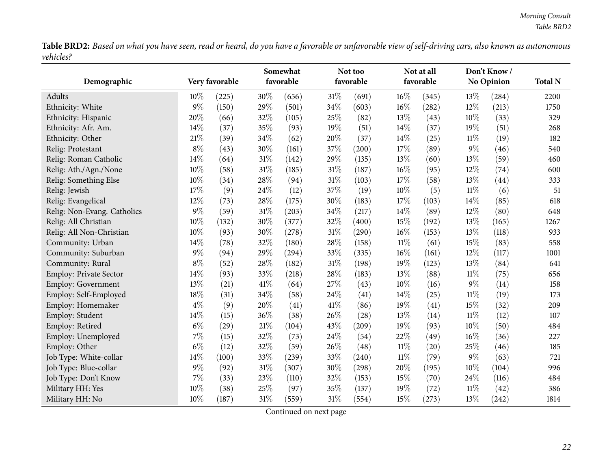Table BRD2: Based on what you have seen, read or heard, do you have a favorable or unfavorable view of self-driving cars, also known as autonomous *vehicles?* $\overline{\phantom{0}}$ 

|                             |       |                |        | Somewhat  |        | Not too   |        | Not at all |        | Don't Know /      |                |
|-----------------------------|-------|----------------|--------|-----------|--------|-----------|--------|------------|--------|-------------------|----------------|
| Demographic                 |       | Very favorable |        | favorable |        | favorable |        | favorable  |        | <b>No Opinion</b> | <b>Total N</b> |
| Adults                      | 10%   | (225)          | 30%    | (656)     | $31\%$ | (691)     | $16\%$ | (345)      | 13%    | (284)             | 2200           |
| Ethnicity: White            | 9%    | (150)          | 29%    | (501)     | 34%    | (603)     | 16%    | (282)      | 12%    | (213)             | 1750           |
| Ethnicity: Hispanic         | 20%   | (66)           | 32%    | (105)     | 25%    | (82)      | 13%    | (43)       | 10%    | (33)              | 329            |
| Ethnicity: Afr. Am.         | 14%   | (37)           | 35%    | (93)      | 19%    | (51)      | 14%    | (37)       | 19%    | (51)              | 268            |
| Ethnicity: Other            | 21%   | (39)           | 34%    | (62)      | 20%    | (37)      | 14%    | (25)       | $11\%$ | (19)              | 182            |
| Relig: Protestant           | $8\%$ | (43)           | 30%    | (161)     | 37%    | (200)     | 17%    | (89)       | 9%     | (46)              | 540            |
| Relig: Roman Catholic       | 14%   | (64)           | 31%    | (142)     | 29%    | (135)     | 13%    | (60)       | 13%    | (59)              | 460            |
| Relig: Ath./Agn./None       | 10%   | (58)           | 31%    | (185)     | $31\%$ | (187)     | $16\%$ | (95)       | 12%    | (74)              | 600            |
| Relig: Something Else       | 10%   | (34)           | 28%    | (94)      | 31%    | (103)     | 17%    | (58)       | 13%    | (44)              | 333            |
| Relig: Jewish               | 17%   | (9)            | 24%    | (12)      | 37%    | (19)      | 10%    | (5)        | $11\%$ | (6)               | 51             |
| Relig: Evangelical          | 12%   | (73)           | 28%    | (175)     | 30%    | (183)     | 17%    | (103)      | 14%    | (85)              | 618            |
| Relig: Non-Evang. Catholics | $9\%$ | (59)           | 31%    | (203)     | 34%    | (217)     | 14%    | (89)       | 12%    | (80)              | 648            |
| Relig: All Christian        | 10%   | (132)          | 30%    | (377)     | 32%    | (400)     | 15%    | (192)      | 13%    | (165)             | 1267           |
| Relig: All Non-Christian    | 10%   | (93)           | 30%    | (278)     | $31\%$ | (290)     | $16\%$ | (153)      | 13%    | (118)             | 933            |
| Community: Urban            | 14%   | (78)           | 32%    | (180)     | 28%    | (158)     | $11\%$ | (61)       | 15%    | (83)              | 558            |
| Community: Suburban         | $9\%$ | (94)           | 29%    | (294)     | 33%    | (335)     | $16\%$ | (161)      | 12%    | (117)             | 1001           |
| Community: Rural            | $8\%$ | (52)           | 28%    | (182)     | $31\%$ | (198)     | 19%    | (123)      | 13%    | (84)              | 641            |
| Employ: Private Sector      | 14%   | (93)           | 33%    | (218)     | 28%    | (183)     | 13%    | (88)       | $11\%$ | (75)              | 656            |
| Employ: Government          | 13%   | (21)           | 41%    | (64)      | 27%    | (43)      | 10%    | (16)       | $9\%$  | (14)              | 158            |
| Employ: Self-Employed       | 18%   | (31)           | 34%    | (58)      | 24\%   | (41)      | 14\%   | (25)       | $11\%$ | (19)              | 173            |
| Employ: Homemaker           | $4\%$ | (9)            | 20%    | (41)      | 41\%   | (86)      | 19%    | (41)       | 15%    | (32)              | 209            |
| Employ: Student             | 14%   | (15)           | 36%    | (38)      | 26%    | (28)      | 13%    | (14)       | $11\%$ | (12)              | 107            |
| Employ: Retired             | $6\%$ | (29)           | 21%    | (104)     | 43%    | (209)     | 19%    | (93)       | 10%    | (50)              | 484            |
| Employ: Unemployed          | 7%    | (15)           | 32%    | (73)      | 24%    | (54)      | 22%    | (49)       | 16%    | (36)              | 227            |
| Employ: Other               | $6\%$ | (12)           | 32%    | (59)      | 26%    | (48)      | $11\%$ | (20)       | 25%    | (46)              | 185            |
| Job Type: White-collar      | 14%   | (100)          | 33%    | (239)     | 33%    | (240)     | $11\%$ | (79)       | $9\%$  | (63)              | 721            |
| Job Type: Blue-collar       | $9\%$ | (92)           | 31%    | (307)     | 30%    | (298)     | 20%    | (195)      | 10%    | (104)             | 996            |
| Job Type: Don't Know        | 7%    | (33)           | 23%    | (110)     | 32%    | (153)     | 15%    | (70)       | 24%    | (116)             | 484            |
| Military HH: Yes            | 10%   | (38)           | 25%    | (97)      | 35%    | (137)     | 19%    | (72)       | 11%    | (42)              | 386            |
| Military HH: No             | 10%   | (187)          | $31\%$ | (559)     | $31\%$ | (554)     | 15%    | (273)      | 13%    | (242)             | 1814           |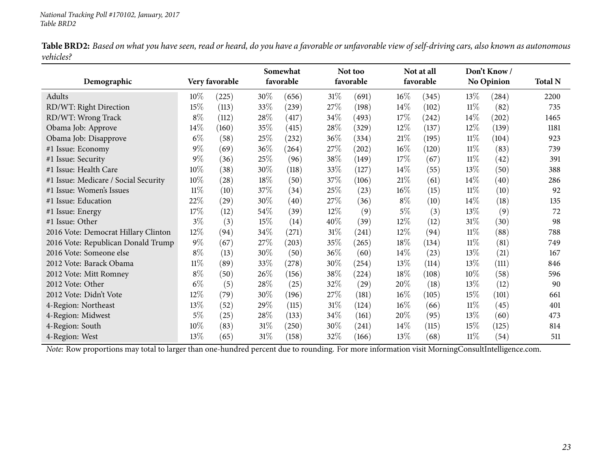Table BRD2: Based on what you have seen, read or heard, do you have a favorable or unfavorable view of self-driving cars, also known as autonomous *vehicles?*

|                                      |        |                |        | Somewhat  |        | Not too            |        | Not at all |        | Don't Know/         |                |
|--------------------------------------|--------|----------------|--------|-----------|--------|--------------------|--------|------------|--------|---------------------|----------------|
| Demographic                          |        | Very favorable |        | favorable |        | favorable          |        | favorable  |        | <b>No Opinion</b>   | <b>Total N</b> |
| Adults                               | $10\%$ | (225)          | 30%    | (656)     | $31\%$ | (691)              | $16\%$ | (345)      | 13\%   | (284)               | 2200           |
| RD/WT: Right Direction               | 15%    | (113)          | 33%    | (239)     | 27%    | (198)              | 14\%   | (102)      | $11\%$ | (82)                | 735            |
| RD/WT: Wrong Track                   | $8\%$  | (112)          | 28%    | (417)     | 34\%   | (493)              | 17\%   | (242)      | $14\%$ | $\left( 202\right)$ | 1465           |
| Obama Job: Approve                   | 14%    | (160)          | 35%    | (415)     | 28\%   | (329)              | 12\%   | (137)      | $12\%$ | (139)               | 1181           |
| Obama Job: Disapprove                | $6\%$  | (58)           | 25%    | (232)     | 36\%   | (334)              | 21%    | (195)      | $11\%$ | (104)               | 923            |
| #1 Issue: Economy                    | $9\%$  | (69)           | 36%    | (264)     | 27\%   | (202)              | $16\%$ | (120)      | $11\%$ | (83)                | 739            |
| #1 Issue: Security                   | $9\%$  | (36)           | 25\%   | (96)      | 38\%   | (149)              | 17\%   | (67)       | $11\%$ | (42)                | 391            |
| #1 Issue: Health Care                | 10%    | (38)           | 30%    | (118)     | 33\%   | (127)              | 14\%   | (55)       | 13\%   | (50)                | 388            |
| #1 Issue: Medicare / Social Security | 10%    | (28)           | 18%    | (50)      | 37\%   | (106)              | 21%    | (61)       | $14\%$ | (40)                | 286            |
| #1 Issue: Women's Issues             | $11\%$ | (10)           | 37%    | (34)      | 25\%   | (23)               | $16\%$ | (15)       | $11\%$ | (10)                | 92             |
| #1 Issue: Education                  | 22%    | (29)           | 30%    | (40)      | 27\%   | (36)               | $8\%$  | (10)       | $14\%$ | (18)                | 135            |
| #1 Issue: Energy                     | 17%    | (12)           | 54%    | (39)      | $12\%$ | (9)                | $5\%$  | (3)        | 13\%   | (9)                 | 72             |
| #1 Issue: Other                      | $3\%$  | (3)            | 15\%   | (14)      | 40\%   | (39)               | 12\%   | (12)       | $31\%$ | (30)                | 98             |
| 2016 Vote: Democrat Hillary Clinton  | 12%    | (94)           | 34\%   | (271)     | 31%    | (241)              | 12\%   | (94)       | $11\%$ | (88)                | 788            |
| 2016 Vote: Republican Donald Trump   | $9\%$  | (67)           | 27\%   | (203)     | 35\%   | (265)              | 18\%   | (134)      | $11\%$ | (81)                | 749            |
| 2016 Vote: Someone else              | $8\%$  | (13)           | 30%    | (50)      | 36\%   | (60)               | 14\%   | (23)       | 13\%   | (21)                | 167            |
| 2012 Vote: Barack Obama              | $11\%$ | (89)           | 33%    | (278)     | 30%    | (254)              | 13\%   | (114)      | 13\%   | (111)               | 846            |
| 2012 Vote: Mitt Romney               | $8\%$  | (50)           | 26\%   | (156)     | 38\%   | (224)              | 18\%   | (108)      | $10\%$ | (58)                | 596            |
| 2012 Vote: Other                     | $6\%$  | (5)            | 28%    | (25)      | 32%    | $\left( 29\right)$ | 20%    | (18)       | 13\%   | (12)                | 90             |
| 2012 Vote: Didn't Vote               | 12%    | (79)           | 30%    | (196)     | 27\%   | (181)              | $16\%$ | (105)      | 15%    | (101)               | 661            |
| 4-Region: Northeast                  | 13%    | (52)           | 29%    | (115)     | $31\%$ | (124)              | $16\%$ | (66)       | $11\%$ | (45)                | 401            |
| 4-Region: Midwest                    | $5\%$  | (25)           | 28\%   | (133)     | 34\%   | (161)              | 20%    | (95)       | 13%    | (60)                | 473            |
| 4-Region: South                      | 10%    | (83)           | $31\%$ | (250)     | 30%    | (241)              | $14\%$ | (115)      | 15\%   | (125)               | 814            |
| 4-Region: West                       | 13%    | (65)           | 31\%   | (158)     | 32%    | (166)              | 13%    | (68)       | $11\%$ | (54)                | 511            |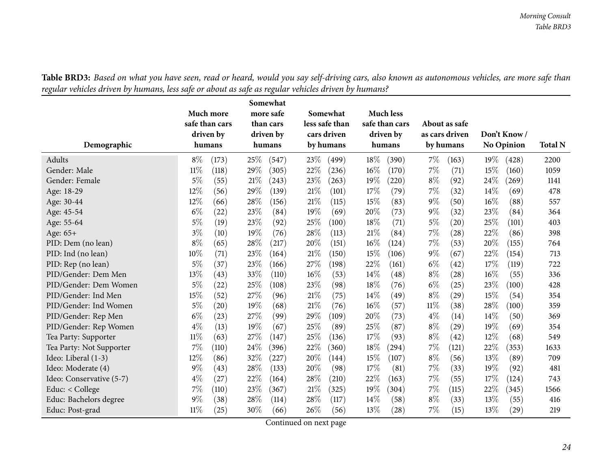<span id="page-23-0"></span>

| Demographic              | Much more<br>safe than cars<br>driven by<br>humans | Somewhat<br>more safe<br>than cars<br>driven by<br>humans | Somewhat<br>less safe than<br>cars driven<br>by humans | <b>Much less</b><br>safe than cars<br>driven by<br>humans | About as safe<br>as cars driven<br>by humans | Don't Know /<br>No Opinion | <b>Total N</b> |
|--------------------------|----------------------------------------------------|-----------------------------------------------------------|--------------------------------------------------------|-----------------------------------------------------------|----------------------------------------------|----------------------------|----------------|
| Adults                   | $8\%$<br>(173)                                     | 25%<br>(547)                                              | 23\%<br>(499)                                          | 18%<br>(390)                                              | $7\%$<br>(163)                               | 19%<br>(428)               | 2200           |
| Gender: Male             | $11\%$<br>(118)                                    | 29%<br>(305)                                              | 22\%<br>(236)                                          | $16\%$<br>(170)                                           | $7\%$<br>(71)                                | 15%<br>(160)               | 1059           |
| Gender: Female           | $5\%$<br>(55)                                      | 21%<br>(243)                                              | 23%<br>(263)                                           | 19%<br>(220)                                              | $8\%$<br>(92)                                | 24%<br>(269)               | 1141           |
| Age: 18-29               | 12%<br>(56)                                        | 29%<br>(139)                                              | 21%<br>(101)                                           | 17%<br>(79)                                               | $7\%$<br>(32)                                | 14\%<br>(69)               | 478            |
| Age: 30-44               | 12%<br>(66)                                        | 28%<br>(156)                                              | $21\%$<br>(115)                                        | 15%<br>(83)                                               | $9\%$<br>(50)                                | 16%<br>(88)                | 557            |
| Age: 45-54               | $6\%$<br>(22)                                      | 23%<br>(84)                                               | 19%<br>(69)                                            | 20%<br>(73)                                               | $9\%$<br>(32)                                | 23%<br>(84)                | 364            |
| Age: 55-64               | $5\%$<br>(19)                                      | 23%<br>(92)                                               | 25%<br>(100)                                           | 18%<br>(71)                                               | $5\%$<br>(20)                                | 25%<br>(101)               | 403            |
| Age: 65+                 | $3\%$<br>(10)                                      | 19%<br>(76)                                               | 28%<br>(113)                                           | 21%<br>(84)                                               | $7\%$<br>(28)                                | 22%<br>(86)                | 398            |
| PID: Dem (no lean)       | $8\%$<br>(65)                                      | 28%<br>(217)                                              | 20%<br>(151)                                           | 16%<br>(124)                                              | $7\%$<br>(53)                                | 20%<br>(155)               | 764            |
| PID: Ind (no lean)       | 10%<br>(71)                                        | 23%<br>(164)                                              | 21%<br>(150)                                           | 15%<br>(106)                                              | $9\%$<br>(67)                                | 22%<br>(154)               | 713            |
| PID: Rep (no lean)       | $5\%$<br>(37)                                      | 23%<br>(166)                                              | 27%<br>(198)                                           | 22%<br>(161)                                              | $6\%$<br>(42)                                | 17%<br>(119)               | 722            |
| PID/Gender: Dem Men      | 13%<br>(43)                                        | 33%<br>(110)                                              | 16%<br>(53)                                            | 14%<br>(48)                                               | $8\%$<br>(28)                                | 16%<br>(55)                | 336            |
| PID/Gender: Dem Women    | $5\%$<br>(22)                                      | 25%<br>(108)                                              | 23%<br>(98)                                            | 18%<br>(76)                                               | $6\%$<br>(25)                                | 23%<br>(100)               | 428            |
| PID/Gender: Ind Men      | 15%<br>(52)                                        | 27%<br>(96)                                               | 21%<br>(75)                                            | 14\%<br>(49)                                              | $8\%$<br>(29)                                | 15%<br>(54)                | 354            |
| PID/Gender: Ind Women    | $5\%$<br>$\left( 20\right)$                        | 19%<br>(68)                                               | $21\%$<br>(76)                                         | 16%<br>(57)                                               | $11\%$<br>(38)                               | 28%<br>(100)               | 359            |
| PID/Gender: Rep Men      | $6\%$<br>(23)                                      | 27\%<br>(99)                                              | 29%<br>(109)                                           | 20%<br>(73)                                               | $4\%$<br>(14)                                | 14\%<br>(50)               | 369            |
| PID/Gender: Rep Women    | $4\%$<br>(13)                                      | 19%<br>(67)                                               | 25%<br>(89)                                            | 25%<br>(87)                                               | $8\%$<br>(29)                                | 19%<br>(69)                | 354            |
| Tea Party: Supporter     | $11\%$<br>(63)                                     | 27%<br>(147)                                              | 25%<br>(136)                                           | 17\%<br>(93)                                              | $8\%$<br>(42)                                | 12%<br>(68)                | 549            |
| Tea Party: Not Supporter | 7%<br>(110)                                        | 24%<br>(396)                                              | 22%<br>(360)                                           | 18%<br>(294)                                              | $7\%$<br>(121)                               | 22%<br>(353)               | 1633           |
| Ideo: Liberal (1-3)      | 12%<br>(86)                                        | 32%<br>(227)                                              | 20%<br>(144)                                           | 15%<br>(107)                                              | $8\%$<br>(56)                                | 13%<br>(89)                | 709            |
| Ideo: Moderate (4)       | 9%<br>(43)                                         | 28%<br>(133)                                              | 20%<br>(98)                                            | 17\%<br>(81)                                              | $7\%$<br>(33)                                | 19%<br>(92)                | 481            |
| Ideo: Conservative (5-7) | $4\%$<br>(27)                                      | 22%<br>(164)                                              | 28%<br>(210)                                           | 22%<br>(163)                                              | 7%<br>(55)                                   | 17%<br>(124)               | 743            |
| Educ: $<$ College        | 7%<br>(110)                                        | 23%<br>(367)                                              | 21%<br>(325)                                           | 19%<br>(304)                                              | $7\%$<br>(115)                               | 22%<br>(345)               | 1566           |
| Educ: Bachelors degree   | 9%<br>(38)                                         | 28%<br>(114)                                              | 28%<br>(117)                                           | 14%<br>(58)                                               | $8\%$<br>(33)                                | 13%<br>(55)                | 416            |
| Educ: Post-grad          | $11\%$<br>(25)                                     | 30%<br>(66)                                               | 26%<br>(56)                                            | 13%<br>(28)                                               | 7%<br>(15)                                   | 13%<br>(29)                | 219            |

Table BRD3: Based on what you have seen, read or heard, would you say self-driving cars, also known as autonomous vehicles, are more safe than regular vehicles driven by humans, less safe or about as safe as regular vehicles driven by humans?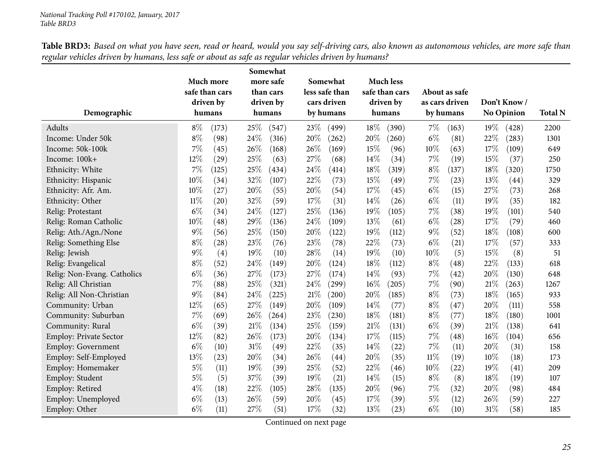| Demographic                   | Much more<br>safe than cars<br>driven by<br>humans |       | Somewhat<br>more safe<br>than cars<br>driven by<br>humans |       |      | Somewhat<br>less safe than<br>cars driven<br>by humans |     | <b>Much less</b><br>safe than cars<br>driven by<br>humans |        | About as safe<br>as cars driven<br>by humans |      | Don't Know/<br>No Opinion |      |
|-------------------------------|----------------------------------------------------|-------|-----------------------------------------------------------|-------|------|--------------------------------------------------------|-----|-----------------------------------------------------------|--------|----------------------------------------------|------|---------------------------|------|
| Adults                        | $8\%$                                              | (173) | 25\%                                                      | (547) | 23%  | (499)                                                  | 18% | (390)                                                     | $7\%$  | (163)                                        | 19%  | (428)                     | 2200 |
| Income: Under 50k             | $8\%$                                              | (98)  | 24%                                                       | (316) | 20%  | (262)                                                  | 20% | (260)                                                     | $6\%$  | (81)                                         | 22%  | (283)                     | 1301 |
| Income: 50k-100k              | 7%                                                 | (45)  | 26%                                                       | (168) | 26%  | (169)                                                  | 15% | (96)                                                      | 10%    | (63)                                         | 17%  | (109)                     | 649  |
| Income: 100k+                 | 12%                                                | (29)  | 25%                                                       | (63)  | 27%  | (68)                                                   | 14% | (34)                                                      | $7\%$  | (19)                                         | 15%  | (37)                      | 250  |
| Ethnicity: White              | 7%                                                 | (125) | 25%                                                       | (434) | 24%  | (414)                                                  | 18% | (319)                                                     | $8\%$  | (137)                                        | 18%  | (320)                     | 1750 |
| Ethnicity: Hispanic           | 10%                                                | (34)  | 32%                                                       | (107) | 22%  | (73)                                                   | 15% | (49)                                                      | 7%     | (23)                                         | 13%  | (44)                      | 329  |
| Ethnicity: Afr. Am.           | 10%                                                | (27)  | 20%                                                       | (55)  | 20%  | (54)                                                   | 17% | (45)                                                      | $6\%$  | (15)                                         | 27%  | (73)                      | 268  |
| Ethnicity: Other              | $11\%$                                             | (20)  | 32%                                                       | (59)  | 17%  | (31)                                                   | 14% | (26)                                                      | $6\%$  | (11)                                         | 19%  | (35)                      | 182  |
| Relig: Protestant             | $6\%$                                              | (34)  | 24%                                                       | (127) | 25%  | (136)                                                  | 19% | (105)                                                     | $7\%$  | (38)                                         | 19%  | (101)                     | 540  |
| Relig: Roman Catholic         | 10%                                                | (48)  | 29%                                                       | (136) | 24\% | (109)                                                  | 13% | (61)                                                      | $6\%$  | (28)                                         | 17%  | (79)                      | 460  |
| Relig: Ath./Agn./None         | 9%                                                 | (56)  | 25%                                                       | (150) | 20%  | (122)                                                  | 19% | (112)                                                     | $9\%$  | (52)                                         | 18%  | (108)                     | 600  |
| Relig: Something Else         | $8\%$                                              | (28)  | 23%                                                       | (76)  | 23%  | (78)                                                   | 22% | (73)                                                      | $6\%$  | (21)                                         | 17%  | (57)                      | 333  |
| Relig: Jewish                 | $9\%$                                              | (4)   | 19%                                                       | (10)  | 28%  | (14)                                                   | 19% | (10)                                                      | 10%    | (5)                                          | 15%  | (8)                       | 51   |
| Relig: Evangelical            | $8\%$                                              | (52)  | 24%                                                       | (149) | 20%  | (124)                                                  | 18% | (112)                                                     | $8\%$  | (48)                                         | 22%  | (133)                     | 618  |
| Relig: Non-Evang. Catholics   | $6\%$                                              | (36)  | 27%                                                       | (173) | 27%  | (174)                                                  | 14% | (93)                                                      | 7%     | (42)                                         | 20%  | (130)                     | 648  |
| Relig: All Christian          | 7%                                                 | (88)  | 25%                                                       | (321) | 24%  | (299)                                                  | 16% | (205)                                                     | $7\%$  | (90)                                         | 21\% | (263)                     | 1267 |
| Relig: All Non-Christian      | 9%                                                 | (84)  | 24%                                                       | (225) | 21%  | (200)                                                  | 20% | (185)                                                     | $8\%$  | (73)                                         | 18%  | (165)                     | 933  |
| Community: Urban              | 12%                                                | (65)  | 27%                                                       | (149) | 20%  | (109)                                                  | 14% | (77)                                                      | $8\%$  | (47)                                         | 20%  | (111)                     | 558  |
| Community: Suburban           | 7%                                                 | (69)  | 26%                                                       | (264) | 23%  | (230)                                                  | 18% | (181)                                                     | $8\%$  | (77)                                         | 18%  | (180)                     | 1001 |
| Community: Rural              | $6\%$                                              | (39)  | 21%                                                       | (134) | 25%  | (159)                                                  | 21% | (131)                                                     | $6\%$  | (39)                                         | 21%  | (138)                     | 641  |
| <b>Employ: Private Sector</b> | 12%                                                | (82)  | 26%                                                       | (173) | 20%  | (134)                                                  | 17% | (115)                                                     | $7\%$  | $\left( 48\right)$                           | 16%  | (104)                     | 656  |
| <b>Employ: Government</b>     | $6\%$                                              | (10)  | 31%                                                       | (49)  | 22%  | (35)                                                   | 14% | (22)                                                      | 7%     | (11)                                         | 20%  | (31)                      | 158  |
| Employ: Self-Employed         | 13%                                                | (23)  | 20%                                                       | (34)  | 26%  | (44)                                                   | 20% | (35)                                                      | $11\%$ | (19)                                         | 10%  | (18)                      | 173  |
| Employ: Homemaker             | $5\%$                                              | (11)  | 19%                                                       | (39)  | 25%  | (52)                                                   | 22% | (46)                                                      | 10%    | $^{(22)}$                                    | 19%  | (41)                      | 209  |
| Employ: Student               | 5%                                                 | (5)   | 37%                                                       | (39)  | 19%  | (21)                                                   | 14% | (15)                                                      | $8\%$  | (8)                                          | 18%  | (19)                      | 107  |
| Employ: Retired               | $4\%$                                              | (18)  | 22%                                                       | (105) | 28%  | (135)                                                  | 20% | (96)                                                      | $7\%$  | (32)                                         | 20%  | (98)                      | 484  |
| Employ: Unemployed            | $6\%$                                              | (13)  | 26%                                                       | (59)  | 20%  | (45)                                                   | 17% | (39)                                                      | $5\%$  | (12)                                         | 26%  | (59)                      | 227  |
| Employ: Other                 | $6\%$                                              | (11)  | 27%                                                       | (51)  | 17%  | (32)                                                   | 13% | (23)                                                      | $6\%$  | (10)                                         | 31%  | (58)                      | 185  |

Table BRD3: Based on what you have seen, read or heard, would you say self-driving cars, also known as autonomous vehicles, are more safe than regular vehicles driven by humans, less safe or about as safe as regular vehicles driven by humans?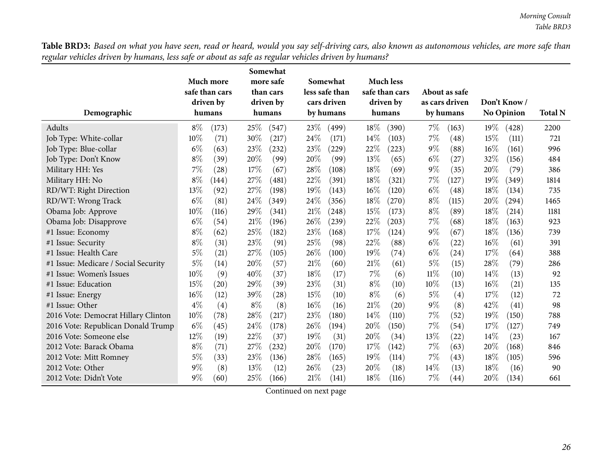Table BRD3: Based on what you have seen, read or heard, would you say self-driving cars, also known as autonomous vehicles, are more safe than regular vehicles driven by humans, less safe or about as safe as regular vehicles driven by humans?

| Demographic                          |        | Much more<br>safe than cars<br>driven by<br>humans |       | Somewhat<br>more safe<br>than cars<br>driven by<br>humans |        | Somewhat<br>less safe than<br>cars driven<br>by humans |       | <b>Much less</b><br>safe than cars<br>driven by<br>humans |        | About as safe<br>as cars driven<br>by humans |      | Don't Know/<br><b>No Opinion</b> | <b>Total N</b> |
|--------------------------------------|--------|----------------------------------------------------|-------|-----------------------------------------------------------|--------|--------------------------------------------------------|-------|-----------------------------------------------------------|--------|----------------------------------------------|------|----------------------------------|----------------|
| Adults                               | $8\%$  | (173)                                              | 25\%  | (547)                                                     | 23\%   | (499)                                                  | 18%   | (390)                                                     | $7\%$  | (163)                                        | 19%  | (428)                            | 2200           |
| Job Type: White-collar               | $10\%$ | (71)                                               | 30%   | (217)                                                     | 24\%   | (171)                                                  | 14%   | (103)                                                     | $7\%$  | (48)                                         | 15%  | (111)                            | 721            |
| Job Type: Blue-collar                | $6\%$  | (63)                                               | 23%   | (232)                                                     | 23%    | (229)                                                  | 22%   | (223)                                                     | $9\%$  | (88)                                         | 16%  | (161)                            | 996            |
| Job Type: Don't Know                 | $8\%$  | (39)                                               | 20%   | (99)                                                      | 20%    | (99)                                                   | 13%   | (65)                                                      | $6\%$  | (27)                                         | 32%  | (156)                            | 484            |
| Military HH: Yes                     | 7%     | (28)                                               | 17\%  | (67)                                                      | 28%    | (108)                                                  | 18%   | (69)                                                      | $9\%$  | (35)                                         | 20%  | (79)                             | 386            |
| Military HH: No                      | $8\%$  | (144)                                              | 27%   | (481)                                                     | 22%    | (391)                                                  | 18%   | (321)                                                     | 7%     | (127)                                        | 19%  | (349)                            | 1814           |
| RD/WT: Right Direction               | 13%    | (92)                                               | 27%   | (198)                                                     | 19%    | (143)                                                  | 16%   | (120)                                                     | $6\%$  | (48)                                         | 18%  | (134)                            | 735            |
| RD/WT: Wrong Track                   | $6\%$  | (81)                                               | 24\%  | (349)                                                     | 24\%   | (356)                                                  | 18%   | (270)                                                     | $8\%$  | (115)                                        | 20%  | $\left( 294\right)$              | 1465           |
| Obama Job: Approve                   | $10\%$ | (116)                                              | 29%   | (341)                                                     | $21\%$ | (248)                                                  | 15%   | (173)                                                     | $8\%$  | (89)                                         | 18%  | (214)                            | 1181           |
| Obama Job: Disapprove                | $6\%$  | (54)                                               | 21%   | (196)                                                     | 26%    | (239)                                                  | 22%   | (203)                                                     | 7%     | (68)                                         | 18%  | (163)                            | 923            |
| #1 Issue: Economy                    | $8\%$  | (62)                                               | 25%   | (182)                                                     | 23%    | (168)                                                  | 17%   | (124)                                                     | $9\%$  | (67)                                         | 18%  | (136)                            | 739            |
| #1 Issue: Security                   | $8\%$  | (31)                                               | 23%   | (91)                                                      | 25%    | (98)                                                   | 22%   | (88)                                                      | $6\%$  | (22)                                         | 16%  | (61)                             | 391            |
| #1 Issue: Health Care                | $5\%$  | (21)                                               | 27%   | (105)                                                     | 26%    | (100)                                                  | 19%   | (74)                                                      | $6\%$  | (24)                                         | 17%  | (64)                             | 388            |
| #1 Issue: Medicare / Social Security | $5\%$  | (14)                                               | 20%   | (57)                                                      | $21\%$ | (60)                                                   | 21%   | (61)                                                      | $5\%$  | (15)                                         | 28%  | (79)                             | 286            |
| #1 Issue: Women's Issues             | $10\%$ | (9)                                                | 40%   | (37)                                                      | 18%    | (17)                                                   | 7%    | (6)                                                       | $11\%$ | (10)                                         | 14\% | (13)                             | 92             |
| #1 Issue: Education                  | 15%    | (20)                                               | 29%   | (39)                                                      | 23%    | (31)                                                   | $8\%$ | (10)                                                      | $10\%$ | (13)                                         | 16%  | (21)                             | 135            |
| #1 Issue: Energy                     | 16%    | (12)                                               | 39%   | (28)                                                      | 15%    | (10)                                                   | $8\%$ | (6)                                                       | $5\%$  | (4)                                          | 17%  | (12)                             | 72             |
| #1 Issue: Other                      | $4\%$  | (4)                                                | $8\%$ | (8)                                                       | 16%    | (16)                                                   | 21\%  | (20)                                                      | $9\%$  | (8)                                          | 42%  | (41)                             | 98             |
| 2016 Vote: Democrat Hillary Clinton  | $10\%$ | (78)                                               | 28%   | (217)                                                     | 23%    | (180)                                                  | 14%   | (110)                                                     | $7\%$  | (52)                                         | 19%  | (150)                            | 788            |
| 2016 Vote: Republican Donald Trump   | $6\%$  | (45)                                               | 24%   | (178)                                                     | 26%    | (194)                                                  | 20%   | (150)                                                     | 7%     | (54)                                         | 17%  | (127)                            | 749            |
| 2016 Vote: Someone else              | 12%    | (19)                                               | 22%   | (37)                                                      | 19%    | (31)                                                   | 20%   | (34)                                                      | 13\%   | (22)                                         | 14%  | (23)                             | 167            |
| 2012 Vote: Barack Obama              | $8\%$  | (71)                                               | 27%   | (232)                                                     | 20%    | (170)                                                  | 17%   | (142)                                                     | $7\%$  | (63)                                         | 20%  | (168)                            | 846            |
| 2012 Vote: Mitt Romney               | $5\%$  | (33)                                               | 23%   | (136)                                                     | 28\%   | (165)                                                  | 19%   | (114)                                                     | $7\%$  | (43)                                         | 18%  | (105)                            | 596            |
| 2012 Vote: Other                     | $9\%$  | (8)                                                | 13%   | (12)                                                      | 26\%   | (23)                                                   | 20%   | (18)                                                      | $14\%$ | (13)                                         | 18%  | (16)                             | 90             |
| 2012 Vote: Didn't Vote               | $9\%$  | (60)                                               | 25%   | (166)                                                     | $21\%$ | (141)                                                  | 18%   | (116)                                                     | $7\%$  | (44)                                         | 20%  | (134)                            | 661            |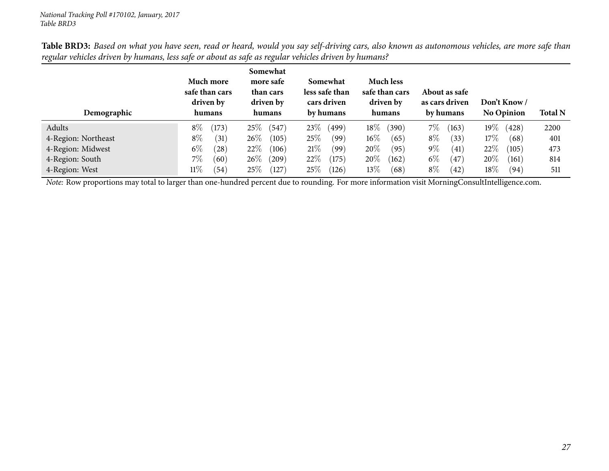| refund vendels arrived by namans, less safe or about as safe as refundr vendels arrived by namans.<br>Demographic | Much more<br>safe than cars<br>driven by<br>humans | Somewhat<br>more safe<br>than cars<br>driven by<br>humans | Somewhat<br>less safe than<br>cars driven<br>by humans | <b>Much less</b><br>safe than cars<br>driven by<br>humans | About as safe<br>as cars driven<br>by humans | Don't Know /<br><b>No Opinion</b> | <b>Total N</b> |
|-------------------------------------------------------------------------------------------------------------------|----------------------------------------------------|-----------------------------------------------------------|--------------------------------------------------------|-----------------------------------------------------------|----------------------------------------------|-----------------------------------|----------------|
| Adults                                                                                                            | $8\%$<br>(173)                                     | 25%<br>(547)                                              | 23\%<br>(499)                                          | $18\%$<br>(390)                                           | $7\%$<br>(163)                               | $19\%$<br>(428)                   | 2200           |
| 4-Region: Northeast                                                                                               | $8\%$<br>(31)                                      | $26\%$<br>(105)                                           | 25%<br>(99)                                            | $16\%$<br>(65)                                            | $8\%$<br>(33)                                | 17%<br>(68)                       | 401            |
| 4-Region: Midwest                                                                                                 | $6\%$<br>(28)                                      | $22\%$<br>(106)                                           | 21%<br>(99)                                            | $20\%$<br>(95)                                            | $9\%$<br>(41)                                | $22\%$<br>(105)                   | 473            |
| 4-Region: South                                                                                                   | 7%<br>(60)                                         | $26\%$<br>$^{(209)}$                                      | 22%<br>(175)                                           | $20\%$<br>(162)                                           | $6\%$<br>(47)                                | $20\%$<br>(161)                   | 814            |
| 4-Region: West                                                                                                    | 11%<br>(54)                                        | $25\%$<br>(127)                                           | 25%<br>(126)                                           | 13%<br>(68)                                               | $8\%$<br>(42)                                | $18\%$<br>(94)                    | 511            |

Table BRD3: Based on what you have seen, read or heard, would you say self-driving cars, also known as autonomous vehicles, are more safe than regular vehicles driven by humans, less safe or about as safe as regular vehicles driven by humans?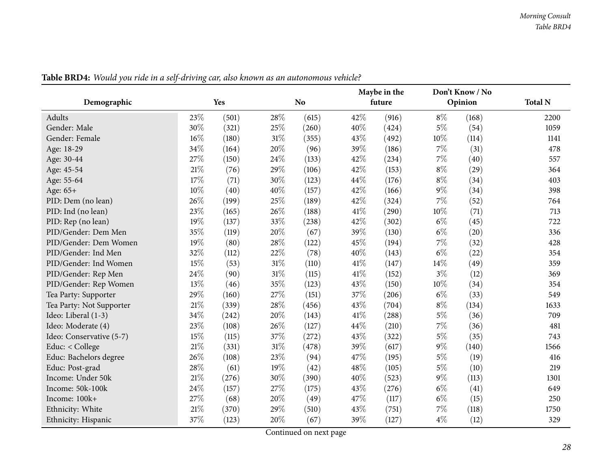<span id="page-27-0"></span>

|                          |        |       |        |                | Maybe in the |        | Don't Know / No |         |                |
|--------------------------|--------|-------|--------|----------------|--------------|--------|-----------------|---------|----------------|
| Demographic              |        | Yes   |        | N <sub>o</sub> |              | future |                 | Opinion | <b>Total N</b> |
| Adults                   | 23%    | (501) | 28%    | (615)          | 42%          | (916)  | $8\%$           | (168)   | 2200           |
| Gender: Male             | 30%    | (321) | 25%    | (260)          | 40%          | (424)  | $5\%$           | (54)    | 1059           |
| Gender: Female           | 16%    | (180) | 31%    | (355)          | 43%          | (492)  | 10%             | (114)   | 1141           |
| Age: 18-29               | 34%    | (164) | 20%    | (96)           | 39%          | (186)  | $7\%$           | (31)    | 478            |
| Age: 30-44               | 27%    | (150) | 24%    | (133)          | 42%          | (234)  | $7\%$           | (40)    | 557            |
| Age: 45-54               | $21\%$ | (76)  | 29%    | (106)          | 42%          | (153)  | $8\%$           | (29)    | 364            |
| Age: 55-64               | 17%    | (71)  | 30%    | (123)          | 44%          | (176)  | $8\%$           | (34)    | 403            |
| Age: 65+                 | 10%    | (40)  | 40%    | (157)          | 42%          | (166)  | $9\%$           | (34)    | 398            |
| PID: Dem (no lean)       | 26%    | (199) | 25%    | (189)          | 42%          | (324)  | 7%              | (52)    | 764            |
| PID: Ind (no lean)       | 23%    | (165) | 26%    | (188)          | 41\%         | (290)  | 10%             | (71)    | 713            |
| PID: Rep (no lean)       | 19%    | (137) | 33%    | (238)          | 42%          | (302)  | $6\%$           | (45)    | 722            |
| PID/Gender: Dem Men      | 35%    | (119) | 20%    | (67)           | 39%          | (130)  | $6\%$           | (20)    | 336            |
| PID/Gender: Dem Women    | 19%    | (80)  | 28%    | (122)          | 45%          | (194)  | $7\%$           | (32)    | 428            |
| PID/Gender: Ind Men      | 32%    | (112) | 22%    | (78)           | 40%          | (143)  | $6\%$           | (22)    | 354            |
| PID/Gender: Ind Women    | 15%    | (53)  | $31\%$ | (110)          | 41\%         | (147)  | 14%             | (49)    | 359            |
| PID/Gender: Rep Men      | 24%    | (90)  | 31%    | (115)          | 41\%         | (152)  | $3\%$           | (12)    | 369            |
| PID/Gender: Rep Women    | 13%    | (46)  | 35%    | (123)          | 43%          | (150)  | 10%             | (34)    | 354            |
| Tea Party: Supporter     | 29%    | (160) | 27%    | (151)          | 37%          | (206)  | $6\%$           | (33)    | 549            |
| Tea Party: Not Supporter | 21%    | (339) | 28%    | (456)          | 43%          | (704)  | $8\%$           | (134)   | 1633           |
| Ideo: Liberal (1-3)      | 34%    | (242) | 20%    | (143)          | 41\%         | (288)  | $5\%$           | (36)    | 709            |
| Ideo: Moderate (4)       | 23%    | (108) | 26%    | (127)          | 44%          | (210)  | $7\%$           | (36)    | 481            |
| Ideo: Conservative (5-7) | 15%    | (115) | 37%    | (272)          | 43%          | (322)  | $5\%$           | (35)    | 743            |
| Educ: < College          | 21%    | (331) | $31\%$ | (478)          | 39%          | (617)  | $9\%$           | (140)   | 1566           |
| Educ: Bachelors degree   | 26%    | (108) | 23%    | (94)           | 47%          | (195)  | $5\%$           | (19)    | 416            |
| Educ: Post-grad          | 28%    | (61)  | 19%    | (42)           | 48%          | (105)  | $5\%$           | (10)    | 219            |
| Income: Under 50k        | 21%    | (276) | 30%    | (390)          | 40%          | (523)  | $9\%$           | (113)   | 1301           |
| Income: 50k-100k         | 24%    | (157) | $27\%$ | (175)          | 43%          | (276)  | $6\%$           | (41)    | 649            |
| Income: 100k+            | 27%    | (68)  | 20%    | (49)           | 47%          | (117)  | $6\%$           | (15)    | 250            |
| Ethnicity: White         | 21%    | (370) | 29%    | (510)          | 43%          | (751)  | $7\%$           | (118)   | 1750           |
| Ethnicity: Hispanic      | 37%    | (123) | 20%    | (67)           | 39%          | (127)  | $4\%$           | (12)    | 329            |

Table BRD4: Would you ride in a self-driving car, also known as an autonomous vehicle?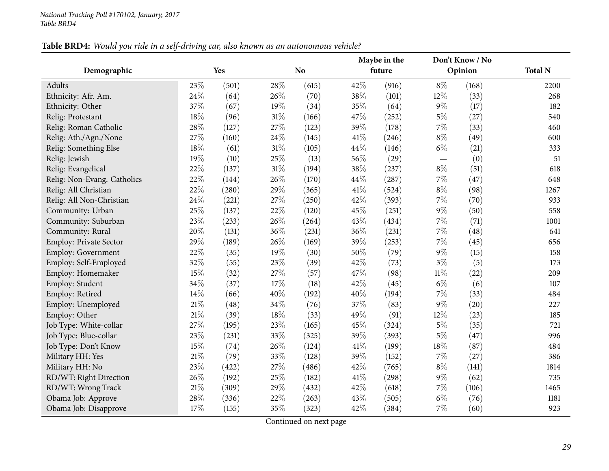## Table BRD4: Would you ride in a self-driving car, also known as an autonomous vehicle?

| Demographic                 |        | Yes   | N <sub>o</sub> |       | Maybe in the<br>future |       |        | Don't Know / No<br>Opinion | <b>Total N</b> |
|-----------------------------|--------|-------|----------------|-------|------------------------|-------|--------|----------------------------|----------------|
|                             |        |       |                |       |                        |       |        |                            |                |
| Adults                      | 23%    | (501) | 28%            | (615) | 42%                    | (916) | $8\%$  | (168)                      | 2200           |
| Ethnicity: Afr. Am.         | 24%    | (64)  | 26%            | (70)  | 38\%                   | (101) | 12%    | (33)                       | 268            |
| Ethnicity: Other            | 37%    | (67)  | 19%            | (34)  | 35%                    | (64)  | $9\%$  | (17)                       | 182            |
| Relig: Protestant           | 18%    | (96)  | $31\%$         | (166) | 47%                    | (252) | $5\%$  | (27)                       | 540            |
| Relig: Roman Catholic       | 28%    | (127) | 27%            | (123) | 39%                    | (178) | $7\%$  | (33)                       | 460            |
| Relig: Ath./Agn./None       | 27%    | (160) | 24\%           | (145) | 41\%                   | (246) | $8\%$  | (49)                       | 600            |
| Relig: Something Else       | 18%    | (61)  | $31\%$         | (105) | 44%                    | (146) | $6\%$  | (21)                       | 333            |
| Relig: Jewish               | 19%    | (10)  | 25%            | (13)  | 56%                    | (29)  |        | (0)                        | 51             |
| Relig: Evangelical          | 22%    | (137) | 31%            | (194) | 38%                    | (237) | $8\%$  | (51)                       | 618            |
| Relig: Non-Evang. Catholics | 22%    | (144) | 26%            | (170) | 44%                    | (287) | $7\%$  | (47)                       | 648            |
| Relig: All Christian        | 22%    | (280) | 29%            | (365) | 41\%                   | (524) | $8\%$  | (98)                       | 1267           |
| Relig: All Non-Christian    | 24%    | (221) | 27%            | (250) | 42%                    | (393) | $7\%$  | (70)                       | 933            |
| Community: Urban            | 25%    | (137) | 22%            | (120) | 45%                    | (251) | $9\%$  | (50)                       | 558            |
| Community: Suburban         | 23%    | (233) | 26%            | (264) | 43%                    | (434) | $7\%$  | (71)                       | 1001           |
| Community: Rural            | 20%    | (131) | 36%            | (231) | 36%                    | (231) | $7\%$  | (48)                       | 641            |
| Employ: Private Sector      | 29%    | (189) | 26\%           | (169) | 39%                    | (253) | $7\%$  | (45)                       | 656            |
| <b>Employ: Government</b>   | 22%    | (35)  | 19%            | (30)  | 50%                    | (79)  | $9\%$  | (15)                       | 158            |
| Employ: Self-Employed       | 32%    | (55)  | 23%            | (39)  | 42%                    | (73)  | $3\%$  | (5)                        | 173            |
| Employ: Homemaker           | 15%    | (32)  | 27%            | (57)  | 47%                    | (98)  | $11\%$ | (22)                       | 209            |
| Employ: Student             | 34%    | (37)  | 17%            | (18)  | 42%                    | (45)  | $6\%$  | (6)                        | 107            |
| Employ: Retired             | 14%    | (66)  | 40%            | (192) | 40%                    | (194) | 7%     | (33)                       | 484            |
| Employ: Unemployed          | $21\%$ | (48)  | 34%            | (76)  | 37%                    | (83)  | $9\%$  | (20)                       | 227            |
| Employ: Other               | $21\%$ | (39)  | 18%            | (33)  | 49%                    | (91)  | 12%    | (23)                       | 185            |
| Job Type: White-collar      | 27%    | (195) | 23%            | (165) | 45%                    | (324) | $5\%$  | (35)                       | 721            |
| Job Type: Blue-collar       | 23%    | (231) | 33%            | (325) | 39%                    | (393) | $5\%$  | (47)                       | 996            |
| Job Type: Don't Know        | 15%    | (74)  | 26%            | (124) | 41\%                   | (199) | 18%    | (87)                       | 484            |
| Military HH: Yes            | $21\%$ | (79)  | 33%            | (128) | 39%                    | (152) | $7\%$  | (27)                       | 386            |
| Military HH: No             | 23%    | (422) | 27%            | (486) | 42%                    | (765) | $8\%$  | (141)                      | 1814           |
| RD/WT: Right Direction      | 26%    | (192) | 25%            | (182) | 41\%                   | (298) | $9\%$  | (62)                       | 735            |
| RD/WT: Wrong Track          | 21%    | (309) | 29%            | (432) | 42%                    | (618) | $7\%$  | (106)                      | 1465           |
| Obama Job: Approve          | 28%    | (336) | 22%            | (263) | 43\%                   | (505) | $6\%$  | (76)                       | 1181           |
| Obama Job: Disapprove       | 17%    | (155) | 35%            | (323) | 42%                    | (384) | 7%     | (60)                       | 923            |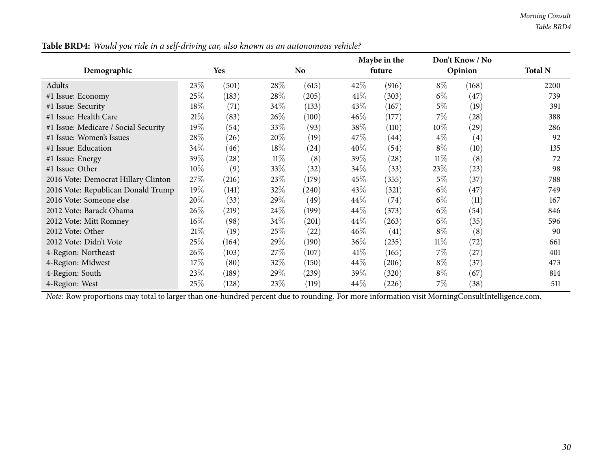|                                      |        |            |        |                    |        | Maybe in the       |        | Don't Know / No    |                |
|--------------------------------------|--------|------------|--------|--------------------|--------|--------------------|--------|--------------------|----------------|
| Demographic                          |        | <b>Yes</b> |        | No.                |        | future             |        | Opinion            | <b>Total N</b> |
| Adults                               | 23\%   | (501)      | 28\%   | (615)              | 42\%   | (916)              | $8\%$  | (168)              | 2200           |
| #1 Issue: Economy                    | $25\%$ | (183)      | 28\%   | (205)              | 41%    | (303)              | $6\%$  | (47)               | 739            |
| #1 Issue: Security                   | 18%    | (71)       | 34\%   | (133)              | 43\%   | (167)              | 5%     | (19)               | 391            |
| #1 Issue: Health Care                | 21%    | (83)       | 26%    | (100)              | 46%    | (177)              | $7\%$  | (28)               | 388            |
| #1 Issue: Medicare / Social Security | 19%    | (54)       | 33\%   | (93)               | 38%    | (110)              | $10\%$ | $\left( 29\right)$ | 286            |
| #1 Issue: Women's Issues             | $28\%$ | (26)       | 20%    | (19)               | 47\%   | $\left( 44\right)$ | $4\%$  | (4)                | 92             |
| #1 Issue: Education                  | $34\%$ | (46)       | 18\%   | $\left( 24\right)$ | $40\%$ | (54)               | $8\%$  | (10)               | 135            |
| #1 Issue: Energy                     | 39%    | (28)       | $11\%$ | (8)                | 39%    | $\left( 28\right)$ | $11\%$ | (8)                | 72             |
| #1 Issue: Other                      | $10\%$ | (9)        | 33\%   | (32)               | $34\%$ | (33)               | 23\%   | (23)               | 98             |
| 2016 Vote: Democrat Hillary Clinton  | $27\%$ | (216)      | 23\%   | (179)              | 45\%   | (355)              | $5\%$  | (37)               | 788            |
| 2016 Vote: Republican Donald Trump   | $19\%$ | (141)      | 32%    | (240)              | 43%    | (321)              | $6\%$  | (47)               | 749            |
| 2016 Vote: Someone else              | 20%    | (33)       | 29\%   | (49)               | $44\%$ | (74)               | $6\%$  | (11)               | 167            |
| 2012 Vote: Barack Obama              | $26\%$ | (219)      | 24\%   | (199)              | 44\%   | (373)              | $6\%$  | (54)               | 846            |
| 2012 Vote: Mitt Romney               | $16\%$ | (98)       | $34\%$ | (201)              | $44\%$ | (263)              | $6\%$  | (35)               | 596            |
| 2012 Vote: Other                     | 21%    | (19)       | 25\%   | (22)               | $46\%$ | (41)               | $8\%$  | (8)                | 90             |
| 2012 Vote: Didn't Vote               | 25%    | (164)      | 29\%   | (190)              | 36%    | (235)              | $11\%$ | (72)               | 661            |
| 4-Region: Northeast                  | $26\%$ | (103)      | 27\%   | (107)              | 41%    | (165)              | $7\%$  | (27)               | 401            |
| 4-Region: Midwest                    | 17%    | (80)       | 32\%   | (150)              | $44\%$ | (206)              | $8\%$  | (37)               | 473            |
| 4-Region: South                      | 23\%   | (189)      | $29\%$ | (239)              | 39%    | (320)              | $8\%$  | (67)               | 814            |
| 4-Region: West                       | $25\%$ | (128)      | 23\%   | (119)              | 44\%   | (226)              | $7\%$  | (38)               | 511            |

Table BRD4: Would you ride in a self-driving car, also known as an autonomous vehicle?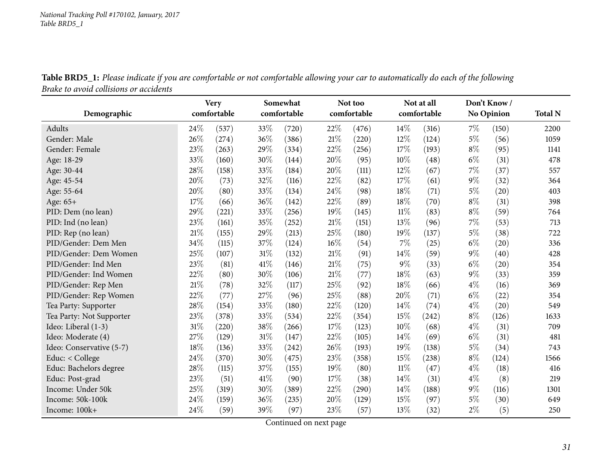|                                        |  | Table BRD5_1: Please indicate if you are comfortable or not comfortable allowing your car to automatically do each of the following |
|----------------------------------------|--|-------------------------------------------------------------------------------------------------------------------------------------|
| Brake to avoid collisions or accidents |  |                                                                                                                                     |

<span id="page-30-0"></span>

|                          |        | <b>Very</b><br>comfortable |      | Somewhat    |     | Not too     |        | Not at all  |       | Don't Know/       |                |
|--------------------------|--------|----------------------------|------|-------------|-----|-------------|--------|-------------|-------|-------------------|----------------|
| Demographic              |        |                            |      | comfortable |     | comfortable |        | comfortable |       | <b>No Opinion</b> | <b>Total N</b> |
| Adults                   | 24%    | (537)                      | 33%  | (720)       | 22% | (476)       | 14%    | (316)       | $7\%$ | (150)             | 2200           |
| Gender: Male             | 26%    | (274)                      | 36%  | (386)       | 21% | (220)       | 12%    | (124)       | $5\%$ | (56)              | 1059           |
| Gender: Female           | 23%    | (263)                      | 29%  | (334)       | 22% | (256)       | 17%    | (193)       | $8\%$ | (95)              | 1141           |
| Age: 18-29               | 33%    | (160)                      | 30%  | (144)       | 20% | (95)        | 10%    | (48)        | $6\%$ | (31)              | 478            |
| Age: 30-44               | 28%    | (158)                      | 33%  | (184)       | 20% | (111)       | 12%    | (67)        | $7\%$ | (37)              | 557            |
| Age: 45-54               | 20%    | (73)                       | 32%  | (116)       | 22% | (82)        | 17%    | (61)        | $9\%$ | (32)              | 364            |
| Age: 55-64               | 20%    | (80)                       | 33%  | (134)       | 24% | (98)        | 18%    | (71)        | $5\%$ | (20)              | 403            |
| Age: 65+                 | 17%    | (66)                       | 36%  | (142)       | 22% | (89)        | 18%    | (70)        | $8\%$ | (31)              | 398            |
| PID: Dem (no lean)       | 29%    | (221)                      | 33%  | (256)       | 19% | (145)       | $11\%$ | (83)        | $8\%$ | (59)              | 764            |
| PID: Ind (no lean)       | 23%    | (161)                      | 35%  | (252)       | 21% | (151)       | 13%    | (96)        | 7%    | (53)              | 713            |
| PID: Rep (no lean)       | 21%    | (155)                      | 29%  | (213)       | 25% | (180)       | 19%    | (137)       | $5\%$ | (38)              | 722            |
| PID/Gender: Dem Men      | 34%    | (115)                      | 37%  | (124)       | 16% | (54)        | 7%     | (25)        | $6\%$ | (20)              | 336            |
| PID/Gender: Dem Women    | 25%    | (107)                      | 31%  | (132)       | 21% | (91)        | 14\%   | (59)        | $9\%$ | (40)              | 428            |
| PID/Gender: Ind Men      | 23%    | (81)                       | 41\% | (146)       | 21% | (75)        | 9%     | (33)        | $6\%$ | (20)              | 354            |
| PID/Gender: Ind Women    | 22%    | (80)                       | 30%  | (106)       | 21% | (77)        | 18%    | (63)        | $9\%$ | (33)              | 359            |
| PID/Gender: Rep Men      | 21%    | (78)                       | 32%  | (117)       | 25% | (92)        | 18%    | (66)        | $4\%$ | (16)              | 369            |
| PID/Gender: Rep Women    | 22%    | (77)                       | 27%  | (96)        | 25% | (88)        | 20%    | (71)        | $6\%$ | (22)              | 354            |
| Tea Party: Supporter     | 28%    | (154)                      | 33%  | (180)       | 22% | (120)       | 14%    | (74)        | $4\%$ | (20)              | 549            |
| Tea Party: Not Supporter | 23%    | (378)                      | 33%  | (534)       | 22% | (354)       | 15%    | (242)       | $8\%$ | (126)             | 1633           |
| Ideo: Liberal (1-3)      | 31%    | (220)                      | 38%  | (266)       | 17% | (123)       | 10%    | (68)        | $4\%$ | (31)              | 709            |
| Ideo: Moderate (4)       | 27%    | (129)                      | 31%  | (147)       | 22% | (105)       | 14\%   | (69)        | $6\%$ | (31)              | 481            |
| Ideo: Conservative (5-7) | 18%    | (136)                      | 33%  | (242)       | 26% | (193)       | 19%    | (138)       | $5\%$ | (34)              | 743            |
| Educ: < College          | 24%    | (370)                      | 30%  | (475)       | 23% | (358)       | 15%    | (238)       | $8\%$ | (124)             | 1566           |
| Educ: Bachelors degree   | 28%    | (115)                      | 37%  | (155)       | 19% | (80)        | $11\%$ | (47)        | $4\%$ | (18)              | 416            |
| Educ: Post-grad          | $23\%$ | (51)                       | 41\% | (90)        | 17% | (38)        | 14%    | (31)        | $4\%$ | (8)               | 219            |
| Income: Under 50k        | 25%    | (319)                      | 30%  | (389)       | 22% | (290)       | 14%    | (188)       | $9\%$ | (116)             | 1301           |
| Income: 50k-100k         | 24%    | (159)                      | 36%  | (235)       | 20% | (129)       | 15%    | (97)        | $5\%$ | (30)              | 649            |
| Income: 100k+            | 24%    | (59)                       | 39%  | (97)        | 23% | (57)        | 13%    | (32)        | $2\%$ | (5)               | 250            |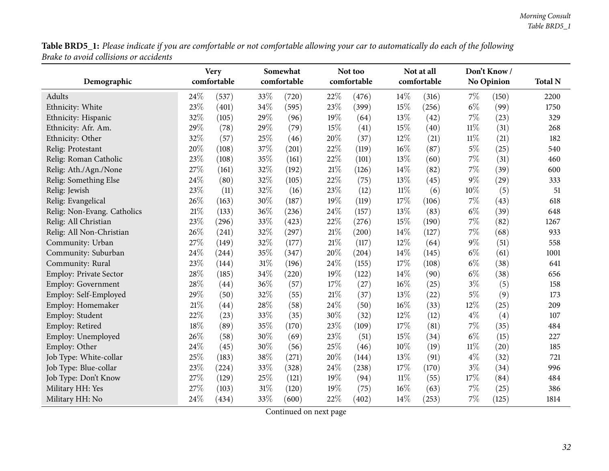Table BRD5\_1: Please indicate if you are comfortable or not comfortable allowing your car to automatically do each of the following *Brake to avoid collisions or accidents*

|                               |     | <b>Very</b> |     | Somewhat            |      | Not too     |        | Not at all  |        | Don't Know/ |                |
|-------------------------------|-----|-------------|-----|---------------------|------|-------------|--------|-------------|--------|-------------|----------------|
| Demographic                   |     | comfortable |     | comfortable         |      | comfortable |        | comfortable |        | No Opinion  | <b>Total N</b> |
| Adults                        | 24% | (537)       | 33% | (720)               | 22%  | (476)       | 14%    | (316)       | 7%     | (150)       | 2200           |
| Ethnicity: White              | 23% | (401)       | 34% | (595)               | 23%  | (399)       | 15%    | (256)       | $6\%$  | (99)        | 1750           |
| Ethnicity: Hispanic           | 32% | (105)       | 29% | (96)                | 19%  | (64)        | 13%    | (42)        | 7%     | (23)        | 329            |
| Ethnicity: Afr. Am.           | 29% | (78)        | 29% | (79)                | 15%  | (41)        | 15%    | (40)        | $11\%$ | (31)        | 268            |
| Ethnicity: Other              | 32% | (57)        | 25% | (46)                | 20%  | (37)        | 12%    | (21)        | $11\%$ | (21)        | 182            |
| Relig: Protestant             | 20% | (108)       | 37% | (201)               | 22%  | (119)       | 16%    | (87)        | $5\%$  | (25)        | 540            |
| Relig: Roman Catholic         | 23% | (108)       | 35% | (161)               | 22%  | (101)       | 13%    | (60)        | 7%     | (31)        | 460            |
| Relig: Ath./Agn./None         | 27% | (161)       | 32% | (192)               | 21%  | (126)       | 14%    | (82)        | 7%     | (39)        | 600            |
| Relig: Something Else         | 24% | (80)        | 32% | (105)               | 22%  | (75)        | 13%    | (45)        | 9%     | (29)        | 333            |
| Relig: Jewish                 | 23% | (11)        | 32% | (16)                | 23%  | (12)        | $11\%$ | (6)         | 10%    | (5)         | 51             |
| Relig: Evangelical            | 26% | (163)       | 30% | (187)               | 19%  | (119)       | 17%    | (106)       | 7%     | (43)        | 618            |
| Relig: Non-Evang. Catholics   | 21% | (133)       | 36% | (236)               | 24%  | (157)       | 13%    | (83)        | $6\%$  | (39)        | 648            |
| Relig: All Christian          | 23% | (296)       | 33% | (423)               | 22%  | (276)       | 15%    | (190)       | 7%     | (82)        | 1267           |
| Relig: All Non-Christian      | 26% | (241)       | 32% | $\left( 297\right)$ | 21%  | (200)       | 14%    | (127)       | 7%     | (68)        | 933            |
| Community: Urban              | 27% | (149)       | 32% | (177)               | 21\% | (117)       | 12%    | (64)        | 9%     | (51)        | 558            |
| Community: Suburban           | 24% | (244)       | 35% | (347)               | 20%  | (204)       | 14%    | (145)       | $6\%$  | (61)        | 1001           |
| Community: Rural              | 23% | (144)       | 31% | (196)               | 24%  | (155)       | 17%    | (108)       | $6\%$  | (38)        | 641            |
| <b>Employ: Private Sector</b> | 28% | (185)       | 34% | (220)               | 19%  | (122)       | 14%    | (90)        | $6\%$  | (38)        | 656            |
| <b>Employ: Government</b>     | 28% | (44)        | 36% | (57)                | 17%  | (27)        | 16%    | (25)        | $3\%$  | (5)         | 158            |
| Employ: Self-Employed         | 29% | (50)        | 32% | (55)                | 21%  | (37)        | 13%    | (22)        | 5%     | (9)         | 173            |
| Employ: Homemaker             | 21% | (44)        | 28% | (58)                | 24%  | (50)        | 16%    | (33)        | 12%    | (25)        | 209            |
| Employ: Student               | 22% | (23)        | 33% | (35)                | 30%  | (32)        | 12%    | (12)        | $4\%$  | (4)         | 107            |
| Employ: Retired               | 18% | (89)        | 35% | (170)               | 23%  | (109)       | 17%    | (81)        | 7%     | (35)        | 484            |
| Employ: Unemployed            | 26% | (58)        | 30% | (69)                | 23%  | (51)        | 15%    | (34)        | $6\%$  | (15)        | 227            |
| Employ: Other                 | 24% | (45)        | 30% | (56)                | 25%  | (46)        | 10%    | (19)        | $11\%$ | (20)        | 185            |
| Job Type: White-collar        | 25% | (183)       | 38% | (271)               | 20%  | (144)       | 13%    | (91)        | $4\%$  | (32)        | 721            |
| Job Type: Blue-collar         | 23% | (224)       | 33% | (328)               | 24%  | (238)       | 17%    | (170)       | $3\%$  | (34)        | 996            |
| Job Type: Don't Know          | 27% | (129)       | 25% | (121)               | 19%  | (94)        | $11\%$ | (55)        | 17%    | (84)        | 484            |
| Military HH: Yes              | 27% | (103)       | 31% | (120)               | 19%  | (75)        | 16%    | (63)        | 7%     | (25)        | 386            |
| Military HH: No               | 24% | (434)       | 33% | (600)               | 22%  | (402)       | 14%    | (253)       | 7%     | (125)       | 1814           |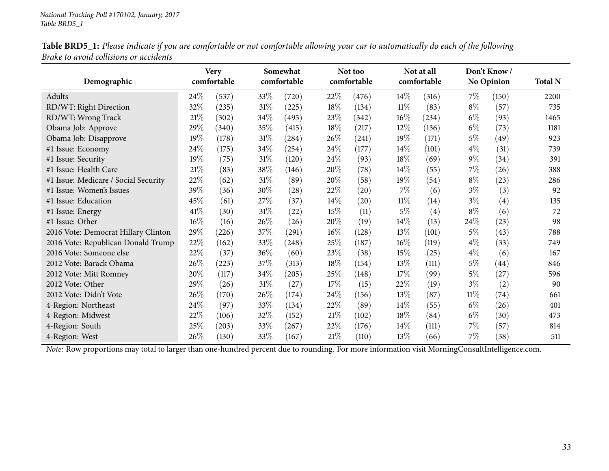| Demographic                          | <b>Very</b><br>comfortable |       |        | Somewhat<br>comfortable |        | Not too<br>comfortable |        | Not at all<br>comfortable |        | Don't Know/<br><b>No Opinion</b> | <b>Total N</b> |
|--------------------------------------|----------------------------|-------|--------|-------------------------|--------|------------------------|--------|---------------------------|--------|----------------------------------|----------------|
| Adults                               | 24\%                       | (537) | $33\%$ | (720)                   | 22%    | (476)                  | $14\%$ | (316)                     | $7\%$  | (150)                            | 2200           |
| RD/WT: Right Direction               | 32%                        | (235) | $31\%$ | (225)                   | 18%    | (134)                  | $11\%$ | (83)                      | $8\%$  | (57)                             | 735            |
| RD/WT: Wrong Track                   | 21%                        | (302) | 34\%   | (495)                   | 23\%   | (342)                  | 16%    | (234)                     | $6\%$  | (93)                             | 1465           |
| Obama Job: Approve                   | 29%                        | (340) | 35%    | (415)                   | 18\%   | (217)                  | $12\%$ | (136)                     | $6\%$  | (73)                             | 1181           |
| Obama Job: Disapprove                | 19%                        | (178) | $31\%$ | (284)                   | 26\%   | (241)                  | 19%    | (171)                     | $5\%$  | (49)                             | 923            |
| #1 Issue: Economy                    | 24%                        | (175) | 34\%   | (254)                   | 24\%   | (177)                  | $14\%$ | (101)                     | $4\%$  | (31)                             | 739            |
| #1 Issue: Security                   | 19%                        | (75)  | 31\%   | (120)                   | 24\%   | (93)                   | 18%    | (69)                      | $9\%$  | (34)                             | 391            |
| #1 Issue: Health Care                | 21%                        | (83)  | 38\%   | (146)                   | 20%    | (78)                   | 14\%   | (55)                      | 7%     | (26)                             | 388            |
| #1 Issue: Medicare / Social Security | 22%                        | (62)  | 31%    | (89)                    | 20%    | (58)                   | 19%    | (54)                      | $8\%$  | (23)                             | 286            |
| #1 Issue: Women's Issues             | 39%                        | (36)  | 30\%   | (28)                    | 22\%   | $\left( 20\right)$     | $7\%$  | (6)                       | $3\%$  | (3)                              | 92             |
| #1 Issue: Education                  | 45%                        | (61)  | 27\%   | (37)                    | 14\%   | $\left( 20\right)$     | $11\%$ | (14)                      | $3\%$  | $\left( 4\right)$                | 135            |
| #1 Issue: Energy                     | 41\%                       | (30)  | $31\%$ | (22)                    | 15%    | (11)                   | $5\%$  | (4)                       | $8\%$  | (6)                              | 72             |
| #1 Issue: Other                      | 16%                        | (16)  | 26\%   | (26)                    | 20%    | (19)                   | $14\%$ | (13)                      | 24\%   | (23)                             | 98             |
| 2016 Vote: Democrat Hillary Clinton  | 29%                        | (226) | 37%    | (291)                   | $16\%$ | (128)                  | 13\%   | (101)                     | $5\%$  | (43)                             | 788            |
| 2016 Vote: Republican Donald Trump   | 22%                        | (162) | 33\%   | (248)                   | 25%    | (187)                  | $16\%$ | (119)                     | $4\%$  | (33)                             | 749            |
| 2016 Vote: Someone else              | 22%                        | (37)  | 36\%   | (60)                    | 23\%   | (38)                   | 15%    | (25)                      | $4\%$  | (6)                              | 167            |
| 2012 Vote: Barack Obama              | 26%                        | (223) | 37\%   | (313)                   | 18\%   | (154)                  | 13\%   | (111)                     | $5\%$  | $\left( 44\right)$               | 846            |
| 2012 Vote: Mitt Romney               | 20%                        | (117) | 34\%   | (205)                   | 25\%   | (148)                  | 17%    | (99)                      | $5\%$  | (27)                             | 596            |
| 2012 Vote: Other                     | 29%                        | (26)  | $31\%$ | (27)                    | 17%    | (15)                   | 22\%   | (19)                      | $3\%$  | (2)                              | 90             |
| 2012 Vote: Didn't Vote               | 26%                        | (170) | 26\%   | (174)                   | 24\%   | (156)                  | 13\%   | (87)                      | $11\%$ | $\left( 74\right)$               | 661            |
| 4-Region: Northeast                  | 24%                        | (97)  | 33\%   | (134)                   | 22\%   | (89)                   | $14\%$ | (55)                      | $6\%$  | (26)                             | 401            |
| 4-Region: Midwest                    | 22%                        | (106) | 32\%   | (152)                   | 21%    | (102)                  | 18\%   | (84)                      | $6\%$  | (30)                             | 473            |
| 4-Region: South                      | 25\%                       | (203) | 33\%   | (267)                   | 22\%   | (176)                  | $14\%$ | (111)                     | $7\%$  | (57)                             | 814            |
| 4-Region: West                       | 26%                        | (130) | 33%    | (167)                   | 21%    | (110)                  | 13\%   | (66)                      | $7\%$  | (38)                             | 511            |

Table BRD5\_1: Please indicate if you are comfortable or not comfortable allowing your car to automatically do each of the following *Brake to avoid collisions or accidents*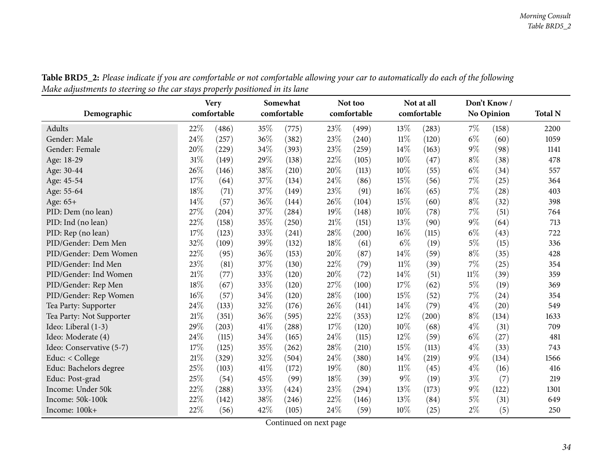<span id="page-33-0"></span>

| Demographic              | <b>Very</b><br>comfortable |       |      |       |        | Somewhat<br>comfortable |        | Not too<br>comfortable |        | Not at all<br>comfortable |      | Don't Know/<br><b>No Opinion</b> | <b>Total N</b> |
|--------------------------|----------------------------|-------|------|-------|--------|-------------------------|--------|------------------------|--------|---------------------------|------|----------------------------------|----------------|
| Adults                   | 22%                        | (486) | 35%  | (775) | 23%    | (499)                   | 13%    | (283)                  | 7%     | (158)                     | 2200 |                                  |                |
| Gender: Male             | 24\%                       | (257) | 36%  | (382) | 23%    | (240)                   | 11%    | (120)                  | $6\%$  | (60)                      | 1059 |                                  |                |
| Gender: Female           | 20%                        | (229) | 34%  | (393) | 23%    | (259)                   | 14%    | (163)                  | $9\%$  | (98)                      | 1141 |                                  |                |
| Age: 18-29               | 31%                        | (149) | 29%  | (138) | 22%    | (105)                   | 10%    | (47)                   | $8\%$  | (38)                      | 478  |                                  |                |
| Age: 30-44               | 26%                        | (146) | 38%  | (210) | 20%    | (113)                   | 10%    | (55)                   | $6\%$  | (34)                      | 557  |                                  |                |
| Age: 45-54               | 17%                        | (64)  | 37%  | (134) | 24%    | (86)                    | 15%    | (56)                   | 7%     | (25)                      | 364  |                                  |                |
| Age: 55-64               | 18%                        | (71)  | 37%  | (149) | 23%    | (91)                    | 16%    | (65)                   | 7%     | (28)                      | 403  |                                  |                |
| Age: 65+                 | 14%                        | (57)  | 36%  | (144) | 26%    | (104)                   | 15%    | (60)                   | $8\%$  | (32)                      | 398  |                                  |                |
| PID: Dem (no lean)       | 27%                        | (204) | 37%  | (284) | 19%    | (148)                   | 10%    | (78)                   | 7%     | (51)                      | 764  |                                  |                |
| PID: Ind (no lean)       | 22%                        | (158) | 35%  | (250) | $21\%$ | (151)                   | 13%    | (90)                   | $9\%$  | (64)                      | 713  |                                  |                |
| PID: Rep (no lean)       | 17%                        | (123) | 33%  | (241) | 28%    | (200)                   | 16%    | (115)                  | $6\%$  | (43)                      | 722  |                                  |                |
| PID/Gender: Dem Men      | 32%                        | (109) | 39%  | (132) | 18%    | (61)                    | $6\%$  | (19)                   | $5\%$  | (15)                      | 336  |                                  |                |
| PID/Gender: Dem Women    | 22%                        | (95)  | 36%  | (153) | 20%    | (87)                    | 14%    | (59)                   | $8\%$  | (35)                      | 428  |                                  |                |
| PID/Gender: Ind Men      | 23%                        | (81)  | 37%  | (130) | 22%    | (79)                    | $11\%$ | (39)                   | $7\%$  | (25)                      | 354  |                                  |                |
| PID/Gender: Ind Women    | $21\%$                     | (77)  | 33%  | (120) | 20%    | (72)                    | 14%    | (51)                   | $11\%$ | (39)                      | 359  |                                  |                |
| PID/Gender: Rep Men      | 18%                        | (67)  | 33%  | (120) | 27%    | (100)                   | 17%    | (62)                   | $5\%$  | (19)                      | 369  |                                  |                |
| PID/Gender: Rep Women    | 16%                        | (57)  | 34%  | (120) | 28%    | (100)                   | 15%    | (52)                   | 7%     | (24)                      | 354  |                                  |                |
| Tea Party: Supporter     | 24%                        | (133) | 32%  | (176) | 26%    | (141)                   | 14%    | (79)                   | $4\%$  | (20)                      | 549  |                                  |                |
| Tea Party: Not Supporter | 21\%                       | (351) | 36%  | (595) | 22%    | (353)                   | 12%    | $\left( 200\right)$    | $8\%$  | (134)                     | 1633 |                                  |                |
| Ideo: Liberal (1-3)      | 29%                        | (203) | 41\% | (288) | 17%    | (120)                   | 10%    | (68)                   | $4\%$  | (31)                      | 709  |                                  |                |
| Ideo: Moderate (4)       | 24%                        | (115) | 34%  | (165) | 24%    | (115)                   | 12%    | (59)                   | $6\%$  | (27)                      | 481  |                                  |                |
| Ideo: Conservative (5-7) | 17%                        | (125) | 35%  | (262) | 28%    | (210)                   | 15%    | (113)                  | $4\%$  | (33)                      | 743  |                                  |                |
| Educ: $<$ College        | 21\%                       | (329) | 32%  | (504) | 24\%   | (380)                   | 14\%   | (219)                  | $9\%$  | (134)                     | 1566 |                                  |                |
| Educ: Bachelors degree   | 25%                        | (103) | 41\% | (172) | 19%    | (80)                    | $11\%$ | (45)                   | $4\%$  | (16)                      | 416  |                                  |                |
| Educ: Post-grad          | 25%                        | (54)  | 45%  | (99)  | 18%    | (39)                    | $9\%$  | (19)                   | $3\%$  | (7)                       | 219  |                                  |                |
| Income: Under 50k        | 22%                        | (288) | 33%  | (424) | 23%    | (294)                   | 13%    | (173)                  | $9\%$  | (122)                     | 1301 |                                  |                |
| Income: 50k-100k         | 22%                        | (142) | 38%  | (246) | 22%    | (146)                   | 13%    | (84)                   | $5\%$  | (31)                      | 649  |                                  |                |
| Income: 100k+            | 22%                        | (56)  | 42%  | (105) | 24%    | (59)                    | 10%    | (25)                   | $2\%$  | (5)                       | 250  |                                  |                |

Table BRD5\_2: Please indicate if you are comfortable or not comfortable allowing your car to automatically do each of the following Make adjustments to steering so the car stays properly positioned in its lane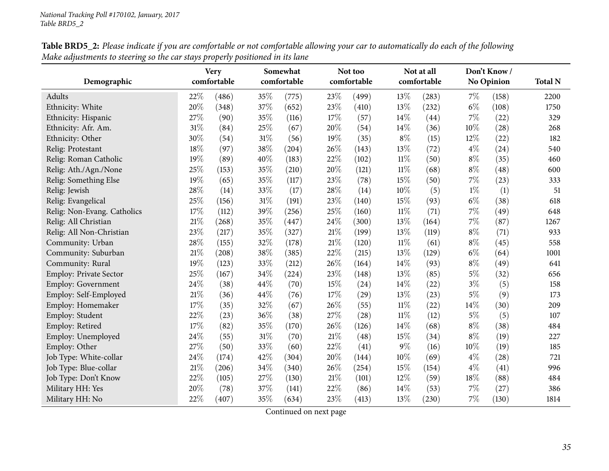|                               |        | <b>Very</b> |     | Somewhat    |     | Not too     |        | Not at all  |       | Don't Know/       |      |
|-------------------------------|--------|-------------|-----|-------------|-----|-------------|--------|-------------|-------|-------------------|------|
| Demographic                   |        | comfortable |     | comfortable |     | comfortable |        | comfortable |       | <b>No Opinion</b> |      |
| Adults                        | 22%    | (486)       | 35% | (775)       | 23% | (499)       | 13%    | (283)       | 7%    | (158)             | 2200 |
| Ethnicity: White              | $20\%$ | (348)       | 37% | (652)       | 23% | (410)       | 13%    | (232)       | $6\%$ | (108)             | 1750 |
| Ethnicity: Hispanic           | 27%    | (90)        | 35% | (116)       | 17% | (57)        | 14%    | (44)        | 7%    | (22)              | 329  |
| Ethnicity: Afr. Am.           | $31\%$ | (84)        | 25% | (67)        | 20% | (54)        | 14%    | (36)        | 10%   | (28)              | 268  |
| Ethnicity: Other              | 30%    | (54)        | 31% | (56)        | 19% | (35)        | $8\%$  | (15)        | 12%   | (22)              | 182  |
| Relig: Protestant             | 18%    | (97)        | 38% | (204)       | 26% | (143)       | 13%    | (72)        | $4\%$ | (24)              | 540  |
| Relig: Roman Catholic         | 19%    | (89)        | 40% | (183)       | 22% | (102)       | $11\%$ | (50)        | $8\%$ | (35)              | 460  |
| Relig: Ath./Agn./None         | 25%    | (153)       | 35% | (210)       | 20% | (121)       | $11\%$ | (68)        | $8\%$ | (48)              | 600  |
| Relig: Something Else         | 19%    | (65)        | 35% | (117)       | 23% | (78)        | 15%    | (50)        | 7%    | (23)              | 333  |
| Relig: Jewish                 | 28%    | (14)        | 33% | (17)        | 28% | (14)        | 10%    | (5)         | $1\%$ | (1)               | 51   |
| Relig: Evangelical            | 25%    | (156)       | 31% | (191)       | 23% | (140)       | 15%    | (93)        | $6\%$ | (38)              | 618  |
| Relig: Non-Evang. Catholics   | 17%    | (112)       | 39% | (256)       | 25% | (160)       | $11\%$ | (71)        | 7%    | (49)              | 648  |
| Relig: All Christian          | $21\%$ | (268)       | 35% | (447)       | 24% | (300)       | 13%    | (164)       | 7%    | (87)              | 1267 |
| Relig: All Non-Christian      | 23%    | (217)       | 35% | (327)       | 21% | (199)       | 13%    | (119)       | $8\%$ | (71)              | 933  |
| Community: Urban              | 28%    | (155)       | 32% | (178)       | 21% | (120)       | $11\%$ | (61)        | $8\%$ | (45)              | 558  |
| Community: Suburban           | $21\%$ | (208)       | 38% | (385)       | 22% | (215)       | 13%    | (129)       | $6\%$ | (64)              | 1001 |
| Community: Rural              | 19%    | (123)       | 33% | (212)       | 26% | (164)       | 14\%   | (93)        | $8\%$ | (49)              | 641  |
| <b>Employ: Private Sector</b> | 25%    | (167)       | 34% | (224)       | 23% | (148)       | 13%    | (85)        | $5\%$ | (32)              | 656  |
| Employ: Government            | 24%    | (38)        | 44% | (70)        | 15% | (24)        | 14%    | (22)        | $3\%$ | (5)               | 158  |
| Employ: Self-Employed         | 21%    | (36)        | 44% | (76)        | 17% | (29)        | 13%    | (23)        | 5%    | (9)               | 173  |
| Employ: Homemaker             | 17%    | (35)        | 32% | (67)        | 26% | (55)        | $11\%$ | (22)        | 14%   | (30)              | 209  |
| Employ: Student               | $22\%$ | (23)        | 36% | (38)        | 27% | (28)        | $11\%$ | (12)        | $5\%$ | (5)               | 107  |
| Employ: Retired               | 17%    | (82)        | 35% | (170)       | 26% | (126)       | 14%    | (68)        | $8\%$ | (38)              | 484  |
| Employ: Unemployed            | 24%    | (55)        | 31% | (70)        | 21% | (48)        | 15%    | (34)        | $8\%$ | (19)              | 227  |
| Employ: Other                 | 27%    | (50)        | 33% | (60)        | 22% | (41)        | $9\%$  | (16)        | 10%   | (19)              | 185  |
| Job Type: White-collar        | 24%    | (174)       | 42% | (304)       | 20% | (144)       | 10%    | (69)        | $4\%$ | (28)              | 721  |
| Job Type: Blue-collar         | 21%    | (206)       | 34% | (340)       | 26% | (254)       | 15%    | (154)       | $4\%$ | (41)              | 996  |
| Job Type: Don't Know          | 22%    | (105)       | 27% | (130)       | 21% | (101)       | 12%    | (59)        | 18%   | (88)              | 484  |
| Military HH: Yes              | 20%    | (78)        | 37% | (141)       | 22% | (86)        | 14%    | (53)        | 7%    | (27)              | 386  |
| Military HH: No               | 22%    | (407)       | 35% | (634)       | 23% | (413)       | 13%    | (230)       | 7%    | (130)             | 1814 |

Table BRD5\_2: Please indicate if you are comfortable or not comfortable allowing your car to automatically do each of the following Make adjustments to steering so the car stays properly positioned in its lane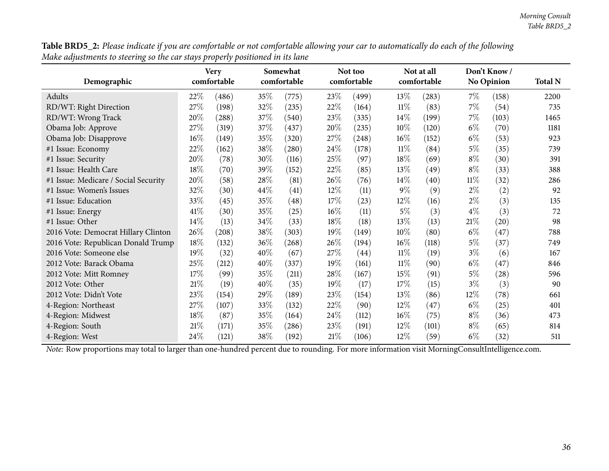| Demographic                          | <b>Very</b><br>comfortable |       |        | Somewhat<br>comfortable |        | Not too<br>comfortable |        | Not at all<br>comfortable |        | Don't Know /<br><b>No Opinion</b> |      |
|--------------------------------------|----------------------------|-------|--------|-------------------------|--------|------------------------|--------|---------------------------|--------|-----------------------------------|------|
| Adults                               | 22%                        | (486) | 35%    | (775)                   | 23\%   | (499)                  | 13\%   | (283)                     | $7\%$  | (158)                             | 2200 |
| RD/WT: Right Direction               | 27\%                       | (198) | 32%    | (235)                   | 22%    | (164)                  | 11%    | (83)                      | $7\%$  | (54)                              | 735  |
| RD/WT: Wrong Track                   | 20%                        | (288) | 37%    | (540)                   | 23\%   | (335)                  | 14%    | (199)                     | $7\%$  | (103)                             | 1465 |
| Obama Job: Approve                   | 27\%                       | (319) | 37%    | (437)                   | 20%    | (235)                  | $10\%$ | (120)                     | $6\%$  | (70)                              | 1181 |
| Obama Job: Disapprove                | 16%                        | (149) | 35%    | (320)                   | 27\%   | (248)                  | $16\%$ | (152)                     | $6\%$  | (53)                              | 923  |
| #1 Issue: Economy                    | 22%                        | (162) | 38%    | (280)                   | 24\%   | (178)                  | 11%    | (84)                      | $5\%$  | (35)                              | 739  |
| #1 Issue: Security                   | 20%                        | (78)  | 30%    | (116)                   | 25\%   | (97)                   | 18%    | (69)                      | $8\%$  | (30)                              | 391  |
| #1 Issue: Health Care                | 18%                        | (70)  | 39%    | (152)                   | 22%    | (85)                   | 13\%   | (49)                      | $8\%$  | (33)                              | 388  |
| #1 Issue: Medicare / Social Security | 20%                        | (58)  | 28\%   | (81)                    | 26\%   | (76)                   | 14\%   | (40)                      | $11\%$ | (32)                              | 286  |
| #1 Issue: Women's Issues             | 32%                        | (30)  | 44%    | (41)                    | 12%    | (11)                   | $9\%$  | (9)                       | $2\%$  | (2)                               | 92   |
| #1 Issue: Education                  | 33\%                       | (45)  | 35%    | (48)                    | 17%    | (23)                   | 12%    | (16)                      | $2\%$  | (3)                               | 135  |
| #1 Issue: Energy                     | 41\%                       | (30)  | 35%    | (25)                    | $16\%$ | (11)                   | $5\%$  | (3)                       | $4\%$  | (3)                               | 72   |
| #1 Issue: Other                      | 14%                        | (13)  | 34%    | (33)                    | 18%    | (18)                   | 13%    | (13)                      | $21\%$ | (20)                              | 98   |
| 2016 Vote: Democrat Hillary Clinton  | 26\%                       | (208) | 38%    | (303)                   | 19%    | (149)                  | 10%    | (80)                      | $6\%$  | (47)                              | 788  |
| 2016 Vote: Republican Donald Trump   | 18%                        | (132) | 36\%   | (268)                   | 26\%   | (194)                  | $16\%$ | (118)                     | $5\%$  | (37)                              | 749  |
| 2016 Vote: Someone else              | 19%                        | (32)  | 40%    | (67)                    | 27%    | (44)                   | $11\%$ | (19)                      | $3\%$  | (6)                               | 167  |
| 2012 Vote: Barack Obama              | 25%                        | (212) | $40\%$ | (337)                   | 19%    | (161)                  | 11%    | (90)                      | $6\%$  | (47)                              | 846  |
| 2012 Vote: Mitt Romney               | 17%                        | (99)  | 35%    | (211)                   | 28\%   | (167)                  | 15%    | (91)                      | $5\%$  | (28)                              | 596  |
| 2012 Vote: Other                     | $21\%$                     | (19)  | 40%    | (35)                    | 19%    | (17)                   | 17%    | (15)                      | $3\%$  | (3)                               | 90   |
| 2012 Vote: Didn't Vote               | 23\%                       | (154) | 29%    | (189)                   | 23%    | (154)                  | 13%    | (86)                      | $12\%$ | (78)                              | 661  |
| 4-Region: Northeast                  | 27\%                       | (107) | 33%    | (132)                   | 22%    | (90)                   | 12%    | (47)                      | $6\%$  | (25)                              | 401  |
| 4-Region: Midwest                    | 18%                        | (87)  | 35%    | (164)                   | 24\%   | (112)                  | $16\%$ | (75)                      | $8\%$  | (36)                              | 473  |
| 4-Region: South                      | 21%                        | (171) | 35%    | (286)                   | 23\%   | (191)                  | 12\%   | (101)                     | $8\%$  | (65)                              | 814  |
| 4-Region: West                       | 24\%                       | (121) | 38%    | (192)                   | 21%    | (106)                  | 12%    | (59)                      | $6\%$  | (32)                              | 511  |

Table BRD5\_2: Please indicate if you are comfortable or not comfortable allowing your car to automatically do each of the following Make adjustments to steering so the car stays properly positioned in its lane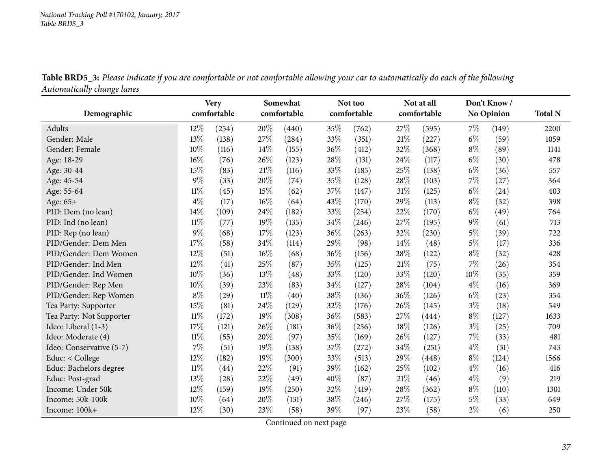| o<br>Demographic         |        | <b>Very</b><br>comfortable |        | Somewhat<br>comfortable |     | Not too<br>comfortable |      | Not at all<br>comfortable |       | Don't Know<br><b>No Opinion</b> | <b>Total N</b> |
|--------------------------|--------|----------------------------|--------|-------------------------|-----|------------------------|------|---------------------------|-------|---------------------------------|----------------|
| Adults                   | 12%    | (254)                      | 20%    | (440)                   | 35% | (762)                  | 27%  | (595)                     | 7%    | (149)                           | 2200           |
| Gender: Male             | 13%    | (138)                      | 27%    | (284)                   | 33% | (351)                  | 21%  | (227)                     | $6\%$ | (59)                            | 1059           |
| Gender: Female           | 10%    | (116)                      | 14\%   | (155)                   | 36% | (412)                  | 32%  | (368)                     | $8\%$ | (89)                            | 1141           |
| Age: 18-29               | 16%    | (76)                       | $26\%$ | (123)                   | 28% | (131)                  | 24%  | (117)                     | $6\%$ | (30)                            | 478            |
| Age: 30-44               | 15%    | (83)                       | 21%    | (116)                   | 33% | (185)                  | 25%  | (138)                     | $6\%$ | (36)                            | 557            |
| Age: 45-54               | 9%     | (33)                       | 20%    | (74)                    | 35% | (128)                  | 28%  | (103)                     | 7%    | (27)                            | 364            |
| Age: 55-64               | $11\%$ | (45)                       | 15%    | (62)                    | 37% | (147)                  | 31%  | (125)                     | $6\%$ | (24)                            | 403            |
| Age: 65+                 | $4\%$  | (17)                       | 16%    | (64)                    | 43% | (170)                  | 29%  | (113)                     | $8\%$ | (32)                            | 398            |
| PID: Dem (no lean)       | 14%    | (109)                      | 24%    | (182)                   | 33% | (254)                  | 22%  | (170)                     | $6\%$ | (49)                            | 764            |
| PID: Ind (no lean)       | $11\%$ | (77)                       | 19%    | (135)                   | 34% | (246)                  | 27%  | (195)                     | $9\%$ | (61)                            | 713            |
| PID: Rep (no lean)       | 9%     | (68)                       | 17%    | (123)                   | 36% | (263)                  | 32%  | (230)                     | $5\%$ | (39)                            | 722            |
| PID/Gender: Dem Men      | 17%    | (58)                       | 34%    | (114)                   | 29% | (98)                   | 14%  | (48)                      | $5\%$ | (17)                            | 336            |
| PID/Gender: Dem Women    | $12\%$ | (51)                       | 16%    | (68)                    | 36% | (156)                  | 28%  | (122)                     | $8\%$ | (32)                            | 428            |
| PID/Gender: Ind Men      | 12%    | (41)                       | 25%    | (87)                    | 35% | (125)                  | 21%  | (75)                      | 7%    | (26)                            | 354            |
| PID/Gender: Ind Women    | 10%    | (36)                       | 13%    | (48)                    | 33% | (120)                  | 33%  | (120)                     | 10%   | (35)                            | 359            |
| PID/Gender: Rep Men      | 10%    | (39)                       | 23%    | (83)                    | 34% | (127)                  | 28%  | (104)                     | $4\%$ | (16)                            | 369            |
| PID/Gender: Rep Women    | $8\%$  | (29)                       | $11\%$ | (40)                    | 38% | (136)                  | 36%  | (126)                     | $6\%$ | (23)                            | 354            |
| Tea Party: Supporter     | 15%    | (81)                       | 24%    | (129)                   | 32% | (176)                  | 26%  | (145)                     | $3\%$ | (18)                            | 549            |
| Tea Party: Not Supporter | 11%    | (172)                      | 19%    | (308)                   | 36% | (583)                  | 27%  | (444)                     | $8\%$ | (127)                           | 1633           |
| Ideo: Liberal (1-3)      | 17%    | (121)                      | 26%    | (181)                   | 36% | (256)                  | 18%  | (126)                     | $3\%$ | (25)                            | 709            |
| Ideo: Moderate (4)       | $11\%$ | (55)                       | 20%    | (97)                    | 35% | (169)                  | 26%  | (127)                     | $7\%$ | (33)                            | 481            |
| Ideo: Conservative (5-7) | 7%     | (51)                       | 19%    | (138)                   | 37% | (272)                  | 34%  | (251)                     | $4\%$ | (31)                            | 743            |
| Educ: < College          | 12%    | (182)                      | 19%    | (300)                   | 33% | (513)                  | 29%  | (448)                     | $8\%$ | (124)                           | 1566           |
| Educ: Bachelors degree   | $11\%$ | (44)                       | 22%    | (91)                    | 39% | (162)                  | 25%  | (102)                     | $4\%$ | (16)                            | 416            |
| Educ: Post-grad          | 13%    | (28)                       | 22%    | (49)                    | 40% | (87)                   | 21\% | (46)                      | $4\%$ | (9)                             | 219            |
| Income: Under 50k        | 12%    | (159)                      | 19%    | (250)                   | 32% | (419)                  | 28%  | (362)                     | $8\%$ | (110)                           | 1301           |
| Income: 50k-100k         | 10%    | (64)                       | 20%    | (131)                   | 38% | (246)                  | 27%  | (175)                     | $5\%$ | (33)                            | 649            |
| Income: 100k+            | 12%    | (30)                       | 23%    | (58)                    | 39% | (97)                   | 23%  | (58)                      | $2\%$ | (6)                             | 250            |

Table BRD5\_3: Please indicate if you are comfortable or not comfortable allowing your car to automatically do each of the following *Automatically change lanes*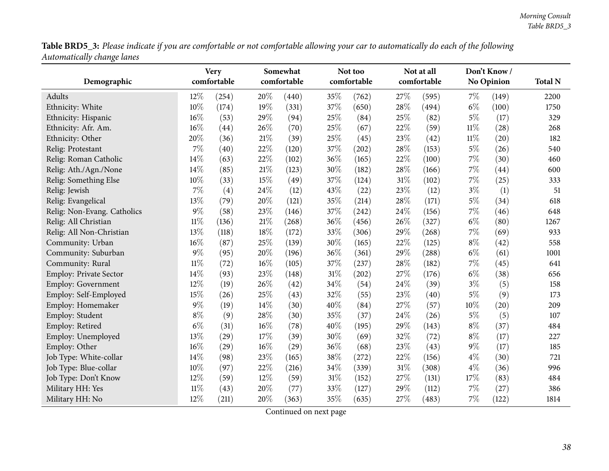Table BRD5\_3: Please indicate if you are comfortable or not comfortable allowing your car to automatically do each of the following *Automatically change lanes*

| Demographic                 |        | <b>Very</b><br>comfortable |        | Somewhat<br>comfortable |        | Not too<br>comfortable |     | Not at all<br>comfortable |        | Don't Know /<br><b>No Opinion</b> | <b>Total N</b> |
|-----------------------------|--------|----------------------------|--------|-------------------------|--------|------------------------|-----|---------------------------|--------|-----------------------------------|----------------|
| Adults                      | 12%    | (254)                      | $20\%$ | (440)                   | 35%    | (762)                  | 27% | (595)                     | $7\%$  | (149)                             | 2200           |
| Ethnicity: White            | 10%    | (174)                      | 19%    | (331)                   | 37%    | (650)                  | 28% | (494)                     | $6\%$  | (100)                             | 1750           |
| Ethnicity: Hispanic         | 16%    | (53)                       | 29%    | (94)                    | 25%    | (84)                   | 25% | (82)                      | $5\%$  | (17)                              | 329            |
| Ethnicity: Afr. Am.         | 16%    | (44)                       | 26%    | (70)                    | 25%    | (67)                   | 22% | (59)                      | $11\%$ | (28)                              | 268            |
| Ethnicity: Other            | 20%    | (36)                       | 21%    | (39)                    | 25%    | (45)                   | 23% | (42)                      | $11\%$ | (20)                              | 182            |
| Relig: Protestant           | 7%     | (40)                       | 22%    | (120)                   | 37%    | (202)                  | 28% | (153)                     | $5\%$  | (26)                              | 540            |
| Relig: Roman Catholic       | 14%    | (63)                       | 22%    | (102)                   | 36%    | (165)                  | 22% | (100)                     | $7\%$  | (30)                              | 460            |
| Relig: Ath./Agn./None       | 14%    | (85)                       | 21%    | (123)                   | 30%    | (182)                  | 28% | (166)                     | 7%     | (44)                              | 600            |
| Relig: Something Else       | 10%    | (33)                       | 15%    | (49)                    | 37%    | (124)                  | 31% | (102)                     | $7\%$  | (25)                              | 333            |
| Relig: Jewish               | 7%     | (4)                        | 24%    | (12)                    | 43%    | (22)                   | 23% | (12)                      | $3\%$  | (1)                               | 51             |
| Relig: Evangelical          | 13%    | (79)                       | 20%    | (121)                   | 35%    | (214)                  | 28% | (171)                     | $5\%$  | (34)                              | 618            |
| Relig: Non-Evang. Catholics | 9%     | (58)                       | 23%    | (146)                   | 37%    | (242)                  | 24% | (156)                     | $7\%$  | (46)                              | 648            |
| Relig: All Christian        | $11\%$ | (136)                      | 21%    | (268)                   | 36%    | (456)                  | 26% | (327)                     | $6\%$  | (80)                              | 1267           |
| Relig: All Non-Christian    | 13%    | (118)                      | 18%    | (172)                   | 33%    | (306)                  | 29% | (268)                     | $7\%$  | (69)                              | 933            |
| Community: Urban            | 16%    | (87)                       | 25%    | (139)                   | $30\%$ | (165)                  | 22% | (125)                     | $8\%$  | (42)                              | 558            |
| Community: Suburban         | $9\%$  | (95)                       | 20%    | (196)                   | 36%    | (361)                  | 29% | (288)                     | $6\%$  | (61)                              | 1001           |
| Community: Rural            | $11\%$ | (72)                       | 16%    | (105)                   | 37%    | (237)                  | 28% | (182)                     | 7%     | (45)                              | 641            |
| Employ: Private Sector      | 14%    | (93)                       | 23%    | (148)                   | 31%    | (202)                  | 27% | (176)                     | $6\%$  | (38)                              | 656            |
| <b>Employ: Government</b>   | 12%    | (19)                       | 26%    | (42)                    | 34%    | (54)                   | 24% | (39)                      | $3\%$  | (5)                               | 158            |
| Employ: Self-Employed       | 15%    | (26)                       | 25%    | (43)                    | 32%    | (55)                   | 23% | (40)                      | $5\%$  | (9)                               | 173            |
| Employ: Homemaker           | $9\%$  | (19)                       | 14%    | (30)                    | 40%    | (84)                   | 27% | (57)                      | $10\%$ | (20)                              | 209            |
| Employ: Student             | $8\%$  | (9)                        | 28%    | (30)                    | 35%    | (37)                   | 24% | (26)                      | $5\%$  | (5)                               | 107            |
| Employ: Retired             | $6\%$  | (31)                       | 16%    | (78)                    | 40%    | (195)                  | 29% | (143)                     | $8\%$  | (37)                              | 484            |
| Employ: Unemployed          | 13%    | (29)                       | 17%    | (39)                    | 30%    | (69)                   | 32% | (72)                      | $8\%$  | (17)                              | 227            |
| Employ: Other               | 16%    | (29)                       | 16%    | (29)                    | 36%    | (68)                   | 23% | (43)                      | $9\%$  | (17)                              | 185            |
| Job Type: White-collar      | 14%    | (98)                       | 23%    | (165)                   | 38%    | (272)                  | 22% | (156)                     | $4\%$  | (30)                              | 721            |
| Job Type: Blue-collar       | 10%    | (97)                       | 22%    | (216)                   | 34%    | (339)                  | 31% | (308)                     | $4\%$  | (36)                              | 996            |
| Job Type: Don't Know        | 12%    | (59)                       | 12%    | (59)                    | 31%    | (152)                  | 27% | (131)                     | 17%    | (83)                              | 484            |
| Military HH: Yes            | $11\%$ | (43)                       | 20%    | (77)                    | 33%    | (127)                  | 29% | (112)                     | 7%     | (27)                              | 386            |
| Military HH: No             | 12%    | (211)                      | 20%    | (363)                   | 35%    | (635)                  | 27% | (483)                     | 7%     | (122)                             | 1814           |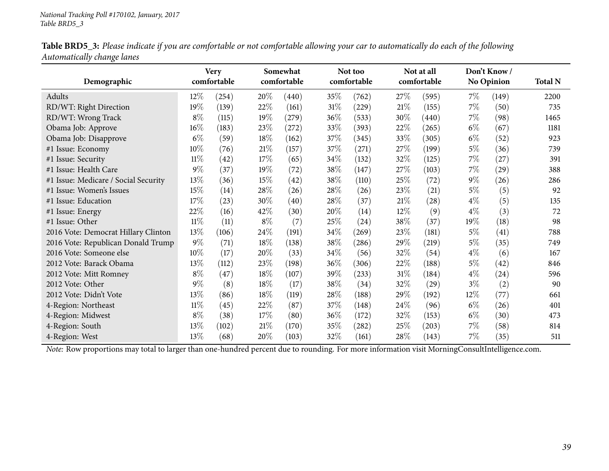|                            |  | Table BRD5_3: Please indicate if you are comfortable or not comfortable allowing your car to automatically do each of the following |  |  |  |
|----------------------------|--|-------------------------------------------------------------------------------------------------------------------------------------|--|--|--|
| Automatically change lanes |  |                                                                                                                                     |  |  |  |

| Demographic                          |        | <b>Very</b><br>comfortable |        | Somewhat<br>comfortable |        | Not too<br>comfortable |        | Not at all<br>comfortable |       | Don't Know<br>No Opinion | <b>Total N</b> |
|--------------------------------------|--------|----------------------------|--------|-------------------------|--------|------------------------|--------|---------------------------|-------|--------------------------|----------------|
| Adults                               | $12\%$ | (254)                      | $20\%$ | (440)                   | 35%    | (762)                  | 27%    | (595)                     | $7\%$ | (149)                    | 2200           |
| RD/WT: Right Direction               | 19%    | (139)                      | 22%    | (161)                   | $31\%$ | (229)                  | 21%    | (155)                     | $7\%$ | (50)                     | 735            |
| RD/WT: Wrong Track                   | $8\%$  | (115)                      | 19%    | (279)                   | $36\%$ | (533)                  | 30\%   | (440)                     | $7\%$ | (98)                     | 1465           |
| Obama Job: Approve                   | 16%    | (183)                      | 23%    | (272)                   | 33%    | (393)                  | 22\%   | (265)                     | $6\%$ | (67)                     | 1181           |
| Obama Job: Disapprove                | $6\%$  | (59)                       | 18%    | (162)                   | 37\%   | (345)                  | 33\%   | (305)                     | $6\%$ | (52)                     | 923            |
| #1 Issue: Economy                    | 10%    | (76)                       | 21\%   | (157)                   | 37\%   | (271)                  | 27\%   | (199)                     | $5\%$ | (36)                     | 739            |
| #1 Issue: Security                   | $11\%$ | (42)                       | 17%    | (65)                    | 34%    | (132)                  | 32%    | (125)                     | $7\%$ | (27)                     | 391            |
| #1 Issue: Health Care                | $9\%$  | (37)                       | 19%    | (72)                    | 38\%   | (147)                  | 27\%   | (103)                     | $7\%$ | (29)                     | 388            |
| #1 Issue: Medicare / Social Security | 13\%   | (36)                       | 15%    | (42)                    | 38\%   | (110)                  | 25\%   | (72)                      | $9\%$ | (26)                     | 286            |
| #1 Issue: Women's Issues             | 15%    | (14)                       | 28\%   | (26)                    | 28%    | (26)                   | 23\%   | (21)                      | $5\%$ | (5)                      | 92             |
| #1 Issue: Education                  | 17%    | (23)                       | 30%    | (40)                    | 28\%   | (37)                   | 21%    | (28)                      | $4\%$ | (5)                      | 135            |
| #1 Issue: Energy                     | 22%    | (16)                       | 42%    | (30)                    | 20%    | (14)                   | 12\%   | (9)                       | $4\%$ | (3)                      | 72             |
| #1 Issue: Other                      | $11\%$ | (11)                       | $8\%$  | (7)                     | 25%    | (24)                   | 38\%   | (37)                      | 19%   | (18)                     | 98             |
| 2016 Vote: Democrat Hillary Clinton  | 13%    | (106)                      | 24\%   | (191)                   | 34\%   | (269)                  | 23\%   | (181)                     | 5%    | (41)                     | 788            |
| 2016 Vote: Republican Donald Trump   | $9\%$  | (71)                       | 18%    | (138)                   | 38%    | (286)                  | 29%    | (219)                     | $5\%$ | (35)                     | 749            |
| 2016 Vote: Someone else              | 10\%   | (17)                       | 20%    | (33)                    | 34%    | (56)                   | 32\%   | (54)                      | $4\%$ | (6)                      | 167            |
| 2012 Vote: Barack Obama              | 13\%   | (112)                      | 23%    | (198)                   | 36\%   | (306)                  | 22\%   | (188)                     | $5\%$ | (42)                     | 846            |
| 2012 Vote: Mitt Romney               | $8\%$  | (47)                       | 18%    | (107)                   | 39\%   | (233)                  | $31\%$ | (184)                     | $4\%$ | $^{(24)}$                | 596            |
| 2012 Vote: Other                     | $9\%$  | (8)                        | 18%    | (17)                    | 38%    | (34)                   | 32\%   | (29)                      | $3\%$ | (2)                      | 90             |
| 2012 Vote: Didn't Vote               | 13%    | (86)                       | 18%    | (119)                   | $28\%$ | (188)                  | 29%    | (192)                     | 12\%  | (77)                     | 661            |
| 4-Region: Northeast                  | $11\%$ | (45)                       | 22%    | (87)                    | 37\%   | (148)                  | 24\%   | (96)                      | $6\%$ | (26)                     | 401            |
| 4-Region: Midwest                    | $8\%$  | (38)                       | 17\%   | (80)                    | $36\%$ | (172)                  | 32\%   | (153)                     | $6\%$ | (30)                     | 473            |
| 4-Region: South                      | $13\%$ | (102)                      | 21\%   | (170)                   | 35\%   | (282)                  | 25\%   | (203)                     | $7\%$ | (58)                     | 814            |
| 4-Region: West                       | 13%    | (68)                       | 20%    | (103)                   | 32\%   | (161)                  | $28\%$ | (143)                     | 7%    | (35)                     | 511            |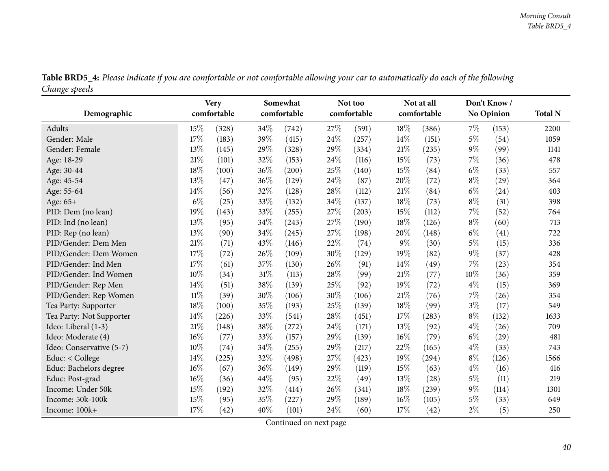| o<br>Demographic         |        | <b>Very</b><br>comfortable |     | Somewhat<br>comfortable |      | Not too<br>comfortable |        | Not at all<br>comfortable |       | Don't Know/<br><b>No Opinion</b> | <b>Total N</b> |
|--------------------------|--------|----------------------------|-----|-------------------------|------|------------------------|--------|---------------------------|-------|----------------------------------|----------------|
|                          |        |                            |     |                         |      |                        |        |                           |       |                                  |                |
| Adults                   | 15%    | (328)                      | 34% | (742)                   | 27%  | (591)                  | 18%    | (386)                     | $7\%$ | (153)                            | 2200           |
| Gender: Male             | 17%    | (183)                      | 39% | (415)                   | 24%  | (257)                  | 14\%   | (151)                     | $5\%$ | (54)                             | 1059           |
| Gender: Female           | 13%    | (145)                      | 29% | (328)                   | 29%  | (334)                  | 21%    | (235)                     | $9\%$ | (99)                             | 1141           |
| Age: 18-29               | 21\%   | (101)                      | 32% | (153)                   | 24\% | (116)                  | 15%    | (73)                      | 7%    | (36)                             | 478            |
| Age: 30-44               | 18%    | (100)                      | 36% | (200)                   | 25%  | (140)                  | 15%    | (84)                      | $6\%$ | (33)                             | 557            |
| Age: 45-54               | 13%    | (47)                       | 36% | (129)                   | 24%  | (87)                   | 20%    | (72)                      | $8\%$ | (29)                             | 364            |
| Age: 55-64               | 14%    | (56)                       | 32% | (128)                   | 28%  | (112)                  | $21\%$ | (84)                      | $6\%$ | (24)                             | 403            |
| Age: 65+                 | $6\%$  | (25)                       | 33% | (132)                   | 34%  | (137)                  | 18%    | (73)                      | $8\%$ | (31)                             | 398            |
| PID: Dem (no lean)       | 19%    | (143)                      | 33% | (255)                   | 27%  | (203)                  | 15%    | (112)                     | 7%    | (52)                             | 764            |
| PID: Ind (no lean)       | 13%    | (95)                       | 34% | (243)                   | 27%  | (190)                  | 18%    | (126)                     | $8\%$ | (60)                             | 713            |
| PID: Rep (no lean)       | 13%    | (90)                       | 34% | (245)                   | 27%  | (198)                  | 20%    | (148)                     | $6\%$ | (41)                             | 722            |
| PID/Gender: Dem Men      | 21\%   | (71)                       | 43% | (146)                   | 22%  | (74)                   | $9\%$  | (30)                      | $5\%$ | (15)                             | 336            |
| PID/Gender: Dem Women    | 17%    | (72)                       | 26% | (109)                   | 30%  | (129)                  | 19%    | (82)                      | $9\%$ | (37)                             | 428            |
| PID/Gender: Ind Men      | 17%    | (61)                       | 37% | (130)                   | 26%  | (91)                   | 14%    | (49)                      | 7%    | (23)                             | 354            |
| PID/Gender: Ind Women    | 10%    | (34)                       | 31% | (113)                   | 28%  | (99)                   | 21%    | (77)                      | 10%   | (36)                             | 359            |
| PID/Gender: Rep Men      | 14%    | (51)                       | 38% | (139)                   | 25%  | (92)                   | 19%    | (72)                      | $4\%$ | (15)                             | 369            |
| PID/Gender: Rep Women    | $11\%$ | (39)                       | 30% | (106)                   | 30%  | (106)                  | $21\%$ | (76)                      | 7%    | (26)                             | 354            |
| Tea Party: Supporter     | 18%    | (100)                      | 35% | (193)                   | 25%  | (139)                  | 18%    | (99)                      | $3\%$ | (17)                             | 549            |
| Tea Party: Not Supporter | 14%    | (226)                      | 33% | (541)                   | 28%  | (451)                  | 17%    | (283)                     | $8\%$ | (132)                            | 1633           |
| Ideo: Liberal (1-3)      | 21\%   | (148)                      | 38% | (272)                   | 24%  | (171)                  | 13%    | (92)                      | $4\%$ | (26)                             | 709            |
| Ideo: Moderate (4)       | 16%    | (77)                       | 33% | (157)                   | 29%  | (139)                  | 16%    | (79)                      | $6\%$ | (29)                             | 481            |
| Ideo: Conservative (5-7) | 10%    | (74)                       | 34% | (255)                   | 29%  | (217)                  | 22%    | (165)                     | $4\%$ | (33)                             | 743            |
| Educ: < College          | 14%    | (225)                      | 32% | (498)                   | 27\% | (423)                  | 19%    | (294)                     | $8\%$ | (126)                            | 1566           |
| Educ: Bachelors degree   | 16%    | (67)                       | 36% | (149)                   | 29%  | (119)                  | 15%    | (63)                      | $4\%$ | (16)                             | 416            |
| Educ: Post-grad          | 16%    | (36)                       | 44% | (95)                    | 22%  | (49)                   | 13%    | (28)                      | $5\%$ | (11)                             | 219            |
| Income: Under 50k        | 15%    | (192)                      | 32% | (414)                   | 26\% | (341)                  | 18%    | (239)                     | $9\%$ | (114)                            | 1301           |
| Income: 50k-100k         | 15%    | (95)                       | 35% | (227)                   | 29%  | (189)                  | 16%    | (105)                     | $5\%$ | (33)                             | 649            |
| Income: 100k+            | 17%    | (42)                       | 40% | (101)                   | 24%  | (60)                   | 17%    | (42)                      | $2\%$ | (5)                              | 250            |

Table BRD5\_4: Please indicate if you are comfortable or not comfortable allowing your car to automatically do each of the following *Change speeds*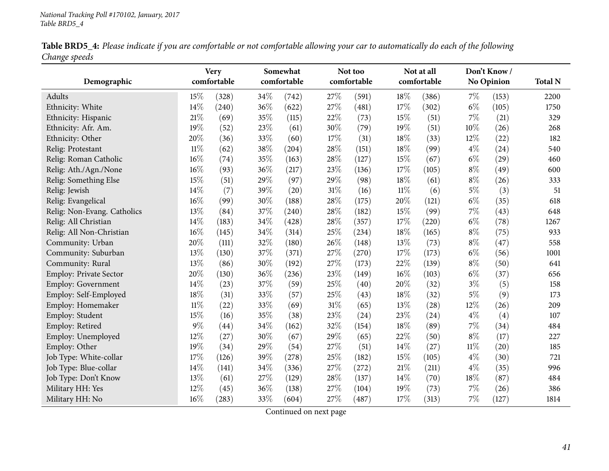|               | Table BRD5_4: Please indicate if you are comfortable or not comfortable allowing your car to automatically do each of the following |  |
|---------------|-------------------------------------------------------------------------------------------------------------------------------------|--|
| Change speeds |                                                                                                                                     |  |

| 0<br>Demographic              |        | <b>Very</b><br>comfortable |      | Somewhat<br>comfortable |        | Not too<br>comfortable |        | Not at all<br>comfortable |       | Don't Know/<br>No Opinion | <b>Total N</b> |
|-------------------------------|--------|----------------------------|------|-------------------------|--------|------------------------|--------|---------------------------|-------|---------------------------|----------------|
| Adults                        | $15\%$ | (328)                      | 34%  | (742)                   | 27%    | (591)                  | 18%    | (386)                     | $7\%$ | (153)                     | 2200           |
| Ethnicity: White              | 14%    | (240)                      | 36%  | (622)                   | 27%    | (481)                  | 17%    | (302)                     | $6\%$ | (105)                     | 1750           |
| Ethnicity: Hispanic           | 21\%   | (69)                       | 35%  | (115)                   | 22%    | (73)                   | 15%    | (51)                      | $7\%$ | (21)                      | 329            |
| Ethnicity: Afr. Am.           | 19%    | (52)                       | 23%  | (61)                    | 30%    | (79)                   | 19%    | (51)                      | 10%   | (26)                      | 268            |
| Ethnicity: Other              | 20%    | (36)                       | 33%  | (60)                    | 17%    | (31)                   | 18%    | (33)                      | 12%   | (22)                      | 182            |
| Relig: Protestant             | $11\%$ | (62)                       | 38%  | (204)                   | 28%    | (151)                  | 18%    | (99)                      | $4\%$ | (24)                      | 540            |
| Relig: Roman Catholic         | 16%    | (74)                       | 35%  | (163)                   | 28%    | (127)                  | 15%    | (67)                      | $6\%$ | (29)                      | 460            |
| Relig: Ath./Agn./None         | 16%    | (93)                       | 36%  | (217)                   | 23%    | (136)                  | 17\%   | (105)                     | $8\%$ | (49)                      | 600            |
| Relig: Something Else         | 15%    | (51)                       | 29%  | (97)                    | 29%    | (98)                   | 18%    | (61)                      | $8\%$ | (26)                      | 333            |
| Relig: Jewish                 | 14%    | (7)                        | 39%  | (20)                    | 31%    | (16)                   | $11\%$ | (6)                       | $5\%$ | (3)                       | 51             |
| Relig: Evangelical            | 16%    | (99)                       | 30%  | (188)                   | 28%    | (175)                  | 20%    | (121)                     | $6\%$ | (35)                      | 618            |
| Relig: Non-Evang. Catholics   | 13%    | (84)                       | 37%  | (240)                   | 28%    | (182)                  | 15%    | (99)                      | 7%    | (43)                      | 648            |
| Relig: All Christian          | 14%    | (183)                      | 34%  | (428)                   | 28%    | (357)                  | 17%    | (220)                     | $6\%$ | (78)                      | 1267           |
| Relig: All Non-Christian      | 16%    | (145)                      | 34%  | (314)                   | 25%    | (234)                  | 18%    | (165)                     | $8\%$ | (75)                      | 933            |
| Community: Urban              | 20%    | (111)                      | 32%  | (180)                   | 26%    | (148)                  | 13%    | (73)                      | $8\%$ | (47)                      | 558            |
| Community: Suburban           | 13%    | (130)                      | 37%  | (371)                   | 27%    | (270)                  | 17%    | (173)                     | $6\%$ | (56)                      | 1001           |
| Community: Rural              | 13%    | (86)                       | 30%  | (192)                   | 27%    | (173)                  | 22%    | (139)                     | $8\%$ | (50)                      | 641            |
| <b>Employ: Private Sector</b> | 20%    | (130)                      | 36%  | (236)                   | 23%    | (149)                  | 16%    | (103)                     | $6\%$ | (37)                      | 656            |
| Employ: Government            | 14%    | (23)                       | 37%  | (59)                    | 25%    | (40)                   | 20%    | (32)                      | $3\%$ | (5)                       | 158            |
| Employ: Self-Employed         | 18%    | (31)                       | 33%  | (57)                    | 25%    | (43)                   | 18%    | (32)                      | $5\%$ | (9)                       | 173            |
| Employ: Homemaker             | $11\%$ | (22)                       | 33%  | (69)                    | $31\%$ | (65)                   | 13%    | (28)                      | 12%   | (26)                      | 209            |
| Employ: Student               | 15%    | (16)                       | 35%  | (38)                    | 23%    | (24)                   | 23%    | (24)                      | $4\%$ | (4)                       | 107            |
| Employ: Retired               | $9\%$  | (44)                       | 34%  | (162)                   | 32%    | (154)                  | 18%    | (89)                      | 7%    | (34)                      | 484            |
| Employ: Unemployed            | $12\%$ | (27)                       | 30%  | (67)                    | 29%    | (65)                   | 22%    | (50)                      | $8\%$ | (17)                      | 227            |
| Employ: Other                 | 19%    | (34)                       | 29%  | (54)                    | 27\%   | (51)                   | 14\%   | (27)                      | 11%   | (20)                      | 185            |
| Job Type: White-collar        | 17%    | (126)                      | 39%  | (278)                   | 25%    | (182)                  | 15%    | (105)                     | $4\%$ | (30)                      | 721            |
| Job Type: Blue-collar         | 14%    | (141)                      | 34%  | (336)                   | 27%    | (272)                  | 21%    | (211)                     | $4\%$ | (35)                      | 996            |
| Job Type: Don't Know          | 13\%   | (61)                       | 27\% | (129)                   | 28%    | (137)                  | 14%    | (70)                      | 18%   | (87)                      | 484            |
| Military HH: Yes              | 12%    | (45)                       | 36%  | (138)                   | 27\%   | (104)                  | 19%    | (73)                      | $7\%$ | (26)                      | 386            |
| Military HH: No               | 16%    | (283)                      | 33%  | (604)                   | 27%    | (487)                  | 17%    | (313)                     | 7%    | (127)                     | 1814           |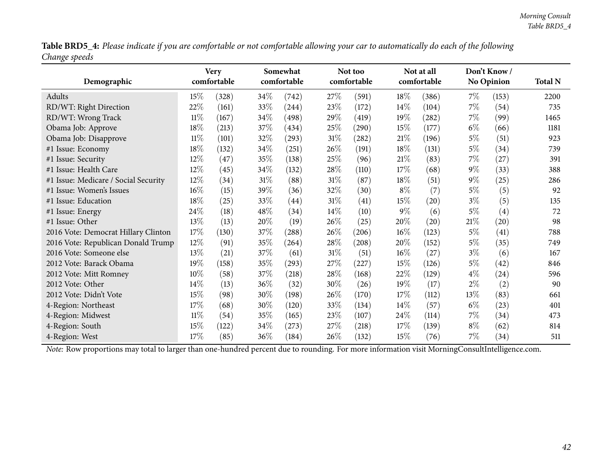Table BRD5\_4: Please indicate if you are comfortable or not comfortable allowing your car to automatically do each of the following *Change speeds*

|                                      |        | <b>Very</b> |      | Somewhat    |        | Not too             |        | Not at all  |        | Don't Know/       |                |
|--------------------------------------|--------|-------------|------|-------------|--------|---------------------|--------|-------------|--------|-------------------|----------------|
| Demographic                          |        | comfortable |      | comfortable |        | comfortable         |        | comfortable |        | <b>No Opinion</b> | <b>Total N</b> |
| Adults                               | 15%    | (328)       | 34\% | (742)       | 27\%   | (591)               | 18%    | (386)       | $7\%$  | (153)             | 2200           |
| RD/WT: Right Direction               | 22%    | (161)       | 33%  | (244)       | 23\%   | (172)               | $14\%$ | (104)       | $7\%$  | (54)              | 735            |
| RD/WT: Wrong Track                   | 11%    | (167)       | 34\% | (498)       | 29%    | (419)               | 19%    | (282)       | $7\%$  | (99)              | 1465           |
| Obama Job: Approve                   | 18%    | (213)       | 37\% | (434)       | 25\%   | $\left( 290\right)$ | 15%    | (177)       | $6\%$  | (66)              | 1181           |
| Obama Job: Disapprove                | $11\%$ | (101)       | 32%  | (293)       | $31\%$ | (282)               | 21%    | (196)       | $5\%$  | (51)              | 923            |
| #1 Issue: Economy                    | 18%    | (132)       | 34\% | (251)       | 26%    | (191)               | 18%    | (131)       | $5\%$  | (34)              | 739            |
| #1 Issue: Security                   | 12%    | (47)        | 35%  | (138)       | 25\%   | (96)                | 21%    | (83)        | $7\%$  | (27)              | 391            |
| #1 Issue: Health Care                | 12%    | (45)        | 34\% | (132)       | 28\%   | (110)               | 17%    | (68)        | $9\%$  | (33)              | 388            |
| #1 Issue: Medicare / Social Security | 12%    | (34)        | 31%  | (88)        | $31\%$ | (87)                | 18%    | (51)        | $9\%$  | (25)              | 286            |
| #1 Issue: Women's Issues             | 16%    | (15)        | 39%  | (36)        | 32%    | (30)                | $8\%$  | (7)         | $5\%$  | (5)               | 92             |
| #1 Issue: Education                  | 18%    | (25)        | 33%  | (44)        | $31\%$ | (41)                | 15%    | (20)        | $3\%$  | (5)               | 135            |
| #1 Issue: Energy                     | 24\%   | (18)        | 48\% | (34)        | $14\%$ | (10)                | $9\%$  | (6)         | $5\%$  | (4)               | 72             |
| #1 Issue: Other                      | 13%    | (13)        | 20%  | (19)        | 26\%   | (25)                | 20%    | (20)        | $21\%$ | (20)              | 98             |
| 2016 Vote: Democrat Hillary Clinton  | 17%    | (130)       | 37%  | (288)       | 26%    | (206)               | $16\%$ | (123)       | $5\%$  | (41)              | 788            |
| 2016 Vote: Republican Donald Trump   | 12%    | (91)        | 35%  | (264)       | 28\%   | (208)               | 20%    | (152)       | $5\%$  | (35)              | 749            |
| 2016 Vote: Someone else              | 13%    | (21)        | 37\% | (61)        | $31\%$ | (51)                | 16%    | (27)        | $3\%$  | (6)               | 167            |
| 2012 Vote: Barack Obama              | 19%    | (158)       | 35%  | (293)       | 27\%   | (227)               | 15%    | (126)       | $5\%$  | (42)              | 846            |
| 2012 Vote: Mitt Romney               | 10%    | (58)        | 37%  | (218)       | 28\%   | (168)               | 22%    | (129)       | $4\%$  | (24)              | 596            |
| 2012 Vote: Other                     | 14%    | (13)        | 36%  | (32)        | 30%    | (26)                | 19%    | (17)        | $2\%$  | (2)               | 90             |
| 2012 Vote: Didn't Vote               | 15%    | (98)        | 30%  | (198)       | 26%    | (170)               | 17\%   | (112)       | $13\%$ | (83)              | 661            |
| 4-Region: Northeast                  | 17%    | (68)        | 30%  | (120)       | 33%    | (134)               | $14\%$ | (57)        | $6\%$  | (23)              | 401            |
| 4-Region: Midwest                    | $11\%$ | (54)        | 35%  | (165)       | 23\%   | (107)               | $24\%$ | (114)       | $7\%$  | (34)              | 473            |
| 4-Region: South                      | 15%    | (122)       | 34\% | (273)       | 27%    | (218)               | 17%    | (139)       | $8\%$  | (62)              | 814            |
| 4-Region: West                       | 17%    | (85)        | 36%  | (184)       | 26\%   | (132)               | 15%    | (76)        | $7\%$  | (34)              | 511            |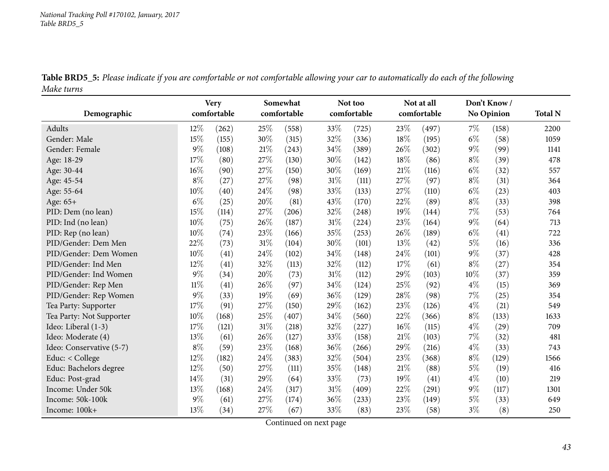|            | Table BRD5_5: Please indicate if you are comfortable or not comfortable allowing your car to automatically do each of the following |  |  |  |
|------------|-------------------------------------------------------------------------------------------------------------------------------------|--|--|--|
| Make turns |                                                                                                                                     |  |  |  |

|                          |        | <b>Very</b> |        | Somewhat    |        | Not too     |      | Not at all  |       | Don't Know/       |                |
|--------------------------|--------|-------------|--------|-------------|--------|-------------|------|-------------|-------|-------------------|----------------|
| Demographic              |        | comfortable |        | comfortable |        | comfortable |      | comfortable |       | <b>No Opinion</b> | <b>Total N</b> |
| Adults                   | 12%    | (262)       | 25%    | (558)       | 33%    | (725)       | 23%  | (497)       | $7\%$ | (158)             | 2200           |
| Gender: Male             | 15%    | (155)       | 30%    | (315)       | 32%    | (336)       | 18%  | (195)       | $6\%$ | (58)              | 1059           |
| Gender: Female           | 9%     | (108)       | $21\%$ | (243)       | 34%    | (389)       | 26%  | (302)       | $9\%$ | (99)              | 1141           |
| Age: 18-29               | 17%    | (80)        | 27\%   | (130)       | 30%    | (142)       | 18%  | (86)        | $8\%$ | (39)              | 478            |
| Age: 30-44               | 16%    | (90)        | 27%    | (150)       | 30%    | (169)       | 21%  | (116)       | $6\%$ | (32)              | 557            |
| Age: 45-54               | $8\%$  | (27)        | 27%    | (98)        | 31%    | (111)       | 27%  | (97)        | $8\%$ | (31)              | 364            |
| Age: 55-64               | 10%    | (40)        | 24%    | (98)        | 33%    | (133)       | 27%  | (110)       | $6\%$ | (23)              | 403            |
| Age: 65+                 | $6\%$  | (25)        | 20%    | (81)        | 43%    | (170)       | 22%  | (89)        | $8\%$ | (33)              | 398            |
| PID: Dem (no lean)       | 15%    | (114)       | 27\%   | (206)       | 32%    | (248)       | 19%  | (144)       | 7%    | (53)              | 764            |
| PID: Ind (no lean)       | 10%    | (75)        | 26%    | (187)       | 31%    | (224)       | 23%  | (164)       | $9\%$ | (64)              | 713            |
| PID: Rep (no lean)       | 10%    | (74)        | 23%    | (166)       | 35%    | (253)       | 26%  | (189)       | $6\%$ | (41)              | 722            |
| PID/Gender: Dem Men      | 22%    | (73)        | 31%    | (104)       | 30%    | (101)       | 13%  | (42)        | $5\%$ | (16)              | 336            |
| PID/Gender: Dem Women    | 10%    | (41)        | 24\%   | (102)       | 34%    | (148)       | 24\% | (101)       | $9\%$ | (37)              | 428            |
| PID/Gender: Ind Men      | 12%    | (41)        | 32%    | (113)       | 32%    | (112)       | 17%  | (61)        | $8\%$ | (27)              | 354            |
| PID/Gender: Ind Women    | 9%     | (34)        | 20%    | (73)        | $31\%$ | (112)       | 29%  | (103)       | 10%   | (37)              | 359            |
| PID/Gender: Rep Men      | $11\%$ | (41)        | 26%    | (97)        | 34%    | (124)       | 25%  | (92)        | $4\%$ | (15)              | 369            |
| PID/Gender: Rep Women    | 9%     | (33)        | 19%    | (69)        | 36%    | (129)       | 28%  | (98)        | 7%    | (25)              | 354            |
| Tea Party: Supporter     | 17%    | (91)        | 27%    | (150)       | 29%    | (162)       | 23%  | (126)       | $4\%$ | (21)              | 549            |
| Tea Party: Not Supporter | 10%    | (168)       | 25%    | (407)       | 34%    | (560)       | 22%  | (366)       | $8\%$ | (133)             | 1633           |
| Ideo: Liberal (1-3)      | 17%    | (121)       | $31\%$ | (218)       | 32%    | (227)       | 16%  | (115)       | $4\%$ | (29)              | 709            |
| Ideo: Moderate (4)       | 13%    | (61)        | 26%    | (127)       | 33%    | (158)       | 21%  | (103)       | 7%    | (32)              | 481            |
| Ideo: Conservative (5-7) | $8\%$  | (59)        | 23%    | (168)       | 36%    | (266)       | 29%  | (216)       | $4\%$ | (33)              | 743            |
| Educ: $<$ College        | 12%    | (182)       | 24%    | (383)       | 32%    | (504)       | 23%  | (368)       | $8\%$ | (129)             | 1566           |
| Educ: Bachelors degree   | 12%    | (50)        | 27%    | (111)       | 35%    | (148)       | 21%  | (88)        | $5\%$ | (19)              | 416            |
| Educ: Post-grad          | 14%    | (31)        | 29%    | (64)        | 33%    | (73)        | 19%  | (41)        | $4\%$ | (10)              | 219            |
| Income: Under 50k        | 13%    | (168)       | 24\%   | (317)       | $31\%$ | (409)       | 22%  | (291)       | $9\%$ | (117)             | 1301           |
| Income: 50k-100k         | $9\%$  | (61)        | 27%    | (174)       | 36%    | (233)       | 23%  | (149)       | $5\%$ | (33)              | 649            |
| Income: 100k+            | 13%    | (34)        | 27%    | (67)        | 33%    | (83)        | 23%  | (58)        | $3\%$ | (8)               | 250            |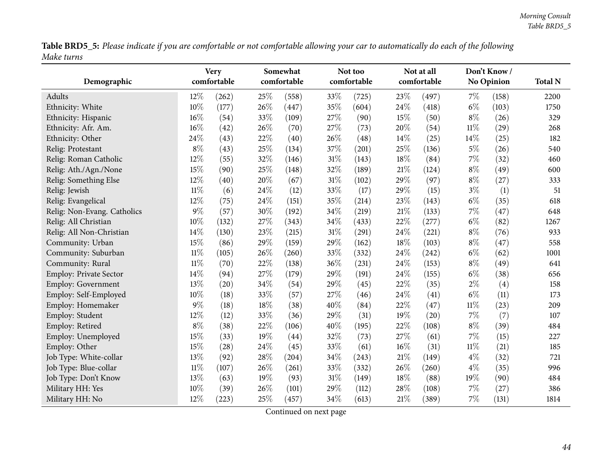Table BRD5\_5: Please indicate if you are comfortable or not comfortable allowing your car to automatically do each of the following *Make turns*

| Demographic                   |        | <b>Very</b><br>comfortable |     | Somewhat<br>comfortable |     | Not too<br>comfortable |     | Not at all<br>comfortable |        | Don't Know /<br><b>No Opinion</b> | <b>Total N</b> |
|-------------------------------|--------|----------------------------|-----|-------------------------|-----|------------------------|-----|---------------------------|--------|-----------------------------------|----------------|
| Adults                        | 12%    | (262)                      | 25% | (558)                   | 33% | (725)                  | 23% | (497)                     | $7\%$  | (158)                             | 2200           |
| Ethnicity: White              | 10%    | (177)                      | 26% | (447)                   | 35% | (604)                  | 24% | (418)                     | $6\%$  | (103)                             | 1750           |
| Ethnicity: Hispanic           | 16%    | (54)                       | 33% | (109)                   | 27% | (90)                   | 15% | (50)                      | $8\%$  | (26)                              | 329            |
| Ethnicity: Afr. Am.           | 16%    | (42)                       | 26% | (70)                    | 27% | (73)                   | 20% | (54)                      | $11\%$ | (29)                              | 268            |
| Ethnicity: Other              | 24%    | (43)                       | 22% | (40)                    | 26% | (48)                   | 14% | (25)                      | 14%    | (25)                              | 182            |
| Relig: Protestant             | $8\%$  | (43)                       | 25% | (134)                   | 37% | (201)                  | 25% | (136)                     | $5\%$  | (26)                              | 540            |
| Relig: Roman Catholic         | 12%    | (55)                       | 32% | (146)                   | 31% | (143)                  | 18% | (84)                      | 7%     | (32)                              | 460            |
| Relig: Ath./Agn./None         | 15%    | (90)                       | 25% | (148)                   | 32% | (189)                  | 21% | (124)                     | $8\%$  | (49)                              | 600            |
| Relig: Something Else         | 12%    | (40)                       | 20% | (67)                    | 31% | (102)                  | 29% | (97)                      | $8\%$  | (27)                              | 333            |
| Relig: Jewish                 | $11\%$ | (6)                        | 24% | (12)                    | 33% | (17)                   | 29% | (15)                      | $3\%$  | (1)                               | 51             |
| Relig: Evangelical            | 12%    | (75)                       | 24% | (151)                   | 35% | (214)                  | 23% | (143)                     | $6\%$  | (35)                              | 618            |
| Relig: Non-Evang. Catholics   | 9%     | (57)                       | 30% | (192)                   | 34% | (219)                  | 21% | (133)                     | 7%     | (47)                              | 648            |
| Relig: All Christian          | 10%    | (132)                      | 27% | (343)                   | 34% | (433)                  | 22% | (277)                     | $6\%$  | (82)                              | 1267           |
| Relig: All Non-Christian      | 14%    | (130)                      | 23% | (215)                   | 31% | (291)                  | 24% | (221)                     | $8\%$  | (76)                              | 933            |
| Community: Urban              | 15%    | (86)                       | 29% | (159)                   | 29% | (162)                  | 18% | (103)                     | $8\%$  | (47)                              | 558            |
| Community: Suburban           | $11\%$ | (105)                      | 26% | (260)                   | 33% | (332)                  | 24% | (242)                     | $6\%$  | (62)                              | 1001           |
| Community: Rural              | $11\%$ | (70)                       | 22% | (138)                   | 36% | (231)                  | 24% | (153)                     | $8\%$  | (49)                              | 641            |
| <b>Employ: Private Sector</b> | 14%    | (94)                       | 27% | (179)                   | 29% | (191)                  | 24% | (155)                     | $6\%$  | (38)                              | 656            |
| <b>Employ: Government</b>     | 13%    | (20)                       | 34% | (54)                    | 29% | (45)                   | 22% | (35)                      | $2\%$  | (4)                               | 158            |
| Employ: Self-Employed         | 10%    | (18)                       | 33% | (57)                    | 27% | (46)                   | 24% | (41)                      | $6\%$  | (11)                              | 173            |
| Employ: Homemaker             | 9%     | (18)                       | 18% | (38)                    | 40% | (84)                   | 22% | (47)                      | $11\%$ | (23)                              | 209            |
| Employ: Student               | 12%    | (12)                       | 33% | (36)                    | 29% | (31)                   | 19% | (20)                      | 7%     | (7)                               | 107            |
| Employ: Retired               | $8\%$  | (38)                       | 22% | (106)                   | 40% | (195)                  | 22% | (108)                     | $8\%$  | (39)                              | 484            |
| Employ: Unemployed            | 15%    | (33)                       | 19% | (44)                    | 32% | (73)                   | 27% | (61)                      | 7%     | (15)                              | 227            |
| Employ: Other                 | 15%    | (28)                       | 24% | (45)                    | 33% | (61)                   | 16% | (31)                      | $11\%$ | (21)                              | 185            |
| Job Type: White-collar        | 13%    | (92)                       | 28% | (204)                   | 34% | (243)                  | 21% | (149)                     | $4\%$  | (32)                              | 721            |
| Job Type: Blue-collar         | $11\%$ | (107)                      | 26% | (261)                   | 33% | (332)                  | 26% | (260)                     | $4\%$  | (35)                              | 996            |
| Job Type: Don't Know          | 13%    | (63)                       | 19% | (93)                    | 31% | (149)                  | 18% | (88)                      | 19%    | (90)                              | 484            |
| Military HH: Yes              | 10%    | (39)                       | 26% | (101)                   | 29% | (112)                  | 28% | (108)                     | 7%     | (27)                              | 386            |
| Military HH: No               | 12%    | (223)                      | 25% | (457)                   | 34% | (613)                  | 21% | (389)                     | 7%     | (131)                             | 1814           |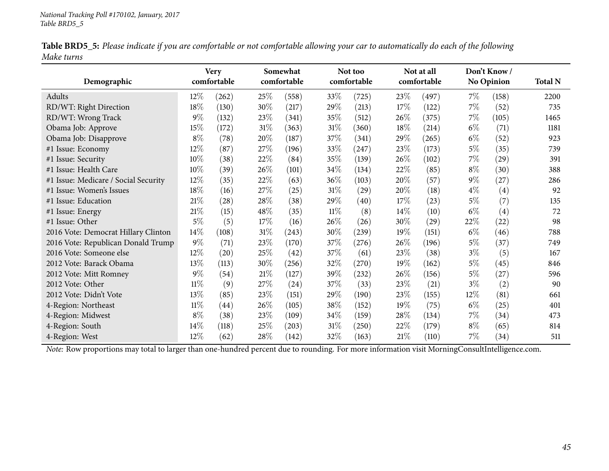|            | Table BRD5_5: Please indicate if you are comfortable or not comfortable allowing your car to automatically do each of the following |  |
|------------|-------------------------------------------------------------------------------------------------------------------------------------|--|
| Make turns |                                                                                                                                     |  |

|                                      |        | <b>Very</b> |        | Somewhat    |        | Not too     |        | Not at all  |        | Don't Know/       |                |
|--------------------------------------|--------|-------------|--------|-------------|--------|-------------|--------|-------------|--------|-------------------|----------------|
| Demographic                          |        | comfortable |        | comfortable |        | comfortable |        | comfortable |        | <b>No Opinion</b> | <b>Total N</b> |
| Adults                               | $12\%$ | (262)       | 25\%   | (558)       | 33\%   | (725)       | 23\%   | (497)       | $7\%$  | (158)             | 2200           |
| RD/WT: Right Direction               | 18%    | (130)       | 30%    | (217)       | 29%    | (213)       | 17%    | (122)       | $7\%$  | (52)              | 735            |
| RD/WT: Wrong Track                   | 9%     | (132)       | 23\%   | (341)       | 35%    | (512)       | 26\%   | (375)       | $7\%$  | (105)             | 1465           |
| Obama Job: Approve                   | 15%    | (172)       | $31\%$ | (363)       | $31\%$ | (360)       | 18%    | (214)       | $6\%$  | (71)              | 1181           |
| Obama Job: Disapprove                | $8\%$  | (78)        | 20%    | (187)       | 37\%   | (341)       | $29\%$ | (265)       | $6\%$  | (52)              | 923            |
| #1 Issue: Economy                    | 12%    | (87)        | 27\%   | (196)       | 33\%   | (247)       | 23\%   | (173)       | $5\%$  | (35)              | 739            |
| #1 Issue: Security                   | 10%    | (38)        | 22\%   | (84)        | 35%    | (139)       | 26\%   | (102)       | $7\%$  | (29)              | 391            |
| #1 Issue: Health Care                | 10%    | (39)        | 26\%   | (101)       | 34\%   | (134)       | 22\%   | (85)        | $8\%$  | (30)              | 388            |
| #1 Issue: Medicare / Social Security | $12\%$ | (35)        | 22%    | (63)        | 36%    | (103)       | 20%    | (57)        | $9\%$  | (27)              | 286            |
| #1 Issue: Women's Issues             | 18%    | (16)        | 27%    | (25)        | $31\%$ | (29)        | 20%    | (18)        | $4\%$  | (4)               | 92             |
| #1 Issue: Education                  | $21\%$ | (28)        | 28\%   | (38)        | 29%    | (40)        | 17%    | (23)        | $5\%$  | (7)               | 135            |
| #1 Issue: Energy                     | 21%    | (15)        | 48\%   | (35)        | $11\%$ | (8)         | $14\%$ | (10)        | $6\%$  | (4)               | 72             |
| #1 Issue: Other                      | $5\%$  | (5)         | 17%    | (16)        | 26\%   | (26)        | 30\%   | (29)        | 22\%   | (22)              | 98             |
| 2016 Vote: Democrat Hillary Clinton  | 14%    | (108)       | $31\%$ | (243)       | 30%    | (239)       | 19%    | (151)       | $6\%$  | (46)              | 788            |
| 2016 Vote: Republican Donald Trump   | $9\%$  | (71)        | 23\%   | (170)       | 37\%   | (276)       | 26\%   | (196)       | $5\%$  | (37)              | 749            |
| 2016 Vote: Someone else              | $12\%$ | (20)        | 25\%   | (42)        | 37\%   | (61)        | 23\%   | (38)        | $3\%$  | (5)               | 167            |
| 2012 Vote: Barack Obama              | 13%    | (113)       | 30%    | (256)       | 32%    | (270)       | 19%    | (162)       | $5\%$  | (45)              | 846            |
| 2012 Vote: Mitt Romney               | $9\%$  | (54)        | $21\%$ | (127)       | 39%    | (232)       | 26%    | (156)       | $5\%$  | (27)              | 596            |
| 2012 Vote: Other                     | $11\%$ | (9)         | 27\%   | (24)        | 37\%   | (33)        | 23\%   | (21)        | $3\%$  | (2)               | 90             |
| 2012 Vote: Didn't Vote               | 13%    | (85)        | 23\%   | (151)       | 29\%   | (190)       | 23\%   | (155)       | $12\%$ | (81)              | 661            |
| 4-Region: Northeast                  | $11\%$ | (44)        | $26\%$ | (105)       | 38\%   | (152)       | 19%    | (75)        | $6\%$  | (25)              | 401            |
| 4-Region: Midwest                    | $8\%$  | (38)        | 23\%   | (109)       | 34\%   | (159)       | $28\%$ | (134)       | $7\%$  | (34)              | 473            |
| 4-Region: South                      | 14%    | (118)       | 25%    | (203)       | $31\%$ | (250)       | 22\%   | (179)       | $8\%$  | (65)              | 814            |
| 4-Region: West                       | $12\%$ | (62)        | $28\%$ | (142)       | 32\%   | (163)       | 21%    | (110)       | $7\%$  | (34)              | 511            |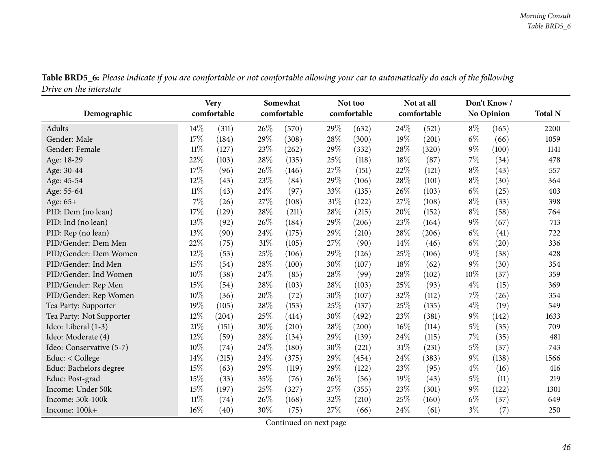|                          |        | <b>Very</b> |        | Somewhat    |     | Not too     |      | Not at all  |       | Don't Know        |                |
|--------------------------|--------|-------------|--------|-------------|-----|-------------|------|-------------|-------|-------------------|----------------|
| Demographic              |        | comfortable |        | comfortable |     | comfortable |      | comfortable |       | <b>No Opinion</b> | <b>Total N</b> |
| Adults                   | 14%    | (311)       | 26\%   | (570)       | 29% | (632)       | 24\% | (521)       | $8\%$ | (165)             | 2200           |
| Gender: Male             | 17%    | (184)       | 29%    | (308)       | 28% | (300)       | 19%  | (201)       | $6\%$ | (66)              | 1059           |
| Gender: Female           | 11%    | (127)       | 23%    | (262)       | 29% | (332)       | 28%  | (320)       | $9\%$ | (100)             | 1141           |
| Age: 18-29               | 22%    | (103)       | 28%    | (135)       | 25% | (118)       | 18%  | (87)        | 7%    | (34)              | 478            |
| Age: 30-44               | 17%    | (96)        | 26%    | (146)       | 27% | (151)       | 22%  | (121)       | $8\%$ | (43)              | 557            |
| Age: 45-54               | 12%    | (43)        | 23%    | (84)        | 29% | (106)       | 28%  | (101)       | $8\%$ | (30)              | 364            |
| Age: 55-64               | $11\%$ | (43)        | 24%    | (97)        | 33% | (135)       | 26%  | (103)       | $6\%$ | (25)              | 403            |
| Age: 65+                 | 7%     | (26)        | 27%    | (108)       | 31% | (122)       | 27%  | (108)       | $8\%$ | (33)              | 398            |
| PID: Dem (no lean)       | 17%    | (129)       | 28%    | (211)       | 28% | (215)       | 20%  | (152)       | $8\%$ | (58)              | 764            |
| PID: Ind (no lean)       | 13%    | (92)        | 26%    | (184)       | 29% | (206)       | 23%  | (164)       | $9\%$ | (67)              | 713            |
| PID: Rep (no lean)       | 13%    | (90)        | 24\%   | (175)       | 29% | (210)       | 28%  | (206)       | $6\%$ | (41)              | 722            |
| PID/Gender: Dem Men      | 22%    | (75)        | 31%    | (105)       | 27% | (90)        | 14%  | (46)        | $6\%$ | (20)              | 336            |
| PID/Gender: Dem Women    | 12%    | (53)        | 25%    | (106)       | 29% | (126)       | 25%  | (106)       | $9\%$ | (38)              | 428            |
| PID/Gender: Ind Men      | 15%    | (54)        | 28%    | (100)       | 30% | (107)       | 18%  | (62)        | 9%    | (30)              | 354            |
| PID/Gender: Ind Women    | 10%    | (38)        | 24%    | (85)        | 28% | (99)        | 28%  | (102)       | 10%   | (37)              | 359            |
| PID/Gender: Rep Men      | 15%    | (54)        | 28%    | (103)       | 28% | (103)       | 25%  | (93)        | $4\%$ | (15)              | 369            |
| PID/Gender: Rep Women    | 10%    | (36)        | 20%    | (72)        | 30% | (107)       | 32%  | (112)       | $7\%$ | (26)              | 354            |
| Tea Party: Supporter     | 19%    | (105)       | 28%    | (153)       | 25% | (137)       | 25%  | (135)       | $4\%$ | (19)              | 549            |
| Tea Party: Not Supporter | 12%    | (204)       | 25%    | (414)       | 30% | (492)       | 23%  | (381)       | $9\%$ | (142)             | 1633           |
| Ideo: Liberal (1-3)      | 21%    | (151)       | 30%    | (210)       | 28% | (200)       | 16%  | (114)       | $5\%$ | (35)              | 709            |
| Ideo: Moderate (4)       | 12%    | (59)        | 28%    | (134)       | 29% | (139)       | 24%  | (115)       | $7\%$ | (35)              | 481            |
| Ideo: Conservative (5-7) | 10%    | (74)        | 24\%   | (180)       | 30% | (221)       | 31%  | (231)       | $5\%$ | (37)              | 743            |
| Educ: < College          | 14\%   | (215)       | 24%    | (375)       | 29% | (454)       | 24%  | (383)       | $9\%$ | (138)             | 1566           |
| Educ: Bachelors degree   | 15%    | (63)        | 29%    | (119)       | 29% | (122)       | 23%  | (95)        | $4\%$ | (16)              | 416            |
| Educ: Post-grad          | 15%    | (33)        | 35%    | (76)        | 26% | (56)        | 19%  | (43)        | $5\%$ | (11)              | 219            |
| Income: Under 50k        | 15%    | (197)       | $25\%$ | (327)       | 27% | (355)       | 23%  | (301)       | $9\%$ | (122)             | 1301           |
| Income: 50k-100k         | $11\%$ | (74)        | 26%    | (168)       | 32% | (210)       | 25%  | (160)       | $6\%$ | (37)              | 649            |
| Income: 100k+            | 16%    | (40)        | 30%    | (75)        | 27% | (66)        | 24%  | (61)        | $3\%$ | (7)               | 250            |

Table BRD5\_6: Please indicate if you are comfortable or not comfortable allowing your car to automatically do each of the following *Drive on the interstate*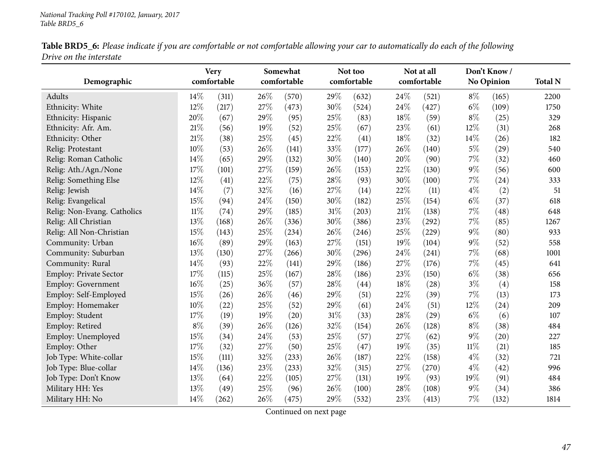|                         |  |  | Table BRD5_6: Please indicate if you are comfortable or not comfortable allowing your car to automatically do each of the following |  |
|-------------------------|--|--|-------------------------------------------------------------------------------------------------------------------------------------|--|
| Drive on the interstate |  |  |                                                                                                                                     |  |

| Demographic                   |        | <b>Very</b><br>comfortable |      | Somewhat<br>comfortable |     | Not too<br>comfortable |        | Not at all<br>comfortable |        | Don't Know/<br>No Opinion | <b>Total N</b> |
|-------------------------------|--------|----------------------------|------|-------------------------|-----|------------------------|--------|---------------------------|--------|---------------------------|----------------|
| Adults                        | 14%    | (311)                      | 26%  | (570)                   | 29% | (632)                  | 24%    | (521)                     | $8\%$  | (165)                     | 2200           |
| Ethnicity: White              | 12%    | (217)                      | 27%  | (473)                   | 30% | (524)                  | 24%    | (427)                     | $6\%$  | (109)                     | 1750           |
| Ethnicity: Hispanic           | 20%    | (67)                       | 29%  | (95)                    | 25% | (83)                   | 18%    | (59)                      | $8\%$  | (25)                      | 329            |
| Ethnicity: Afr. Am.           | 21%    | (56)                       | 19%  | (52)                    | 25% | (67)                   | 23%    | (61)                      | 12%    | (31)                      | 268            |
| Ethnicity: Other              | 21%    | (38)                       | 25%  | (45)                    | 22% | (41)                   | 18%    | (32)                      | 14%    | (26)                      | 182            |
| Relig: Protestant             | 10%    | (53)                       | 26%  | (141)                   | 33% | (177)                  | 26%    | (140)                     | $5\%$  | (29)                      | 540            |
| Relig: Roman Catholic         | 14%    | (65)                       | 29%  | (132)                   | 30% | (140)                  | 20%    | (90)                      | 7%     | (32)                      | 460            |
| Relig: Ath./Agn./None         | 17%    | (101)                      | 27%  | (159)                   | 26% | (153)                  | 22%    | (130)                     | $9\%$  | (56)                      | 600            |
| Relig: Something Else         | 12%    | (41)                       | 22%  | (75)                    | 28% | (93)                   | 30%    | (100)                     | 7%     | (24)                      | 333            |
| Relig: Jewish                 | 14%    | (7)                        | 32%  | (16)                    | 27% | (14)                   | 22%    | (11)                      | $4\%$  | (2)                       | 51             |
| Relig: Evangelical            | 15%    | (94)                       | 24%  | (150)                   | 30% | (182)                  | 25%    | (154)                     | $6\%$  | (37)                      | 618            |
| Relig: Non-Evang. Catholics   | $11\%$ | (74)                       | 29%  | (185)                   | 31% | (203)                  | $21\%$ | (138)                     | 7%     | (48)                      | 648            |
| Relig: All Christian          | 13%    | (168)                      | 26%  | (336)                   | 30% | (386)                  | 23%    | (292)                     | 7%     | (85)                      | 1267           |
| Relig: All Non-Christian      | 15%    | (143)                      | 25%  | (234)                   | 26% | (246)                  | 25%    | (229)                     | $9\%$  | (80)                      | 933            |
| Community: Urban              | 16%    | (89)                       | 29%  | (163)                   | 27% | (151)                  | 19%    | (104)                     | 9%     | (52)                      | 558            |
| Community: Suburban           | 13%    | (130)                      | 27%  | (266)                   | 30% | (296)                  | 24%    | (241)                     | 7%     | (68)                      | 1001           |
| Community: Rural              | 14%    | (93)                       | 22%  | (141)                   | 29% | (186)                  | 27%    | (176)                     | 7%     | (45)                      | 641            |
| <b>Employ: Private Sector</b> | 17%    | (115)                      | 25%  | (167)                   | 28% | (186)                  | 23%    | (150)                     | $6\%$  | (38)                      | 656            |
| <b>Employ: Government</b>     | 16%    | (25)                       | 36%  | (57)                    | 28% | (44)                   | 18%    | (28)                      | $3\%$  | (4)                       | 158            |
| Employ: Self-Employed         | 15%    | (26)                       | 26%  | (46)                    | 29% | (51)                   | 22%    | (39)                      | 7%     | (13)                      | 173            |
| Employ: Homemaker             | 10%    | (22)                       | 25%  | (52)                    | 29% | (61)                   | 24%    | (51)                      | 12%    | (24)                      | 209            |
| Employ: Student               | 17%    | (19)                       | 19%  | (20)                    | 31% | (33)                   | 28%    | (29)                      | $6\%$  | (6)                       | 107            |
| Employ: Retired               | $8\%$  | (39)                       | 26%  | (126)                   | 32% | (154)                  | 26%    | (128)                     | $8\%$  | (38)                      | 484            |
| Employ: Unemployed            | 15%    | (34)                       | 24\% | (53)                    | 25% | (57)                   | 27%    | (62)                      | $9\%$  | (20)                      | 227            |
| Employ: Other                 | 17%    | (32)                       | 27\% | (50)                    | 25% | (47)                   | 19%    | (35)                      | $11\%$ | (21)                      | 185            |
| Job Type: White-collar        | 15%    | (111)                      | 32%  | (233)                   | 26% | (187)                  | 22%    | (158)                     | $4\%$  | (32)                      | 721            |
| Job Type: Blue-collar         | 14%    | (136)                      | 23%  | (233)                   | 32% | (315)                  | 27%    | (270)                     | $4\%$  | (42)                      | 996            |
| Job Type: Don't Know          | 13%    | (64)                       | 22%  | (105)                   | 27% | (131)                  | 19%    | (93)                      | 19%    | (91)                      | 484            |
| Military HH: Yes              | 13%    | (49)                       | 25%  | (96)                    | 26% | (100)                  | 28%    | (108)                     | $9\%$  | (34)                      | 386            |
| Military HH: No               | 14%    | (262)                      | 26%  | (475)                   | 29% | (532)                  | 23%    | (413)                     | 7%     | (132)                     | 1814           |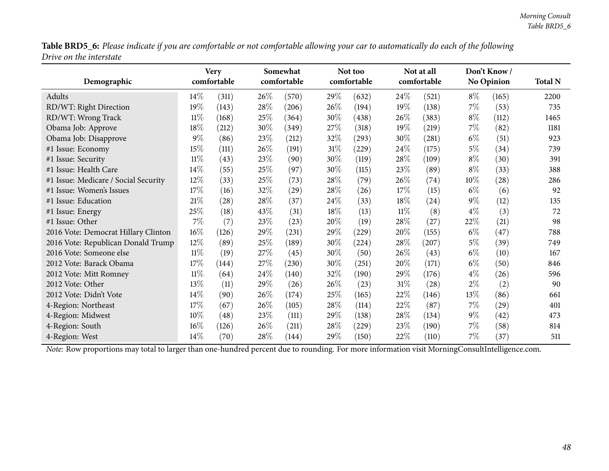Table BRD5\_6: Please indicate if you are comfortable or not comfortable allowing your car to automatically do each of the following *Drive on the interstate*

|                                      |        | <b>Very</b> |        | Somewhat           |        | Not too             |        | Not at all  |        | Don't Know/       |                |
|--------------------------------------|--------|-------------|--------|--------------------|--------|---------------------|--------|-------------|--------|-------------------|----------------|
| Demographic                          |        | comfortable |        | comfortable        |        | comfortable         |        | comfortable |        | <b>No Opinion</b> | <b>Total N</b> |
| Adults                               | 14%    | (311)       | 26%    | (570)              | 29%    | (632)               | 24\%   | (521)       | $8\%$  | (165)             | 2200           |
| RD/WT: Right Direction               | 19%    | (143)       | 28%    | (206)              | 26%    | (194)               | 19%    | (138)       | $7\%$  | (53)              | 735            |
| RD/WT: Wrong Track                   | $11\%$ | (168)       | 25\%   | (364)              | 30%    | (438)               | $26\%$ | (383)       | $8\%$  | (112)             | 1465           |
| Obama Job: Approve                   | 18%    | (212)       | 30%    | (349)              | 27\%   | (318)               | 19%    | (219)       | $7\%$  | (82)              | 1181           |
| Obama Job: Disapprove                | $9\%$  | (86)        | 23%    | (212)              | 32%    | (293)               | 30%    | (281)       | $6\%$  | (51)              | 923            |
| #1 Issue: Economy                    | 15%    | (111)       | 26\%   | (191)              | $31\%$ | $\left( 229\right)$ | 24\%   | (175)       | $5\%$  | (34)              | 739            |
| #1 Issue: Security                   | $11\%$ | (43)        | 23\%   | (90)               | 30%    | (119)               | 28\%   | (109)       | $8\%$  | (30)              | 391            |
| #1 Issue: Health Care                | 14%    | (55)        | 25%    | (97)               | 30%    | (115)               | 23%    | (89)        | $8\%$  | (33)              | 388            |
| #1 Issue: Medicare / Social Security | 12%    | (33)        | 25\%   | (73)               | 28\%   | (79)                | 26\%   | (74)        | $10\%$ | (28)              | 286            |
| #1 Issue: Women's Issues             | 17%    | (16)        | 32%    | $\left( 29\right)$ | 28\%   | (26)                | 17%    | (15)        | $6\%$  | (6)               | 92             |
| #1 Issue: Education                  | 21%    | (28)        | 28\%   | (37)               | 24\%   | (33)                | 18%    | (24)        | $9\%$  | (12)              | 135            |
| #1 Issue: Energy                     | 25%    | (18)        | 43\%   | (31)               | 18%    | (13)                | $11\%$ | (8)         | $4\%$  | (3)               | 72             |
| #1 Issue: Other                      | $7\%$  | (7)         | 23\%   | (23)               | 20%    | (19)                | 28\%   | (27)        | 22%    | (21)              | 98             |
| 2016 Vote: Democrat Hillary Clinton  | 16%    | (126)       | 29\%   | (231)              | 29%    | (229)               | 20%    | (155)       | $6\%$  | (47)              | 788            |
| 2016 Vote: Republican Donald Trump   | 12%    | (89)        | 25%    | (189)              | 30%    | (224)               | 28\%   | (207)       | $5\%$  | (39)              | 749            |
| 2016 Vote: Someone else              | $11\%$ | (19)        | 27\%   | (45)               | 30%    | (50)                | 26\%   | (43)        | $6\%$  | (10)              | 167            |
| 2012 Vote: Barack Obama              | 17%    | (144)       | 27\%   | (230)              | $30\%$ | (251)               | 20%    | (171)       | $6\%$  | (50)              | 846            |
| 2012 Vote: Mitt Romney               | $11\%$ | (64)        | 24\%   | (140)              | 32%    | (190)               | 29%    | (176)       | $4\%$  | (26)              | 596            |
| 2012 Vote: Other                     | 13%    | (11)        | 29%    | (26)               | 26\%   | (23)                | $31\%$ | (28)        | $2\%$  | (2)               | 90             |
| 2012 Vote: Didn't Vote               | 14%    | (90)        | $26\%$ | (174)              | 25%    | (165)               | 22%    | (146)       | $13\%$ | (86)              | 661            |
| 4-Region: Northeast                  | 17%    | (67)        | 26\%   | (105)              | 28\%   | (114)               | 22%    | (87)        | $7\%$  | (29)              | 401            |
| 4-Region: Midwest                    | 10%    | (48)        | 23\%   | (111)              | 29%    | (138)               | 28\%   | (134)       | $9\%$  | (42)              | 473            |
| 4-Region: South                      | 16%    | (126)       | 26\%   | (211)              | 28\%   | (229)               | 23\%   | (190)       | $7\%$  | (58)              | 814            |
| 4-Region: West                       | 14\%   | (70)        | 28%    | (144)              | 29%    | (150)               | 22%    | (110)       | $7\%$  | (37)              | 511            |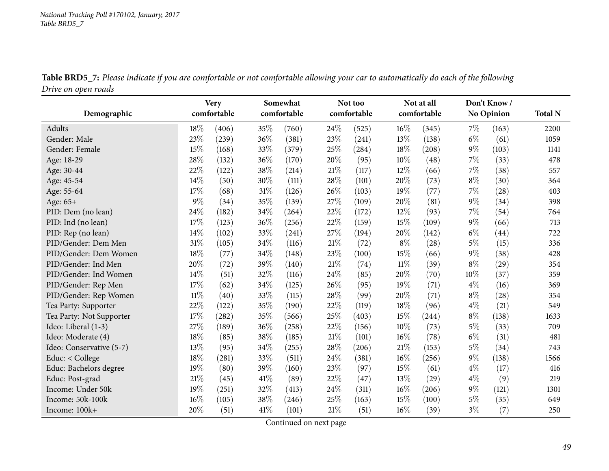|                          |        | <b>Very</b><br>comfortable |      | Somewhat<br>comfortable |        | Not too<br>comfortable |        | Not at all<br>comfortable |       | Don't Know        | <b>Total N</b> |
|--------------------------|--------|----------------------------|------|-------------------------|--------|------------------------|--------|---------------------------|-------|-------------------|----------------|
| Demographic              |        |                            |      |                         |        |                        |        |                           |       | <b>No Opinion</b> |                |
| Adults                   | 18%    | (406)                      | 35%  | (760)                   | 24\%   | (525)                  | $16\%$ | (345)                     | $7\%$ | (163)             | 2200           |
| Gender: Male             | 23%    | (239)                      | 36%  | (381)                   | 23%    | (241)                  | 13%    | (138)                     | $6\%$ | (61)              | 1059           |
| Gender: Female           | 15%    | (168)                      | 33%  | (379)                   | 25%    | (284)                  | 18%    | (208)                     | $9\%$ | (103)             | 1141           |
| Age: 18-29               | 28%    | (132)                      | 36%  | (170)                   | 20%    | (95)                   | 10%    | (48)                      | 7%    | (33)              | 478            |
| Age: 30-44               | 22%    | (122)                      | 38%  | (214)                   | $21\%$ | (117)                  | 12%    | (66)                      | $7\%$ | (38)              | 557            |
| Age: 45-54               | 14%    | (50)                       | 30%  | (111)                   | 28%    | (101)                  | 20%    | (73)                      | $8\%$ | (30)              | 364            |
| Age: 55-64               | 17%    | (68)                       | 31%  | (126)                   | 26%    | (103)                  | 19%    | (77)                      | 7%    | (28)              | 403            |
| Age: 65+                 | $9\%$  | (34)                       | 35%  | (139)                   | 27%    | (109)                  | 20%    | (81)                      | $9\%$ | (34)              | 398            |
| PID: Dem (no lean)       | 24%    | (182)                      | 34%  | (264)                   | 22%    | (172)                  | 12%    | (93)                      | 7%    | (54)              | 764            |
| PID: Ind (no lean)       | 17%    | (123)                      | 36%  | (256)                   | 22%    | (159)                  | 15%    | (109)                     | $9\%$ | (66)              | 713            |
| PID: Rep (no lean)       | 14%    | (102)                      | 33%  | (241)                   | 27%    | (194)                  | 20%    | (142)                     | $6\%$ | (44)              | 722            |
| PID/Gender: Dem Men      | 31%    | (105)                      | 34%  | (116)                   | 21\%   | (72)                   | $8\%$  | (28)                      | $5\%$ | (15)              | 336            |
| PID/Gender: Dem Women    | 18%    | (77)                       | 34%  | (148)                   | 23%    | (100)                  | 15%    | (66)                      | $9\%$ | (38)              | 428            |
| PID/Gender: Ind Men      | 20%    | (72)                       | 39%  | (140)                   | $21\%$ | (74)                   | $11\%$ | (39)                      | $8\%$ | (29)              | 354            |
| PID/Gender: Ind Women    | 14%    | (51)                       | 32%  | (116)                   | 24%    | (85)                   | 20%    | (70)                      | 10%   | (37)              | 359            |
| PID/Gender: Rep Men      | 17%    | (62)                       | 34%  | (125)                   | 26%    | (95)                   | 19%    | (71)                      | $4\%$ | (16)              | 369            |
| PID/Gender: Rep Women    | $11\%$ | (40)                       | 33%  | (115)                   | 28%    | (99)                   | 20%    | (71)                      | $8\%$ | (28)              | 354            |
| Tea Party: Supporter     | 22%    | (122)                      | 35%  | (190)                   | 22%    | (119)                  | 18%    | (96)                      | $4\%$ | (21)              | 549            |
| Tea Party: Not Supporter | 17%    | (282)                      | 35%  | (566)                   | 25%    | (403)                  | 15%    | (244)                     | $8\%$ | (138)             | 1633           |
| Ideo: Liberal (1-3)      | 27%    | (189)                      | 36%  | (258)                   | 22%    | (156)                  | 10%    | (73)                      | $5\%$ | (33)              | 709            |
| Ideo: Moderate (4)       | 18%    | (85)                       | 38%  | (185)                   | $21\%$ | (101)                  | 16%    | (78)                      | $6\%$ | (31)              | 481            |
| Ideo: Conservative (5-7) | 13%    | (95)                       | 34%  | (255)                   | 28%    | (206)                  | 21%    | (153)                     | $5\%$ | (34)              | 743            |
| Educ: < College          | 18%    | (281)                      | 33%  | (511)                   | 24\%   | (381)                  | 16%    | (256)                     | $9\%$ | (138)             | 1566           |
| Educ: Bachelors degree   | 19%    | (80)                       | 39%  | (160)                   | 23%    | (97)                   | 15%    | (61)                      | $4\%$ | (17)              | 416            |
| Educ: Post-grad          | 21\%   | (45)                       | 41\% | (89)                    | 22%    | (47)                   | 13%    | (29)                      | $4\%$ | (9)               | 219            |
| Income: Under 50k        | 19%    | (251)                      | 32%  | (413)                   | 24%    | (311)                  | 16%    | (206)                     | $9\%$ | (121)             | 1301           |
| Income: 50k-100k         | 16%    | (105)                      | 38%  | (246)                   | 25%    | (163)                  | 15%    | (100)                     | $5\%$ | (35)              | 649            |
| Income: 100k+            | 20%    | (51)                       | 41%  | (101)                   | 21%    | (51)                   | 16%    | (39)                      | $3\%$ | (7)               | 250            |

Table BRD5\_7: Please indicate if you are comfortable or not comfortable allowing your car to automatically do each of the following *Drive on open roads*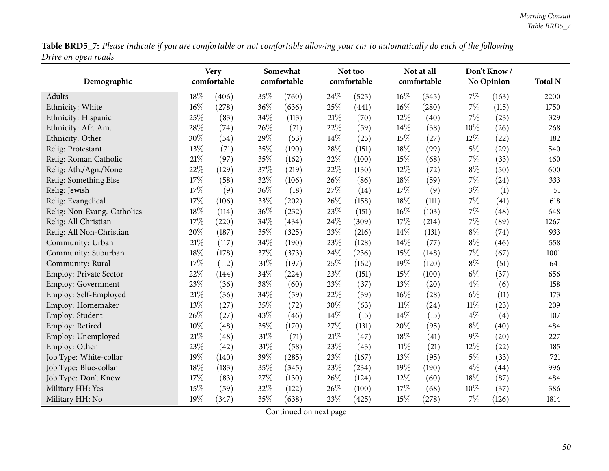Table BRD5\_7: Please indicate if you are comfortable or not comfortable allowing your car to automatically do each of the following *Drive on open roads*

|                               |        | <b>Very</b> |     | Somewhat    |     | Not too     |        | Not at all  |        | Don't Know/ |                |
|-------------------------------|--------|-------------|-----|-------------|-----|-------------|--------|-------------|--------|-------------|----------------|
| Demographic                   |        | comfortable |     | comfortable |     | comfortable |        | comfortable |        | No Opinion  | <b>Total N</b> |
| Adults                        | 18%    | (406)       | 35% | (760)       | 24% | (525)       | $16\%$ | (345)       | 7%     | (163)       | 2200           |
| Ethnicity: White              | 16%    | (278)       | 36% | (636)       | 25% | (441)       | 16%    | (280)       | $7\%$  | (115)       | 1750           |
| Ethnicity: Hispanic           | 25%    | (83)        | 34% | (113)       | 21% | (70)        | 12%    | (40)        | 7%     | (23)        | 329            |
| Ethnicity: Afr. Am.           | 28%    | (74)        | 26% | (71)        | 22% | (59)        | 14%    | (38)        | 10%    | (26)        | 268            |
| Ethnicity: Other              | 30%    | (54)        | 29% | (53)        | 14% | (25)        | 15%    | (27)        | 12%    | (22)        | 182            |
| Relig: Protestant             | 13%    | (71)        | 35% | (190)       | 28% | (151)       | 18%    | (99)        | $5\%$  | (29)        | 540            |
| Relig: Roman Catholic         | 21%    | (97)        | 35% | (162)       | 22% | (100)       | 15%    | (68)        | 7%     | (33)        | 460            |
| Relig: Ath./Agn./None         | 22%    | (129)       | 37% | (219)       | 22% | (130)       | 12%    | (72)        | $8\%$  | (50)        | 600            |
| Relig: Something Else         | 17%    | (58)        | 32% | (106)       | 26% | (86)        | 18%    | (59)        | 7%     | (24)        | 333            |
| Relig: Jewish                 | 17%    | (9)         | 36% | (18)        | 27% | (14)        | 17%    | (9)         | $3\%$  | (1)         | 51             |
| Relig: Evangelical            | 17%    | (106)       | 33% | (202)       | 26% | (158)       | 18%    | (111)       | 7%     | (41)        | 618            |
| Relig: Non-Evang. Catholics   | 18%    | (114)       | 36% | (232)       | 23% | (151)       | 16%    | (103)       | 7%     | (48)        | 648            |
| Relig: All Christian          | 17%    | (220)       | 34% | (434)       | 24% | (309)       | 17%    | (214)       | 7%     | (89)        | 1267           |
| Relig: All Non-Christian      | 20%    | (187)       | 35% | (325)       | 23% | (216)       | 14%    | (131)       | $8\%$  | (74)        | 933            |
| Community: Urban              | 21%    | (117)       | 34% | (190)       | 23% | (128)       | 14%    | (77)        | $8\%$  | (46)        | 558            |
| Community: Suburban           | 18%    | (178)       | 37% | (373)       | 24% | (236)       | 15%    | (148)       | 7%     | (67)        | 1001           |
| Community: Rural              | 17%    | (112)       | 31% | (197)       | 25% | (162)       | 19%    | (120)       | $8\%$  | (51)        | 641            |
| <b>Employ: Private Sector</b> | 22%    | (144)       | 34% | (224)       | 23% | (151)       | 15%    | (100)       | $6\%$  | (37)        | 656            |
| Employ: Government            | 23%    | (36)        | 38% | (60)        | 23% | (37)        | 13%    | (20)        | $4\%$  | (6)         | 158            |
| Employ: Self-Employed         | 21%    | (36)        | 34% | (59)        | 22% | (39)        | 16%    | (28)        | $6\%$  | (11)        | 173            |
| Employ: Homemaker             | 13%    | (27)        | 35% | (72)        | 30% | (63)        | $11\%$ | (24)        | $11\%$ | (23)        | 209            |
| Employ: Student               | 26%    | (27)        | 43% | (46)        | 14% | (15)        | 14%    | (15)        | $4\%$  | (4)         | 107            |
| Employ: Retired               | 10%    | (48)        | 35% | (170)       | 27% | (131)       | 20%    | (95)        | $8\%$  | (40)        | 484            |
| Employ: Unemployed            | $21\%$ | (48)        | 31% | (71)        | 21% | (47)        | 18%    | (41)        | $9\%$  | (20)        | 227            |
| Employ: Other                 | 23%    | (42)        | 31% | (58)        | 23% | (43)        | $11\%$ | (21)        | 12%    | (22)        | 185            |
| Job Type: White-collar        | 19%    | (140)       | 39% | (285)       | 23% | (167)       | 13%    | (95)        | $5\%$  | (33)        | 721            |
| Job Type: Blue-collar         | 18%    | (183)       | 35% | (345)       | 23% | (234)       | 19%    | (190)       | $4\%$  | (44)        | 996            |
| Job Type: Don't Know          | 17%    | (83)        | 27% | (130)       | 26% | (124)       | 12%    | (60)        | 18%    | (87)        | 484            |
| Military HH: Yes              | 15%    | (59)        | 32% | (122)       | 26% | (100)       | 17%    | (68)        | 10%    | (37)        | 386            |
| Military HH: No               | 19%    | (347)       | 35% | (638)       | 23% | (425)       | 15%    | (278)       | 7%     | (126)       | 1814           |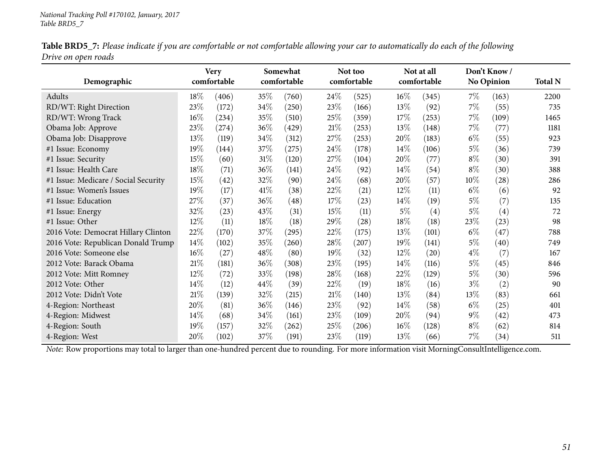| Table BRD5_7: Please indicate if you are comfortable or not comfortable allowing your car to automatically do each of the following |  |
|-------------------------------------------------------------------------------------------------------------------------------------|--|
| Drive on open roads                                                                                                                 |  |

| Demographic                          |        | <b>Very</b><br>comfortable |      | Somewhat<br>comfortable |      | Not too<br>comfortable |        | Not at all<br>comfortable |       | Don't Know<br>No Opinion | <b>Total N</b> |
|--------------------------------------|--------|----------------------------|------|-------------------------|------|------------------------|--------|---------------------------|-------|--------------------------|----------------|
| Adults                               | 18%    | (406)                      | 35\% | (760)                   | 24%  | (525)                  | $16\%$ | (345)                     | $7\%$ | (163)                    | 2200           |
| RD/WT: Right Direction               | 23%    | (172)                      | 34%  | (250)                   | 23\% | (166)                  | 13%    | (92)                      | $7\%$ | (55)                     | 735            |
| RD/WT: Wrong Track                   | 16%    | (234)                      | 35%  | (510)                   | 25%  | (359)                  | 17%    | (253)                     | $7\%$ | (109)                    | 1465           |
| Obama Job: Approve                   | 23\%   | (274)                      | 36%  | (429)                   | 21%  | (253)                  | 13%    | (148)                     | $7\%$ | (77)                     | 1181           |
| Obama Job: Disapprove                | 13%    | (119)                      | 34\% | (312)                   | 27\% | (253)                  | $20\%$ | (183)                     | $6\%$ | (55)                     | 923            |
| #1 Issue: Economy                    | 19%    | (144)                      | 37\% | (275)                   | 24\% | (178)                  | 14\%   | (106)                     | 5%    | (36)                     | 739            |
| #1 Issue: Security                   | 15%    | (60)                       | 31%  | (120)                   | 27%  | (104)                  | 20%    | (77)                      | $8\%$ | (30)                     | 391            |
| #1 Issue: Health Care                | 18%    | (71)                       | 36%  | (141)                   | 24\% | (92)                   | $14\%$ | (54)                      | $8\%$ | (30)                     | 388            |
| #1 Issue: Medicare / Social Security | 15%    | (42)                       | 32%  | (90)                    | 24%  | (68)                   | $20\%$ | (57)                      | 10%   | $\left( 28\right)$       | 286            |
| #1 Issue: Women's Issues             | 19%    | (17)                       | 41\% | (38)                    | 22\% | (21)                   | 12\%   | (11)                      | $6\%$ | (6)                      | 92             |
| #1 Issue: Education                  | 27\%   | (37)                       | 36%  | (48)                    | 17%  | (23)                   | $14\%$ | (19)                      | $5\%$ | (7)                      | 135            |
| #1 Issue: Energy                     | 32%    | (23)                       | 43%  | (31)                    | 15%  | (11)                   | $5\%$  | (4)                       | 5%    | (4)                      | 72             |
| #1 Issue: Other                      | 12%    | (11)                       | 18%  | (18)                    | 29%  | (28)                   | 18%    | (18)                      | 23%   | (23)                     | 98             |
| 2016 Vote: Democrat Hillary Clinton  | 22\%   | (170)                      | 37\% | (295)                   | 22%  | (175)                  | 13%    | (101)                     | $6\%$ | (47)                     | 788            |
| 2016 Vote: Republican Donald Trump   | 14\%   | (102)                      | 35%  | (260)                   | 28\% | (207)                  | 19%    | (141)                     | $5\%$ | (40)                     | 749            |
| 2016 Vote: Someone else              | 16%    | (27)                       | 48\% | (80)                    | 19%  | (32)                   | $12\%$ | (20)                      | $4\%$ | (7)                      | 167            |
| 2012 Vote: Barack Obama              | 21\%   | (181)                      | 36\% | (308)                   | 23\% | (195)                  | $14\%$ | (116)                     | $5\%$ | (45)                     | 846            |
| 2012 Vote: Mitt Romney               | $12\%$ | (72)                       | 33%  | (198)                   | 28\% | (168)                  | 22\%   | (129)                     | $5\%$ | (30)                     | 596            |
| 2012 Vote: Other                     | $14\%$ | (12)                       | 44\% | (39)                    | 22%  | (19)                   | 18%    | (16)                      | $3\%$ | (2)                      | 90             |
| 2012 Vote: Didn't Vote               | 21%    | (139)                      | 32\% | (215)                   | 21%  | (140)                  | 13%    | (84)                      | 13%   | (83)                     | 661            |
| 4-Region: Northeast                  | 20%    | (81)                       | 36\% | (146)                   | 23%  | (92)                   | 14%    | (58)                      | $6\%$ | (25)                     | 401            |
| 4-Region: Midwest                    | 14%    | (68)                       | 34\% | (161)                   | 23\% | (109)                  | 20%    | (94)                      | $9\%$ | (42)                     | 473            |
| 4-Region: South                      | 19%    | (157)                      | 32%  | (262)                   | 25%  | (206)                  | $16\%$ | (128)                     | $8\%$ | (62)                     | 814            |
| 4-Region: West                       | 20%    | (102)                      | 37%  | (191)                   | 23\% | (119)                  | 13%    | (66)                      | $7\%$ | (34)                     | 511            |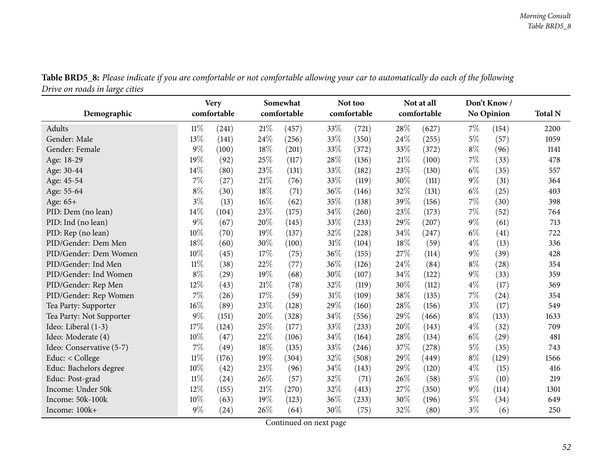| o<br>Demographic         |        | <b>Very</b><br>comfortable |     | Somewhat<br>comfortable |     | Not too<br>comfortable |      | Not at all<br>comfortable |       | Don't Know/<br><b>No Opinion</b> | <b>Total N</b> |
|--------------------------|--------|----------------------------|-----|-------------------------|-----|------------------------|------|---------------------------|-------|----------------------------------|----------------|
| Adults                   | $11\%$ | (241)                      | 21% | (457)                   | 33% | (721)                  | 28\% | (627)                     | $7\%$ | (154)                            | 2200           |
| Gender: Male             | 13%    | (141)                      | 24% | (256)                   | 33% | (350)                  | 24%  | (255)                     | $5\%$ | (57)                             | 1059           |
| Gender: Female           | $9\%$  | (100)                      | 18% | (201)                   | 33% | (372)                  | 33%  | (372)                     | $8\%$ | (96)                             | 1141           |
| Age: 18-29               | 19%    | (92)                       | 25% | (117)                   | 28% | (136)                  | 21%  | (100)                     | 7%    | (33)                             | 478            |
| Age: 30-44               | 14%    | (80)                       | 23% | (131)                   | 33% | (182)                  | 23%  | (130)                     | $6\%$ | (35)                             | 557            |
| Age: 45-54               | 7%     | (27)                       | 21% | (76)                    | 33% | (119)                  | 30%  | (111)                     | $9\%$ | (31)                             | 364            |
| Age: 55-64               | $8\%$  | (30)                       | 18% | (71)                    | 36% | (146)                  | 32%  | (131)                     | $6\%$ | (25)                             | 403            |
| Age: 65+                 | $3\%$  | (13)                       | 16% | (62)                    | 35% | (138)                  | 39%  | (156)                     | 7%    | (30)                             | 398            |
| PID: Dem (no lean)       | 14%    | (104)                      | 23% | (175)                   | 34% | (260)                  | 23%  | (173)                     | 7%    | (52)                             | 764            |
| PID: Ind (no lean)       | $9\%$  | (67)                       | 20% | (145)                   | 33% | (233)                  | 29%  | (207)                     | $9\%$ | (61)                             | 713            |
| PID: Rep (no lean)       | 10%    | (70)                       | 19% | (137)                   | 32% | (228)                  | 34%  | (247)                     | $6\%$ | (41)                             | 722            |
| PID/Gender: Dem Men      | 18%    | (60)                       | 30% |                         | 31% | (104)                  | 18%  |                           | $4\%$ |                                  |                |
| PID/Gender: Dem Women    | 10%    |                            | 17% | (100)                   | 36% |                        |      | (59)                      | $9\%$ | (13)                             | 336            |
|                          |        | (45)                       |     | (75)                    |     | (155)                  | 27%  | (114)                     |       | (39)                             | 428            |
| PID/Gender: Ind Men      | $11\%$ | (38)                       | 22% | (77)                    | 36% | (126)                  | 24%  | (84)                      | $8\%$ | (28)                             | 354            |
| PID/Gender: Ind Women    | $8\%$  | (29)                       | 19% | (68)                    | 30% | (107)                  | 34%  | (122)                     | $9\%$ | (33)                             | 359            |
| PID/Gender: Rep Men      | 12%    | (43)                       | 21% | (78)                    | 32% | (119)                  | 30%  | (112)                     | $4\%$ | (17)                             | 369            |
| PID/Gender: Rep Women    | 7%     | (26)                       | 17% | (59)                    | 31% | (109)                  | 38%  | (135)                     | $7\%$ | (24)                             | 354            |
| Tea Party: Supporter     | 16%    | (89)                       | 23% | (128)                   | 29% | (160)                  | 28%  | (156)                     | $3\%$ | (17)                             | 549            |
| Tea Party: Not Supporter | $9\%$  | (151)                      | 20% | (328)                   | 34% | (556)                  | 29%  | (466)                     | $8\%$ | (133)                            | 1633           |
| Ideo: Liberal (1-3)      | 17%    | (124)                      | 25% | (177)                   | 33% | (233)                  | 20%  | (143)                     | $4\%$ | (32)                             | 709            |
| Ideo: Moderate (4)       | 10%    | (47)                       | 22% | (106)                   | 34% | (164)                  | 28%  | (134)                     | $6\%$ | (29)                             | 481            |
| Ideo: Conservative (5-7) | 7%     | (49)                       | 18% | (135)                   | 33% | (246)                  | 37%  | (278)                     | $5\%$ | (35)                             | 743            |
| Educ: < College          | $11\%$ | (176)                      | 19% | (304)                   | 32% | (508)                  | 29%  | (449)                     | $8\%$ | (129)                            | 1566           |
| Educ: Bachelors degree   | 10%    | (42)                       | 23% | (96)                    | 34% | (143)                  | 29%  | (120)                     | $4\%$ | (15)                             | 416            |
| Educ: Post-grad          | 11%    | (24)                       | 26% | (57)                    | 32% | (71)                   | 26%  | (58)                      | $5\%$ | (10)                             | 219            |
| Income: Under 50k        | 12%    | (155)                      | 21% | (270)                   | 32% | (413)                  | 27\% | (350)                     | $9\%$ | (114)                            | 1301           |
| Income: 50k-100k         | 10%    | (63)                       | 19% | (123)                   | 36% | (233)                  | 30%  | (196)                     | $5\%$ | (34)                             | 649            |
| Income: 100k+            | $9\%$  | (24)                       | 26% | (64)                    | 30% | (75)                   | 32%  | (80)                      | $3\%$ | (6)                              | 250            |

Table BRD5\_8: Please indicate if you are comfortable or not comfortable allowing your car to automatically do each of the following *Drive on roads in large cities*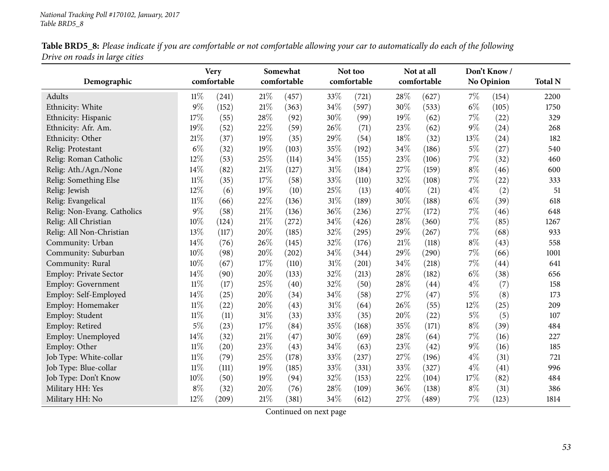|                                | Table BRD5_8: Please indicate if you are comfortable or not comfortable allowing your car to automatically do each of the following |  |  |
|--------------------------------|-------------------------------------------------------------------------------------------------------------------------------------|--|--|
| Drive on roads in large cities |                                                                                                                                     |  |  |

| Demographic                   |        | <b>Very</b><br>comfortable |        | Somewhat<br>comfortable |        | Not too<br>comfortable |      | Not at all<br>comfortable |       | Don't Know/<br><b>No Opinion</b> | <b>Total N</b> |
|-------------------------------|--------|----------------------------|--------|-------------------------|--------|------------------------|------|---------------------------|-------|----------------------------------|----------------|
| Adults                        | $11\%$ | (241)                      | $21\%$ | (457)                   | 33%    | (721)                  | 28\% | (627)                     | $7\%$ | (154)                            | 2200           |
| Ethnicity: White              | $9\%$  | (152)                      | 21%    | (363)                   | 34%    | (597)                  | 30%  | (533)                     | $6\%$ | (105)                            | 1750           |
| Ethnicity: Hispanic           | 17%    | (55)                       | 28%    | (92)                    | 30%    | (99)                   | 19%  | (62)                      | $7\%$ | (22)                             | 329            |
| Ethnicity: Afr. Am.           | 19%    | (52)                       | 22%    | (59)                    | 26%    | (71)                   | 23%  | (62)                      | $9\%$ | (24)                             | 268            |
| Ethnicity: Other              | $21\%$ | (37)                       | 19%    | (35)                    | 29%    | (54)                   | 18%  | (32)                      | 13\%  | (24)                             | 182            |
| Relig: Protestant             | $6\%$  | (32)                       | 19%    | (103)                   | 35%    | (192)                  | 34%  | (186)                     | $5\%$ | (27)                             | 540            |
| Relig: Roman Catholic         | 12%    | (53)                       | 25%    | (114)                   | 34%    | (155)                  | 23%  | (106)                     | $7\%$ | (32)                             | 460            |
| Relig: Ath./Agn./None         | 14%    | (82)                       | 21%    | (127)                   | $31\%$ | (184)                  | 27%  | (159)                     | $8\%$ | (46)                             | 600            |
| Relig: Something Else         | $11\%$ | (35)                       | 17%    | (58)                    | 33%    | (110)                  | 32%  | (108)                     | $7\%$ | (22)                             | 333            |
| Relig: Jewish                 | 12%    | (6)                        | 19%    | (10)                    | 25%    | (13)                   | 40%  | (21)                      | $4\%$ | (2)                              | 51             |
| Relig: Evangelical            | $11\%$ | (66)                       | 22%    | (136)                   | $31\%$ | (189)                  | 30%  | (188)                     | $6\%$ | (39)                             | 618            |
| Relig: Non-Evang. Catholics   | $9\%$  | (58)                       | 21%    | (136)                   | 36%    | (236)                  | 27%  | (172)                     | $7\%$ | (46)                             | 648            |
| Relig: All Christian          | $10\%$ | (124)                      | 21%    | (272)                   | 34%    | (426)                  | 28%  | (360)                     | $7\%$ | (85)                             | 1267           |
| Relig: All Non-Christian      | 13%    | (117)                      | 20%    | (185)                   | 32%    | (295)                  | 29%  | (267)                     | $7\%$ | (68)                             | 933            |
| Community: Urban              | 14%    | (76)                       | 26%    | (145)                   | 32%    | (176)                  | 21%  | (118)                     | $8\%$ | (43)                             | 558            |
| Community: Suburban           | 10%    | (98)                       | 20%    | (202)                   | 34%    | (344)                  | 29%  | (290)                     | $7\%$ | (66)                             | 1001           |
| Community: Rural              | 10%    | (67)                       | 17%    | (110)                   | $31\%$ | (201)                  | 34%  | (218)                     | $7\%$ | (44)                             | 641            |
| <b>Employ: Private Sector</b> | 14%    | (90)                       | 20%    | (133)                   | 32%    | (213)                  | 28%  | (182)                     | $6\%$ | (38)                             | 656            |
| <b>Employ: Government</b>     | $11\%$ | (17)                       | 25%    | (40)                    | 32%    | (50)                   | 28%  | (44)                      | $4\%$ | (7)                              | 158            |
| Employ: Self-Employed         | 14%    | (25)                       | 20%    | (34)                    | 34%    | (58)                   | 27%  | (47)                      | $5\%$ | (8)                              | 173            |
| Employ: Homemaker             | $11\%$ | (22)                       | $20\%$ | (43)                    | $31\%$ | (64)                   | 26%  | (55)                      | 12%   | (25)                             | 209            |
| Employ: Student               | $11\%$ | (11)                       | 31%    | (33)                    | 33%    | (35)                   | 20%  | (22)                      | $5\%$ | (5)                              | 107            |
| Employ: Retired               | $5\%$  | (23)                       | 17%    | (84)                    | 35%    | (168)                  | 35%  | (171)                     | $8\%$ | (39)                             | 484            |
| Employ: Unemployed            | $14\%$ | (32)                       | $21\%$ | (47)                    | 30%    | (69)                   | 28\% | (64)                      | $7\%$ | (16)                             | 227            |
| Employ: Other                 | $11\%$ | (20)                       | 23%    | (43)                    | 34%    | (63)                   | 23%  | (42)                      | $9\%$ | (16)                             | 185            |
| Job Type: White-collar        | $11\%$ | (79)                       | 25%    | (178)                   | 33%    | (237)                  | 27%  | (196)                     | $4\%$ | (31)                             | 721            |
| Job Type: Blue-collar         | $11\%$ | (111)                      | 19%    | (185)                   | 33%    | (331)                  | 33%  | (327)                     | $4\%$ | (41)                             | 996            |
| Job Type: Don't Know          | $10\%$ | (50)                       | 19%    | (94)                    | 32%    | (153)                  | 22%  | (104)                     | 17%   | (82)                             | 484            |
| Military HH: Yes              | $8\%$  | (32)                       | 20%    | (76)                    | 28%    | (109)                  | 36%  | (138)                     | $8\%$ | (31)                             | 386            |
| Military HH: No               | 12%    | $\left( 209\right)$        | 21%    | (381)                   | 34%    | (612)                  | 27%  | (489)                     | 7%    | (123)                            | 1814           |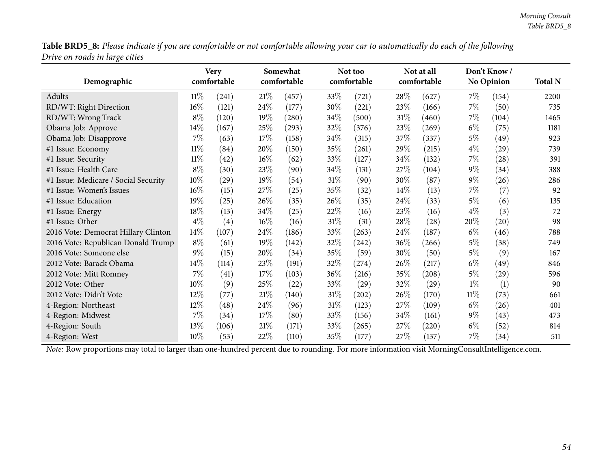Table BRD5\_8: Please indicate if you are comfortable or not comfortable allowing your car to automatically do each of the following *Drive on roads in large cities*

| Demographic                          |        | <b>Very</b><br>comfortable |        | Somewhat<br>comfortable |        | Not too<br>comfortable |        | Not at all<br>comfortable |        | Don't Know /<br><b>No Opinion</b> | <b>Total N</b> |
|--------------------------------------|--------|----------------------------|--------|-------------------------|--------|------------------------|--------|---------------------------|--------|-----------------------------------|----------------|
|                                      |        |                            |        |                         |        |                        |        |                           |        |                                   |                |
| Adults                               | $11\%$ | (241)                      | 21\%   | (457)                   | 33\%   | (721)                  | $28\%$ | (627)                     | $7\%$  | (154)                             | 2200           |
| RD/WT: Right Direction               | 16%    | (121)                      | 24\%   | (177)                   | 30%    | (221)                  | 23%    | (166)                     | $7\%$  | (50)                              | 735            |
| RD/WT: Wrong Track                   | $8\%$  | (120)                      | 19%    | (280)                   | 34%    | (500)                  | 31%    | (460)                     | $7\%$  | (104)                             | 1465           |
| Obama Job: Approve                   | 14%    | (167)                      | 25\%   | (293)                   | 32\%   | (376)                  | 23\%   | $^{'}269$                 | $6\%$  | (75)                              | 1181           |
| Obama Job: Disapprove                | $7\%$  | (63)                       | 17%    | (158)                   | 34\%   | (315)                  | 37\%   | (337)                     | $5\%$  | (49)                              | 923            |
| #1 Issue: Economy                    | $11\%$ | (84)                       | 20%    | (150)                   | 35\%   | (261)                  | 29\%   | (215)                     | $4\%$  | (29)                              | 739            |
| #1 Issue: Security                   | $11\%$ | (42)                       | $16\%$ | (62)                    | 33\%   | (127)                  | 34\%   | (132)                     | $7\%$  | (28)                              | 391            |
| #1 Issue: Health Care                | $8\%$  | (30)                       | 23\%   | (90)                    | 34\%   | (131)                  | 27\%   | (104)                     | $9\%$  | (34)                              | 388            |
| #1 Issue: Medicare / Social Security | 10%    | (29)                       | 19%    | (54)                    | $31\%$ | (90)                   | 30%    | (87)                      | $9\%$  | (26)                              | 286            |
| #1 Issue: Women's Issues             | 16%    | (15)                       | 27%    | (25)                    | 35%    | (32)                   | 14%    | (13)                      | $7\%$  | (7)                               | 92             |
| #1 Issue: Education                  | 19%    | (25)                       | 26\%   | (35)                    | 26\%   | (35)                   | 24\%   | (33)                      | $5\%$  | (6)                               | 135            |
| #1 Issue: Energy                     | 18%    | (13)                       | 34\%   | (25)                    | 22\%   | (16)                   | 23%    | (16)                      | $4\%$  | (3)                               | 72             |
| #1 Issue: Other                      | $4\%$  | (4)                        | $16\%$ | (16)                    | $31\%$ | (31)                   | 28\%   | (28)                      | 20%    | (20)                              | 98             |
| 2016 Vote: Democrat Hillary Clinton  | 14%    | (107)                      | 24\%   | (186)                   | 33\%   | (263)                  | 24%    | (187)                     | $6\%$  | (46)                              | 788            |
| 2016 Vote: Republican Donald Trump   | $8\%$  | (61)                       | 19%    | (142)                   | 32%    | (242)                  | 36%    | (266)                     | $5\%$  | (38)                              | 749            |
| 2016 Vote: Someone else              | $9\%$  | (15)                       | 20%    | (34)                    | 35\%   | (59)                   | 30\%   | (50)                      | $5\%$  | (9)                               | 167            |
| 2012 Vote: Barack Obama              | 14%    | (114)                      | 23\%   | (191)                   | 32\%   | (274)                  | 26\%   | (217)                     | $6\%$  | (49)                              | 846            |
| 2012 Vote: Mitt Romney               | $7\%$  | (41)                       | 17%    | (103)                   | $36\%$ | (216)                  | 35\%   | (208)                     | $5\%$  | (29)                              | 596            |
| 2012 Vote: Other                     | 10%    | (9)                        | 25%    | (22)                    | 33\%   | (29)                   | 32%    | (29)                      | $1\%$  | (1)                               | 90             |
| 2012 Vote: Didn't Vote               | $12\%$ | (77)                       | 21%    | (140)                   | $31\%$ | (202)                  | 26\%   | (170)                     | $11\%$ | (73)                              | 661            |
| 4-Region: Northeast                  | 12%    | (48)                       | 24%    | (96)                    | $31\%$ | (123)                  | 27\%   | (109)                     | $6\%$  | (26)                              | 401            |
| 4-Region: Midwest                    | $7\%$  | (34)                       | 17%    | (80)                    | 33\%   | (156)                  | 34%    | (161)                     | $9\%$  | (43)                              | 473            |
| 4-Region: South                      | $13\%$ | (106)                      | 21%    | (171)                   | 33\%   | (265)                  | 27\%   | (220)                     | $6\%$  | (52)                              | 814            |
| 4-Region: West                       | 10%    | (53)                       | 22\%   | (110)                   | 35\%   | (177)                  | 27\%   | (137)                     | $7\%$  | (34)                              | 511            |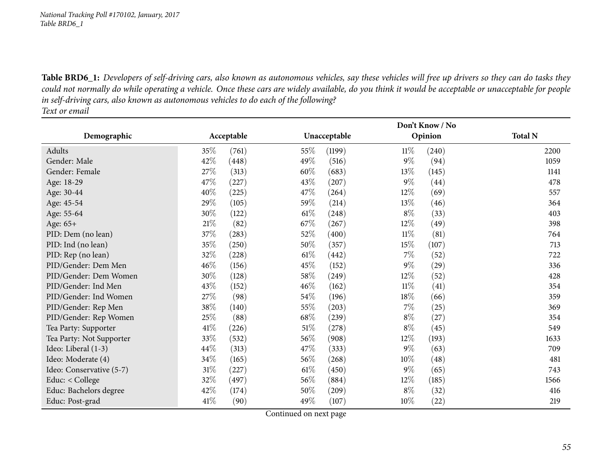Table BRD6\_1: Developers of self-driving cars, also known as autonomous vehicles, say these vehicles will free up drivers so they can do tasks they could not normally do while operating a vehicle. Once these cars are widely available, do you think it would be acceptable or unacceptable for people in self-driving cars, also known as autonomous vehicles to do each of the following?

*Text or email*

|                          |        |            | Don't Know / No |              |        |                    |                |  |  |
|--------------------------|--------|------------|-----------------|--------------|--------|--------------------|----------------|--|--|
| Demographic              |        | Acceptable |                 | Unacceptable |        | Opinion            | <b>Total N</b> |  |  |
| Adults                   | 35%    | (761)      | 55%             | (1199)       | $11\%$ | (240)              | 2200           |  |  |
| Gender: Male             | 42\%   | (448)      | 49\%            | (516)        | $9\%$  | (94)               | 1059           |  |  |
| Gender: Female           | 27\%   | (313)      | 60%             | (683)        | 13%    | (145)              | 1141           |  |  |
| Age: 18-29               | 47%    | (227)      | 43%             | (207)        | $9\%$  | (44)               | 478            |  |  |
| Age: 30-44               | 40%    | (225)      | 47\%            | (264)        | 12%    | (69)               | 557            |  |  |
| Age: 45-54               | 29%    | (105)      | 59%             | (214)        | 13%    | (46)               | 364            |  |  |
| Age: 55-64               | 30%    | (122)      | $61\%$          | (248)        | $8\%$  | (33)               | 403            |  |  |
| Age: 65+                 | 21%    | (82)       | 67\%            | (267)        | 12\%   | (49)               | 398            |  |  |
| PID: Dem (no lean)       | 37\%   | (283)      | 52\%            | (400)        | $11\%$ | (81)               | 764            |  |  |
| PID: Ind (no lean)       | 35%    | (250)      | 50\%            | (357)        | $15\%$ | (107)              | 713            |  |  |
| PID: Rep (no lean)       | 32%    | (228)      | $61\%$          | (442)        | $7\%$  | (52)               | 722            |  |  |
| PID/Gender: Dem Men      | 46%    | (156)      | 45%             | (152)        | $9\%$  | (29)               | 336            |  |  |
| PID/Gender: Dem Women    | 30%    | (128)      | 58\%            | (249)        | 12\%   | (52)               | 428            |  |  |
| PID/Gender: Ind Men      | 43%    | (152)      | 46%             | (162)        | $11\%$ | (41)               | 354            |  |  |
| PID/Gender: Ind Women    | 27%    | (98)       | 54%             | (196)        | 18%    | (66)               | 359            |  |  |
| PID/Gender: Rep Men      | 38\%   | (140)      | 55%             | (203)        | $7\%$  | (25)               | 369            |  |  |
| PID/Gender: Rep Women    | 25\%   | (88)       | 68%             | (239)        | $8\%$  | (27)               | 354            |  |  |
| Tea Party: Supporter     | 41\%   | (226)      | $51\%$          | (278)        | $8\%$  | (45)               | 549            |  |  |
| Tea Party: Not Supporter | 33%    | (532)      | 56\%            | (908)        | 12\%   | (193)              | 1633           |  |  |
| Ideo: Liberal (1-3)      | 44\%   | (313)      | 47\%            | (333)        | $9\%$  | (63)               | 709            |  |  |
| Ideo: Moderate (4)       | 34%    | (165)      | 56\%            | (268)        | $10\%$ | (48)               | 481            |  |  |
| Ideo: Conservative (5-7) | $31\%$ | (227)      | $61\%$          | (450)        | $9\%$  | (65)               | 743            |  |  |
| Educ: < College          | 32\%   | (497)      | $56\%$          | (884)        | $12\%$ | (185)              | 1566           |  |  |
| Educ: Bachelors degree   | 42\%   | (174)      | 50%             | (209)        | $8\%$  | (32)               | 416            |  |  |
| Educ: Post-grad          | 41\%   | (90)       | 49\%            | (107)        | $10\%$ | $\left( 22\right)$ | 219            |  |  |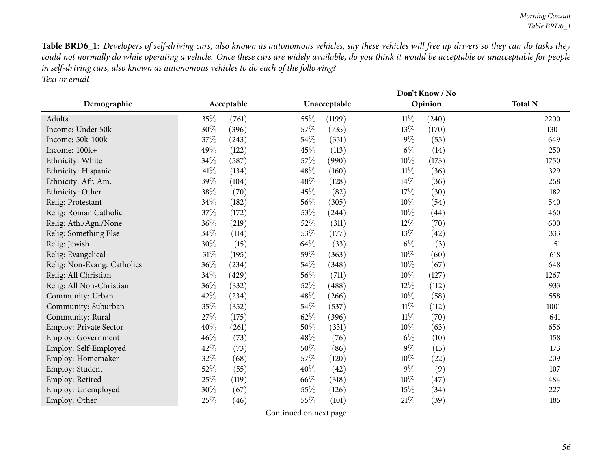Table BRD6\_1: Developers of self-driving cars, also known as autonomous vehicles, say these vehicles will free up drivers so they can do tasks they could not normally do while operating a vehicle. Once these cars are widely available, do you think it would be acceptable or unacceptable for people in self-driving cars, also known as autonomous vehicles to do each of the following? *Text or email*

|                             |      |            |      |              |        | Don't Know / No |                |
|-----------------------------|------|------------|------|--------------|--------|-----------------|----------------|
| Demographic                 |      | Acceptable |      | Unacceptable |        | Opinion         | <b>Total N</b> |
| Adults                      | 35%  | (761)      | 55\% | (1199)       | 11%    | (240)           | 2200           |
| Income: Under 50k           | 30%  | (396)      | 57%  | (735)        | 13%    | (170)           | 1301           |
| Income: 50k-100k            | 37%  | (243)      | 54%  | (351)        | $9\%$  | (55)            | 649            |
| Income: 100k+               | 49%  | (122)      | 45%  | (113)        | $6\%$  | (14)            | 250            |
| Ethnicity: White            | 34%  | (587)      | 57%  | (990)        | 10%    | (173)           | 1750           |
| Ethnicity: Hispanic         | 41\% | (134)      | 48%  | (160)        | $11\%$ | (36)            | 329            |
| Ethnicity: Afr. Am.         | 39%  | (104)      | 48%  | (128)        | 14%    | (36)            | 268            |
| Ethnicity: Other            | 38%  | (70)       | 45\% | (82)         | 17%    | (30)            | 182            |
| Relig: Protestant           | 34%  | (182)      | 56%  | (305)        | 10%    | (54)            | 540            |
| Relig: Roman Catholic       | 37%  | (172)      | 53%  | (244)        | 10%    | (44)            | 460            |
| Relig: Ath./Agn./None       | 36%  | (219)      | 52%  | (311)        | 12%    | (70)            | 600            |
| Relig: Something Else       | 34%  | (114)      | 53%  | (177)        | 13%    | (42)            | 333            |
| Relig: Jewish               | 30%  | (15)       | 64%  | (33)         | $6\%$  | (3)             | 51             |
| Relig: Evangelical          | 31%  | (195)      | 59%  | (363)        | 10%    | (60)            | 618            |
| Relig: Non-Evang. Catholics | 36%  | (234)      | 54%  | (348)        | 10%    | (67)            | 648            |
| Relig: All Christian        | 34%  | (429)      | 56%  | (711)        | 10%    | (127)           | 1267           |
| Relig: All Non-Christian    | 36%  | (332)      | 52%  | (488)        | 12%    | (112)           | 933            |
| Community: Urban            | 42%  | (234)      | 48%  | (266)        | 10%    | (58)            | 558            |
| Community: Suburban         | 35%  | (352)      | 54%  | (537)        | $11\%$ | (112)           | 1001           |
| Community: Rural            | 27%  | (175)      | 62%  | (396)        | $11\%$ | (70)            | 641            |
| Employ: Private Sector      | 40%  | (261)      | 50%  | (331)        | 10%    | (63)            | 656            |
| Employ: Government          | 46%  | (73)       | 48%  | (76)         | $6\%$  | (10)            | 158            |
| Employ: Self-Employed       | 42%  | (73)       | 50%  | (86)         | $9\%$  | (15)            | 173            |
| Employ: Homemaker           | 32%  | (68)       | 57%  | (120)        | 10%    | (22)            | 209            |
| Employ: Student             | 52%  | (55)       | 40%  | (42)         | $9\%$  | (9)             | 107            |
| Employ: Retired             | 25%  | (119)      | 66%  | (318)        | 10%    | (47)            | 484            |
| Employ: Unemployed          | 30%  | (67)       | 55%  | (126)        | 15%    | (34)            | 227            |
| Employ: Other               | 25%  | (46)       | 55%  | (101)        | 21%    | (39)            | 185            |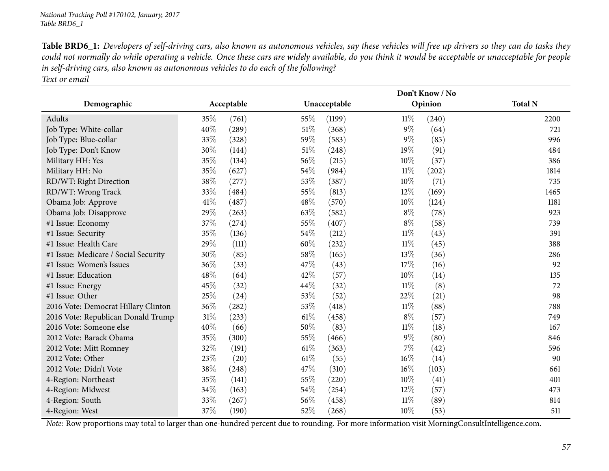Table BRD6\_1: Developers of self-driving cars, also known as autonomous vehicles, say these vehicles will free up drivers so they can do tasks they could not normally do while operating a vehicle. Once these cars are widely available, do you think it would be acceptable or unacceptable for people in self-driving cars, also known as autonomous vehicles to do each of the following?

*Text or email*

|                                      |        |            |      | Don't Know / No |        |         |                |  |  |  |  |
|--------------------------------------|--------|------------|------|-----------------|--------|---------|----------------|--|--|--|--|
| Demographic                          |        | Acceptable |      | Unacceptable    |        | Opinion | <b>Total N</b> |  |  |  |  |
| Adults                               | 35%    | (761)      | 55%  | (1199)          | $11\%$ | (240)   | 2200           |  |  |  |  |
| Job Type: White-collar               | 40%    | (289)      | 51\% | (368)           | $9\%$  | (64)    | 721            |  |  |  |  |
| Job Type: Blue-collar                | 33%    | (328)      | 59%  | (583)           | $9\%$  | (85)    | 996            |  |  |  |  |
| Job Type: Don't Know                 | 30%    | (144)      | 51\% | (248)           | 19%    | (91)    | 484            |  |  |  |  |
| Military HH: Yes                     | 35%    | (134)      | 56%  | (215)           | $10\%$ | (37)    | 386            |  |  |  |  |
| Military HH: No                      | 35%    | (627)      | 54%  | (984)           | $11\%$ | (202)   | 1814           |  |  |  |  |
| RD/WT: Right Direction               | 38%    | (277)      | 53%  | (387)           | 10%    | (71)    | 735            |  |  |  |  |
| RD/WT: Wrong Track                   | 33%    | (484)      | 55%  | (813)           | 12%    | (169)   | 1465           |  |  |  |  |
| Obama Job: Approve                   | 41\%   | (487)      | 48%  | (570)           | 10%    | (124)   | 1181           |  |  |  |  |
| Obama Job: Disapprove                | 29%    | (263)      | 63%  | (582)           | $8\%$  | (78)    | 923            |  |  |  |  |
| #1 Issue: Economy                    | 37%    | (274)      | 55%  | (407)           | $8\%$  | (58)    | 739            |  |  |  |  |
| #1 Issue: Security                   | 35%    | (136)      | 54%  | (212)           | $11\%$ | (43)    | 391            |  |  |  |  |
| #1 Issue: Health Care                | 29\%   | (111)      | 60%  | (232)           | $11\%$ | (45)    | 388            |  |  |  |  |
| #1 Issue: Medicare / Social Security | 30%    | (85)       | 58%  | (165)           | 13%    | (36)    | 286            |  |  |  |  |
| #1 Issue: Women's Issues             | 36\%   | (33)       | 47%  | (43)            | 17%    | (16)    | 92             |  |  |  |  |
| #1 Issue: Education                  | 48%    | (64)       | 42%  | (57)            | 10%    | (14)    | 135            |  |  |  |  |
| #1 Issue: Energy                     | 45%    | (32)       | 44\% | (32)            | $11\%$ | (8)     | 72             |  |  |  |  |
| #1 Issue: Other                      | 25%    | (24)       | 53%  | (52)            | 22%    | (21)    | 98             |  |  |  |  |
| 2016 Vote: Democrat Hillary Clinton  | 36%    | (282)      | 53%  | (418)           | $11\%$ | (88)    | 788            |  |  |  |  |
| 2016 Vote: Republican Donald Trump   | $31\%$ | (233)      | 61%  | (458)           | $8\%$  | (57)    | 749            |  |  |  |  |
| 2016 Vote: Someone else              | 40%    | (66)       | 50%  | (83)            | $11\%$ | (18)    | 167            |  |  |  |  |
| 2012 Vote: Barack Obama              | 35%    | (300)      | 55%  | (466)           | $9\%$  | (80)    | 846            |  |  |  |  |
| 2012 Vote: Mitt Romney               | 32%    | (191)      | 61%  | (363)           | 7%     | (42)    | 596            |  |  |  |  |
| 2012 Vote: Other                     | 23%    | (20)       | 61%  | (55)            | 16%    | (14)    | 90             |  |  |  |  |
| 2012 Vote: Didn't Vote               | 38%    | (248)      | 47%  | (310)           | 16%    | (103)   | 661            |  |  |  |  |
| 4-Region: Northeast                  | 35%    | (141)      | 55%  | (220)           | 10%    | (41)    | 401            |  |  |  |  |
| 4-Region: Midwest                    | 34\%   | (163)      | 54%  | (254)           | 12%    | (57)    | 473            |  |  |  |  |
| 4-Region: South                      | 33%    | (267)      | 56%  | (458)           | $11\%$ | (89)    | 814            |  |  |  |  |
| 4-Region: West                       | 37%    | (190)      | 52%  | (268)           | 10%    | (53)    | 511            |  |  |  |  |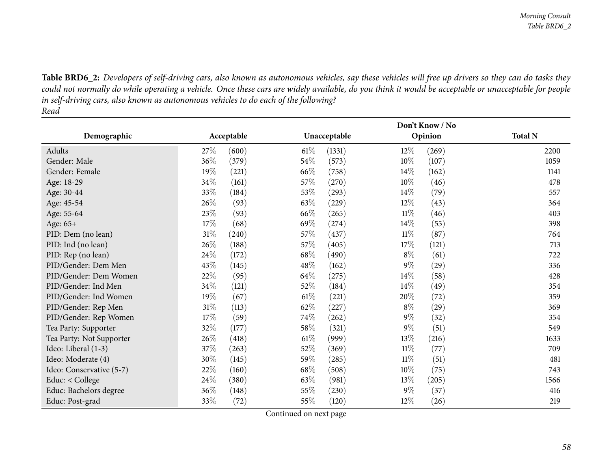1141

403

713

1633

481

416

219

Table BRD6\_2: Developers of self-driving cars, also known as autonomous vehicles, say these vehicles will free up drivers so they can do tasks they could not normally do while operating a vehicle. Once these cars are widely available, do you think it would be acceptable or unacceptable for people in self-driving cars, also known as autonomous vehicles to do each of the following? *Read*

|                          |        | Don't Know / No |        |              |        |         |                |  |  |  |
|--------------------------|--------|-----------------|--------|--------------|--------|---------|----------------|--|--|--|
| Demographic              |        | Acceptable      |        | Unacceptable |        | Opinion | <b>Total N</b> |  |  |  |
| Adults                   | 27\%   | (600)           | $61\%$ | (1331)       | 12%    | (269)   | 2200           |  |  |  |
| Gender: Male             | $36\%$ | (379)           | 54\%   | (573)        | $10\%$ | (107)   | 1059           |  |  |  |
| Gender: Female           | 19%    | (221)           | 66\%   | (758)        | $14\%$ | (162)   | 1141           |  |  |  |
| Age: 18-29               | 34\%   | (161)           | 57\%   | (270)        | $10\%$ | (46)    | 478            |  |  |  |
| Age: 30-44               | 33%    | (184)           | 53\%   | (293)        | $14\%$ | (79)    | 557            |  |  |  |
| Age: 45-54               | 26\%   | (93)            | 63\%   | (229)        | 12\%   | (43)    | 364            |  |  |  |
| Age: 55-64               | 23\%   | (93)            | 66\%   | (265)        | $11\%$ | (46)    | 403            |  |  |  |
| Age: 65+                 | 17%    | (68)            | 69%    | (274)        | $14\%$ | (55)    | 398            |  |  |  |
| PID: Dem (no lean)       | 31\%   | (240)           | 57\%   | (437)        | $11\%$ | (87)    | 764            |  |  |  |
| PID: Ind (no lean)       | 26\%   | (188)           | 57\%   | (405)        | 17%    | (121)   | 713            |  |  |  |
| PID: Rep (no lean)       | 24\%   | (172)           | 68\%   | (490)        | $8\%$  | (61)    | 722            |  |  |  |
| PID/Gender: Dem Men      | 43\%   | (145)           | 48\%   | (162)        | $9\%$  | (29)    | 336            |  |  |  |
| PID/Gender: Dem Women    | 22\%   | (95)            | 64\%   | (275)        | 14\%   | (58)    | 428            |  |  |  |
| PID/Gender: Ind Men      | 34\%   | (121)           | 52\%   | (184)        | 14\%   | (49)    | 354            |  |  |  |
| PID/Gender: Ind Women    | 19%    | (67)            | $61\%$ | (221)        | 20%    | (72)    | 359            |  |  |  |
| PID/Gender: Rep Men      | $31\%$ | (113)           | 62%    | (227)        | $8\%$  | (29)    | 369            |  |  |  |
| PID/Gender: Rep Women    | 17\%   | (59)            | 74\%   | (262)        | $9\%$  | (32)    | 354            |  |  |  |
| Tea Party: Supporter     | 32\%   | (177)           | 58\%   | (321)        | $9\%$  | (51)    | 549            |  |  |  |
| Tea Party: Not Supporter | 26\%   | (418)           | $61\%$ | (999)        | 13\%   | (216)   | 1633           |  |  |  |
| Ideo: Liberal (1-3)      | 37\%   | (263)           | 52\%   | (369)        | $11\%$ | (77)    | 709            |  |  |  |
| Ideo: Moderate (4)       | 30%    | (145)           | 59%    | (285)        | $11\%$ | (51)    | 481            |  |  |  |
| Ideo: Conservative (5-7) | 22\%   | (160)           | 68\%   | (508)        | $10\%$ | (75)    | 743            |  |  |  |
| Educ: < College          | 24\%   | (380)           | 63%    | (981)        | 13\%   | (205)   | 1566           |  |  |  |
| Educ: Bachelors degree   | 36%    | (148)           | 55\%   | (230)        | $9\%$  | (37)    | 416            |  |  |  |
| Educ: Post-grad          | 33%    | (72)            | 55%    | (120)        | 12%    | (26)    | 219            |  |  |  |

Continued on next page

d 33% (72) 55% (120)  $12\%$  (26) 219

Educ: Post-grad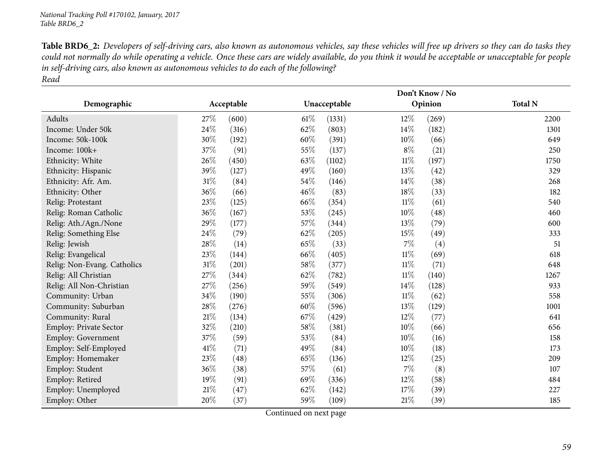Table BRD6\_2: Developers of self-driving cars, also known as autonomous vehicles, say these vehicles will free up drivers so they can do tasks they could not normally do while operating a vehicle. Once these cars are widely available, do you think it would be acceptable or unacceptable for people in self-driving cars, also known as autonomous vehicles to do each of the following? *Read*

|                               | Don't Know / No |            |        |              |        |         |                |  |  |
|-------------------------------|-----------------|------------|--------|--------------|--------|---------|----------------|--|--|
| Demographic                   |                 | Acceptable |        | Unacceptable |        | Opinion | <b>Total N</b> |  |  |
| Adults                        | 27%             | (600)      | $61\%$ | (1331)       | 12\%   | (269)   | 2200           |  |  |
| Income: Under 50k             | 24%             | (316)      | 62%    | (803)        | 14%    | (182)   | 1301           |  |  |
| Income: 50k-100k              | 30%             | (192)      | 60%    | (391)        | 10%    | (66)    | 649            |  |  |
| Income: 100k+                 | 37%             | (91)       | 55%    | (137)        | $8\%$  | (21)    | 250            |  |  |
| Ethnicity: White              | 26%             | (450)      | 63%    | (1102)       | $11\%$ | (197)   | 1750           |  |  |
| Ethnicity: Hispanic           | 39%             | (127)      | 49%    | (160)        | 13%    | (42)    | 329            |  |  |
| Ethnicity: Afr. Am.           | $31\%$          | (84)       | 54%    | (146)        | $14\%$ | (38)    | 268            |  |  |
| Ethnicity: Other              | 36%             | (66)       | 46%    | (83)         | 18%    | (33)    | 182            |  |  |
| Relig: Protestant             | 23%             | (125)      | 66\%   | (354)        | $11\%$ | (61)    | 540            |  |  |
| Relig: Roman Catholic         | 36%             | (167)      | 53%    | (245)        | 10%    | (48)    | 460            |  |  |
| Relig: Ath./Agn./None         | 29%             | (177)      | 57%    | (344)        | 13%    | (79)    | 600            |  |  |
| Relig: Something Else         | 24%             | (79)       | 62%    | (205)        | 15%    | (49)    | 333            |  |  |
| Relig: Jewish                 | 28%             | (14)       | 65%    | (33)         | 7%     | (4)     | 51             |  |  |
| Relig: Evangelical            | 23%             | (144)      | 66%    | (405)        | $11\%$ | (69)    | 618            |  |  |
| Relig: Non-Evang. Catholics   | 31%             | (201)      | 58%    | (377)        | $11\%$ | (71)    | 648            |  |  |
| Relig: All Christian          | 27%             | (344)      | 62%    | (782)        | $11\%$ | (140)   | 1267           |  |  |
| Relig: All Non-Christian      | 27%             | (256)      | 59%    | (549)        | 14%    | (128)   | 933            |  |  |
| Community: Urban              | 34%             | (190)      | 55%    | (306)        | $11\%$ | (62)    | 558            |  |  |
| Community: Suburban           | 28%             | (276)      | 60%    | (596)        | 13%    | (129)   | 1001           |  |  |
| Community: Rural              | $21\%$          | (134)      | 67%    | (429)        | 12%    | (77)    | 641            |  |  |
| <b>Employ: Private Sector</b> | 32%             | (210)      | 58%    | (381)        | $10\%$ | (66)    | 656            |  |  |
| Employ: Government            | 37%             | (59)       | 53%    | (84)         | 10%    | (16)    | 158            |  |  |
| Employ: Self-Employed         | 41\%            | (71)       | 49%    | (84)         | 10%    | (18)    | 173            |  |  |
| Employ: Homemaker             | 23%             | (48)       | 65%    | (136)        | 12%    | (25)    | 209            |  |  |
| Employ: Student               | 36%             | (38)       | 57%    | (61)         | $7\%$  | (8)     | 107            |  |  |
| Employ: Retired               | 19%             | (91)       | 69%    | (336)        | 12%    | (58)    | 484            |  |  |
| Employ: Unemployed            | 21%             | (47)       | 62%    | (142)        | 17%    | (39)    | 227            |  |  |
| Employ: Other                 | 20%             | (37)       | 59%    | (109)        | $21\%$ | (39)    | 185            |  |  |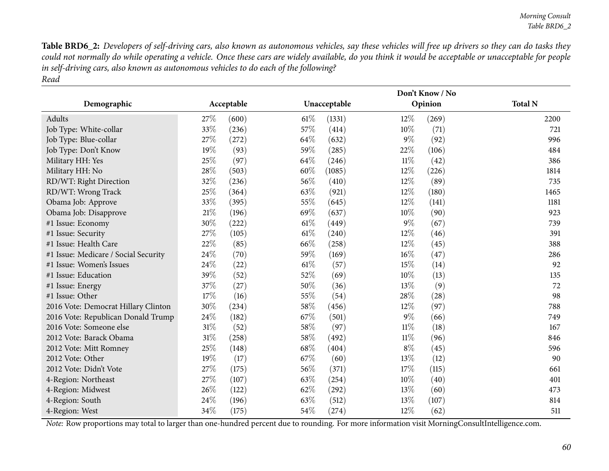Table BRD6\_2: Developers of self-driving cars, also known as autonomous vehicles, say these vehicles will free up drivers so they can do tasks they could not normally do while operating a vehicle. Once these cars are widely available, do you think it would be acceptable or unacceptable for people in self-driving cars, also known as autonomous vehicles to do each of the following? *Read*

|                                      |        |            |        | Don't Know / No |        |         |                |  |  |  |
|--------------------------------------|--------|------------|--------|-----------------|--------|---------|----------------|--|--|--|
| Demographic                          |        | Acceptable |        | Unacceptable    |        | Opinion | <b>Total N</b> |  |  |  |
| Adults                               | 27%    | (600)      | $61\%$ | (1331)          | $12\%$ | (269)   | 2200           |  |  |  |
| Job Type: White-collar               | 33%    | (236)      | 57%    | (414)           | $10\%$ | (71)    | 721            |  |  |  |
| Job Type: Blue-collar                | 27%    | (272)      | 64%    | (632)           | $9\%$  | (92)    | 996            |  |  |  |
| Job Type: Don't Know                 | $19\%$ | (93)       | 59%    | (285)           | 22%    | (106)   | 484            |  |  |  |
| Military HH: Yes                     | 25%    | (97)       | 64%    | (246)           | $11\%$ | (42)    | 386            |  |  |  |
| Military HH: No                      | 28%    | (503)      | 60%    | (1085)          | 12%    | (226)   | 1814           |  |  |  |
| RD/WT: Right Direction               | 32%    | (236)      | 56%    | (410)           | 12%    | (89)    | 735            |  |  |  |
| RD/WT: Wrong Track                   | 25%    | (364)      | 63%    | (921)           | 12%    | (180)   | 1465           |  |  |  |
| Obama Job: Approve                   | 33%    | (395)      | 55%    | (645)           | 12%    | (141)   | 1181           |  |  |  |
| Obama Job: Disapprove                | 21%    | (196)      | 69%    | (637)           | 10%    | (90)    | 923            |  |  |  |
| #1 Issue: Economy                    | 30%    | (222)      | 61%    | (449)           | $9\%$  | (67)    | 739            |  |  |  |
| #1 Issue: Security                   | 27%    | (105)      | 61%    | (240)           | 12%    | (46)    | 391            |  |  |  |
| #1 Issue: Health Care                | 22%    | (85)       | 66\%   | (258)           | 12%    | (45)    | 388            |  |  |  |
| #1 Issue: Medicare / Social Security | 24%    | (70)       | 59%    | (169)           | 16%    | (47)    | 286            |  |  |  |
| #1 Issue: Women's Issues             | 24%    | (22)       | 61\%   | (57)            | 15%    | (14)    | 92             |  |  |  |
| #1 Issue: Education                  | 39%    | (52)       | 52%    | (69)            | 10%    | (13)    | 135            |  |  |  |
| #1 Issue: Energy                     | 37%    | (27)       | 50%    | (36)            | 13\%   | (9)     | 72             |  |  |  |
| #1 Issue: Other                      | 17%    | (16)       | 55%    | (54)            | 28%    | (28)    | 98             |  |  |  |
| 2016 Vote: Democrat Hillary Clinton  | 30%    | (234)      | 58%    | (456)           | 12%    | (97)    | 788            |  |  |  |
| 2016 Vote: Republican Donald Trump   | 24%    | (182)      | 67%    | (501)           | $9\%$  | (66)    | 749            |  |  |  |
| 2016 Vote: Someone else              | 31%    | (52)       | 58%    | (97)            | $11\%$ | (18)    | 167            |  |  |  |
| 2012 Vote: Barack Obama              | 31%    | (258)      | 58%    | (492)           | $11\%$ | (96)    | 846            |  |  |  |
| 2012 Vote: Mitt Romney               | 25%    | (148)      | 68\%   | (404)           | $8\%$  | (45)    | 596            |  |  |  |
| 2012 Vote: Other                     | 19%    | (17)       | 67%    | (60)            | 13%    | (12)    | 90             |  |  |  |
| 2012 Vote: Didn't Vote               | 27%    | (175)      | 56%    | (371)           | 17%    | (115)   | 661            |  |  |  |
| 4-Region: Northeast                  | 27%    | (107)      | 63%    | (254)           | 10%    | (40)    | 401            |  |  |  |
| 4-Region: Midwest                    | 26%    | (122)      | 62%    | (292)           | 13%    | (60)    | 473            |  |  |  |
| 4-Region: South                      | 24%    | (196)      | 63%    | (512)           | 13%    | (107)   | 814            |  |  |  |
| 4-Region: West                       | 34%    | (175)      | 54%    | (274)           | 12%    | (62)    | 511            |  |  |  |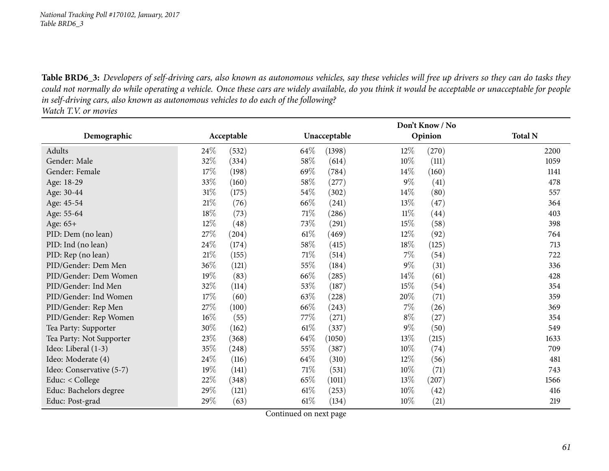Table BRD6\_3: Developers of self-driving cars, also known as autonomous vehicles, say these vehicles will free up drivers so they can do tasks they could not normally do while operating a vehicle. Once these cars are widely available, do you think it would be acceptable or unacceptable for people in self-driving cars, also known as autonomous vehicles to do each of the following?

*Watch T.V. or movies*

|                          |        |            | Don't Know / No |              |        |         |                |  |  |
|--------------------------|--------|------------|-----------------|--------------|--------|---------|----------------|--|--|
| Demographic              |        | Acceptable |                 | Unacceptable |        | Opinion | <b>Total N</b> |  |  |
| Adults                   | 24\%   | (532)      | $64\%$          | (1398)       | 12\%   | (270)   | 2200           |  |  |
| Gender: Male             | 32\%   | (334)      | 58\%            | (614)        | $10\%$ | (111)   | 1059           |  |  |
| Gender: Female           | 17%    | (198)      | 69%             | (784)        | $14\%$ | (160)   | 1141           |  |  |
| Age: 18-29               | 33%    | (160)      | 58\%            | (277)        | $9\%$  | (41)    | 478            |  |  |
| Age: 30-44               | $31\%$ | (175)      | $54\%$          | (302)        | $14\%$ | (80)    | 557            |  |  |
| Age: 45-54               | 21%    | (76)       | 66\%            | (241)        | 13\%   | (47)    | 364            |  |  |
| Age: 55-64               | 18%    | (73)       | 71\%            | (286)        | $11\%$ | (44)    | 403            |  |  |
| Age: 65+                 | 12%    | (48)       | 73%             | (291)        | 15%    | (58)    | 398            |  |  |
| PID: Dem (no lean)       | 27%    | (204)      | $61\%$          | (469)        | 12\%   | (92)    | 764            |  |  |
| PID: Ind (no lean)       | 24\%   | (174)      | 58\%            | (415)        | $18\%$ | (125)   | 713            |  |  |
| PID: Rep (no lean)       | $21\%$ | (155)      | $71\%$          | (514)        | $7\%$  | (54)    | 722            |  |  |
| PID/Gender: Dem Men      | 36\%   | (121)      | 55\%            | (184)        | $9\%$  | (31)    | 336            |  |  |
| PID/Gender: Dem Women    | $19\%$ | (83)       | 66\%            | (285)        | 14\%   | (61)    | 428            |  |  |
| PID/Gender: Ind Men      | 32\%   | (114)      | 53%             | (187)        | 15%    | (54)    | 354            |  |  |
| PID/Gender: Ind Women    | 17%    | (60)       | 63\%            | (228)        | 20%    | (71)    | 359            |  |  |
| PID/Gender: Rep Men      | 27\%   | (100)      | 66\%            | (243)        | $7\%$  | (26)    | 369            |  |  |
| PID/Gender: Rep Women    | 16%    | (55)       | 77\%            | (271)        | $8\%$  | (27)    | 354            |  |  |
| Tea Party: Supporter     | 30\%   | (162)      | $61\%$          | (337)        | $9\%$  | (50)    | 549            |  |  |
| Tea Party: Not Supporter | 23\%   | (368)      | $64\%$          | (1050)       | 13%    | (215)   | 1633           |  |  |
| Ideo: Liberal (1-3)      | 35\%   | (248)      | 55\%            | (387)        | $10\%$ | (74)    | 709            |  |  |
| Ideo: Moderate (4)       | 24\%   | (116)      | 64\%            | (310)        | 12%    | (56)    | 481            |  |  |
| Ideo: Conservative (5-7) | 19%    | (141)      | $71\%$          | (531)        | $10\%$ | (71)    | 743            |  |  |
| Educ: < College          | 22%    | (348)      | 65%             | (1011)       | 13\%   | (207)   | 1566           |  |  |
| Educ: Bachelors degree   | 29%    | (121)      | $61\%$          | (253)        | $10\%$ | (42)    | 416            |  |  |
| Educ: Post-grad          | 29%    | (63)       | $61\%$          | (134)        | $10\%$ | (21)    | 219            |  |  |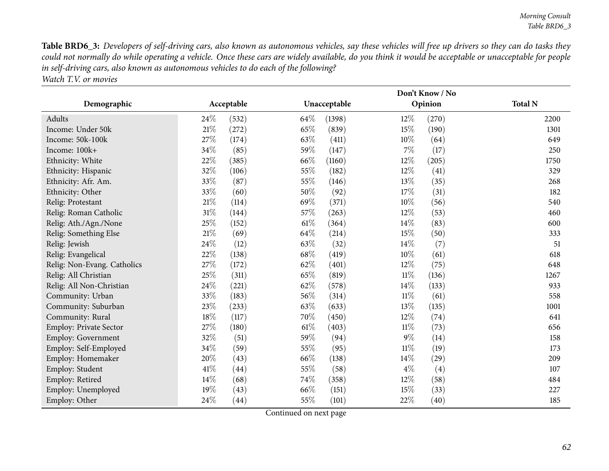Table BRD6\_3: Developers of self-driving cars, also known as autonomous vehicles, say these vehicles will free up drivers so they can do tasks they could not normally do while operating a vehicle. Once these cars are widely available, do you think it would be acceptable or unacceptable for people in self-driving cars, also known as autonomous vehicles to do each of the following? *Watch T.V. or movies*

|                             |        |            |      | Don't Know / No |        |         |                |  |  |  |
|-----------------------------|--------|------------|------|-----------------|--------|---------|----------------|--|--|--|
| Demographic                 |        | Acceptable |      | Unacceptable    |        | Opinion | <b>Total N</b> |  |  |  |
| Adults                      | 24\%   | (532)      | 64\% | (1398)          | $12\%$ | (270)   | 2200           |  |  |  |
| Income: Under 50k           | 21%    | (272)      | 65%  | (839)           | 15%    | (190)   | 1301           |  |  |  |
| Income: 50k-100k            | 27%    | (174)      | 63%  | (411)           | $10\%$ | (64)    | 649            |  |  |  |
| Income: 100k+               | 34%    | (85)       | 59%  | (147)           | 7%     | (17)    | 250            |  |  |  |
| Ethnicity: White            | 22%    | (385)      | 66%  | (1160)          | 12%    | (205)   | 1750           |  |  |  |
| Ethnicity: Hispanic         | 32%    | (106)      | 55%  | (182)           | 12%    | (41)    | 329            |  |  |  |
| Ethnicity: Afr. Am.         | 33%    | (87)       | 55%  | (146)           | 13%    | (35)    | 268            |  |  |  |
| Ethnicity: Other            | 33%    | (60)       | 50%  | (92)            | 17%    | (31)    | 182            |  |  |  |
| Relig: Protestant           | 21%    | (114)      | 69%  | (371)           | 10%    | (56)    | 540            |  |  |  |
| Relig: Roman Catholic       | 31%    | (144)      | 57%  | (263)           | 12%    | (53)    | 460            |  |  |  |
| Relig: Ath./Agn./None       | 25%    | (152)      | 61%  | (364)           | 14%    | (83)    | 600            |  |  |  |
| Relig: Something Else       | $21\%$ | (69)       | 64%  | (214)           | 15%    | (50)    | 333            |  |  |  |
| Relig: Jewish               | 24%    | (12)       | 63%  | (32)            | 14%    | (7)     | 51             |  |  |  |
| Relig: Evangelical          | 22%    | (138)      | 68%  | (419)           | $10\%$ | (61)    | 618            |  |  |  |
| Relig: Non-Evang. Catholics | 27%    | (172)      | 62%  | (401)           | 12%    | (75)    | 648            |  |  |  |
| Relig: All Christian        | 25%    | (311)      | 65%  | (819)           | $11\%$ | (136)   | 1267           |  |  |  |
| Relig: All Non-Christian    | 24%    | (221)      | 62%  | (578)           | $14\%$ | (133)   | 933            |  |  |  |
| Community: Urban            | 33%    | (183)      | 56%  | (314)           | $11\%$ | (61)    | 558            |  |  |  |
| Community: Suburban         | 23%    | (233)      | 63%  | (633)           | 13%    | (135)   | 1001           |  |  |  |
| Community: Rural            | 18%    | (117)      | 70%  | (450)           | 12%    | (74)    | 641            |  |  |  |
| Employ: Private Sector      | 27%    | (180)      | 61\% | (403)           | $11\%$ | (73)    | 656            |  |  |  |
| Employ: Government          | 32%    | (51)       | 59%  | (94)            | $9\%$  | (14)    | 158            |  |  |  |
| Employ: Self-Employed       | 34%    | (59)       | 55%  | (95)            | $11\%$ | (19)    | 173            |  |  |  |
| Employ: Homemaker           | 20%    | (43)       | 66%  | (138)           | 14%    | (29)    | 209            |  |  |  |
| Employ: Student             | 41\%   | (44)       | 55%  | (58)            | $4\%$  | (4)     | 107            |  |  |  |
| Employ: Retired             | 14%    | (68)       | 74%  | (358)           | 12%    | (58)    | 484            |  |  |  |
| Employ: Unemployed          | 19%    | (43)       | 66%  | (151)           | 15%    | (33)    | 227            |  |  |  |
| Employ: Other               | 24%    | (44)       | 55%  | (101)           | 22%    | (40)    | 185            |  |  |  |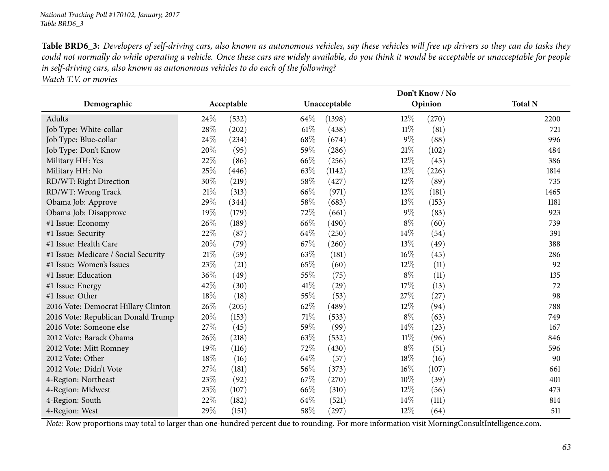Table BRD6\_3: Developers of self-driving cars, also known as autonomous vehicles, say these vehicles will free up drivers so they can do tasks they could not normally do while operating a vehicle. Once these cars are widely available, do you think it would be acceptable or unacceptable for people in self-driving cars, also known as autonomous vehicles to do each of the following?

*Watch T.V. or movies*

|                                      |      |            |      | Don't Know / No |        |         |                |  |  |  |
|--------------------------------------|------|------------|------|-----------------|--------|---------|----------------|--|--|--|
| Demographic                          |      | Acceptable |      | Unacceptable    |        | Opinion | <b>Total N</b> |  |  |  |
| Adults                               | 24\% | (532)      | 64\% | (1398)          | 12\%   | (270)   | 2200           |  |  |  |
| Job Type: White-collar               | 28%  | (202)      | 61%  | (438)           | $11\%$ | (81)    | 721            |  |  |  |
| Job Type: Blue-collar                | 24%  | (234)      | 68%  | (674)           | $9\%$  | (88)    | 996            |  |  |  |
| Job Type: Don't Know                 | 20%  | (95)       | 59%  | (286)           | 21%    | (102)   | 484            |  |  |  |
| Military HH: Yes                     | 22%  | (86)       | 66\% | (256)           | 12%    | (45)    | 386            |  |  |  |
| Military HH: No                      | 25%  | (446)      | 63%  | (1142)          | 12%    | (226)   | 1814           |  |  |  |
| RD/WT: Right Direction               | 30%  | (219)      | 58%  | (427)           | 12%    | (89)    | 735            |  |  |  |
| RD/WT: Wrong Track                   | 21%  | (313)      | 66\% | (971)           | 12%    | (181)   | 1465           |  |  |  |
| Obama Job: Approve                   | 29%  | (344)      | 58%  | (683)           | 13%    | (153)   | 1181           |  |  |  |
| Obama Job: Disapprove                | 19%  | (179)      | 72%  | (661)           | $9\%$  | (83)    | 923            |  |  |  |
| #1 Issue: Economy                    | 26%  | (189)      | 66\% | (490)           | $8\%$  | (60)    | 739            |  |  |  |
| #1 Issue: Security                   | 22%  | (87)       | 64\% | (250)           | 14%    | (54)    | 391            |  |  |  |
| #1 Issue: Health Care                | 20%  | (79)       | 67%  | (260)           | 13%    | (49)    | 388            |  |  |  |
| #1 Issue: Medicare / Social Security | 21%  | (59)       | 63%  | (181)           | 16%    | (45)    | 286            |  |  |  |
| #1 Issue: Women's Issues             | 23%  | (21)       | 65%  | (60)            | 12%    | (11)    | 92             |  |  |  |
| #1 Issue: Education                  | 36%  | (49)       | 55%  | (75)            | $8\%$  | (11)    | 135            |  |  |  |
| #1 Issue: Energy                     | 42%  | (30)       | 41\% | (29)            | 17%    | (13)    | 72             |  |  |  |
| #1 Issue: Other                      | 18%  | (18)       | 55%  | (53)            | 27%    | (27)    | 98             |  |  |  |
| 2016 Vote: Democrat Hillary Clinton  | 26%  | (205)      | 62%  | (489)           | 12%    | (94)    | 788            |  |  |  |
| 2016 Vote: Republican Donald Trump   | 20%  | (153)      | 71%  | (533)           | $8\%$  | (63)    | 749            |  |  |  |
| 2016 Vote: Someone else              | 27%  | (45)       | 59\% | (99)            | $14\%$ | (23)    | 167            |  |  |  |
| 2012 Vote: Barack Obama              | 26%  | (218)      | 63%  | (532)           | 11%    | (96)    | 846            |  |  |  |
| 2012 Vote: Mitt Romney               | 19%  | (116)      | 72%  | (430)           | $8\%$  | (51)    | 596            |  |  |  |
| 2012 Vote: Other                     | 18%  | (16)       | 64%  | (57)            | 18%    | (16)    | 90             |  |  |  |
| 2012 Vote: Didn't Vote               | 27%  | (181)      | 56%  | (373)           | 16%    | (107)   | 661            |  |  |  |
| 4-Region: Northeast                  | 23%  | (92)       | 67\% | (270)           | 10%    | (39)    | 401            |  |  |  |
| 4-Region: Midwest                    | 23%  | (107)      | 66%  | (310)           | 12\%   | (56)    | 473            |  |  |  |
| 4-Region: South                      | 22%  | (182)      | 64\% | (521)           | 14%    | (111)   | 814            |  |  |  |
| 4-Region: West                       | 29%  | (151)      | 58%  | (297)           | 12%    | (64)    | 511            |  |  |  |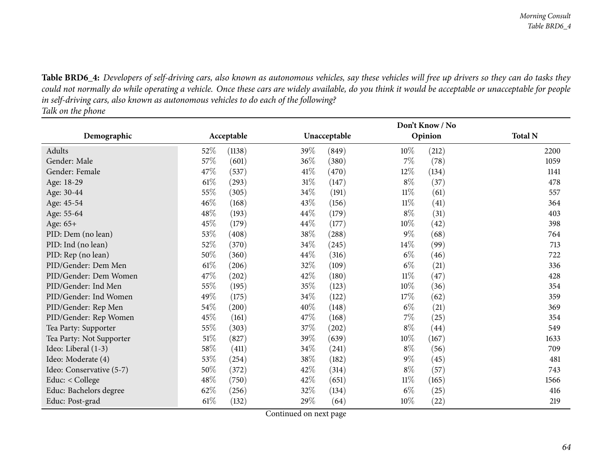Table BRD6\_4: Developers of self-driving cars, also known as autonomous vehicles, say these vehicles will free up drivers so they can do tasks they could not normally do while operating a vehicle. Once these cars are widely available, do you think it would be acceptable or unacceptable for people in self-driving cars, also known as autonomous vehicles to do each of the following?

*Talk on the <sup>p</sup>hone*

|                          |                 | Don't Know / No |                 |                |  |  |  |  |
|--------------------------|-----------------|-----------------|-----------------|----------------|--|--|--|--|
| Demographic              | Acceptable      | Unacceptable    | Opinion         | <b>Total N</b> |  |  |  |  |
| Adults                   | 52\%<br>(1138)  | 39\%<br>(849)   | $10\%$<br>(212) | 2200           |  |  |  |  |
| Gender: Male             | 57%<br>(601)    | 36\%<br>(380)   | $7\%$<br>(78)   | 1059           |  |  |  |  |
| Gender: Female           | 47%<br>(537)    | 41\%<br>(470)   | 12%<br>(134)    | 1141           |  |  |  |  |
| Age: 18-29               | 61%<br>(293)    | $31\%$<br>(147) | $8\%$<br>(37)   | 478            |  |  |  |  |
| Age: 30-44               | 55\%<br>(305)   | 34\%<br>(191)   | $11\%$<br>(61)  | 557            |  |  |  |  |
| Age: 45-54               | $46\%$<br>(168) | 43\%<br>(156)   | $11\%$<br>(41)  | 364            |  |  |  |  |
| Age: 55-64               | 48\%<br>(193)   | $44\%$<br>(179) | $8\%$<br>(31)   | 403            |  |  |  |  |
| Age: 65+                 | 45\%<br>(179)   | $44\%$<br>(177) | 10%<br>(42)     | 398            |  |  |  |  |
| PID: Dem (no lean)       | 53%<br>(408)    | 38\%<br>(288)   | $9\%$<br>(68)   | 764            |  |  |  |  |
| PID: Ind (no lean)       | 52\%<br>(370)   | $34\%$<br>(245) | $14\%$<br>(99)  | 713            |  |  |  |  |
| PID: Rep (no lean)       | 50%<br>(360)    | 44\%<br>(316)   | $6\%$<br>(46)   | 722            |  |  |  |  |
| PID/Gender: Dem Men      | $61\%$<br>(206) | 32%<br>(109)    | $6\%$<br>(21)   | 336            |  |  |  |  |
| PID/Gender: Dem Women    | 47\%<br>(202)   | 42\%<br>(180)   | $11\%$<br>(47)  | 428            |  |  |  |  |
| PID/Gender: Ind Men      | 55\%<br>(195)   | 35\%<br>(123)   | 10%<br>(36)     | 354            |  |  |  |  |
| PID/Gender: Ind Women    | 49%<br>(175)    | 34%<br>(122)    | 17%<br>(62)     | 359            |  |  |  |  |
| PID/Gender: Rep Men      | 54\%<br>(200)   | 40%<br>(148)    | $6\%$<br>(21)   | 369            |  |  |  |  |
| PID/Gender: Rep Women    | 45%<br>(161)    | 47\%<br>(168)   | $7\%$<br>(25)   | 354            |  |  |  |  |
| Tea Party: Supporter     | 55\%<br>(303)   | 37\%<br>(202)   | $8\%$<br>(44)   | 549            |  |  |  |  |
| Tea Party: Not Supporter | 51%<br>(827)    | 39\%<br>(639)   | $10\%$<br>(167) | 1633           |  |  |  |  |
| Ideo: Liberal (1-3)      | $58\%$<br>(411) | 34\%<br>(241)   | $8\%$<br>(56)   | 709            |  |  |  |  |
| Ideo: Moderate (4)       | 53%<br>(254)    | 38\%<br>(182)   | $9\%$<br>(45)   | 481            |  |  |  |  |
| Ideo: Conservative (5-7) | 50%<br>(372)    | 42%<br>(314)    | $8\%$<br>(57)   | 743            |  |  |  |  |
| Educ: < College          | 48\%<br>(750)   | 42%<br>(651)    | $11\%$<br>(165) | 1566           |  |  |  |  |
| Educ: Bachelors degree   | 62%<br>(256)    | 32%<br>(134)    | $6\%$<br>(25)   | 416            |  |  |  |  |
| Educ: Post-grad          | $61\%$<br>(132) | 29%<br>(64)     | 10%<br>(22)     | 219            |  |  |  |  |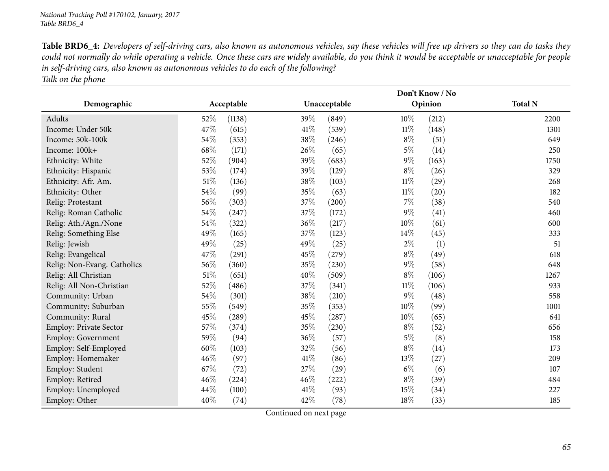Table BRD6\_4: Developers of self-driving cars, also known as autonomous vehicles, say these vehicles will free up drivers so they can do tasks they could not normally do while operating a vehicle. Once these cars are widely available, do you think it would be acceptable or unacceptable for people in self-driving cars, also known as autonomous vehicles to do each of the following? *Talk on the <sup>p</sup>hone*

|                               |      |            |      |              |        | Don't Know / No    |                |
|-------------------------------|------|------------|------|--------------|--------|--------------------|----------------|
| Demographic                   |      | Acceptable |      | Unacceptable |        | Opinion            | <b>Total N</b> |
| Adults                        | 52\% | (1138)     | 39\% | (849)        | $10\%$ | (212)              | 2200           |
| Income: Under 50k             | 47%  | (615)      | 41\% | (539)        | $11\%$ | (148)              | 1301           |
| Income: 50k-100k              | 54%  | (353)      | 38%  | (246)        | $8\%$  | (51)               | 649            |
| Income: 100k+                 | 68%  | (171)      | 26%  | (65)         | $5\%$  | (14)               | 250            |
| Ethnicity: White              | 52%  | (904)      | 39%  | (683)        | $9\%$  | (163)              | 1750           |
| Ethnicity: Hispanic           | 53%  | (174)      | 39%  | (129)        | $8\%$  | (26)               | 329            |
| Ethnicity: Afr. Am.           | 51%  | (136)      | 38%  | (103)        | $11\%$ | (29)               | 268            |
| Ethnicity: Other              | 54%  | (99)       | 35%  | (63)         | $11\%$ | (20)               | 182            |
| Relig: Protestant             | 56%  | (303)      | 37%  | (200)        | 7%     | (38)               | 540            |
| Relig: Roman Catholic         | 54%  | (247)      | 37%  | (172)        | 9%     | (41)               | 460            |
| Relig: Ath./Agn./None         | 54%  | (322)      | 36%  | (217)        | 10%    | (61)               | 600            |
| Relig: Something Else         | 49%  | (165)      | 37%  | (123)        | 14%    | (45)               | 333            |
| Relig: Jewish                 | 49%  | (25)       | 49%  | (25)         | $2\%$  | (1)                | 51             |
| Relig: Evangelical            | 47\% | (291)      | 45%  | (279)        | $8\%$  | (49)               | 618            |
| Relig: Non-Evang. Catholics   | 56%  | (360)      | 35%  | (230)        | $9\%$  | (58)               | 648            |
| Relig: All Christian          | 51%  | (651)      | 40%  | (509)        | $8\%$  | (106)              | 1267           |
| Relig: All Non-Christian      | 52%  | (486)      | 37%  | (341)        | $11\%$ | (106)              | 933            |
| Community: Urban              | 54%  | (301)      | 38%  | (210)        | $9\%$  | (48)               | 558            |
| Community: Suburban           | 55%  | (549)      | 35%  | (353)        | 10%    | (99)               | 1001           |
| Community: Rural              | 45%  | (289)      | 45%  | (287)        | 10%    | (65)               | 641            |
| <b>Employ: Private Sector</b> | 57\% | (374)      | 35%  | (230)        | $8\%$  | (52)               | 656            |
| <b>Employ: Government</b>     | 59%  | (94)       | 36\% | (57)         | $5\%$  | (8)                | 158            |
| Employ: Self-Employed         | 60%  | (103)      | 32%  | (56)         | $8\%$  | (14)               | 173            |
| Employ: Homemaker             | 46%  | (97)       | 41\% | (86)         | 13%    | $\left( 27\right)$ | 209            |
| Employ: Student               | 67%  | (72)       | 27%  | (29)         | $6\%$  | (6)                | 107            |
| Employ: Retired               | 46%  | (224)      | 46%  | (222)        | $8\%$  | (39)               | 484            |
| Employ: Unemployed            | 44%  | (100)      | 41\% | (93)         | 15%    | (34)               | 227            |
| Employ: Other                 | 40%  | (74)       | 42%  | (78)         | 18%    | (33)               | 185            |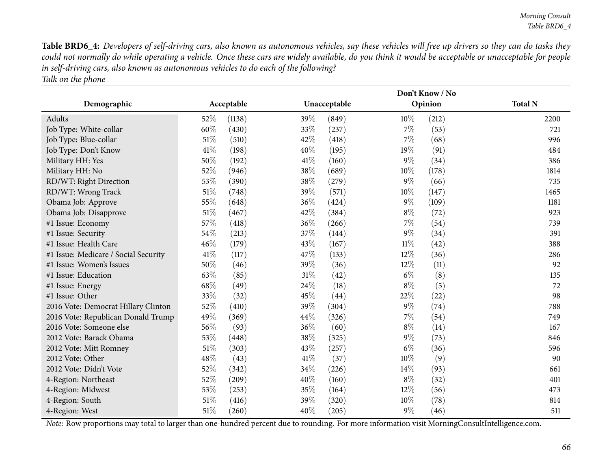Table BRD6\_4: Developers of self-driving cars, also known as autonomous vehicles, say these vehicles will free up drivers so they can do tasks they could not normally do while operating a vehicle. Once these cars are widely available, do you think it would be acceptable or unacceptable for people in self-driving cars, also known as autonomous vehicles to do each of the following? *Talk on the <sup>p</sup>hone*

|                                      |            |        |      | Don't Know / No |        |         |                |  |  |
|--------------------------------------|------------|--------|------|-----------------|--------|---------|----------------|--|--|
| Demographic                          | Acceptable |        |      | Unacceptable    |        | Opinion | <b>Total N</b> |  |  |
| Adults                               | $52\%$     | (1138) | 39\% | (849)           | $10\%$ | (212)   | 2200           |  |  |
| Job Type: White-collar               | 60%        | (430)  | 33%  | (237)           | $7\%$  | (53)    | 721            |  |  |
| Job Type: Blue-collar                | 51%        | (510)  | 42%  | (418)           | $7\%$  | (68)    | 996            |  |  |
| Job Type: Don't Know                 | 41%        | (198)  | 40%  | (195)           | 19%    | (91)    | 484            |  |  |
| Military HH: Yes                     | 50%        | (192)  | 41\% | (160)           | $9\%$  | (34)    | 386            |  |  |
| Military HH: No                      | 52%        | (946)  | 38%  | (689)           | 10%    | (178)   | 1814           |  |  |
| RD/WT: Right Direction               | 53%        | (390)  | 38%  | (279)           | $9\%$  | (66)    | 735            |  |  |
| RD/WT: Wrong Track                   | 51%        | (748)  | 39%  | (571)           | $10\%$ | (147)   | 1465           |  |  |
| Obama Job: Approve                   | 55%        | (648)  | 36%  | (424)           | $9\%$  | (109)   | 1181           |  |  |
| Obama Job: Disapprove                | 51\%       | (467)  | 42%  | (384)           | $8\%$  | (72)    | 923            |  |  |
| #1 Issue: Economy                    | 57%        | (418)  | 36%  | (266)           | $7\%$  | (54)    | 739            |  |  |
| #1 Issue: Security                   | 54%        | (213)  | 37%  | (144)           | $9\%$  | (34)    | 391            |  |  |
| #1 Issue: Health Care                | 46%        | (179)  | 43%  | (167)           | 11%    | (42)    | 388            |  |  |
| #1 Issue: Medicare / Social Security | 41%        | (117)  | 47\% | (133)           | 12%    | (36)    | 286            |  |  |
| #1 Issue: Women's Issues             | 50%        | (46)   | 39%  | (36)            | 12%    | (11)    | 92             |  |  |
| #1 Issue: Education                  | 63%        | (85)   | 31%  | (42)            | $6\%$  | (8)     | 135            |  |  |
| #1 Issue: Energy                     | 68%        | (49)   | 24%  | (18)            | $8\%$  | (5)     | 72             |  |  |
| #1 Issue: Other                      | 33%        | (32)   | 45%  | (44)            | 22%    | (22)    | 98             |  |  |
| 2016 Vote: Democrat Hillary Clinton  | 52%        | (410)  | 39%  | (304)           | $9\%$  | (74)    | 788            |  |  |
| 2016 Vote: Republican Donald Trump   | 49%        | (369)  | 44%  | (326)           | 7%     | (54)    | 749            |  |  |
| 2016 Vote: Someone else              | 56\%       | (93)   | 36\% | (60)            | $8\%$  | (14)    | 167            |  |  |
| 2012 Vote: Barack Obama              | 53%        | (448)  | 38%  | (325)           | $9\%$  | (73)    | 846            |  |  |
| 2012 Vote: Mitt Romney               | 51%        | (303)  | 43%  | (257)           | $6\%$  | (36)    | 596            |  |  |
| 2012 Vote: Other                     | 48%        | (43)   | 41\% | (37)            | 10%    | (9)     | 90             |  |  |
| 2012 Vote: Didn't Vote               | 52%        | (342)  | 34%  | (226)           | 14\%   | (93)    | 661            |  |  |
| 4-Region: Northeast                  | 52%        | (209)  | 40%  | (160)           | $8\%$  | (32)    | 401            |  |  |
| 4-Region: Midwest                    | 53%        | (253)  | 35%  | (164)           | 12%    | (56)    | 473            |  |  |
| 4-Region: South                      | 51\%       | (416)  | 39\% | (320)           | 10%    | (78)    | 814            |  |  |
| 4-Region: West                       | 51%        | (260)  | 40%  | (205)           | $9\%$  | (46)    | 511            |  |  |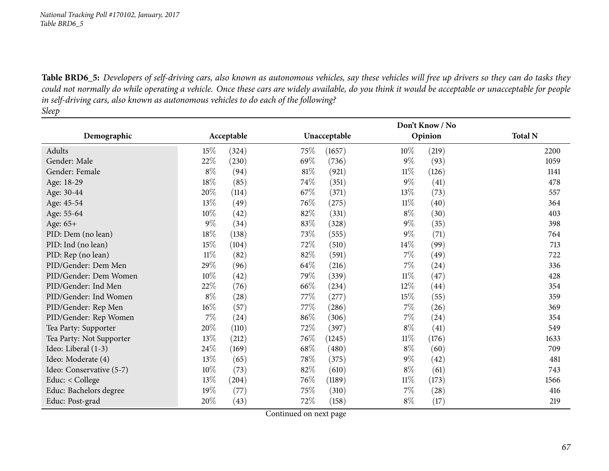Table BRD6\_5: Developers of self-driving cars, also known as autonomous vehicles, say these vehicles will free up drivers so they can do tasks they could not normally do while operating a vehicle. Once these cars are widely available, do you think it would be acceptable or unacceptable for people in self-driving cars, also known as autonomous vehicles to do each of the following?

*Sleep*

|                          |        |                    |        | Don't Know / No |        |         |                |  |  |
|--------------------------|--------|--------------------|--------|-----------------|--------|---------|----------------|--|--|
| Demographic              |        | Acceptable         |        | Unacceptable    |        | Opinion | <b>Total N</b> |  |  |
| Adults                   | 15%    | (324)              | 75\%   | (1657)          | 10%    | (219)   | 2200           |  |  |
| Gender: Male             | 22%    | (230)              | 69%    | (736)           | $9\%$  | (93)    | 1059           |  |  |
| Gender: Female           | $8\%$  | (94)               | $81\%$ | (921)           | $11\%$ | (126)   | 1141           |  |  |
| Age: 18-29               | 18%    | (85)               | 74%    | (351)           | $9\%$  | (41)    | 478            |  |  |
| Age: 30-44               | 20%    | (114)              | 67\%   | (371)           | 13\%   | (73)    | 557            |  |  |
| Age: 45-54               | 13%    | (49)               | 76%    | (275)           | $11\%$ | (40)    | 364            |  |  |
| Age: 55-64               | 10%    | (42)               | 82\%   | (331)           | $8\%$  | (30)    | 403            |  |  |
| Age: 65+                 | $9\%$  | (34)               | 83%    | (328)           | $9\%$  | (35)    | 398            |  |  |
| PID: Dem (no lean)       | $18\%$ | (138)              | 73%    | (555)           | $9\%$  | (71)    | 764            |  |  |
| PID: Ind (no lean)       | 15%    | (104)              | 72\%   | (510)           | 14\%   | (99)    | 713            |  |  |
| PID: Rep (no lean)       | $11\%$ | (82)               | 82%    | (591)           | $7\%$  | (49)    | 722            |  |  |
| PID/Gender: Dem Men      | 29%    | (96)               | 64\%   | (216)           | $7\%$  | (24)    | 336            |  |  |
| PID/Gender: Dem Women    | 10%    | (42)               | 79%    | (339)           | $11\%$ | (47)    | 428            |  |  |
| PID/Gender: Ind Men      | 22%    | (76)               | 66\%   | (234)           | 12\%   | (44)    | 354            |  |  |
| PID/Gender: Ind Women    | $8\%$  | $\left( 28\right)$ | 77\%   | (277)           | 15%    | (55)    | 359            |  |  |
| PID/Gender: Rep Men      | $16\%$ | (57)               | 77\%   | (286)           | $7\%$  | (26)    | 369            |  |  |
| PID/Gender: Rep Women    | $7\%$  | (24)               | 86%    | (306)           | $7\%$  | (24)    | 354            |  |  |
| Tea Party: Supporter     | 20%    | (110)              | 72\%   | (397)           | $8\%$  | (41)    | 549            |  |  |
| Tea Party: Not Supporter | 13\%   | (212)              | 76\%   | (1245)          | $11\%$ | (176)   | 1633           |  |  |
| Ideo: Liberal (1-3)      | 24%    | (169)              | 68\%   | (480)           | $8\%$  | (60)    | 709            |  |  |
| Ideo: Moderate (4)       | 13\%   | (65)               | 78\%   | (375)           | $9\%$  | (42)    | 481            |  |  |
| Ideo: Conservative (5-7) | 10%    | (73)               | 82\%   | (610)           | $8\%$  | (61)    | 743            |  |  |
| Educ: < College          | 13%    | (204)              | 76%    | (1189)          | $11\%$ | (173)   | 1566           |  |  |
| Educ: Bachelors degree   | 19%    | (77)               | 75\%   | (310)           | $7\%$  | (28)    | 416            |  |  |
| Educ: Post-grad          | 20%    | (43)               | 72\%   | (158)           | $8\%$  | (17)    | 219            |  |  |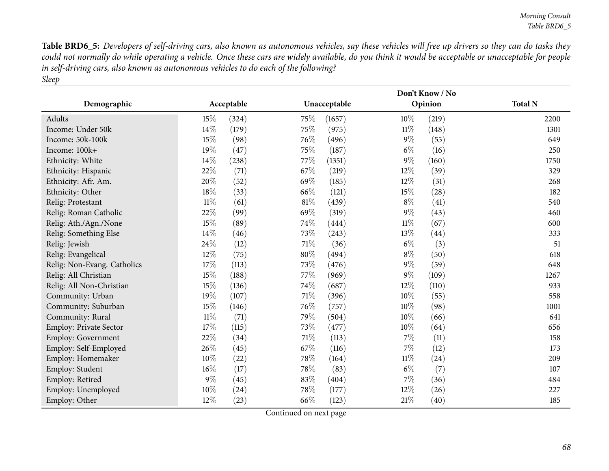Table BRD6\_5: Developers of self-driving cars, also known as autonomous vehicles, say these vehicles will free up drivers so they can do tasks they could not normally do while operating a vehicle. Once these cars are widely available, do you think it would be acceptable or unacceptable for people in self-driving cars, also known as autonomous vehicles to do each of the following? *Sleep*

|                             |        |            |      | Don't Know / No |        |         |                |  |  |
|-----------------------------|--------|------------|------|-----------------|--------|---------|----------------|--|--|
| Demographic                 |        | Acceptable |      | Unacceptable    |        | Opinion | <b>Total N</b> |  |  |
| Adults                      | 15%    | (324)      | 75\% | (1657)          | 10%    | (219)   | 2200           |  |  |
| Income: Under 50k           | 14%    | (179)      | 75%  | (975)           | $11\%$ | (148)   | 1301           |  |  |
| Income: 50k-100k            | $15\%$ | (98)       | 76%  | (496)           | $9\%$  | (55)    | 649            |  |  |
| Income: 100k+               | $19\%$ | (47)       | 75%  | (187)           | $6\%$  | (16)    | 250            |  |  |
| Ethnicity: White            | 14%    | (238)      | 77%  | (1351)          | $9\%$  | (160)   | 1750           |  |  |
| Ethnicity: Hispanic         | 22%    | (71)       | 67%  | (219)           | 12%    | (39)    | 329            |  |  |
| Ethnicity: Afr. Am.         | 20%    | (52)       | 69%  | (185)           | 12%    | (31)    | 268            |  |  |
| Ethnicity: Other            | 18%    | (33)       | 66%  | (121)           | 15%    | (28)    | 182            |  |  |
| Relig: Protestant           | $11\%$ | (61)       | 81%  | (439)           | $8\%$  | (41)    | 540            |  |  |
| Relig: Roman Catholic       | 22%    | (99)       | 69%  | (319)           | $9\%$  | (43)    | 460            |  |  |
| Relig: Ath./Agn./None       | 15%    | (89)       | 74%  | (444)           | $11\%$ | (67)    | 600            |  |  |
| Relig: Something Else       | 14%    | (46)       | 73%  | (243)           | 13%    | (44)    | 333            |  |  |
| Relig: Jewish               | 24%    | (12)       | 71%  | (36)            | $6\%$  | (3)     | 51             |  |  |
| Relig: Evangelical          | 12%    | (75)       | 80%  | (494)           | $8\%$  | (50)    | 618            |  |  |
| Relig: Non-Evang. Catholics | 17%    | (113)      | 73%  | (476)           | $9\%$  | (59)    | 648            |  |  |
| Relig: All Christian        | 15%    | (188)      | 77%  | (969)           | 9%     | (109)   | 1267           |  |  |
| Relig: All Non-Christian    | 15%    | (136)      | 74%  | (687)           | 12%    | (110)   | 933            |  |  |
| Community: Urban            | 19%    | (107)      | 71%  | (396)           | 10%    | (55)    | 558            |  |  |
| Community: Suburban         | 15%    | (146)      | 76%  | (757)           | 10%    | (98)    | 1001           |  |  |
| Community: Rural            | $11\%$ | (71)       | 79%  | (504)           | 10%    | (66)    | 641            |  |  |
| Employ: Private Sector      | 17%    | (115)      | 73%  | (477)           | 10%    | (64)    | 656            |  |  |
| Employ: Government          | 22%    | (34)       | 71%  | (113)           | 7%     | (11)    | 158            |  |  |
| Employ: Self-Employed       | 26%    | (45)       | 67%  | (116)           | $7\%$  | (12)    | 173            |  |  |
| Employ: Homemaker           | 10%    | (22)       | 78%  | (164)           | $11\%$ | (24)    | 209            |  |  |
| Employ: Student             | 16%    | (17)       | 78%  | (83)            | $6\%$  | (7)     | 107            |  |  |
| Employ: Retired             | $9\%$  | (45)       | 83%  | (404)           | $7\%$  | (36)    | 484            |  |  |
| Employ: Unemployed          | 10%    | (24)       | 78%  | (177)           | 12%    | (26)    | 227            |  |  |
| Employ: Other               | 12%    | (23)       | 66%  | (123)           | $21\%$ | (40)    | 185            |  |  |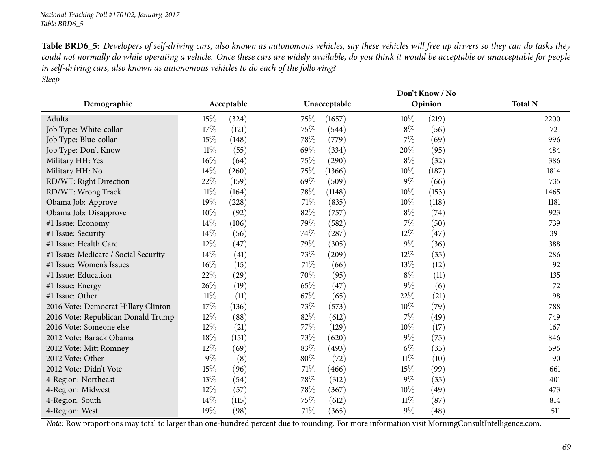Table BRD6\_5: Developers of self-driving cars, also known as autonomous vehicles, say these vehicles will free up drivers so they can do tasks they could not normally do while operating a vehicle. Once these cars are widely available, do you think it would be acceptable or unacceptable for people in self-driving cars, also known as autonomous vehicles to do each of the following? *Sleep*

|                                      |            |       |      | Don't Know / No |        |         |                |  |  |
|--------------------------------------|------------|-------|------|-----------------|--------|---------|----------------|--|--|
| Demographic                          | Acceptable |       |      | Unacceptable    |        | Opinion | <b>Total N</b> |  |  |
| Adults                               | 15%        | (324) | 75%  | (1657)          | $10\%$ | (219)   | 2200           |  |  |
| Job Type: White-collar               | 17%        | (121) | 75%  | (544)           | $8\%$  | (56)    | 721            |  |  |
| Job Type: Blue-collar                | 15%        | (148) | 78%  | (779)           | $7\%$  | (69)    | 996            |  |  |
| Job Type: Don't Know                 | $11\%$     | (55)  | 69%  | (334)           | 20%    | (95)    | 484            |  |  |
| Military HH: Yes                     | 16%        | (64)  | 75%  | (290)           | $8\%$  | (32)    | 386            |  |  |
| Military HH: No                      | 14%        | (260) | 75%  | (1366)          | $10\%$ | (187)   | 1814           |  |  |
| RD/WT: Right Direction               | 22%        | (159) | 69%  | (509)           | $9\%$  | (66)    | 735            |  |  |
| RD/WT: Wrong Track                   | $11\%$     | (164) | 78%  | (1148)          | 10%    | (153)   | 1465           |  |  |
| Obama Job: Approve                   | 19%        | (228) | 71%  | (835)           | 10%    | (118)   | 1181           |  |  |
| Obama Job: Disapprove                | $10\%$     | (92)  | 82%  | (757)           | $8\%$  | (74)    | 923            |  |  |
| #1 Issue: Economy                    | 14%        | (106) | 79%  | (582)           | $7\%$  | (50)    | 739            |  |  |
| #1 Issue: Security                   | 14%        | (56)  | 74%  | (287)           | 12\%   | (47)    | 391            |  |  |
| #1 Issue: Health Care                | 12%        | (47)  | 79%  | (305)           | $9\%$  | (36)    | 388            |  |  |
| #1 Issue: Medicare / Social Security | 14%        | (41)  | 73%  | (209)           | 12\%   | (35)    | 286            |  |  |
| #1 Issue: Women's Issues             | 16%        | (15)  | 71%  | (66)            | 13%    | (12)    | 92             |  |  |
| #1 Issue: Education                  | 22%        | (29)  | 70%  | (95)            | $8\%$  | (11)    | 135            |  |  |
| #1 Issue: Energy                     | 26%        | (19)  | 65%  | (47)            | $9\%$  | (6)     | 72             |  |  |
| #1 Issue: Other                      | $11\%$     | (11)  | 67%  | (65)            | 22%    | (21)    | 98             |  |  |
| 2016 Vote: Democrat Hillary Clinton  | 17%        | (136) | 73%  | (573)           | 10%    | (79)    | 788            |  |  |
| 2016 Vote: Republican Donald Trump   | 12%        | (88)  | 82%  | (612)           | $7\%$  | (49)    | 749            |  |  |
| 2016 Vote: Someone else              | 12%        | (21)  | 77\% | (129)           | $10\%$ | (17)    | 167            |  |  |
| 2012 Vote: Barack Obama              | 18%        | (151) | 73%  | (620)           | $9\%$  | (75)    | 846            |  |  |
| 2012 Vote: Mitt Romney               | 12%        | (69)  | 83%  | (493)           | $6\%$  | (35)    | 596            |  |  |
| 2012 Vote: Other                     | 9%         | (8)   | 80%  | (72)            | $11\%$ | (10)    | 90             |  |  |
| 2012 Vote: Didn't Vote               | 15%        | (96)  | 71%  | (466)           | 15%    | (99)    | 661            |  |  |
| 4-Region: Northeast                  | 13%        | (54)  | 78%  | (312)           | $9\%$  | (35)    | 401            |  |  |
| 4-Region: Midwest                    | 12%        | (57)  | 78%  | (367)           | 10%    | (49)    | 473            |  |  |
| 4-Region: South                      | 14%        | (115) | 75%  | (612)           | 11%    | (87)    | 814            |  |  |
| 4-Region: West                       | 19%        | (98)  | 71%  | (365)           | $9\%$  | (48)    | 511            |  |  |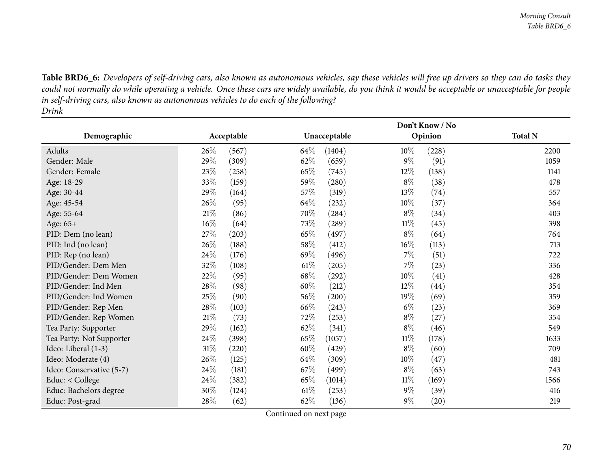Table BRD6\_6: Developers of self-driving cars, also known as autonomous vehicles, say these vehicles will free up drivers so they can do tasks they could not normally do while operating a vehicle. Once these cars are widely available, do you think it would be acceptable or unacceptable for people in self-driving cars, also known as autonomous vehicles to do each of the following? *Drink*

|                          |        |            | Don't Know / No |              |        |         |                |  |
|--------------------------|--------|------------|-----------------|--------------|--------|---------|----------------|--|
| Demographic              |        | Acceptable |                 | Unacceptable |        | Opinion | <b>Total N</b> |  |
| Adults                   | 26\%   | (567)      | 64\%            | (1404)       | 10%    | (228)   | 2200           |  |
| Gender: Male             | 29%    | (309)      | 62\%            | (659)        | $9\%$  | (91)    | 1059           |  |
| Gender: Female           | 23%    | (258)      | 65%             | (745)        | 12%    | (138)   | 1141           |  |
| Age: 18-29               | 33%    | (159)      | 59%             | (280)        | $8\%$  | (38)    | 478            |  |
| Age: 30-44               | 29%    | (164)      | 57\%            | (319)        | 13\%   | (74)    | 557            |  |
| Age: 45-54               | 26\%   | (95)       | 64\%            | (232)        | 10%    | (37)    | 364            |  |
| Age: 55-64               | $21\%$ | (86)       | 70\%            | (284)        | $8\%$  | (34)    | 403            |  |
| Age: 65+                 | 16%    | (64)       | 73\%            | (289)        | $11\%$ | (45)    | 398            |  |
| PID: Dem (no lean)       | 27%    | (203)      | 65%             | (497)        | $8\%$  | (64)    | 764            |  |
| PID: Ind (no lean)       | 26\%   | (188)      | 58\%            | (412)        | $16\%$ | (113)   | 713            |  |
| PID: Rep (no lean)       | 24\%   | (176)      | 69%             | (496)        | $7\%$  | (51)    | 722            |  |
| PID/Gender: Dem Men      | 32%    | (108)      | $61\%$          | (205)        | $7\%$  | (23)    | 336            |  |
| PID/Gender: Dem Women    | 22%    | (95)       | 68\%            | (292)        | 10%    | (41)    | 428            |  |
| PID/Gender: Ind Men      | 28\%   | (98)       | 60%             | (212)        | 12\%   | (44)    | 354            |  |
| PID/Gender: Ind Women    | $25\%$ | (90)       | 56\%            | (200)        | 19%    | (69)    | 359            |  |
| PID/Gender: Rep Men      | 28%    | (103)      | 66%             | (243)        | $6\%$  | (23)    | 369            |  |
| PID/Gender: Rep Women    | 21%    | (73)       | 72\%            | (253)        | $8\%$  | (27)    | 354            |  |
| Tea Party: Supporter     | 29%    | (162)      | 62\%            | (341)        | $8\%$  | (46)    | 549            |  |
| Tea Party: Not Supporter | 24\%   | (398)      | 65%             | (1057)       | $11\%$ | (178)   | 1633           |  |
| Ideo: Liberal (1-3)      | 31\%   | (220)      | 60%             | (429)        | $8\%$  | (60)    | 709            |  |
| Ideo: Moderate (4)       | 26\%   | (125)      | 64\%            | (309)        | $10\%$ | (47)    | 481            |  |
| Ideo: Conservative (5-7) | 24\%   | (181)      | 67\%            | (499)        | $8\%$  | (63)    | 743            |  |
| Educ: < College          | 24\%   | (382)      | 65\%            | (1014)       | $11\%$ | (169)   | 1566           |  |
| Educ: Bachelors degree   | 30%    | (124)      | $61\%$          | (253)        | $9\%$  | (39)    | 416            |  |
| Educ: Post-grad          | 28%    | (62)       | 62\%            | (136)        | $9\%$  | (20)    | 219            |  |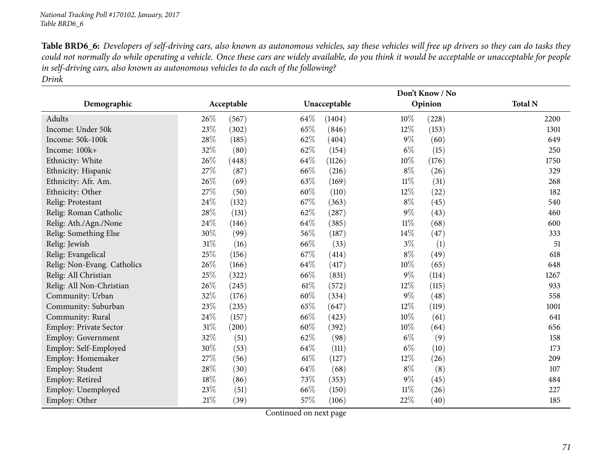Table BRD6\_6: Developers of self-driving cars, also known as autonomous vehicles, say these vehicles will free up drivers so they can do tasks they could not normally do while operating a vehicle. Once these cars are widely available, do you think it would be acceptable or unacceptable for people in self-driving cars, also known as autonomous vehicles to do each of the following? *Drink*

|                               |            |       | Don't Know / No |              |        |         |                |  |
|-------------------------------|------------|-------|-----------------|--------------|--------|---------|----------------|--|
| Demographic                   | Acceptable |       |                 | Unacceptable |        | Opinion | <b>Total N</b> |  |
| Adults                        | 26%        | (567) | $64\%$          | (1404)       | 10%    | (228)   | 2200           |  |
| Income: Under 50k             | $23\%$     | (302) | 65%             | (846)        | 12%    | (153)   | 1301           |  |
| Income: 50k-100k              | 28%        | (185) | 62%             | (404)        | $9\%$  | (60)    | 649            |  |
| Income: 100k+                 | 32%        | (80)  | 62%             | (154)        | $6\%$  | (15)    | 250            |  |
| Ethnicity: White              | 26%        | (448) | 64\%            | (1126)       | 10%    | (176)   | 1750           |  |
| Ethnicity: Hispanic           | 27%        | (87)  | 66%             | (216)        | $8\%$  | (26)    | 329            |  |
| Ethnicity: Afr. Am.           | 26%        | (69)  | 63%             | (169)        | $11\%$ | (31)    | 268            |  |
| Ethnicity: Other              | 27%        | (50)  | 60%             | (110)        | 12%    | (22)    | 182            |  |
| Relig: Protestant             | 24%        | (132) | 67%             | (363)        | $8\%$  | (45)    | 540            |  |
| Relig: Roman Catholic         | 28\%       | (131) | 62%             | (287)        | $9\%$  | (43)    | 460            |  |
| Relig: Ath./Agn./None         | 24%        | (146) | 64%             | (385)        | $11\%$ | (68)    | 600            |  |
| Relig: Something Else         | 30%        | (99)  | 56%             | (187)        | $14\%$ | (47)    | 333            |  |
| Relig: Jewish                 | 31%        | (16)  | 66%             | (33)         | $3\%$  | (1)     | 51             |  |
| Relig: Evangelical            | 25%        | (156) | 67%             | (414)        | $8\%$  | (49)    | 618            |  |
| Relig: Non-Evang. Catholics   | 26%        | (166) | 64\%            | (417)        | 10%    | (65)    | 648            |  |
| Relig: All Christian          | 25%        | (322) | 66\%            | (831)        | $9\%$  | (114)   | 1267           |  |
| Relig: All Non-Christian      | 26%        | (245) | 61\%            | (572)        | 12%    | (115)   | 933            |  |
| Community: Urban              | 32%        | (176) | 60%             | (334)        | $9\%$  | (48)    | 558            |  |
| Community: Suburban           | 23%        | (235) | 65%             | (647)        | 12%    | (119)   | 1001           |  |
| Community: Rural              | $24\%$     | (157) | 66%             | (423)        | 10%    | (61)    | 641            |  |
| <b>Employ: Private Sector</b> | $31\%$     | (200) | 60%             | (392)        | 10%    | (64)    | 656            |  |
| Employ: Government            | 32%        | (51)  | 62%             | (98)         | $6\%$  | (9)     | 158            |  |
| Employ: Self-Employed         | 30%        | (53)  | 64%             | (111)        | $6\%$  | (10)    | 173            |  |
| Employ: Homemaker             | 27%        | (56)  | 61\%            | (127)        | 12%    | (26)    | 209            |  |
| Employ: Student               | 28%        | (30)  | 64\%            | (68)         | $8\%$  | (8)     | 107            |  |
| Employ: Retired               | 18%        | (86)  | 73%             | (353)        | $9\%$  | (45)    | 484            |  |
| Employ: Unemployed            | 23%        | (51)  | 66%             | (150)        | $11\%$ | (26)    | 227            |  |
| Employ: Other                 | 21%        | (39)  | $57\%$          | (106)        | 22%    | (40)    | 185            |  |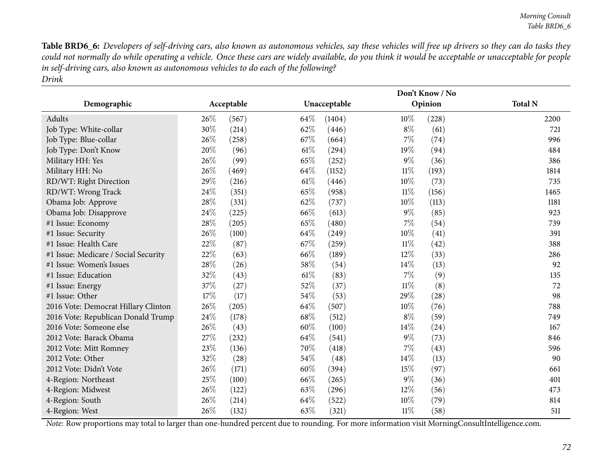Table BRD6\_6: Developers of self-driving cars, also known as autonomous vehicles, say these vehicles will free up drivers so they can do tasks they could not normally do while operating a vehicle. Once these cars are widely available, do you think it would be acceptable or unacceptable for people in self-driving cars, also known as autonomous vehicles to do each of the following? *Drink*

|                                      |            |       |      | Don't Know / No |        |         |                |  |  |
|--------------------------------------|------------|-------|------|-----------------|--------|---------|----------------|--|--|
| Demographic                          | Acceptable |       |      | Unacceptable    |        | Opinion | <b>Total N</b> |  |  |
| Adults                               | 26%        | (567) | 64\% | (1404)          | $10\%$ | (228)   | 2200           |  |  |
| Job Type: White-collar               | 30%        | (214) | 62%  | (446)           | $8\%$  | (61)    | 721            |  |  |
| Job Type: Blue-collar                | 26%        | (258) | 67%  | (664)           | 7%     | (74)    | 996            |  |  |
| Job Type: Don't Know                 | 20%        | (96)  | 61%  | (294)           | 19%    | (94)    | 484            |  |  |
| Military HH: Yes                     | 26%        | (99)  | 65%  | (252)           | 9%     | (36)    | 386            |  |  |
| Military HH: No                      | 26%        | (469) | 64\% | (1152)          | $11\%$ | (193)   | 1814           |  |  |
| RD/WT: Right Direction               | 29%        | (216) | 61%  | (446)           | $10\%$ | (73)    | 735            |  |  |
| RD/WT: Wrong Track                   | 24%        | (351) | 65%  | (958)           | $11\%$ | (156)   | 1465           |  |  |
| Obama Job: Approve                   | 28%        | (331) | 62%  | (737)           | $10\%$ | (113)   | 1181           |  |  |
| Obama Job: Disapprove                | 24%        | (225) | 66%  | (613)           | $9\%$  | (85)    | 923            |  |  |
| #1 Issue: Economy                    | 28%        | (205) | 65%  | (480)           | 7%     | (54)    | 739            |  |  |
| #1 Issue: Security                   | 26%        | (100) | 64%  | (249)           | 10%    | (41)    | 391            |  |  |
| #1 Issue: Health Care                | 22%        | (87)  | 67\% | (259)           | 11%    | (42)    | 388            |  |  |
| #1 Issue: Medicare / Social Security | 22%        | (63)  | 66%  | (189)           | 12%    | (33)    | 286            |  |  |
| #1 Issue: Women's Issues             | 28%        | (26)  | 58%  | (54)            | 14%    | (13)    | 92             |  |  |
| #1 Issue: Education                  | 32%        | (43)  | 61%  | (83)            | 7%     | (9)     | 135            |  |  |
| #1 Issue: Energy                     | 37%        | (27)  | 52%  | (37)            | 11%    | (8)     | 72             |  |  |
| #1 Issue: Other                      | 17%        | (17)  | 54\% | (53)            | 29%    | (28)    | 98             |  |  |
| 2016 Vote: Democrat Hillary Clinton  | 26%        | (205) | 64%  | (507)           | 10%    | (76)    | 788            |  |  |
| 2016 Vote: Republican Donald Trump   | 24%        | (178) | 68\% | (512)           | $8\%$  | (59)    | 749            |  |  |
| 2016 Vote: Someone else              | 26%        | (43)  | 60%  | (100)           | 14%    | (24)    | 167            |  |  |
| 2012 Vote: Barack Obama              | 27%        | (232) | 64\% | (541)           | $9\%$  | (73)    | 846            |  |  |
| 2012 Vote: Mitt Romney               | 23%        | (136) | 70%  | (418)           | 7%     | (43)    | 596            |  |  |
| 2012 Vote: Other                     | 32%        | (28)  | 54\% | (48)            | 14%    | (13)    | 90             |  |  |
| 2012 Vote: Didn't Vote               | 26%        | (171) | 60%  | (394)           | 15%    | (97)    | 661            |  |  |
| 4-Region: Northeast                  | 25%        | (100) | 66\% | (265)           | $9\%$  | (36)    | 401            |  |  |
| 4-Region: Midwest                    | 26%        | (122) | 63%  | (296)           | 12%    | (56)    | 473            |  |  |
| 4-Region: South                      | 26%        | (214) | 64\% | (522)           | 10%    | (79)    | 814            |  |  |
| 4-Region: West                       | 26%        | (132) | 63%  | (321)           | $11\%$ | (58)    | 511            |  |  |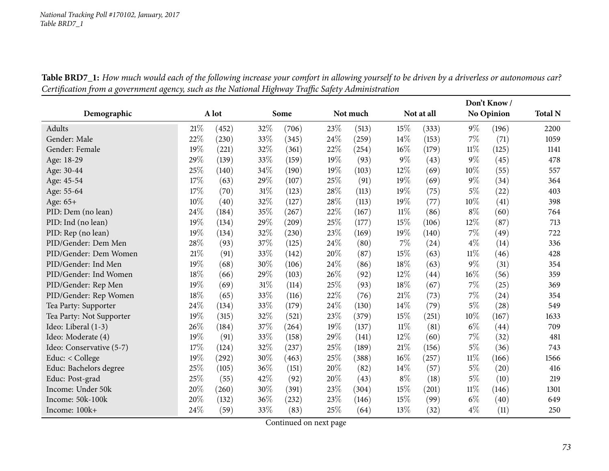|                          |     |       |     |       |        |          |       |            |        | Don't Know/       |                |
|--------------------------|-----|-------|-----|-------|--------|----------|-------|------------|--------|-------------------|----------------|
| Demographic              |     | A lot |     | Some  |        | Not much |       | Not at all |        | <b>No Opinion</b> | <b>Total N</b> |
| Adults                   | 21% | (452) | 32% | (706) | 23%    | (513)    | 15%   | (333)      | $9\%$  | (196)             | 2200           |
| Gender: Male             | 22% | (230) | 33% | (345) | 24%    | (259)    | 14%   | (153)      | 7%     | (71)              | 1059           |
| Gender: Female           | 19% | (221) | 32% | (361) | 22%    | (254)    | 16%   | (179)      | $11\%$ | (125)             | 1141           |
| Age: 18-29               | 29% | (139) | 33% | (159) | 19%    | (93)     | $9\%$ | (43)       | $9\%$  | (45)              | 478            |
| Age: 30-44               | 25% | (140) | 34% | (190) | 19%    | (103)    | 12%   | (69)       | $10\%$ | (55)              | 557            |
| Age: 45-54               | 17% | (63)  | 29% | (107) | 25%    | (91)     | 19%   | (69)       | $9\%$  | (34)              | 364            |
| Age: 55-64               | 17% | (70)  | 31% | (123) | 28%    | (113)    | 19%   | (75)       | $5\%$  | (22)              | 403            |
| Age: 65+                 | 10% | (40)  | 32% | (127) | 28%    | (113)    | 19%   | (77)       | 10%    | (41)              | 398            |
| PID: Dem (no lean)       | 24% | (184) | 35% | (267) | 22%    | (167)    | 11%   | (86)       | $8\%$  | (60)              | 764            |
| PID: Ind (no lean)       | 19% | (134) | 29% | (209) | 25%    | (177)    | 15%   | (106)      | $12\%$ | (87)              | 713            |
| PID: Rep (no lean)       | 19% | (134) | 32% | (230) | 23%    | (169)    | 19%   | (140)      | 7%     | (49)              | 722            |
| PID/Gender: Dem Men      | 28% | (93)  | 37% | (125) | 24%    | (80)     | 7%    | (24)       | $4\%$  | (14)              | 336            |
| PID/Gender: Dem Women    | 21% | (91)  | 33% | (142) | 20%    | (87)     | 15%   | (63)       | $11\%$ | (46)              | 428            |
| PID/Gender: Ind Men      | 19% | (68)  | 30% | (106) | 24\%   | (86)     | 18%   | (63)       | $9\%$  | (31)              | 354            |
| PID/Gender: Ind Women    | 18% | (66)  | 29% | (103) | 26%    | (92)     | 12%   | (44)       | $16\%$ | (56)              | 359            |
| PID/Gender: Rep Men      | 19% | (69)  | 31% | (114) | 25%    | (93)     | 18%   | (67)       | $7\%$  | (25)              | 369            |
| PID/Gender: Rep Women    | 18% | (65)  | 33% | (116) | 22%    | (76)     | 21%   | (73)       | $7\%$  | (24)              | 354            |
| Tea Party: Supporter     | 24% | (134) | 33% | (179) | 24%    | (130)    | 14%   | (79)       | $5\%$  | (28)              | 549            |
| Tea Party: Not Supporter | 19% | (315) | 32% | (521) | 23%    | (379)    | 15%   | (251)      | $10\%$ | (167)             | 1633           |
| Ideo: Liberal (1-3)      | 26% | (184) | 37% | (264) | 19%    | (137)    | 11%   | (81)       | $6\%$  | (44)              | 709            |
| Ideo: Moderate (4)       | 19% | (91)  | 33% | (158) | 29%    | (141)    | 12%   | (60)       | $7\%$  | (32)              | 481            |
| Ideo: Conservative (5-7) | 17% | (124) | 32% | (237) | 25%    | (189)    | 21%   | (156)      | $5\%$  | (36)              | 743            |
| Educ: < College          | 19% | (292) | 30% | (463) | 25%    | (388)    | 16%   | (257)      | $11\%$ | (166)             | 1566           |
| Educ: Bachelors degree   | 25% | (105) | 36% | (151) | $20\%$ | (82)     | 14%   | (57)       | $5\%$  | (20)              | 416            |
| Educ: Post-grad          | 25% | (55)  | 42% | (92)  | 20%    | (43)     | $8\%$ | (18)       | $5\%$  | (10)              | 219            |
| Income: Under 50k        | 20% | (260) | 30% | (391) | 23%    | (304)    | 15%   | (201)      | $11\%$ | (146)             | 1301           |
| Income: 50k-100k         | 20% | (132) | 36% | (232) | 23%    | (146)    | 15%   | (99)       | $6\%$  | (40)              | 649            |
| Income: 100k+            | 24% | (59)  | 33% | (83)  | 25%    | (64)     | 13%   | (32)       | $4\%$  | (11)              | 250            |

Table BRD7\_1: How much would each of the following increase your comfort in allowing yourself to be driven by a driverless or autonomous car? Certification from a government agency, such as the National Highway Traffic Safety Administration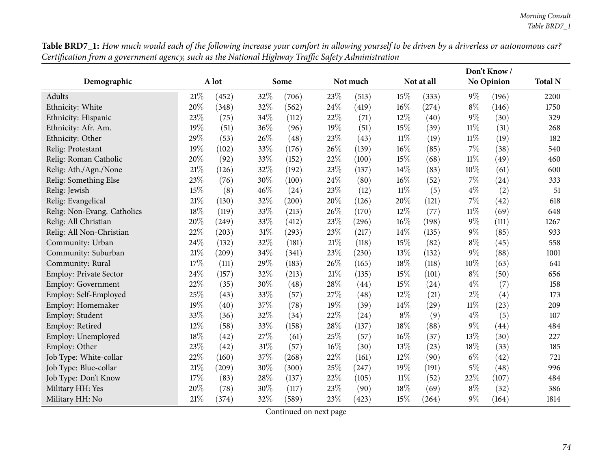| Table BRD7_1: How much would each of the following increase your comfort in allowing yourself to be driven by a driverless or autonomous car? |  |
|-----------------------------------------------------------------------------------------------------------------------------------------------|--|
| Certification from a government agency, such as the National Highway Traffic Safety Administration                                            |  |

|                               |        |       |     |                     |        |          |        |            | Don't Know/ |                   |                |
|-------------------------------|--------|-------|-----|---------------------|--------|----------|--------|------------|-------------|-------------------|----------------|
| Demographic                   |        | A lot |     | Some                |        | Not much |        | Not at all |             | <b>No Opinion</b> | <b>Total N</b> |
| Adults                        | 21%    | (452) | 32% | (706)               | 23\%   | (513)    | 15%    | (333)      | $9\%$       | (196)             | 2200           |
| Ethnicity: White              | 20%    | (348) | 32% | (562)               | 24\%   | (419)    | 16%    | (274)      | $8\%$       | (146)             | 1750           |
| Ethnicity: Hispanic           | 23%    | (75)  | 34% | (112)               | 22%    | (71)     | 12\%   | (40)       | $9\%$       | (30)              | 329            |
| Ethnicity: Afr. Am.           | 19%    | (51)  | 36% | (96)                | 19%    | (51)     | 15%    | (39)       | $11\%$      | (31)              | 268            |
| Ethnicity: Other              | 29%    | (53)  | 26% | (48)                | 23%    | (43)     | $11\%$ | (19)       | $11\%$      | (19)              | 182            |
| Relig: Protestant             | 19%    | (102) | 33% | (176)               | 26\%   | (139)    | 16%    | (85)       | $7\%$       | (38)              | 540            |
| Relig: Roman Catholic         | 20%    | (92)  | 33% | (152)               | 22%    | (100)    | 15%    | (68)       | $11\%$      | (49)              | 460            |
| Relig: Ath./Agn./None         | 21%    | (126) | 32% | (192)               | 23%    | (137)    | 14%    | (83)       | 10%         | (61)              | 600            |
| Relig: Something Else         | 23%    | (76)  | 30% | (100)               | 24%    | (80)     | 16%    | (52)       | $7\%$       | (24)              | 333            |
| Relig: Jewish                 | 15%    | (8)   | 46% | (24)                | 23%    | (12)     | $11\%$ | (5)        | $4\%$       | (2)               | 51             |
| Relig: Evangelical            | 21%    | (130) | 32% | $\left( 200\right)$ | $20\%$ | (126)    | 20%    | (121)      | $7\%$       | (42)              | 618            |
| Relig: Non-Evang. Catholics   | 18%    | (119) | 33% | (213)               | 26\%   | (170)    | 12%    | (77)       | $11\%$      | (69)              | 648            |
| Relig: All Christian          | 20%    | (249) | 33% | (412)               | 23%    | (296)    | 16%    | (198)      | $9\%$       | (111)             | 1267           |
| Relig: All Non-Christian      | 22%    | (203) | 31% | (293)               | 23%    | (217)    | 14%    | (135)      | $9\%$       | (85)              | 933            |
| Community: Urban              | 24%    | (132) | 32% | (181)               | $21\%$ | (118)    | 15%    | (82)       | $8\%$       | (45)              | 558            |
| Community: Suburban           | 21%    | (209) | 34% | (341)               | 23%    | (230)    | 13%    | (132)      | $9\%$       | (88)              | 1001           |
| Community: Rural              | 17%    | (111) | 29% | (183)               | 26%    | (165)    | 18%    | (118)      | 10%         | (63)              | 641            |
| <b>Employ: Private Sector</b> | 24%    | (157) | 32% | (213)               | $21\%$ | (135)    | 15%    | (101)      | $8\%$       | (50)              | 656            |
| Employ: Government            | 22%    | (35)  | 30% | (48)                | 28\%   | (44)     | 15%    | (24)       | $4\%$       | (7)               | 158            |
| Employ: Self-Employed         | 25%    | (43)  | 33% | (57)                | 27%    | (48)     | 12%    | (21)       | $2\%$       | (4)               | 173            |
| Employ: Homemaker             | 19%    | (40)  | 37% | (78)                | 19%    | (39)     | 14%    | (29)       | $11\%$      | (23)              | 209            |
| Employ: Student               | 33%    | (36)  | 32% | (34)                | 22%    | (24)     | $8\%$  | (9)        | $4\%$       | (5)               | 107            |
| Employ: Retired               | 12%    | (58)  | 33% | (158)               | 28%    | (137)    | 18%    | (88)       | $9\%$       | (44)              | 484            |
| Employ: Unemployed            | $18\%$ | (42)  | 27% | (61)                | 25%    | (57)     | 16%    | (37)       | 13%         | (30)              | 227            |
| Employ: Other                 | 23%    | (42)  | 31% | (57)                | $16\%$ | (30)     | 13%    | (23)       | 18%         | (33)              | 185            |
| Job Type: White-collar        | 22%    | (160) | 37% | (268)               | 22%    | (161)    | 12%    | (90)       | $6\%$       | (42)              | 721            |
| Job Type: Blue-collar         | 21%    | (209) | 30% | (300)               | 25%    | (247)    | 19%    | (191)      | $5\%$       | (48)              | 996            |
| Job Type: Don't Know          | 17%    | (83)  | 28% | (137)               | 22%    | (105)    | 11%    | (52)       | 22%         | (107)             | 484            |
| Military HH: Yes              | 20%    | (78)  | 30% | (117)               | 23%    | (90)     | 18%    | (69)       | $8\%$       | (32)              | 386            |
| Military HH: No               | 21%    | (374) | 32% | (589)               | 23%    | (423)    | 15%    | (264)      | $9\%$       | (164)             | 1814           |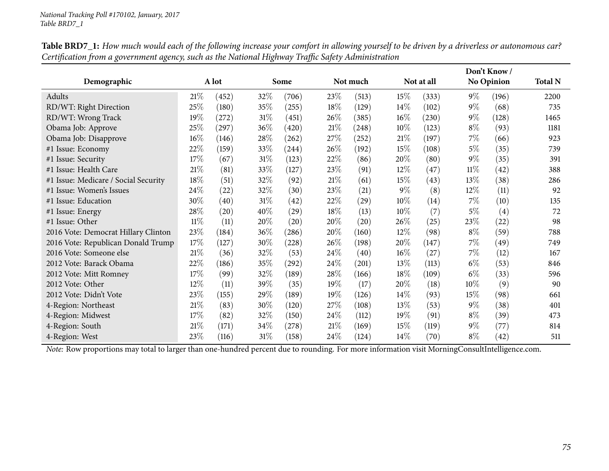|                                      |        |                    |        |       |        |          |            | Don't Know / |        |                    |                |
|--------------------------------------|--------|--------------------|--------|-------|--------|----------|------------|--------------|--------|--------------------|----------------|
| Demographic                          |        | A lot              |        | Some  |        | Not much | Not at all |              |        | <b>No Opinion</b>  | <b>Total N</b> |
| Adults                               | 21%    | (452)              | 32%    | (706) | 23\%   | (513)    | 15%        | (333)        | $9\%$  | (196)              | 2200           |
| RD/WT: Right Direction               | 25%    | (180)              | 35%    | (255) | $18\%$ | (129)    | 14%        | (102)        | $9\%$  | (68)               | 735            |
| RD/WT: Wrong Track                   | 19%    | (272)              | $31\%$ | (451) | 26%    | (385)    | $16\%$     | (230)        | $9\%$  | (128)              | 1465           |
| Obama Job: Approve                   | 25%    | (297)              | 36%    | (420) | 21%    | (248)    | 10%        | (123)        | $8\%$  | (93)               | 1181           |
| Obama Job: Disapprove                | $16\%$ | (146)              | 28\%   | (262) | 27\%   | (252)    | 21%        | (197)        | $7\%$  | (66)               | 923            |
| #1 Issue: Economy                    | 22%    | (159)              | 33%    | (244) | 26\%   | (192)    | 15\%       | (108)        | $5\%$  | (35)               | 739            |
| #1 Issue: Security                   | 17%    | (67)               | $31\%$ | (123) | 22%    | (86)     | 20%        | (80)         | $9\%$  | (35)               | 391            |
| #1 Issue: Health Care                | 21%    | (81)               | 33%    | (127) | 23%    | (91)     | 12%        | (47)         | $11\%$ | (42)               | 388            |
| #1 Issue: Medicare / Social Security | 18%    | (51)               | 32%    | (92)  | 21%    | (61)     | 15%        | (43)         | 13\%   | (38)               | 286            |
| #1 Issue: Women's Issues             | 24%    | (22)               | 32%    | (30)  | 23\%   | (21)     | $9\%$      | (8)          | $12\%$ | (11)               | 92             |
| #1 Issue: Education                  | 30%    | (40)               | 31\%   | (42)  | 22%    | (29)     | 10%        | (14)         | $7\%$  | (10)               | 135            |
| #1 Issue: Energy                     | 28%    | $\left( 20\right)$ | 40%    | (29)  | 18%    | (13)     | 10%        | (7)          | $5\%$  | (4)                | 72             |
| #1 Issue: Other                      | $11\%$ | (11)               | 20%    | (20)  | 20%    | (20)     | 26\%       | (25)         | 23\%   | (22)               | 98             |
| 2016 Vote: Democrat Hillary Clinton  | 23%    | (184)              | 36%    | (286) | 20%    | (160)    | 12%        | (98)         | $8\%$  | (59)               | 788            |
| 2016 Vote: Republican Donald Trump   | 17%    | (127)              | 30%    | (228) | 26\%   | (198)    | 20%        | (147)        | $7\%$  | (49)               | 749            |
| 2016 Vote: Someone else              | 21%    | (36)               | 32%    | (53)  | 24\%   | (40)     | 16%        | (27)         | $7\%$  | (12)               | 167            |
| 2012 Vote: Barack Obama              | 22%    | (186)              | 35%    | (292) | 24%    | (201)    | 13%        | (113)        | $6\%$  | (53)               | 846            |
| 2012 Vote: Mitt Romney               | 17%    | (99)               | 32%    | (189) | 28%    | (166)    | 18%        | (109)        | $6\%$  | (33)               | 596            |
| 2012 Vote: Other                     | $12\%$ | (11)               | 39%    | (35)  | 19%    | (17)     | 20%        | (18)         | $10\%$ | (9)                | 90             |
| 2012 Vote: Didn't Vote               | 23\%   | (155)              | 29\%   | (189) | $19\%$ | (126)    | 14%        | (93)         | $15\%$ | (98)               | 661            |
| 4-Region: Northeast                  | $21\%$ | (83)               | 30%    | (120) | 27\%   | (108)    | 13%        | (53)         | $9\%$  | (38)               | 401            |
| 4-Region: Midwest                    | 17%    | (82)               | 32%    | (150) | 24%    | (112)    | 19%        | (91)         | $8\%$  | (39)               | 473            |
| 4-Region: South                      | 21%    | (171)              | 34\%   | (278) | 21%    | (169)    | 15%        | (119)        | $9\%$  | (77)               | 814            |
| 4-Region: West                       | 23\%   | (116)              | 31\%   | (158) | 24%    | (124)    | 14\%       | (70)         | $8\%$  | $\left( 42\right)$ | 511            |

Table BRD7\_1: How much would each of the following increase your comfort in allowing yourself to be driven by a driverless or autonomous car? Certification from a government agency, such as the National Highway Traffic Safety Administration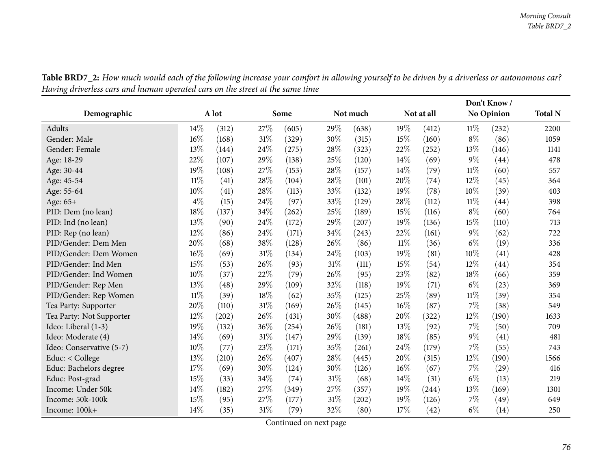|                          |        |                     |     |       |     |          |            |       |        | Don't Know/ |                |
|--------------------------|--------|---------------------|-----|-------|-----|----------|------------|-------|--------|-------------|----------------|
| Demographic              |        | A lot               |     | Some  |     | Not much | Not at all |       |        | No Opinion  | <b>Total N</b> |
| Adults                   | 14%    | (312)               | 27% | (605) | 29% | (638)    | 19%        | (412) | $11\%$ | (232)       | 2200           |
| Gender: Male             | 16%    | (168)               | 31% | (329) | 30% | (315)    | 15%        | (160) | $8\%$  | (86)        | 1059           |
| Gender: Female           | 13%    | (144)               | 24% | (275) | 28% | (323)    | 22%        | (252) | 13%    | (146)       | 1141           |
| Age: 18-29               | 22%    | (107)               | 29% | (138) | 25% | (120)    | 14\%       | (69)  | $9\%$  | (44)        | 478            |
| Age: 30-44               | 19%    | (108)               | 27% | (153) | 28% | (157)    | 14%        | (79)  | $11\%$ | (60)        | 557            |
| Age: 45-54               | $11\%$ | (41)                | 28% | (104) | 28% | (101)    | 20%        | (74)  | 12%    | (45)        | 364            |
| Age: 55-64               | 10%    | (41)                | 28% | (113) | 33% | (132)    | 19%        | (78)  | $10\%$ | (39)        | 403            |
| Age: 65+                 | $4\%$  | (15)                | 24% | (97)  | 33% | (129)    | 28\%       | (112) | $11\%$ | (44)        | 398            |
| PID: Dem (no lean)       | 18%    | (137)               | 34% | (262) | 25% | (189)    | 15%        | (116) | $8\%$  | (60)        | 764            |
| PID: Ind (no lean)       | 13%    | (90)                | 24% | (172) | 29% | (207)    | 19%        | (136) | 15%    | (110)       | 713            |
| PID: Rep (no lean)       | 12%    | (86)                | 24% | (171) | 34% | (243)    | 22%        | (161) | $9\%$  | (62)        | 722            |
| PID/Gender: Dem Men      | 20%    | (68)                | 38% | (128) | 26% | (86)     | $11\%$     | (36)  | $6\%$  | (19)        | 336            |
| PID/Gender: Dem Women    | 16%    | (69)                | 31% | (134) | 24% | (103)    | 19%        | (81)  | 10%    | (41)        | 428            |
| PID/Gender: Ind Men      | 15%    | (53)                | 26% | (93)  | 31% | (111)    | 15%        | (54)  | $12\%$ | (44)        | 354            |
| PID/Gender: Ind Women    | 10%    | (37)                | 22% | (79)  | 26% | (95)     | 23%        | (82)  | 18%    | (66)        | 359            |
| PID/Gender: Rep Men      | 13%    | (48)                | 29% | (109) | 32% | (118)    | 19%        | (71)  | $6\%$  | (23)        | 369            |
| PID/Gender: Rep Women    | $11\%$ | (39)                | 18% | (62)  | 35% | (125)    | 25%        | (89)  | $11\%$ | (39)        | 354            |
| Tea Party: Supporter     | 20%    | (110)               | 31% | (169) | 26% | (145)    | 16%        | (87)  | $7\%$  | (38)        | 549            |
| Tea Party: Not Supporter | 12%    | $\left( 202\right)$ | 26% | (431) | 30% | (488)    | 20%        | (322) | 12%    | (190)       | 1633           |
| Ideo: Liberal (1-3)      | 19%    | (132)               | 36% | (254) | 26% | (181)    | 13%        | (92)  | 7%     | (50)        | 709            |
| Ideo: Moderate (4)       | 14\%   | (69)                | 31% | (147) | 29% | (139)    | 18%        | (85)  | $9\%$  | (41)        | 481            |
| Ideo: Conservative (5-7) | 10%    | (77)                | 23% | (171) | 35% | (261)    | 24\%       | (179) | 7%     | (55)        | 743            |
| Educ: < College          | 13%    | (210)               | 26% | (407) | 28% | (445)    | 20%        | (315) | $12\%$ | (190)       | 1566           |
| Educ: Bachelors degree   | 17%    | (69)                | 30% | (124) | 30% | (126)    | 16%        | (67)  | $7\%$  | (29)        | 416            |
| Educ: Post-grad          | 15%    | (33)                | 34% | (74)  | 31% | (68)     | 14\%       | (31)  | $6\%$  | (13)        | 219            |
| Income: Under 50k        | 14%    | (182)               | 27% | (349) | 27% | (357)    | 19%        | (244) | 13%    | (169)       | 1301           |
| Income: 50k-100k         | 15%    | (95)                | 27% | (177) | 31% | (202)    | 19%        | (126) | $7\%$  | (49)        | 649            |
| Income: 100k+            | 14\%   | (35)                | 31% | (79)  | 32% | (80)     | 17%        | (42)  | $6\%$  | (14)        | 250            |

Table BRD7\_2: How much would each of the following increase your comfort in allowing yourself to be driven by a driverless or autonomous car? Having driverless cars and human operated cars on the street at the same time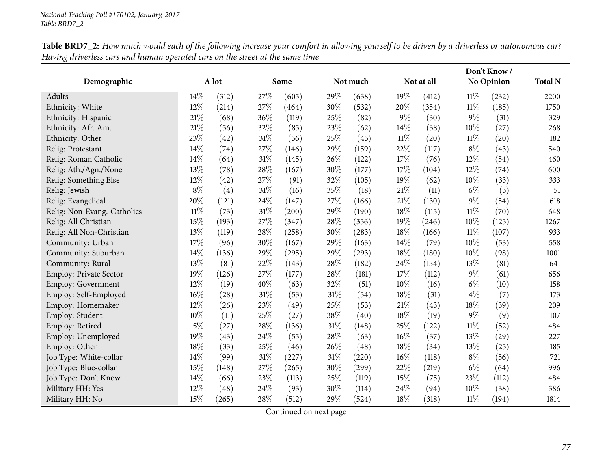|                               |        |       |     |       |     |          | Don't Know/ |            |        |                   |                |
|-------------------------------|--------|-------|-----|-------|-----|----------|-------------|------------|--------|-------------------|----------------|
| Demographic                   |        | A lot |     | Some  |     | Not much |             | Not at all |        | <b>No Opinion</b> | <b>Total N</b> |
| Adults                        | 14%    | (312) | 27% | (605) | 29% | (638)    | 19%         | (412)      | $11\%$ | (232)             | 2200           |
| Ethnicity: White              | 12%    | (214) | 27% | (464) | 30% | (532)    | 20%         | (354)      | $11\%$ | (185)             | 1750           |
| Ethnicity: Hispanic           | 21%    | (68)  | 36% | (119) | 25% | (82)     | $9\%$       | (30)       | $9\%$  | (31)              | 329            |
| Ethnicity: Afr. Am.           | $21\%$ | (56)  | 32% | (85)  | 23% | (62)     | 14%         | (38)       | 10%    | (27)              | 268            |
| Ethnicity: Other              | 23%    | (42)  | 31% | (56)  | 25% | (45)     | $11\%$      | (20)       | $11\%$ | (20)              | 182            |
| Relig: Protestant             | 14%    | (74)  | 27% | (146) | 29% | (159)    | 22%         | (117)      | $8\%$  | (43)              | 540            |
| Relig: Roman Catholic         | 14%    | (64)  | 31% | (145) | 26% | (122)    | 17%         | (76)       | 12%    | (54)              | 460            |
| Relig: Ath./Agn./None         | 13%    | (78)  | 28% | (167) | 30% | (177)    | 17%         | (104)      | 12%    | (74)              | 600            |
| Relig: Something Else         | 12%    | (42)  | 27% | (91)  | 32% | (105)    | 19%         | (62)       | 10%    | (33)              | 333            |
| Relig: Jewish                 | $8\%$  | (4)   | 31% | (16)  | 35% | (18)     | 21%         | (11)       | $6\%$  | (3)               | 51             |
| Relig: Evangelical            | 20%    | (121) | 24% | (147) | 27% | (166)    | 21%         | (130)      | $9\%$  | (54)              | 618            |
| Relig: Non-Evang. Catholics   | $11\%$ | (73)  | 31% | (200) | 29% | (190)    | 18%         | (115)      | $11\%$ | (70)              | 648            |
| Relig: All Christian          | 15%    | (193) | 27% | (347) | 28% | (356)    | 19%         | (246)      | $10\%$ | (125)             | 1267           |
| Relig: All Non-Christian      | 13%    | (119) | 28% | (258) | 30% | (283)    | 18%         | (166)      | $11\%$ | (107)             | 933            |
| Community: Urban              | 17%    | (96)  | 30% | (167) | 29% | (163)    | 14%         | (79)       | 10%    | (53)              | 558            |
| Community: Suburban           | 14%    | (136) | 29% | (295) | 29% | (293)    | 18%         | (180)      | 10%    | (98)              | 1001           |
| Community: Rural              | 13%    | (81)  | 22% | (143) | 28% | (182)    | 24%         | (154)      | 13%    | (81)              | 641            |
| <b>Employ: Private Sector</b> | 19%    | (126) | 27% | (177) | 28% | (181)    | 17%         | (112)      | $9\%$  | (61)              | 656            |
| Employ: Government            | 12%    | (19)  | 40% | (63)  | 32% | (51)     | 10%         | (16)       | $6\%$  | (10)              | 158            |
| Employ: Self-Employed         | 16%    | (28)  | 31% | (53)  | 31% | (54)     | 18%         | (31)       | $4\%$  | (7)               | 173            |
| Employ: Homemaker             | 12%    | (26)  | 23% | (49)  | 25% | (53)     | 21%         | (43)       | 18%    | (39)              | 209            |
| Employ: Student               | 10%    | (11)  | 25% | (27)  | 38% | (40)     | 18%         | (19)       | $9\%$  | (9)               | 107            |
| Employ: Retired               | $5\%$  | (27)  | 28% | (136) | 31% | (148)    | 25%         | (122)      | $11\%$ | (52)              | 484            |
| Employ: Unemployed            | 19%    | (43)  | 24% | (55)  | 28% | (63)     | 16%         | (37)       | 13%    | (29)              | 227            |
| Employ: Other                 | 18%    | (33)  | 25% | (46)  | 26% | (48)     | 18%         | (34)       | 13%    | (25)              | 185            |
| Job Type: White-collar        | 14%    | (99)  | 31% | (227) | 31% | (220)    | 16%         | (118)      | $8\%$  | (56)              | 721            |
| Job Type: Blue-collar         | 15%    | (148) | 27% | (265) | 30% | (299)    | 22%         | (219)      | $6\%$  | (64)              | 996            |
| Job Type: Don't Know          | 14%    | (66)  | 23% | (113) | 25% | (119)    | 15%         | (75)       | 23%    | (112)             | 484            |
| Military HH: Yes              | 12%    | (48)  | 24% | (93)  | 30% | (114)    | 24%         | (94)       | 10%    | (38)              | 386            |
| Military HH: No               | 15%    | (265) | 28% | (512) | 29% | (524)    | 18%         | (318)      | $11\%$ | (194)             | 1814           |

Table BRD7\_2: How much would each of the following increase your comfort in allowing yourself to be driven by a driverless or autonomous car? Having driverless cars and human operated cars on the street at the same time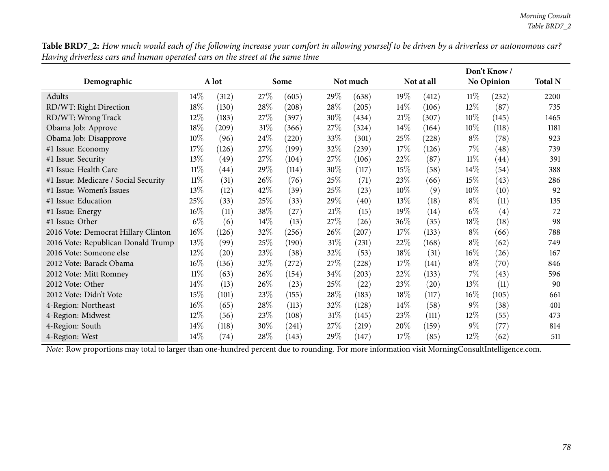| Demographic                          |        | A lot |        | Some  |        | Not much | Not at all |                    |        | No Opinion |      |
|--------------------------------------|--------|-------|--------|-------|--------|----------|------------|--------------------|--------|------------|------|
| Adults                               | 14%    | (312) | 27\%   | (605) | 29%    | (638)    | 19%        | (412)              | $11\%$ | (232)      | 2200 |
| RD/WT: Right Direction               | 18%    | (130) | 28%    | (208) | 28\%   | (205)    | 14%        | (106)              | $12\%$ | (87)       | 735  |
| RD/WT: Wrong Track                   | $12\%$ | (183) | 27\%   | (397) | 30%    | (434)    | 21%        | (307)              | $10\%$ | (145)      | 1465 |
| Obama Job: Approve                   | 18%    | (209) | 31\%   | (366) | 27\%   | (324)    | 14\%       | (164)              | $10\%$ | (118)      | 1181 |
| Obama Job: Disapprove                | 10%    | (96)  | 24%    | (220) | 33\%   | (301)    | $25\%$     | (228)              | $8\%$  | (78)       | 923  |
| #1 Issue: Economy                    | 17\%   | (126) | 27\%   | (199) | 32\%   | (239)    | 17%        | (126)              | $7\%$  | (48)       | 739  |
| #1 Issue: Security                   | $13\%$ | (49)  | 27\%   | (104) | 27\%   | (106)    | $22\%$     | (87)               | $11\%$ | (44)       | 391  |
| #1 Issue: Health Care                | $11\%$ | (44)  | 29%    | (114) | 30%    | (117)    | 15%        | (58)               | $14\%$ | (54)       | 388  |
| #1 Issue: Medicare / Social Security | $11\%$ | (31)  | 26\%   | (76)  | 25\%   | (71)     | 23%        | (66)               | 15\%   | (43)       | 286  |
| #1 Issue: Women's Issues             | 13%    | (12)  | 42\%   | (39)  | 25\%   | (23)     | 10%        | (9)                | $10\%$ | (10)       | 92   |
| #1 Issue: Education                  | 25%    | (33)  | 25\%   | (33)  | 29%    | (40)     | 13%        | (18)               | $8\%$  | (11)       | 135  |
| #1 Issue: Energy                     | 16%    | (11)  | 38%    | (27)  | 21%    | (15)     | 19%        | (14)               | $6\%$  | (4)        | 72   |
| #1 Issue: Other                      | $6\%$  | (6)   | $14\%$ | (13)  | 27\%   | (26)     | 36%        | (35)               | $18\%$ | (18)       | 98   |
| 2016 Vote: Democrat Hillary Clinton  | $16\%$ | (126) | 32%    | (256) | 26%    | (207)    | 17%        | (133)              | $8\%$  | (66)       | 788  |
| 2016 Vote: Republican Donald Trump   | 13%    | (99)  | 25%    | (190) | 31%    | (231)    | $22\%$     | (168)              | $8\%$  | (62)       | 749  |
| 2016 Vote: Someone else              | $12\%$ | (20)  | 23\%   | (38)  | 32\%   | (53)     | 18\%       | (31)               | $16\%$ | (26)       | 167  |
| 2012 Vote: Barack Obama              | 16%    | (136) | 32%    | (272) | 27%    | (228)    | 17%        | (141)              | $8\%$  | (70)       | 846  |
| 2012 Vote: Mitt Romney               | $11\%$ | (63)  | 26\%   | (154) | 34\%   | (203)    | $22\%$     | (133)              | $7\%$  | (43)       | 596  |
| 2012 Vote: Other                     | 14%    | (13)  | 26\%   | (23)  | 25%    | (22)     | $23\%$     | $\left( 20\right)$ | 13\%   | (11)       | 90   |
| 2012 Vote: Didn't Vote               | 15%    | (101) | 23\%   | (155) | 28\%   | (183)    | 18\%       | (117)              | $16\%$ | (105)      | 661  |
| 4-Region: Northeast                  | 16%    | (65)  | 28\%   | (113) | 32\%   | (128)    | 14\%       | (58)               | $9\%$  | (38)       | 401  |
| 4-Region: Midwest                    | $12\%$ | (56)  | 23\%   | (108) | $31\%$ | (145)    | 23\%       | (111)              | $12\%$ | (55)       | 473  |
| 4-Region: South                      | 14%    | (118) | 30%    | (241) | 27%    | (219)    | 20%        | (159)              | $9\%$  | (77)       | 814  |
| 4-Region: West                       | 14%    | (74)  | $28\%$ | (143) | 29%    | (147)    | 17%        | (85)               | 12%    | (62)       | 511  |

Table BRD7\_2: How much would each of the following increase your comfort in allowing yourself to be driven by a driverless or autonomous car? Having driverless cars and human operated cars on the street at the same time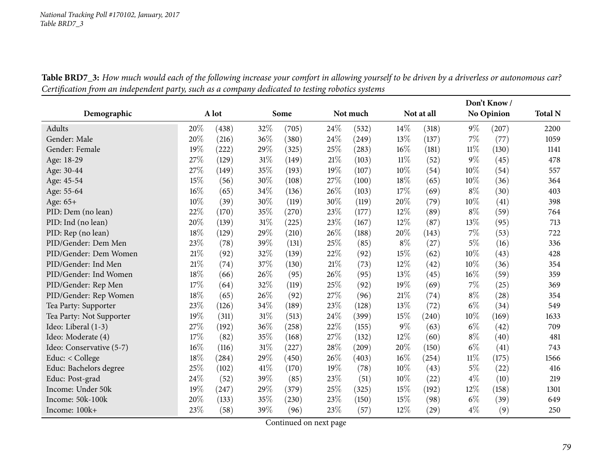|                          |      |       |      |       |          |       |       |                    |        | Don't Know/       |      |
|--------------------------|------|-------|------|-------|----------|-------|-------|--------------------|--------|-------------------|------|
| Demographic              |      | A lot |      | Some  | Not much |       |       | Not at all         |        | <b>No Opinion</b> |      |
| Adults                   | 20%  | (438) | 32%  | (705) | 24\%     | (532) | 14\%  | (318)              | $9\%$  | (207)             | 2200 |
| Gender: Male             | 20%  | (216) | 36%  | (380) | 24%      | (249) | 13%   | (137)              | 7%     | (77)              | 1059 |
| Gender: Female           | 19%  | (222) | 29%  | (325) | 25%      | (283) | 16%   | (181)              | $11\%$ | (130)             | 1141 |
| Age: 18-29               | 27%  | (129) | 31%  | (149) | 21\%     | (103) | 11%   | (52)               | $9\%$  | (45)              | 478  |
| Age: 30-44               | 27\% | (149) | 35%  | (193) | 19%      | (107) | 10%   | (54)               | 10%    | (54)              | 557  |
| Age: 45-54               | 15%  | (56)  | 30%  | (108) | 27%      | (100) | 18%   | (65)               | 10%    | (36)              | 364  |
| Age: 55-64               | 16%  | (65)  | 34%  | (136) | 26%      | (103) | 17%   | (69)               | 8%     | (30)              | 403  |
| Age: 65+                 | 10%  | (39)  | 30%  | (119) | 30%      | (119) | 20%   | (79)               | $10\%$ | (41)              | 398  |
| PID: Dem (no lean)       | 22%  | (170) | 35%  | (270) | 23%      | (177) | 12%   | (89)               | $8\%$  | (59)              | 764  |
| PID: Ind (no lean)       | 20%  | (139) | 31%  | (225) | 23%      | (167) | 12%   | (87)               | 13\%   | (95)              | 713  |
| PID: Rep (no lean)       | 18%  | (129) | 29%  | (210) | 26%      | (188) | 20%   | (143)              | $7\%$  | (53)              | 722  |
| PID/Gender: Dem Men      | 23%  | (78)  | 39%  | (131) | 25%      | (85)  | $8\%$ | (27)               | $5\%$  | (16)              | 336  |
| PID/Gender: Dem Women    | 21\% | (92)  | 32%  | (139) | 22%      | (92)  | 15%   | (62)               | 10%    | (43)              | 428  |
| PID/Gender: Ind Men      | 21%  | (74)  | 37%  | (130) | 21\%     | (73)  | 12%   | (42)               | 10%    | (36)              | 354  |
| PID/Gender: Ind Women    | 18%  | (66)  | 26%  | (95)  | 26%      | (95)  | 13%   | (45)               | 16%    | (59)              | 359  |
| PID/Gender: Rep Men      | 17%  | (64)  | 32%  | (119) | 25%      | (92)  | 19%   | (69)               | 7%     | (25)              | 369  |
| PID/Gender: Rep Women    | 18%  | (65)  | 26%  | (92)  | 27%      | (96)  | 21%   | (74)               | $8\%$  | (28)              | 354  |
| Tea Party: Supporter     | 23%  | (126) | 34%  | (189) | 23%      | (128) | 13%   | (72)               | $6\%$  | (34)              | 549  |
| Tea Party: Not Supporter | 19%  | (311) | 31%  | (513) | 24%      | (399) | 15%   | (240)              | $10\%$ | (169)             | 1633 |
| Ideo: Liberal (1-3)      | 27\% | (192) | 36%  | (258) | 22%      | (155) | $9\%$ | (63)               | $6\%$  | (42)              | 709  |
| Ideo: Moderate (4)       | 17%  | (82)  | 35%  | (168) | 27%      | (132) | 12%   | (60)               | $8\%$  | (40)              | 481  |
| Ideo: Conservative (5-7) | 16%  | (116) | 31%  | (227) | 28%      | (209) | 20%   | (150)              | $6\%$  | (41)              | 743  |
| Educ: < College          | 18%  | (284) | 29%  | (450) | 26%      | (403) | 16%   | (254)              | $11\%$ | (175)             | 1566 |
| Educ: Bachelors degree   | 25%  | (102) | 41\% | (170) | 19%      | (78)  | 10%   | (43)               | $5\%$  | (22)              | 416  |
| Educ: Post-grad          | 24%  | (52)  | 39%  | (85)  | 23%      | (51)  | 10%   | (22)               | $4\%$  | (10)              | 219  |
| Income: Under 50k        | 19%  | (247) | 29%  | (379) | 25%      | (325) | 15%   | (192)              | 12%    | (158)             | 1301 |
| Income: 50k-100k         | 20%  | (133) | 35%  | (230) | 23%      | (150) | 15%   | (98)               | $6\%$  | (39)              | 649  |
| Income: 100k+            | 23%  | (58)  | 39%  | (96)  | 23%      | (57)  | 12%   | $\left( 29\right)$ | $4\%$  | (9)               | 250  |

Table BRD7\_3: How much would each of the following increase your comfort in allowing yourself to be driven by a driverless or autonomous car? Certification from an independent party, such as a company dedicated to testing robotics systems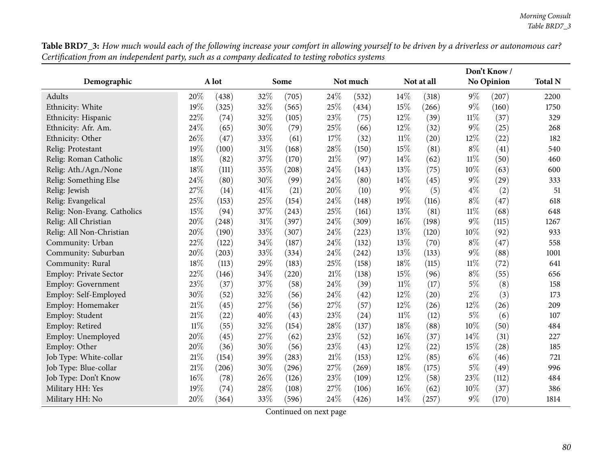| Table BRD7_3: How much would each of the following increase your comfort in allowing yourself to be driven by a driverless or autonomous car? |  |
|-----------------------------------------------------------------------------------------------------------------------------------------------|--|
| Certification from an independent party, such as a company dedicated to testing robotics systems                                              |  |

| Demographic                   |        | A lot |      | Some  |        | Not much |        | Not at all |        | No Opinion | <b>Total N</b> |
|-------------------------------|--------|-------|------|-------|--------|----------|--------|------------|--------|------------|----------------|
| Adults                        | 20%    | (438) | 32%  | (705) | 24\%   | (532)    | 14\%   | (318)      | $9\%$  | (207)      | 2200           |
| Ethnicity: White              | 19%    | (325) | 32%  | (565) | 25%    | (434)    | 15%    | (266)      | $9\%$  | (160)      | 1750           |
| Ethnicity: Hispanic           | 22%    | (74)  | 32%  | (105) | 23%    | (75)     | 12%    | (39)       | $11\%$ | (37)       | 329            |
| Ethnicity: Afr. Am.           | 24\%   | (65)  | 30%  | (79)  | 25%    | (66)     | 12%    | (32)       | $9\%$  | (25)       | 268            |
| Ethnicity: Other              | 26%    | (47)  | 33%  | (61)  | 17%    | (32)     | $11\%$ | (20)       | 12%    | (22)       | 182            |
| Relig: Protestant             | 19%    | (100) | 31%  | (168) | $28\%$ | (150)    | 15%    | (81)       | $8\%$  | (41)       | 540            |
| Relig: Roman Catholic         | 18%    | (82)  | 37%  | (170) | $21\%$ | (97)     | 14\%   | (62)       | $11\%$ | (50)       | 460            |
| Relig: Ath./Agn./None         | 18%    | (111) | 35%  | (208) | 24%    | (143)    | 13%    | (75)       | 10%    | (63)       | 600            |
| Relig: Something Else         | 24\%   | (80)  | 30%  | (99)  | 24\%   | (80)     | 14\%   | (45)       | $9\%$  | (29)       | 333            |
| Relig: Jewish                 | 27%    | (14)  | 41\% | (21)  | 20%    | (10)     | $9\%$  | (5)        | $4\%$  | (2)        | 51             |
| Relig: Evangelical            | 25%    | (153) | 25%  | (154) | 24\%   | (148)    | 19%    | (116)      | $8\%$  | (47)       | 618            |
| Relig: Non-Evang. Catholics   | 15%    | (94)  | 37%  | (243) | 25%    | (161)    | 13%    | (81)       | $11\%$ | (68)       | 648            |
| Relig: All Christian          | 20%    | (248) | 31%  | (397) | 24\%   | (309)    | 16%    | (198)      | $9\%$  | (115)      | 1267           |
| Relig: All Non-Christian      | 20%    | (190) | 33%  | (307) | 24\%   | (223)    | 13%    | (120)      | 10%    | (92)       | 933            |
| Community: Urban              | 22%    | (122) | 34%  | (187) | 24\%   | (132)    | 13%    | (70)       | $8\%$  | (47)       | 558            |
| Community: Suburban           | 20%    | (203) | 33%  | (334) | 24%    | (242)    | 13%    | (133)      | $9\%$  | (88)       | 1001           |
| Community: Rural              | 18%    | (113) | 29%  | (183) | 25%    | (158)    | 18%    | (115)      | $11\%$ | (72)       | 641            |
| <b>Employ: Private Sector</b> | 22%    | (146) | 34%  | (220) | $21\%$ | (138)    | 15%    | (96)       | $8\%$  | (55)       | 656            |
| Employ: Government            | 23%    | (37)  | 37%  | (58)  | 24%    | (39)     | $11\%$ | (17)       | $5\%$  | (8)        | 158            |
| Employ: Self-Employed         | 30%    | (52)  | 32%  | (56)  | 24%    | (42)     | 12%    | (20)       | $2\%$  | (3)        | 173            |
| Employ: Homemaker             | $21\%$ | (45)  | 27%  | (56)  | 27%    | (57)     | 12%    | (26)       | 12%    | (26)       | 209            |
| Employ: Student               | 21%    | (22)  | 40%  | (43)  | 23%    | (24)     | $11\%$ | (12)       | $5\%$  | (6)        | 107            |
| Employ: Retired               | $11\%$ | (55)  | 32%  | (154) | 28%    | (137)    | 18%    | (88)       | 10%    | (50)       | 484            |
| Employ: Unemployed            | 20%    | (45)  | 27%  | (62)  | 23%    | (52)     | 16%    | (37)       | $14\%$ | (31)       | 227            |
| Employ: Other                 | 20%    | (36)  | 30%  | (56)  | 23\%   | (43)     | 12%    | (22)       | 15%    | (28)       | 185            |
| Job Type: White-collar        | $21\%$ | (154) | 39%  | (283) | $21\%$ | (153)    | 12%    | (85)       | $6\%$  | (46)       | 721            |
| Job Type: Blue-collar         | 21%    | (206) | 30%  | (296) | 27%    | (269)    | 18%    | (175)      | $5\%$  | (49)       | 996            |
| Job Type: Don't Know          | 16%    | (78)  | 26%  | (126) | 23%    | (109)    | 12%    | (58)       | 23%    | (112)      | 484            |
| Military HH: Yes              | 19%    | (74)  | 28%  | (108) | 27%    | (106)    | 16%    | (62)       | 10%    | (37)       | 386            |
| Military HH: No               | 20%    | (364) | 33%  | (596) | 24%    | (426)    | 14%    | (257)      | $9\%$  | (170)      | 1814           |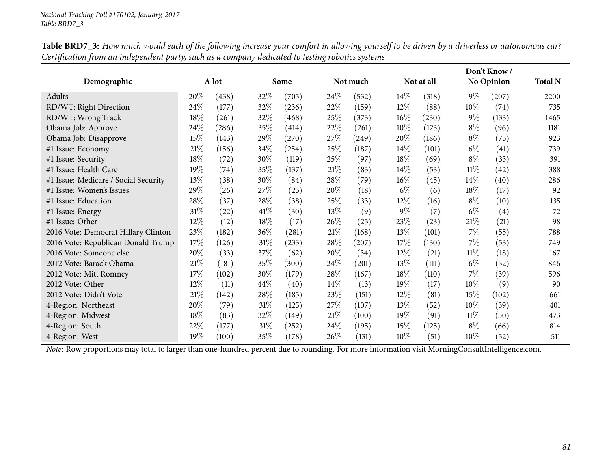| Demographic                          |        | A lot     |        | Some  | Not much |       |        | Not at all |        | <b>No Opinion</b> |      |
|--------------------------------------|--------|-----------|--------|-------|----------|-------|--------|------------|--------|-------------------|------|
| Adults                               | 20%    | (438)     | 32%    | (705) | 24%      | (532) | 14%    | (318)      | $9\%$  | (207)             | 2200 |
| RD/WT: Right Direction               | 24%    | (177)     | 32%    | (236) | 22%      | (159) | 12%    | (88)       | $10\%$ | (74)              | 735  |
| RD/WT: Wrong Track                   | 18%    | (261)     | 32%    | (468) | 25%      | (373) | $16\%$ | (230)      | $9\%$  | (133)             | 1465 |
| Obama Job: Approve                   | 24%    | (286)     | 35%    | (414) | 22\%     | (261) | $10\%$ | (123)      | $8\%$  | (96)              | 1181 |
| Obama Job: Disapprove                | 15%    | (143)     | 29%    | (270) | 27\%     | (249) | 20%    | (186)      | $8\%$  | (75)              | 923  |
| #1 Issue: Economy                    | $21\%$ | (156)     | 34%    | (254) | 25%      | (187) | 14\%   | (101)      | $6\%$  | (41)              | 739  |
| #1 Issue: Security                   | 18%    | $^{(72)}$ | 30%    | (119) | 25%      | (97)  | 18%    | (69)       | $8\%$  | (33)              | 391  |
| #1 Issue: Health Care                | 19%    | (74)      | 35%    | (137) | 21%      | (83)  | 14\%   | (53)       | $11\%$ | (42)              | 388  |
| #1 Issue: Medicare / Social Security | 13%    | (38)      | 30%    | (84)  | 28\%     | (79)  | $16\%$ | (45)       | $14\%$ | (40)              | 286  |
| #1 Issue: Women's Issues             | 29%    | (26)      | 27\%   | (25)  | 20%      | (18)  | $6\%$  | (6)        | 18\%   | (17)              | 92   |
| #1 Issue: Education                  | 28%    | (37)      | 28%    | (38)  | 25\%     | (33)  | 12%    | (16)       | $8\%$  | (10)              | 135  |
| #1 Issue: Energy                     | $31\%$ | (22)      | 41%    | (30)  | 13\%     | (9)   | $9\%$  | (7)        | $6\%$  | (4)               | 72   |
| #1 Issue: Other                      | $12\%$ | (12)      | 18%    | (17)  | 26%      | (25)  | 23\%   | (23)       | $21\%$ | (21)              | 98   |
| 2016 Vote: Democrat Hillary Clinton  | 23%    | (182)     | 36%    | (281) | 21%      | (168) | 13%    | (101)      | $7\%$  | (55)              | 788  |
| 2016 Vote: Republican Donald Trump   | 17%    | (126)     | 31\%   | (233) | 28\%     | (207) | 17%    | (130)      | $7\%$  | (53)              | 749  |
| 2016 Vote: Someone else              | 20%    | (33)      | 37\%   | (62)  | 20%      | (34)  | 12%    | (21)       | $11\%$ | (18)              | 167  |
| 2012 Vote: Barack Obama              | 21%    | (181)     | 35%    | (300) | 24%      | (201) | 13%    | (111)      | $6\%$  | (52)              | 846  |
| 2012 Vote: Mitt Romney               | 17\%   | (102)     | 30%    | (179) | 28\%     | (167) | 18%    | (110)      | $7\%$  | (39)              | 596  |
| 2012 Vote: Other                     | $12\%$ | (11)      | 44\%   | (40)  | 14%      | (13)  | 19%    | (17)       | $10\%$ | (9)               | 90   |
| 2012 Vote: Didn't Vote               | 21%    | (142)     | 28\%   | (185) | 23\%     | (151) | 12%    | (81)       | $15\%$ | (102)             | 661  |
| 4-Region: Northeast                  | 20%    | (79)      | $31\%$ | (125) | 27\%     | (107) | 13\%   | (52)       | $10\%$ | (39)              | 401  |
| 4-Region: Midwest                    | 18%    | (83)      | 32%    | (149) | 21%      | (100) | 19%    | (91)       | $11\%$ | (50)              | 473  |
| 4-Region: South                      | 22\%   | (177)     | 31\%   | (252) | 24\%     | (195) | 15%    | (125)      | $8\%$  | (66)              | 814  |
| 4-Region: West                       | 19%    | (100)     | 35%    | (178) | 26%      | (131) | 10%    | (51)       | $10\%$ | (52)              | 511  |

Table BRD7\_3: How much would each of the following increase your comfort in allowing yourself to be driven by a driverless or autonomous car? Certification from an independent party, such as a company dedicated to testing robotics systems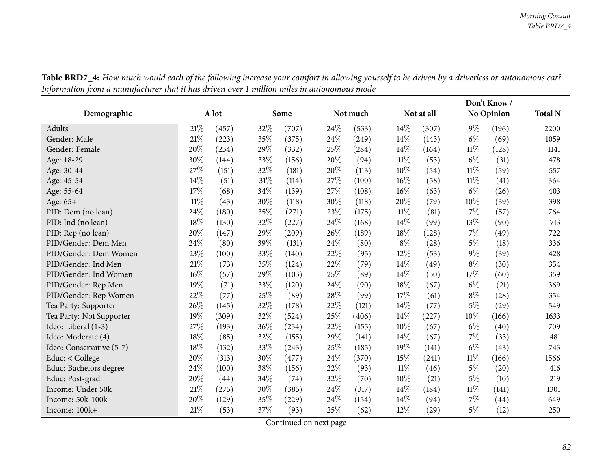|                          |        |       |     |       |      |          |        |            | Don't Know/ |                   |                |
|--------------------------|--------|-------|-----|-------|------|----------|--------|------------|-------------|-------------------|----------------|
| Demographic              |        | A lot |     | Some  |      | Not much |        | Not at all |             | <b>No Opinion</b> | <b>Total N</b> |
| Adults                   | 21\%   | (457) | 32% | (707) | 24\% | (533)    | 14\%   | (307)      | $9\%$       | (196)             | 2200           |
| Gender: Male             | 21%    | (223) | 35% | (375) | 24%  | (249)    | 14%    | (143)      | $6\%$       | (69)              | 1059           |
| Gender: Female           | 20%    | (234) | 29% | (332) | 25%  | (284)    | 14\%   | (164)      | $11\%$      | (128)             | 1141           |
| Age: 18-29               | 30%    | (144) | 33% | (156) | 20%  | (94)     | $11\%$ | (53)       | $6\%$       | (31)              | 478            |
| Age: 30-44               | 27%    | (151) | 32% | (181) | 20%  | (113)    | 10%    | (54)       | $11\%$      | (59)              | 557            |
| Age: 45-54               | 14\%   | (51)  | 31% | (114) | 27\% | (100)    | 16%    | (58)       | $11\%$      | (41)              | 364            |
| Age: 55-64               | 17%    | (68)  | 34% | (139) | 27%  | (108)    | $16\%$ | (63)       | $6\%$       | (26)              | 403            |
| Age: 65+                 | $11\%$ | (43)  | 30% | (118) | 30%  | (118)    | 20%    | (79)       | 10%         | (39)              | 398            |
| PID: Dem (no lean)       | 24%    | (180) | 35% | (271) | 23\% | (175)    | 11%    | (81)       | 7%          | (57)              | 764            |
| PID: Ind (no lean)       | 18%    | (130) | 32% | (227) | 24%  | (168)    | 14\%   | (99)       | 13%         | (90)              | 713            |
| PID: Rep (no lean)       | 20%    | (147) | 29% | (209) | 26%  | (189)    | 18%    | (128)      | $7\%$       | (49)              | 722            |
| PID/Gender: Dem Men      | 24%    | (80)  | 39% | (131) | 24%  | (80)     | $8\%$  | (28)       | $5\%$       | (18)              | 336            |
| PID/Gender: Dem Women    | 23%    | (100) | 33% | (140) | 22%  | (95)     | 12%    | (53)       | $9\%$       | (39)              | 428            |
| PID/Gender: Ind Men      | 21\%   | (73)  | 35% | (124) | 22%  | (79)     | 14\%   | (49)       | $8\%$       | (30)              | 354            |
| PID/Gender: Ind Women    | 16%    | (57)  | 29% | (103) | 25%  | (89)     | 14%    | (50)       | 17%         | (60)              | 359            |
| PID/Gender: Rep Men      | 19%    | (71)  | 33% | (120) | 24\% | (90)     | 18%    | (67)       | $6\%$       | (21)              | 369            |
| PID/Gender: Rep Women    | 22%    | (77)  | 25% | (89)  | 28%  | (99)     | 17%    | (61)       | $8\%$       | (28)              | 354            |
| Tea Party: Supporter     | 26%    | (145) | 32% | (178) | 22%  | (121)    | 14%    | (77)       | $5\%$       | (29)              | 549            |
| Tea Party: Not Supporter | 19%    | (309) | 32% | (524) | 25%  | (406)    | 14%    | (227)      | 10%         | (166)             | 1633           |
| Ideo: Liberal (1-3)      | 27%    | (193) | 36% | (254) | 22%  | (155)    | 10%    | (67)       | $6\%$       | (40)              | 709            |
| Ideo: Moderate (4)       | 18%    | (85)  | 32% | (155) | 29%  | (141)    | 14\%   | (67)       | $7\%$       | (33)              | 481            |
| Ideo: Conservative (5-7) | 18%    | (132) | 33% | (243) | 25%  | (185)    | 19%    | (141)      | $6\%$       | (43)              | 743            |
| Educ: < College          | 20%    | (313) | 30% | (477) | 24%  | (370)    | 15%    | (241)      | $11\%$      | (166)             | 1566           |
| Educ: Bachelors degree   | 24%    | (100) | 38% | (156) | 22%  | (93)     | 11%    | (46)       | $5\%$       | (20)              | 416            |
| Educ: Post-grad          | 20%    | (44)  | 34% | (74)  | 32%  | (70)     | 10%    | (21)       | $5\%$       | (10)              | 219            |
| Income: Under 50k        | 21%    | (275) | 30% | (385) | 24\% | (317)    | 14\%   | (184)      | $11\%$      | (141)             | 1301           |
| Income: 50k-100k         | 20%    | (129) | 35% | (229) | 24%  | (154)    | 14%    | (94)       | $7\%$       | (44)              | 649            |
| Income: 100k+            | 21%    | (53)  | 37% | (93)  | 25%  | (62)     | 12%    | (29)       | $5\%$       | (12)              | 250            |

Table BRD7\_4: How much would each of the following increase your comfort in allowing yourself to be driven by a driverless or autonomous car? Information from a manufacturer that it has driven over 1 million miles in autonomous mode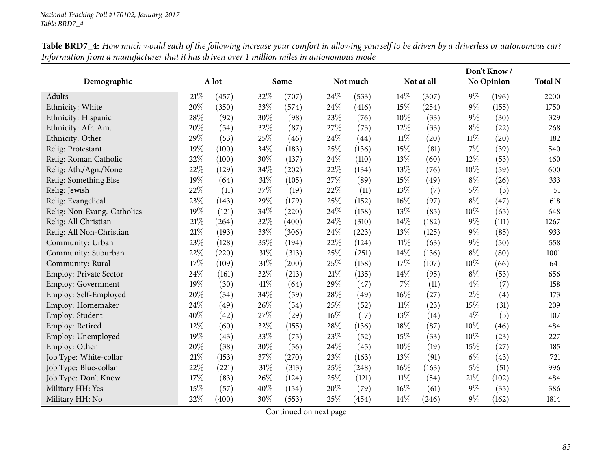|                             |     |       |      |       |        |          |        |            |        | Don't Know/       |                |
|-----------------------------|-----|-------|------|-------|--------|----------|--------|------------|--------|-------------------|----------------|
| Demographic                 |     | A lot |      | Some  |        | Not much |        | Not at all |        | <b>No Opinion</b> | <b>Total N</b> |
| Adults                      | 21% | (457) | 32%  | (707) | 24%    | (533)    | 14%    | (307)      | $9\%$  | (196)             | 2200           |
| Ethnicity: White            | 20% | (350) | 33%  | (574) | 24%    | (416)    | 15%    | (254)      | $9\%$  | (155)             | 1750           |
| Ethnicity: Hispanic         | 28% | (92)  | 30%  | (98)  | 23%    | (76)     | 10%    | (33)       | $9\%$  | (30)              | 329            |
| Ethnicity: Afr. Am.         | 20% | (54)  | 32%  | (87)  | 27%    | (73)     | 12%    | (33)       | $8\%$  | (22)              | 268            |
| Ethnicity: Other            | 29% | (53)  | 25%  | (46)  | 24\%   | (44)     | 11%    | (20)       | $11\%$ | (20)              | 182            |
| Relig: Protestant           | 19% | (100) | 34%  | (183) | 25%    | (136)    | 15%    | (81)       | $7\%$  | (39)              | 540            |
| Relig: Roman Catholic       | 22% | (100) | 30%  | (137) | 24%    | (110)    | 13%    | (60)       | $12\%$ | (53)              | 460            |
| Relig: Ath./Agn./None       | 22% | (129) | 34\% | (202) | 22%    | (134)    | 13%    | (76)       | $10\%$ | (59)              | 600            |
| Relig: Something Else       | 19% | (64)  | 31%  | (105) | 27%    | (89)     | 15%    | (49)       | $8\%$  | (26)              | 333            |
| Relig: Jewish               | 22% | (11)  | 37%  | (19)  | 22%    | (11)     | 13%    | (7)        | $5\%$  | (3)               | 51             |
| Relig: Evangelical          | 23% | (143) | 29%  | (179) | 25%    | (152)    | 16%    | (97)       | $8\%$  | (47)              | 618            |
| Relig: Non-Evang. Catholics | 19% | (121) | 34%  | (220) | 24%    | (158)    | 13%    | (85)       | 10%    | (65)              | 648            |
| Relig: All Christian        | 21% | (264) | 32%  | (400) | 24%    | (310)    | 14%    | (182)      | $9\%$  | (111)             | 1267           |
| Relig: All Non-Christian    | 21% | (193) | 33%  | (306) | 24%    | (223)    | 13%    | (125)      | $9\%$  | (85)              | 933            |
| Community: Urban            | 23% | (128) | 35%  | (194) | 22%    | (124)    | 11%    | (63)       | $9\%$  | (50)              | 558            |
| Community: Suburban         | 22% | (220) | 31%  | (313) | 25%    | (251)    | 14%    | (136)      | $8\%$  | (80)              | 1001           |
| Community: Rural            | 17% | (109) | 31%  | (200) | 25%    | (158)    | 17%    | (107)      | 10%    | (66)              | 641            |
| Employ: Private Sector      | 24% | (161) | 32%  | (213) | $21\%$ | (135)    | 14%    | (95)       | $8\%$  | (53)              | 656            |
| Employ: Government          | 19% | (30)  | 41\% | (64)  | 29%    | (47)     | 7%     | (11)       | $4\%$  | (7)               | 158            |
| Employ: Self-Employed       | 20% | (34)  | 34\% | (59)  | 28%    | (49)     | 16%    | (27)       | $2\%$  | (4)               | 173            |
| Employ: Homemaker           | 24% | (49)  | 26%  | (54)  | 25%    | (52)     | $11\%$ | (23)       | $15\%$ | (31)              | 209            |
| Employ: Student             | 40% | (42)  | 27%  | (29)  | 16%    | (17)     | 13%    | (14)       | $4\%$  | (5)               | 107            |
| Employ: Retired             | 12% | (60)  | 32%  | (155) | 28%    | (136)    | 18%    | (87)       | 10%    | (46)              | 484            |
| Employ: Unemployed          | 19% | (43)  | 33%  | (75)  | 23%    | (52)     | 15%    | (33)       | $10\%$ | (23)              | 227            |
| Employ: Other               | 20% | (38)  | 30%  | (56)  | 24\%   | (45)     | 10%    | (19)       | 15%    | (27)              | 185            |
| Job Type: White-collar      | 21% | (153) | 37%  | (270) | 23%    | (163)    | 13%    | (91)       | $6\%$  | (43)              | 721            |
| Job Type: Blue-collar       | 22% | (221) | 31%  | (313) | 25%    | (248)    | 16%    | (163)      | $5\%$  | (51)              | 996            |
| Job Type: Don't Know        | 17% | (83)  | 26%  | (124) | 25%    | (121)    | $11\%$ | (54)       | $21\%$ | (102)             | 484            |
| Military HH: Yes            | 15% | (57)  | 40%  | (154) | 20%    | (79)     | 16%    | (61)       | $9\%$  | (35)              | 386            |
| Military HH: No             | 22% | (400) | 30%  | (553) | 25%    | (454)    | 14%    | (246)      | $9\%$  | (162)             | 1814           |

Table BRD7\_4: How much would each of the following increase your comfort in allowing yourself to be driven by a driverless or autonomous car? Information from a manufacturer that it has driven over 1 million miles in autonomous mode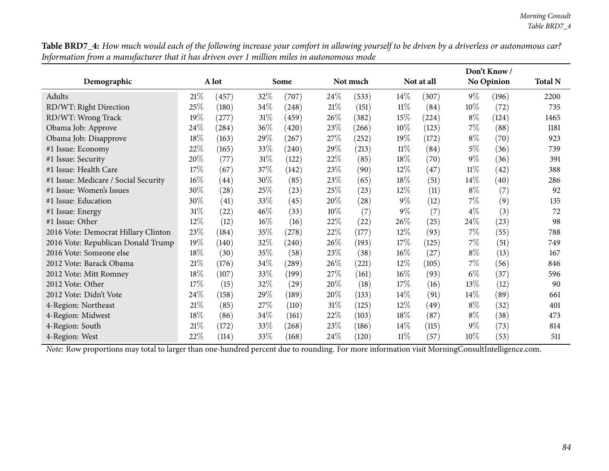|                                      |        |       |      |       |      |                    |        |            |        | Don't Know/        |                |
|--------------------------------------|--------|-------|------|-------|------|--------------------|--------|------------|--------|--------------------|----------------|
| Demographic                          |        | A lot |      | Some  |      | Not much           |        | Not at all |        | <b>No Opinion</b>  | <b>Total N</b> |
| Adults                               | 21%    | (457) | 32%  | (707) | 24%  | (533)              | $14\%$ | (307)      | $9\%$  | (196)              | 2200           |
| RD/WT: Right Direction               | 25%    | (180) | 34\% | (248) | 21%  | (151)              | $11\%$ | (84)       | $10\%$ | (72)               | 735            |
| RD/WT: Wrong Track                   | 19%    | (277) | 31%  | (459) | 26\% | (382)              | 15%    | (224)      | $8\%$  | (124)              | 1465           |
| Obama Job: Approve                   | 24\%   | (284) | 36\% | (420) | 23\% | (266)              | $10\%$ | (123)      | $7\%$  | (88)               | 1181           |
| Obama Job: Disapprove                | 18%    | (163) | 29%  | (267) | 27\% | (252)              | 19%    | (172)      | $8\%$  | $\left( 70\right)$ | 923            |
| #1 Issue: Economy                    | 22%    | (165) | 33%  | (240) | 29%  | (213)              | $11\%$ | (84)       | $5\%$  | (36)               | 739            |
| #1 Issue: Security                   | 20%    | (77)  | 31%  | (122) | 22%  | (85)               | 18%    | (70)       | $9\%$  | (36)               | 391            |
| #1 Issue: Health Care                | 17%    | (67)  | 37%  | (142) | 23\% | (90)               | 12\%   | (47)       | $11\%$ | (42)               | 388            |
| #1 Issue: Medicare / Social Security | $16\%$ | (44)  | 30\% | (85)  | 23%  | (65)               | 18%    | (51)       | $14\%$ | (40)               | 286            |
| #1 Issue: Women's Issues             | 30\%   | (28)  | 25\% | (23)  | 25\% | (23)               | 12%    | (11)       | $8\%$  | (7)                | 92             |
| #1 Issue: Education                  | 30%    | (41)  | 33%  | (45)  | 20%  | $\left( 28\right)$ | $9\%$  | (12)       | $7\%$  | (9)                | 135            |
| #1 Issue: Energy                     | $31\%$ | (22)  | 46%  | (33)  | 10%  | (7)                | $9\%$  | (7)        | $4\%$  | (3)                | 72             |
| #1 Issue: Other                      | $12\%$ | (12)  | 16%  | (16)  | 22%  | (22)               | $26\%$ | (25)       | 24%    | (23)               | 98             |
| 2016 Vote: Democrat Hillary Clinton  | 23%    | (184) | 35%  | (278) | 22%  | (177)              | 12\%   | (93)       | $7\%$  | (55)               | 788            |
| 2016 Vote: Republican Donald Trump   | 19%    | (140) | 32%  | (240) | 26\% | (193)              | 17\%   | (125)      | $7\%$  | (51)               | 749            |
| 2016 Vote: Someone else              | 18\%   | (30)  | 35%  | (58)  | 23\% | (38)               | $16\%$ | (27)       | $8\%$  | (13)               | 167            |
| 2012 Vote: Barack Obama              | 21%    | (176) | 34\% | (289) | 26%  | (221)              | $12\%$ | (105)      | $7\%$  | (56)               | 846            |
| 2012 Vote: Mitt Romney               | 18%    | (107) | 33\% | (199) | 27\% | (161)              | $16\%$ | (93)       | $6\%$  | (37)               | 596            |
| 2012 Vote: Other                     | 17%    | (15)  | 32%  | (29)  | 20%  | (18)               | 17\%   | (16)       | 13\%   | (12)               | 90             |
| 2012 Vote: Didn't Vote               | 24\%   | (158) | 29\% | (189) | 20\% | (133)              | $14\%$ | (91)       | $14\%$ | (89)               | 661            |
| 4-Region: Northeast                  | 21%    | (85)  | 27\% | (110) | 31%  | (125)              | $12\%$ | (49)       | $8\%$  | (32)               | 401            |
| 4-Region: Midwest                    | 18\%   | (86)  | 34%  | (161) | 22%  | (103)              | 18%    | (87)       | $8\%$  | (38)               | 473            |
| 4-Region: South                      | 21%    | (172) | 33%  | (268) | 23\% | (186)              | $14\%$ | (115)      | $9\%$  | (73)               | 814            |
| 4-Region: West                       | 22%    | (114) | 33%  | (168) | 24\% | (120)              | $11\%$ | (57)       | $10\%$ | (53)               | 511            |

Table BRD7\_4: How much would each of the following increase your comfort in allowing yourself to be driven by a driverless or autonomous car? Information from a manufacturer that it has driven over 1 million miles in autonomous mode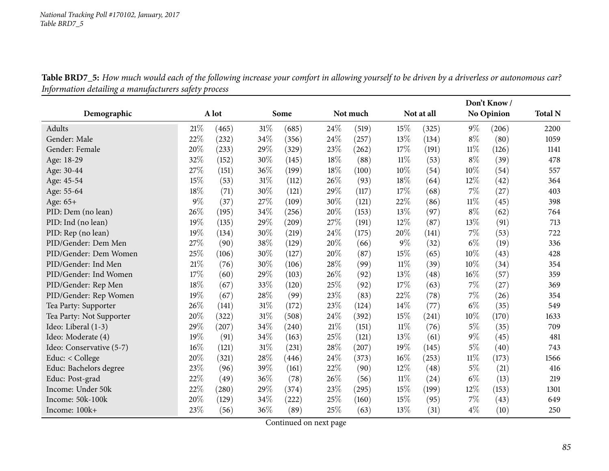Table BRD7\_5: How much would each of the following increase your comfort in allowing yourself to be driven by a driverless or autonomous car? *Information detailing <sup>a</sup> manufacturers safety process*

|                          |        |       |      |       |        |          |        |            |        | Don't Know/ |                |
|--------------------------|--------|-------|------|-------|--------|----------|--------|------------|--------|-------------|----------------|
| Demographic              |        | A lot |      | Some  |        | Not much |        | Not at all |        | No Opinion  | <b>Total N</b> |
| Adults                   | 21%    | (465) | 31%  | (685) | 24\%   | (519)    | 15\%   | (325)      | $9\%$  | (206)       | 2200           |
| Gender: Male             | $22\%$ | (232) | 34\% | (356) | $24\%$ | (257)    | 13%    | (134)      | $8\%$  | (80)        | 1059           |
| Gender: Female           | 20%    | (233) | 29%  | (329) | 23%    | (262)    | 17%    | (191)      | $11\%$ | (126)       | 1141           |
| Age: 18-29               | 32%    | (152) | 30%  | (145) | 18%    | (88)     | $11\%$ | (53)       | $8\%$  | (39)        | 478            |
| Age: 30-44               | 27%    | (151) | 36%  | (199) | 18%    | (100)    | 10%    | (54)       | 10%    | (54)        | 557            |
| Age: 45-54               | 15%    | (53)  | 31%  | (112) | 26%    | (93)     | 18%    | (64)       | 12%    | (42)        | 364            |
| Age: 55-64               | 18%    | (71)  | 30%  | (121) | 29%    | (117)    | 17%    | (68)       | $7\%$  | (27)        | 403            |
| Age: 65+                 | $9\%$  | (37)  | 27%  | (109) | 30%    | (121)    | 22%    | (86)       | $11\%$ | (45)        | 398            |
| PID: Dem (no lean)       | 26%    | (195) | 34%  | (256) | 20%    | (153)    | 13%    | (97)       | $8\%$  | (62)        | 764            |
| PID: Ind (no lean)       | 19%    | (135) | 29%  | (209) | 27%    | (191)    | 12%    | (87)       | 13%    | (91)        | 713            |
| PID: Rep (no lean)       | 19%    | (134) | 30%  | (219) | 24\%   | (175)    | 20%    | (141)      | $7\%$  | (53)        | 722            |
| PID/Gender: Dem Men      | 27%    | (90)  | 38%  | (129) | 20%    | (66)     | $9\%$  | (32)       | $6\%$  | (19)        | 336            |
| PID/Gender: Dem Women    | 25%    | (106) | 30%  | (127) | 20%    | (87)     | 15%    | (65)       | 10%    | (43)        | 428            |
| PID/Gender: Ind Men      | 21%    | (76)  | 30%  | (106) | 28%    | (99)     | $11\%$ | (39)       | 10%    | (34)        | 354            |
| PID/Gender: Ind Women    | 17%    | (60)  | 29%  | (103) | 26%    | (92)     | 13%    | (48)       | 16%    | (57)        | 359            |
| PID/Gender: Rep Men      | 18%    | (67)  | 33%  | (120) | 25%    | (92)     | 17%    | (63)       | $7\%$  | (27)        | 369            |
| PID/Gender: Rep Women    | 19%    | (67)  | 28%  | (99)  | 23%    | (83)     | 22%    | (78)       | 7%     | (26)        | 354            |
| Tea Party: Supporter     | 26%    | (141) | 31%  | (172) | 23%    | (124)    | 14%    | (77)       | $6\%$  | (35)        | 549            |
| Tea Party: Not Supporter | 20%    | (322) | 31%  | (508) | 24%    | (392)    | 15%    | (241)      | 10%    | (170)       | 1633           |
| Ideo: Liberal (1-3)      | 29%    | (207) | 34%  | (240) | 21\%   | (151)    | $11\%$ | (76)       | $5\%$  | (35)        | 709            |
| Ideo: Moderate (4)       | 19%    | (91)  | 34%  | (163) | 25%    | (121)    | 13%    | (61)       | $9\%$  | (45)        | 481            |
| Ideo: Conservative (5-7) | 16%    | (121) | 31%  | (231) | 28%    | (207)    | 19%    | (145)      | $5\%$  | (40)        | 743            |
| Educ: < College          | 20%    | (321) | 28%  | (446) | 24\%   | (373)    | 16%    | (253)      | $11\%$ | (173)       | 1566           |
| Educ: Bachelors degree   | 23\%   | (96)  | 39%  | (161) | 22%    | (90)     | 12%    | (48)       | $5\%$  | (21)        | 416            |
| Educ: Post-grad          | 22%    | (49)  | 36%  | (78)  | 26%    | (56)     | $11\%$ | (24)       | $6\%$  | (13)        | 219            |
| Income: Under 50k        | 22%    | (280) | 29%  | (374) | 23%    | (295)    | 15%    | (199)      | 12%    | (153)       | 1301           |
| Income: 50k-100k         | 20%    | (129) | 34\% | (222) | 25%    | (160)    | 15%    | (95)       | 7%     | (43)        | 649            |
| Income: 100k+            | 23%    | (56)  | 36%  | (89)  | 25%    | (63)     | 13%    | (31)       | $4\%$  | (10)        | 250            |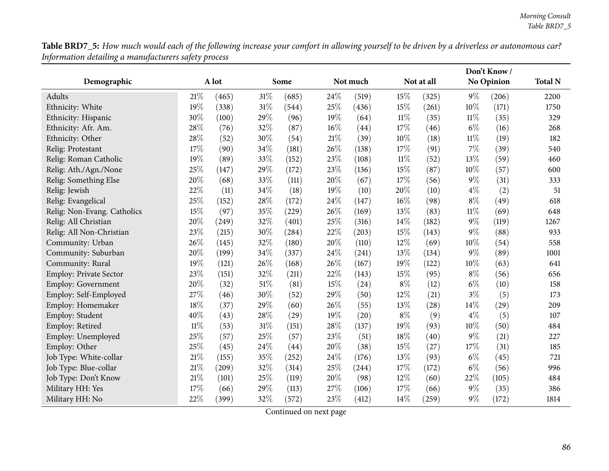Table BRD7\_5: How much would each of the following increase your comfort in allowing yourself to be driven by a driverless or autonomous car? *Information detailing <sup>a</sup> manufacturers safety process*

|                             |        |       |        |       |        |          |        |                    |        | Don't Know/       |                |
|-----------------------------|--------|-------|--------|-------|--------|----------|--------|--------------------|--------|-------------------|----------------|
| Demographic                 |        | A lot |        | Some  |        | Not much |        | Not at all         |        | <b>No Opinion</b> | <b>Total N</b> |
| Adults                      | 21\%   | (465) | $31\%$ | (685) | 24%    | (519)    | 15%    | (325)              | 9%     | (206)             | 2200           |
| Ethnicity: White            | 19%    | (338) | 31%    | (544) | 25%    | (436)    | 15%    | (261)              | 10%    | (171)             | 1750           |
| Ethnicity: Hispanic         | 30%    | (100) | 29%    | (96)  | 19%    | (64)     | $11\%$ | (35)               | $11\%$ | (35)              | 329            |
| Ethnicity: Afr. Am.         | 28%    | (76)  | 32%    | (87)  | 16%    | (44)     | 17%    | (46)               | $6\%$  | (16)              | 268            |
| Ethnicity: Other            | 28%    | (52)  | 30%    | (54)  | $21\%$ | (39)     | 10%    | (18)               | $11\%$ | (19)              | 182            |
| Relig: Protestant           | 17%    | (90)  | 34%    | (181) | 26%    | (138)    | 17%    | (91)               | 7%     | (39)              | 540            |
| Relig: Roman Catholic       | 19%    | (89)  | 33%    | (152) | 23%    | (108)    | $11\%$ | (52)               | 13%    | (59)              | 460            |
| Relig: Ath./Agn./None       | 25%    | (147) | 29%    | (172) | 23%    | (136)    | 15%    | (87)               | 10%    | (57)              | 600            |
| Relig: Something Else       | 20%    | (68)  | 33%    | (111) | 20%    | (67)     | 17%    | (56)               | 9%     | (31)              | 333            |
| Relig: Jewish               | 22%    | (11)  | 34%    | (18)  | 19%    | (10)     | 20%    | (10)               | $4\%$  | (2)               | 51             |
| Relig: Evangelical          | 25%    | (152) | 28%    | (172) | 24%    | (147)    | 16%    | (98)               | $8\%$  | (49)              | 618            |
| Relig: Non-Evang. Catholics | 15%    | (97)  | 35%    | (229) | 26%    | (169)    | 13%    | (83)               | $11\%$ | (69)              | 648            |
| Relig: All Christian        | 20%    | (249) | 32%    | (401) | 25%    | (316)    | 14%    | (182)              | 9%     | (119)             | 1267           |
| Relig: All Non-Christian    | 23%    | (215) | 30%    | (284) | 22%    | (203)    | 15%    | (143)              | 9%     | (88)              | 933            |
| Community: Urban            | 26%    | (145) | 32%    | (180) | 20%    | (110)    | 12%    | (69)               | 10%    | (54)              | 558            |
| Community: Suburban         | 20%    | (199) | 34%    | (337) | 24%    | (241)    | 13%    | (134)              | $9\%$  | (89)              | 1001           |
| Community: Rural            | 19%    | (121) | 26%    | (168) | 26%    | (167)    | 19%    | (122)              | 10%    | (63)              | 641            |
| Employ: Private Sector      | 23%    | (151) | 32%    | (211) | 22%    | (143)    | 15%    | (95)               | $8\%$  | (56)              | 656            |
| <b>Employ: Government</b>   | 20%    | (32)  | 51%    | (81)  | 15%    | (24)     | $8\%$  | (12)               | $6\%$  | (10)              | 158            |
| Employ: Self-Employed       | 27%    | (46)  | 30%    | (52)  | 29%    | (50)     | 12%    | (21)               | $3\%$  | (5)               | 173            |
| Employ: Homemaker           | 18%    | (37)  | 29%    | (60)  | 26\%   | (55)     | 13%    | $\left( 28\right)$ | 14%    | (29)              | 209            |
| Employ: Student             | 40%    | (43)  | 28%    | (29)  | 19%    | (20)     | $8\%$  | (9)                | $4\%$  | (5)               | 107            |
| Employ: Retired             | $11\%$ | (53)  | 31%    | (151) | 28%    | (137)    | 19%    | (93)               | 10%    | (50)              | 484            |
| Employ: Unemployed          | 25%    | (57)  | 25%    | (57)  | 23%    | (51)     | 18%    | (40)               | 9%     | (21)              | 227            |
| Employ: Other               | 25%    | (45)  | 24%    | (44)  | 20%    | (38)     | 15%    | (27)               | 17%    | (31)              | 185            |
| Job Type: White-collar      | 21%    | (155) | 35%    | (252) | 24\%   | (176)    | 13%    | (93)               | $6\%$  | (45)              | 721            |
| Job Type: Blue-collar       | 21%    | (209) | 32%    | (314) | 25%    | (244)    | 17%    | (172)              | $6\%$  | (56)              | 996            |
| Job Type: Don't Know        | 21%    | (101) | 25%    | (119) | 20%    | (98)     | 12%    | (60)               | $22\%$ | (105)             | 484            |
| Military HH: Yes            | 17%    | (66)  | 29%    | (113) | 27%    | (106)    | 17%    | (66)               | $9\%$  | (35)              | 386            |
| Military HH: No             | 22%    | (399) | 32%    | (572) | 23%    | (412)    | 14%    | (259)              | 9%     | (172)             | 1814           |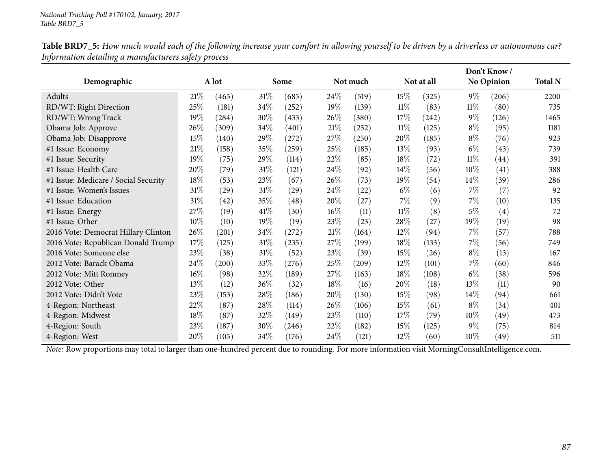|                                      |        |                    |        |                    |        |          |        |            |        | Don't Know /      |                |
|--------------------------------------|--------|--------------------|--------|--------------------|--------|----------|--------|------------|--------|-------------------|----------------|
| Demographic                          |        | A lot              |        | Some               |        | Not much |        | Not at all |        | <b>No Opinion</b> | <b>Total N</b> |
| Adults                               | 21%    | (465)              | $31\%$ | (685)              | 24\%   | (519)    | 15%    | (325)      | $9\%$  | (206)             | 2200           |
| RD/WT: Right Direction               | 25%    | (181)              | 34\%   | (252)              | $19\%$ | (139)    | $11\%$ | (83)       | $11\%$ | (80)              | 735            |
| RD/WT: Wrong Track                   | 19%    | (284)              | 30%    | (433)              | 26\%   | (380)    | 17\%   | (242)      | $9\%$  | (126)             | 1465           |
| Obama Job: Approve                   | 26\%   | (309)              | 34\%   | (401)              | 21%    | (252)    | $11\%$ | (125)      | $8\%$  | (95)              | 1181           |
| Obama Job: Disapprove                | 15%    | (140)              | 29\%   | (272)              | 27\%   | (250)    | $20\%$ | (185)      | $8\%$  | (76)              | 923            |
| #1 Issue: Economy                    | $21\%$ | (158)              | 35%    | (259)              | 25\%   | (185)    | 13%    | (93)       | $6\%$  | (43)              | 739            |
| #1 Issue: Security                   | 19%    | (75)               | 29%    | (114)              | 22%    | (85)     | 18%    | (72)       | $11\%$ | (44)              | 391            |
| #1 Issue: Health Care                | 20%    | (79)               | $31\%$ | (121)              | 24\%   | (92)     | $14\%$ | (56)       | $10\%$ | (41)              | 388            |
| #1 Issue: Medicare / Social Security | 18%    | (53)               | 23\%   | (67)               | 26\%   | (73)     | 19%    | (54)       | $14\%$ | (39)              | 286            |
| #1 Issue: Women's Issues             | $31\%$ | $\left( 29\right)$ | $31\%$ | $\left( 29\right)$ | 24%    | (22)     | $6\%$  | (6)        | $7\%$  | (7)               | 92             |
| #1 Issue: Education                  | $31\%$ | (42)               | 35%    | (48)               | 20%    | (27)     | $7\%$  | (9)        | $7\%$  | (10)              | 135            |
| #1 Issue: Energy                     | 27%    | (19)               | 41%    | (30)               | 16%    | (11)     | $11\%$ | (8)        | $5\%$  | (4)               | 72             |
| #1 Issue: Other                      | 10%    | (10)               | 19%    | (19)               | 23\%   | (23)     | $28\%$ | (27)       | $19\%$ | (19)              | 98             |
| 2016 Vote: Democrat Hillary Clinton  | 26\%   | (201)              | 34%    | (272)              | 21%    | (164)    | $12\%$ | (94)       | $7\%$  | (57)              | 788            |
| 2016 Vote: Republican Donald Trump   | 17%    | (125)              | $31\%$ | (235)              | 27\%   | (199)    | 18\%   | (133)      | $7\%$  | (56)              | 749            |
| 2016 Vote: Someone else              | 23\%   | (38)               | $31\%$ | (52)               | 23\%   | (39)     | 15%    | (26)       | $8\%$  | (13)              | 167            |
| 2012 Vote: Barack Obama              | 24\%   | (200)              | 33\%   | (276)              | 25%    | (209)    | $12\%$ | (101)      | $7\%$  | (60)              | 846            |
| 2012 Vote: Mitt Romney               | $16\%$ | (98)               | 32%    | (189)              | 27\%   | (163)    | 18%    | (108)      | $6\%$  | (38)              | 596            |
| 2012 Vote: Other                     | 13%    | (12)               | 36\%   | (32)               | 18\%   | (16)     | $20\%$ | (18)       | $13\%$ | (11)              | 90             |
| 2012 Vote: Didn't Vote               | 23\%   | (153)              | 28\%   | (186)              | 20%    | (130)    | 15%    | (98)       | $14\%$ | (94)              | 661            |
| 4-Region: Northeast                  | 22\%   | (87)               | 28\%   | (114)              | 26\%   | (106)    | 15%    | (61)       | $8\%$  | (34)              | 401            |
| 4-Region: Midwest                    | 18%    | (87)               | 32\%   | (149)              | 23\%   | (110)    | 17\%   | (79)       | $10\%$ | (49)              | 473            |
| 4-Region: South                      | 23%    | (187)              | 30%    | (246)              | 22\%   | (182)    | 15%    | (125)      | $9\%$  | (75)              | 814            |
| 4-Region: West                       | 20\%   | (105)              | 34\%   | (176)              | 24\%   | (121)    | $12\%$ | (60)       | $10\%$ | (49)              | 511            |

Table BRD7\_5: How much would each of the following increase your comfort in allowing yourself to be driven by a driverless or autonomous car? *Information detailing <sup>a</sup> manufacturers safety process*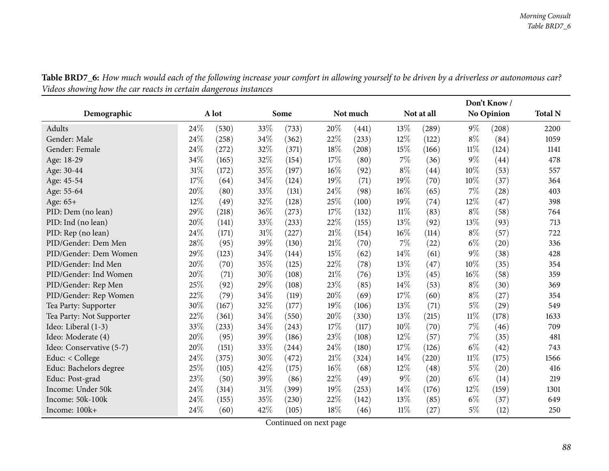| o                        |      | o     |     |       |        |          |       |            |        | Don't Know/        |                |
|--------------------------|------|-------|-----|-------|--------|----------|-------|------------|--------|--------------------|----------------|
| Demographic              |      | A lot |     | Some  |        | Not much |       | Not at all |        | <b>No Opinion</b>  | <b>Total N</b> |
| Adults                   | 24\% | (530) | 33% | (733) | 20%    | (441)    | 13\%  | (289)      | $9\%$  | (208)              | 2200           |
| Gender: Male             | 24%  | (258) | 34% | (362) | 22%    | (233)    | 12%   | (122)      | $8\%$  | (84)               | 1059           |
| Gender: Female           | 24\% | (272) | 32% | (371) | 18%    | (208)    | 15%   | (166)      | $11\%$ | (124)              | 1141           |
| Age: 18-29               | 34%  | (165) | 32% | (154) | 17%    | (80)     | 7%    | (36)       | $9\%$  | (44)               | 478            |
| Age: 30-44               | 31%  | (172) | 35% | (197) | 16%    | (92)     | $8\%$ | (44)       | 10%    | (53)               | 557            |
| Age: 45-54               | 17%  | (64)  | 34% | (124) | 19%    | (71)     | 19%   | (70)       | 10%    | (37)               | 364            |
| Age: 55-64               | 20%  | (80)  | 33% | (131) | 24%    | (98)     | 16%   | (65)       | 7%     | (28)               | 403            |
| Age: 65+                 | 12%  | (49)  | 32% | (128) | 25%    | (100)    | 19%   | (74)       | 12%    | (47)               | 398            |
| PID: Dem (no lean)       | 29%  | (218) | 36% | (273) | 17%    | (132)    | 11%   | (83)       | $8\%$  | (58)               | 764            |
| PID: Ind (no lean)       | 20%  | (141) | 33% | (233) | 22%    | (155)    | 13%   | (92)       | 13%    | (93)               | 713            |
| PID: Rep (no lean)       | 24%  | (171) | 31% | (227) | $21\%$ | (154)    | 16%   | (114)      | $8\%$  | (57)               | 722            |
| PID/Gender: Dem Men      | 28%  | (95)  | 39% | (130) | 21%    | (70)     | 7%    | (22)       | $6\%$  | $\left( 20\right)$ | 336            |
| PID/Gender: Dem Women    | 29%  | (123) | 34% | (144) | 15%    | (62)     | 14%   | (61)       | $9\%$  | (38)               | 428            |
| PID/Gender: Ind Men      | 20%  | (70)  | 35% | (125) | 22%    | (78)     | 13%   | (47)       | 10%    | (35)               | 354            |
| PID/Gender: Ind Women    | 20%  | (71)  | 30% | (108) | 21%    | (76)     | 13%   | (45)       | 16%    | (58)               | 359            |
| PID/Gender: Rep Men      | 25%  | (92)  | 29% | (108) | 23%    | (85)     | 14%   | (53)       | $8\%$  | (30)               | 369            |
| PID/Gender: Rep Women    | 22%  | (79)  | 34% | (119) | 20%    | (69)     | 17%   | (60)       | $8\%$  | (27)               | 354            |
| Tea Party: Supporter     | 30%  | (167) | 32% | (177) | 19%    | (106)    | 13%   | (71)       | $5\%$  | (29)               | 549            |
| Tea Party: Not Supporter | 22%  | (361) | 34% | (550) | 20%    | (330)    | 13%   | (215)      | $11\%$ | (178)              | 1633           |
| Ideo: Liberal (1-3)      | 33%  | (233) | 34% | (243) | 17%    | (117)    | 10%   | (70)       | $7\%$  | (46)               | 709            |
| Ideo: Moderate (4)       | 20%  | (95)  | 39% | (186) | 23%    | (108)    | 12%   | (57)       | $7\%$  | (35)               | 481            |
| Ideo: Conservative (5-7) | 20%  | (151) | 33% | (244) | 24%    | (180)    | 17%   | (126)      | $6\%$  | (42)               | 743            |
| Educ: < College          | 24\% | (375) | 30% | (472) | 21%    | (324)    | 14%   | (220)      | $11\%$ | (175)              | 1566           |
| Educ: Bachelors degree   | 25%  | (105) | 42% | (175) | 16%    | (68)     | 12%   | (48)       | $5\%$  | (20)               | 416            |
| Educ: Post-grad          | 23%  | (50)  | 39% | (86)  | 22%    | (49)     | $9\%$ | (20)       | $6\%$  | (14)               | 219            |
| Income: Under 50k        | 24%  | (314) | 31% | (399) | 19%    | (253)    | 14%   | (176)      | 12%    | (159)              | 1301           |
| Income: 50k-100k         | 24%  | (155) | 35% | (230) | 22%    | (142)    | 13%   | (85)       | $6\%$  | (37)               | 649            |
| Income: 100k+            | 24%  | (60)  | 42% | (105) | 18%    | (46)     | 11%   | (27)       | $5\%$  | (12)               | 250            |

Table BRD7\_6: How much would each of the following increase your comfort in allowing yourself to be driven by a driverless or autonomous car? *Videos showing how the car reacts in certain dangerous instances*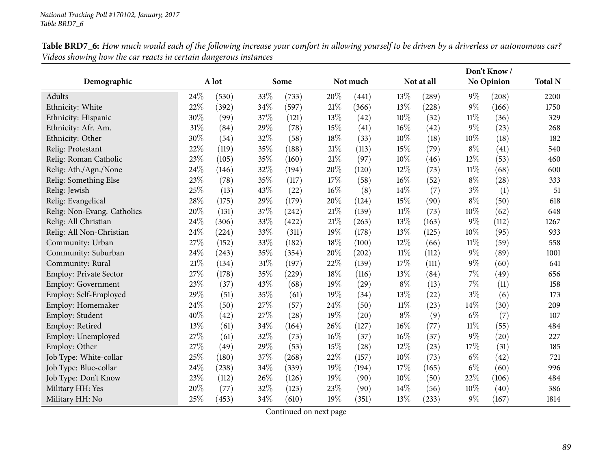|                             |      |       |     |                     |        |          |        |            | Don't Know/ |                   |                |
|-----------------------------|------|-------|-----|---------------------|--------|----------|--------|------------|-------------|-------------------|----------------|
| Demographic                 |      | A lot |     | Some                |        | Not much |        | Not at all |             | <b>No Opinion</b> | <b>Total N</b> |
| Adults                      | 24\% | (530) | 33% | (733)               | $20\%$ | (441)    | 13%    | (289)      | $9\%$       | (208)             | 2200           |
| Ethnicity: White            | 22%  | (392) | 34% | (597)               | 21%    | (366)    | 13%    | (228)      | $9\%$       | (166)             | 1750           |
| Ethnicity: Hispanic         | 30%  | (99)  | 37% | (121)               | 13%    | (42)     | 10%    | (32)       | 11%         | (36)              | 329            |
| Ethnicity: Afr. Am.         | 31%  | (84)  | 29% | (78)                | 15%    | (41)     | 16%    | (42)       | $9\%$       | (23)              | 268            |
| Ethnicity: Other            | 30%  | (54)  | 32% | (58)                | 18%    | (33)     | 10%    | (18)       | 10%         | (18)              | 182            |
| Relig: Protestant           | 22%  | (119) | 35% | (188)               | 21%    | (113)    | 15%    | (79)       | $8\%$       | (41)              | 540            |
| Relig: Roman Catholic       | 23%  | (105) | 35% | (160)               | 21%    | (97)     | 10%    | (46)       | 12%         | (53)              | 460            |
| Relig: Ath./Agn./None       | 24\% | (146) | 32% | (194)               | 20%    | (120)    | 12%    | (73)       | 11%         | (68)              | 600            |
| Relig: Something Else       | 23%  | (78)  | 35% | (117)               | 17%    | (58)     | 16%    | (52)       | $8\%$       | (28)              | 333            |
| Relig: Jewish               | 25%  | (13)  | 43% | (22)                | 16%    | (8)      | 14%    | (7)        | $3\%$       | (1)               | 51             |
| Relig: Evangelical          | 28%  | (175) | 29% | (179)               | 20%    | (124)    | 15%    | (90)       | $8\%$       | (50)              | 618            |
| Relig: Non-Evang. Catholics | 20%  | (131) | 37% | (242)               | 21%    | (139)    | $11\%$ | (73)       | 10%         | (62)              | 648            |
| Relig: All Christian        | 24%  | (306) | 33% | (422)               | $21\%$ | (263)    | 13%    | (163)      | $9\%$       | (112)             | 1267           |
| Relig: All Non-Christian    | 24%  | (224) | 33% | (311)               | 19%    | (178)    | 13%    | (125)      | 10%         | (95)              | 933            |
| Community: Urban            | 27%  | (152) | 33% | (182)               | 18%    | (100)    | 12%    | (66)       | 11%         | (59)              | 558            |
| Community: Suburban         | 24%  | (243) | 35% | (354)               | 20%    | (202)    | $11\%$ | (112)      | $9\%$       | (89)              | 1001           |
| Community: Rural            | 21%  | (134) | 31% | (197)               | 22%    | (139)    | 17%    | (111)      | $9\%$       | (60)              | 641            |
| Employ: Private Sector      | 27%  | (178) | 35% | $\left( 229\right)$ | 18%    | (116)    | 13%    | (84)       | $7\%$       | (49)              | 656            |
| Employ: Government          | 23%  | (37)  | 43% | (68)                | 19%    | (29)     | $8\%$  | (13)       | 7%          | (11)              | 158            |
| Employ: Self-Employed       | 29%  | (51)  | 35% | (61)                | 19%    | (34)     | 13%    | (22)       | $3\%$       | (6)               | 173            |
| Employ: Homemaker           | 24\% | (50)  | 27% | (57)                | 24%    | (50)     | $11\%$ | (23)       | 14%         | (30)              | 209            |
| Employ: Student             | 40%  | (42)  | 27% | (28)                | 19%    | (20)     | $8\%$  | (9)        | $6\%$       | (7)               | 107            |
| Employ: Retired             | 13%  | (61)  | 34% | (164)               | 26%    | (127)    | 16%    | (77)       | $11\%$      | (55)              | 484            |
| Employ: Unemployed          | 27%  | (61)  | 32% | (73)                | 16%    | (37)     | 16%    | (37)       | $9\%$       | (20)              | 227            |
| Employ: Other               | 27%  | (49)  | 29% | (53)                | 15%    | (28)     | 12%    | (23)       | 17%         | (31)              | 185            |
| Job Type: White-collar      | 25%  | (180) | 37% | (268)               | 22%    | (157)    | 10%    | (73)       | $6\%$       | (42)              | 721            |
| Job Type: Blue-collar       | 24%  | (238) | 34% | (339)               | 19%    | (194)    | 17%    | (165)      | $6\%$       | (60)              | 996            |
| Job Type: Don't Know        | 23%  | (112) | 26% | (126)               | 19%    | (90)     | 10%    | (50)       | 22%         | (106)             | 484            |
| Military HH: Yes            | 20%  | (77)  | 32% | (123)               | 23%    | (90)     | 14%    | (56)       | 10%         | (40)              | 386            |
| Military HH: No             | 25%  | (453) | 34% | (610)               | 19%    | (351)    | 13%    | (233)      | 9%          | (167)             | 1814           |

Table BRD7\_6: How much would each of the following increase your comfort in allowing yourself to be driven by a driverless or autonomous car? *Videos showing how the car reacts in certain dangerous instances*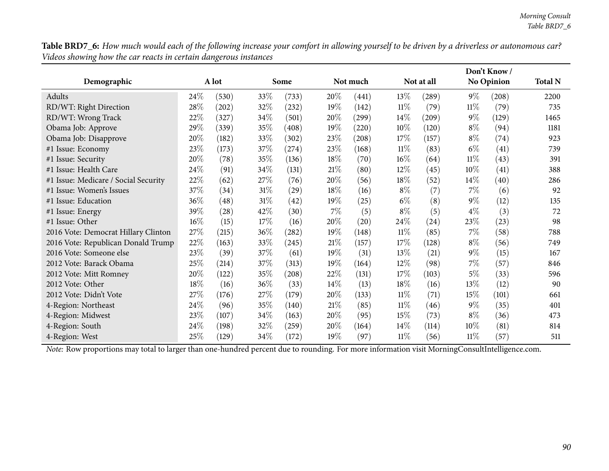Table BRD7\_6: How much would each of the following increase your comfort in allowing yourself to be driven by a driverless or autonomous car? *Videos showing how the car reacts in certain dangerous instances*

|                                      |        |                     |        |                     |        |          |        |                     | Don't Know/ |                   |                |
|--------------------------------------|--------|---------------------|--------|---------------------|--------|----------|--------|---------------------|-------------|-------------------|----------------|
| Demographic                          |        | A lot               |        | Some                |        | Not much |        | Not at all          |             | <b>No Opinion</b> | <b>Total N</b> |
| Adults                               | 24\%   | (530)               | 33\%   | (733)               | 20\%   | (441)    | $13\%$ | (289)               | $9\%$       | (208)             | 2200           |
| RD/WT: Right Direction               | 28%    | $\left( 202\right)$ | 32\%   | (232)               | $19\%$ | (142)    | $11\%$ | (79)                | $11\%$      | (79)              | 735            |
| RD/WT: Wrong Track                   | 22\%   | (327)               | 34\%   | (501)               | 20%    | (299)    | $14\%$ | $\left( 209\right)$ | $9\%$       | (129)             | 1465           |
| Obama Job: Approve                   | 29%    | (339)               | 35%    | (408)               | 19%    | (220)    | $10\%$ | (120)               | $8\%$       | (94)              | 1181           |
| Obama Job: Disapprove                | 20%    | (182)               | 33\%   | (302)               | 23\%   | (208)    | 17%    | (157)               | $8\%$       | (74)              | 923            |
| #1 Issue: Economy                    | 23\%   | (173)               | 37\%   | (274)               | 23\%   | (168)    | $11\%$ | (83)                | $6\%$       | (41)              | 739            |
| #1 Issue: Security                   | 20%    | (78)                | 35\%   | (136)               | 18%    | (70)     | $16\%$ | (64)                | $11\%$      | (43)              | 391            |
| #1 Issue: Health Care                | 24%    | (91)                | 34%    | (131)               | 21\%   | (80)     | 12\%   | (45)                | 10%         | (41)              | 388            |
| #1 Issue: Medicare / Social Security | 22%    | (62)                | $27\%$ | (76)                | 20%    | (56)     | 18\%   | (52)                | $14\%$      | (40)              | 286            |
| #1 Issue: Women's Issues             | 37\%   | (34)                | $31\%$ | (29)                | 18%    | (16)     | $8\%$  | (7)                 | $7\%$       | (6)               | 92             |
| #1 Issue: Education                  | 36%    | (48)                | $31\%$ | (42)                | 19%    | (25)     | $6\%$  | (8)                 | $9\%$       | (12)              | 135            |
| #1 Issue: Energy                     | 39%    | $\left( 28\right)$  | 42\%   | (30)                | $7\%$  | (5)      | $8\%$  | (5)                 | $4\%$       | (3)               | 72             |
| #1 Issue: Other                      | $16\%$ | (15)                | 17\%   | (16)                | 20%    | (20)     | 24\%   | (24)                | 23\%        | (23)              | 98             |
| 2016 Vote: Democrat Hillary Clinton  | 27\%   | (215)               | $36\%$ | (282)               | 19%    | (148)    | $11\%$ | (85)                | $7\%$       | (58)              | 788            |
| 2016 Vote: Republican Donald Trump   | 22%    | (163)               | 33\%   | (245)               | 21%    | (157)    | 17%    | (128)               | $8\%$       | (56)              | 749            |
| 2016 Vote: Someone else              | 23%    | (39)                | 37\%   | (61)                | 19%    | (31)     | 13\%   | (21)                | $9\%$       | (15)              | 167            |
| 2012 Vote: Barack Obama              | 25\%   | (214)               | 37\%   | (313)               | 19%    | (164)    | $12\%$ | (98)                | 7%          | (57)              | 846            |
| 2012 Vote: Mitt Romney               | 20%    | (122)               | 35%    | (208)               | 22%    | (131)    | $17\%$ | (103)               | 5%          | (33)              | 596            |
| 2012 Vote: Other                     | 18%    | (16)                | $36\%$ | (33)                | 14%    | (13)     | 18%    | (16)                | $13\%$      | (12)              | 90             |
| 2012 Vote: Didn't Vote               | 27\%   | (176)               | 27\%   | (179)               | 20%    | (133)    | 11%    | (71)                | 15%         | (101)             | 661            |
| 4-Region: Northeast                  | 24\%   | (96)                | 35%    | (140)               | 21%    | (85)     | $11\%$ | (46)                | $9\%$       | (35)              | 401            |
| 4-Region: Midwest                    | 23\%   | (107)               | $34\%$ | (163)               | 20\%   | (95)     | 15%    | (73)                | $8\%$       | (36)              | 473            |
| 4-Region: South                      | 24\%   | (198)               | 32%    | $\left( 259\right)$ | 20%    | (164)    | $14\%$ | (114)               | 10%         | (81)              | 814            |
| 4-Region: West                       | 25\%   | (129)               | $34\%$ | (172)               | 19%    | (97)     | $11\%$ | (56)                | $11\%$      | (57)              | 511            |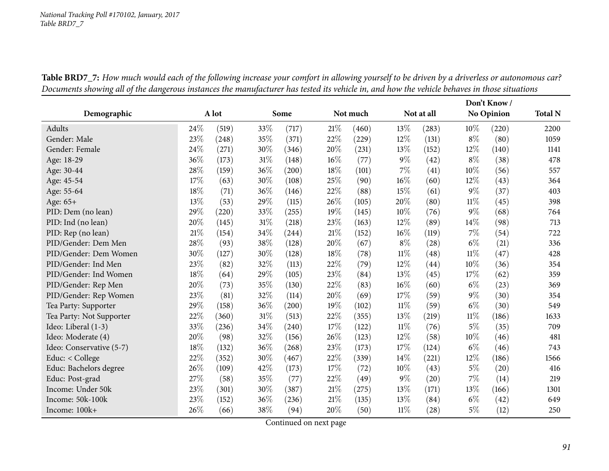| Demographic              |      | A lot |     | Some  |        | Not much |        | Not at all         |        | Don't Know<br><b>No Opinion</b> |      |
|--------------------------|------|-------|-----|-------|--------|----------|--------|--------------------|--------|---------------------------------|------|
| Adults                   | 24%  | (519) | 33% | (717) | 21%    | (460)    | 13%    | (283)              | 10%    | (220)                           | 2200 |
| Gender: Male             | 23%  | (248) | 35% | (371) | 22%    | (229)    | 12%    | (131)              | $8\%$  | (80)                            | 1059 |
| Gender: Female           | 24\% | (271) | 30% | (346) | $20\%$ | (231)    | 13%    | (152)              | 12%    | (140)                           | 1141 |
| Age: 18-29               | 36%  | (173) | 31% | (148) | 16%    | (77)     | $9\%$  | (42)               | $8\%$  | (38)                            | 478  |
| Age: 30-44               | 28%  | (159) | 36% | (200) | 18%    | (101)    | 7%     | (41)               | 10%    | (56)                            | 557  |
| Age: 45-54               | 17%  | (63)  | 30% | (108) | 25%    | (90)     | 16%    | (60)               | $12\%$ | (43)                            | 364  |
| Age: 55-64               | 18%  | (71)  | 36% | (146) | 22%    | (88)     | 15%    | (61)               | $9\%$  | (37)                            | 403  |
| Age: 65+                 | 13%  | (53)  | 29% | (115) | 26%    | (105)    | 20%    | (80)               | $11\%$ | (45)                            | 398  |
| PID: Dem (no lean)       | 29%  | (220) | 33% | (255) | 19%    | (145)    | 10%    | (76)               | $9\%$  | (68)                            | 764  |
| PID: Ind (no lean)       | 20%  | (145) | 31% | (218) | 23%    | (163)    | 12%    | (89)               | 14\%   | (98)                            | 713  |
| PID: Rep (no lean)       | 21\% | (154) | 34% | (244) | 21\%   | (152)    | 16%    | (119)              | 7%     | (54)                            | 722  |
| PID/Gender: Dem Men      | 28%  | (93)  | 38% | (128) | 20%    | (67)     | $8\%$  | (28)               | $6\%$  | (21)                            | 336  |
| PID/Gender: Dem Women    | 30%  | (127) | 30% | (128) | 18%    | (78)     | $11\%$ | (48)               | $11\%$ | (47)                            | 428  |
| PID/Gender: Ind Men      | 23\% | (82)  | 32% | (113) | 22%    | (79)     | 12%    | $\left( 44\right)$ | 10%    | (36)                            | 354  |
| PID/Gender: Ind Women    | 18%  | (64)  | 29% | (105) | 23%    | (84)     | 13%    | (45)               | 17%    | (62)                            | 359  |
| PID/Gender: Rep Men      | 20%  | (73)  | 35% | (130) | 22%    | (83)     | 16%    | (60)               | $6\%$  | (23)                            | 369  |
| PID/Gender: Rep Women    | 23%  | (81)  | 32% | (114) | 20%    | (69)     | 17%    | (59)               | $9\%$  | (30)                            | 354  |
| Tea Party: Supporter     | 29%  | (158) | 36% | (200) | 19%    | (102)    | $11\%$ | (59)               | $6\%$  | (30)                            | 549  |
| Tea Party: Not Supporter | 22%  | (360) | 31% | (513) | 22%    | (355)    | 13%    | (219)              | $11\%$ | (186)                           | 1633 |
| Ideo: Liberal (1-3)      | 33\% | (236) | 34% | (240) | 17%    | (122)    | 11%    | (76)               | $5\%$  | (35)                            | 709  |
| Ideo: Moderate (4)       | 20%  | (98)  | 32% | (156) | 26%    | (123)    | 12%    | (58)               | 10%    | (46)                            | 481  |
| Ideo: Conservative (5-7) | 18%  | (132) | 36% | (268) | 23%    | (173)    | 17%    | (124)              | $6\%$  | (46)                            | 743  |
| Educ: $<$ College        | 22%  | (352) | 30% | (467) | 22%    | (339)    | 14\%   | (221)              | 12%    | (186)                           | 1566 |
| Educ: Bachelors degree   | 26%  | (109) | 42% | (173) | 17%    | (72)     | 10%    | (43)               | $5\%$  | (20)                            | 416  |
| Educ: Post-grad          | 27%  | (58)  | 35% | (77)  | 22%    | (49)     | $9\%$  | (20)               | 7%     | (14)                            | 219  |
| Income: Under 50k        | 23%  | (301) | 30% | (387) | $21\%$ | (275)    | 13%    | (171)              | 13%    | (166)                           | 1301 |
| Income: 50k-100k         | 23%  | (152) | 36% | (236) | 21%    | (135)    | 13%    | (84)               | $6\%$  | (42)                            | 649  |
| Income: 100k+            | 26%  | (66)  | 38% | (94)  | $20\%$ | (50)     | 11%    | (28)               | $5\%$  | (12)                            | 250  |

Table BRD7\_7: How much would each of the following increase your comfort in allowing yourself to be driven by a driverless or autonomous car? Documents showing all of the dangerous instances the manufacturer has tested its vehicle in, and how the vehicle behaves in those situations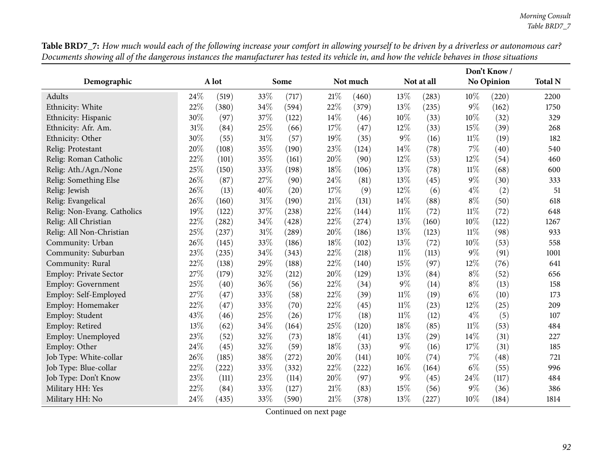|                               |     |       |     |                     |        |          |        |            |        | Don't Know/ |                |
|-------------------------------|-----|-------|-----|---------------------|--------|----------|--------|------------|--------|-------------|----------------|
| Demographic                   |     | A lot |     | Some                |        | Not much |        | Not at all |        | No Opinion  | <b>Total N</b> |
| Adults                        | 24% | (519) | 33% | (717)               | $21\%$ | (460)    | 13%    | (283)      | $10\%$ | (220)       | 2200           |
| Ethnicity: White              | 22% | (380) | 34% | (594)               | 22%    | (379)    | 13%    | (235)      | $9\%$  | (162)       | 1750           |
| Ethnicity: Hispanic           | 30% | (97)  | 37% | (122)               | 14%    | (46)     | 10%    | (33)       | $10\%$ | (32)        | 329            |
| Ethnicity: Afr. Am.           | 31% | (84)  | 25% | (66)                | 17%    | (47)     | 12%    | (33)       | 15%    | (39)        | 268            |
| Ethnicity: Other              | 30% | (55)  | 31% | (57)                | 19%    | (35)     | 9%     | (16)       | $11\%$ | (19)        | 182            |
| Relig: Protestant             | 20% | (108) | 35% | (190)               | 23%    | (124)    | 14%    | (78)       | $7\%$  | (40)        | 540            |
| Relig: Roman Catholic         | 22% | (101) | 35% | (161)               | 20%    | (90)     | 12%    | (53)       | $12\%$ | (54)        | 460            |
| Relig: Ath./Agn./None         | 25% | (150) | 33% | (198)               | 18%    | (106)    | 13%    | (78)       | $11\%$ | (68)        | 600            |
| Relig: Something Else         | 26% | (87)  | 27% | (90)                | 24\%   | (81)     | 13%    | (45)       | $9\%$  | (30)        | 333            |
| Relig: Jewish                 | 26% | (13)  | 40% | (20)                | 17%    | (9)      | 12%    | (6)        | $4\%$  | (2)         | 51             |
| Relig: Evangelical            | 26% | (160) | 31% | (190)               | 21\%   | (131)    | 14%    | (88)       | $8\%$  | (50)        | 618            |
| Relig: Non-Evang. Catholics   | 19% | (122) | 37% | (238)               | 22%    | (144)    | $11\%$ | (72)       | $11\%$ | (72)        | 648            |
| Relig: All Christian          | 22% | (282) | 34% | (428)               | 22%    | (274)    | 13%    | (160)      | 10%    | (122)       | 1267           |
| Relig: All Non-Christian      | 25% | (237) | 31% | $\left( 289\right)$ | 20%    | (186)    | 13%    | (123)      | $11\%$ | (98)        | 933            |
| Community: Urban              | 26% | (145) | 33% | (186)               | 18%    | (102)    | 13%    | (72)       | 10%    | (53)        | 558            |
| Community: Suburban           | 23% | (235) | 34% | (343)               | 22%    | (218)    | $11\%$ | (113)      | $9\%$  | (91)        | 1001           |
| Community: Rural              | 22% | (138) | 29% | (188)               | 22%    | (140)    | 15%    | (97)       | $12\%$ | (76)        | 641            |
| <b>Employ: Private Sector</b> | 27% | (179) | 32% | (212)               | 20%    | (129)    | 13%    | (84)       | $8\%$  | (52)        | 656            |
| Employ: Government            | 25% | (40)  | 36% | (56)                | 22%    | (34)     | $9\%$  | (14)       | $8\%$  | (13)        | 158            |
| Employ: Self-Employed         | 27% | (47)  | 33% | (58)                | 22%    | (39)     | $11\%$ | (19)       | $6\%$  | (10)        | 173            |
| Employ: Homemaker             | 22% | (47)  | 33% | (70)                | 22%    | (45)     | $11\%$ | (23)       | 12%    | (25)        | 209            |
| Employ: Student               | 43% | (46)  | 25% | (26)                | 17%    | (18)     | $11\%$ | (12)       | $4\%$  | (5)         | 107            |
| Employ: Retired               | 13% | (62)  | 34% | (164)               | 25%    | (120)    | 18%    | (85)       | $11\%$ | (53)        | 484            |
| Employ: Unemployed            | 23% | (52)  | 32% | (73)                | 18%    | (41)     | 13%    | (29)       | 14%    | (31)        | 227            |
| Employ: Other                 | 24% | (45)  | 32% | (59)                | 18%    | (33)     | 9%     | (16)       | 17%    | (31)        | 185            |
| Job Type: White-collar        | 26% | (185) | 38% | (272)               | 20%    | (141)    | 10%    | (74)       | $7\%$  | (48)        | 721            |
| Job Type: Blue-collar         | 22% | (222) | 33% | (332)               | 22%    | (222)    | 16%    | (164)      | $6\%$  | (55)        | 996            |
| Job Type: Don't Know          | 23% | (111) | 23% | (114)               | 20%    | (97)     | $9\%$  | (45)       | 24\%   | (117)       | 484            |
| Military HH: Yes              | 22% | (84)  | 33% | (127)               | $21\%$ | (83)     | 15%    | (56)       | $9\%$  | (36)        | 386            |
| Military HH: No               | 24% | (435) | 33% | (590)               | 21%    | (378)    | 13%    | (227)      | $10\%$ | (184)       | 1814           |

Table BRD7\_7: How much would each of the following increase your comfort in allowing yourself to be driven by a driverless or autonomous car? Documents showing all of the dangerous instances the manufacturer has tested its vehicle in, and how the vehicle behaves in those situations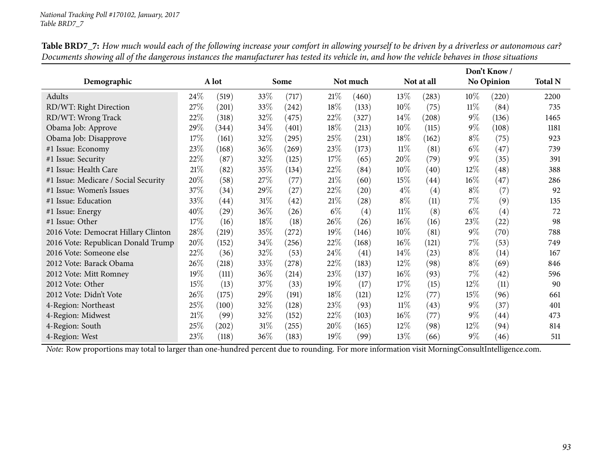|                                      |        |                     |        |       |        |                    |        |                     |        | Don't Know/       |                |
|--------------------------------------|--------|---------------------|--------|-------|--------|--------------------|--------|---------------------|--------|-------------------|----------------|
| Demographic                          |        | A lot               |        | Some  |        | Not much           |        | Not at all          |        | No Opinion        | <b>Total N</b> |
| Adults                               | 24\%   | (519)               | 33%    | (717) | 21%    | (460)              | $13\%$ | (283)               | $10\%$ | (220)             | 2200           |
| RD/WT: Right Direction               | 27\%   | (201)               | 33%    | (242) | 18\%   | (133)              | $10\%$ | (75)                | $11\%$ | (84)              | 735            |
| RD/WT: Wrong Track                   | 22%    | (318)               | 32%    | (475) | 22\%   | (327)              | $14\%$ | $\left( 208\right)$ | $9\%$  | (136)             | 1465           |
| Obama Job: Approve                   | 29%    | (344)               | 34\%   | (401) | 18\%   | (213)              | $10\%$ | (115)               | $9\%$  | (108)             | 1181           |
| Obama Job: Disapprove                | 17%    | (161)               | 32%    | (295) | 25\%   | (231)              | $18\%$ | (162)               | $8\%$  | (75)              | 923            |
| #1 Issue: Economy                    | $23\%$ | (168)               | 36%    | (269) | 23\%   | (173)              | $11\%$ | (81)                | $6\%$  | (47)              | 739            |
| #1 Issue: Security                   | 22%    | (87)                | 32%    | (125) | 17\%   | (65)               | 20%    | (79)                | $9\%$  | (35)              | 391            |
| #1 Issue: Health Care                | 21%    | (82)                | 35%    | (134) | 22%    | (84)               | $10\%$ | (40)                | $12\%$ | (48)              | 388            |
| #1 Issue: Medicare / Social Security | 20%    | (58)                | 27\%   | (77)  | 21%    | (60)               | 15\%   | $\left( 44\right)$  | $16\%$ | (47)              | 286            |
| #1 Issue: Women's Issues             | 37%    | (34)                | 29%    | (27)  | 22\%   | $\left( 20\right)$ | $4\%$  | (4)                 | $8\%$  | (7)               | 92             |
| #1 Issue: Education                  | 33%    | $\left( 44\right)$  | $31\%$ | (42)  | 21%    | $\left( 28\right)$ | $8\%$  | (11)                | $7\%$  | (9)               | 135            |
| #1 Issue: Energy                     | 40%    | (29)                | 36%    | (26)  | $6\%$  | (4)                | $11\%$ | (8)                 | $6\%$  | $\left( 4\right)$ | 72             |
| #1 Issue: Other                      | 17%    | (16)                | $18\%$ | (18)  | 26%    | (26)               | $16\%$ | (16)                | 23\%   | (22)              | 98             |
| 2016 Vote: Democrat Hillary Clinton  | 28\%   | (219)               | 35%    | (272) | $19\%$ | (146)              | $10\%$ | (81)                | $9\%$  | (70)              | 788            |
| 2016 Vote: Republican Donald Trump   | 20%    | (152)               | 34\%   | (256) | 22%    | (168)              | $16\%$ | (121)               | $7\%$  | (53)              | 749            |
| 2016 Vote: Someone else              | 22%    | (36)                | 32%    | (53)  | 24\%   | (41)               | $14\%$ | (23)                | $8\%$  | (14)              | 167            |
| 2012 Vote: Barack Obama              | 26%    | (218)               | 33%    | (278) | 22%    | (183)              | 12%    | (98)                | $8\%$  | (69)              | 846            |
| 2012 Vote: Mitt Romney               | 19%    | (111)               | 36%    | (214) | 23\%   | (137)              | $16\%$ | (93)                | $7\%$  | (42)              | 596            |
| 2012 Vote: Other                     | 15%    | (13)                | 37%    | (33)  | 19%    | (17)               | 17%    | (15)                | $12\%$ | (11)              | 90             |
| 2012 Vote: Didn't Vote               | 26%    | (175)               | 29\%   | (191) | 18\%   | (121)              | $12\%$ | (77)                | $15\%$ | (96)              | 661            |
| 4-Region: Northeast                  | 25%    | (100)               | 32%    | (128) | 23\%   | (93)               | $11\%$ | (43)                | $9\%$  | (37)              | 401            |
| 4-Region: Midwest                    | 21%    | (99)                | 32%    | (152) | 22\%   | (103)              | $16\%$ | (77)                | $9\%$  | (44)              | 473            |
| 4-Region: South                      | $25\%$ | $\left( 202\right)$ | $31\%$ | (255) | 20%    | (165)              | 12\%   | (98)                | $12\%$ | (94)              | 814            |
| 4-Region: West                       | 23%    | (118)               | 36%    | (183) | 19%    | (99)               | 13%    | (66)                | $9\%$  | (46)              | 511            |

Table BRD7\_7: How much would each of the following increase your comfort in allowing yourself to be driven by a driverless or autonomous car? Documents showing all of the dangerous instances the manufacturer has tested its vehicle in, and how the vehicle behaves in those situations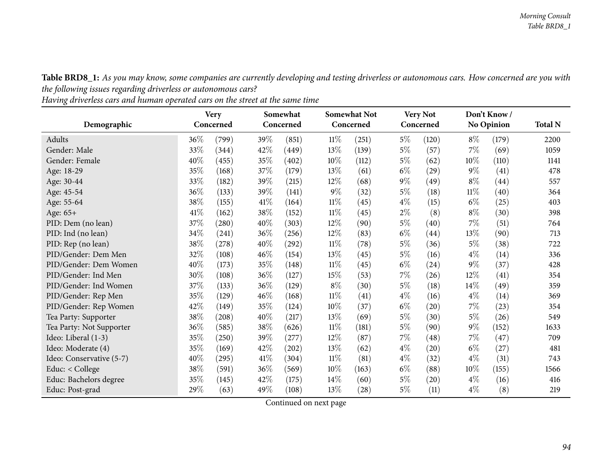Table BRD8\_1: As you may know, some companies are currently developing and testing driverless or autonomous cars. How concerned are you with *the following issues regarding driverless or autonomous cars?*

Having driverless cars and human operated cars on the street at the same time

|                          | <b>Very</b><br>Somewhat<br>Concerned<br>Concerned |       |      |       | <b>Somewhat Not</b> |           | <b>Very Not</b> |                    | Don't Know |                    |                |
|--------------------------|---------------------------------------------------|-------|------|-------|---------------------|-----------|-----------------|--------------------|------------|--------------------|----------------|
| Demographic              |                                                   |       |      |       |                     | Concerned |                 | Concerned          |            | No Opinion         | <b>Total N</b> |
| Adults                   | 36\%                                              | (799) | 39%  | (851) | $11\%$              | (251)     | $5\%$           | (120)              | $8\%$      | (179)              | 2200           |
| Gender: Male             | 33%                                               | (344) | 42\% | (449) | 13\%                | (139)     | $5\%$           | (57)               | 7%         | (69)               | 1059           |
| Gender: Female           | 40%                                               | (455) | 35%  | (402) | $10\%$              | (112)     | $5\%$           | (62)               | 10%        | (110)              | 1141           |
| Age: 18-29               | 35%                                               | (168) | 37%  | (179) | 13%                 | (61)      | $6\%$           | $\left( 29\right)$ | $9\%$      | (41)               | 478            |
| Age: 30-44               | 33\%                                              | (182) | 39%  | (215) | $12\%$              | (68)      | $9\%$           | (49)               | $8\%$      | $\left( 44\right)$ | 557            |
| Age: 45-54               | 36\%                                              | (133) | 39%  | (141) | $9\%$               | (32)      | $5\%$           | (18)               | $11\%$     | (40)               | 364            |
| Age: 55-64               | 38%                                               | (155) | 41%  | (164) | $11\%$              | (45)      | $4\%$           | (15)               | $6\%$      | $^{(25)}$          | 403            |
| Age: 65+                 | 41\%                                              | (162) | 38\% | (152) | $11\%$              | (45)      | $2\%$           | (8)                | $8\%$      | (30)               | 398            |
| PID: Dem (no lean)       | 37%                                               | (280) | 40\% | (303) | 12%                 | (90)      | $5\%$           | (40)               | 7%         | (51)               | 764            |
| PID: Ind (no lean)       | 34\%                                              | (241) | 36\% | (256) | 12%                 | (83)      | $6\%$           | (44)               | 13%        | (90)               | 713            |
| PID: Rep (no lean)       | 38%                                               | (278) | 40\% | (292) | $11\%$              | (78)      | $5\%$           | (36)               | $5\%$      | (38)               | 722            |
| PID/Gender: Dem Men      | 32%                                               | (108) | 46%  | (154) | 13%                 | (45)      | $5\%$           | (16)               | $4\%$      | (14)               | 336            |
| PID/Gender: Dem Women    | 40%                                               | (173) | 35%  | (148) | $11\%$              | (45)      | $6\%$           | (24)               | $9\%$      | (37)               | 428            |
| PID/Gender: Ind Men      | 30%                                               | (108) | 36%  | (127) | 15%                 | (53)      | $7\%$           | (26)               | 12%        | (41)               | 354            |
| PID/Gender: Ind Women    | 37\%                                              | (133) | 36\% | (129) | $8\%$               | (30)      | $5\%$           | (18)               | $14\%$     | (49)               | 359            |
| PID/Gender: Rep Men      | 35%                                               | (129) | 46\% | (168) | $11\%$              | (41)      | $4\%$           | (16)               | $4\%$      | (14)               | 369            |
| PID/Gender: Rep Women    | 42\%                                              | (149) | 35%  | (124) | $10\%$              | (37)      | $6\%$           | $\left( 20\right)$ | 7%         | $^{(23)}$          | 354            |
| Tea Party: Supporter     | 38%                                               | (208) | 40\% | (217) | 13\%                | (69)      | $5\%$           | (30)               | $5\%$      | (26)               | 549            |
| Tea Party: Not Supporter | 36\%                                              | (585) | 38\% | (626) | $11\%$              | (181)     | $5\%$           | (90)               | $9\%$      | (152)              | 1633           |
| Ideo: Liberal (1-3)      | 35%                                               | (250) | 39%  | (277) | $12\%$              | (87)      | $7\%$           | (48)               | 7%         | (47)               | 709            |
| Ideo: Moderate (4)       | 35%                                               | (169) | 42\% | (202) | 13%                 | (62)      | $4\%$           | (20)               | $6\%$      | (27)               | 481            |
| Ideo: Conservative (5-7) | 40%                                               | (295) | 41%  | (304) | $11\%$              | (81)      | $4\%$           | (32)               | $4\%$      | (31)               | 743            |
| Educ: $<$ College        | 38\%                                              | (591) | 36\% | (569) | $10\%$              | (163)     | $6\%$           | (88)               | $10\%$     | (155)              | 1566           |
| Educ: Bachelors degree   | 35%                                               | (145) | 42\% | (175) | 14\%                | (60)      | $5\%$           | (20)               | $4\%$      | (16)               | 416            |
| Educ: Post-grad          | 29%                                               | (63)  | 49\% | (108) | 13\%                | (28)      | $5\%$           | (11)               | $4\%$      | (8)                | 219            |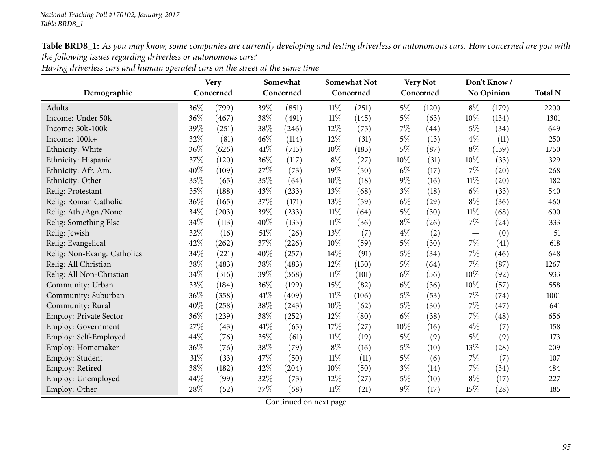Table BRD8\_1: As you may know, some companies are currently developing and testing driverless or autonomous cars. How concerned are you with *the following issues regarding driverless or autonomous cars?*

| Having driverless cars and human operated cars on the street at the same time |  |
|-------------------------------------------------------------------------------|--|
|-------------------------------------------------------------------------------|--|

|                               | <b>Very</b> |           | Somewhat |           |        | <b>Somewhat Not</b> |       | <b>Very Not</b> |        | Don't Know/ |                |  |
|-------------------------------|-------------|-----------|----------|-----------|--------|---------------------|-------|-----------------|--------|-------------|----------------|--|
| Demographic                   |             | Concerned |          | Concerned |        | Concerned           |       | Concerned       |        | No Opinion  | <b>Total N</b> |  |
| Adults                        | $36\%$      | (799)     | 39%      | (851)     | $11\%$ | (251)               | $5\%$ | (120)           | $8\%$  | (179)       | 2200           |  |
| Income: Under 50k             | 36%         | (467)     | 38%      | (491)     | 11%    | (145)               | $5\%$ | (63)            | 10%    | (134)       | 1301           |  |
| Income: 50k-100k              | 39%         | (251)     | 38%      | (246)     | 12%    | (75)                | $7\%$ | (44)            | $5\%$  | (34)        | 649            |  |
| Income: 100k+                 | 32%         | (81)      | 46%      | (114)     | 12%    | (31)                | $5\%$ | (13)            | $4\%$  | (11)        | 250            |  |
| Ethnicity: White              | 36%         | (626)     | 41\%     | (715)     | 10%    | (183)               | $5\%$ | (87)            | $8\%$  | (139)       | 1750           |  |
| Ethnicity: Hispanic           | 37%         | (120)     | 36%      | (117)     | $8\%$  | (27)                | 10%   | (31)            | 10%    | (33)        | 329            |  |
| Ethnicity: Afr. Am.           | 40%         | (109)     | 27%      | (73)      | 19%    | (50)                | $6\%$ | (17)            | 7%     | (20)        | 268            |  |
| Ethnicity: Other              | 35%         | (65)      | 35%      | (64)      | 10%    | (18)                | $9\%$ | (16)            | $11\%$ | (20)        | 182            |  |
| Relig: Protestant             | 35%         | (188)     | 43%      | (233)     | 13%    | (68)                | $3\%$ | (18)            | $6\%$  | (33)        | 540            |  |
| Relig: Roman Catholic         | 36%         | (165)     | 37%      | (171)     | 13%    | (59)                | $6\%$ | (29)            | $8\%$  | (36)        | 460            |  |
| Relig: Ath./Agn./None         | 34%         | (203)     | 39%      | (233)     | $11\%$ | (64)                | $5\%$ | (30)            | $11\%$ | (68)        | 600            |  |
| Relig: Something Else         | 34%         | (113)     | 40%      | (135)     | $11\%$ | (36)                | $8\%$ | (26)            | $7\%$  | (24)        | 333            |  |
| Relig: Jewish                 | 32%         | (16)      | 51%      | (26)      | 13%    | (7)                 | $4\%$ | (2)             |        | (0)         | 51             |  |
| Relig: Evangelical            | 42%         | (262)     | 37%      | (226)     | 10%    | (59)                | $5\%$ | (30)            | $7\%$  | (41)        | 618            |  |
| Relig: Non-Evang. Catholics   | 34%         | (221)     | 40%      | (257)     | 14%    | (91)                | $5\%$ | (34)            | $7\%$  | (46)        | 648            |  |
| Relig: All Christian          | 38%         | (483)     | 38%      | (483)     | 12%    | (150)               | $5\%$ | (64)            | 7%     | (87)        | 1267           |  |
| Relig: All Non-Christian      | 34%         | (316)     | 39%      | (368)     | $11\%$ | (101)               | $6\%$ | (56)            | 10%    | (92)        | 933            |  |
| Community: Urban              | 33%         | (184)     | 36%      | (199)     | 15%    | (82)                | $6\%$ | (36)            | 10%    | (57)        | 558            |  |
| Community: Suburban           | 36%         | (358)     | 41\%     | (409)     | $11\%$ | (106)               | $5\%$ | (53)            | $7\%$  | (74)        | 1001           |  |
| Community: Rural              | 40%         | (258)     | 38%      | (243)     | 10%    | (62)                | $5\%$ | (30)            | 7%     | (47)        | 641            |  |
| <b>Employ: Private Sector</b> | 36%         | (239)     | 38%      | (252)     | 12%    | (80)                | $6\%$ | (38)            | $7\%$  | (48)        | 656            |  |
| Employ: Government            | 27%         | (43)      | 41\%     | (65)      | 17%    | (27)                | 10%   | (16)            | $4\%$  | (7)         | 158            |  |
| Employ: Self-Employed         | 44%         | (76)      | 35%      | (61)      | $11\%$ | (19)                | $5\%$ | (9)             | $5\%$  | (9)         | 173            |  |
| Employ: Homemaker             | 36%         | (76)      | 38%      | (79)      | $8\%$  | (16)                | $5\%$ | (10)            | 13%    | (28)        | 209            |  |
| Employ: Student               | 31%         | (33)      | 47\%     | (50)      | 11%    | (11)                | $5\%$ | (6)             | $7\%$  | (7)         | 107            |  |
| Employ: Retired               | 38%         | (182)     | 42%      | (204)     | 10%    | (50)                | $3\%$ | (14)            | $7\%$  | (34)        | 484            |  |
| Employ: Unemployed            | 44\%        | (99)      | 32%      | (73)      | 12%    | (27)                | $5\%$ | (10)            | $8\%$  | (17)        | 227            |  |
| Employ: Other                 | 28%         | (52)      | 37%      | (68)      | 11%    | (21)                | $9\%$ | (17)            | 15%    | (28)        | 185            |  |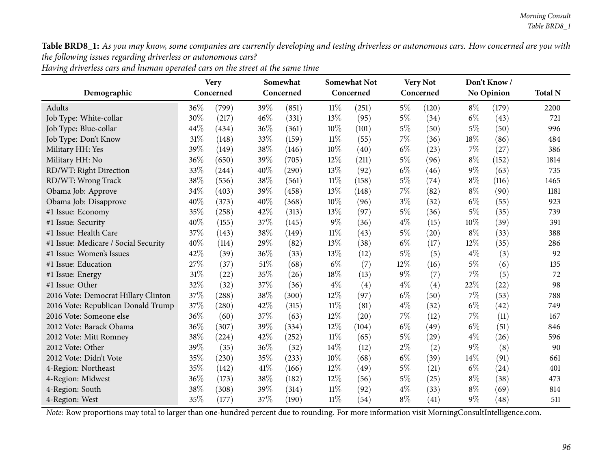Table BRD8\_1: As you may know, some companies are currently developing and testing driverless or autonomous cars. How concerned are you with *the following issues regarding driverless or autonomous cars?*

|                                      | <b>Very</b> |       |      | Somewhat<br>Concerned |        | <b>Somewhat Not</b> |       | <b>Very Not</b> | Don't Know/ | <b>Total N</b>    |      |
|--------------------------------------|-------------|-------|------|-----------------------|--------|---------------------|-------|-----------------|-------------|-------------------|------|
| Demographic                          | Concerned   |       |      |                       |        | Concerned           |       | Concerned       |             | <b>No Opinion</b> |      |
| Adults                               | 36%         | (799) | 39%  | (851)                 | 11%    | (251)               | $5\%$ | (120)           | $8\%$       | (179)             | 2200 |
| Job Type: White-collar               | 30%         | (217) | 46%  | (331)                 | 13%    | (95)                | $5\%$ | (34)            | $6\%$       | (43)              | 721  |
| Job Type: Blue-collar                | 44%         | (434) | 36%  | (361)                 | 10%    | (101)               | $5\%$ | (50)            | $5\%$       | (50)              | 996  |
| Job Type: Don't Know                 | 31%         | (148) | 33%  | (159)                 | $11\%$ | (55)                | 7%    | (36)            | 18%         | (86)              | 484  |
| Military HH: Yes                     | 39%         | (149) | 38%  | (146)                 | 10%    | (40)                | $6\%$ | (23)            | $7\%$       | (27)              | 386  |
| Military HH: No                      | 36%         | (650) | 39%  | (705)                 | $12\%$ | (211)               | $5\%$ | (96)            | $8\%$       | (152)             | 1814 |
| RD/WT: Right Direction               | 33%         | (244) | 40%  | (290)                 | 13\%   | (92)                | $6\%$ | (46)            | $9\%$       | (63)              | 735  |
| RD/WT: Wrong Track                   | 38%         | (556) | 38%  | (561)                 | 11%    | (158)               | $5\%$ | (74)            | $8\%$       | (116)             | 1465 |
| Obama Job: Approve                   | 34%         | (403) | 39%  | (458)                 | 13%    | (148)               | 7%    | (82)            | $8\%$       | (90)              | 1181 |
| Obama Job: Disapprove                | 40%         | (373) | 40%  | (368)                 | 10%    | (96)                | $3\%$ | (32)            | $6\%$       | (55)              | 923  |
| #1 Issue: Economy                    | 35%         | (258) | 42%  | (313)                 | 13%    | (97)                | $5\%$ | (36)            | $5\%$       | (35)              | 739  |
| #1 Issue: Security                   | 40%         | (155) | 37%  | (145)                 | $9\%$  | (36)                | $4\%$ | (15)            | 10%         | (39)              | 391  |
| #1 Issue: Health Care                | 37%         | (143) | 38%  | (149)                 | $11\%$ | (43)                | $5\%$ | (20)            | $8\%$       | (33)              | 388  |
| #1 Issue: Medicare / Social Security | 40%         | (114) | 29%  | (82)                  | 13%    | (38)                | $6\%$ | (17)            | $12\%$      | (35)              | 286  |
| #1 Issue: Women's Issues             | 42%         | (39)  | 36%  | (33)                  | 13%    | (12)                | $5\%$ | (5)             | $4\%$       | (3)               | 92   |
| #1 Issue: Education                  | 27%         | (37)  | 51%  | (68)                  | $6\%$  | (7)                 | 12%   | (16)            | $5\%$       | (6)               | 135  |
| #1 Issue: Energy                     | 31%         | (22)  | 35%  | (26)                  | 18%    | (13)                | $9\%$ | (7)             | $7\%$       | (5)               | 72   |
| #1 Issue: Other                      | 32%         | (32)  | 37%  | (36)                  | $4\%$  | (4)                 | $4\%$ | (4)             | 22%         | (22)              | 98   |
| 2016 Vote: Democrat Hillary Clinton  | 37%         | (288) | 38%  | (300)                 | $12\%$ | (97)                | $6\%$ | (50)            | $7\%$       | (53)              | 788  |
| 2016 Vote: Republican Donald Trump   | 37%         | (280) | 42%  | (315)                 | 11%    | (81)                | $4\%$ | (32)            | $6\%$       | (42)              | 749  |
| 2016 Vote: Someone else              | 36%         | (60)  | 37%  | (63)                  | 12%    | (20)                | 7%    | (12)            | $7\%$       | (11)              | 167  |
| 2012 Vote: Barack Obama              | 36%         | (307) | 39%  | (334)                 | $12\%$ | (104)               | $6\%$ | (49)            | $6\%$       | (51)              | 846  |
| 2012 Vote: Mitt Romney               | 38%         | (224) | 42%  | (252)                 | $11\%$ | (65)                | $5\%$ | (29)            | $4\%$       | (26)              | 596  |
| 2012 Vote: Other                     | 39%         | (35)  | 36%  | (32)                  | 14\%   | (12)                | $2\%$ | (2)             | $9\%$       | (8)               | 90   |
| 2012 Vote: Didn't Vote               | 35%         | (230) | 35%  | (233)                 | 10%    | (68)                | $6\%$ | (39)            | $14\%$      | (91)              | 661  |
| 4-Region: Northeast                  | 35%         | (142) | 41\% | (166)                 | $12\%$ | (49)                | $5\%$ | (21)            | $6\%$       | (24)              | 401  |
| 4-Region: Midwest                    | 36%         | (173) | 38%  | (182)                 | $12\%$ | (56)                | $5\%$ | (25)            | $8\%$       | (38)              | 473  |
| 4-Region: South                      | 38%         | (308) | 39%  | (314)                 | $11\%$ | (92)                | $4\%$ | (33)            | $8\%$       | (69)              | 814  |
| 4-Region: West                       | 35%         | (177) | 37%  | (190)                 | $11\%$ | (54)                | $8\%$ | (41)            | $9\%$       | (48)              | 511  |

Having driverless cars and human operated cars on the street at the same time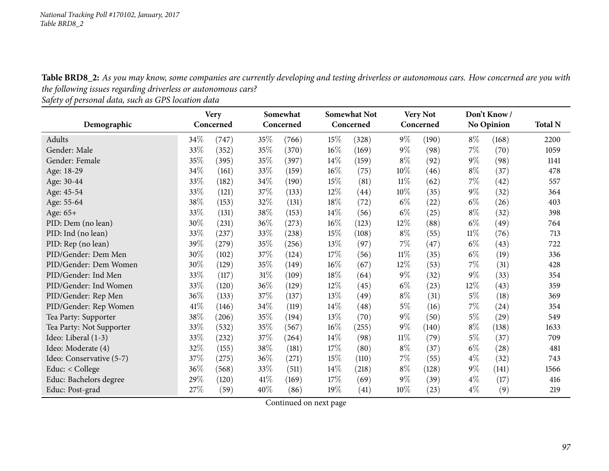Table BRD8\_2: As you may know, some companies are currently developing and testing driverless or autonomous cars. How concerned are you with *the following issues regarding driverless or autonomous cars?*

*Safety of persona<sup>l</sup> data, such as GPS location data*

|                          | <b>Very</b> |       | Somewhat<br>Concerned<br>Concerned |       |        |           | <b>Somewhat Not</b> |           | <b>Very Not</b> |                    | Don't Know/<br><b>No Opinion</b> |  |  |
|--------------------------|-------------|-------|------------------------------------|-------|--------|-----------|---------------------|-----------|-----------------|--------------------|----------------------------------|--|--|
| Demographic              |             |       |                                    |       |        | Concerned |                     | Concerned |                 |                    | <b>Total N</b>                   |  |  |
| Adults                   | 34\%        | (747) | 35%                                | (766) | 15%    | (328)     | $9\%$               | (190)     | $8\%$           | (168)              | 2200                             |  |  |
| Gender: Male             | 33%         | (352) | 35%                                | (370) | 16%    | (169)     | $9\%$               | (98)      | $7\%$           | (70)               | 1059                             |  |  |
| Gender: Female           | 35\%        | (395) | 35%                                | (397) | $14\%$ | (159)     | $8\%$               | (92)      | $9\%$           | (98)               | 1141                             |  |  |
| Age: 18-29               | 34\%        | (161) | 33\%                               | (159) | $16\%$ | (75)      | $10\%$              | (46)      | $8\%$           | (37)               | 478                              |  |  |
| Age: 30-44               | 33%         | (182) | 34%                                | (190) | 15%    | (81)      | $11\%$              | (62)      | $7\%$           | (42)               | 557                              |  |  |
| Age: 45-54               | 33\%        | (121) | 37\%                               | (133) | $12\%$ | (44)      | 10%                 | (35)      | $9\%$           | (32)               | 364                              |  |  |
| Age: 55-64               | 38\%        | (153) | 32\%                               | (131) | 18%    | (72)      | $6\%$               | (22)      | $6\%$           | (26)               | 403                              |  |  |
| Age: 65+                 | 33\%        | (131) | 38%                                | (153) | $14\%$ | (56)      | $6\%$               | (25)      | $8\%$           | (32)               | 398                              |  |  |
| PID: Dem (no lean)       | 30\%        | (231) | 36\%                               | (273) | $16\%$ | (123)     | 12\%                | (88)      | $6\%$           | (49)               | 764                              |  |  |
| PID: Ind (no lean)       | 33%         | (237) | 33\%                               | (238) | 15%    | (108)     | $8\%$               | (55)      | 11%             | (76)               | 713                              |  |  |
| PID: Rep (no lean)       | 39%         | (279) | 35%                                | (256) | 13\%   | (97)      | 7%                  | (47)      | $6\%$           | (43)               | 722                              |  |  |
| PID/Gender: Dem Men      | 30\%        | (102) | 37\%                               | (124) | 17%    | (56)      | $11\%$              | (35)      | $6\%$           | (19)               | 336                              |  |  |
| PID/Gender: Dem Women    | 30\%        | (129) | 35%                                | (149) | $16\%$ | (67)      | 12%                 | (53)      | $7\%$           | (31)               | 428                              |  |  |
| PID/Gender: Ind Men      | 33\%        | (117) | $31\%$                             | (109) | 18%    | (64)      | $9\%$               | (32)      | $9\%$           | (33)               | 354                              |  |  |
| PID/Gender: Ind Women    | 33%         | (120) | 36%                                | (129) | 12%    | (45)      | $6\%$               | (23)      | 12%             | (43)               | 359                              |  |  |
| PID/Gender: Rep Men      | 36%         | (133) | 37%                                | (137) | 13\%   | (49)      | $8\%$               | (31)      | $5\%$           | (18)               | 369                              |  |  |
| PID/Gender: Rep Women    | 41\%        | (146) | 34\%                               | (119) | 14\%   | (48)      | 5%                  | (16)      | $7\%$           | $^{(24)}$          | 354                              |  |  |
| Tea Party: Supporter     | 38%         | (206) | 35%                                | (194) | 13%    | (70)      | $9\%$               | (50)      | $5\%$           | $\left( 29\right)$ | 549                              |  |  |
| Tea Party: Not Supporter | 33\%        | (532) | 35\%                               | (567) | $16\%$ | (255)     | $9\%$               | (140)     | $8\%$           | (138)              | 1633                             |  |  |
| Ideo: Liberal (1-3)      | 33\%        | (232) | 37\%                               | (264) | 14\%   | (98)      | $11\%$              | (79)      | $5\%$           | (37)               | 709                              |  |  |
| Ideo: Moderate (4)       | 32%         | (155) | 38%                                | (181) | 17%    | (80)      | $8\%$               | (37)      | $6\%$           | $\left( 28\right)$ | 481                              |  |  |
| Ideo: Conservative (5-7) | 37\%        | (275) | 36\%                               | (271) | 15%    | (110)     | 7%                  | (55)      | $4\%$           | (32)               | 743                              |  |  |
| Educ: $<$ College        | 36%         | (568) | 33\%                               | (511) | 14\%   | (218)     | $8\%$               | (128)     | $9\%$           | (141)              | 1566                             |  |  |
| Educ: Bachelors degree   | 29%         | (120) | 41\%                               | (169) | 17%    | (69)      | $9\%$               | (39)      | $4\%$           | (17)               | 416                              |  |  |
| Educ: Post-grad          | 27%         | (59)  | 40%                                | (86)  | 19%    | (41)      | 10%                 | (23)      | $4\%$           | (9)                | 219                              |  |  |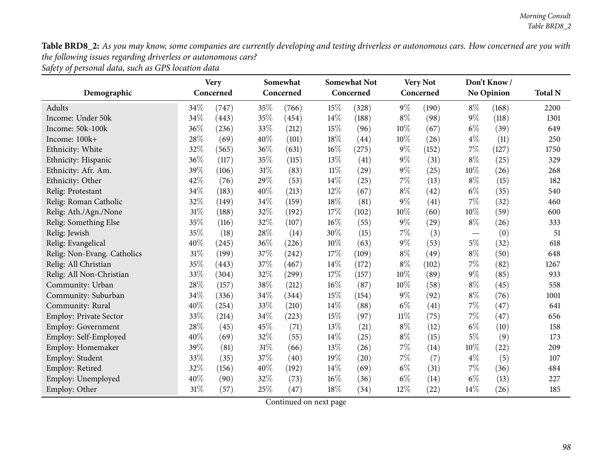Table BRD8\_2: As you may know, some companies are currently developing and testing driverless or autonomous cars. How concerned are you with *the following issues regarding driverless or autonomous cars?*

*Safety of persona<sup>l</sup> data, such as GPS location data*

|                               | <b>Very</b> |           | Somewhat |           |        | <b>Somewhat Not</b> |        | <b>Very Not</b> |       | Don't Know/       |                |  |
|-------------------------------|-------------|-----------|----------|-----------|--------|---------------------|--------|-----------------|-------|-------------------|----------------|--|
| Demographic                   |             | Concerned |          | Concerned |        | Concerned           |        | Concerned       |       | <b>No Opinion</b> | <b>Total N</b> |  |
| Adults                        | 34%         | (747)     | 35%      | (766)     | $15\%$ | (328)               | $9\%$  | (190)           | $8\%$ | (168)             | 2200           |  |
| Income: Under 50k             | 34%         | (443)     | 35%      | (454)     | 14\%   | (188)               | $8\%$  | (98)            | $9\%$ | (118)             | 1301           |  |
| Income: 50k-100k              | 36%         | (236)     | 33%      | (212)     | 15%    | (96)                | 10%    | (67)            | $6\%$ | (39)              | 649            |  |
| Income: 100k+                 | 28%         | (69)      | 40%      | (101)     | 18%    | (44)                | 10%    | (26)            | $4\%$ | (11)              | 250            |  |
| Ethnicity: White              | 32%         | (565)     | 36%      | (631)     | 16%    | (275)               | $9\%$  | (152)           | 7%    | (127)             | 1750           |  |
| Ethnicity: Hispanic           | 36%         | (117)     | 35%      | (115)     | 13%    | (41)                | $9\%$  | (31)            | $8\%$ | (25)              | 329            |  |
| Ethnicity: Afr. Am.           | 39%         | (106)     | 31%      | (83)      | $11\%$ | (29)                | $9\%$  | (25)            | 10%   | (26)              | 268            |  |
| Ethnicity: Other              | 42%         | (76)      | 29%      | (53)      | 14\%   | (25)                | $7\%$  | (13)            | $8\%$ | (15)              | 182            |  |
| Relig: Protestant             | 34%         | (183)     | 40%      | (213)     | $12\%$ | (67)                | $8\%$  | (42)            | $6\%$ | (35)              | 540            |  |
| Relig: Roman Catholic         | 32%         | (149)     | 34%      | (159)     | 18%    | (81)                | $9\%$  | (41)            | $7\%$ | (32)              | 460            |  |
| Relig: Ath./Agn./None         | 31%         | (188)     | 32%      | (192)     | 17%    | (102)               | 10%    | (60)            | 10%   | (59)              | 600            |  |
| Relig: Something Else         | 35%         | (116)     | 32%      | (107)     | 16%    | (55)                | $9\%$  | (29)            | $8\%$ | (26)              | 333            |  |
| Relig: Jewish                 | 35%         | (18)      | 28%      | (14)      | 30%    | (15)                | $7\%$  | (3)             |       | (0)               | 51             |  |
| Relig: Evangelical            | 40%         | (245)     | 36%      | (226)     | 10%    | (63)                | $9\%$  | (53)            | $5\%$ | (32)              | 618            |  |
| Relig: Non-Evang. Catholics   | 31%         | (199)     | 37%      | (242)     | 17%    | (109)               | $8\%$  | (49)            | $8\%$ | (50)              | 648            |  |
| Relig: All Christian          | 35%         | (443)     | 37%      | (467)     | 14\%   | (172)               | $8\%$  | (102)           | $7\%$ | (82)              | 1267           |  |
| Relig: All Non-Christian      | 33%         | (304)     | 32%      | (299)     | 17%    | (157)               | $10\%$ | (89)            | $9\%$ | (85)              | 933            |  |
| Community: Urban              | 28%         | (157)     | 38%      | (212)     | 16%    | (87)                | $10\%$ | (58)            | $8\%$ | (45)              | 558            |  |
| Community: Suburban           | 34%         | (336)     | 34%      | (344)     | 15%    | (154)               | $9\%$  | (92)            | $8\%$ | (76)              | 1001           |  |
| Community: Rural              | 40%         | (254)     | 33%      | (210)     | 14%    | (88)                | $6\%$  | (41)            | 7%    | (47)              | 641            |  |
| <b>Employ: Private Sector</b> | 33%         | (214)     | 34%      | (223)     | 15%    | (97)                | $11\%$ | (75)            | $7\%$ | (47)              | 656            |  |
| <b>Employ: Government</b>     | 28%         | (45)      | 45%      | (71)      | 13%    | (21)                | $8\%$  | (12)            | $6\%$ | (10)              | 158            |  |
| Employ: Self-Employed         | 40%         | (69)      | 32%      | (55)      | 14\%   | (25)                | $8\%$  | (15)            | $5\%$ | (9)               | 173            |  |
| Employ: Homemaker             | 39%         | (81)      | 31%      | (66)      | 13%    | (26)                | $7\%$  | (14)            | 10%   | (22)              | 209            |  |
| Employ: Student               | 33%         | (35)      | 37%      | (40)      | 19%    | (20)                | $7\%$  | (7)             | $4\%$ | (5)               | 107            |  |
| Employ: Retired               | 32%         | (156)     | 40%      | (192)     | 14%    | (69)                | $6\%$  | (31)            | $7\%$ | (36)              | 484            |  |
| Employ: Unemployed            | 40%         | (90)      | 32%      | (73)      | 16%    | (36)                | $6\%$  | (14)            | $6\%$ | (13)              | 227            |  |
| Employ: Other                 | 31%         | (57)      | 25%      | (47)      | 18%    | (34)                | 12%    | (22)            | 14%   | (26)              | 185            |  |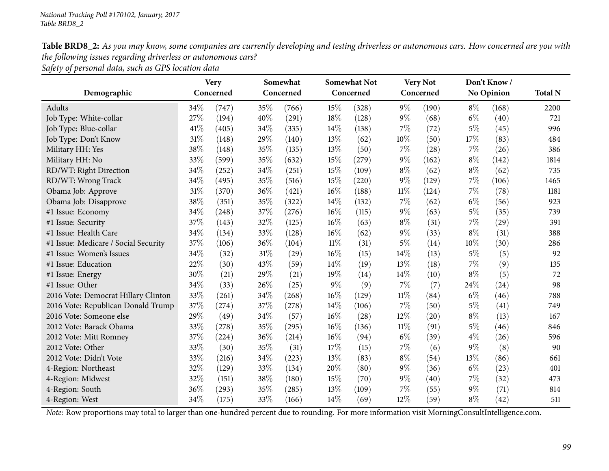| Table BRD8_2: As you may know, some companies are currently developing and testing driverless or autonomous cars. How concerned are you with |
|----------------------------------------------------------------------------------------------------------------------------------------------|
| the following issues regarding driverless or autonomous cars?                                                                                |
|                                                                                                                                              |

*Safety of persona<sup>l</sup> data, such as GPS location data*

|                                      | <b>Very</b> |       |           | Somewhat |       | <b>Somewhat Not</b> |        | <b>Very Not</b> |       | Don't Know/       |      |  |
|--------------------------------------|-------------|-------|-----------|----------|-------|---------------------|--------|-----------------|-------|-------------------|------|--|
| Demographic                          | Concerned   |       | Concerned |          |       | Concerned           |        | Concerned       |       | <b>No Opinion</b> |      |  |
| Adults                               | 34%         | (747) | 35%       | (766)    | 15%   | (328)               | $9\%$  | (190)           | $8\%$ | (168)             | 2200 |  |
| Job Type: White-collar               | 27%         | (194) | 40%       | (291)    | 18%   | (128)               | $9\%$  | (68)            | $6\%$ | (40)              | 721  |  |
| Job Type: Blue-collar                | 41\%        | (405) | 34%       | (335)    | 14\%  | (138)               | $7\%$  | (72)            | $5\%$ | (45)              | 996  |  |
| Job Type: Don't Know                 | 31%         | (148) | 29%       | (140)    | 13%   | (62)                | 10%    | (50)            | 17%   | (83)              | 484  |  |
| Military HH: Yes                     | 38%         | (148) | 35%       | (135)    | 13%   | (50)                | $7\%$  | (28)            | $7\%$ | (26)              | 386  |  |
| Military HH: No                      | 33%         | (599) | 35%       | (632)    | 15%   | (279)               | $9\%$  | (162)           | $8\%$ | (142)             | 1814 |  |
| RD/WT: Right Direction               | 34%         | (252) | 34%       | (251)    | 15%   | (109)               | $8\%$  | (62)            | $8\%$ | (62)              | 735  |  |
| RD/WT: Wrong Track                   | 34%         | (495) | 35%       | (516)    | 15%   | (220)               | $9\%$  | (129)           | $7\%$ | (106)             | 1465 |  |
| Obama Job: Approve                   | 31%         | (370) | 36%       | (421)    | 16%   | (188)               | $11\%$ | (124)           | $7\%$ | (78)              | 1181 |  |
| Obama Job: Disapprove                | 38%         | (351) | 35%       | (322)    | 14%   | (132)               | $7\%$  | (62)            | $6\%$ | (56)              | 923  |  |
| #1 Issue: Economy                    | 34%         | (248) | 37%       | (276)    | 16%   | (115)               | $9\%$  | (63)            | $5\%$ | (35)              | 739  |  |
| #1 Issue: Security                   | 37%         | (143) | 32%       | (125)    | 16%   | (63)                | $8\%$  | (31)            | $7\%$ | (29)              | 391  |  |
| #1 Issue: Health Care                | 34%         | (134) | 33%       | (128)    | 16%   | (62)                | $9\%$  | (33)            | $8\%$ | (31)              | 388  |  |
| #1 Issue: Medicare / Social Security | 37%         | (106) | 36%       | (104)    | 11%   | (31)                | $5\%$  | (14)            | 10%   | (30)              | 286  |  |
| #1 Issue: Women's Issues             | 34%         | (32)  | 31%       | (29)     | 16%   | (15)                | 14%    | (13)            | $5\%$ | (5)               | 92   |  |
| #1 Issue: Education                  | 22%         | (30)  | 43%       | (59)     | 14%   | (19)                | 13%    | (18)            | $7\%$ | (9)               | 135  |  |
| #1 Issue: Energy                     | 30%         | (21)  | 29%       | (21)     | 19%   | (14)                | 14%    | (10)            | $8\%$ | (5)               | 72   |  |
| #1 Issue: Other                      | 34%         | (33)  | 26%       | (25)     | $9\%$ | (9)                 | $7\%$  | (7)             | 24\%  | (24)              | 98   |  |
| 2016 Vote: Democrat Hillary Clinton  | 33%         | (261) | 34%       | (268)    | 16%   | (129)               | $11\%$ | (84)            | $6\%$ | (46)              | 788  |  |
| 2016 Vote: Republican Donald Trump   | 37%         | (274) | 37%       | (278)    | 14%   | (106)               | $7\%$  | (50)            | $5\%$ | (41)              | 749  |  |
| 2016 Vote: Someone else              | 29%         | (49)  | 34%       | (57)     | 16%   | (28)                | 12%    | (20)            | $8\%$ | (13)              | 167  |  |
| 2012 Vote: Barack Obama              | 33%         | (278) | 35%       | (295)    | 16%   | (136)               | $11\%$ | (91)            | $5\%$ | (46)              | 846  |  |
| 2012 Vote: Mitt Romney               | 37%         | (224) | 36%       | (214)    | 16%   | (94)                | $6\%$  | (39)            | $4\%$ | (26)              | 596  |  |
| 2012 Vote: Other                     | 33%         | (30)  | 35%       | (31)     | 17%   | (15)                | $7\%$  | (6)             | $9\%$ | (8)               | 90   |  |
| 2012 Vote: Didn't Vote               | 33%         | (216) | 34%       | (223)    | 13%   | (83)                | $8\%$  | (54)            | 13\%  | (86)              | 661  |  |
| 4-Region: Northeast                  | 32%         | (129) | 33%       | (134)    | 20%   | (80)                | $9\%$  | (36)            | $6\%$ | (23)              | 401  |  |
| 4-Region: Midwest                    | 32%         | (151) | 38%       | (180)    | 15%   | (70)                | $9\%$  | (40)            | 7%    | (32)              | 473  |  |
| 4-Region: South                      | 36%         | (293) | 35%       | (285)    | 13%   | (109)               | 7%     | (55)            | $9\%$ | (71)              | 814  |  |
| 4-Region: West                       | 34%         | (175) | 33%       | (166)    | 14%   | (69)                | 12%    | (59)            | $8\%$ | (42)              | 511  |  |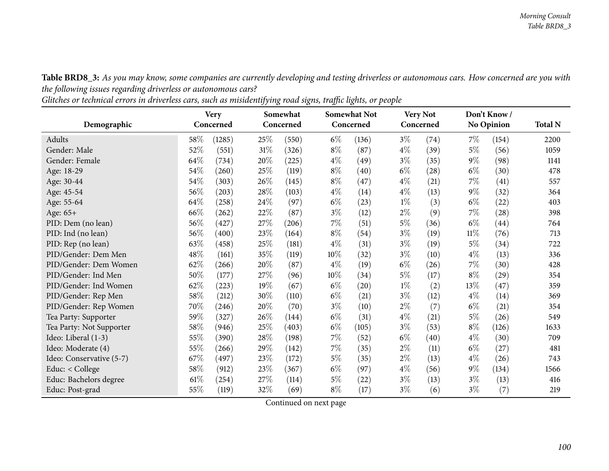Table BRD8\_3: As you may know, some companies are currently developing and testing driverless or autonomous cars. How concerned are you with *the following issues regarding driverless or autonomous cars?*

Glitches or technical errors in driverless cars, such as misidentifying road signs, traffic lights, or people

|                          | Somewhat<br><b>Very</b> |           |        |           | <b>Somewhat Not</b> |                    | Very Not |           | Don't Know/ |                   |                |
|--------------------------|-------------------------|-----------|--------|-----------|---------------------|--------------------|----------|-----------|-------------|-------------------|----------------|
| Demographic              |                         | Concerned |        | Concerned |                     | Concerned          |          | Concerned |             | <b>No Opinion</b> | <b>Total N</b> |
| Adults                   | $58\%$                  | (1285)    | 25%    | (550)     | $6\%$               | (136)              | $3\%$    | (74)      | $7\%$       | (154)             | 2200           |
| Gender: Male             | $52\%$                  | (551)     | $31\%$ | (326)     | $8\%$               | (87)               | $4\%$    | (39)      | $5\%$       | (56)              | 1059           |
| Gender: Female           | 64\%                    | (734)     | 20%    | (225)     | $4\%$               | (49)               | $3\%$    | (35)      | $9\%$       | (98)              | 1141           |
| Age: 18-29               | 54\%                    | (260)     | 25%    | (119)     | $8\%$               | (40)               | $6\%$    | (28)      | $6\%$       | (30)              | 478            |
| Age: 30-44               | 54%                     | (303)     | 26\%   | (145)     | $8\%$               | (47)               | $4\%$    | (21)      | $7\%$       | (41)              | 557            |
| Age: 45-54               | 56%                     | (203)     | 28\%   | (103)     | $4\%$               | (14)               | $4\%$    | (13)      | $9\%$       | (32)              | 364            |
| Age: 55-64               | 64\%                    | (258)     | 24\%   | (97)      | $6\%$               | (23)               | $1\%$    | (3)       | $6\%$       | (22)              | 403            |
| Age: 65+                 | 66%                     | (262)     | 22\%   | (87)      | $3\%$               | (12)               | $2\%$    | (9)       | $7\%$       | (28)              | 398            |
| PID: Dem (no lean)       | 56%                     | (427)     | 27\%   | (206)     | $7\%$               | (51)               | $5\%$    | (36)      | $6\%$       | (44)              | 764            |
| PID: Ind (no lean)       | 56%                     | (400)     | 23%    | (164)     | $8\%$               | (54)               | $3\%$    | (19)      | $11\%$      | (76)              | 713            |
| PID: Rep (no lean)       | 63%                     | (458)     | 25\%   | (181)     | $4\%$               | (31)               | $3\%$    | (19)      | $5\%$       | (34)              | 722            |
| PID/Gender: Dem Men      | 48\%                    | (161)     | 35%    | (119)     | 10%                 | (32)               | $3\%$    | (10)      | $4\%$       | (13)              | 336            |
| PID/Gender: Dem Women    | 62\%                    | (266)     | 20%    | (87)      | $4\%$               | (19)               | $6\%$    | (26)      | $7\%$       | (30)              | 428            |
| PID/Gender: Ind Men      | 50%                     | (177)     | 27\%   | (96)      | $10\%$              | (34)               | $5\%$    | (17)      | $8\%$       | (29)              | 354            |
| PID/Gender: Ind Women    | 62%                     | (223)     | 19%    | (67)      | $6\%$               | $\left( 20\right)$ | $1\%$    | (2)       | 13%         | (47)              | 359            |
| PID/Gender: Rep Men      | 58\%                    | (212)     | 30\%   | (110)     | $6\%$               | (21)               | $3\%$    | (12)      | $4\%$       | (14)              | 369            |
| PID/Gender: Rep Women    | 70%                     | (246)     | 20%    | (70)      | $3\%$               | (10)               | $2\%$    | (7)       | $6\%$       | (21)              | 354            |
| Tea Party: Supporter     | 59%                     | (327)     | 26\%   | (144)     | $6\%$               | (31)               | $4\%$    | (21)      | $5\%$       | (26)              | 549            |
| Tea Party: Not Supporter | 58\%                    | (946)     | 25%    | (403)     | $6\%$               | (105)              | $3\%$    | (53)      | $8\%$       | (126)             | 1633           |
| Ideo: Liberal (1-3)      | 55%                     | (390)     | 28\%   | (198)     | $7\%$               | (52)               | $6\%$    | (40)      | $4\%$       | (30)              | 709            |
| Ideo: Moderate (4)       | 55%                     | (266)     | 29%    | (142)     | $7\%$               | (35)               | $2\%$    | (11)      | $6\%$       | (27)              | 481            |
| Ideo: Conservative (5-7) | 67\%                    | (497)     | 23\%   | (172)     | $5\%$               | (35)               | $2\%$    | (13)      | $4\%$       | (26)              | 743            |
| Educ: < College          | 58\%                    | (912)     | 23\%   | (367)     | $6\%$               | (97)               | $4\%$    | (56)      | $9\%$       | (134)             | 1566           |
| Educ: Bachelors degree   | $61\%$                  | (254)     | 27\%   | (114)     | $5\%$               | $^{(22)}$          | $3\%$    | (13)      | $3\%$       | (13)              | 416            |
| Educ: Post-grad          | 55%                     | (119)     | 32%    | (69)      | $8\%$               | (17)               | $3\%$    | (6)       | $3\%$       | (7)               | 219            |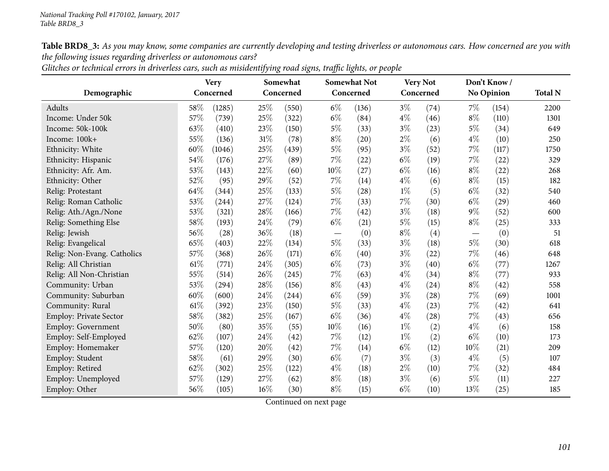Table BRD8\_3: As you may know, some companies are currently developing and testing driverless or autonomous cars. How concerned are you with *the following issues regarding driverless or autonomous cars?*

|                             |      | <b>Very</b> |        | Somewhat  |        | <b>Somewhat Not</b> |       | <b>Very Not</b> |       | Don't Know/ |                |
|-----------------------------|------|-------------|--------|-----------|--------|---------------------|-------|-----------------|-------|-------------|----------------|
| Demographic                 |      | Concerned   |        | Concerned |        | Concerned           |       | Concerned       |       | No Opinion  | <b>Total N</b> |
| Adults                      | 58%  | (1285)      | 25%    | (550)     | $6\%$  | (136)               | $3\%$ | (74)            | $7\%$ | (154)       | 2200           |
| Income: Under 50k           | 57%  | (739)       | 25%    | (322)     | $6\%$  | (84)                | $4\%$ | (46)            | $8\%$ | (110)       | 1301           |
| Income: 50k-100k            | 63%  | (410)       | 23%    | (150)     | $5\%$  | (33)                | $3\%$ | (23)            | $5\%$ | (34)        | 649            |
| Income: 100k+               | 55%  | (136)       | 31%    | (78)      | $8\%$  | (20)                | $2\%$ | (6)             | $4\%$ | (10)        | 250            |
| Ethnicity: White            | 60%  | (1046)      | 25%    | (439)     | $5\%$  | (95)                | $3\%$ | (52)            | $7\%$ | (117)       | 1750           |
| Ethnicity: Hispanic         | 54%  | (176)       | 27\%   | (89)      | $7\%$  | (22)                | $6\%$ | (19)            | $7\%$ | (22)        | 329            |
| Ethnicity: Afr. Am.         | 53%  | (143)       | 22%    | (60)      | $10\%$ | (27)                | $6\%$ | (16)            | $8\%$ | (22)        | 268            |
| Ethnicity: Other            | 52%  | (95)        | 29%    | (52)      | 7%     | (14)                | $4\%$ | (6)             | $8\%$ | (15)        | 182            |
| Relig: Protestant           | 64%  | (344)       | 25%    | (133)     | $5\%$  | (28)                | $1\%$ | (5)             | $6\%$ | (32)        | 540            |
| Relig: Roman Catholic       | 53%  | (244)       | 27%    | (124)     | $7\%$  | (33)                | 7%    | (30)            | $6\%$ | (29)        | 460            |
| Relig: Ath./Agn./None       | 53%  | (321)       | 28%    | (166)     | $7\%$  | (42)                | $3\%$ | (18)            | $9\%$ | (52)        | 600            |
| Relig: Something Else       | 58%  | (193)       | 24%    | (79)      | $6\%$  | (21)                | $5\%$ | (15)            | $8\%$ | (25)        | 333            |
| Relig: Jewish               | 56%  | (28)        | 36%    | (18)      |        | (0)                 | $8\%$ | (4)             |       | (0)         | 51             |
| Relig: Evangelical          | 65%  | (403)       | 22%    | (134)     | $5\%$  | (33)                | $3\%$ | (18)            | $5\%$ | (30)        | 618            |
| Relig: Non-Evang. Catholics | 57%  | (368)       | 26%    | (171)     | $6\%$  | (40)                | $3\%$ | (22)            | $7\%$ | (46)        | 648            |
| Relig: All Christian        | 61\% | (771)       | 24%    | (305)     | $6\%$  | (73)                | $3\%$ | (40)            | $6\%$ | (77)        | 1267           |
| Relig: All Non-Christian    | 55%  | (514)       | $26\%$ | (245)     | $7\%$  | (63)                | $4\%$ | (34)            | $8\%$ | (77)        | 933            |
| Community: Urban            | 53%  | (294)       | 28%    | (156)     | $8\%$  | (43)                | $4\%$ | (24)            | $8\%$ | (42)        | 558            |
| Community: Suburban         | 60%  | (600)       | 24\%   | (244)     | $6\%$  | (59)                | $3\%$ | (28)            | $7\%$ | (69)        | 1001           |
| Community: Rural            | 61%  | (392)       | 23%    | (150)     | $5\%$  | (33)                | $4\%$ | (23)            | $7\%$ | (42)        | 641            |
| Employ: Private Sector      | 58%  | (382)       | 25%    | (167)     | $6\%$  | (36)                | $4\%$ | (28)            | $7\%$ | (43)        | 656            |
| Employ: Government          | 50%  | (80)        | 35%    | (55)      | 10%    | (16)                | $1\%$ | (2)             | $4\%$ | (6)         | 158            |
| Employ: Self-Employed       | 62%  | (107)       | 24%    | (42)      | $7\%$  | (12)                | $1\%$ | (2)             | $6\%$ | (10)        | 173            |
| Employ: Homemaker           | 57%  | (120)       | 20%    | (42)      | 7%     | (14)                | $6\%$ | (12)            | 10%   | (21)        | 209            |
| Employ: Student             | 58%  | (61)        | 29%    | (30)      | $6\%$  | (7)                 | $3\%$ | (3)             | $4\%$ | (5)         | 107            |
| Employ: Retired             | 62%  | (302)       | 25%    | (122)     | $4\%$  | (18)                | $2\%$ | (10)            | $7\%$ | (32)        | 484            |
| Employ: Unemployed          | 57%  | (129)       | 27%    | (62)      | $8\%$  | (18)                | $3\%$ | (6)             | $5\%$ | (11)        | 227            |
| Employ: Other               | 56%  | (105)       | 16%    | (30)      | $8\%$  | (15)                | $6\%$ | (10)            | 13\%  | (25)        | 185            |

Glitches or technical errors in driverless cars, such as misidentifying road signs, traffic lights, or people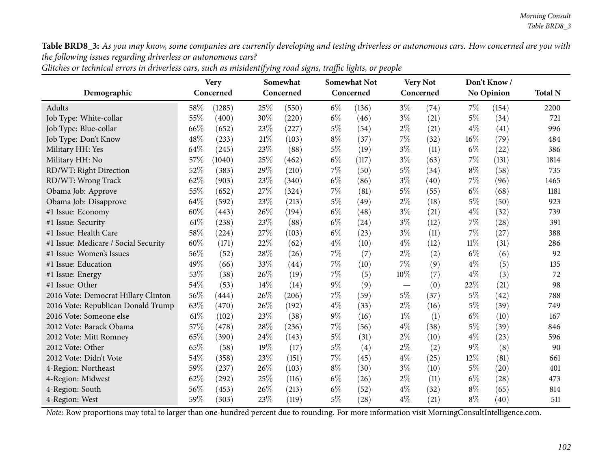Table BRD8\_3: As you may know, some companies are currently developing and testing driverless or autonomous cars. How concerned are you with *the following issues regarding driverless or autonomous cars?*

|                                      | <b>Very</b><br>Concerned |        |      | Somewhat<br>Concerned |       | <b>Somewhat Not</b> |        | <b>Very Not</b> |        | Don't Know/<br><b>No Opinion</b> |                |  |
|--------------------------------------|--------------------------|--------|------|-----------------------|-------|---------------------|--------|-----------------|--------|----------------------------------|----------------|--|
| Demographic                          |                          |        |      |                       |       | Concerned           |        | Concerned       |        |                                  | <b>Total N</b> |  |
| Adults                               | $58\%$                   | (1285) | 25%  | (550)                 | $6\%$ | (136)               | $3\%$  | (74)            | $7\%$  | (154)                            | 2200           |  |
| Job Type: White-collar               | 55%                      | (400)  | 30%  | (220)                 | $6\%$ | (46)                | $3\%$  | (21)            | $5\%$  | (34)                             | 721            |  |
| Job Type: Blue-collar                | 66%                      | (652)  | 23%  | (227)                 | $5\%$ | (54)                | $2\%$  | (21)            | $4\%$  | (41)                             | 996            |  |
| Job Type: Don't Know                 | 48%                      | (233)  | 21\% | (103)                 | $8\%$ | (37)                | $7\%$  | (32)            | $16\%$ | (79)                             | 484            |  |
| Military HH: Yes                     | 64%                      | (245)  | 23%  | (88)                  | $5\%$ | (19)                | $3\%$  | (11)            | $6\%$  | (22)                             | 386            |  |
| Military HH: No                      | 57%                      | (1040) | 25%  | (462)                 | $6\%$ | (117)               | $3\%$  | (63)            | $7\%$  | (131)                            | 1814           |  |
| RD/WT: Right Direction               | 52%                      | (383)  | 29%  | (210)                 | 7%    | (50)                | $5\%$  | (34)            | $8\%$  | (58)                             | 735            |  |
| RD/WT: Wrong Track                   | 62%                      | (903)  | 23%  | (340)                 | $6\%$ | (86)                | $3\%$  | (40)            | 7%     | (96)                             | 1465           |  |
| Obama Job: Approve                   | 55%                      | (652)  | 27%  | (324)                 | 7%    | (81)                | $5\%$  | (55)            | $6\%$  | (68)                             | 1181           |  |
| Obama Job: Disapprove                | 64\%                     | (592)  | 23%  | (213)                 | $5\%$ | (49)                | $2\%$  | (18)            | $5\%$  | (50)                             | 923            |  |
| #1 Issue: Economy                    | 60%                      | (443)  | 26%  | (194)                 | $6\%$ | (48)                | $3\%$  | (21)            | $4\%$  | (32)                             | 739            |  |
| #1 Issue: Security                   | 61\%                     | (238)  | 23%  | (88)                  | $6\%$ | (24)                | $3\%$  | (12)            | $7\%$  | (28)                             | 391            |  |
| #1 Issue: Health Care                | 58%                      | (224)  | 27%  | (103)                 | $6\%$ | (23)                | $3\%$  | (11)            | 7%     | (27)                             | 388            |  |
| #1 Issue: Medicare / Social Security | 60%                      | (171)  | 22%  | (62)                  | $4\%$ | (10)                | $4\%$  | (12)            | 11%    | (31)                             | 286            |  |
| #1 Issue: Women's Issues             | 56%                      | (52)   | 28%  | (26)                  | 7%    | (7)                 | $2\%$  | (2)             | $6\%$  | (6)                              | 92             |  |
| #1 Issue: Education                  | 49%                      | (66)   | 33%  | (44)                  | 7%    | (10)                | 7%     | (9)             | $4\%$  | (5)                              | 135            |  |
| #1 Issue: Energy                     | 53%                      | (38)   | 26%  | (19)                  | 7%    | (5)                 | $10\%$ | (7)             | $4\%$  | (3)                              | 72             |  |
| #1 Issue: Other                      | 54%                      | (53)   | 14%  | (14)                  | $9\%$ | (9)                 |        | (0)             | 22%    | (21)                             | 98             |  |
| 2016 Vote: Democrat Hillary Clinton  | 56%                      | (444)  | 26%  | (206)                 | 7%    | (59)                | $5\%$  | (37)            | $5\%$  | (42)                             | 788            |  |
| 2016 Vote: Republican Donald Trump   | 63%                      | (470)  | 26%  | (192)                 | $4\%$ | (33)                | $2\%$  | (16)            | 5%     | (39)                             | 749            |  |
| 2016 Vote: Someone else              | $61\%$                   | (102)  | 23%  | (38)                  | $9\%$ | (16)                | $1\%$  | (1)             | $6\%$  | (10)                             | 167            |  |
| 2012 Vote: Barack Obama              | 57%                      | (478)  | 28%  | (236)                 | 7%    | (56)                | $4\%$  | (38)            | $5\%$  | (39)                             | 846            |  |
| 2012 Vote: Mitt Romney               | 65%                      | (390)  | 24%  | (143)                 | $5\%$ | (31)                | $2\%$  | (10)            | $4\%$  | (23)                             | 596            |  |
| 2012 Vote: Other                     | 65%                      | (58)   | 19%  | (17)                  | 5%    | (4)                 | $2\%$  | (2)             | $9\%$  | (8)                              | 90             |  |
| 2012 Vote: Didn't Vote               | 54%                      | (358)  | 23%  | (151)                 | 7%    | (45)                | $4\%$  | (25)            | 12%    | (81)                             | 661            |  |
| 4-Region: Northeast                  | 59%                      | (237)  | 26%  | (103)                 | $8\%$ | (30)                | $3\%$  | (10)            | $5\%$  | (20)                             | 401            |  |
| 4-Region: Midwest                    | 62%                      | (292)  | 25%  | (116)                 | $6\%$ | (26)                | $2\%$  | (11)            | $6\%$  | (28)                             | 473            |  |
| 4-Region: South                      | 56%                      | (453)  | 26%  | (213)                 | $6\%$ | (52)                | $4\%$  | (32)            | $8\%$  | (65)                             | 814            |  |
| 4-Region: West                       | 59%                      | (303)  | 23%  | (119)                 | $5\%$ | (28)                | $4\%$  | (21)            | $8\%$  | (40)                             | 511            |  |

Glitches or technical errors in driverless cars, such as misidentifying road signs, traffic lights, or people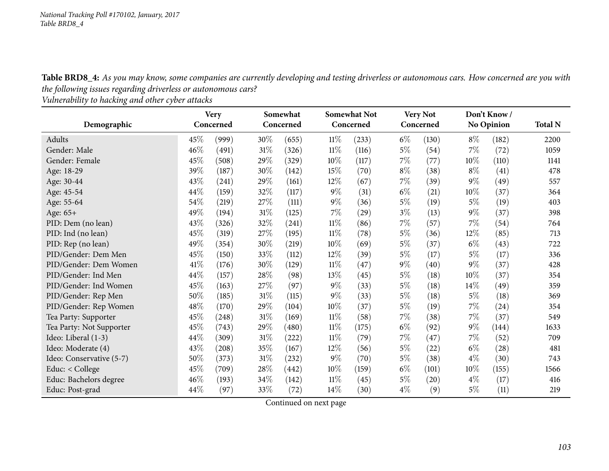Table BRD8\_4: As you may know, some companies are currently developing and testing driverless or autonomous cars. How concerned are you with *the following issues regarding driverless or autonomous cars?*

*Vulnerability to hacking and other cyber attacks*

|                          | <b>Very</b> |       | Concerned |       | Somewhat<br>Concerned |       |       | <b>Somewhat Not</b><br>Concerned |        | <b>Very Not</b><br>Concerned |                | Don't Know<br>No Opinion |  |  |
|--------------------------|-------------|-------|-----------|-------|-----------------------|-------|-------|----------------------------------|--------|------------------------------|----------------|--------------------------|--|--|
| Demographic              |             |       |           |       |                       |       |       |                                  |        |                              | <b>Total N</b> |                          |  |  |
| Adults                   | 45\%        | (999) | 30\%      | (655) | $11\%$                | (233) | $6\%$ | (130)                            | $8\%$  | (182)                        | 2200           |                          |  |  |
| Gender: Male             | 46%         | (491) | 31%       | (326) | $11\%$                | (116) | $5\%$ | (54)                             | $7\%$  | (72)                         | 1059           |                          |  |  |
| Gender: Female           | 45%         | (508) | 29%       | (329) | 10%                   | (117) | $7\%$ | (77)                             | $10\%$ | (110)                        | 1141           |                          |  |  |
| Age: 18-29               | 39%         | (187) | 30%       | (142) | 15%                   | (70)  | $8\%$ | (38)                             | $8\%$  | (41)                         | 478            |                          |  |  |
| Age: 30-44               | 43\%        | (241) | 29\%      | (161) | $12\%$                | (67)  | $7\%$ | (39)                             | $9\%$  | (49)                         | 557            |                          |  |  |
| Age: 45-54               | 44\%        | (159) | 32%       | (117) | $9\%$                 | (31)  | $6\%$ | (21)                             | 10%    | (37)                         | 364            |                          |  |  |
| Age: 55-64               | 54\%        | (219) | 27\%      | (111) | $9\%$                 | (36)  | $5\%$ | (19)                             | $5\%$  | (19)                         | 403            |                          |  |  |
| Age: 65+                 | 49%         | (194) | 31%       | (125) | $7\%$                 | (29)  | $3\%$ | (13)                             | $9\%$  | (37)                         | 398            |                          |  |  |
| PID: Dem (no lean)       | 43%         | (326) | 32%       | (241) | $11\%$                | (86)  | $7\%$ | (57)                             | $7\%$  | (54)                         | 764            |                          |  |  |
| PID: Ind (no lean)       | 45%         | (319) | 27%       | (195) | $11\%$                | (78)  | $5\%$ | (36)                             | $12\%$ | (85)                         | 713            |                          |  |  |
| PID: Rep (no lean)       | 49%         | (354) | 30%       | (219) | 10%                   | (69)  | $5\%$ | (37)                             | $6\%$  | (43)                         | 722            |                          |  |  |
| PID/Gender: Dem Men      | 45%         | (150) | 33%       | (112) | $12\%$                | (39)  | $5\%$ | (17)                             | $5\%$  | (17)                         | 336            |                          |  |  |
| PID/Gender: Dem Women    | 41\%        | (176) | 30%       | (129) | $11\%$                | (47)  | $9\%$ | (40)                             | $9\%$  | (37)                         | 428            |                          |  |  |
| PID/Gender: Ind Men      | 44\%        | (157) | 28%       | (98)  | 13%                   | (45)  | $5\%$ | (18)                             | 10%    | (37)                         | 354            |                          |  |  |
| PID/Gender: Ind Women    | 45%         | (163) | 27\%      | (97)  | $9\%$                 | (33)  | $5\%$ | (18)                             | $14\%$ | (49)                         | 359            |                          |  |  |
| PID/Gender: Rep Men      | $50\%$      | (185) | 31%       | (115) | $9\%$                 | (33)  | $5\%$ | (18)                             | $5\%$  | (18)                         | 369            |                          |  |  |
| PID/Gender: Rep Women    | 48\%        | (170) | 29%       | (104) | $10\%$                | (37)  | $5\%$ | (19)                             | $7\%$  | $^{(24)}$                    | 354            |                          |  |  |
| Tea Party: Supporter     | 45%         | (248) | 31%       | (169) | $11\%$                | (58)  | $7\%$ | (38)                             | $7\%$  | (37)                         | 549            |                          |  |  |
| Tea Party: Not Supporter | 45%         | (743) | 29%       | (480) | $11\%$                | (175) | $6\%$ | (92)                             | $9\%$  | (144)                        | 1633           |                          |  |  |
| Ideo: Liberal (1-3)      | 44%         | (309) | 31%       | (222) | $11\%$                | (79)  | $7\%$ | (47)                             | $7\%$  | (52)                         | 709            |                          |  |  |
| Ideo: Moderate (4)       | 43%         | (208) | 35%       | (167) | $12\%$                | (56)  | $5\%$ | (22)                             | $6\%$  | $\left( 28\right)$           | 481            |                          |  |  |
| Ideo: Conservative (5-7) | 50%         | (373) | 31%       | (232) | $9\%$                 | (70)  | $5\%$ | (38)                             | $4\%$  | (30)                         | 743            |                          |  |  |
| Educ: $<$ College        | 45%         | (709) | 28\%      | (442) | $10\%$                | (159) | $6\%$ | (101)                            | $10\%$ | (155)                        | 1566           |                          |  |  |
| Educ: Bachelors degree   | 46%         | (193) | 34%       | (142) | $11\%$                | (45)  | $5\%$ | (20)                             | $4\%$  | (17)                         | 416            |                          |  |  |
| Educ: Post-grad          | 44\%        | (97)  | 33%       | (72)  | 14\%                  | (30)  | $4\%$ | (9)                              | $5\%$  | (11)                         | 219            |                          |  |  |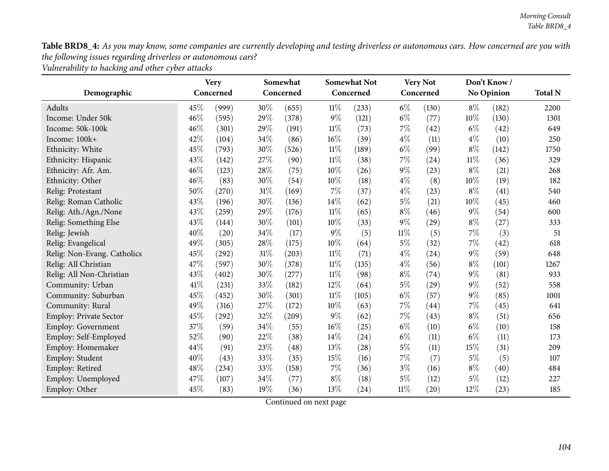Table BRD8\_4: As you may know, some companies are currently developing and testing driverless or autonomous cars. How concerned are you with *the following issues regarding driverless or autonomous cars?*

*Vulnerability to hacking and other cyber attacks*

|                               |      | <b>Very</b> |     | Somewhat  |        | <b>Somewhat Not</b> |        | <b>Very Not</b> |        | Don't Know/       |                |
|-------------------------------|------|-------------|-----|-----------|--------|---------------------|--------|-----------------|--------|-------------------|----------------|
| Demographic                   |      | Concerned   |     | Concerned |        | Concerned           |        | Concerned       |        | <b>No Opinion</b> | <b>Total N</b> |
| <b>Adults</b>                 | 45%  | (999)       | 30% | (655)     | 11%    | (233)               | $6\%$  | (130)           | $8\%$  | (182)             | 2200           |
| Income: Under 50k             | 46%  | (595)       | 29% | (378)     | 9%     | (121)               | $6\%$  | (77)            | $10\%$ | (130)             | 1301           |
| Income: 50k-100k              | 46%  | (301)       | 29% | (191)     | $11\%$ | (73)                | $7\%$  | (42)            | $6\%$  | (42)              | 649            |
| Income: 100k+                 | 42%  | (104)       | 34% | (86)      | 16%    | (39)                | $4\%$  | (11)            | $4\%$  | (10)              | 250            |
| Ethnicity: White              | 45%  | (793)       | 30% | (526)     | $11\%$ | (189)               | $6\%$  | (99)            | $8\%$  | (142)             | 1750           |
| Ethnicity: Hispanic           | 43%  | (142)       | 27% | (90)      | $11\%$ | (38)                | 7%     | (24)            | $11\%$ | (36)              | 329            |
| Ethnicity: Afr. Am.           | 46%  | (123)       | 28% | (75)      | 10%    | (26)                | $9\%$  | (23)            | $8\%$  | (21)              | 268            |
| Ethnicity: Other              | 46%  | (83)        | 30% | (54)      | 10%    | (18)                | $4\%$  | (8)             | $10\%$ | (19)              | 182            |
| Relig: Protestant             | 50%  | (270)       | 31% | (169)     | $7\%$  | (37)                | $4\%$  | (23)            | $8\%$  | (41)              | 540            |
| Relig: Roman Catholic         | 43%  | (196)       | 30% | (136)     | 14\%   | (62)                | $5\%$  | (21)            | $10\%$ | (45)              | 460            |
| Relig: Ath./Agn./None         | 43%  | (259)       | 29% | (176)     | $11\%$ | (65)                | $8\%$  | (46)            | 9%     | (54)              | 600            |
| Relig: Something Else         | 43%  | (144)       | 30% | (101)     | 10%    | (33)                | $9\%$  | (29)            | $8\%$  | (27)              | 333            |
| Relig: Jewish                 | 40%  | (20)        | 34% | (17)      | 9%     | (5)                 | $11\%$ | (5)             | $7\%$  | (3)               | 51             |
| Relig: Evangelical            | 49%  | (305)       | 28% | (175)     | 10%    | (64)                | $5\%$  | (32)            | $7\%$  | (42)              | 618            |
| Relig: Non-Evang. Catholics   | 45%  | (292)       | 31% | (203)     | $11\%$ | (71)                | $4\%$  | (24)            | $9\%$  | (59)              | 648            |
| Relig: All Christian          | 47%  | (597)       | 30% | (378)     | $11\%$ | (135)               | $4\%$  | (56)            | $8\%$  | (101)             | 1267           |
| Relig: All Non-Christian      | 43%  | (402)       | 30% | (277)     | $11\%$ | (98)                | $8\%$  | (74)            | $9\%$  | (81)              | 933            |
| Community: Urban              | 41\% | (231)       | 33% | (182)     | $12\%$ | (64)                | $5\%$  | (29)            | $9\%$  | (52)              | 558            |
| Community: Suburban           | 45%  | (452)       | 30% | (301)     | $11\%$ | (105)               | $6\%$  | (57)            | $9\%$  | (85)              | 1001           |
| Community: Rural              | 49%  | (316)       | 27% | (172)     | 10%    | (63)                | 7%     | (44)            | $7\%$  | (45)              | 641            |
| <b>Employ: Private Sector</b> | 45%  | (292)       | 32% | (209)     | $9\%$  | (62)                | $7\%$  | (43)            | $8\%$  | (51)              | 656            |
| <b>Employ: Government</b>     | 37%  | (59)        | 34% | (55)      | 16%    | (25)                | $6\%$  | (10)            | $6\%$  | (10)              | 158            |
| Employ: Self-Employed         | 52%  | (90)        | 22% | (38)      | 14%    | (24)                | $6\%$  | (11)            | $6\%$  | (11)              | 173            |
| Employ: Homemaker             | 44%  | (91)        | 23% | (48)      | 13%    | (28)                | $5\%$  | (11)            | 15%    | (31)              | 209            |
| Employ: Student               | 40%  | (43)        | 33% | (35)      | 15%    | (16)                | 7%     | (7)             | $5\%$  | (5)               | 107            |
| Employ: Retired               | 48%  | (234)       | 33% | (158)     | 7%     | (36)                | $3\%$  | (16)            | $8\%$  | (40)              | 484            |
| Employ: Unemployed            | 47%  | (107)       | 34% | (77)      | $8\%$  | (18)                | $5\%$  | (12)            | $5\%$  | (12)              | 227            |
| Employ: Other                 | 45%  | (83)        | 19% | (36)      | 13%    | (24)                | $11\%$ | (20)            | 12%    | (23)              | 185            |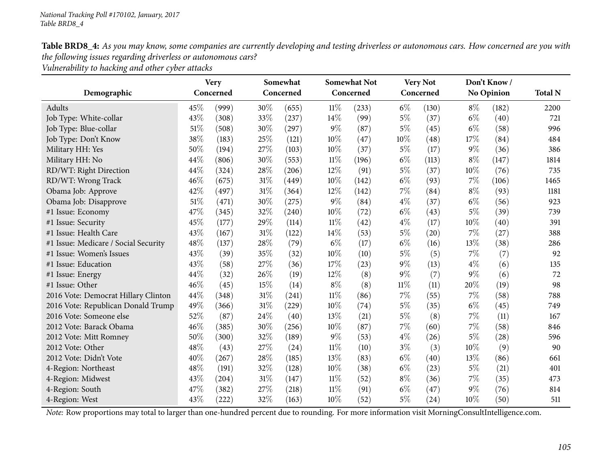Table BRD8\_4: As you may know, some companies are currently developing and testing driverless or autonomous cars. How concerned are you with *the following issues regarding driverless or autonomous cars?*

*Vulnerability to hacking and other cyber attacks*

|                                      |           | <b>Very</b> |      | <b>Somewhat Not</b><br>Somewhat |        | <b>Very Not</b> |        | Don't Know/ |       |                   |      |
|--------------------------------------|-----------|-------------|------|---------------------------------|--------|-----------------|--------|-------------|-------|-------------------|------|
| Demographic                          | Concerned |             |      | Concerned                       |        | Concerned       |        | Concerned   |       | <b>No Opinion</b> |      |
| Adults                               | 45%       | (999)       | 30%  | (655)                           | 11%    | (233)           | $6\%$  | (130)       | $8\%$ | (182)             | 2200 |
| Job Type: White-collar               | 43%       | (308)       | 33%  | (237)                           | 14%    | (99)            | $5\%$  | (37)        | $6\%$ | (40)              | 721  |
| Job Type: Blue-collar                | 51%       | (508)       | 30%  | (297)                           | $9\%$  | (87)            | 5%     | (45)        | $6\%$ | (58)              | 996  |
| Job Type: Don't Know                 | 38%       | (183)       | 25%  | (121)                           | 10%    | (47)            | 10%    | (48)        | 17%   | (84)              | 484  |
| Military HH: Yes                     | 50%       | (194)       | 27%  | (103)                           | 10%    | (37)            | $5\%$  | (17)        | $9\%$ | (36)              | 386  |
| Military HH: No                      | 44%       | (806)       | 30%  | (553)                           | $11\%$ | (196)           | $6\%$  | (113)       | $8\%$ | (147)             | 1814 |
| RD/WT: Right Direction               | 44%       | (324)       | 28%  | (206)                           | 12%    | (91)            | $5\%$  | (37)        | 10%   | (76)              | 735  |
| RD/WT: Wrong Track                   | 46%       | (675)       | 31%  | (449)                           | 10%    | (142)           | $6\%$  | (93)        | 7%    | (106)             | 1465 |
| Obama Job: Approve                   | 42%       | (497)       | 31%  | (364)                           | 12%    | (142)           | $7\%$  | (84)        | $8\%$ | (93)              | 1181 |
| Obama Job: Disapprove                | 51%       | (471)       | 30%  | (275)                           | $9\%$  | (84)            | $4\%$  | (37)        | $6\%$ | (56)              | 923  |
| #1 Issue: Economy                    | 47%       | (345)       | 32%  | (240)                           | 10%    | (72)            | $6\%$  | (43)        | $5\%$ | (39)              | 739  |
| #1 Issue: Security                   | 45%       | (177)       | 29%  | (114)                           | 11%    | (42)            | $4\%$  | (17)        | 10%   | (40)              | 391  |
| #1 Issue: Health Care                | 43%       | (167)       | 31%  | (122)                           | 14%    | (53)            | $5\%$  | (20)        | $7\%$ | (27)              | 388  |
| #1 Issue: Medicare / Social Security | 48%       | (137)       | 28%  | (79)                            | $6\%$  | (17)            | $6\%$  | (16)        | 13%   | (38)              | 286  |
| #1 Issue: Women's Issues             | 43%       | (39)        | 35%  | (32)                            | 10%    | (10)            | $5\%$  | (5)         | $7\%$ | (7)               | 92   |
| #1 Issue: Education                  | 43%       | (58)        | 27%  | (36)                            | 17%    | (23)            | $9\%$  | (13)        | $4\%$ | (6)               | 135  |
| #1 Issue: Energy                     | 44\%      | (32)        | 26%  | (19)                            | 12%    | (8)             | $9\%$  | (7)         | $9\%$ | (6)               | 72   |
| #1 Issue: Other                      | 46%       | (45)        | 15%  | (14)                            | $8\%$  | (8)             | $11\%$ | (11)        | 20%   | (19)              | 98   |
| 2016 Vote: Democrat Hillary Clinton  | 44%       | (348)       | 31\% | (241)                           | 11%    | (86)            | $7\%$  | (55)        | 7%    | (58)              | 788  |
| 2016 Vote: Republican Donald Trump   | 49%       | (366)       | 31%  | (229)                           | 10%    | (74)            | $5\%$  | (35)        | $6\%$ | (45)              | 749  |
| 2016 Vote: Someone else              | 52%       | (87)        | 24%  | (40)                            | 13%    | (21)            | $5\%$  | (8)         | $7\%$ | (11)              | 167  |
| 2012 Vote: Barack Obama              | 46%       | (385)       | 30%  | (256)                           | 10%    | (87)            | $7\%$  | (60)        | 7%    | (58)              | 846  |
| 2012 Vote: Mitt Romney               | 50%       | (300)       | 32%  | (189)                           | $9\%$  | (53)            | $4\%$  | (26)        | $5\%$ | (28)              | 596  |
| 2012 Vote: Other                     | 48\%      | (43)        | 27%  | (24)                            | 11%    | (10)            | $3\%$  | (3)         | 10%   | (9)               | 90   |
| 2012 Vote: Didn't Vote               | 40%       | (267)       | 28%  | (185)                           | 13%    | (83)            | $6\%$  | (40)        | 13%   | (86)              | 661  |
| 4-Region: Northeast                  | 48%       | (191)       | 32%  | (128)                           | 10%    | (38)            | $6\%$  | (23)        | $5\%$ | (21)              | 401  |
| 4-Region: Midwest                    | 43%       | (204)       | 31\% | (147)                           | $11\%$ | (52)            | $8\%$  | (36)        | 7%    | (35)              | 473  |
| 4-Region: South                      | 47%       | (382)       | 27%  | (218)                           | 11%    | (91)            | $6\%$  | (47)        | $9\%$ | (76)              | 814  |
| 4-Region: West                       | 43%       | (222)       | 32%  | (163)                           | 10%    | (52)            | $5\%$  | (24)        | 10%   | (50)              | 511  |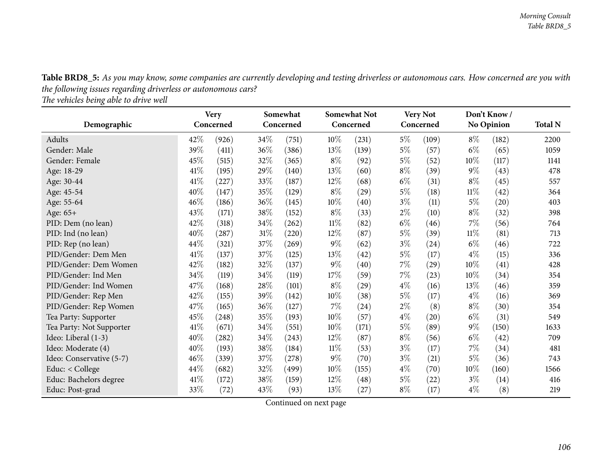Table BRD8\_5: As you may know, some companies are currently developing and testing driverless or autonomous cars. How concerned are you with *the following issues regarding driverless or autonomous cars?*

*The vehicles being able to drive well*

| Demographic              |      | <b>Very</b><br>Concerned | Somewhat<br>Concerned |       |        | <b>Somewhat Not</b><br>Concerned | <b>Very Not</b><br>Concerned |       | Don't Know/<br><b>No Opinion</b> |                    | <b>Total N</b> |
|--------------------------|------|--------------------------|-----------------------|-------|--------|----------------------------------|------------------------------|-------|----------------------------------|--------------------|----------------|
| Adults                   | 42%  | (926)                    | $34\%$                | (751) | $10\%$ | (231)                            | $5\%$                        | (109) | $8\%$                            | (182)              | 2200           |
| Gender: Male             | 39\% | (411)                    | 36%                   | (386) | 13%    | (139)                            | $5\%$                        | (57)  | $6\%$                            | (65)               | 1059           |
| Gender: Female           | 45%  | (515)                    | 32\%                  | (365) | $8\%$  | (92)                             | $5\%$                        | (52)  | 10%                              | (117)              | 1141           |
| Age: 18-29               | 41\% | (195)                    | 29%                   | (140) | 13\%   | (60)                             | $8\%$                        | (39)  | $9\%$                            | (43)               | 478            |
| Age: 30-44               | 41\% | $^{'}227)$               | 33%                   | (187) | $12\%$ | (68)                             | $6\%$                        | (31)  | $8\%$                            | (45)               | 557            |
| Age: 45-54               | 40%  | (147)                    | 35%                   | (129) | $8\%$  | (29)                             | $5\%$                        | (18)  | $11\%$                           | (42)               | 364            |
| Age: 55-64               | 46%  | (186)                    | 36\%                  | (145) | 10%    | (40)                             | $3\%$                        | (11)  | 5%                               | $\left( 20\right)$ | 403            |
| Age: 65+                 | 43%  | (171)                    | 38\%                  | (152) | $8\%$  | (33)                             | $2\%$                        | (10)  | $8\%$                            | (32)               | 398            |
| PID: Dem (no lean)       | 42%  | (318)                    | 34\%                  | (262) | $11\%$ | (82)                             | $6\%$                        | (46)  | 7%                               | (56)               | 764            |
| PID: Ind (no lean)       | 40%  | (287)                    | $31\%$                | (220) | $12\%$ | (87)                             | $5\%$                        | (39)  | $11\%$                           | (81)               | 713            |
| PID: Rep (no lean)       | 44\% | (321)                    | 37%                   | (269) | $9\%$  | (62)                             | $3\%$                        | (24)  | $6\%$                            | (46)               | 722            |
| PID/Gender: Dem Men      | 41\% | (137)                    | 37%                   | (125) | 13%    | (42)                             | $5\%$                        | (17)  | $4\%$                            | (15)               | 336            |
| PID/Gender: Dem Women    | 42%  | (182)                    | 32%                   | (137) | $9\%$  | (40)                             | $7\%$                        | (29)  | 10%                              | (41)               | 428            |
| PID/Gender: Ind Men      | 34%  | (119)                    | 34\%                  | (119) | 17\%   | (59)                             | $7\%$                        | (23)  | 10%                              | $^{(34)}$          | 354            |
| PID/Gender: Ind Women    | 47%  | (168)                    | $28\%$                | (101) | $8\%$  | (29)                             | $4\%$                        | (16)  | 13%                              | (46)               | 359            |
| PID/Gender: Rep Men      | 42%  | (155)                    | 39%                   | (142) | 10%    | (38)                             | $5\%$                        | (17)  | $4\%$                            | (16)               | 369            |
| PID/Gender: Rep Women    | 47\% | (165)                    | 36\%                  | (127) | $7\%$  | (24)                             | $2\%$                        | (8)   | $8\%$                            | (30)               | 354            |
| Tea Party: Supporter     | 45%  | (248)                    | 35%                   | (193) | $10\%$ | (57)                             | $4\%$                        | (20)  | $6\%$                            | (31)               | 549            |
| Tea Party: Not Supporter | 41%  | (671)                    | 34\%                  | (551) | 10%    | (171)                            | $5\%$                        | (89)  | $9\%$                            | (150)              | 1633           |
| Ideo: Liberal (1-3)      | 40\% | (282)                    | 34\%                  | (243) | $12\%$ | (87)                             | $8\%$                        | (56)  | $6\%$                            | (42)               | 709            |
| Ideo: Moderate (4)       | 40%  | (193)                    | 38\%                  | (184) | $11\%$ | (53)                             | $3\%$                        | (17)  | $7\%$                            | (34)               | 481            |
| Ideo: Conservative (5-7) | 46\% | (339)                    | 37\%                  | (278) | $9\%$  | (70)                             | $3\%$                        | (21)  | $5\%$                            | (36)               | 743            |
| Educ: < College          | 44\% | (682)                    | 32%                   | (499) | $10\%$ | (155)                            | $4\%$                        | (70)  | $10\%$                           | (160)              | 1566           |
| Educ: Bachelors degree   | 41\% | (172)                    | 38\%                  | (159) | $12\%$ | $\left( 48\right)$               | $5\%$                        | (22)  | $3\%$                            | (14)               | 416            |
| Educ: Post-grad          | 33%  | (72)                     | 43\%                  | (93)  | 13\%   | (27)                             | $8\%$                        | (17)  | $4\%$                            | (8)                | 219            |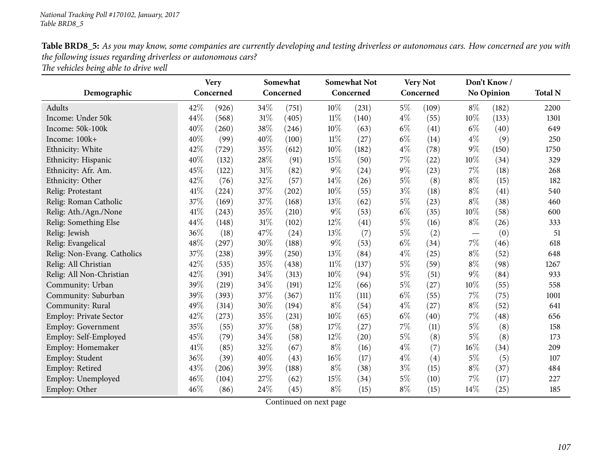Table BRD8\_5: As you may know, some companies are currently developing and testing driverless or autonomous cars. How concerned are you with *the following issues regarding driverless or autonomous cars? The vehicles being able to drive well*

|                               |      | <b>Very</b> | Somewhat |           |        | <b>Somewhat Not</b> | <b>Very Not</b> |           | Don't Know/ |                   | <b>Total N</b> |
|-------------------------------|------|-------------|----------|-----------|--------|---------------------|-----------------|-----------|-------------|-------------------|----------------|
| Demographic                   |      | Concerned   |          | Concerned |        | Concerned           |                 | Concerned |             | <b>No Opinion</b> |                |
| Adults                        | 42%  | (926)       | 34\%     | (751)     | 10%    | (231)               | $5\%$           | (109)     | $8\%$       | (182)             | 2200           |
| Income: Under 50k             | 44%  | (568)       | 31%      | (405)     | $11\%$ | (140)               | $4\%$           | (55)      | 10%         | (133)             | 1301           |
| Income: 50k-100k              | 40%  | (260)       | 38%      | (246)     | 10%    | (63)                | $6\%$           | (41)      | $6\%$       | (40)              | 649            |
| Income: 100k+                 | 40%  | (99)        | 40%      | (100)     | $11\%$ | (27)                | $6\%$           | (14)      | $4\%$       | (9)               | 250            |
| Ethnicity: White              | 42%  | (729)       | 35%      | (612)     | 10%    | (182)               | $4\%$           | (78)      | $9\%$       | (150)             | 1750           |
| Ethnicity: Hispanic           | 40%  | (132)       | 28%      | (91)      | 15%    | (50)                | 7%              | (22)      | 10%         | (34)              | 329            |
| Ethnicity: Afr. Am.           | 45%  | (122)       | 31%      | (82)      | 9%     | (24)                | $9\%$           | (23)      | 7%          | (18)              | 268            |
| Ethnicity: Other              | 42%  | (76)        | 32%      | (57)      | 14%    | (26)                | $5\%$           | (8)       | $8\%$       | (15)              | 182            |
| Relig: Protestant             | 41\% | (224)       | 37%      | (202)     | 10%    | (55)                | $3\%$           | (18)      | $8\%$       | (41)              | 540            |
| Relig: Roman Catholic         | 37%  | (169)       | 37%      | (168)     | 13%    | (62)                | $5\%$           | (23)      | $8\%$       | (38)              | 460            |
| Relig: Ath./Agn./None         | 41\% | (243)       | 35%      | (210)     | 9%     | (53)                | $6\%$           | (35)      | 10%         | (58)              | 600            |
| Relig: Something Else         | 44%  | (148)       | 31%      | (102)     | 12%    | (41)                | $5\%$           | (16)      | $8\%$       | (26)              | 333            |
| Relig: Jewish                 | 36%  | (18)        | 47%      | (24)      | 13%    | (7)                 | $5\%$           | (2)       |             | (0)               | 51             |
| Relig: Evangelical            | 48%  | (297)       | 30%      | (188)     | 9%     | (53)                | $6\%$           | (34)      | $7\%$       | (46)              | 618            |
| Relig: Non-Evang. Catholics   | 37%  | (238)       | 39%      | (250)     | 13%    | (84)                | $4\%$           | (25)      | $8\%$       | (52)              | 648            |
| Relig: All Christian          | 42%  | (535)       | 35%      | (438)     | $11\%$ | (137)               | $5\%$           | (59)      | $8\%$       | (98)              | 1267           |
| Relig: All Non-Christian      | 42%  | (391)       | 34%      | (313)     | 10%    | (94)                | $5\%$           | (51)      | $9\%$       | (84)              | 933            |
| Community: Urban              | 39%  | (219)       | 34%      | (191)     | 12%    | (66)                | $5\%$           | (27)      | 10%         | (55)              | 558            |
| Community: Suburban           | 39%  | (393)       | 37%      | (367)     | $11\%$ | (111)               | $6\%$           | (55)      | $7\%$       | (75)              | 1001           |
| Community: Rural              | 49%  | (314)       | 30%      | (194)     | $8\%$  | (54)                | $4\%$           | (27)      | $8\%$       | (52)              | 641            |
| <b>Employ: Private Sector</b> | 42%  | (273)       | 35%      | (231)     | 10%    | (65)                | $6\%$           | (40)      | $7\%$       | (48)              | 656            |
| Employ: Government            | 35%  | (55)        | 37%      | (58)      | 17%    | (27)                | 7%              | (11)      | $5\%$       | (8)               | 158            |
| Employ: Self-Employed         | 45%  | (79)        | 34%      | (58)      | 12%    | (20)                | $5\%$           | (8)       | $5\%$       | (8)               | 173            |
| Employ: Homemaker             | 41\% | (85)        | 32%      | (67)      | $8\%$  | (16)                | $4\%$           | (7)       | 16%         | (34)              | 209            |
| Employ: Student               | 36%  | (39)        | 40%      | (43)      | 16%    | (17)                | $4\%$           | (4)       | $5\%$       | (5)               | 107            |
| Employ: Retired               | 43%  | (206)       | 39%      | (188)     | $8\%$  | (38)                | $3\%$           | (15)      | $8\%$       | (37)              | 484            |
| Employ: Unemployed            | 46%  | (104)       | 27%      | (62)      | 15%    | (34)                | $5\%$           | (10)      | 7%          | (17)              | 227            |
| Employ: Other                 | 46%  | (86)        | 24%      | (45)      | $8\%$  | (15)                | $8\%$           | (15)      | 14%         | (25)              | 185            |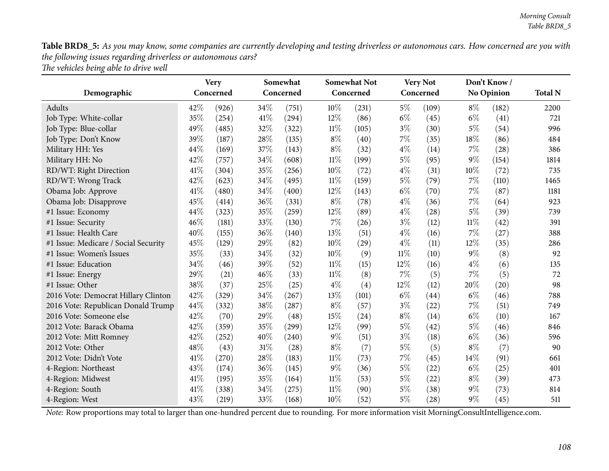Table BRD8\_5: As you may know, some companies are currently developing and testing driverless or autonomous cars. How concerned are you with *the following issues regarding driverless or autonomous cars? The vehicles being able to drive well*

|                                      |      | <b>Very</b> | Somewhat |           |        | <b>Somewhat Not</b> | <b>Very Not</b> |           | Don't Know/ |                   |      |
|--------------------------------------|------|-------------|----------|-----------|--------|---------------------|-----------------|-----------|-------------|-------------------|------|
| Demographic                          |      | Concerned   |          | Concerned |        | Concerned           |                 | Concerned |             | <b>No Opinion</b> |      |
| Adults                               | 42%  | (926)       | 34%      | (751)     | 10%    | (231)               | $5\%$           | (109)     | $8\%$       | (182)             | 2200 |
| Job Type: White-collar               | 35%  | (254)       | 41\%     | (294)     | 12%    | (86)                | $6\%$           | (45)      | $6\%$       | (41)              | 721  |
| Job Type: Blue-collar                | 49%  | (485)       | 32%      | (322)     | 11%    | (105)               | $3\%$           | (30)      | $5\%$       | (54)              | 996  |
| Job Type: Don't Know                 | 39%  | (187)       | 28%      | (135)     | $8\%$  | (40)                | 7%              | (35)      | 18%         | (86)              | 484  |
| Military HH: Yes                     | 44\% | (169)       | 37%      | (143)     | $8\%$  | (32)                | $4\%$           | (14)      | 7%          | (28)              | 386  |
| Military HH: No                      | 42%  | (757)       | 34%      | (608)     | $11\%$ | (199)               | $5\%$           | (95)      | 9%          | (154)             | 1814 |
| RD/WT: Right Direction               | 41\% | (304)       | 35%      | (256)     | 10%    | (72)                | $4\%$           | (31)      | 10%         | (72)              | 735  |
| RD/WT: Wrong Track                   | 42%  | (623)       | 34%      | (495)     | 11%    | (159)               | $5\%$           | (79)      | 7%          | (110)             | 1465 |
| Obama Job: Approve                   | 41%  | (480)       | 34%      | (400)     | 12%    | (143)               | $6\%$           | (70)      | 7%          | (87)              | 1181 |
| Obama Job: Disapprove                | 45%  | (414)       | 36%      | (331)     | $8\%$  | (78)                | $4\%$           | (36)      | 7%          | (64)              | 923  |
| #1 Issue: Economy                    | 44%  | (323)       | 35%      | (259)     | 12%    | (89)                | $4\%$           | (28)      | $5\%$       | (39)              | 739  |
| #1 Issue: Security                   | 46%  | (181)       | 33%      | (130)     | 7%     | (26)                | $3\%$           | (12)      | $11\%$      | (42)              | 391  |
| #1 Issue: Health Care                | 40%  | (155)       | 36%      | (140)     | 13%    | (51)                | $4\%$           | (16)      | 7%          | (27)              | 388  |
| #1 Issue: Medicare / Social Security | 45%  | (129)       | 29%      | (82)      | 10%    | (29)                | $4\%$           | (11)      | 12%         | (35)              | 286  |
| #1 Issue: Women's Issues             | 35%  | (33)        | 34%      | (32)      | 10%    | (9)                 | $11\%$          | (10)      | $9\%$       | (8)               | 92   |
| #1 Issue: Education                  | 34%  | (46)        | 39%      | (52)      | $11\%$ | (15)                | 12%             | (16)      | $4\%$       | (6)               | 135  |
| #1 Issue: Energy                     | 29%  | (21)        | 46%      | (33)      | $11\%$ | (8)                 | 7%              | (5)       | 7%          | (5)               | 72   |
| #1 Issue: Other                      | 38%  | (37)        | 25%      | (25)      | $4\%$  | (4)                 | 12%             | (12)      | 20%         | (20)              | 98   |
| 2016 Vote: Democrat Hillary Clinton  | 42%  | (329)       | 34%      | (267)     | 13%    | (101)               | $6\%$           | (44)      | $6\%$       | (46)              | 788  |
| 2016 Vote: Republican Donald Trump   | 44%  | (332)       | 38%      | (287)     | $8\%$  | (57)                | $3\%$           | (22)      | 7%          | (51)              | 749  |
| 2016 Vote: Someone else              | 42%  | (70)        | 29%      | (48)      | 15%    | (24)                | $8\%$           | (14)      | $6\%$       | (10)              | 167  |
| 2012 Vote: Barack Obama              | 42%  | (359)       | 35%      | (299)     | 12%    | (99)                | $5\%$           | (42)      | $5\%$       | (46)              | 846  |
| 2012 Vote: Mitt Romney               | 42%  | (252)       | 40%      | (240)     | $9\%$  | (51)                | $3\%$           | (18)      | $6\%$       | (36)              | 596  |
| 2012 Vote: Other                     | 48%  | (43)        | 31%      | (28)      | $8\%$  | (7)                 | $5\%$           | (5)       | $8\%$       | (7)               | 90   |
| 2012 Vote: Didn't Vote               | 41%  | (270)       | 28%      | (183)     | $11\%$ | (73)                | 7%              | (45)      | 14%         | (91)              | 661  |
| 4-Region: Northeast                  | 43%  | (174)       | 36%      | (145)     | $9\%$  | (36)                | $5\%$           | (22)      | $6\%$       | (25)              | 401  |
| 4-Region: Midwest                    | 41\% | (195)       | 35%      | (164)     | $11\%$ | (53)                | $5\%$           | (22)      | $8\%$       | (39)              | 473  |
| 4-Region: South                      | 41\% | (338)       | 34\%     | (275)     | 11%    | (90)                | $5\%$           | (38)      | $9\%$       | (73)              | 814  |
| 4-Region: West                       | 43%  | (219)       | 33%      | (168)     | 10%    | (52)                | $5\%$           | (28)      | 9%          | (45)              | 511  |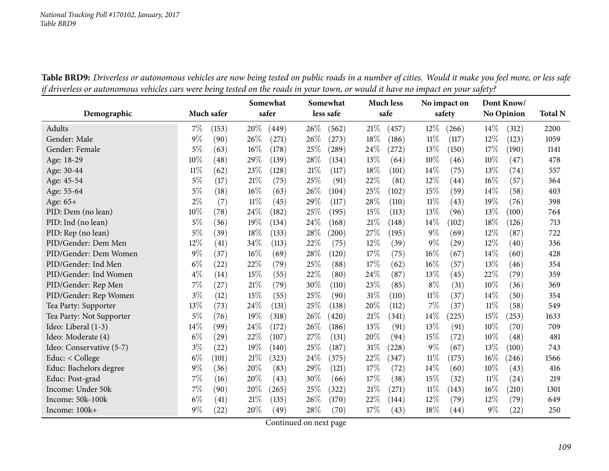|                          |        |            |        | Somewhat |        | Somewhat  |        | <b>Much less</b> |        | No impact on |        | Dont Know/ |                |
|--------------------------|--------|------------|--------|----------|--------|-----------|--------|------------------|--------|--------------|--------|------------|----------------|
| Demographic              |        | Much safer |        | safer    |        | less safe |        | safe             |        | safety       |        | No Opinion | <b>Total N</b> |
| Adults                   | 7%     | (153)      | 20%    | (449)    | 26\%   | (562)     | 21%    | (457)            | 12%    | (266)        | 14%    | (312)      | 2200           |
| Gender: Male             | 9%     | (90)       | 26%    | (271)    | 26%    | (273)     | 18%    | (186)            | 11%    | (117)        | 12%    | (123)      | 1059           |
| Gender: Female           | 5%     | (63)       | 16%    | (178)    | 25%    | (289)     | 24%    | (272)            | 13%    | (150)        | 17%    | (190)      | 1141           |
| Age: 18-29               | 10%    | (48)       | 29%    | (139)    | 28%    | (134)     | 13\%   | (64)             | 10%    | (46)         | 10%    | (47)       | 478            |
| Age: 30-44               | $11\%$ | (62)       | 23%    | (128)    | $21\%$ | (117)     | 18%    | (101)            | 14%    | (75)         | 13%    | (74)       | 557            |
| Age: 45-54               | 5%     | (17)       | 21%    | (75)     | 25%    | (91)      | 22%    | (81)             | 12%    | (44)         | 16%    | (57)       | 364            |
| Age: 55-64               | 5%     | (18)       | 16%    | (63)     | 26%    | (104)     | 25%    | (102)            | 15%    | (59)         | 14%    | (58)       | 403            |
| Age: 65+                 | 2%     | (7)        | $11\%$ | (45)     | 29%    | (117)     | 28%    | (110)            | 11%    | (43)         | 19%    | (76)       | 398            |
| PID: Dem (no lean)       | 10%    | (78)       | 24%    | (182)    | 25%    | (195)     | 15%    | (113)            | 13\%   | (96)         | 13%    | (100)      | 764            |
| PID: Ind (no lean)       | 5%     | (36)       | 19%    | (134)    | 24%    | (168)     | 21%    | (148)            | 14%    | (102)        | 18%    | (126)      | 713            |
| PID: Rep (no lean)       | 5%     | (39)       | 18%    | (133)    | 28%    | (200)     | 27%    | (195)            | $9\%$  | (69)         | 12%    | (87)       | 722            |
| PID/Gender: Dem Men      | 12%    | (41)       | 34%    | (113)    | 22%    | (75)      | $12\%$ | (39)             | $9\%$  | (29)         | 12%    | (40)       | 336            |
| PID/Gender: Dem Women    | 9%     | (37)       | 16%    | (69)     | 28%    | (120)     | 17%    | (75)             | 16%    | (67)         | 14\%   | (60)       | 428            |
| PID/Gender: Ind Men      | $6\%$  | (22)       | 22%    | (79)     | 25%    | (88)      | 17\%   | (62)             | $16\%$ | (57)         | 13%    | (46)       | 354            |
| PID/Gender: Ind Women    | $4\%$  | (14)       | 15%    | (55)     | 22%    | (80)      | 24\%   | (87)             | 13%    | (45)         | 22%    | (79)       | 359            |
| PID/Gender: Rep Men      | 7%     | (27)       | 21%    | (79)     | 30%    | (110)     | 23%    | (85)             | $8\%$  | (31)         | 10%    | (36)       | 369            |
| PID/Gender: Rep Women    | $3\%$  | (12)       | 15%    | (55)     | 25%    | (90)      | 31%    | (110)            | 11%    | (37)         | 14\%   | (50)       | 354            |
| Tea Party: Supporter     | 13%    | (73)       | 24%    | (131)    | 25%    | (138)     | 20%    | (112)            | 7%     | (37)         | 11%    | (58)       | 549            |
| Tea Party: Not Supporter | 5%     | (76)       | 19%    | (318)    | 26%    | (420)     | 21%    | (341)            | 14%    | (225)        | 15%    | (253)      | 1633           |
| Ideo: Liberal (1-3)      | 14%    | (99)       | 24%    | (172)    | 26%    | (186)     | 13\%   | (91)             | 13%    | (91)         | 10%    | (70)       | 709            |
| Ideo: Moderate (4)       | $6\%$  | (29)       | 22%    | (107)    | 27%    | (131)     | 20%    | (94)             | 15%    | (72)         | 10%    | (48)       | 481            |
| Ideo: Conservative (5-7) | $3\%$  | (22)       | 19%    | (140)    | 25%    | (187)     | 31%    | (228)            | $9\%$  | (67)         | 13%    | (100)      | 743            |
| Educ: $<$ College        | $6\%$  | (101)      | 21%    | (323)    | 24%    | (375)     | 22%    | (347)            | 11%    | (175)        | 16%    | (246)      | 1566           |
| Educ: Bachelors degree   | 9%     | (36)       | 20%    | (83)     | 29%    | (121)     | 17%    | (72)             | 14%    | (60)         | 10%    | (43)       | 416            |
| Educ: Post-grad          | 7%     | (16)       | 20%    | (43)     | 30%    | (66)      | 17%    | (38)             | 15%    | (32)         | $11\%$ | (24)       | 219            |
| Income: Under 50k        | 7%     | (90)       | 20%    | (265)    | 25%    | (322)     | 21%    | (271)            | 11%    | (143)        | 16%    | (210)      | 1301           |
| Income: 50k-100k         | $6\%$  | (41)       | 21%    | (135)    | 26%    | (170)     | 22%    | (144)            | 12%    | (79)         | 12%    | (79)       | 649            |
| Income: 100k+            | 9%     | (22)       | 20%    | (49)     | 28%    | (70)      | 17%    | (43)             | 18%    | (44)         | $9\%$  | (22)       | 250            |

Table BRD9: Driverless or autonomous vehicles are now being tested on public roads in a number of cities. Would it make you feel more, or less safe if driverless or autonomous vehicles cars were being tested on the roads in your town, or would it have no impact on your safety?  $\overline{a}$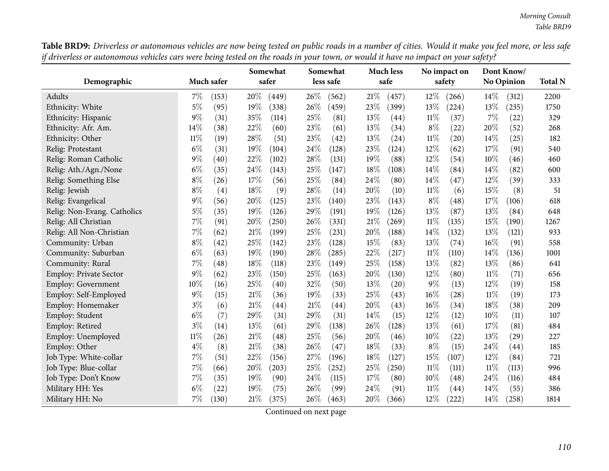*Morning Consult Table BRD9*

Table BRD9: Driverless or autonomous vehicles are now being tested on public roads in a number of cities. Would it make you feel more, or less safe if driverless or autonomous vehicles cars were being tested on the roads in your town, or would it have no impact on your safety?

| Demographic                   | Much safer     | Somewhat<br>safer | Somewhat<br>less safe | <b>Much less</b><br>safe | No impact on<br>safety       | Dont Know/<br><b>No Opinion</b> | <b>Total N</b> |
|-------------------------------|----------------|-------------------|-----------------------|--------------------------|------------------------------|---------------------------------|----------------|
|                               |                |                   |                       |                          |                              |                                 |                |
| Adults                        | $7\%$<br>(153) | 20%<br>(449)      | 26%<br>(562)          | 21%<br>(457)             | $12\%$<br>(266)              | $14\%$<br>(312)                 | 2200           |
| Ethnicity: White              | 5%<br>(95)     | 19%<br>(338)      | 26%<br>(459)          | 23%<br>(399)             | 13%<br>(224)                 | 13%<br>(235)                    | 1750           |
| Ethnicity: Hispanic           | 9%<br>(31)     | 35%<br>(114)      | 25%<br>(81)           | 13%<br>(44)              | $11\%$<br>(37)               | 7%<br>(22)                      | 329            |
| Ethnicity: Afr. Am.           | 14%<br>(38)    | 22%<br>(60)       | 23%<br>(61)           | 13\%<br>(34)             | $8\%$<br>(22)                | 20%<br>(52)                     | 268            |
| Ethnicity: Other              | 11%<br>(19)    | 28%<br>(51)       | 23%<br>(42)           | 13%<br>(24)              | $11\%$<br>$\left( 20\right)$ | 14%<br>(25)                     | 182            |
| Relig: Protestant             | $6\%$<br>(31)  | 19%<br>(104)      | 24\%<br>(128)         | 23%<br>(124)             | 12%<br>(62)                  | 17\%<br>(91)                    | 540            |
| Relig: Roman Catholic         | 9%<br>(40)     | 22%<br>(102)      | 28%<br>(131)          | 19%<br>(88)              | $12\%$<br>(54)               | 10%<br>(46)                     | 460            |
| Relig: Ath./Agn./None         | $6\%$<br>(35)  | 24%<br>(143)      | 25%<br>(147)          | 18%<br>(108)             | 14%<br>(84)                  | 14%<br>(82)                     | 600            |
| Relig: Something Else         | $8\%$<br>(26)  | 17%<br>(56)       | 25%<br>(84)           | 24%<br>(80)              | 14\%<br>(47)                 | 12%<br>(39)                     | 333            |
| Relig: Jewish                 | $8\%$<br>(4)   | 18%<br>(9)        | 28%<br>(14)           | 20%<br>(10)              | $11\%$<br>(6)                | 15%<br>(8)                      | 51             |
| Relig: Evangelical            | 9%<br>(56)     | 20%<br>(125)      | 23%<br>(140)          | 23%<br>(143)             | $8\%$<br>(48)                | 17%<br>(106)                    | 618            |
| Relig: Non-Evang. Catholics   | $5\%$<br>(35)  | 19%<br>(126)      | 29%<br>(191)          | 19%<br>(126)             | 13%<br>(87)                  | 13%<br>(84)                     | 648            |
| Relig: All Christian          | 7%<br>(91)     | 20%<br>(250)      | 26\%<br>(331)         | 21\%<br>(269)            | 11%<br>(135)                 | 15%<br>(190)                    | 1267           |
| Relig: All Non-Christian      | 7%<br>(62)     | 21%<br>(199)      | 25%<br>(231)          | 20%<br>(188)             | 14\%<br>(132)                | 13%<br>(121)                    | 933            |
| Community: Urban              | $8\%$<br>(42)  | 25%<br>(142)      | 23%<br>(128)          | 15%<br>(83)              | 13%<br>(74)                  | 16%<br>(91)                     | 558            |
| Community: Suburban           | $6\%$<br>(63)  | 19%<br>(190)      | 28%<br>(285)          | 22%<br>(217)             | $11\%$<br>(110)              | 14%<br>(136)                    | 1001           |
| Community: Rural              | 7%<br>(48)     | 18%<br>(118)      | 23%<br>(149)          | 25%<br>(158)             | 13\%<br>(82)                 | 13%<br>(86)                     | 641            |
| <b>Employ: Private Sector</b> | 9%<br>(62)     | 23%<br>(150)      | 25%<br>(163)          | 20%<br>(130)             | 12%<br>(80)                  | $11\%$<br>(71)                  | 656            |
| Employ: Government            | 10%<br>(16)    | 25%<br>(40)       | 32%<br>(50)           | 13%<br>(20)              | $9\%$<br>(13)                | 12%<br>(19)                     | 158            |
| Employ: Self-Employed         | 9%<br>(15)     | 21%<br>(36)       | 19%<br>(33)           | 25%<br>(43)              | 16%<br>(28)                  | $11\%$<br>(19)                  | 173            |
| Employ: Homemaker             | $3\%$<br>(6)   | 21%<br>(44)       | $21\%$<br>(44)        | 20%<br>(43)              | 16%<br>(34)                  | 18%<br>(38)                     | 209            |
| Employ: Student               | $6\%$<br>(7)   | 29%<br>(31)       | 29%<br>(31)           | 14%<br>(15)              | 12%<br>(12)                  | 10%<br>(11)                     | 107            |
| Employ: Retired               | $3\%$<br>(14)  | 13%<br>(61)       | 29%<br>(138)          | 26%<br>(128)             | 13%<br>(61)                  | 17%<br>(81)                     | 484            |
| Employ: Unemployed            | $11\%$<br>(26) | 21%<br>(48)       | 25%<br>(56)           | 20%<br>(46)              | 10%<br>(22)                  | 13%<br>(29)                     | 227            |
| Employ: Other                 | $4\%$<br>(8)   | 21%<br>(38)       | 26%<br>(47)           | 18%<br>(33)              | $8\%$<br>(15)                | 24%<br>(44)                     | 185            |
| Job Type: White-collar        | 7%<br>(51)     | 22%<br>(156)      | 27%<br>(196)          | 18%<br>(127)             | 15%<br>(107)                 | 12%<br>(84)                     | 721            |
| Job Type: Blue-collar         | 7%<br>(66)     | 20%<br>(203)      | 25%<br>(252)          | 25%<br>(250)             | $11\%$<br>(111)              | $11\%$<br>(113)                 | 996            |
| Job Type: Don't Know          | 7%<br>(35)     | 19%<br>(90)       | 24\%<br>(115)         | 17%<br>(80)              | 10%<br>(48)                  | 24\%<br>(116)                   | 484            |
| Military HH: Yes              | $6\%$<br>(22)  | 19%<br>(75)       | 26\%<br>(99)          | 24%<br>(91)              | 11%<br>(44)                  | 14%<br>(55)                     | 386            |
| Military HH: No               | 7%<br>(130)    | 21%<br>(375)      | 26\%<br>(463)         | 20%<br>(366)             | 12%<br>(222)                 | 14\%<br>(258)                   | 1814           |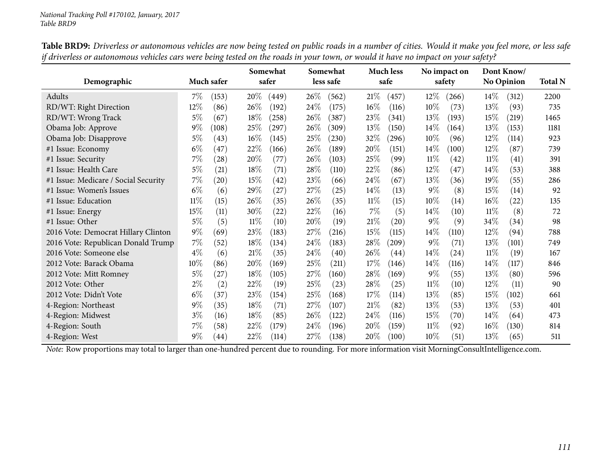| Demographic                          |        | Much safer         |        | Somewhat<br>safer |      | Somewhat<br>less safe |        | <b>Much less</b><br>safe |        | No impact on<br>safety |        | Dont Know/<br><b>No Opinion</b> | <b>Total N</b> |
|--------------------------------------|--------|--------------------|--------|-------------------|------|-----------------------|--------|--------------------------|--------|------------------------|--------|---------------------------------|----------------|
|                                      |        |                    |        |                   |      |                       |        |                          |        |                        |        |                                 |                |
| Adults                               | $7\%$  | (153)              | $20\%$ | (449)             | 26\% | (562)                 | 21%    | (457)                    | $12\%$ | (266)                  | $14\%$ | (312)                           | 2200           |
| RD/WT: Right Direction               | 12\%   | (86)               | $26\%$ | (192)             | 24\% | (175)                 | $16\%$ | (116)                    | $10\%$ | (73)                   | 13\%   | (93)                            | 735            |
| RD/WT: Wrong Track                   | $5\%$  | (67)               | 18%    | (258)             | 26\% | (387)                 | 23%    | (341)                    | 13\%   | (193)                  | 15\%   | (219)                           | 1465           |
| Obama Job: Approve                   | $9\%$  | (108)              | 25%    | (297)             | 26%  | (309)                 | 13%    | (150)                    | 14\%   | (164)                  | 13\%   | (153)                           | 1181           |
| Obama Job: Disapprove                | $5\%$  | (43)               | $16\%$ | (145)             | 25%  | (230)                 | 32\%   | (296)                    | $10\%$ | (96)                   | $12\%$ | (114)                           | 923            |
| #1 Issue: Economy                    | $6\%$  | (47)               | 22%    | (166)             | 26%  | (189)                 | 20%    | (151)                    | 14\%   | (100)                  | 12\%   | (87)                            | 739            |
| #1 Issue: Security                   | 7%     | (28)               | 20%    | (77)              | 26%  | (103)                 | 25\%   | (99)                     | $11\%$ | (42)                   | $11\%$ | (41)                            | 391            |
| #1 Issue: Health Care                | $5\%$  | (21)               | 18%    | (71)              | 28\% | (110)                 | 22\%   | (86)                     | 12\%   | (47)                   | $14\%$ | (53)                            | 388            |
| #1 Issue: Medicare / Social Security | 7%     | $\left( 20\right)$ | 15%    | (42)              | 23\% | (66)                  | 24\%   | (67)                     | 13%    | (36)                   | 19%    | (55)                            | 286            |
| #1 Issue: Women's Issues             | $6\%$  | (6)                | 29%    | (27)              | 27\% | (25)                  | $14\%$ | (13)                     | $9\%$  | (8)                    | 15\%   | (14)                            | 92             |
| #1 Issue: Education                  | $11\%$ | (15)               | 26\%   | (35)              | 26\% | (35)                  | $11\%$ | (15)                     | $10\%$ | (14)                   | $16\%$ | (22)                            | 135            |
| #1 Issue: Energy                     | 15%    | (11)               | 30\%   | (22)              | 22\% | (16)                  | $7\%$  | (5)                      | $14\%$ | (10)                   | $11\%$ | (8)                             | 72             |
| #1 Issue: Other                      | $5\%$  | (5)                | $11\%$ | (10)              | 20%  | (19)                  | 21%    | (20)                     | $9\%$  | (9)                    | 34\%   | (34)                            | 98             |
| 2016 Vote: Democrat Hillary Clinton  | $9\%$  | (69)               | 23\%   | (183)             | 27\% | (216)                 | 15%    | (115)                    | 14\%   | (110)                  | 12\%   | (94)                            | 788            |
| 2016 Vote: Republican Donald Trump   | $7\%$  | (52)               | 18\%   | (134)             | 24\% | (183)                 | 28\%   | $\left( 209\right)$      | $9\%$  | (71)                   | 13\%   | (101)                           | 749            |
| 2016 Vote: Someone else              | $4\%$  | (6)                | 21%    | (35)              | 24\% | (40)                  | 26%    | (44)                     | $14\%$ | (24)                   | $11\%$ | (19)                            | 167            |
| 2012 Vote: Barack Obama              | $10\%$ | (86)               | 20%    | (169)             | 25\% | (211)                 | 17%    | (146)                    | $14\%$ | (116)                  | $14\%$ | (117)                           | 846            |
| 2012 Vote: Mitt Romney               | $5\%$  | (27)               | 18%    | (105)             | 27\% | (160)                 | 28%    | (169)                    | $9\%$  | (55)                   | 13\%   | (80)                            | 596            |
| 2012 Vote: Other                     | $2\%$  | (2)                | 22\%   | (19)              | 25\% | (23)                  | 28\%   | (25)                     | 11%    | (10)                   | 12%    | (11)                            | 90             |
| 2012 Vote: Didn't Vote               | $6\%$  | (37)               | 23\%   | (154)             | 25\% | (168)                 | 17%    | (114)                    | 13\%   | (85)                   | 15\%   | (102)                           | 661            |
| 4-Region: Northeast                  | $9\%$  | (35)               | 18%    | (71)              | 27\% | (107)                 | 21%    | (82)                     | $13\%$ | (53)                   | 13\%   | (53)                            | 401            |
| 4-Region: Midwest                    | $3\%$  | (16)               | 18%    | (85)              | 26\% | (122)                 | 24\%   | (116)                    | 15%    | (70)                   | $14\%$ | (64)                            | 473            |
| 4-Region: South                      | 7%     | (58)               | 22\%   | (179)             | 24\% | (196)                 | 20%    | (159)                    | 11%    | (92)                   | $16\%$ | (130)                           | 814            |
| 4-Region: West                       | $9\%$  | (44)               | 22%    | (114)             | 27%  | (138)                 | 20%    | (100)                    | $10\%$ | (51)                   | 13\%   | (65)                            | 511            |

Table BRD9: Driverless or autonomous vehicles are now being tested on public roads in a number of cities. Would it make you feel more, or less safe if driverless or autonomous vehicles cars were being tested on the roads in your town, or would it have no impact on your safety?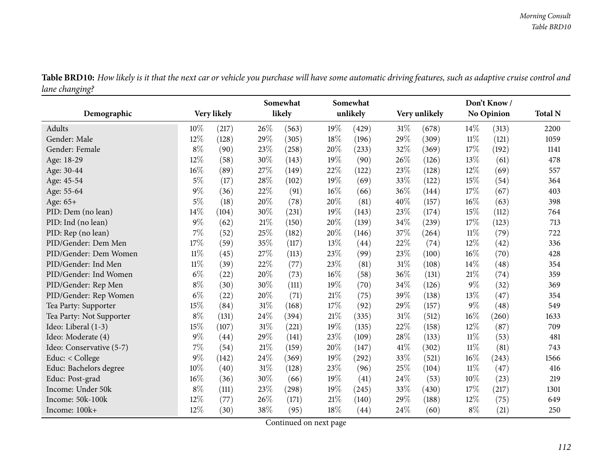|                | Table BRD10: How likely is it that the next car or vehicle you purchase will have some automatic driving features, such as adaptive cruise control and |  |  |
|----------------|--------------------------------------------------------------------------------------------------------------------------------------------------------|--|--|
| lane changing? |                                                                                                                                                        |  |  |

| Demographic              |        | Very likely |     | Somewhat<br>likely |        | Somewhat<br>unlikely |      | Very unlikely |        | Don't Know/<br><b>No Opinion</b> | <b>Total N</b> |
|--------------------------|--------|-------------|-----|--------------------|--------|----------------------|------|---------------|--------|----------------------------------|----------------|
| Adults                   | 10%    | (217)       | 26% | (563)              | 19%    | (429)                | 31%  | (678)         | $14\%$ | (313)                            | 2200           |
| Gender: Male             | 12%    | (128)       | 29% | (305)              | 18%    | (196)                | 29%  | (309)         | 11%    | (121)                            | 1059           |
| Gender: Female           | $8\%$  | (90)        | 23% | (258)              | 20%    | (233)                | 32%  | (369)         | 17%    | (192)                            | 1141           |
| Age: 18-29               | 12%    | (58)        | 30% | (143)              | 19%    | (90)                 | 26%  | (126)         | 13%    | (61)                             | 478            |
| Age: 30-44               | $16\%$ | (89)        | 27% | (149)              | 22%    | (122)                | 23%  | (128)         | 12%    | (69)                             | 557            |
| Age: 45-54               | 5%     | (17)        | 28% | (102)              | 19%    | (69)                 | 33%  | (122)         | 15%    | (54)                             | 364            |
| Age: 55-64               | $9\%$  | (36)        | 22% | (91)               | 16%    | (66)                 | 36%  | (144)         | 17\%   | (67)                             | 403            |
| Age: 65+                 | $5\%$  | (18)        | 20% | (78)               | 20%    | (81)                 | 40%  | (157)         | 16%    | (63)                             | 398            |
| PID: Dem (no lean)       | 14%    | (104)       | 30% | (231)              | 19%    | (143)                | 23%  | (174)         | 15%    | (112)                            | 764            |
| PID: Ind (no lean)       | $9\%$  | (62)        | 21% | (150)              | 20%    | (139)                | 34%  | (239)         | 17%    | (123)                            | 713            |
| PID: Rep (no lean)       | 7%     | (52)        | 25% | (182)              | 20%    | (146)                | 37%  | (264)         | $11\%$ | (79)                             | 722            |
| PID/Gender: Dem Men      | 17%    | (59)        | 35% | (117)              | 13%    | (44)                 | 22%  | (74)          | 12%    | (42)                             | 336            |
| PID/Gender: Dem Women    | $11\%$ | (45)        | 27% | (113)              | 23%    | (99)                 | 23%  | (100)         | 16%    | (70)                             | 428            |
| PID/Gender: Ind Men      | $11\%$ | (39)        | 22% | (77)               | 23%    | (81)                 | 31%  | (108)         | 14\%   | (48)                             | 354            |
| PID/Gender: Ind Women    | $6\%$  | (22)        | 20% | (73)               | 16%    | (58)                 | 36%  | (131)         | 21%    | (74)                             | 359            |
| PID/Gender: Rep Men      | $8\%$  | (30)        | 30% | (111)              | 19%    | (70)                 | 34%  | (126)         | $9\%$  | (32)                             | 369            |
| PID/Gender: Rep Women    | $6\%$  | (22)        | 20% | (71)               | $21\%$ | (75)                 | 39%  | (138)         | 13%    | (47)                             | 354            |
| Tea Party: Supporter     | 15%    | (84)        | 31% | (168)              | 17%    | (92)                 | 29%  | (157)         | $9\%$  | (48)                             | 549            |
| Tea Party: Not Supporter | $8\%$  | (131)       | 24% | (394)              | 21%    | (335)                | 31%  | (512)         | 16%    | (260)                            | 1633           |
| Ideo: Liberal (1-3)      | 15%    | (107)       | 31% | (221)              | 19%    | (135)                | 22%  | (158)         | 12%    | (87)                             | 709            |
| Ideo: Moderate (4)       | $9\%$  | (44)        | 29% | (141)              | 23%    | (109)                | 28%  | (133)         | $11\%$ | (53)                             | 481            |
| Ideo: Conservative (5-7) | $7\%$  | (54)        | 21% | (159)              | 20%    | (147)                | 41\% | (302)         | $11\%$ | (81)                             | 743            |
| Educ: < College          | 9%     | (142)       | 24% | (369)              | 19%    | (292)                | 33%  | (521)         | 16%    | (243)                            | 1566           |
| Educ: Bachelors degree   | 10%    | (40)        | 31% | (128)              | 23%    | (96)                 | 25%  | (104)         | $11\%$ | (47)                             | 416            |
| Educ: Post-grad          | $16\%$ | (36)        | 30% | (66)               | 19%    | (41)                 | 24\% | (53)          | 10%    | (23)                             | 219            |
| Income: Under 50k        | $8\%$  | (111)       | 23% | (298)              | 19%    | (245)                | 33%  | (430)         | 17%    | (217)                            | 1301           |
| Income: 50k-100k         | 12%    | (77)        | 26% | (171)              | 21%    | (140)                | 29%  | (188)         | 12%    | (75)                             | 649            |
| Income: 100k+            | $12\%$ | (30)        | 38% | (95)               | 18%    | (44)                 | 24\% | (60)          | $8\%$  | (21)                             | 250            |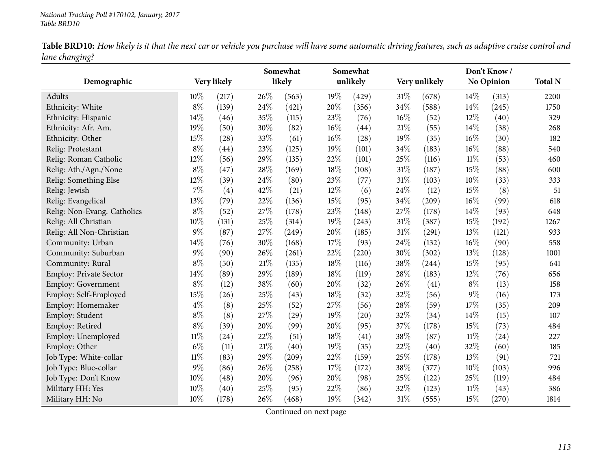Table BRD10: How likely is it that the next car or vehicle you purchase will have some automatic driving features, such as adaptive cruise control and *lane changing?*

|                             |        |             | Somewhat |        | Somewhat |          |        | Don't Know/   |        |            |                |
|-----------------------------|--------|-------------|----------|--------|----------|----------|--------|---------------|--------|------------|----------------|
| Demographic                 |        | Very likely |          | likely |          | unlikely |        | Very unlikely |        | No Opinion | <b>Total N</b> |
| Adults                      | 10%    | (217)       | 26%      | (563)  | $19\%$   | (429)    | 31%    | (678)         | 14\%   | (313)      | 2200           |
| Ethnicity: White            | $8\%$  | (139)       | 24%      | (421)  | 20%      | (356)    | 34%    | (588)         | 14%    | (245)      | 1750           |
| Ethnicity: Hispanic         | 14%    | (46)        | 35%      | (115)  | 23%      | (76)     | $16\%$ | (52)          | 12%    | (40)       | 329            |
| Ethnicity: Afr. Am.         | 19%    | (50)        | 30%      | (82)   | 16%      | (44)     | $21\%$ | (55)          | 14%    | (38)       | 268            |
| Ethnicity: Other            | 15%    | (28)        | 33%      | (61)   | 16%      | (28)     | 19%    | (35)          | 16%    | (30)       | 182            |
| Relig: Protestant           | $8\%$  | (44)        | 23%      | (125)  | 19%      | (101)    | 34%    | (183)         | 16%    | (88)       | 540            |
| Relig: Roman Catholic       | 12%    | (56)        | 29%      | (135)  | 22%      | (101)    | 25%    | (116)         | $11\%$ | (53)       | 460            |
| Relig: Ath./Agn./None       | $8\%$  | (47)        | 28%      | (169)  | 18%      | (108)    | $31\%$ | (187)         | 15%    | (88)       | 600            |
| Relig: Something Else       | 12%    | (39)        | 24%      | (80)   | 23%      | (77)     | $31\%$ | (103)         | 10%    | (33)       | 333            |
| Relig: Jewish               | $7\%$  | (4)         | 42%      | (21)   | $12\%$   | (6)      | 24%    | (12)          | 15%    | (8)        | 51             |
| Relig: Evangelical          | 13%    | (79)        | 22%      | (136)  | 15%      | (95)     | 34\%   | (209)         | 16%    | (99)       | 618            |
| Relig: Non-Evang. Catholics | $8\%$  | (52)        | 27%      | (178)  | 23%      | (148)    | 27%    | (178)         | 14%    | (93)       | 648            |
| Relig: All Christian        | 10%    | (131)       | 25%      | (314)  | 19%      | (243)    | $31\%$ | (387)         | 15%    | (192)      | 1267           |
| Relig: All Non-Christian    | $9\%$  | (87)        | 27%      | (249)  | 20%      | (185)    | 31%    | (291)         | 13%    | (121)      | 933            |
| Community: Urban            | 14%    | (76)        | 30%      | (168)  | 17%      | (93)     | 24%    | (132)         | 16%    | (90)       | 558            |
| Community: Suburban         | $9\%$  | (90)        | 26%      | (261)  | 22%      | (220)    | 30%    | (302)         | 13%    | (128)      | 1001           |
| Community: Rural            | $8\%$  | (50)        | 21%      | (135)  | 18%      | (116)    | 38%    | (244)         | 15%    | (95)       | 641            |
| Employ: Private Sector      | 14%    | (89)        | 29%      | (189)  | 18%      | (119)    | 28%    | (183)         | 12%    | (76)       | 656            |
| Employ: Government          | $8\%$  | (12)        | 38%      | (60)   | 20%      | (32)     | 26%    | (41)          | $8\%$  | (13)       | 158            |
| Employ: Self-Employed       | 15%    | (26)        | 25%      | (43)   | 18%      | (32)     | 32%    | (56)          | $9\%$  | (16)       | 173            |
| Employ: Homemaker           | $4\%$  | (8)         | 25%      | (52)   | 27\%     | (56)     | 28%    | (59)          | 17%    | (35)       | 209            |
| Employ: Student             | $8\%$  | (8)         | 27%      | (29)   | 19%      | (20)     | 32%    | (34)          | 14%    | (15)       | 107            |
| Employ: Retired             | $8\%$  | (39)        | 20%      | (99)   | 20%      | (95)     | 37%    | (178)         | 15%    | (73)       | 484            |
| Employ: Unemployed          | $11\%$ | (24)        | 22%      | (51)   | 18%      | (41)     | 38%    | (87)          | $11\%$ | (24)       | 227            |
| Employ: Other               | $6\%$  | (11)        | 21%      | (40)   | 19%      | (35)     | 22%    | (40)          | 32%    | (60)       | 185            |
| Job Type: White-collar      | $11\%$ | (83)        | 29%      | (209)  | 22%      | (159)    | 25%    | (178)         | 13%    | (91)       | 721            |
| Job Type: Blue-collar       | $9\%$  | (86)        | 26%      | (258)  | 17%      | (172)    | 38%    | (377)         | 10%    | (103)      | 996            |
| Job Type: Don't Know        | 10%    | (48)        | 20%      | (96)   | 20%      | (98)     | 25%    | (122)         | 25%    | (119)      | 484            |
| Military HH: Yes            | 10%    | (40)        | 25%      | (95)   | 22%      | (86)     | 32%    | (123)         | 11%    | (43)       | 386            |
| Military HH: No             | 10%    | (178)       | 26%      | (468)  | 19%      | (342)    | $31\%$ | (555)         | 15%    | (270)      | 1814           |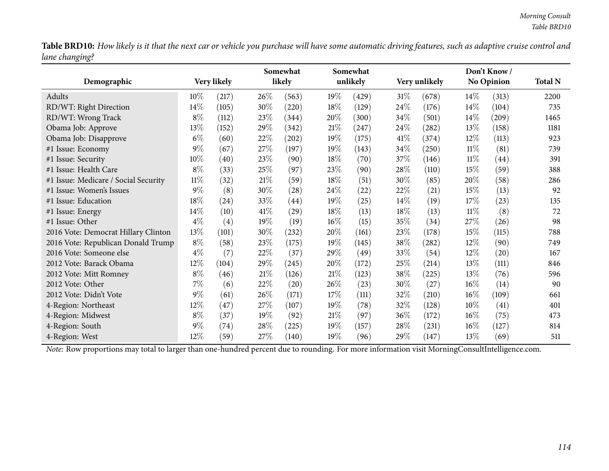Table BRD10: How likely is it that the next car or vehicle you purchase will have some automatic driving features, such as adaptive cruise control and *lane changing?*

|                                      |        |             |      | Somewhat |        | Somewhat |        | Don't Know/        |        |                    |                |
|--------------------------------------|--------|-------------|------|----------|--------|----------|--------|--------------------|--------|--------------------|----------------|
| Demographic                          |        | Very likely |      | likely   |        | unlikely |        | Very unlikely      |        | <b>No Opinion</b>  | <b>Total N</b> |
| Adults                               | 10%    | (217)       | 26\% | (563)    | 19%    | (429)    | $31\%$ | (678)              | $14\%$ | (313)              | 2200           |
| RD/WT: Right Direction               | 14\%   | (105)       | 30%  | (220)    | 18%    | (129)    | 24\%   | (176)              | $14\%$ | (104)              | 735            |
| RD/WT: Wrong Track                   | $8\%$  | (112)       | 23\% | (344)    | 20%    | (300)    | 34\%   | (501)              | $14\%$ | (209)              | 1465           |
| Obama Job: Approve                   | 13%    | (152)       | 29%  | (342)    | 21%    | (247)    | 24\%   | (282)              | 13\%   | (158)              | 1181           |
| Obama Job: Disapprove                | $6\%$  | (60)        | 22%  | (202)    | 19%    | (175)    | 41\%   | (374)              | $12\%$ | (113)              | 923            |
| #1 Issue: Economy                    | $9\%$  | (67)        | 27%  | (197)    | 19%    | (143)    | 34\%   | (250)              | $11\%$ | (81)               | 739            |
| #1 Issue: Security                   | 10%    | (40)        | 23\% | (90)     | 18\%   | (70)     | 37\%   | (146)              | $11\%$ | $\left( 44\right)$ | 391            |
| #1 Issue: Health Care                | $8\%$  | (33)        | 25%  | (97)     | 23%    | (90)     | 28\%   | (110)              | 15%    | (59)               | 388            |
| #1 Issue: Medicare / Social Security | $11\%$ | (32)        | 21%  | (59)     | 18%    | (51)     | 30\%   | (85)               | 20%    | (58)               | 286            |
| #1 Issue: Women's Issues             | $9\%$  | (8)         | 30%  | (28)     | 24\%   | (22)     | 22\%   | (21)               | 15%    | (13)               | 92             |
| #1 Issue: Education                  | 18%    | (24)        | 33%  | (44)     | 19%    | (25)     | $14\%$ | (19)               | 17%    | (23)               | 135            |
| #1 Issue: Energy                     | 14%    | (10)        | 41\% | (29)     | 18%    | (13)     | 18\%   | (13)               | $11\%$ | (8)                | 72             |
| #1 Issue: Other                      | $4\%$  | (4)         | 19%  | (19)     | $16\%$ | (15)     | 35%    | (34)               | 27\%   | (26)               | 98             |
| 2016 Vote: Democrat Hillary Clinton  | 13%    | (101)       | 30%  | (232)    | 20%    | (161)    | 23\%   | (178)              | 15%    | (115)              | 788            |
| 2016 Vote: Republican Donald Trump   | $8\%$  | (58)        | 23\% | (175)    | $19\%$ | (145)    | 38\%   | (282)              | $12\%$ | (90)               | 749            |
| 2016 Vote: Someone else              | $4\%$  | (7)         | 22\% | (37)     | 29%    | (49)     | 33\%   | (54)               | $12\%$ | (20)               | 167            |
| 2012 Vote: Barack Obama              | 12%    | (104)       | 29%  | (245)    | 20%    | (172)    | 25\%   | (214)              | 13%    | (111)              | 846            |
| 2012 Vote: Mitt Romney               | $8\%$  | (46)        | 21%  | (126)    | 21%    | (123)    | 38\%   | (225)              | 13\%   | (76)               | 596            |
| 2012 Vote: Other                     | 7%     | (6)         | 22%  | (20)     | 26\%   | (23)     | 30%    | $\left( 27\right)$ | $16\%$ | (14)               | 90             |
| 2012 Vote: Didn't Vote               | $9\%$  | (61)        | 26\% | (171)    | 17%    | (111)    | 32\%   | (210)              | 16%    | (109)              | 661            |
| 4-Region: Northeast                  | $12\%$ | (47)        | 27%  | (107)    | 19%    | (78)     | 32\%   | (128)              | $10\%$ | (41)               | 401            |
| 4-Region: Midwest                    | $8\%$  | (37)        | 19%  | (92)     | 21%    | (97)     | $36\%$ | (172)              | $16\%$ | (75)               | 473            |
| 4-Region: South                      | $9\%$  | (74)        | 28%  | (225)    | 19%    | (157)    | 28\%   | (231)              | $16\%$ | (127)              | 814            |
| 4-Region: West                       | 12%    | (59)        | 27\% | (140)    | 19%    | (96)     | 29%    | (147)              | 13%    | (69)               | 511            |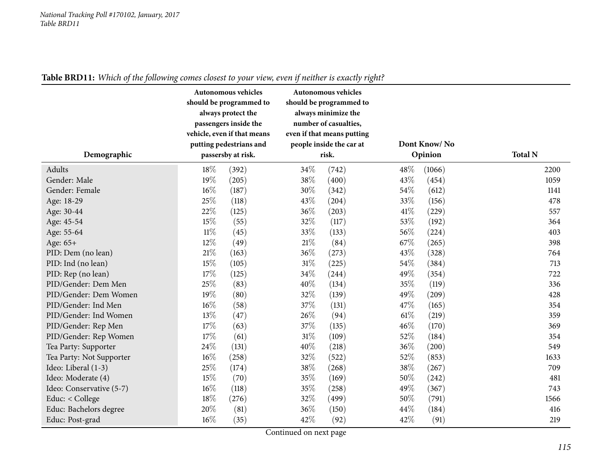| Demographic              |        | Autonomous vehicles<br>should be programmed to<br>always protect the<br>passengers inside the<br>vehicle, even if that means<br>putting pedestrians and<br>passersby at risk. | Autonomous vehicles<br>should be programmed to<br>always minimize the<br>number of casualties,<br>even if that means putting<br>people inside the car at<br>risk. |       |      | Dont Know/No<br>Opinion | <b>Total N</b> |
|--------------------------|--------|-------------------------------------------------------------------------------------------------------------------------------------------------------------------------------|-------------------------------------------------------------------------------------------------------------------------------------------------------------------|-------|------|-------------------------|----------------|
| Adults                   | 18%    | (392)                                                                                                                                                                         | 34%                                                                                                                                                               | (742) | 48%  | (1066)                  | 2200           |
| Gender: Male             | 19%    | (205)                                                                                                                                                                         | 38%                                                                                                                                                               | (400) | 43%  | (454)                   | 1059           |
| Gender: Female           | 16%    | (187)                                                                                                                                                                         | 30%                                                                                                                                                               | (342) | 54%  | (612)                   | 1141           |
| Age: 18-29               | 25%    | (118)                                                                                                                                                                         | 43%                                                                                                                                                               | (204) | 33%  | (156)                   | 478            |
| Age: 30-44               | 22%    | (125)                                                                                                                                                                         | 36%                                                                                                                                                               | (203) | 41\% | (229)                   | 557            |
| Age: 45-54               | 15%    | (55)                                                                                                                                                                          | 32%                                                                                                                                                               | (117) | 53%  | (192)                   | 364            |
| Age: 55-64               | $11\%$ | (45)                                                                                                                                                                          | 33%                                                                                                                                                               | (133) | 56%  | (224)                   | 403            |
| Age: 65+                 | 12%    | (49)                                                                                                                                                                          | 21%                                                                                                                                                               | (84)  | 67%  | (265)                   | 398            |
| PID: Dem (no lean)       | 21%    | (163)                                                                                                                                                                         | 36%                                                                                                                                                               | (273) | 43%  | (328)                   | 764            |
| PID: Ind (no lean)       | 15%    | (105)                                                                                                                                                                         | 31%                                                                                                                                                               | (225) | 54%  | (384)                   | 713            |
| PID: Rep (no lean)       | 17%    | (125)                                                                                                                                                                         | 34%                                                                                                                                                               | (244) | 49%  | (354)                   | 722            |
| PID/Gender: Dem Men      | 25%    | (83)                                                                                                                                                                          | 40\%                                                                                                                                                              | (134) | 35%  | (119)                   | 336            |
| PID/Gender: Dem Women    | 19%    | (80)                                                                                                                                                                          | 32%                                                                                                                                                               | (139) | 49%  | (209)                   | 428            |
| PID/Gender: Ind Men      | 16%    | (58)                                                                                                                                                                          | 37%                                                                                                                                                               | (131) | 47%  | (165)                   | 354            |
| PID/Gender: Ind Women    | 13%    | (47)                                                                                                                                                                          | 26%                                                                                                                                                               | (94)  | 61%  | (219)                   | 359            |
| PID/Gender: Rep Men      | 17%    | (63)                                                                                                                                                                          | 37%                                                                                                                                                               | (135) | 46%  | (170)                   | 369            |
| PID/Gender: Rep Women    | 17%    | (61)                                                                                                                                                                          | 31%                                                                                                                                                               | (109) | 52%  | (184)                   | 354            |
| Tea Party: Supporter     | 24%    | (131)                                                                                                                                                                         | 40\%                                                                                                                                                              | (218) | 36%  | (200)                   | 549            |
| Tea Party: Not Supporter | 16%    | (258)                                                                                                                                                                         | 32%                                                                                                                                                               | (522) | 52%  | (853)                   | 1633           |
| Ideo: Liberal (1-3)      | 25%    | (174)                                                                                                                                                                         | 38%                                                                                                                                                               | (268) | 38%  | (267)                   | 709            |
| Ideo: Moderate (4)       | 15%    | (70)                                                                                                                                                                          | 35%                                                                                                                                                               | (169) | 50%  | (242)                   | 481            |
| Ideo: Conservative (5-7) | 16%    | (118)                                                                                                                                                                         | 35%                                                                                                                                                               | (258) | 49%  | (367)                   | 743            |
| Educ: < College          | 18%    | (276)                                                                                                                                                                         | 32%                                                                                                                                                               | (499) | 50%  | (791)                   | 1566           |
| Educ: Bachelors degree   | 20%    | (81)                                                                                                                                                                          | 36%                                                                                                                                                               | (150) | 44%  | (184)                   | 416            |
| Educ: Post-grad          | 16%    | (35)                                                                                                                                                                          | 42%                                                                                                                                                               | (92)  | 42%  | (91)                    | 219            |

Table BRD11: Which of the following comes closest to your view, even if neither is exactly right?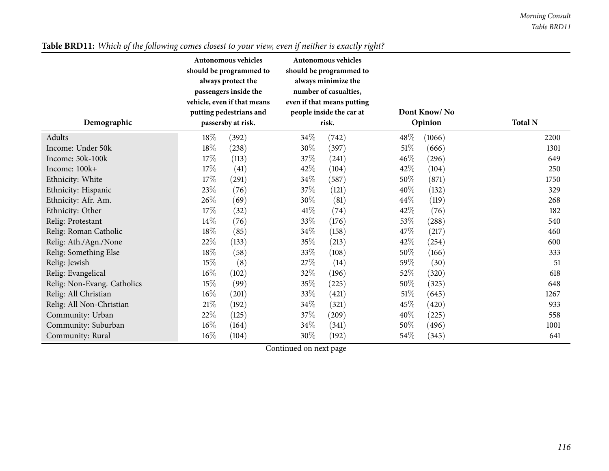| Demographic                 |        | Autonomous vehicles<br>should be programmed to<br>always protect the<br>passengers inside the<br>vehicle, even if that means<br>putting pedestrians and<br>passersby at risk. |        | <b>Autonomous vehicles</b><br>should be programmed to<br>always minimize the<br>number of casualties,<br>even if that means putting<br>people inside the car at<br>risk. |        | Dont Know/No<br>Opinion | <b>Total N</b> |
|-----------------------------|--------|-------------------------------------------------------------------------------------------------------------------------------------------------------------------------------|--------|--------------------------------------------------------------------------------------------------------------------------------------------------------------------------|--------|-------------------------|----------------|
| Adults                      | 18\%   | (392)                                                                                                                                                                         | $34\%$ | (742)                                                                                                                                                                    | 48\%   | (1066)                  | 2200           |
| Income: Under 50k           | $18\%$ | (238)                                                                                                                                                                         | 30\%   | (397)                                                                                                                                                                    | $51\%$ | (666)                   | 1301           |
| Income: 50k-100k            | 17\%   | (113)                                                                                                                                                                         | 37%    | (241)                                                                                                                                                                    | 46%    | (296)                   | 649            |
| Income: 100k+               | 17%    | (41)                                                                                                                                                                          | 42\%   | (104)                                                                                                                                                                    | 42\%   | (104)                   | 250            |
| Ethnicity: White            | 17\%   | (291)                                                                                                                                                                         | 34\%   | (587)                                                                                                                                                                    | 50\%   | (871)                   | 1750           |
| Ethnicity: Hispanic         | 23%    | (76)                                                                                                                                                                          | 37%    | (121)                                                                                                                                                                    | 40%    | (132)                   | 329            |
| Ethnicity: Afr. Am.         | 26%    | (69)                                                                                                                                                                          | 30%    | (81)                                                                                                                                                                     | 44\%   | (119)                   | 268            |
| Ethnicity: Other            | 17\%   | (32)                                                                                                                                                                          | 41\%   | (74)                                                                                                                                                                     | 42\%   | (76)                    | 182            |
| Relig: Protestant           | $14\%$ | (76)                                                                                                                                                                          | 33%    | (176)                                                                                                                                                                    | 53%    | (288)                   | 540            |
| Relig: Roman Catholic       | 18\%   | (85)                                                                                                                                                                          | 34\%   | (158)                                                                                                                                                                    | 47\%   | (217)                   | 460            |
| Relig: Ath./Agn./None       | 22\%   | (133)                                                                                                                                                                         | 35\%   | (213)                                                                                                                                                                    | 42\%   | (254)                   | 600            |
| Relig: Something Else       | 18%    | (58)                                                                                                                                                                          | 33%    | (108)                                                                                                                                                                    | 50%    | (166)                   | 333            |
| Relig: Jewish               | 15\%   | (8)                                                                                                                                                                           | 27%    | (14)                                                                                                                                                                     | 59%    | (30)                    | 51             |
| Relig: Evangelical          | $16\%$ | (102)                                                                                                                                                                         | 32%    | (196)                                                                                                                                                                    | 52\%   | (320)                   | 618            |
| Relig: Non-Evang. Catholics | 15\%   | (99)                                                                                                                                                                          | 35\%   | (225)                                                                                                                                                                    | 50\%   | (325)                   | 648            |
| Relig: All Christian        | $16\%$ | (201)                                                                                                                                                                         | 33%    | (421)                                                                                                                                                                    | 51\%   | (645)                   | 1267           |
| Relig: All Non-Christian    | $21\%$ | (192)                                                                                                                                                                         | $34\%$ | (321)                                                                                                                                                                    | 45%    | (420)                   | 933            |
| Community: Urban            | 22\%   | (125)                                                                                                                                                                         | 37%    | (209)                                                                                                                                                                    | 40%    | (225)                   | 558            |
| Community: Suburban         | $16\%$ | (164)                                                                                                                                                                         | 34\%   | (341)                                                                                                                                                                    | 50\%   | (496)                   | 1001           |
| Community: Rural            | $16\%$ | (104)                                                                                                                                                                         | 30\%   | (192)                                                                                                                                                                    | 54\%   | (345)                   | 641            |

# Table BRD11: Which of the following comes closest to your view, even if neither is exactly right?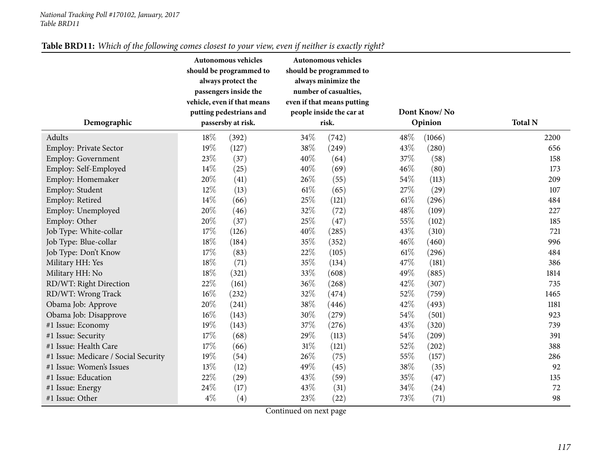| Demographic                          |       | Autonomous vehicles<br>should be programmed to<br>always protect the<br>passengers inside the<br>vehicle, even if that means<br>putting pedestrians and<br>passersby at risk. | Autonomous vehicles<br>should be programmed to<br>always minimize the<br>number of casualties,<br>even if that means putting<br>people inside the car at<br>risk. |       |      | Dont Know/No<br>Opinion | <b>Total N</b> |
|--------------------------------------|-------|-------------------------------------------------------------------------------------------------------------------------------------------------------------------------------|-------------------------------------------------------------------------------------------------------------------------------------------------------------------|-------|------|-------------------------|----------------|
|                                      |       |                                                                                                                                                                               |                                                                                                                                                                   |       |      |                         |                |
| Adults                               | 18%   | (392)                                                                                                                                                                         | 34%                                                                                                                                                               | (742) | 48\% | (1066)                  | 2200           |
| <b>Employ: Private Sector</b>        | 19%   | (127)                                                                                                                                                                         | 38%                                                                                                                                                               | (249) | 43%  | (280)                   | 656            |
| <b>Employ: Government</b>            | 23%   | (37)                                                                                                                                                                          | 40%                                                                                                                                                               | (64)  | 37%  | (58)                    | 158            |
| Employ: Self-Employed                | 14%   | (25)                                                                                                                                                                          | 40%                                                                                                                                                               | (69)  | 46%  | (80)                    | 173            |
| Employ: Homemaker                    | 20%   | (41)                                                                                                                                                                          | 26%                                                                                                                                                               | (55)  | 54%  | (113)                   | 209            |
| Employ: Student                      | 12%   | (13)                                                                                                                                                                          | 61\%                                                                                                                                                              | (65)  | 27%  | (29)                    | 107            |
| Employ: Retired                      | 14\%  | (66)                                                                                                                                                                          | 25%                                                                                                                                                               | (121) | 61%  | (296)                   | 484            |
| Employ: Unemployed                   | 20%   | (46)                                                                                                                                                                          | 32%                                                                                                                                                               | (72)  | 48%  | (109)                   | 227            |
| Employ: Other                        | 20%   | (37)                                                                                                                                                                          | 25%                                                                                                                                                               | (47)  | 55%  | (102)                   | 185            |
| Job Type: White-collar               | 17%   | (126)                                                                                                                                                                         | 40%                                                                                                                                                               | (285) | 43%  | (310)                   | 721            |
| Job Type: Blue-collar                | 18%   | (184)                                                                                                                                                                         | 35%                                                                                                                                                               | (352) | 46%  | (460)                   | 996            |
| Job Type: Don't Know                 | 17%   | (83)                                                                                                                                                                          | 22%                                                                                                                                                               | (105) | 61\% | (296)                   | 484            |
| Military HH: Yes                     | 18%   | (71)                                                                                                                                                                          | 35%                                                                                                                                                               | (134) | 47%  | (181)                   | 386            |
| Military HH: No                      | 18%   | (321)                                                                                                                                                                         | 33%                                                                                                                                                               | (608) | 49%  | (885)                   | 1814           |
| RD/WT: Right Direction               | 22%   | (161)                                                                                                                                                                         | 36%                                                                                                                                                               | (268) | 42%  | (307)                   | 735            |
| RD/WT: Wrong Track                   | 16%   | (232)                                                                                                                                                                         | 32%                                                                                                                                                               | (474) | 52%  | (759)                   | 1465           |
| Obama Job: Approve                   | 20%   | (241)                                                                                                                                                                         | 38%                                                                                                                                                               | (446) | 42%  | (493)                   | 1181           |
| Obama Job: Disapprove                | 16%   | (143)                                                                                                                                                                         | 30%                                                                                                                                                               | (279) | 54%  | (501)                   | 923            |
| #1 Issue: Economy                    | 19%   | (143)                                                                                                                                                                         | 37%                                                                                                                                                               | (276) | 43%  | (320)                   | 739            |
| #1 Issue: Security                   | 17%   | (68)                                                                                                                                                                          | 29%                                                                                                                                                               | (113) | 54%  | $\left( 209\right)$     | 391            |
| #1 Issue: Health Care                | 17%   | (66)                                                                                                                                                                          | 31%                                                                                                                                                               | (121) | 52%  | (202)                   | 388            |
| #1 Issue: Medicare / Social Security | 19%   | (54)                                                                                                                                                                          | 26%                                                                                                                                                               | (75)  | 55%  | (157)                   | 286            |
| #1 Issue: Women's Issues             | 13%   | (12)                                                                                                                                                                          | 49%                                                                                                                                                               | (45)  | 38%  | (35)                    | 92             |
| #1 Issue: Education                  | 22%   | (29)                                                                                                                                                                          | 43%                                                                                                                                                               | (59)  | 35%  | (47)                    | 135            |
| #1 Issue: Energy                     | 24%   | (17)                                                                                                                                                                          | 43%                                                                                                                                                               | (31)  | 34%  | (24)                    | 72             |
| #1 Issue: Other                      | $4\%$ | (4)                                                                                                                                                                           | 23%                                                                                                                                                               | (22)  | 73%  | (71)                    | 98             |

# Table BRD11: Which of the following comes closest to your view, even if neither is exactly right?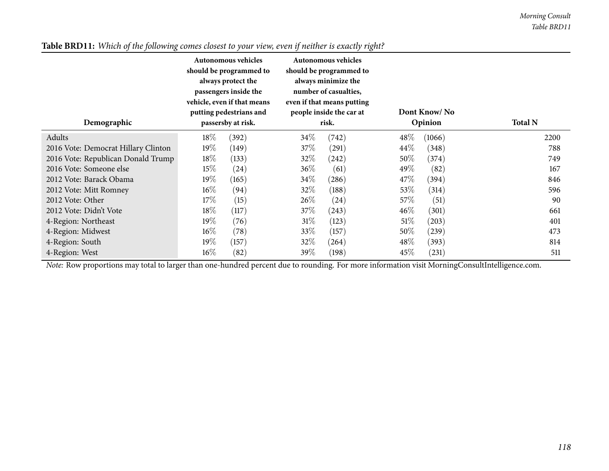| Demographic                         | Autonomous vehicles<br>should be programmed to<br>always protect the<br>passengers inside the<br>vehicle, even if that means<br>putting pedestrians and<br>passersby at risk. |       |        | Autonomous vehicles<br>should be programmed to<br>always minimize the<br>number of casualties,<br>even if that means putting<br>people inside the car at<br>risk. |        | Dont Know/No<br>Opinion | <b>Total N</b> |
|-------------------------------------|-------------------------------------------------------------------------------------------------------------------------------------------------------------------------------|-------|--------|-------------------------------------------------------------------------------------------------------------------------------------------------------------------|--------|-------------------------|----------------|
| Adults                              | 18%                                                                                                                                                                           | (392) | 34\%   | (742)                                                                                                                                                             | 48\%   | (1066)                  | 2200           |
| 2016 Vote: Democrat Hillary Clinton | $19\%$                                                                                                                                                                        | (149) | 37\%   | (291)                                                                                                                                                             | $44\%$ | (348)                   | 788            |
| 2016 Vote: Republican Donald Trump  | $18\%$                                                                                                                                                                        | (133) | $32\%$ | (242)                                                                                                                                                             | 50\%   | (374)                   | 749            |
| 2016 Vote: Someone else             | $15\%$                                                                                                                                                                        | (24)  | $36\%$ | (61)                                                                                                                                                              | 49\%   | (82)                    | 167            |
| 2012 Vote: Barack Obama             | $19\%$                                                                                                                                                                        | (165) | $34\%$ | (286)                                                                                                                                                             | 47\%   | (394)                   | 846            |
| 2012 Vote: Mitt Romney              | $16\%$                                                                                                                                                                        | (94)  | 32\%   | (188)                                                                                                                                                             | 53\%   | (314)                   | 596            |
| 2012 Vote: Other                    | 17%                                                                                                                                                                           | (15)  | 26\%   | (24)                                                                                                                                                              | 57\%   | (51)                    | 90             |
| 2012 Vote: Didn't Vote              | $18\%$                                                                                                                                                                        | (117) | 37\%   | (243)                                                                                                                                                             | $46\%$ | (301)                   | 661            |
| 4-Region: Northeast                 | $19\%$                                                                                                                                                                        | (76)  | $31\%$ | (123)                                                                                                                                                             | 51%    | (203)                   | 401            |
| 4-Region: Midwest                   | $16\%$                                                                                                                                                                        | (78)  | 33\%   | (157)                                                                                                                                                             | 50%    | (239)                   | 473            |
| 4-Region: South                     | $19\%$                                                                                                                                                                        | (157) | 32\%   | (264)                                                                                                                                                             | 48\%   | (393)                   | 814            |
| 4-Region: West                      | $16\%$                                                                                                                                                                        | (82)  | $39\%$ | (198)                                                                                                                                                             | $45\%$ | (231)                   | 511            |

# Table BRD11: Which of the following comes closest to your view, even if neither is exactly right?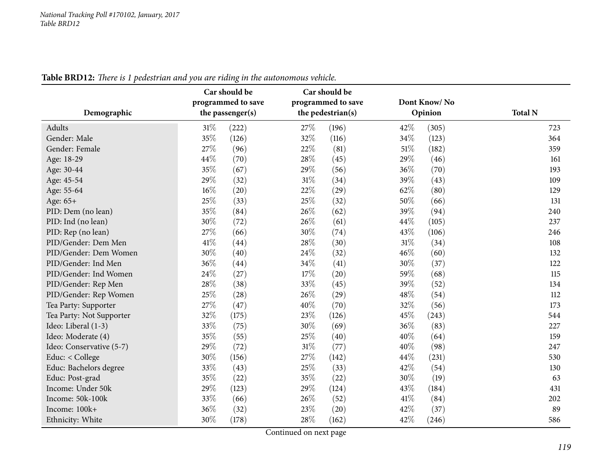| Demographic              | o<br>Car should be<br>programmed to save<br>the passenger(s) | Car should be<br>programmed to save<br>the pedestrian(s) | Dont Know/No<br>Opinion | <b>Total N</b> |
|--------------------------|--------------------------------------------------------------|----------------------------------------------------------|-------------------------|----------------|
| Adults                   | $31\%$<br>(222)                                              | 27\%<br>(196)                                            | 42%<br>(305)            | 723            |
| Gender: Male             | 35%<br>(126)                                                 | 32%<br>(116)                                             | 34%<br>(123)            | 364            |
| Gender: Female           | 27%<br>(96)                                                  | $22\%$<br>(81)                                           | 51%<br>(182)            | 359            |
| Age: 18-29               | 44%<br>(70)                                                  | 28%<br>(45)                                              | 29%<br>(46)             | 161            |
| Age: 30-44               | 35%<br>(67)                                                  | 29%<br>(56)                                              | 36%<br>(70)             | 193            |
| Age: 45-54               | 29%<br>(32)                                                  | 31\%<br>(34)                                             | 39%<br>(43)             | 109            |
| Age: 55-64               | 16%<br>(20)                                                  | 22%<br>(29)                                              | 62%<br>(80)             | 129            |
| Age: 65+                 | 25%<br>(33)                                                  | 25%<br>(32)                                              | 50%<br>(66)             | 131            |
| PID: Dem (no lean)       | 35%<br>(84)                                                  | 26%<br>(62)                                              | 39%<br>(94)             | 240            |
| PID: Ind (no lean)       | 30%<br>(72)                                                  | 26\%<br>(61)                                             | 44\%<br>(105)           | 237            |
| PID: Rep (no lean)       | 27%<br>(66)                                                  | 30%<br>(74)                                              | 43%<br>(106)            | 246            |
| PID/Gender: Dem Men      | 41\%<br>(44)                                                 | 28\%<br>(30)                                             | 31%<br>(34)             | 108            |
| PID/Gender: Dem Women    | 30%<br>(40)                                                  | 24%<br>(32)                                              | 46%<br>(60)             | 132            |
| PID/Gender: Ind Men      | 36\%<br>(44)                                                 | 34\%<br>(41)                                             | 30%<br>(37)             | 122            |
| PID/Gender: Ind Women    | 24%<br>(27)                                                  | 17\%<br>(20)                                             | 59%<br>(68)             | 115            |
| PID/Gender: Rep Men      | 28%<br>(38)                                                  | 33%<br>(45)                                              | 39%<br>(52)             | 134            |
| PID/Gender: Rep Women    | 25%<br>(28)                                                  | 26%<br>(29)                                              | 48%<br>(54)             | 112            |
| Tea Party: Supporter     | 27\%<br>(47)                                                 | 40%<br>(70)                                              | 32%<br>(56)             | 173            |
| Tea Party: Not Supporter | 32%<br>(175)                                                 | 23%<br>(126)                                             | 45%<br>(243)            | 544            |
| Ideo: Liberal (1-3)      | 33%<br>(75)                                                  | 30%<br>(69)                                              | 36%<br>(83)             | 227            |
| Ideo: Moderate (4)       | 35%<br>(55)                                                  | 25%<br>(40)                                              | 40%<br>(64)             | 159            |
| Ideo: Conservative (5-7) | 29%<br>(72)                                                  | $31\%$<br>(77)                                           | 40%<br>(98)             | 247            |
| Educ: < College          | 30%<br>(156)                                                 | 27%<br>(142)                                             | 44\%<br>(231)           | 530            |
| Educ: Bachelors degree   | 33%<br>(43)                                                  | 25%<br>(33)                                              | 42%<br>(54)             | 130            |
| Educ: Post-grad          | 35%<br>(22)                                                  | 35%<br>(22)                                              | 30%<br>(19)             | 63             |
| Income: Under 50k        | 29%<br>(123)                                                 | 29%<br>(124)                                             | 43%<br>(184)            | 431            |
| Income: 50k-100k         | 33%<br>(66)                                                  | 26\%<br>(52)                                             | 41\%<br>(84)            | 202            |
| Income: 100k+            | 36%<br>(32)                                                  | 23%<br>(20)                                              | 42%<br>(37)             | 89             |
| Ethnicity: White         | 30%<br>(178)                                                 | 28%<br>(162)                                             | 42%<br>(246)            | 586            |

Table BRD12: There is 1 pedestrian and you are riding in the autonomous vehicle.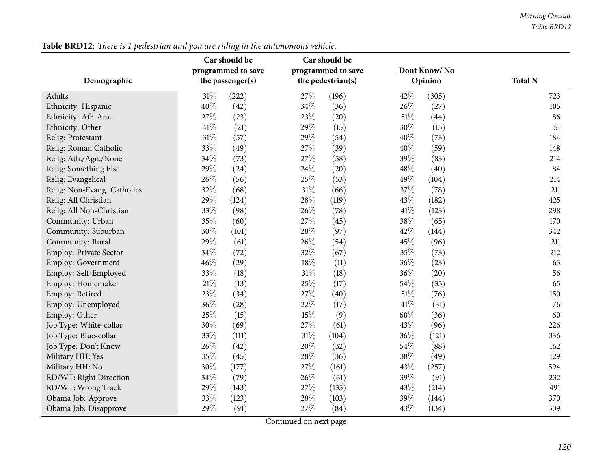|                             | Car should be      | Car should be      |              |                |  |
|-----------------------------|--------------------|--------------------|--------------|----------------|--|
|                             | programmed to save | programmed to save | Dont Know/No |                |  |
| Demographic                 | the passenger(s)   | the pedestrian(s)  | Opinion      | <b>Total N</b> |  |
| Adults                      | $31\%$<br>(222)    | 27\%<br>(196)      | 42%<br>(305) | 723            |  |
| Ethnicity: Hispanic         | 40%<br>(42)        | 34\%<br>(36)       | 26%<br>(27)  | 105            |  |
| Ethnicity: Afr. Am.         | 27%<br>(23)        | 23%<br>(20)        | 51%<br>(44)  | 86             |  |
| Ethnicity: Other            | 41%<br>(21)        | 29%<br>(15)        | 30%<br>(15)  | 51             |  |
| Relig: Protestant           | 31%<br>(57)        | 29%<br>(54)        | 40%<br>(73)  | 184            |  |
| Relig: Roman Catholic       | 33%<br>(49)        | 27%<br>(39)        | 40%<br>(59)  | 148            |  |
| Relig: Ath./Agn./None       | $34\%$<br>(73)     | 27\%<br>(58)       | 39%<br>(83)  | 214            |  |
| Relig: Something Else       | 29%<br>(24)        | 24\%<br>(20)       | 48%<br>(40)  | 84             |  |
| Relig: Evangelical          | 26%<br>(56)        | 25%<br>(53)        | 49%<br>(104) | 214            |  |
| Relig: Non-Evang. Catholics | 32%<br>(68)        | 31%<br>(66)        | 37%<br>(78)  | 211            |  |
| Relig: All Christian        | 29%<br>(124)       | 28%<br>(119)       | 43%<br>(182) | 425            |  |
| Relig: All Non-Christian    | 33%<br>(98)        | 26%<br>(78)        | 41%<br>(123) | 298            |  |
| Community: Urban            | 35%<br>(60)        | 27\%<br>(45)       | 38%<br>(65)  | 170            |  |
| Community: Suburban         | 30%<br>(101)       | 28\%<br>(97)       | 42%<br>(144) | 342            |  |
| Community: Rural            | 29%<br>(61)        | 26\%<br>(54)       | 45%<br>(96)  | 211            |  |
| Employ: Private Sector      | 34\%<br>(72)       | 32\%<br>(67)       | 35%<br>(73)  | 212            |  |
| <b>Employ: Government</b>   | 46%<br>(29)        | 18%<br>(11)        | 36%<br>(23)  | 63             |  |
| Employ: Self-Employed       | 33%<br>(18)        | $31\%$<br>(18)     | 36%<br>(20)  | 56             |  |
| Employ: Homemaker           | $21\%$<br>(13)     | 25%<br>(17)        | 54%<br>(35)  | 65             |  |
| Employ: Retired             | 23%<br>(34)        | 27%<br>(40)        | 51%<br>(76)  | 150            |  |
| Employ: Unemployed          | 36%<br>(28)        | 22%<br>(17)        | 41%<br>(31)  | 76             |  |
| Employ: Other               | 25%<br>(15)        | 15%<br>(9)         | 60%<br>(36)  | 60             |  |
| Job Type: White-collar      | 30%<br>(69)        | 27%<br>(61)        | 43%<br>(96)  | 226            |  |
| Job Type: Blue-collar       | 33%<br>(111)       | 31%<br>(104)       | 36%<br>(121) | 336            |  |
| Job Type: Don't Know        | 26%<br>(42)        | 20%<br>(32)        | 54%<br>(88)  | 162            |  |
| Military HH: Yes            | 35%<br>(45)        | 28%<br>(36)        | 38%<br>(49)  | 129            |  |
| Military HH: No             | 30%<br>(177)       | 27%<br>(161)       | 43%<br>(257) | 594            |  |
| RD/WT: Right Direction      | 34%<br>(79)        | 26\%<br>(61)       | 39%<br>(91)  | 232            |  |
| RD/WT: Wrong Track          | 29%<br>(143)       | 27\%<br>(135)      | 43%<br>(214) | 491            |  |
| Obama Job: Approve          | 33%<br>(123)       | 28%<br>(103)       | 39%<br>(144) | 370            |  |
| Obama Job: Disapprove       | 29%<br>(91)        | 27\%<br>(84)       | 43%<br>(134) | 309            |  |

Table BRD12: There is 1 pedestrian and you are riding in the autonomous vehicle.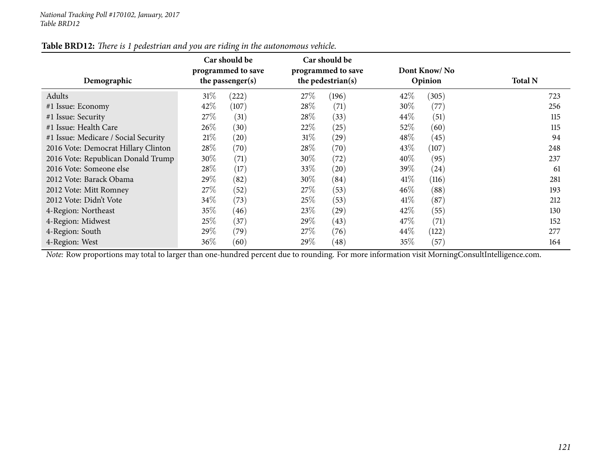| Demographic                          |        | Car should be<br>programmed to save<br>the passenger(s) |        | Car should be<br>programmed to save<br>the pedestrian(s) |        | Dont Know/No<br>Opinion | <b>Total N</b> |  |
|--------------------------------------|--------|---------------------------------------------------------|--------|----------------------------------------------------------|--------|-------------------------|----------------|--|
| Adults                               | $31\%$ | (222)                                                   | 27\%   | (196)                                                    | 42%    | (305)                   | 723            |  |
| #1 Issue: Economy                    | 42\%   | (107)                                                   | 28\%   | (71)                                                     | 30%    | (77)                    | 256            |  |
| #1 Issue: Security                   | 27\%   | (31)                                                    | 28\%   | (33)                                                     | 44%    | (51)                    | 115            |  |
| #1 Issue: Health Care                | 26\%   | (30)                                                    | 22\%   | (25)                                                     | 52%    | (60)                    | 115            |  |
| #1 Issue: Medicare / Social Security | 21%    | (20)                                                    | $31\%$ | (29)                                                     | 48%    | (45)                    | 94             |  |
| 2016 Vote: Democrat Hillary Clinton  | 28\%   | (70)                                                    | 28\%   | (70)                                                     | 43\%   | (107)                   | 248            |  |
| 2016 Vote: Republican Donald Trump   | $30\%$ | (71)                                                    | $30\%$ | (72)                                                     | $40\%$ | (95)                    | 237            |  |
| 2016 Vote: Someone else              | 28\%   | (17)                                                    | 33\%   | (20)                                                     | 39\%   | (24)                    | 61             |  |
| 2012 Vote: Barack Obama              | 29\%   | (82)                                                    | 30\%   | (84)                                                     | 41\%   | (116)                   | 281            |  |
| 2012 Vote: Mitt Romney               | 27\%   | (52)                                                    | 27\%   | (53)                                                     | $46\%$ | (88)                    | 193            |  |
| 2012 Vote: Didn't Vote               | $34\%$ | (73)                                                    | 25\%   | (53)                                                     | 41%    | (87)                    | 212            |  |
| 4-Region: Northeast                  | 35\%   | (46)                                                    | 23\%   | (29)                                                     | 42\%   | (55)                    | 130            |  |
| 4-Region: Midwest                    | $25\%$ | (37)                                                    | 29\%   | (43)                                                     | 47\%   | (71)                    | 152            |  |
| 4-Region: South                      | $29\%$ | (79)                                                    | 27%    | (76)                                                     | 44%    | (122)                   | 277            |  |
| 4-Region: West                       | 36\%   | (60)                                                    | 29\%   | (48)                                                     | 35%    | (57)                    | 164            |  |

# Table BRD12: There is 1 pedestrian and you are riding in the autonomous vehicle.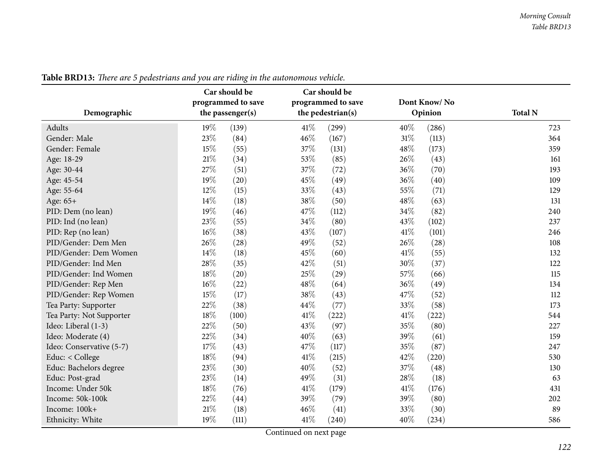| Demographic              | o<br>Car should be<br>programmed to save<br>the passenger(s) | Car should be<br>programmed to save<br>the pedestrian(s) | Dont Know/No<br>Opinion | <b>Total N</b> |
|--------------------------|--------------------------------------------------------------|----------------------------------------------------------|-------------------------|----------------|
| Adults                   | 19%<br>(139)                                                 | $41\%$<br>(299)                                          | 40%<br>(286)            | 723            |
| Gender: Male             | 23%<br>(84)                                                  | 46%<br>(167)                                             | 31%<br>(113)            | 364            |
| Gender: Female           | 15%<br>(55)                                                  | 37%<br>(131)                                             | 48%<br>(173)            | 359            |
| Age: 18-29               | $21\%$<br>(34)                                               | 53%<br>(85)                                              | 26%<br>(43)             | 161            |
| Age: 30-44               | 27%<br>(51)                                                  | 37%<br>(72)                                              | 36%<br>(70)             | 193            |
| Age: 45-54               | 19%<br>(20)                                                  | 45%<br>(49)                                              | 36%<br>(40)             | 109            |
| Age: 55-64               | 12%<br>(15)                                                  | 33%<br>(43)                                              | 55%<br>(71)             | 129            |
| Age: 65+                 | 14%<br>(18)                                                  | 38%<br>(50)                                              | 48%<br>(63)             | 131            |
| PID: Dem (no lean)       | 19%<br>(46)                                                  | 47%<br>(112)                                             | 34%<br>(82)             | 240            |
| PID: Ind (no lean)       | 23%<br>(55)                                                  | 34\%<br>(80)                                             | 43%<br>(102)            | 237            |
| PID: Rep (no lean)       | 16%<br>(38)                                                  | 43%<br>(107)                                             | 41\%<br>(101)           | 246            |
| PID/Gender: Dem Men      | 26%<br>(28)                                                  | 49%<br>(52)                                              | 26%<br>(28)             | 108            |
| PID/Gender: Dem Women    | 14%<br>(18)                                                  | 45%<br>(60)                                              | 41%<br>(55)             | 132            |
| PID/Gender: Ind Men      | 28\%<br>(35)                                                 | $42\%$<br>(51)                                           | 30%<br>(37)             | 122            |
| PID/Gender: Ind Women    | 18%<br>(20)                                                  | 25%<br>(29)                                              | 57%<br>(66)             | 115            |
| PID/Gender: Rep Men      | 16%<br>(22)                                                  | 48%<br>(64)                                              | 36%<br>(49)             | 134            |
| PID/Gender: Rep Women    | 15%<br>(17)                                                  | 38%<br>(43)                                              | 47%<br>(52)             | 112            |
| Tea Party: Supporter     | 22%<br>(38)                                                  | 44%<br>(77)                                              | 33%<br>(58)             | 173            |
| Tea Party: Not Supporter | 18%<br>(100)                                                 | 41\%<br>(222)                                            | 41\%<br>(222)           | 544            |
| Ideo: Liberal (1-3)      | 22%<br>(50)                                                  | 43%<br>(97)                                              | 35%<br>(80)             | 227            |
| Ideo: Moderate (4)       | 22%<br>(34)                                                  | 40%<br>(63)                                              | 39%<br>(61)             | 159            |
| Ideo: Conservative (5-7) | 17%<br>(43)                                                  | 47%<br>(117)                                             | 35%<br>(87)             | 247            |
| Educ: < College          | 18%<br>(94)                                                  | 41\%<br>(215)                                            | 42%<br>(220)            | 530            |
| Educ: Bachelors degree   | 23%<br>(30)                                                  | 40%<br>(52)                                              | 37%<br>(48)             | 130            |
| Educ: Post-grad          | 23%<br>(14)                                                  | 49%<br>(31)                                              | 28%<br>(18)             | 63             |
| Income: Under 50k        | 18%<br>(76)                                                  | 41\%<br>(179)                                            | 41\%<br>(176)           | 431            |
| Income: 50k-100k         | 22%<br>(44)                                                  | 39%<br>(79)                                              | 39%<br>(80)             | 202            |
| Income: 100k+            | 21%<br>(18)                                                  | 46%<br>(41)                                              | 33%<br>(30)             | 89             |
| Ethnicity: White         | 19%<br>(111)                                                 | 41\%<br>(240)                                            | 40%<br>(234)            | 586            |

Table BRD13: There are 5 pedestrians and you are riding in the autonomous vehicle.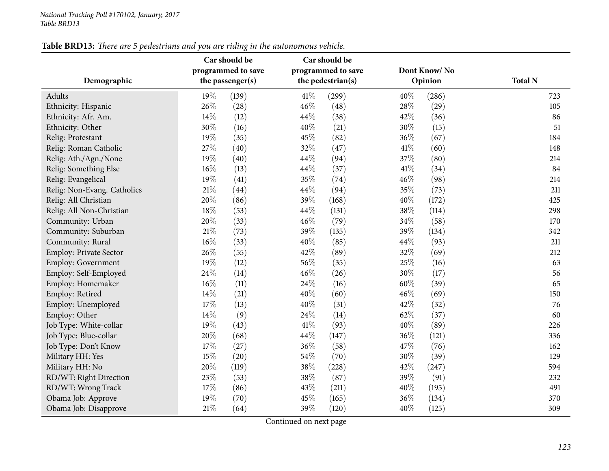| Demographic                 | Car should be<br>programmed to save<br>the passenger(s) |       |      | Car should be<br>programmed to save<br>the pedestrian(s) |      | Dont Know/No<br>Opinion | <b>Total N</b> |  |
|-----------------------------|---------------------------------------------------------|-------|------|----------------------------------------------------------|------|-------------------------|----------------|--|
| Adults                      | 19%                                                     | (139) | 41\% | (299)                                                    | 40%  | (286)                   | 723            |  |
| Ethnicity: Hispanic         | 26%                                                     | (28)  | 46%  | (48)                                                     | 28%  | (29)                    | 105            |  |
| Ethnicity: Afr. Am.         | 14\%                                                    | (12)  | 44%  | (38)                                                     | 42%  | (36)                    | 86             |  |
| Ethnicity: Other            | 30%                                                     | (16)  | 40%  | (21)                                                     | 30%  | (15)                    | 51             |  |
| Relig: Protestant           | 19%                                                     | (35)  | 45%  | (82)                                                     | 36%  | (67)                    | 184            |  |
| Relig: Roman Catholic       | 27%                                                     | (40)  | 32%  | (47)                                                     | 41\% | (60)                    | 148            |  |
| Relig: Ath./Agn./None       | 19%                                                     | (40)  | 44%  | (94)                                                     | 37%  | (80)                    | 214            |  |
| Relig: Something Else       | 16%                                                     | (13)  | 44%  | (37)                                                     | 41%  | (34)                    | 84             |  |
| Relig: Evangelical          | 19%                                                     | (41)  | 35%  | (74)                                                     | 46%  | (98)                    | 214            |  |
| Relig: Non-Evang. Catholics | $21\%$                                                  | (44)  | 44%  | (94)                                                     | 35%  | (73)                    | 211            |  |
| Relig: All Christian        | 20%                                                     | (86)  | 39%  | (168)                                                    | 40%  | (172)                   | 425            |  |
| Relig: All Non-Christian    | 18%                                                     | (53)  | 44%  | (131)                                                    | 38%  | (114)                   | 298            |  |
| Community: Urban            | 20%                                                     | (33)  | 46%  | (79)                                                     | 34%  | (58)                    | 170            |  |
| Community: Suburban         | $21\%$                                                  | (73)  | 39%  | (135)                                                    | 39%  | (134)                   | 342            |  |
| Community: Rural            | 16%                                                     | (33)  | 40%  | (85)                                                     | 44%  | (93)                    | 211            |  |
| Employ: Private Sector      | 26\%                                                    | (55)  | 42%  | (89)                                                     | 32%  | (69)                    | 212            |  |
| Employ: Government          | 19%                                                     | (12)  | 56%  | (35)                                                     | 25%  | (16)                    | 63             |  |
| Employ: Self-Employed       | 24\%                                                    | (14)  | 46%  | (26)                                                     | 30%  | (17)                    | 56             |  |
| Employ: Homemaker           | 16%                                                     | (11)  | 24%  | (16)                                                     | 60%  | (39)                    | 65             |  |
| Employ: Retired             | 14\%                                                    | (21)  | 40%  | (60)                                                     | 46%  | (69)                    | 150            |  |
| Employ: Unemployed          | 17%                                                     | (13)  | 40%  | (31)                                                     | 42%  | (32)                    | 76             |  |
| Employ: Other               | 14%                                                     | (9)   | 24%  | (14)                                                     | 62%  | (37)                    | 60             |  |
| Job Type: White-collar      | 19%                                                     | (43)  | 41%  | (93)                                                     | 40%  | (89)                    | 226            |  |
| Job Type: Blue-collar       | 20%                                                     | (68)  | 44%  | (147)                                                    | 36%  | (121)                   | 336            |  |
| Job Type: Don't Know        | 17%                                                     | (27)  | 36%  | (58)                                                     | 47%  | (76)                    | 162            |  |
| Military HH: Yes            | 15%                                                     | (20)  | 54%  | (70)                                                     | 30%  | (39)                    | 129            |  |
| Military HH: No             | 20%                                                     | (119) | 38%  | (228)                                                    | 42%  | (247)                   | 594            |  |
| RD/WT: Right Direction      | 23%                                                     | (53)  | 38%  | (87)                                                     | 39%  | (91)                    | 232            |  |
| RD/WT: Wrong Track          | 17%                                                     | (86)  | 43%  | (211)                                                    | 40%  | (195)                   | 491            |  |
| Obama Job: Approve          | 19%                                                     | (70)  | 45%  | (165)                                                    | 36%  | (134)                   | 370            |  |
| Obama Job: Disapprove       | $21\%$                                                  | (64)  | 39%  | (120)                                                    | 40%  | (125)                   | 309            |  |

Table BRD13: There are 5 pedestrians and you are riding in the autonomous vehicle.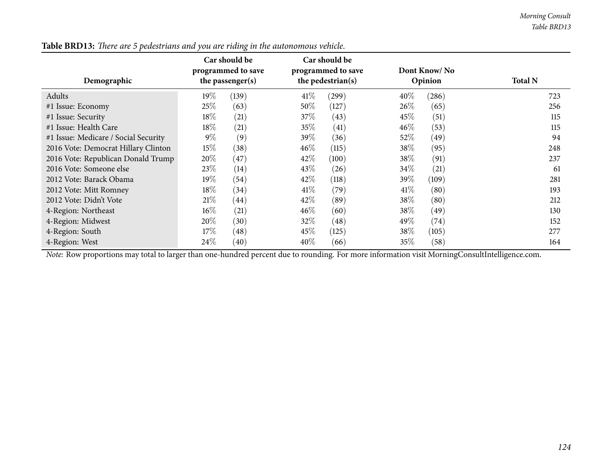| Demographic                          |        | Car should be<br>programmed to save<br>the passenger(s) |        | Car should be<br>programmed to save<br>the pedestrian(s) |        | Dont Know/No<br>Opinion | <b>Total N</b> |     |
|--------------------------------------|--------|---------------------------------------------------------|--------|----------------------------------------------------------|--------|-------------------------|----------------|-----|
| Adults                               | $19\%$ | (139)                                                   | 41\%   | (299)                                                    | $40\%$ | (286)                   |                | 723 |
| #1 Issue: Economy                    | 25%    | (63)                                                    | 50%    | (127)                                                    | 26\%   | (65)                    |                | 256 |
| #1 Issue: Security                   | 18%    | (21)                                                    | 37\%   | (43)                                                     | 45\%   | (51)                    |                | 115 |
| #1 Issue: Health Care                | $18\%$ | (21)                                                    | 35\%   | (41)                                                     | $46\%$ | (53)                    |                | 115 |
| #1 Issue: Medicare / Social Security | $9\%$  | (9)                                                     | $39\%$ | (36)                                                     | $52\%$ | (49)                    |                | 94  |
| 2016 Vote: Democrat Hillary Clinton  | 15%    | (38)                                                    | $46\%$ | (115)                                                    | 38\%   | (95)                    |                | 248 |
| 2016 Vote: Republican Donald Trump   | $20\%$ | (47)                                                    | 42\%   | (100)                                                    | 38\%   | (91)                    |                | 237 |
| 2016 Vote: Someone else              | 23%    | (14)                                                    | 43\%   | (26)                                                     | 34\%   | (21)                    |                | 61  |
| 2012 Vote: Barack Obama              | $19\%$ | (54)                                                    | 42\%   | (118)                                                    | $39\%$ | (109)                   |                | 281 |
| 2012 Vote: Mitt Romney               | 18%    | (34)                                                    | 41\%   | (79)                                                     | 41\%   | (80)                    |                | 193 |
| 2012 Vote: Didn't Vote               | 21%    | (44)                                                    | 42\%   | (89)                                                     | 38\%   | (80)                    |                | 212 |
| 4-Region: Northeast                  | $16\%$ | (21)                                                    | $46\%$ | (60)                                                     | 38\%   | (49)                    |                | 130 |
| 4-Region: Midwest                    | $20\%$ | (30)                                                    | $32\%$ | (48)                                                     | 49\%   | (74)                    |                | 152 |
| 4-Region: South                      | 17%    | $\left( 48\right)$                                      | 45\%   | (125)                                                    | 38%    | (105)                   |                | 277 |
| 4-Region: West                       | $24\%$ | (40)                                                    | 40\%   | (66)                                                     | 35%    | (58)                    |                | 164 |

Table BRD13: There are 5 pedestrians and you are riding in the autonomous vehicle.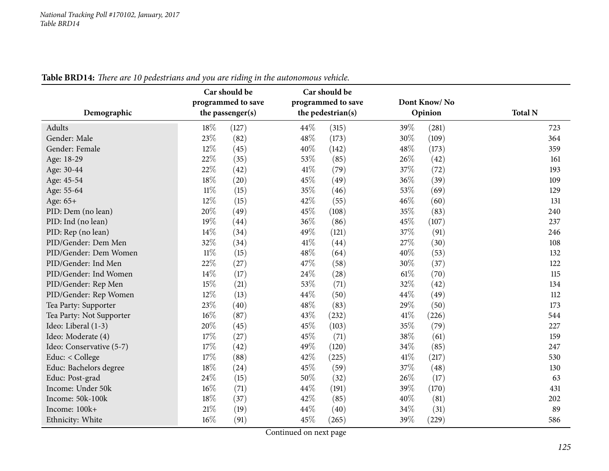| Demographic              | $\circ$<br>Car should be<br>programmed to save<br>the passenger(s) | Car should be<br>programmed to save<br>the pedestrian(s) | Dont Know/No<br>Opinion | <b>Total N</b> |
|--------------------------|--------------------------------------------------------------------|----------------------------------------------------------|-------------------------|----------------|
| Adults                   | 18%<br>(127)                                                       | 44\%<br>(315)                                            | 39%<br>(281)            | 723            |
| Gender: Male             | 23%<br>(82)                                                        | 48\%<br>(173)                                            | 30%<br>(109)            | 364            |
| Gender: Female           | 12%<br>(45)                                                        | 40%<br>(142)                                             | 48%<br>(173)            | 359            |
| Age: 18-29               | 22%<br>(35)                                                        | 53%<br>(85)                                              | 26%<br>(42)             | 161            |
| Age: 30-44               | 22%<br>(42)                                                        | 41\%<br>(79)                                             | 37%<br>(72)             | 193            |
| Age: 45-54               | 18%<br>(20)                                                        | 45%<br>(49)                                              | 36%<br>(39)             | 109            |
| Age: 55-64               | $11\%$<br>(15)                                                     | 35%<br>(46)                                              | 53%<br>(69)             | 129            |
| Age: 65+                 | 12%<br>(15)                                                        | 42%<br>(55)                                              | 46%<br>(60)             | 131            |
| PID: Dem (no lean)       | 20%<br>(49)                                                        | 45%<br>(108)                                             | 35%<br>(83)             | 240            |
| PID: Ind (no lean)       | 19%<br>(44)                                                        | 36%<br>(86)                                              | 45%<br>(107)            | 237            |
| PID: Rep (no lean)       | 14\%<br>(34)                                                       | 49%<br>(121)                                             | 37%<br>(91)             | 246            |
| PID/Gender: Dem Men      | 32%<br>(34)                                                        | 41\%<br>(44)                                             | 27%<br>(30)             | 108            |
| PID/Gender: Dem Women    | $11\%$<br>(15)                                                     | 48%<br>(64)                                              | 40%<br>(53)             | 132            |
| PID/Gender: Ind Men      | 22%<br>(27)                                                        | 47\%<br>(58)                                             | 30%<br>(37)             | 122            |
| PID/Gender: Ind Women    | $14\%$<br>(17)                                                     | 24\%<br>(28)                                             | 61%<br>(70)             | 115            |
| PID/Gender: Rep Men      | 15%<br>(21)                                                        | 53%<br>(71)                                              | 32%<br>(42)             | 134            |
| PID/Gender: Rep Women    | 12%<br>(13)                                                        | 44%<br>(50)                                              | 44%<br>(49)             | 112            |
| Tea Party: Supporter     | 23%<br>(40)                                                        | 48%<br>(83)                                              | 29%<br>(50)             | 173            |
| Tea Party: Not Supporter | $16\%$<br>(87)                                                     | 43%<br>(232)                                             | 41\%<br>(226)           | 544            |
| Ideo: Liberal (1-3)      | 20%<br>(45)                                                        | 45%<br>(103)                                             | 35%<br>(79)             | 227            |
| Ideo: Moderate (4)       | 17%<br>(27)                                                        | 45%<br>(71)                                              | 38%<br>(61)             | 159            |
| Ideo: Conservative (5-7) | $17\%$<br>(42)                                                     | 49%<br>(120)                                             | 34%<br>(85)             | 247            |
| Educ: < College          | 17%<br>(88)                                                        | 42%<br>(225)                                             | 41\%<br>(217)           | 530            |
| Educ: Bachelors degree   | 18%<br>(24)                                                        | 45%<br>(59)                                              | 37%<br>(48)             | 130            |
| Educ: Post-grad          | 24%<br>(15)                                                        | 50%<br>(32)                                              | 26%<br>(17)             | 63             |
| Income: Under 50k        | $16\%$<br>(71)                                                     | 44%<br>(191)                                             | 39%<br>(170)            | 431            |
| Income: 50k-100k         | 18%<br>(37)                                                        | 42%<br>(85)                                              | 40%<br>(81)             | 202            |
| Income: 100k+            | 21\%<br>(19)                                                       | 44%<br>(40)                                              | 34%<br>(31)             | 89             |
| Ethnicity: White         | 16%<br>(91)                                                        | 45%<br>(265)                                             | 39%<br>(229)            | 586            |

Table BRD14: There are 10 pedestrians and you are riding in the autonomous vehicle.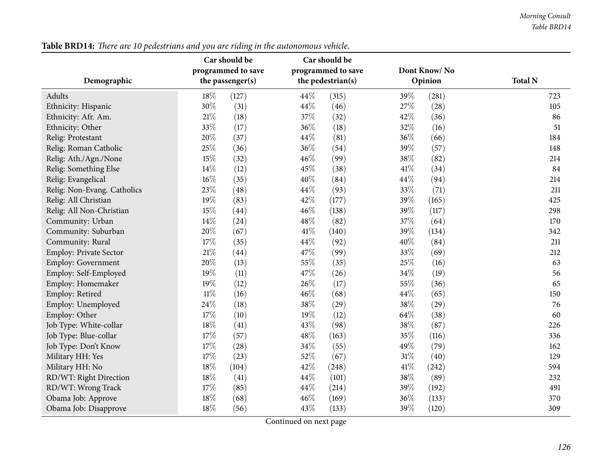| Table BRD14: There are 10 pedestrians and you are riding in the autonomous vehicle. |
|-------------------------------------------------------------------------------------|
|-------------------------------------------------------------------------------------|

| Demographic                 | Car should be<br>programmed to save<br>the passenger(s) |       |        | Car should be<br>programmed to save<br>the pedestrian(s) |        | Dont Know/No<br>Opinion | <b>Total N</b> |
|-----------------------------|---------------------------------------------------------|-------|--------|----------------------------------------------------------|--------|-------------------------|----------------|
| Adults                      | 18%                                                     | (127) | 44\%   | (315)                                                    | 39%    | (281)                   | 723            |
| Ethnicity: Hispanic         | 30%                                                     | (31)  | 44\%   | (46)                                                     | 27%    | (28)                    | 105            |
| Ethnicity: Afr. Am.         | 21%                                                     | (18)  | 37%    | (32)                                                     | 42%    | (36)                    | 86             |
| Ethnicity: Other            | 33%                                                     | (17)  | 36%    | (18)                                                     | 32%    | (16)                    | 51             |
| Relig: Protestant           | $20\%$                                                  | (37)  | 44\%   | (81)                                                     | 36%    | (66)                    | 184            |
| Relig: Roman Catholic       | 25%                                                     | (36)  | $36\%$ | (54)                                                     | 39%    | (57)                    | 148            |
| Relig: Ath./Agn./None       | 15%                                                     | (32)  | 46%    | (99)                                                     | 38%    | (82)                    | 214            |
| Relig: Something Else       | 14%                                                     | (12)  | 45%    | (38)                                                     | 41\%   | (34)                    | 84             |
| Relig: Evangelical          | 16%                                                     | (35)  | 40%    | (84)                                                     | 44%    | (94)                    | 214            |
| Relig: Non-Evang. Catholics | 23%                                                     | (48)  | 44\%   | (93)                                                     | 33%    | (71)                    | 211            |
| Relig: All Christian        | 19%                                                     | (83)  | 42%    | (177)                                                    | 39%    | (165)                   | 425            |
| Relig: All Non-Christian    | 15%                                                     | (44)  | 46\%   | (138)                                                    | 39%    | (117)                   | 298            |
| Community: Urban            | 14%                                                     | (24)  | 48%    | (82)                                                     | 37%    | (64)                    | 170            |
| Community: Suburban         | 20%                                                     | (67)  | 41\%   | (140)                                                    | 39%    | (134)                   | 342            |
| Community: Rural            | 17%                                                     | (35)  | 44\%   | (92)                                                     | 40%    | (84)                    | 211            |
| Employ: Private Sector      | 21%                                                     | (44)  | 47%    | (99)                                                     | 33%    | (69)                    | 212            |
| Employ: Government          | 20%                                                     | (13)  | 55%    | (35)                                                     | 25%    | (16)                    | 63             |
| Employ: Self-Employed       | 19%                                                     | (11)  | 47\%   | (26)                                                     | 34%    | (19)                    | 56             |
| Employ: Homemaker           | 19%                                                     | (12)  | 26%    | (17)                                                     | 55%    | (36)                    | 65             |
| Employ: Retired             | $11\%$                                                  | (16)  | 46%    | (68)                                                     | 44%    | (65)                    | 150            |
| Employ: Unemployed          | 24%                                                     | (18)  | 38%    | (29)                                                     | 38%    | (29)                    | 76             |
| Employ: Other               | 17%                                                     | (10)  | 19%    | (12)                                                     | 64%    | (38)                    | 60             |
| Job Type: White-collar      | 18%                                                     | (41)  | 43%    | (98)                                                     | 38%    | (87)                    | 226            |
| Job Type: Blue-collar       | 17%                                                     | (57)  | 48%    | (163)                                                    | 35%    | (116)                   | 336            |
| Job Type: Don't Know        | 17%                                                     | (28)  | $34\%$ | (55)                                                     | 49%    | (79)                    | 162            |
| Military HH: Yes            | 17%                                                     | (23)  | 52%    | (67)                                                     | $31\%$ | (40)                    | 129            |
| Military HH: No             | 18%                                                     | (104) | 42%    | (248)                                                    | 41\%   | (242)                   | 594            |
| RD/WT: Right Direction      | 18%                                                     | (41)  | 44\%   | (101)                                                    | 38%    | (89)                    | 232            |
| RD/WT: Wrong Track          | 17%                                                     | (85)  | 44%    | (214)                                                    | 39%    | (192)                   | 491            |
| Obama Job: Approve          | 18%                                                     | (68)  | 46%    | (169)                                                    | 36%    | (133)                   | 370            |
| Obama Job: Disapprove       | 18%                                                     | (56)  | 43%    | (133)                                                    | 39%    | (120)                   | 309            |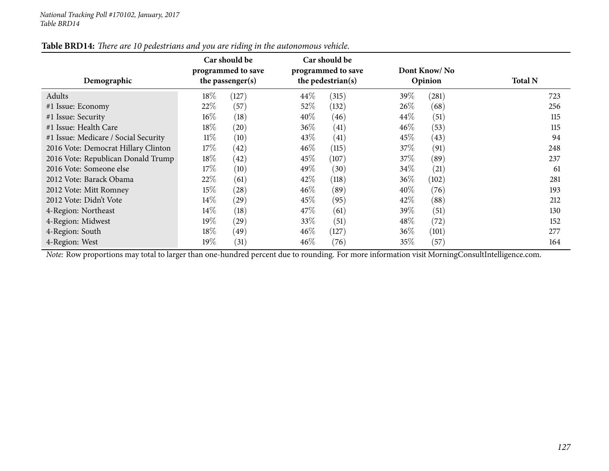| Demographic                          |        | Car should be<br>programmed to save<br>the passenger(s) |        | Car should be<br>programmed to save<br>the pedestrian(s) |        | Dont Know/No<br>Opinion | <b>Total N</b> |     |
|--------------------------------------|--------|---------------------------------------------------------|--------|----------------------------------------------------------|--------|-------------------------|----------------|-----|
| Adults                               | 18%    | (127)                                                   | 44\%   | (315)                                                    | 39\%   | (281)                   |                | 723 |
| #1 Issue: Economy                    | 22%    | (57)                                                    | $52\%$ | (132)                                                    | $26\%$ | (68)                    |                | 256 |
| #1 Issue: Security                   | $16\%$ | (18)                                                    | $40\%$ | (46)                                                     | 44\%   | (51)                    |                | 115 |
| #1 Issue: Health Care                | 18%    | $\left( 20\right)$                                      | 36\%   | (41)                                                     | 46%    | (53)                    |                | 115 |
| #1 Issue: Medicare / Social Security | $11\%$ | (10)                                                    | 43\%   | (41)                                                     | 45\%   | (43)                    |                | 94  |
| 2016 Vote: Democrat Hillary Clinton  | 17%    | $\left( 42\right)$                                      | $46\%$ | (115)                                                    | 37\%   | (91)                    |                | 248 |
| 2016 Vote: Republican Donald Trump   | 18%    | (42)                                                    | 45\%   | (107)                                                    | 37\%   | (89)                    |                | 237 |
| 2016 Vote: Someone else              | $17\%$ | (10)                                                    | 49%    | (30)                                                     | 34\%   | (21)                    |                | 61  |
| 2012 Vote: Barack Obama              | 22\%   | (61)                                                    | 42\%   | (118)                                                    | 36\%   | (102)                   |                | 281 |
| 2012 Vote: Mitt Romney               | $15\%$ | $\left( 28\right)$                                      | $46\%$ | (89)                                                     | 40%    | (76)                    |                | 193 |
| 2012 Vote: Didn't Vote               | $14\%$ | $\left( 29\right)$                                      | 45\%   | (95)                                                     | 42%    | (88)                    |                | 212 |
| 4-Region: Northeast                  | $14\%$ | (18)                                                    | 47\%   | (61)                                                     | 39\%   | (51)                    |                | 130 |
| 4-Region: Midwest                    | $19\%$ | $\left( 29\right)$                                      | 33\%   | (51)                                                     | 48\%   | (72)                    |                | 152 |
| 4-Region: South                      | $18\%$ | (49)                                                    | $46\%$ | (127)                                                    | $36\%$ | (101)                   |                | 277 |
| 4-Region: West                       | $19\%$ | (31)                                                    | $46\%$ | (76)                                                     | 35%    | (57)                    |                | 164 |

Table BRD14: There are 10 pedestrians and you are riding in the autonomous vehicle.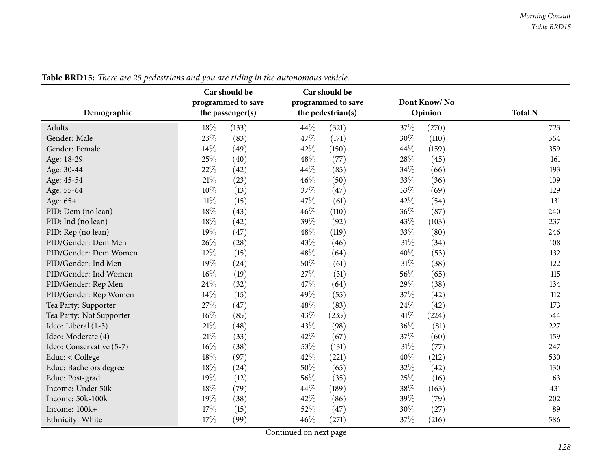| Demographic              | Car should be<br>programmed to save<br>the passenger(s) | Car should be<br>programmed to save<br>the pedestrian(s) | Dont Know/No<br>Opinion | <b>Total N</b> |
|--------------------------|---------------------------------------------------------|----------------------------------------------------------|-------------------------|----------------|
| Adults                   | 18%<br>(133)                                            | 44\%<br>(321)                                            | 37%<br>(270)            | 723            |
| Gender: Male             | 23%<br>(83)                                             | 47\%<br>(171)                                            | 30%<br>(110)            | 364            |
| Gender: Female           | 14\%<br>(49)                                            | 42%<br>(150)                                             | 44%<br>(159)            | 359            |
| Age: 18-29               | 25%<br>(40)                                             | 48\%<br>(77)                                             | 28%<br>(45)             | 161            |
| Age: 30-44               | 22%<br>(42)                                             | 44%<br>(85)                                              | 34%<br>(66)             | 193            |
| Age: 45-54               | $21\%$<br>(23)                                          | 46%<br>(50)                                              | 33%<br>(36)             | 109            |
| Age: 55-64               | 10%<br>(13)                                             | 37%<br>(47)                                              | 53%<br>(69)             | 129            |
| Age: 65+                 | $11\%$<br>(15)                                          | 47%<br>(61)                                              | 42%<br>(54)             | 131            |
| PID: Dem (no lean)       | 18%<br>(43)                                             | 46%<br>(110)                                             | 36%<br>(87)             | 240            |
| PID: Ind (no lean)       | 18%<br>(42)                                             | 39%<br>(92)                                              | 43%<br>(103)            | 237            |
| PID: Rep (no lean)       | 19%<br>(47)                                             | 48%<br>(119)                                             | 33%<br>(80)             | 246            |
| PID/Gender: Dem Men      | 26%<br>(28)                                             | 43%<br>(46)                                              | 31%<br>(34)             | 108            |
| PID/Gender: Dem Women    | 12%<br>(15)                                             | 48%<br>(64)                                              | 40%<br>(53)             | 132            |
| PID/Gender: Ind Men      | 19%<br>(24)                                             | 50%<br>(61)                                              | 31%<br>(38)             | 122            |
| PID/Gender: Ind Women    | 16%<br>(19)                                             | 27%<br>(31)                                              | 56%<br>(65)             | 115            |
| PID/Gender: Rep Men      | 24%<br>(32)                                             | 47%<br>(64)                                              | 29%<br>(38)             | 134            |
| PID/Gender: Rep Women    | 14%<br>(15)                                             | 49%<br>(55)                                              | 37%<br>(42)             | 112            |
| Tea Party: Supporter     | 27%<br>(47)                                             | 48%<br>(83)                                              | 24%<br>(42)             | 173            |
| Tea Party: Not Supporter | 16%<br>(85)                                             | 43%<br>(235)                                             | 41\%<br>(224)           | 544            |
| Ideo: Liberal (1-3)      | 21%<br>(48)                                             | 43%<br>(98)                                              | 36%<br>(81)             | 227            |
| Ideo: Moderate (4)       | 21%<br>(33)                                             | 42%<br>(67)                                              | 37%<br>(60)             | 159            |
| Ideo: Conservative (5-7) | 16%<br>(38)                                             | 53%<br>(131)                                             | 31%<br>(77)             | 247            |
| Educ: < College          | 18%<br>(97)                                             | 42%<br>(221)                                             | 40%<br>(212)            | 530            |
| Educ: Bachelors degree   | 18%<br>(24)                                             | 50%<br>(65)                                              | 32%<br>(42)             | 130            |
| Educ: Post-grad          | 19%<br>(12)                                             | 56%<br>(35)                                              | 25%<br>(16)             | 63             |
| Income: Under 50k        | 18%<br>(79)                                             | 44%<br>(189)                                             | 38%<br>(163)            | 431            |
| Income: 50k-100k         | 19%<br>(38)                                             | 42%<br>(86)                                              | 39%<br>(79)             | 202            |
| Income: 100k+            | 17%<br>(15)                                             | 52%<br>(47)                                              | 30%<br>(27)             | 89             |
| Ethnicity: White         | 17%<br>(99)                                             | 46%<br>(271)                                             | 37%<br>(216)            | 586            |

Table BRD15: There are 25 pedestrians and you are riding in the autonomous vehicle.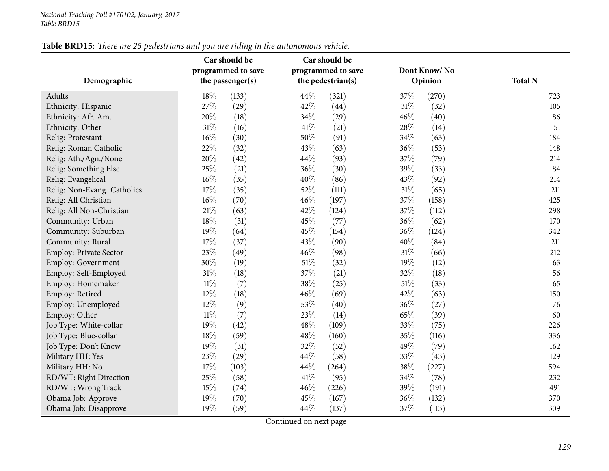Military HH: Yes

Military HH: No

RD/WT: Right Direction

RD/WT: Wrong Track

Obama Job: Disapprove

| Demographic                 | Car should be<br>programmed to save<br>the passenger(s) | Car should be<br>programmed to save<br>the pedestrian(s) | Dont Know/No<br>Opinion | <b>Total N</b> |
|-----------------------------|---------------------------------------------------------|----------------------------------------------------------|-------------------------|----------------|
|                             |                                                         |                                                          |                         |                |
| Adults                      | $18\%$<br>(133)                                         | 44\%<br>(321)                                            | 37%<br>(270)            | 723            |
| Ethnicity: Hispanic         | 27%<br>(29)                                             | 42%<br>(44)                                              | 31%<br>(32)             | 105            |
| Ethnicity: Afr. Am.         | 20%<br>(18)                                             | 34\%<br>(29)                                             | 46\%<br>(40)            | 86             |
| Ethnicity: Other            | 31%<br>(16)                                             | $41\%$<br>(21)                                           | 28%<br>(14)             | 51             |
| Relig: Protestant           | 16%<br>(30)                                             | 50%<br>(91)                                              | 34\%<br>(63)            | 184            |
| Relig: Roman Catholic       | 22%<br>(32)                                             | 43\%<br>(63)                                             | (53)<br>36%             | 148            |
| Relig: Ath./Agn./None       | 20%<br>(42)                                             | 44\%<br>(93)                                             | 37%<br>(79)             | 214            |
| Relig: Something Else       | 25%<br>(21)                                             | 36\%<br>(30)                                             | (33)<br>39\%            | 84             |
| Relig: Evangelical          | 16%<br>(35)                                             | 40\%<br>(86)                                             | 43%<br>(92)             | 214            |
| Relig: Non-Evang. Catholics | 17%<br>(35)                                             | 52\%<br>(111)                                            | 31%<br>(65)             | 211            |
| Relig: All Christian        | 16%<br>(70)                                             | $46\%$<br>(197)                                          | 37%<br>(158)            | 425            |
| Relig: All Non-Christian    | 21%<br>(63)                                             | 42\%<br>(124)                                            | 37%<br>(112)            | 298            |
| Community: Urban            | 18%<br>(31)                                             | 45\%<br>(77)                                             | 36\%<br>(62)            | 170            |
| Community: Suburban         | 19%<br>(64)                                             | 45%<br>(154)                                             | 36%<br>(124)            | 342            |
| Community: Rural            | 17%<br>(37)                                             | 43\%<br>(90)                                             | 40%<br>(84)             | 211            |
| Employ: Private Sector      | 23%<br>(49)                                             | 46\%<br>(98)                                             | 31%<br>(66)             | 212            |
| <b>Employ: Government</b>   | 30%<br>(19)                                             | 51\%<br>(32)                                             | 19%<br>(12)             | 63             |
| Employ: Self-Employed       | 31%<br>(18)                                             | 37%<br>(21)                                              | (18)<br>32%             | 56             |
| Employ: Homemaker           | $11\%$<br>(7)                                           | 38\%<br>(25)                                             | 51\%<br>(33)            | 65             |
| Employ: Retired             | 12%<br>(18)                                             | 46\%<br>(69)                                             | 42\%<br>(63)            | 150            |
| Employ: Unemployed          | 12%<br>(9)                                              | 53%<br>(40)                                              | 36%<br>(27)             | 76             |
| Employ: Other               | (7)<br>$11\%$                                           | 23\%<br>(14)                                             | (39)<br>65\%            | 60             |
| Job Type: White-collar      | 19%<br>(42)                                             | 48\%<br>(109)                                            | 33%<br>(75)             | 226            |
| Job Type: Blue-collar       | 18%<br>(59)                                             | $48\%$<br>(160)                                          | 35%<br>(116)            | 336            |
| Job Type: Don't Know        | 19%<br>(31)                                             | 32\%<br>(52)                                             | 49%<br>(79)             | 162            |
|                             |                                                         | $\sim$                                                   |                         |                |

Table BRD15: There are 25 pedestrians and you are riding in the autonomous vehicle.

Continued on next page

Obama Job: Approve 19% (70)  $45\%$  (167)  $36\%$  (132) 370<br>
Obama Job: Disapprove 19% (59)  $44\%$  (137)  $37\%$  (113) 379 (113) 309

Military HH: Yes 23<sup>%</sup> (29) 44<sup>%</sup> (58) 33<sup>%</sup> (43) 29

 $17\%$  (103)  $44\%$  (264)  $38\%$  (227) 594

n 25% (58)  $41\%$  (95)  $34\%$  (78) 232

k  $15\%$  (74)  $46\%$  (226)  $39\%$  (191)  $491$ 

105

51

148

84

214

211

226

336

162

594

309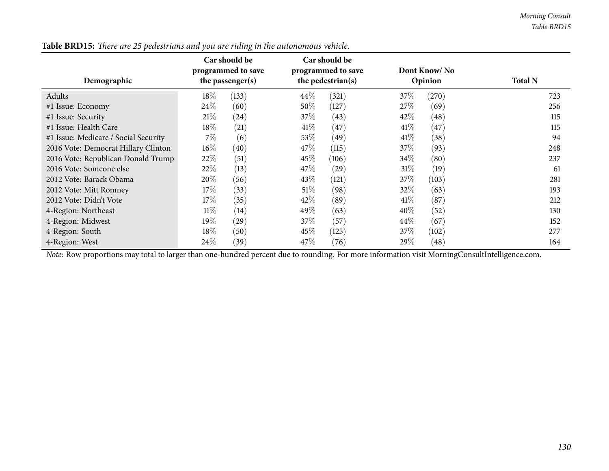| Demographic                          |        | Car should be<br>programmed to save<br>the passenger(s) |        | Car should be<br>programmed to save<br>the pedestrian(s) |        | Dont Know/No<br>Opinion | <b>Total N</b>                                                                                                                                                                                                                                                                                                                     |     |
|--------------------------------------|--------|---------------------------------------------------------|--------|----------------------------------------------------------|--------|-------------------------|------------------------------------------------------------------------------------------------------------------------------------------------------------------------------------------------------------------------------------------------------------------------------------------------------------------------------------|-----|
| Adults                               | 18%    | (133)                                                   | $44\%$ | (321)                                                    | 37%    | (270)                   |                                                                                                                                                                                                                                                                                                                                    | 723 |
| #1 Issue: Economy                    | 24\%   | (60)                                                    | 50%    | (127)                                                    | 27%    | (69)                    |                                                                                                                                                                                                                                                                                                                                    | 256 |
| #1 Issue: Security                   | 21%    | (24)                                                    | 37\%   | (43)                                                     | 42\%   | (48)                    |                                                                                                                                                                                                                                                                                                                                    | 115 |
| #1 Issue: Health Care                | $18\%$ | (21)                                                    | $41\%$ | (47)                                                     | 41\%   | $\left(47\right)$       |                                                                                                                                                                                                                                                                                                                                    | 115 |
| #1 Issue: Medicare / Social Security | $7\%$  | (6)                                                     | 53\%   | (49)                                                     | 41\%   | (38)                    |                                                                                                                                                                                                                                                                                                                                    | 94  |
| 2016 Vote: Democrat Hillary Clinton  | $16\%$ | (40)                                                    | 47\%   | (115)                                                    | 37\%   | (93)                    |                                                                                                                                                                                                                                                                                                                                    | 248 |
| 2016 Vote: Republican Donald Trump   | 22%    | (51)                                                    | 45\%   | (106)                                                    | $34\%$ | (80)                    |                                                                                                                                                                                                                                                                                                                                    | 237 |
| 2016 Vote: Someone else              | 22%    | (13)                                                    | 47\%   | $\left( 29\right)$                                       | 31%    | (19)                    |                                                                                                                                                                                                                                                                                                                                    | 61  |
| 2012 Vote: Barack Obama              | 20%    | (56)                                                    | 43\%   | (121)                                                    | 37%    | (103)                   |                                                                                                                                                                                                                                                                                                                                    | 281 |
| 2012 Vote: Mitt Romney               | 17%    | (33)                                                    | $51\%$ | (98)                                                     | 32\%   | (63)                    |                                                                                                                                                                                                                                                                                                                                    | 193 |
| 2012 Vote: Didn't Vote               | 17%    | (35)                                                    | 42%    | (89)                                                     | 41\%   | (87)                    |                                                                                                                                                                                                                                                                                                                                    | 212 |
| 4-Region: Northeast                  | $11\%$ | (14)                                                    | 49\%   | (63)                                                     | $40\%$ | (52)                    |                                                                                                                                                                                                                                                                                                                                    | 130 |
| 4-Region: Midwest                    | 19%    | $\left( 29\right)$                                      | 37%    | (57)                                                     | 44%    | (67)                    |                                                                                                                                                                                                                                                                                                                                    | 152 |
| 4-Region: South                      | 18%    | (50)                                                    | $45\%$ | (125)                                                    | 37\%   | (102)                   |                                                                                                                                                                                                                                                                                                                                    | 277 |
| 4-Region: West<br>$\sim$ $\sim$      | $24\%$ | (39)                                                    | 47\%   | (76)<br>$\sim$ $\sim$                                    | 29\%   | (48)                    | $\mathbf{v}$ $\mathbf{v}$ $\mathbf{v}$ $\mathbf{v}$ $\mathbf{v}$ $\mathbf{v}$ $\mathbf{v}$ $\mathbf{v}$ $\mathbf{v}$ $\mathbf{v}$ $\mathbf{v}$ $\mathbf{v}$ $\mathbf{v}$ $\mathbf{v}$ $\mathbf{v}$ $\mathbf{v}$ $\mathbf{v}$ $\mathbf{v}$ $\mathbf{v}$ $\mathbf{v}$ $\mathbf{v}$ $\mathbf{v}$ $\mathbf{v}$ $\mathbf{v}$ $\mathbf{$ | 164 |

Table BRD15: There are 25 pedestrians and you are riding in the autonomous vehicle.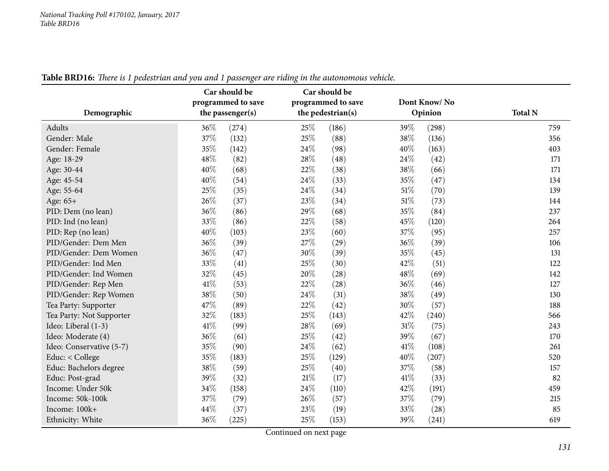| Demographic              | Car should be<br>programmed to save<br>the passenger(s) | Car should be<br>programmed to save<br>the pedestrian(s) | Dont Know/No<br>Opinion | <b>Total N</b> |
|--------------------------|---------------------------------------------------------|----------------------------------------------------------|-------------------------|----------------|
| Adults                   | 36%<br>(274)                                            | 25%<br>(186)                                             | 39%<br>(298)            | 759            |
| Gender: Male             | 37%<br>(132)                                            | 25%<br>(88)                                              | 38%<br>(136)            | 356            |
| Gender: Female           | 35%<br>(142)                                            | 24%<br>(98)                                              | 40%<br>(163)            | 403            |
| Age: 18-29               | 48%<br>(82)                                             | 28%<br>(48)                                              | 24%<br>(42)             | 171            |
| Age: 30-44               | 40%<br>(68)                                             | 22%<br>(38)                                              | 38%<br>(66)             | 171            |
| Age: 45-54               | $40\%$<br>(54)                                          | 24\%<br>(33)                                             | 35%<br>(47)             | 134            |
| Age: 55-64               | 25%<br>(35)                                             | 24\%<br>(34)                                             | 51\%<br>(70)            | 139            |
| Age: 65+                 | 26%<br>(37)                                             | 23%<br>(34)                                              | 51%<br>(73)             | 144            |
| PID: Dem (no lean)       | 36%<br>(86)                                             | 29%<br>(68)                                              | 35%<br>(84)             | 237            |
| PID: Ind (no lean)       | 33%<br>(86)                                             | 22%<br>(58)                                              | 45%<br>(120)            | 264            |
| PID: Rep (no lean)       | 40%<br>(103)                                            | 23%<br>(60)                                              | 37%<br>(95)             | 257            |
| PID/Gender: Dem Men      | 36%<br>(39)                                             | 27%<br>(29)                                              | 36%<br>(39)             | 106            |
| PID/Gender: Dem Women    | 36%<br>(47)                                             | 30%<br>(39)                                              | 35%<br>(45)             | 131            |
| PID/Gender: Ind Men      | 33%<br>(41)                                             | 25%<br>(30)                                              | 42%<br>(51)             | 122            |
| PID/Gender: Ind Women    | 32%<br>(45)                                             | 20%<br>(28)                                              | 48%<br>(69)             | 142            |
| PID/Gender: Rep Men      | 41%<br>(53)                                             | 22%<br>(28)                                              | 36%<br>(46)             | 127            |
| PID/Gender: Rep Women    | 38%<br>(50)                                             | 24%<br>(31)                                              | 38%<br>(49)             | 130            |
| Tea Party: Supporter     | 47%<br>(89)                                             | 22%<br>(42)                                              | 30%<br>(57)             | 188            |
| Tea Party: Not Supporter | 32%<br>(183)                                            | 25%<br>(143)                                             | 42%<br>(240)            | 566            |
| Ideo: Liberal (1-3)      | 41%<br>(99)                                             | 28%<br>(69)                                              | 31%<br>(75)             | 243            |
| Ideo: Moderate (4)       | 36%<br>(61)                                             | 25%<br>(42)                                              | 39%<br>(67)             | 170            |
| Ideo: Conservative (5-7) | 35%<br>(90)                                             | 24\%<br>(62)                                             | 41\%<br>(108)           | 261            |
| Educ: < College          | 35%<br>(183)                                            | 25%<br>(129)                                             | 40%<br>(207)            | 520            |
| Educ: Bachelors degree   | 38%<br>(59)                                             | 25%<br>(40)                                              | 37%<br>(58)             | 157            |
| Educ: Post-grad          | 39%<br>(32)                                             | 21\%<br>(17)                                             | 41%<br>(33)             | 82             |
| Income: Under 50k        | 34%<br>(158)                                            | 24%<br>(110)                                             | 42%<br>(191)            | 459            |
| Income: 50k-100k         | 37%<br>(79)                                             | 26%<br>(57)                                              | 37%<br>(79)             | 215            |
| Income: 100k+            | 44%<br>(37)                                             | 23%<br>(19)                                              | 33%<br>(28)             | 85             |
| Ethnicity: White         | 36%<br>(225)                                            | 25%<br>(153)                                             | 39%<br>(241)            | 619            |

Table BRD16: There is 1 pedestrian and you and 1 passenger are riding in the autonomous vehicle.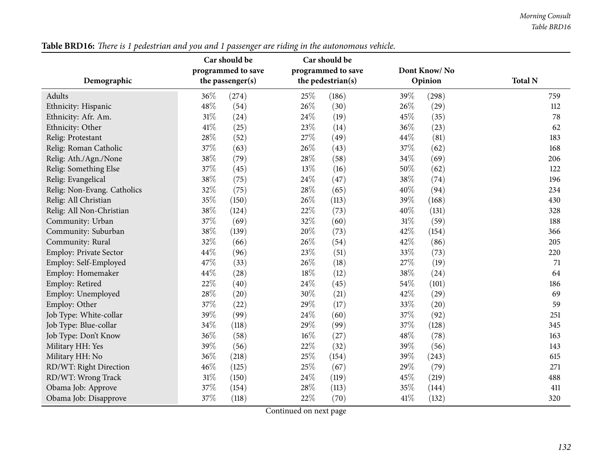|                               | Car should be |                                          | Car should be |                   |         |       |                |
|-------------------------------|---------------|------------------------------------------|---------------|-------------------|---------|-------|----------------|
|                               |               | programmed to save<br>programmed to save |               | Dont Know/No      |         |       |                |
| Demographic                   |               | the passenger(s)                         |               | the pedestrian(s) | Opinion |       | <b>Total N</b> |
| Adults                        | 36%           | (274)                                    | 25%           | (186)             | 39%     | (298) | 759            |
| Ethnicity: Hispanic           | 48%           | (54)                                     | 26%           | (30)              | 26%     | (29)  | 112            |
| Ethnicity: Afr. Am.           | $31\%$        | (24)                                     | 24%           | (19)              | 45%     | (35)  | 78             |
| Ethnicity: Other              | 41\%          | (25)                                     | 23%           | (14)              | 36%     | (23)  | 62             |
| Relig: Protestant             | $28\%$        | (52)                                     | 27\%          | (49)              | 44%     | (81)  | 183            |
| Relig: Roman Catholic         | 37%           | (63)                                     | 26%           | (43)              | 37%     | (62)  | 168            |
| Relig: Ath./Agn./None         | 38%           | (79)                                     | 28%           | (58)              | 34%     | (69)  | 206            |
| Relig: Something Else         | 37%           | (45)                                     | 13%           | (16)              | 50%     | (62)  | 122            |
| Relig: Evangelical            | 38%           | (75)                                     | 24%           | (47)              | 38%     | (74)  | 196            |
| Relig: Non-Evang. Catholics   | 32%           | (75)                                     | 28%           | (65)              | 40%     | (94)  | 234            |
| Relig: All Christian          | 35%           | (150)                                    | 26%           | (113)             | 39%     | (168) | 430            |
| Relig: All Non-Christian      | 38%           | (124)                                    | $22\%$        | (73)              | 40%     | (131) | 328            |
| Community: Urban              | 37%           | (69)                                     | 32%           | (60)              | 31%     | (59)  | 188            |
| Community: Suburban           | 38%           | (139)                                    | 20%           | (73)              | 42%     | (154) | 366            |
| Community: Rural              | 32%           | (66)                                     | 26%           | (54)              | 42%     | (86)  | 205            |
| <b>Employ: Private Sector</b> | 44%           | (96)                                     | 23%           | (51)              | 33%     | (73)  | 220            |
| Employ: Self-Employed         | 47%           | (33)                                     | 26%           | (18)              | 27%     | (19)  | 71             |
| Employ: Homemaker             | 44%           | (28)                                     | 18%           | (12)              | 38%     | (24)  | 64             |
| Employ: Retired               | 22%           | (40)                                     | 24%           | (45)              | 54%     | (101) | 186            |
| Employ: Unemployed            | 28%           | (20)                                     | 30%           | (21)              | 42%     | (29)  | 69             |
| Employ: Other                 | 37%           | (22)                                     | 29%           | (17)              | 33%     | (20)  | 59             |
| Job Type: White-collar        | 39%           | (99)                                     | 24%           | (60)              | 37%     | (92)  | 251            |
| Job Type: Blue-collar         | 34%           | (118)                                    | 29%           | (99)              | 37%     | (128) | 345            |
| Job Type: Don't Know          | 36%           | (58)                                     | 16%           | (27)              | 48%     | (78)  | 163            |
| Military HH: Yes              | 39%           | (56)                                     | $22\%$        | (32)              | 39%     | (56)  | 143            |
| Military HH: No               | 36%           | (218)                                    | 25%           | (154)             | 39%     | (243) | 615            |
| RD/WT: Right Direction        | 46%           | (125)                                    | 25%           | (67)              | 29%     | (79)  | 271            |
| RD/WT: Wrong Track            | $31\%$        | (150)                                    | 24%           | (119)             | 45%     | (219) | 488            |
| Obama Job: Approve            | 37%           | (154)                                    | 28%           | (113)             | 35%     | (144) | 411            |
| Obama Job: Disapprove         | 37%           | (118)                                    | 22%           | (70)              | 41\%    | (132) | 320            |

Table BRD16: There is 1 pedestrian and you and 1 passenger are riding in the autonomous vehicle.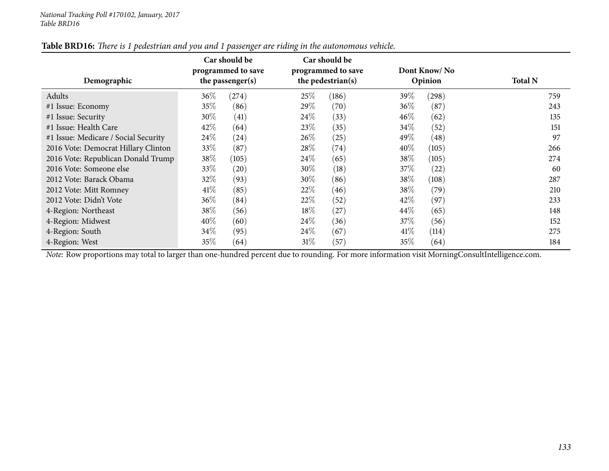| Demographic                          | Car should be<br>programmed to save<br>the passenger(s) |       |        | Car should be<br>programmed to save<br>the pedestrian(s) |        | Dont Know/No<br>Opinion | <b>Total N</b> |
|--------------------------------------|---------------------------------------------------------|-------|--------|----------------------------------------------------------|--------|-------------------------|----------------|
| Adults                               | $36\%$                                                  | (274) | 25\%   | (186)                                                    | 39\%   | (298)                   | 759            |
| #1 Issue: Economy                    | $35\%$                                                  | (86)  | 29%    | (70)                                                     | 36%    | (87)                    | 243            |
| #1 Issue: Security                   | $30\%$                                                  | (41)  | 24\%   | (33)                                                     | $46\%$ | (62)                    | 135            |
| #1 Issue: Health Care                | 42\%                                                    | (64)  | 23\%   | (35)                                                     | 34%    | (52)                    | 151            |
| #1 Issue: Medicare / Social Security | $24\%$                                                  | (24)  | 26\%   | (25)                                                     | 49\%   | (48)                    | 97             |
| 2016 Vote: Democrat Hillary Clinton  | $33\%$                                                  | (87)  | 28\%   | (74)                                                     | $40\%$ | (105)                   | 266            |
| 2016 Vote: Republican Donald Trump   | 38\%                                                    | (105) | 24\%   | (65)                                                     | 38\%   | (105)                   | 274            |
| 2016 Vote: Someone else              | 33\%                                                    | (20)  | 30\%   | (18)                                                     | 37\%   | (22)                    | 60             |
| 2012 Vote: Barack Obama              | 32\%                                                    | (93)  | $30\%$ | (86)                                                     | 38\%   | (108)                   | 287            |
| 2012 Vote: Mitt Romney               | 41\%                                                    | (85)  | 22\%   | (46)                                                     | 38\%   | (79)                    | 210            |
| 2012 Vote: Didn't Vote               | $36\%$                                                  | (84)  | 22\%   | (52)                                                     | 42%    | (97)                    | 233            |
| 4-Region: Northeast                  | 38\%                                                    | (56)  | 18%    | (27)                                                     | $44\%$ | (65)                    | 148            |
| 4-Region: Midwest                    | $40\%$                                                  | (60)  | 24\%   | (36)                                                     | 37%    | (56)                    | 152            |
| 4-Region: South                      | $34\%$                                                  | (95)  | 24\%   | (67)                                                     | $41\%$ | (114)                   | 275            |
| 4-Region: West                       | 35%                                                     | (64)  | 31%    | (57)                                                     | 35%    | (64)                    | 184            |

# Table BRD16: There is 1 pedestrian and you and 1 passenger are riding in the autonomous vehicle.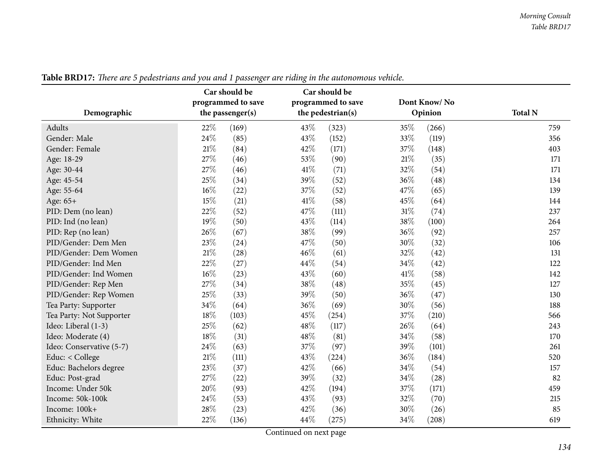| Demographic              | Car should be<br>programmed to save<br>the passenger(s) | Car should be<br>programmed to save<br>the pedestrian(s) | Dont Know/No<br>Opinion | <b>Total N</b> |
|--------------------------|---------------------------------------------------------|----------------------------------------------------------|-------------------------|----------------|
| Adults                   | 22%<br>(169)                                            | 43%<br>(323)                                             | 35%<br>(266)            | 759            |
| Gender: Male             | 24%<br>(85)                                             | 43%<br>(152)                                             | 33%<br>(119)            | 356            |
| Gender: Female           | 21%<br>(84)                                             | 42%<br>(171)                                             | 37%<br>(148)            | 403            |
| Age: 18-29               | 27%<br>(46)                                             | 53%<br>(90)                                              | 21\%<br>(35)            | 171            |
| Age: 30-44               | 27%<br>(46)                                             | 41\%<br>(71)                                             | 32%<br>(54)             | 171            |
| Age: 45-54               | 25%<br>(34)                                             | 39%<br>(52)                                              | 36%<br>(48)             | 134            |
| Age: 55-64               | 16%<br>(22)                                             | 37%<br>(52)                                              | 47%<br>(65)             | 139            |
| Age: 65+                 | 15%<br>(21)                                             | 41\%<br>(58)                                             | 45%<br>(64)             | 144            |
| PID: Dem (no lean)       | 22%<br>(52)                                             | 47%<br>(111)                                             | 31%<br>(74)             | 237            |
| PID: Ind (no lean)       | 19%<br>(50)                                             | 43%<br>(114)                                             | 38%<br>(100)            | 264            |
| PID: Rep (no lean)       | 26%<br>(67)                                             | 38%<br>(99)                                              | 36%<br>(92)             | 257            |
| PID/Gender: Dem Men      | 23%<br>(24)                                             | 47%<br>(50)                                              | 30%<br>(32)             | 106            |
| PID/Gender: Dem Women    | 21%<br>(28)                                             | 46%<br>(61)                                              | 32%<br>(42)             | 131            |
| PID/Gender: Ind Men      | 22%<br>(27)                                             | 44%<br>(54)                                              | 34%<br>(42)             | 122            |
| PID/Gender: Ind Women    | 16%<br>(23)                                             | 43%<br>(60)                                              | 41\%<br>(58)            | 142            |
| PID/Gender: Rep Men      | 27%<br>(34)                                             | 38%<br>(48)                                              | 35%<br>(45)             | 127            |
| PID/Gender: Rep Women    | 25%<br>(33)                                             | 39%<br>(50)                                              | 36%<br>(47)             | 130            |
| Tea Party: Supporter     | 34%<br>(64)                                             | 36%<br>(69)                                              | 30%<br>(56)             | 188            |
| Tea Party: Not Supporter | 18%<br>(103)                                            | 45%<br>(254)                                             | 37%<br>(210)            | 566            |
| Ideo: Liberal (1-3)      | 25%<br>(62)                                             | 48%<br>(117)                                             | 26%<br>(64)             | 243            |
| Ideo: Moderate (4)       | 18%<br>(31)                                             | 48%<br>(81)                                              | 34%<br>(58)             | 170            |
| Ideo: Conservative (5-7) | 24%<br>(63)                                             | 37%<br>(97)                                              | 39%<br>(101)            | 261            |
| Educ: < College          | 21\%<br>(111)                                           | 43%<br>(224)                                             | 36%<br>(184)            | 520            |
| Educ: Bachelors degree   | 23%<br>(37)                                             | 42\%<br>(66)                                             | 34%<br>(54)             | 157            |
| Educ: Post-grad          | 27%<br>(22)                                             | 39%<br>(32)                                              | 34\%<br>(28)            | 82             |
| Income: Under 50k        | 20%<br>(93)                                             | 42%<br>(194)                                             | 37%<br>(171)            | 459            |
| Income: 50k-100k         | 24%<br>(53)                                             | 43%<br>(93)                                              | 32%<br>(70)             | 215            |
| Income: 100k+            | 28%<br>(23)                                             | 42%<br>(36)                                              | 30%<br>(26)             | 85             |
| Ethnicity: White         | 22%<br>(136)                                            | 44\%<br>(275)                                            | 34%<br>(208)            | 619            |

Table BRD17: There are 5 pedestrians and you and 1 passenger are riding in the autonomous vehicle.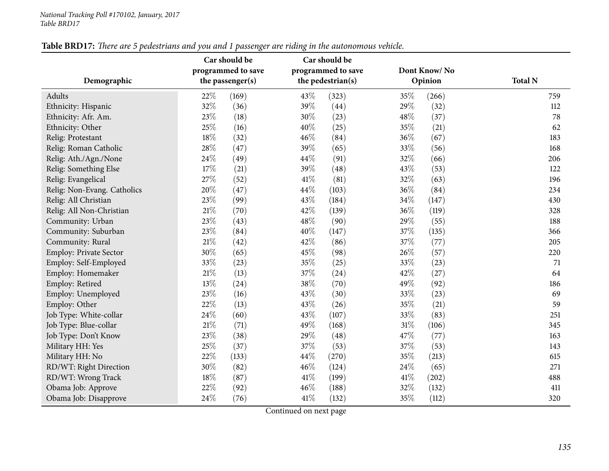|                             | Car should be      | Car should be      |              |                |  |
|-----------------------------|--------------------|--------------------|--------------|----------------|--|
|                             | programmed to save | programmed to save | Dont Know/No |                |  |
| Demographic                 | the passenger(s)   | the pedestrian(s)  | Opinion      | <b>Total N</b> |  |
| Adults                      | 22%<br>(169)       | 43%<br>(323)       | 35%<br>(266) | 759            |  |
| Ethnicity: Hispanic         | 32%<br>(36)        | 39%<br>(44)        | 29%<br>(32)  | 112            |  |
| Ethnicity: Afr. Am.         | 23%<br>(18)        | 30%<br>(23)        | 48%<br>(37)  | 78             |  |
| Ethnicity: Other            | 25%<br>(16)        | 40%<br>(25)        | 35%<br>(21)  | 62             |  |
| Relig: Protestant           | 18%<br>(32)        | 46%<br>(84)        | 36%<br>(67)  | 183            |  |
| Relig: Roman Catholic       | 28%<br>(47)        | 39%<br>(65)        | 33%<br>(56)  | 168            |  |
| Relig: Ath./Agn./None       | 24\%<br>(49)       | 44%<br>(91)        | 32%<br>(66)  | 206            |  |
| Relig: Something Else       | 17%<br>(21)        | 39%<br>(48)        | 43%<br>(53)  | 122            |  |
| Relig: Evangelical          | 27%<br>(52)        | 41%<br>(81)        | 32%<br>(63)  | 196            |  |
| Relig: Non-Evang. Catholics | 20%<br>(47)        | 44%<br>(103)       | 36%<br>(84)  | 234            |  |
| Relig: All Christian        | 23%<br>(99)        | 43%<br>(184)       | 34%<br>(147) | 430            |  |
| Relig: All Non-Christian    | $21\%$<br>(70)     | 42%<br>(139)       | 36%<br>(119) | 328            |  |
| Community: Urban            | 23%<br>(43)        | 48%<br>(90)        | 29%<br>(55)  | 188            |  |
| Community: Suburban         | 23%<br>(84)        | 40%<br>(147)       | 37%<br>(135) | 366            |  |
| Community: Rural            | $21\%$<br>(42)     | 42%<br>(86)        | 37%<br>(77)  | 205            |  |
| Employ: Private Sector      | 30%<br>(65)        | 45%<br>(98)        | 26%<br>(57)  | 220            |  |
| Employ: Self-Employed       | 33%<br>(23)        | 35%<br>(25)        | 33%<br>(23)  | 71             |  |
| Employ: Homemaker           | $21\%$<br>(13)     | 37%<br>(24)        | 42%<br>(27)  | 64             |  |
| Employ: Retired             | 13%<br>(24)        | 38%<br>(70)        | 49%<br>(92)  | 186            |  |
| Employ: Unemployed          | 23%<br>(16)        | 43%<br>(30)        | 33%<br>(23)  | 69             |  |
| Employ: Other               | 22%<br>(13)        | 43%<br>(26)        | 35%<br>(21)  | 59             |  |
| Job Type: White-collar      | 24\%<br>(60)       | 43%<br>(107)       | 33%<br>(83)  | 251            |  |
| Job Type: Blue-collar       | $21\%$<br>(71)     | 49%<br>(168)       | 31%<br>(106) | 345            |  |
| Job Type: Don't Know        | 23%<br>(38)        | 29%<br>(48)        | 47%<br>(77)  | 163            |  |
| Military HH: Yes            | 25%<br>(37)        | 37%<br>(53)        | 37%<br>(53)  | 143            |  |
| Military HH: No             | 22%<br>(133)       | 44%<br>(270)       | 35%<br>(213) | 615            |  |
| RD/WT: Right Direction      | 30%<br>(82)        | 46%<br>(124)       | 24%<br>(65)  | 271            |  |
| RD/WT: Wrong Track          | 18%<br>(87)        | 41\%<br>(199)      | 41%<br>(202) | 488            |  |
| Obama Job: Approve          | 22%<br>(92)        | 46%<br>(188)       | 32%<br>(132) | 411            |  |
| Obama Job: Disapprove       | 24%<br>(76)        | 41\%<br>(132)      | 35%<br>(112) | 320            |  |

Table BRD17: There are 5 pedestrians and you and 1 passenger are riding in the autonomous vehicle.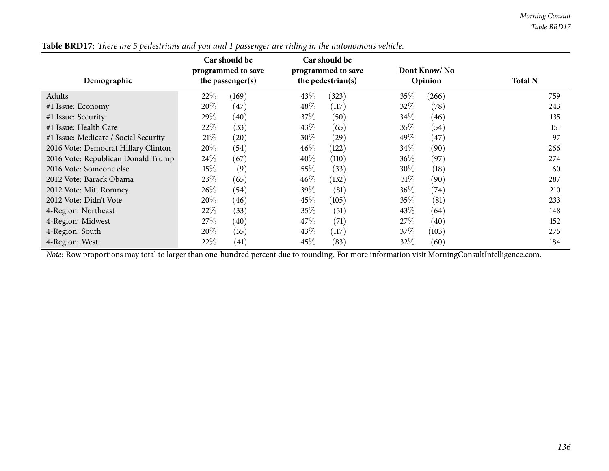| Demographic                          | Car should be<br>programmed to save<br>the passenger(s) |                    | Car should be<br>programmed to save<br>the pedestrian(s) |           | Dont Know/No<br>Opinion |       | <b>Total N</b> |  |
|--------------------------------------|---------------------------------------------------------|--------------------|----------------------------------------------------------|-----------|-------------------------|-------|----------------|--|
| Adults                               | 22\%                                                    | (169)              | 43\%                                                     | (323)     | 35%                     | (266) | 759            |  |
| #1 Issue: Economy                    | $20\%$                                                  | (47)               | 48\%                                                     | (117)     | 32\%                    | (78)  | 243            |  |
| #1 Issue: Security                   | 29\%                                                    | (40)               | 37\%                                                     | (50)      | 34%                     | (46)  | 135            |  |
| #1 Issue: Health Care                | 22\%                                                    | (33)               | 43\%                                                     | (65)      | 35%                     | (54)  | 151            |  |
| #1 Issue: Medicare / Social Security | 21%                                                     | $\left( 20\right)$ | $30\%$                                                   | $^{(29)}$ | 49%                     | (47)  | 97             |  |
| 2016 Vote: Democrat Hillary Clinton  | $20\%$                                                  | (54)               | $46\%$                                                   | (122)     | $34\%$                  | (90)  | 266            |  |
| 2016 Vote: Republican Donald Trump   | $24\%$                                                  | (67)               | 40%                                                      | (110)     | 36\%                    | (97)  | 274            |  |
| 2016 Vote: Someone else              | $15\%$                                                  | (9)                | 55%                                                      | (33)      | $30\%$                  | (18)  | 60             |  |
| 2012 Vote: Barack Obama              | 23\%                                                    | (65)               | $46\%$                                                   | (132)     | 31%                     | (90)  | 287            |  |
| 2012 Vote: Mitt Romney               | $26\%$                                                  | (54)               | 39\%                                                     | (81)      | $36\%$                  | (74)  | 210            |  |
| 2012 Vote: Didn't Vote               | $20\%$                                                  | (46)               | 45\%                                                     | (105)     | 35%                     | (81)  | 233            |  |
| 4-Region: Northeast                  | 22%                                                     | (33)               | 35%                                                      | (51)      | 43%                     | (64)  | 148            |  |
| 4-Region: Midwest                    | 27\%                                                    | (40)               | 47\%                                                     | (71)      | 27\%                    | (40)  | 152            |  |
| 4-Region: South                      | 20%                                                     | (55)               | 43\%                                                     | (117)     | 37\%                    | (103) | 275            |  |
| 4-Region: West                       | 22\%                                                    | $\left( 41\right)$ | 45\%                                                     | (83)      | 32\%                    | (60)  | 184            |  |

Table BRD17: There are 5 pedestrians and you and 1 passenger are riding in the autonomous vehicle.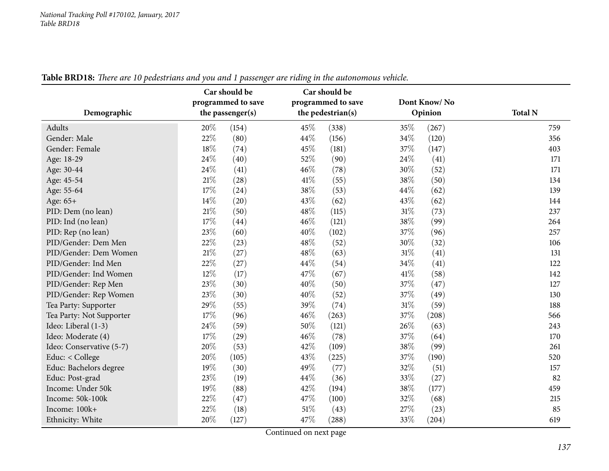| Demographic              | ပ<br>Car should be<br>programmed to save<br>the passenger(s) | Car should be<br>programmed to save<br>the pedestrian(s) | Dont Know/No<br>Opinion | <b>Total N</b> |
|--------------------------|--------------------------------------------------------------|----------------------------------------------------------|-------------------------|----------------|
| Adults                   | 20%<br>(154)                                                 | 45%<br>(338)                                             | 35%<br>(267)            | 759            |
| Gender: Male             | 22%<br>(80)                                                  | 44%<br>(156)                                             | 34%<br>(120)            | 356            |
| Gender: Female           | 18%<br>(74)                                                  | 45%<br>(181)                                             | 37%<br>(147)            | 403            |
| Age: 18-29               | 24%<br>(40)                                                  | 52%<br>(90)                                              | 24\%<br>(41)            | 171            |
| Age: 30-44               | 24%<br>(41)                                                  | 46%<br>(78)                                              | 30%<br>(52)             | 171            |
| Age: 45-54               | 21\%<br>(28)                                                 | 41\%<br>(55)                                             | 38%<br>(50)             | 134            |
| Age: 55-64               | 17%<br>(24)                                                  | 38%<br>(53)                                              | 44%<br>(62)             | 139            |
| Age: 65+                 | 14%<br>(20)                                                  | 43%<br>(62)                                              | 43%<br>(62)             | 144            |
| PID: Dem (no lean)       | 21%<br>(50)                                                  | 48%<br>(115)                                             | 31%<br>(73)             | 237            |
| PID: Ind (no lean)       | 17%<br>(44)                                                  | 46%<br>(121)                                             | 38%<br>(99)             | 264            |
| PID: Rep (no lean)       | 23%<br>(60)                                                  | 40%<br>(102)                                             | 37%<br>(96)             | 257            |
| PID/Gender: Dem Men      | 22%<br>(23)                                                  | 48%<br>(52)                                              | 30%<br>(32)             | 106            |
| PID/Gender: Dem Women    | 21%<br>(27)                                                  | 48%<br>(63)                                              | 31%<br>(41)             | 131            |
| PID/Gender: Ind Men      | 22%<br>(27)                                                  | 44\%<br>(54)                                             | 34\%<br>(41)            | 122            |
| PID/Gender: Ind Women    | 12%<br>(17)                                                  | 47%<br>(67)                                              | 41\%<br>(58)            | 142            |
| PID/Gender: Rep Men      | 23%<br>(30)                                                  | 40%<br>(50)                                              | 37%<br>(47)             | 127            |
| PID/Gender: Rep Women    | 23%<br>(30)                                                  | 40%<br>(52)                                              | 37%<br>(49)             | 130            |
| Tea Party: Supporter     | 29%<br>(55)                                                  | 39%<br>(74)                                              | 31%<br>(59)             | 188            |
| Tea Party: Not Supporter | 17%<br>(96)                                                  | 46%<br>(263)                                             | 37%<br>(208)            | 566            |
| Ideo: Liberal (1-3)      | 24\%<br>(59)                                                 | 50%<br>(121)                                             | 26%<br>(63)             | 243            |
| Ideo: Moderate (4)       | 17%<br>(29)                                                  | 46%<br>(78)                                              | 37%<br>(64)             | 170            |
| Ideo: Conservative (5-7) | 20%<br>(53)                                                  | 42%<br>(109)                                             | 38%<br>(99)             | 261            |
| Educ: < College          | 20%<br>(105)                                                 | 43%<br>(225)                                             | 37%<br>(190)            | 520            |
| Educ: Bachelors degree   | 19%<br>(30)                                                  | 49%<br>(77)                                              | 32%<br>(51)             | 157            |
| Educ: Post-grad          | 23%<br>(19)                                                  | 44%<br>(36)                                              | 33%<br>(27)             | 82             |
| Income: Under 50k        | 19%<br>(88)                                                  | 42%<br>(194)                                             | 38%<br>(177)            | 459            |
| Income: 50k-100k         | 22%<br>(47)                                                  | 47%<br>(100)                                             | 32%<br>(68)             | 215            |
| Income: 100k+            | 22%<br>(18)                                                  | $51\%$<br>(43)                                           | 27%<br>(23)             | 85             |
| Ethnicity: White         | 20%<br>(127)                                                 | 47%<br>(288)                                             | 33%<br>(204)            | 619            |

Table BRD18: There are 10 pedestrians and you and 1 passenger are riding in the autonomous vehicle.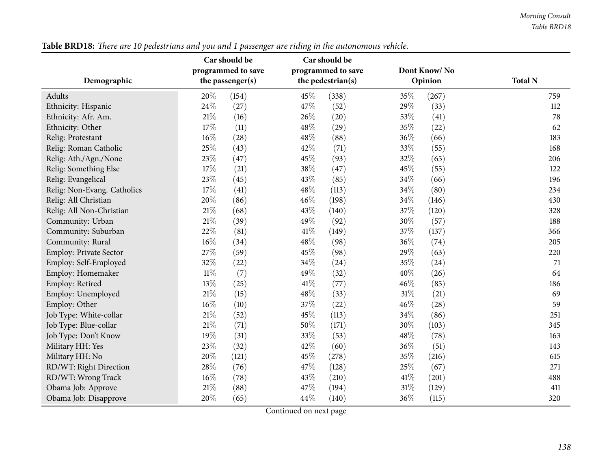|                             | Car should be    |                    | Car should be |                    |              |         |                |
|-----------------------------|------------------|--------------------|---------------|--------------------|--------------|---------|----------------|
|                             |                  | programmed to save |               | programmed to save | Dont Know/No |         |                |
| Demographic                 | the passenger(s) |                    |               | the pedestrian(s)  |              | Opinion | <b>Total N</b> |
| <b>Adults</b>               | 20%              | (154)              | 45%           | (338)              | 35%          | (267)   | 759            |
| Ethnicity: Hispanic         | 24%              | (27)               | 47\%          | (52)               | 29%          | (33)    | 112            |
| Ethnicity: Afr. Am.         | $21\%$           | (16)               | 26%           | (20)               | 53%          | (41)    | 78             |
| Ethnicity: Other            | 17%              | (11)               | 48%           | (29)               | 35%          | (22)    | 62             |
| Relig: Protestant           | $16\%$           | (28)               | 48%           | (88)               | 36%          | (66)    | 183            |
| Relig: Roman Catholic       | 25%              | (43)               | 42%           | (71)               | 33%          | (55)    | 168            |
| Relig: Ath./Agn./None       | 23%              | (47)               | 45%           | (93)               | 32%          | (65)    | 206            |
| Relig: Something Else       | 17%              | (21)               | 38%           | (47)               | 45%          | (55)    | 122            |
| Relig: Evangelical          | 23%              | (45)               | 43%           | (85)               | 34%          | (66)    | 196            |
| Relig: Non-Evang. Catholics | 17%              | (41)               | 48%           | (113)              | 34%          | (80)    | 234            |
| Relig: All Christian        | 20%              | (86)               | 46%           | (198)              | 34%          | (146)   | 430            |
| Relig: All Non-Christian    | $21\%$           | (68)               | 43%           | (140)              | 37%          | (120)   | 328            |
| Community: Urban            | $21\%$           | (39)               | 49%           | (92)               | 30%          | (57)    | 188            |
| Community: Suburban         | 22%              | (81)               | 41\%          | (149)              | 37%          | (137)   | 366            |
| Community: Rural            | 16%              | (34)               | 48%           | (98)               | 36%          | (74)    | 205            |
| Employ: Private Sector      | 27%              | (59)               | 45%           | (98)               | 29%          | (63)    | 220            |
| Employ: Self-Employed       | 32%              | (22)               | 34%           | (24)               | 35%          | (24)    | 71             |
| Employ: Homemaker           | $11\%$           | (7)                | 49%           | (32)               | 40%          | (26)    | 64             |
| Employ: Retired             | 13%              | (25)               | 41\%          | (77)               | 46%          | (85)    | 186            |
| Employ: Unemployed          | $21\%$           | (15)               | 48%           | (33)               | $31\%$       | (21)    | 69             |
| Employ: Other               | 16%              | (10)               | 37%           | (22)               | 46%          | (28)    | 59             |
| Job Type: White-collar      | 21%              | (52)               | 45%           | (113)              | 34%          | (86)    | 251            |
| Job Type: Blue-collar       | 21%              | (71)               | 50%           | (171)              | 30%          | (103)   | 345            |
| Job Type: Don't Know        | 19%              | (31)               | 33%           | (53)               | 48\%         | (78)    | 163            |
| Military HH: Yes            | 23%              | (32)               | 42%           | (60)               | 36%          | (51)    | 143            |
| Military HH: No             | 20%              | (121)              | 45%           | (278)              | 35%          | (216)   | 615            |
| RD/WT: Right Direction      | 28%              | (76)               | 47%           | (128)              | 25%          | (67)    | 271            |
| RD/WT: Wrong Track          | 16%              | (78)               | 43%           | (210)              | 41\%         | (201)   | 488            |
| Obama Job: Approve          | 21%              | (88)               | 47%           | (194)              | 31%          | (129)   | 411            |
| Obama Job: Disapprove       | 20%              | (65)               | 44%           | (140)              | 36%          | (115)   | 320            |

Table BRD18: There are 10 pedestrians and you and 1 passenger are riding in the autonomous vehicle.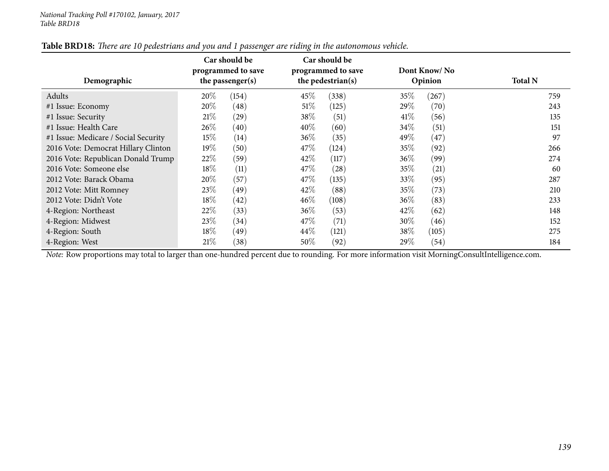| Demographic                          |        | Car should be<br>programmed to save<br>the passenger(s) | Car should be<br>programmed to save<br>the pedestrian(s) |       | Dont Know/No<br>Opinion |       | <b>Total N</b> |
|--------------------------------------|--------|---------------------------------------------------------|----------------------------------------------------------|-------|-------------------------|-------|----------------|
| Adults                               | $20\%$ | (154)                                                   | 45\%                                                     | (338) | 35%                     | (267) | 759            |
| #1 Issue: Economy                    | $20\%$ | (48)                                                    | $51\%$                                                   | (125) | 29\%                    | (70)  | 243            |
| #1 Issue: Security                   | 21%    | (29)                                                    | 38\%                                                     | (51)  | 41\%                    | (56)  | 135            |
| #1 Issue: Health Care                | $26\%$ | (40)                                                    | $40\%$                                                   | (60)  | 34\%                    | (51)  | 151            |
| #1 Issue: Medicare / Social Security | $15\%$ | (14)                                                    | $36\%$                                                   | (35)  | 49\%                    | (47)  | 97             |
| 2016 Vote: Democrat Hillary Clinton  | $19\%$ | (50)                                                    | 47\%                                                     | (124) | 35%                     | (92)  | 266            |
| 2016 Vote: Republican Donald Trump   | 22\%   | (59)                                                    | 42\%                                                     | (117) | 36\%                    | (99)  | 274            |
| 2016 Vote: Someone else              | 18\%   | (11)                                                    | 47\%                                                     | (28)  | 35%                     | (21)  | 60             |
| 2012 Vote: Barack Obama              | $20\%$ | (57)                                                    | 47\%                                                     | (135) | 33\%                    | (95)  | 287            |
| 2012 Vote: Mitt Romney               | 23\%   | (49)                                                    | 42\%                                                     | (88)  | 35%                     | (73)  | 210            |
| 2012 Vote: Didn't Vote               | 18\%   | (42)                                                    | $46\%$                                                   | (108) | $36\%$                  | (83)  | 233            |
| 4-Region: Northeast                  | $22\%$ | (33)                                                    | 36\%                                                     | (53)  | 42\%                    | (62)  | 148            |
| 4-Region: Midwest                    | 23\%   | (34)                                                    | 47\%                                                     | (71)  | $30\%$                  | (46)  | 152            |
| 4-Region: South                      | 18\%   | (49)                                                    | 44\%                                                     | (121) | 38\%                    | (105) | 275            |
| 4-Region: West                       | 21%    | (38)                                                    | $50\%$                                                   | (92)  | 29\%                    | (54)  | 184            |

Table BRD18: There are 10 pedestrians and you and 1 passenger are riding in the autonomous vehicle.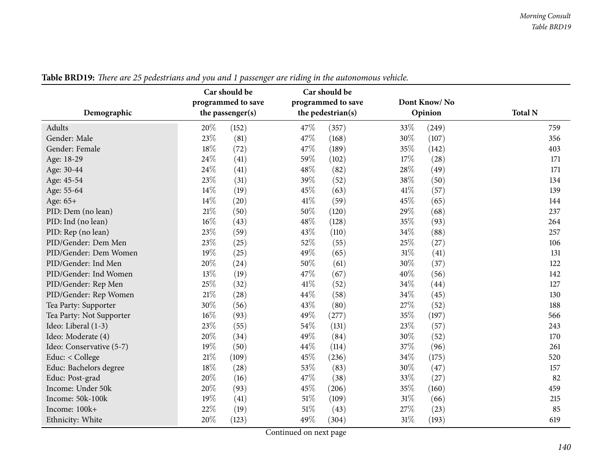|                          | Car should be<br>programmed to save | Car should be<br>programmed to save | Dont Know/No    | <b>Total N</b> |  |
|--------------------------|-------------------------------------|-------------------------------------|-----------------|----------------|--|
| Demographic              | the passenger(s)                    | the pedestrian(s)                   | Opinion         |                |  |
| Adults                   | 20%<br>(152)                        | 47\%<br>(357)                       | 33%<br>(249)    | 759            |  |
| Gender: Male             | 23%<br>(81)                         | 47%<br>(168)                        | 30%<br>(107)    | 356            |  |
| Gender: Female           | 18%<br>(72)                         | 47%<br>(189)                        | 35%<br>(142)    | 403            |  |
| Age: 18-29               | 24%<br>(41)                         | 59%<br>(102)                        | 17%<br>(28)     | 171            |  |
| Age: 30-44               | 24%<br>(41)                         | 48%<br>(82)                         | 28%<br>(49)     | 171            |  |
| Age: 45-54               | 23%<br>(31)                         | 39%<br>(52)                         | 38%<br>(50)     | 134            |  |
| Age: 55-64               | 14%<br>(19)                         | 45%<br>(63)                         | 41\%<br>(57)    | 139            |  |
| Age: 65+                 | 14%<br>(20)                         | 41\%<br>(59)                        | 45\%<br>(65)    | 144            |  |
| PID: Dem (no lean)       | 21%<br>(50)                         | 50%<br>(120)                        | 29%<br>(68)     | 237            |  |
| PID: Ind (no lean)       | 16%<br>(43)                         | 48%<br>(128)                        | 35%<br>(93)     | 264            |  |
| PID: Rep (no lean)       | 23%<br>(59)                         | 43%<br>(110)                        | 34%<br>(88)     | 257            |  |
| PID/Gender: Dem Men      | 23%<br>(25)                         | 52%<br>(55)                         | 25%<br>(27)     | 106            |  |
| PID/Gender: Dem Women    | 19%<br>(25)                         | 49%<br>(65)                         | 31%<br>(41)     | 131            |  |
| PID/Gender: Ind Men      | 20%<br>(24)                         | 50%<br>(61)                         | 30%<br>(37)     | 122            |  |
| PID/Gender: Ind Women    | 13%<br>(19)                         | 47%<br>(67)                         | 40%<br>(56)     | 142            |  |
| PID/Gender: Rep Men      | 25%<br>(32)                         | 41\%<br>(52)                        | 34\%<br>(44)    | 127            |  |
| PID/Gender: Rep Women    | 21%<br>(28)                         | 44%<br>(58)                         | 34%<br>(45)     | 130            |  |
| Tea Party: Supporter     | 30%<br>(56)                         | 43%<br>(80)                         | 27%<br>(52)     | 188            |  |
| Tea Party: Not Supporter | 16%<br>(93)                         | 49%<br>(277)                        | 35%<br>(197)    | 566            |  |
| Ideo: Liberal (1-3)      | 23%<br>(55)                         | 54%<br>(131)                        | 23%<br>(57)     | 243            |  |
| Ideo: Moderate (4)       | 20%<br>(34)                         | 49%<br>(84)                         | 30%<br>(52)     | 170            |  |
| Ideo: Conservative (5-7) | 19%<br>(50)                         | 44%<br>(114)                        | 37%<br>(96)     | 261            |  |
| Educ: < College          | 21%<br>(109)                        | 45%<br>(236)                        | 34%<br>(175)    | 520            |  |
| Educ: Bachelors degree   | 18%<br>(28)                         | 53%<br>(83)                         | 30%<br>(47)     | 157            |  |
| Educ: Post-grad          | 20%<br>(16)                         | 47%<br>(38)                         | 33%<br>(27)     | 82             |  |
| Income: Under 50k        | 20%<br>(93)                         | 45%<br>(206)                        | 35%<br>(160)    | 459            |  |
| Income: 50k-100k         | 19%<br>(41)                         | 51\%<br>(109)                       | 31%<br>(66)     | 215            |  |
| Income: 100k+            | 22%<br>(19)                         | $51\%$<br>(43)                      | 27%<br>(23)     | 85             |  |
| Ethnicity: White         | 20%<br>(123)                        | 49%<br>(304)                        | $31\%$<br>(193) | 619            |  |

Table BRD19: There are 25 pedestrians and you and 1 passenger are riding in the autonomous vehicle.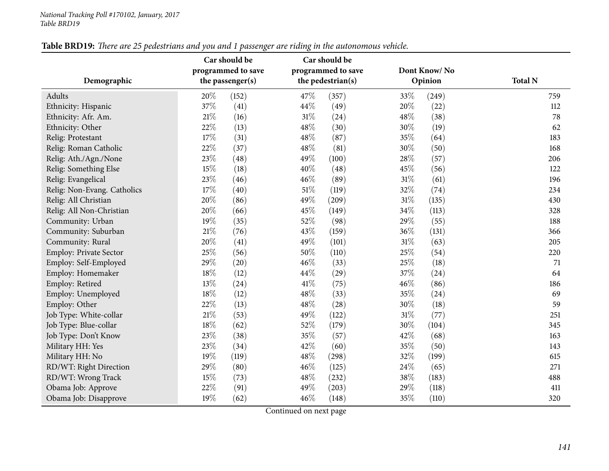|                             | Car should be<br>Car should be         |       |      |                                         |        |              |                |
|-----------------------------|----------------------------------------|-------|------|-----------------------------------------|--------|--------------|----------------|
|                             | programmed to save<br>the passenger(s) |       |      | programmed to save<br>the pedestrian(s) |        | Dont Know/No |                |
| Demographic                 |                                        |       |      |                                         |        | Opinion      | <b>Total N</b> |
| Adults                      | 20%                                    | (152) | 47%  | (357)                                   | 33%    | (249)        | 759            |
| Ethnicity: Hispanic         | 37%                                    | (41)  | 44%  | (49)                                    | 20%    | (22)         | 112            |
| Ethnicity: Afr. Am.         | $21\%$                                 | (16)  | 31%  | (24)                                    | 48%    | (38)         | 78             |
| Ethnicity: Other            | 22%                                    | (13)  | 48%  | (30)                                    | 30%    | (19)         | 62             |
| Relig: Protestant           | 17%                                    | (31)  | 48%  | (87)                                    | 35%    | (64)         | 183            |
| Relig: Roman Catholic       | 22%                                    | (37)  | 48%  | (81)                                    | $30\%$ | (50)         | 168            |
| Relig: Ath./Agn./None       | 23%                                    | (48)  | 49%  | (100)                                   | 28%    | (57)         | 206            |
| Relig: Something Else       | 15%                                    | (18)  | 40%  | (48)                                    | 45%    | (56)         | 122            |
| Relig: Evangelical          | 23%                                    | (46)  | 46%  | (89)                                    | 31%    | (61)         | 196            |
| Relig: Non-Evang. Catholics | 17%                                    | (40)  | 51%  | (119)                                   | 32%    | (74)         | 234            |
| Relig: All Christian        | 20%                                    | (86)  | 49%  | (209)                                   | 31%    | (135)        | 430            |
| Relig: All Non-Christian    | 20%                                    | (66)  | 45%  | (149)                                   | 34%    | (113)        | 328            |
| Community: Urban            | 19%                                    | (35)  | 52%  | (98)                                    | 29%    | (55)         | 188            |
| Community: Suburban         | $21\%$                                 | (76)  | 43%  | (159)                                   | 36%    | (131)        | 366            |
| Community: Rural            | 20%                                    | (41)  | 49%  | (101)                                   | $31\%$ | (63)         | 205            |
| Employ: Private Sector      | 25%                                    | (56)  | 50%  | (110)                                   | 25%    | (54)         | 220            |
| Employ: Self-Employed       | 29%                                    | (20)  | 46%  | (33)                                    | 25%    | (18)         | 71             |
| Employ: Homemaker           | 18%                                    | (12)  | 44%  | (29)                                    | 37%    | (24)         | 64             |
| Employ: Retired             | 13%                                    | (24)  | 41\% | (75)                                    | 46%    | (86)         | 186            |
| Employ: Unemployed          | 18%                                    | (12)  | 48%  | (33)                                    | 35%    | (24)         | 69             |
| Employ: Other               | 22%                                    | (13)  | 48%  | (28)                                    | 30%    | (18)         | 59             |
| Job Type: White-collar      | $21\%$                                 | (53)  | 49%  | (122)                                   | 31%    | (77)         | 251            |
| Job Type: Blue-collar       | 18%                                    | (62)  | 52%  | (179)                                   | 30%    | (104)        | 345            |
| Job Type: Don't Know        | 23%                                    | (38)  | 35%  | (57)                                    | 42%    | (68)         | 163            |
| Military HH: Yes            | 23%                                    | (34)  | 42%  | (60)                                    | 35%    | (50)         | 143            |
| Military HH: No             | 19%                                    | (119) | 48%  | (298)                                   | 32%    | (199)        | 615            |
| RD/WT: Right Direction      | 29%                                    | (80)  | 46%  | (125)                                   | 24%    | (65)         | 271            |
| RD/WT: Wrong Track          | 15%                                    | (73)  | 48%  | (232)                                   | 38%    | (183)        | 488            |
| Obama Job: Approve          | 22%                                    | (91)  | 49%  | (203)                                   | 29%    | (118)        | 411            |
| Obama Job: Disapprove       | 19%                                    | (62)  | 46%  | (148)                                   | 35%    | (110)        | 320            |

Table BRD19: There are 25 pedestrians and you and 1 passenger are riding in the autonomous vehicle.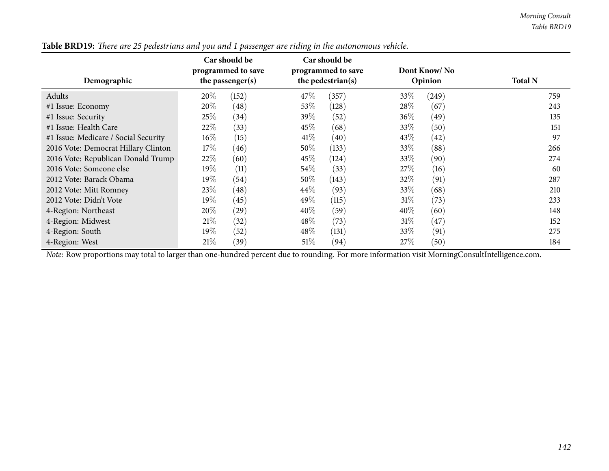| Demographic                          | Car should be<br>Car should be<br>programmed to save<br>programmed to save<br>the pedestrian(s)<br>the passenger $(s)$ |                    | Dont Know/No<br>Opinion |                                  | <b>Total N</b> |                    |                  |  |
|--------------------------------------|------------------------------------------------------------------------------------------------------------------------|--------------------|-------------------------|----------------------------------|----------------|--------------------|------------------|--|
| Adults                               | $20\%$                                                                                                                 | (152)              | 47\%                    | (357)                            | 33%            | (249)              | 759              |  |
| #1 Issue: Economy                    | $20\%$                                                                                                                 | $\left( 48\right)$ | $53\%$                  | (128)                            | 28\%           | (67)               | 243              |  |
| #1 Issue: Security                   | 25%                                                                                                                    | $^{(34)}$          | 39\%                    | (52)                             | 36\%           | (49)               | 135              |  |
| #1 Issue: Health Care                | 22\%                                                                                                                   | (33)               | 45\%                    | (68)                             | 33%            | (50)               | 151              |  |
| #1 Issue: Medicare / Social Security | $16\%$                                                                                                                 | (15)               | 41\%                    | (40)                             | 43\%           | $\left( 42\right)$ | 97               |  |
| 2016 Vote: Democrat Hillary Clinton  | 17%                                                                                                                    | (46)               | $50\%$                  | (133)                            | 33\%           | (88)               | 266              |  |
| 2016 Vote: Republican Donald Trump   | 22\%                                                                                                                   | (60)               | 45\%                    | (124)                            | 33\%           | (90)               | 274              |  |
| 2016 Vote: Someone else              | $19\%$                                                                                                                 | (11)               | 54\%                    | (33)                             | 27%            | (16)               | 60               |  |
| 2012 Vote: Barack Obama              | $19\%$                                                                                                                 | (54)               | $50\%$                  | (143)                            | 32\%           | (91)               | 287              |  |
| 2012 Vote: Mitt Romney               | 23%                                                                                                                    | (48)               | $44\%$                  | (93)                             | 33\%           | (68)               | 210              |  |
| 2012 Vote: Didn't Vote               | $19\%$                                                                                                                 | (45)               | 49\%                    | (115)                            | 31%            | (73)               | 233              |  |
| 4-Region: Northeast                  | 20%                                                                                                                    | $\left( 29\right)$ | $40\%$                  | (59)                             | $40\%$         | (60)               | 148              |  |
| 4-Region: Midwest                    | 21%                                                                                                                    | (32)               | 48\%                    | (73)                             | $31\%$         | (47)               | 152              |  |
| 4-Region: South                      | 19 $\%$                                                                                                                | (52)               | $48\%$                  | (131)                            | 33\%           | (91)               | 275              |  |
| 4-Region: West<br>$-1 - 1$           | 21%                                                                                                                    | (39)               | 51%<br>$\sim$ 1<br>п.   | (94)<br>$\cdot$ $\sim$<br>$\sim$ | 27%            | (50)               | 184<br>1.7.7.114 |  |

Table BRD19: There are 25 pedestrians and you and 1 passenger are riding in the autonomous vehicle.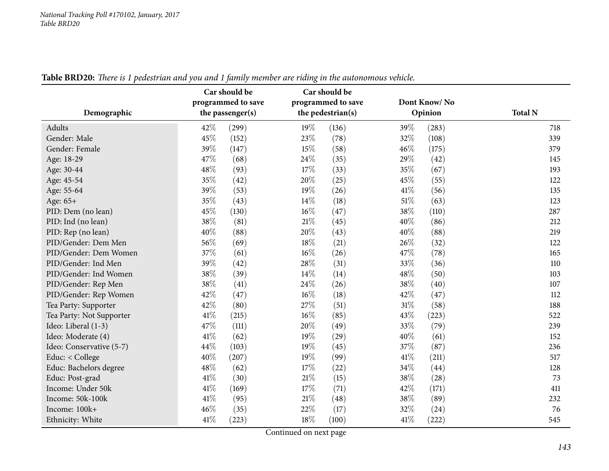| Demographic              | Car should be<br>programmed to save<br>the passenger(s) | Car should be<br>programmed to save<br>the pedestrian(s) | Dont Know/No<br>Opinion | <b>Total N</b> |
|--------------------------|---------------------------------------------------------|----------------------------------------------------------|-------------------------|----------------|
| Adults                   | 42%<br>(299)                                            | 19%<br>(136)                                             | 39%<br>(283)            | 718            |
| Gender: Male             | 45%<br>(152)                                            | 23%<br>(78)                                              | $32\%$<br>(108)         | 339            |
| Gender: Female           | 39%<br>(147)                                            | 15%<br>(58)                                              | 46%<br>(175)            | 379            |
| Age: 18-29               | 47%<br>(68)                                             | 24\%<br>(35)                                             | 29%<br>(42)             | 145            |
| Age: 30-44               | 48%<br>(93)                                             | 17%<br>(33)                                              | 35%<br>(67)             | 193            |
| Age: 45-54               | 35%<br>(42)                                             | 20%<br>(25)                                              | 45%<br>(55)             | 122            |
| Age: 55-64               | $39\%$<br>(53)                                          | 19%<br>(26)                                              | 41%<br>(56)             | 135            |
| Age: 65+                 | 35%<br>(43)                                             | 14\%<br>(18)                                             | 51%<br>(63)             | 123            |
| PID: Dem (no lean)       | 45%<br>(130)                                            | 16%<br>(47)                                              | 38%<br>(110)            | 287            |
| PID: Ind (no lean)       | 38%<br>(81)                                             | $21\%$<br>(45)                                           | 40%<br>(86)             | 212            |
| PID: Rep (no lean)       | 40%<br>(88)                                             | 20%<br>(43)                                              | 40%<br>(88)             | 219            |
| PID/Gender: Dem Men      | 56%<br>(69)                                             | 18%<br>(21)                                              | 26%<br>(32)             | 122            |
| PID/Gender: Dem Women    | 37%<br>(61)                                             | $16\%$<br>(26)                                           | 47%<br>(78)             | 165            |
| PID/Gender: Ind Men      | 39%<br>(42)                                             | 28\%<br>(31)                                             | 33%<br>(36)             | 110            |
| PID/Gender: Ind Women    | 38%<br>(39)                                             | 14\%<br>(14)                                             | 48%<br>(50)             | 103            |
| PID/Gender: Rep Men      | 38%<br>(41)                                             | 24%<br>(26)                                              | 38%<br>(40)             | 107            |
| PID/Gender: Rep Women    | 42%<br>(47)                                             | $16\%$<br>(18)                                           | 42%<br>(47)             | 112            |
| Tea Party: Supporter     | 42%<br>(80)                                             | 27%<br>(51)                                              | 31%<br>(58)             | 188            |
| Tea Party: Not Supporter | 41\%<br>(215)                                           | $16\%$<br>(85)                                           | 43%<br>(223)            | 522            |
| Ideo: Liberal (1-3)      | 47%<br>(111)                                            | 20%<br>(49)                                              | 33%<br>(79)             | 239            |
| Ideo: Moderate (4)       | 41\%<br>(62)                                            | 19%<br>(29)                                              | 40%<br>(61)             | 152            |
| Ideo: Conservative (5-7) | 44%<br>(103)                                            | 19%<br>(45)                                              | 37%<br>(87)             | 236            |
| Educ: < College          | 40%<br>(207)                                            | 19%<br>(99)                                              | 41%<br>(211)            | 517            |
| Educ: Bachelors degree   | 48%<br>(62)                                             | 17%<br>(22)                                              | 34%<br>(44)             | 128            |
| Educ: Post-grad          | 41\%<br>(30)                                            | $21\%$<br>(15)                                           | 38%<br>(28)             | 73             |
| Income: Under 50k        | 41\%<br>(169)                                           | 17%<br>(71)                                              | 42%<br>(171)            | 411            |
| Income: 50k-100k         | 41\%<br>(95)                                            | $21\%$<br>(48)                                           | 38%<br>(89)             | 232            |
| Income: 100k+            | 46%<br>(35)                                             | 22%<br>(17)                                              | 32%<br>(24)             | 76             |
| Ethnicity: White         | 41\%<br>(223)                                           | 18%<br>(100)                                             | 41\%<br>(222)           | 545            |

Table BRD20: There is 1 pedestrian and you and 1 family member are riding in the autonomous vehicle.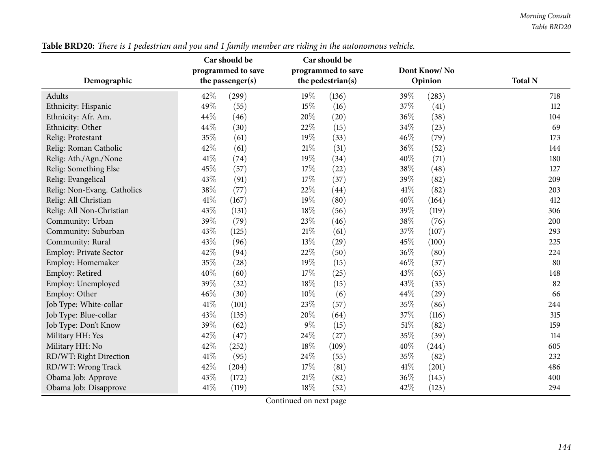|                               |                    | Car should be | Car should be     |                    |         |              |                |
|-------------------------------|--------------------|---------------|-------------------|--------------------|---------|--------------|----------------|
|                               | programmed to save |               |                   | programmed to save |         | Dont Know/No |                |
| Demographic                   | the passenger(s)   |               | the pedestrian(s) |                    | Opinion |              | <b>Total N</b> |
| Adults                        | 42%                | (299)         | 19%               | (136)              | 39%     | (283)        | 718            |
| Ethnicity: Hispanic           | 49%                | (55)          | 15%               | (16)               | 37%     | (41)         | 112            |
| Ethnicity: Afr. Am.           | 44%                | (46)          | 20%               | (20)               | 36%     | (38)         | 104            |
| Ethnicity: Other              | 44%                | (30)          | 22%               | (15)               | 34%     | (23)         | 69             |
| Relig: Protestant             | 35%                | (61)          | 19%               | (33)               | 46%     | (79)         | 173            |
| Relig: Roman Catholic         | 42%                | (61)          | 21%               | (31)               | 36%     | (52)         | 144            |
| Relig: Ath./Agn./None         | 41\%               | (74)          | 19%               | (34)               | 40%     | (71)         | 180            |
| Relig: Something Else         | 45%                | (57)          | 17%               | (22)               | 38%     | (48)         | 127            |
| Relig: Evangelical            | 43%                | (91)          | 17%               | (37)               | 39%     | (82)         | 209            |
| Relig: Non-Evang. Catholics   | 38%                | (77)          | 22%               | (44)               | 41\%    | (82)         | 203            |
| Relig: All Christian          | 41\%               | (167)         | 19%               | (80)               | 40%     | (164)        | 412            |
| Relig: All Non-Christian      | 43%                | (131)         | 18%               | (56)               | 39%     | (119)        | 306            |
| Community: Urban              | 39%                | (79)          | 23%               | (46)               | 38%     | (76)         | 200            |
| Community: Suburban           | 43%                | (125)         | 21%               | (61)               | 37%     | (107)        | 293            |
| Community: Rural              | 43%                | (96)          | 13%               | (29)               | 45%     | (100)        | 225            |
| <b>Employ: Private Sector</b> | 42%                | (94)          | 22%               | (50)               | 36%     | (80)         | 224            |
| Employ: Homemaker             | 35%                | (28)          | 19%               | (15)               | 46%     | (37)         | 80             |
| Employ: Retired               | 40%                | (60)          | 17%               | (25)               | 43%     | (63)         | 148            |
| Employ: Unemployed            | 39%                | (32)          | 18%               | (15)               | 43%     | (35)         | 82             |
| Employ: Other                 | 46%                | (30)          | 10%               | (6)                | 44%     | (29)         | 66             |
| Job Type: White-collar        | 41%                | (101)         | 23%               | (57)               | 35%     | (86)         | 244            |
| Job Type: Blue-collar         | 43%                | (135)         | 20%               | (64)               | 37%     | (116)        | 315            |
| Job Type: Don't Know          | 39%                | (62)          | $9\%$             | (15)               | $51\%$  | (82)         | 159            |
| Military HH: Yes              | 42%                | (47)          | 24%               | (27)               | 35%     | (39)         | 114            |
| Military HH: No               | 42%                | (252)         | 18%               | (109)              | 40%     | (244)        | 605            |
| RD/WT: Right Direction        | 41\%               | (95)          | 24%               | (55)               | 35%     | (82)         | 232            |
| RD/WT: Wrong Track            | 42%                | (204)         | 17%               | (81)               | 41\%    | (201)        | 486            |
| Obama Job: Approve            | 43%                | (172)         | $21\%$            | (82)               | 36%     | (145)        | 400            |
| Obama Job: Disapprove         | 41\%               | (119)         | 18%               | (52)               | 42%     | (123)        | 294            |

Table BRD20: There is 1 pedestrian and you and 1 family member are riding in the autonomous vehicle.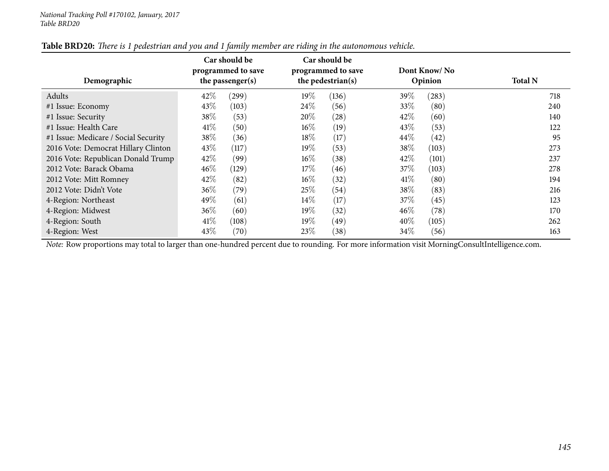| Demographic                          | Car should be<br>Car should be<br>programmed to save<br>programmed to save<br>the pedestrian(s)<br>the passenger $(s)$ |                           | Dont Know/No<br>Opinion | <b>Total N</b> |  |
|--------------------------------------|------------------------------------------------------------------------------------------------------------------------|---------------------------|-------------------------|----------------|--|
| Adults                               | 42\%<br>(299)                                                                                                          | $19\%$<br>(136)           | 39\%<br>(283)           | 718            |  |
| #1 Issue: Economy                    | 43\%<br>(103)                                                                                                          | 24\%<br>(56)              | 33\%<br>(80)            | 240            |  |
| #1 Issue: Security                   | 38\%<br>(53)                                                                                                           | 20%<br>$\left( 28\right)$ | 42\%<br>(60)            | 140            |  |
| #1 Issue: Health Care                | 41\%<br>(50)                                                                                                           | $16\%$<br>(19)            | 43\%<br>(53)            | 122            |  |
| #1 Issue: Medicare / Social Security | 38\%<br>(36)                                                                                                           | 18\%<br>(17)              | 44\%<br>(42)            | 95             |  |
| 2016 Vote: Democrat Hillary Clinton  | 43%<br>(117)                                                                                                           | $19\%$<br>(53)            | 38\%<br>(103)           | 273            |  |
| 2016 Vote: Republican Donald Trump   | $42\%$<br>(99)                                                                                                         | $16\%$<br>(38)            | 42%<br>(101)            | 237            |  |
| 2012 Vote: Barack Obama              | $46\%$<br>(129)                                                                                                        | 17%<br>(46)               | 37\%<br>(103)           | 278            |  |
| 2012 Vote: Mitt Romney               | $42\%$<br>(82)                                                                                                         | $16\%$<br>(32)            | 41\%<br>(80)            | 194            |  |
| 2012 Vote: Didn't Vote               | $36\%$<br>(79)                                                                                                         | 25\%<br>(54)              | 38\%<br>(83)            | 216            |  |
| 4-Region: Northeast                  | 49\%<br>(61)                                                                                                           | $14\%$<br>(17)            | 37%<br>(45)             | 123            |  |
| 4-Region: Midwest                    | $36\%$<br>(60)                                                                                                         | $19\%$<br>(32)            | $46\%$<br>(78)          | 170            |  |
| 4-Region: South                      | 41\%<br>(108)                                                                                                          | $19\%$<br>(49)            | 40\%<br>(105)           | 262            |  |
| 4-Region: West                       | 43\%<br>(70)                                                                                                           | 23\%<br>(38)              | 34\%<br>(56)            | 163            |  |

#### Table BRD20: There is 1 pedestrian and you and 1 family member are riding in the autonomous vehicle.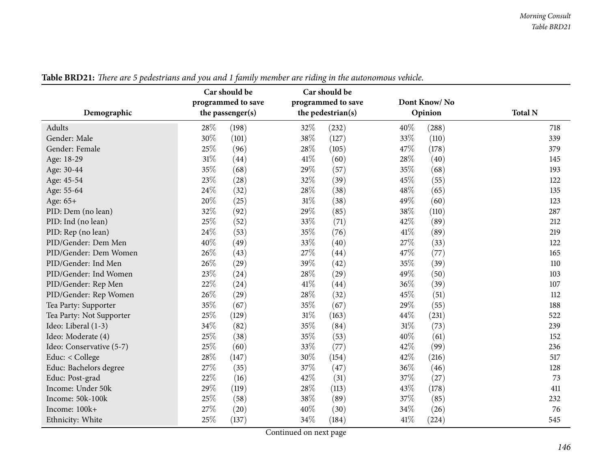|                          | Car should be<br>programmed to save | Car should be<br>programmed to save | Dont Know/No  |                |
|--------------------------|-------------------------------------|-------------------------------------|---------------|----------------|
| Demographic              | the passenger(s)                    | the pedestrian(s)                   | Opinion       | <b>Total N</b> |
| Adults                   | 28%<br>(198)                        | 32%<br>(232)                        | 40%<br>(288)  | 718            |
| Gender: Male             | 30%<br>(101)                        | 38%<br>(127)                        | 33%<br>(110)  | 339            |
| Gender: Female           | 25%<br>(96)                         | 28%<br>(105)                        | 47%<br>(178)  | 379            |
| Age: 18-29               | 31%<br>(44)                         | 41\%<br>(60)                        | 28%<br>(40)   | 145            |
| Age: 30-44               | 35%<br>(68)                         | 29%<br>(57)                         | 35%<br>(68)   | 193            |
| Age: 45-54               | 23%<br>(28)                         | 32%<br>(39)                         | 45%<br>(55)   | 122            |
| Age: 55-64               | 24%<br>(32)                         | 28%<br>(38)                         | 48%<br>(65)   | 135            |
| Age: 65+                 | 20%<br>(25)                         | 31%<br>(38)                         | 49%<br>(60)   | 123            |
| PID: Dem (no lean)       | 32%<br>(92)                         | 29%<br>(85)                         | 38%<br>(110)  | 287            |
| PID: Ind (no lean)       | 25%<br>(52)                         | 33%<br>(71)                         | 42%<br>(89)   | 212            |
| PID: Rep (no lean)       | 24%<br>(53)                         | 35%<br>(76)                         | 41\%<br>(89)  | 219            |
| PID/Gender: Dem Men      | 40%<br>(49)                         | 33%<br>(40)                         | 27%<br>(33)   | 122            |
| PID/Gender: Dem Women    | 26%<br>(43)                         | 27%<br>(44)                         | 47%<br>(77)   | 165            |
| PID/Gender: Ind Men      | 26%<br>(29)                         | 39%<br>(42)                         | 35%<br>(39)   | 110            |
| PID/Gender: Ind Women    | 23%<br>(24)                         | 28%<br>(29)                         | 49%<br>(50)   | 103            |
| PID/Gender: Rep Men      | 22%<br>(24)                         | 41\%<br>(44)                        | 36%<br>(39)   | 107            |
| PID/Gender: Rep Women    | 26%<br>(29)                         | 28%<br>(32)                         | 45%<br>(51)   | 112            |
| Tea Party: Supporter     | 35%<br>(67)                         | 35%<br>(67)                         | 29%<br>(55)   | 188            |
| Tea Party: Not Supporter | 25%<br>(129)                        | 31%<br>(163)                        | 44%<br>(231)  | 522            |
| Ideo: Liberal (1-3)      | 34%<br>(82)                         | 35%<br>(84)                         | 31%<br>(73)   | 239            |
| Ideo: Moderate (4)       | 25%<br>(38)                         | 35%<br>(53)                         | 40%<br>(61)   | 152            |
| Ideo: Conservative (5-7) | 25%<br>(60)                         | 33%<br>(77)                         | 42%<br>(99)   | 236            |
| Educ: < College          | 28%<br>(147)                        | 30%<br>(154)                        | 42%<br>(216)  | 517            |
| Educ: Bachelors degree   | 27%<br>(35)                         | 37%<br>(47)                         | 36%<br>(46)   | 128            |
| Educ: Post-grad          | 22%<br>(16)                         | 42%<br>(31)                         | 37%<br>(27)   | 73             |
| Income: Under 50k        | 29%<br>(119)                        | 28%<br>(113)                        | 43%<br>(178)  | 411            |
| Income: 50k-100k         | 25%<br>(58)                         | 38%<br>(89)                         | 37%<br>(85)   | 232            |
| Income: 100k+            | 27%<br>(20)                         | 40%<br>(30)                         | 34%<br>(26)   | 76             |
| Ethnicity: White         | 25%<br>(137)                        | 34\%<br>(184)                       | 41\%<br>(224) | 545            |

Table BRD21: There are 5 pedestrians and you and 1 family member are riding in the autonomous vehicle.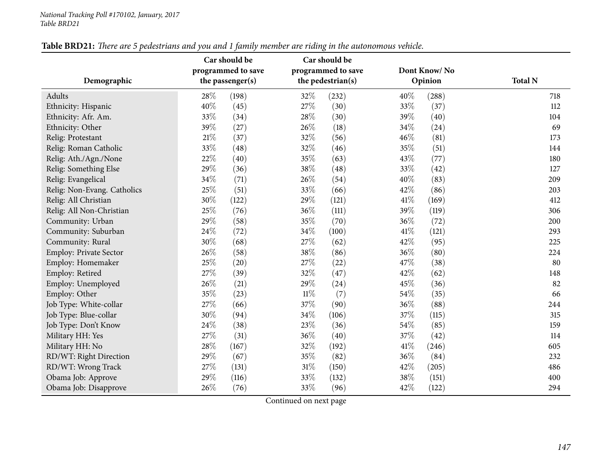|                             |        | Car should be      |        | Car should be      |     |              |                |
|-----------------------------|--------|--------------------|--------|--------------------|-----|--------------|----------------|
|                             |        | programmed to save |        | programmed to save |     | Dont Know/No |                |
| Demographic                 |        | the passenger(s)   |        | the pedestrian(s)  |     | Opinion      | <b>Total N</b> |
| Adults                      | 28%    | (198)              | 32%    | (232)              | 40% | (288)        | 718            |
| Ethnicity: Hispanic         | 40%    | (45)               | 27%    | (30)               | 33% | (37)         | 112            |
| Ethnicity: Afr. Am.         | 33%    | (34)               | 28%    | (30)               | 39% | (40)         | 104            |
| Ethnicity: Other            | 39%    | (27)               | 26%    | (18)               | 34% | (24)         | 69             |
| Relig: Protestant           | $21\%$ | (37)               | 32%    | (56)               | 46% | (81)         | 173            |
| Relig: Roman Catholic       | 33%    | (48)               | 32%    | (46)               | 35% | (51)         | 144            |
| Relig: Ath./Agn./None       | 22%    | (40)               | 35%    | (63)               | 43% | (77)         | 180            |
| Relig: Something Else       | 29%    | (36)               | 38%    | (48)               | 33% | (42)         | 127            |
| Relig: Evangelical          | 34%    | (71)               | 26%    | (54)               | 40% | (83)         | 209            |
| Relig: Non-Evang. Catholics | 25%    | (51)               | 33%    | (66)               | 42% | (86)         | 203            |
| Relig: All Christian        | 30%    | (122)              | 29%    | (121)              | 41% | (169)        | 412            |
| Relig: All Non-Christian    | 25%    | (76)               | 36%    | (111)              | 39% | (119)        | 306            |
| Community: Urban            | 29%    | (58)               | 35%    | (70)               | 36% | (72)         | 200            |
| Community: Suburban         | 24%    | (72)               | 34%    | (100)              | 41% | (121)        | 293            |
| Community: Rural            | 30%    | (68)               | 27%    | (62)               | 42% | (95)         | 225            |
| Employ: Private Sector      | 26%    | (58)               | 38%    | (86)               | 36% | (80)         | 224            |
| Employ: Homemaker           | 25%    | (20)               | 27\%   | (22)               | 47% | (38)         | 80             |
| Employ: Retired             | 27%    | (39)               | 32%    | (47)               | 42% | (62)         | 148            |
| Employ: Unemployed          | 26%    | (21)               | 29%    | (24)               | 45% | (36)         | 82             |
| Employ: Other               | 35%    | (23)               | $11\%$ | (7)                | 54% | (35)         | 66             |
| Job Type: White-collar      | 27%    | (66)               | 37%    | (90)               | 36% | (88)         | 244            |
| Job Type: Blue-collar       | 30%    | (94)               | 34%    | (106)              | 37% | (115)        | 315            |
| Job Type: Don't Know        | 24%    | (38)               | 23%    | (36)               | 54% | (85)         | 159            |
| Military HH: Yes            | 27%    | (31)               | 36%    | (40)               | 37% | (42)         | 114            |
| Military HH: No             | 28%    | (167)              | 32%    | (192)              | 41% | (246)        | 605            |
| RD/WT: Right Direction      | 29%    | (67)               | 35%    | (82)               | 36% | (84)         | 232            |
| RD/WT: Wrong Track          | 27%    | (131)              | $31\%$ | (150)              | 42% | (205)        | 486            |
| Obama Job: Approve          | 29%    | (116)              | 33%    | (132)              | 38% | (151)        | 400            |
| Obama Job: Disapprove       | 26%    | (76)               | 33%    | (96)               | 42% | (122)        | 294            |

Table BRD21: There are 5 pedestrians and you and 1 family member are riding in the autonomous vehicle.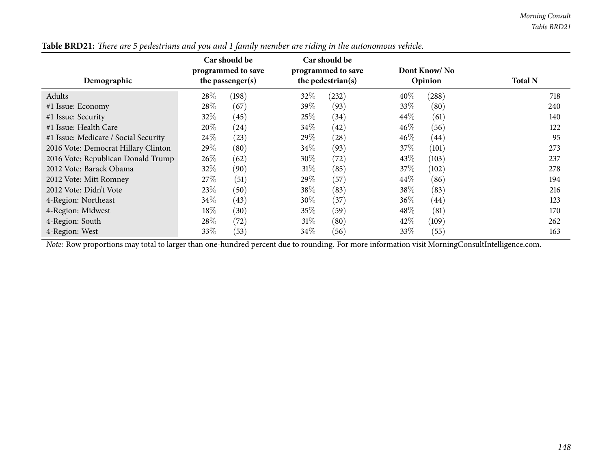| Demographic                          |        | Car should be<br>programmed to save<br>the passenger(s) |        | Car should be<br>programmed to save<br>the pedestrian(s) |        | Dont Know/No<br>Opinion | <b>Total N</b> |
|--------------------------------------|--------|---------------------------------------------------------|--------|----------------------------------------------------------|--------|-------------------------|----------------|
| Adults                               | 28\%   | (198)                                                   | 32\%   | (232)                                                    | 40%    | (288)                   | 718            |
| #1 Issue: Economy                    | 28\%   | (67)                                                    | 39\%   | (93)                                                     | 33\%   | (80)                    | 240            |
| #1 Issue: Security                   | $32\%$ | (45)                                                    | 25%    | (34)                                                     | 44\%   | (61)                    | 140            |
| #1 Issue: Health Care                | $20\%$ | $^{(24)}$                                               | 34\%   | (42)                                                     | $46\%$ | (56)                    | 122            |
| #1 Issue: Medicare / Social Security | 24\%   | (23)                                                    | 29\%   | (28)                                                     | $46\%$ | (44)                    | 95             |
| 2016 Vote: Democrat Hillary Clinton  | 29\%   | (80)                                                    | 34%    | (93)                                                     | 37\%   | (101)                   | 273            |
| 2016 Vote: Republican Donald Trump   | $26\%$ | (62)                                                    | 30\%   | (72)                                                     | 43\%   | (103)                   | 237            |
| 2012 Vote: Barack Obama              | 32\%   | (90)                                                    | $31\%$ | (85)                                                     | 37\%   | (102)                   | 278            |
| 2012 Vote: Mitt Romney               | 27%    | (51)                                                    | 29\%   | (57)                                                     | 44\%   | (86)                    | 194            |
| 2012 Vote: Didn't Vote               | 23\%   | (50)                                                    | 38\%   | (83)                                                     | 38%    | (83)                    | 216            |
| 4-Region: Northeast                  | 34\%   | (43)                                                    | 30\%   | (37)                                                     | 36\%   | (44)                    | 123            |
| 4-Region: Midwest                    | $18\%$ | (30)                                                    | $35\%$ | (59)                                                     | 48\%   | (81)                    | 170            |
| 4-Region: South                      | $28\%$ | (72)                                                    | 31%    | (80)                                                     | 42\%   | (109)                   | 262            |
| 4-Region: West                       | 33\%   | (53)                                                    | $34\%$ | (56)                                                     | 33\%   | (55)                    | 163            |

Table BRD21: There are 5 pedestrians and you and 1 family member are riding in the autonomous vehicle.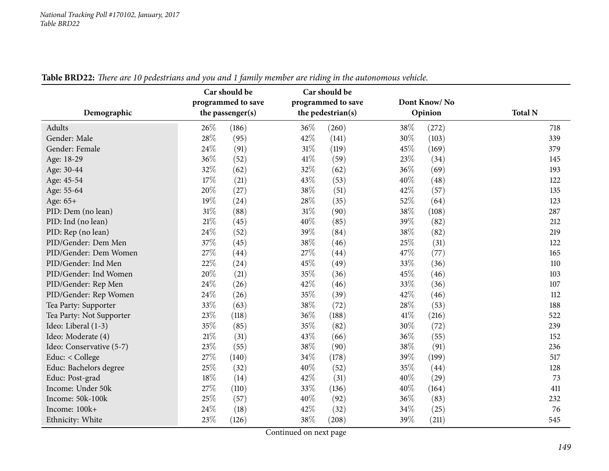| Demographic              | Car should be<br>programmed to save<br>the passenger(s) | Car should be<br>programmed to save<br>the pedestrian(s) | Dont Know/No<br>Opinion | <b>Total N</b> |
|--------------------------|---------------------------------------------------------|----------------------------------------------------------|-------------------------|----------------|
| Adults                   | 26%<br>(186)                                            | 36%<br>(260)                                             | 38%<br>(272)            | 718            |
| Gender: Male             | 28\%<br>(95)                                            | 42%<br>(141)                                             | 30%<br>(103)            | 339            |
| Gender: Female           | 24\%<br>(91)                                            | $31\%$<br>(119)                                          | 45%<br>(169)            | 379            |
| Age: 18-29               | 36%<br>(52)                                             | 41\%<br>(59)                                             | 23%<br>(34)             | 145            |
| Age: 30-44               | 32%<br>(62)                                             | 32%<br>(62)                                              | 36%<br>(69)             | 193            |
| Age: 45-54               | 17%<br>(21)                                             | 43%<br>(53)                                              | 40%<br>(48)             | 122            |
| Age: 55-64               | 20%<br>(27)                                             | 38%<br>(51)                                              | 42%<br>(57)             | 135            |
| Age: 65+                 | 19%<br>(24)                                             | 28%<br>(35)                                              | 52%<br>(64)             | 123            |
| PID: Dem (no lean)       | $31\%$<br>(88)                                          | $31\%$<br>(90)                                           | 38%<br>(108)            | 287            |
| PID: Ind (no lean)       | $21\%$<br>(45)                                          | 40%<br>(85)                                              | 39%<br>(82)             | 212            |
| PID: Rep (no lean)       | 24\%<br>(52)                                            | 39%<br>(84)                                              | 38%<br>(82)             | 219            |
| PID/Gender: Dem Men      | 37%<br>(45)                                             | 38%<br>(46)                                              | 25%<br>(31)             | 122            |
| PID/Gender: Dem Women    | 27%<br>(44)                                             | 27%<br>(44)                                              | 47%<br>(77)             | 165            |
| PID/Gender: Ind Men      | 22%<br>(24)                                             | 45%<br>(49)                                              | 33%<br>(36)             | 110            |
| PID/Gender: Ind Women    | 20%<br>(21)                                             | 35%<br>(36)                                              | 45%<br>(46)             | 103            |
| PID/Gender: Rep Men      | 24%<br>(26)                                             | 42%<br>(46)                                              | 33%<br>(36)             | 107            |
| PID/Gender: Rep Women    | 24%<br>(26)                                             | 35%<br>(39)                                              | 42%<br>(46)             | 112            |
| Tea Party: Supporter     | 33%<br>(63)                                             | 38%<br>(72)                                              | 28%<br>(53)             | 188            |
| Tea Party: Not Supporter | 23%<br>(118)                                            | 36%<br>(188)                                             | 41%<br>(216)            | 522            |
| Ideo: Liberal (1-3)      | 35%<br>(85)                                             | 35%<br>(82)                                              | 30%<br>(72)             | 239            |
| Ideo: Moderate (4)       | 21%<br>(31)                                             | 43%<br>(66)                                              | 36%<br>(55)             | 152            |
| Ideo: Conservative (5-7) | 23%<br>(55)                                             | 38%<br>(90)                                              | 38%<br>(91)             | 236            |
| Educ: < College          | 27%<br>(140)                                            | 34%<br>(178)                                             | 39%<br>(199)            | 517            |
| Educ: Bachelors degree   | 25%<br>(32)                                             | 40%<br>(52)                                              | 35%<br>(44)             | 128            |
| Educ: Post-grad          | 18%<br>(14)                                             | 42%<br>(31)                                              | 40%<br>(29)             | 73             |
| Income: Under 50k        | 27%<br>(110)                                            | 33%<br>(136)                                             | 40%<br>(164)            | 411            |
| Income: 50k-100k         | 25%<br>(57)                                             | 40%<br>(92)                                              | 36%<br>(83)             | 232            |
| Income: 100k+            | 24%<br>(18)                                             | 42%<br>(32)                                              | 34%<br>(25)             | 76             |
| Ethnicity: White         | 23%<br>(126)                                            | 38%<br>(208)                                             | 39%<br>(211)            | 545            |

Table BRD22: There are 10 pedestrians and you and 1 family member are riding in the autonomous vehicle.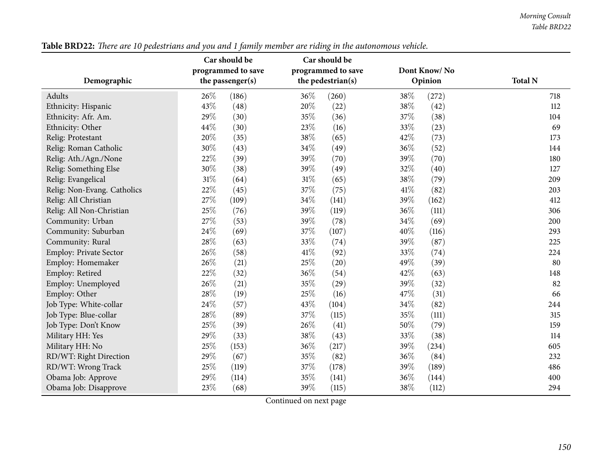|                               | Car should be      | Car should be      |              |                |
|-------------------------------|--------------------|--------------------|--------------|----------------|
|                               | programmed to save | programmed to save | Dont Know/No |                |
| Demographic                   | the passenger(s)   | the pedestrian(s)  | Opinion      | <b>Total N</b> |
| Adults                        | 26%<br>(186)       | 36\%<br>(260)      | 38%<br>(272) | 718            |
| Ethnicity: Hispanic           | 43%<br>(48)        | 20%<br>(22)        | 38%<br>(42)  | 112            |
| Ethnicity: Afr. Am.           | 29%<br>(30)        | 35%<br>(36)        | 37%<br>(38)  | 104            |
| Ethnicity: Other              | 44%<br>(30)        | 23%<br>(16)        | 33%<br>(23)  | 69             |
| Relig: Protestant             | 20%<br>(35)        | 38%<br>(65)        | 42%<br>(73)  | 173            |
| Relig: Roman Catholic         | 30%<br>(43)        | 34%<br>(49)        | 36%<br>(52)  | 144            |
| Relig: Ath./Agn./None         | 22%<br>(39)        | 39%<br>(70)        | 39%<br>(70)  | 180            |
| Relig: Something Else         | 30%<br>(38)        | 39%<br>(49)        | 32%<br>(40)  | 127            |
| Relig: Evangelical            | 31%<br>(64)        | 31%<br>(65)        | 38%<br>(79)  | 209            |
| Relig: Non-Evang. Catholics   | 22%<br>(45)        | 37%<br>(75)        | 41\%<br>(82) | 203            |
| Relig: All Christian          | 27%<br>(109)       | 34%<br>(141)       | 39%<br>(162) | 412            |
| Relig: All Non-Christian      | 25%<br>(76)        | 39%<br>(119)       | 36%<br>(111) | 306            |
| Community: Urban              | 27%<br>(53)        | 39%<br>(78)        | 34\%<br>(69) | 200            |
| Community: Suburban           | 24%<br>(69)        | 37%<br>(107)       | 40%<br>(116) | 293            |
| Community: Rural              | 28%<br>(63)        | 33%<br>(74)        | 39%<br>(87)  | 225            |
| <b>Employ: Private Sector</b> | 26%<br>(58)        | 41\%<br>(92)       | 33%<br>(74)  | 224            |
| Employ: Homemaker             | 26%<br>(21)        | 25%<br>(20)        | 49%<br>(39)  | 80             |
| Employ: Retired               | 22%<br>(32)        | 36%<br>(54)        | 42%<br>(63)  | 148            |
| Employ: Unemployed            | 26%<br>(21)        | 35%<br>(29)        | 39%<br>(32)  | 82             |
| Employ: Other                 | 28%<br>(19)        | 25%<br>(16)        | 47\%<br>(31) | 66             |
| Job Type: White-collar        | 24%<br>(57)        | 43%<br>(104)       | 34%<br>(82)  | 244            |
| Job Type: Blue-collar         | 28%<br>(89)        | 37%<br>(115)       | 35%<br>(111) | 315            |
| Job Type: Don't Know          | 25%<br>(39)        | 26%<br>(41)        | 50%<br>(79)  | 159            |
| Military HH: Yes              | 29%<br>(33)        | 38%<br>(43)        | 33%<br>(38)  | 114            |
| Military HH: No               | 25%<br>(153)       | 36%<br>(217)       | 39%<br>(234) | 605            |
| RD/WT: Right Direction        | 29%<br>(67)        | 35%<br>(82)        | 36%<br>(84)  | 232            |
| RD/WT: Wrong Track            | 25%<br>(119)       | 37%<br>(178)       | 39%<br>(189) | 486            |
| Obama Job: Approve            | 29%<br>(114)       | 35%<br>(141)       | 36%<br>(144) | 400            |
| Obama Job: Disapprove         | 23%<br>(68)        | 39%<br>(115)       | 38%<br>(112) | 294            |

Table BRD22: There are 10 pedestrians and you and 1 family member are riding in the autonomous vehicle.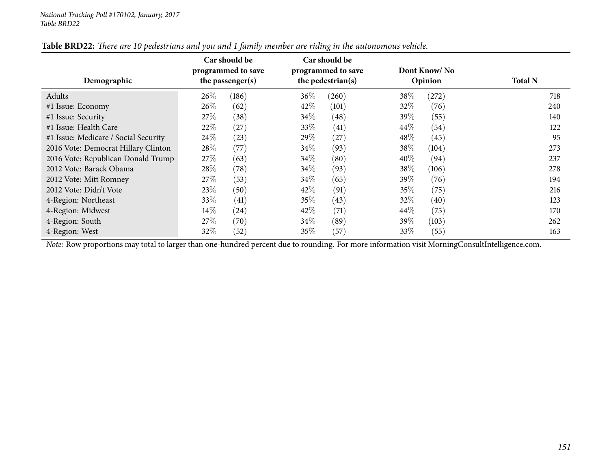| Demographic                          | Car should be<br>Car should be<br>programmed to save<br>programmed to save<br>the pedestrian(s)<br>the passenger(s) |                | Dont Know/No<br>Opinion | <b>Total N</b> |
|--------------------------------------|---------------------------------------------------------------------------------------------------------------------|----------------|-------------------------|----------------|
| Adults                               | $26\%$<br>(186)                                                                                                     | 36\%<br>(260)  | 38\%<br>(272)           | 718            |
| #1 Issue: Economy                    | $26\%$<br>(62)                                                                                                      | 42\%<br>(101)  | 32\%<br>(76)            | 240            |
| #1 Issue: Security                   | 27\%<br>(38)                                                                                                        | $34\%$<br>(48) | 39\%<br>(55)            | 140            |
| #1 Issue: Health Care                | 22\%<br>(27)                                                                                                        | 33\%<br>(41)   | $44\%$<br>(54)          | 122            |
| #1 Issue: Medicare / Social Security | $24\%$<br>(23)                                                                                                      | 29\%<br>(27)   | 48%<br>(45)             | 95             |
| 2016 Vote: Democrat Hillary Clinton  | $28\%$<br>(77)                                                                                                      | $34\%$<br>(93) | 38\%<br>(104)           | 273            |
| 2016 Vote: Republican Donald Trump   | 27%<br>(63)                                                                                                         | $34\%$<br>(80) | 40\%<br>(94)            | 237            |
| 2012 Vote: Barack Obama              | $28\%$<br>(78)                                                                                                      | 34\%<br>(93)   | 38\%<br>(106)           | 278            |
| 2012 Vote: Mitt Romney               | 27%<br>(53)                                                                                                         | $34\%$<br>(65) | 39\%<br>(76)            | 194            |
| 2012 Vote: Didn't Vote               | 23%<br>(50)                                                                                                         | 42\%<br>(91)   | 35%<br>(75)             | 216            |
| 4-Region: Northeast                  | 33\%<br>(41)                                                                                                        | 35%<br>(43)    | $32\%$<br>(40)          | 123            |
| 4-Region: Midwest                    | $14\%$<br>(24)                                                                                                      | 42\%<br>(71)   | $44\%$<br>(75)          | 170            |
| 4-Region: South                      | 27%<br>(70)                                                                                                         | $34\%$<br>(89) | 39\%<br>(103)           | 262            |
| 4-Region: West                       | 32\%<br>(52)                                                                                                        | 35\%<br>(57)   | 33\%<br>(55)            | 163            |

#### Table BRD22: There are 10 pedestrians and you and 1 family member are riding in the autonomous vehicle.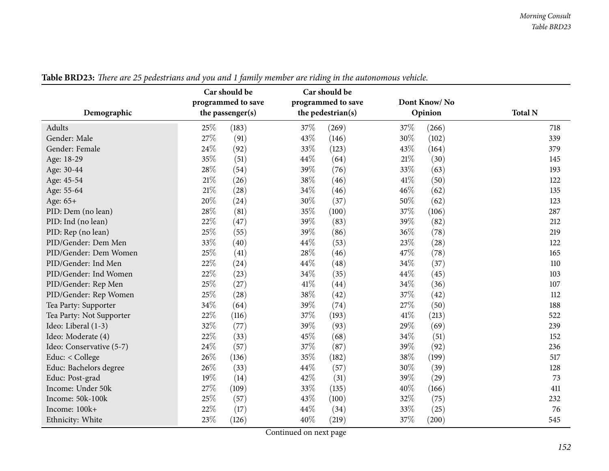|                          | Car should be<br>programmed to save | Car should be<br>programmed to save | Dont Know/No  |                |
|--------------------------|-------------------------------------|-------------------------------------|---------------|----------------|
| Demographic              | the passenger(s)                    | the pedestrian(s)                   | Opinion       | <b>Total N</b> |
| Adults                   | 25%<br>(183)                        | 37%<br>(269)                        | 37%<br>(266)  | 718            |
| Gender: Male             | 27%<br>(91)                         | 43%<br>(146)                        | 30%<br>(102)  | 339            |
| Gender: Female           | 24%<br>(92)                         | 33%<br>(123)                        | 43%<br>(164)  | 379            |
| Age: 18-29               | 35%<br>(51)                         | 44%<br>(64)                         | 21\%<br>(30)  | 145            |
| Age: 30-44               | 28%<br>(54)                         | 39%<br>(76)                         | 33%<br>(63)   | 193            |
| Age: 45-54               | 21%<br>(26)                         | 38%<br>(46)                         | 41\%<br>(50)  | 122            |
| Age: 55-64               | 21%<br>(28)                         | 34%<br>(46)                         | 46%<br>(62)   | 135            |
| Age: 65+                 | 20%<br>(24)                         | 30%<br>(37)                         | 50%<br>(62)   | 123            |
| PID: Dem (no lean)       | 28%<br>(81)                         | 35%<br>(100)                        | 37%<br>(106)  | 287            |
| PID: Ind (no lean)       | 22%<br>(47)                         | 39%<br>(83)                         | 39%<br>(82)   | 212            |
| PID: Rep (no lean)       | 25%<br>(55)                         | 39%<br>(86)                         | 36%<br>(78)   | 219            |
| PID/Gender: Dem Men      | 33%<br>(40)                         | 44%<br>(53)                         | 23\%<br>(28)  | 122            |
| PID/Gender: Dem Women    | 25%<br>(41)                         | 28%<br>(46)                         | 47%<br>(78)   | 165            |
| PID/Gender: Ind Men      | 22%<br>(24)                         | 44\%<br>(48)                        | 34%<br>(37)   | 110            |
| PID/Gender: Ind Women    | 22%<br>(23)                         | 34%<br>(35)                         | 44%<br>(45)   | 103            |
| PID/Gender: Rep Men      | 25%<br>(27)                         | 41%<br>(44)                         | 34%<br>(36)   | 107            |
| PID/Gender: Rep Women    | 25%<br>(28)                         | 38%<br>(42)                         | 37%<br>(42)   | 112            |
| Tea Party: Supporter     | 34%<br>(64)                         | 39%<br>(74)                         | 27%<br>(50)   | 188            |
| Tea Party: Not Supporter | 22%<br>(116)                        | 37%<br>(193)                        | 41\%<br>(213) | 522            |
| Ideo: Liberal (1-3)      | 32%<br>(77)                         | 39%<br>(93)                         | 29%<br>(69)   | 239            |
| Ideo: Moderate (4)       | 22%<br>(33)                         | 45%<br>(68)                         | 34%<br>(51)   | 152            |
| Ideo: Conservative (5-7) | 24%<br>(57)                         | 37%<br>(87)                         | 39%<br>(92)   | 236            |
| Educ: < College          | 26%<br>(136)                        | 35%<br>(182)                        | 38%<br>(199)  | 517            |
| Educ: Bachelors degree   | 26%<br>(33)                         | 44%<br>(57)                         | 30%<br>(39)   | 128            |
| Educ: Post-grad          | 19%<br>(14)                         | 42%<br>(31)                         | 39%<br>(29)   | 73             |
| Income: Under 50k        | 27%<br>(109)                        | 33%<br>(135)                        | 40%<br>(166)  | 411            |
| Income: 50k-100k         | 25%<br>(57)                         | 43%<br>(100)                        | 32%<br>(75)   | 232            |
| Income: 100k+            | $22\%$<br>(17)                      | 44\%<br>(34)                        | 33%<br>(25)   | 76             |
| Ethnicity: White         | 23%<br>(126)                        | 40%<br>(219)                        | 37%<br>(200)  | 545            |

Table BRD23: There are 25 pedestrians and you and 1 family member are riding in the autonomous vehicle.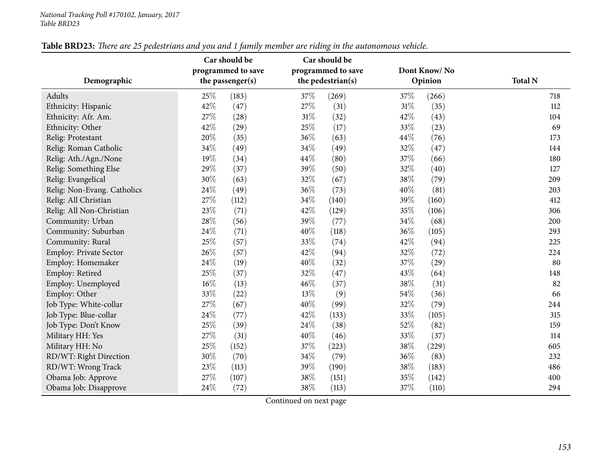|                             |        | Car should be      |     | Car should be      |     |              |                |
|-----------------------------|--------|--------------------|-----|--------------------|-----|--------------|----------------|
|                             |        | programmed to save |     | programmed to save |     | Dont Know/No |                |
| Demographic                 |        | the passenger(s)   |     | the pedestrian(s)  |     | Opinion      | <b>Total N</b> |
| Adults                      | $25\%$ | (183)              | 37% | (269)              | 37% | (266)        | 718            |
| Ethnicity: Hispanic         | 42%    | (47)               | 27% | (31)               | 31% | (35)         | 112            |
| Ethnicity: Afr. Am.         | 27%    | (28)               | 31% | (32)               | 42% | (43)         | 104            |
| Ethnicity: Other            | 42%    | (29)               | 25% | (17)               | 33% | (23)         | 69             |
| Relig: Protestant           | 20%    | (35)               | 36% | (63)               | 44% | (76)         | 173            |
| Relig: Roman Catholic       | 34%    | (49)               | 34% | (49)               | 32% | (47)         | 144            |
| Relig: Ath./Agn./None       | 19%    | (34)               | 44% | (80)               | 37% | (66)         | 180            |
| Relig: Something Else       | 29%    | (37)               | 39% | (50)               | 32% | (40)         | 127            |
| Relig: Evangelical          | 30%    | (63)               | 32% | (67)               | 38% | (79)         | 209            |
| Relig: Non-Evang. Catholics | 24%    | (49)               | 36% | (73)               | 40% | (81)         | 203            |
| Relig: All Christian        | 27%    | (112)              | 34% | (140)              | 39% | (160)        | 412            |
| Relig: All Non-Christian    | 23%    | (71)               | 42% | (129)              | 35% | (106)        | 306            |
| Community: Urban            | $28\%$ | (56)               | 39% | (77)               | 34% | (68)         | 200            |
| Community: Suburban         | 24%    | (71)               | 40% | (118)              | 36% | (105)        | 293            |
| Community: Rural            | 25%    | (57)               | 33% | (74)               | 42% | (94)         | 225            |
| Employ: Private Sector      | 26%    | (57)               | 42% | (94)               | 32% | (72)         | 224            |
| Employ: Homemaker           | 24\%   | (19)               | 40% | (32)               | 37% | (29)         | 80             |
| Employ: Retired             | 25%    | (37)               | 32% | (47)               | 43% | (64)         | 148            |
| Employ: Unemployed          | 16%    | (13)               | 46% | (37)               | 38% | (31)         | 82             |
| Employ: Other               | 33%    | (22)               | 13% | (9)                | 54% | (36)         | 66             |
| Job Type: White-collar      | 27%    | (67)               | 40% | (99)               | 32% | (79)         | 244            |
| Job Type: Blue-collar       | 24%    | (77)               | 42% | (133)              | 33% | (105)        | 315            |
| Job Type: Don't Know        | 25%    | (39)               | 24% | (38)               | 52% | (82)         | 159            |
| Military HH: Yes            | 27%    | (31)               | 40% | (46)               | 33% | (37)         | 114            |
| Military HH: No             | 25%    | (152)              | 37% | (223)              | 38% | (229)        | 605            |
| RD/WT: Right Direction      | 30%    | (70)               | 34% | (79)               | 36% | (83)         | 232            |
| RD/WT: Wrong Track          | $23\%$ | (113)              | 39% | (190)              | 38% | (183)        | 486            |
| Obama Job: Approve          | 27%    | (107)              | 38% | (151)              | 35% | (142)        | 400            |
| Obama Job: Disapprove       | 24%    | (72)               | 38% | (113)              | 37% | (110)        | 294            |

# Table BRD23: There are 25 pedestrians and you and 1 family member are riding in the autonomous vehicle.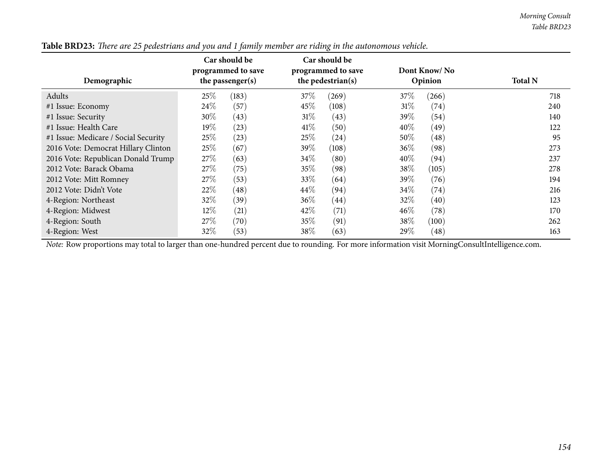| Demographic                          |        | Car should be<br>programmed to save<br>the passenger(s) |        | Car should be<br>programmed to save<br>the pedestrian(s) |        | Dont Know/No<br>Opinion | <b>Total N</b> |
|--------------------------------------|--------|---------------------------------------------------------|--------|----------------------------------------------------------|--------|-------------------------|----------------|
| Adults                               | 25%    | (183)                                                   | 37%    | (269)                                                    | 37\%   | (266)                   | 718            |
| #1 Issue: Economy                    | 24%    | (57)                                                    | 45\%   | (108)                                                    | 31%    | $\left( 74\right)$      | 240            |
| #1 Issue: Security                   | $30\%$ | (43)                                                    | 31%    | (43)                                                     | $39\%$ | (54)                    | 140            |
| #1 Issue: Health Care                | $19\%$ | (23)                                                    | 41\%   | (50)                                                     | 40%    | (49)                    | 122            |
| #1 Issue: Medicare / Social Security | 25%    | (23)                                                    | 25%    | $\left( 24\right)$                                       | $50\%$ | (48)                    | 95             |
| 2016 Vote: Democrat Hillary Clinton  | 25%    | (67)                                                    | 39\%   | (108)                                                    | $36\%$ | (98)                    | 273            |
| 2016 Vote: Republican Donald Trump   | 27%    | (63)                                                    | $34\%$ | (80)                                                     | 40%    | (94)                    | 237            |
| 2012 Vote: Barack Obama              | 27%    | (75)                                                    | $35\%$ | (98)                                                     | 38\%   | (105)                   | 278            |
| 2012 Vote: Mitt Romney               | 27\%   | (53)                                                    | 33\%   | (64)                                                     | 39\%   | (76)                    | 194            |
| 2012 Vote: Didn't Vote               | 22\%   | $\left( 48\right)$                                      | 44\%   | (94)                                                     | 34\%   | (74)                    | 216            |
| 4-Region: Northeast                  | 32\%   | (39)                                                    | 36\%   | $\left( 44\right)$                                       | 32%    | (40)                    | 123            |
| 4-Region: Midwest                    | $12\%$ | (21)                                                    | 42\%   | (71)                                                     | $46\%$ | (78)                    | 170            |
| 4-Region: South                      | 27%    | (70)                                                    | $35\%$ | (91)                                                     | 38%    | (100)                   | 262            |
| 4-Region: West                       | $32\%$ | (53)                                                    | $38\%$ | (63)                                                     | 29%    | (48)                    | 163            |

Table BRD23: There are 25 pedestrians and you and 1 family member are riding in the autonomous vehicle.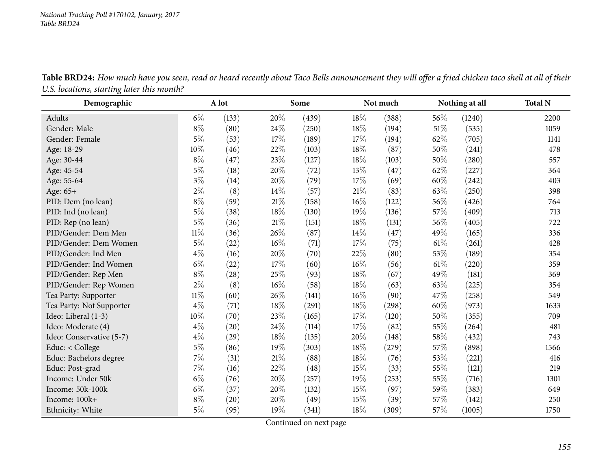| Table BRD24: How much have you seen, read or heard recently about Taco Bells announcement they will offer a fried chicken taco shell at all of their |  |
|------------------------------------------------------------------------------------------------------------------------------------------------------|--|
| U.S. locations, starting later this month?                                                                                                           |  |
|                                                                                                                                                      |  |

| Demographic              |        | A lot     |        | Some  |        | Not much |      | Nothing at all | <b>Total N</b> |
|--------------------------|--------|-----------|--------|-------|--------|----------|------|----------------|----------------|
| Adults                   | $6\%$  | (133)     | 20%    | (439) | 18%    | (388)    | 56\% | (1240)         | 2200           |
| Gender: Male             | $8\%$  | (80)      | 24\%   | (250) | 18%    | (194)    | 51\% | (535)          | 1059           |
| Gender: Female           | $5\%$  | (53)      | 17%    | (189) | 17%    | (194)    | 62%  | (705)          | 1141           |
| Age: 18-29               | 10%    | (46)      | 22%    | (103) | 18%    | (87)     | 50%  | (241)          | 478            |
| Age: 30-44               | $8\%$  | (47)      | 23%    | (127) | 18%    | (103)    | 50%  | (280)          | 557            |
| Age: 45-54               | $5\%$  | (18)      | 20%    | (72)  | 13%    | (47)     | 62%  | (227)          | 364            |
| Age: 55-64               | $3\%$  | (14)      | 20%    | (79)  | 17%    | (69)     | 60%  | (242)          | 403            |
| Age: 65+                 | $2\%$  | (8)       | 14%    | (57)  | 21%    | (83)     | 63%  | (250)          | 398            |
| PID: Dem (no lean)       | $8\%$  | (59)      | $21\%$ | (158) | 16%    | (122)    | 56\% | (426)          | 764            |
| PID: Ind (no lean)       | $5\%$  | (38)      | 18%    | (130) | 19%    | (136)    | 57%  | (409)          | 713            |
| PID: Rep (no lean)       | $5\%$  | (36)      | $21\%$ | (151) | 18%    | (131)    | 56%  | (405)          | 722            |
| PID/Gender: Dem Men      | $11\%$ | (36)      | 26%    | (87)  | 14\%   | (47)     | 49%  | (165)          | 336            |
| PID/Gender: Dem Women    | $5\%$  | (22)      | 16%    | (71)  | 17%    | (75)     | 61\% | (261)          | 428            |
| PID/Gender: Ind Men      | $4\%$  | (16)      | 20%    | (70)  | 22\%   | (80)     | 53%  | (189)          | 354            |
| PID/Gender: Ind Women    | $6\%$  | $^{(22)}$ | 17%    | (60)  | 16%    | (56)     | 61\% | (220)          | 359            |
| PID/Gender: Rep Men      | $8\%$  | (28)      | 25%    | (93)  | 18%    | (67)     | 49%  | (181)          | 369            |
| PID/Gender: Rep Women    | $2\%$  | (8)       | $16\%$ | (58)  | 18%    | (63)     | 63%  | (225)          | 354            |
| Tea Party: Supporter     | $11\%$ | (60)      | 26%    | (141) | $16\%$ | (90)     | 47%  | (258)          | 549            |
| Tea Party: Not Supporter | $4\%$  | (71)      | 18%    | (291) | 18%    | (298)    | 60%  | (973)          | 1633           |
| Ideo: Liberal (1-3)      | 10%    | (70)      | 23%    | (165) | 17%    | (120)    | 50%  | (355)          | 709            |
| Ideo: Moderate (4)       | $4\%$  | (20)      | 24%    | (114) | 17%    | (82)     | 55%  | (264)          | 481            |
| Ideo: Conservative (5-7) | $4\%$  | (29)      | 18%    | (135) | 20%    | (148)    | 58\% | (432)          | 743            |
| Educ: < College          | $5\%$  | (86)      | 19%    | (303) | 18%    | (279)    | 57%  | (898)          | 1566           |
| Educ: Bachelors degree   | 7%     | (31)      | $21\%$ | (88)  | 18%    | (76)     | 53%  | (221)          | 416            |
| Educ: Post-grad          | 7%     | (16)      | 22%    | (48)  | 15%    | (33)     | 55%  | (121)          | 219            |
| Income: Under 50k        | $6\%$  | (76)      | 20%    | (257) | 19%    | (253)    | 55%  | (716)          | 1301           |
| Income: 50k-100k         | $6\%$  | (37)      | 20%    | (132) | 15%    | (97)     | 59%  | (383)          | 649            |
| Income: 100k+            | $8\%$  | (20)      | 20%    | (49)  | 15%    | (39)     | 57%  | (142)          | 250            |
| Ethnicity: White         | $5\%$  | (95)      | 19%    | (341) | 18%    | (309)    | 57\% | (1005)         | 1750           |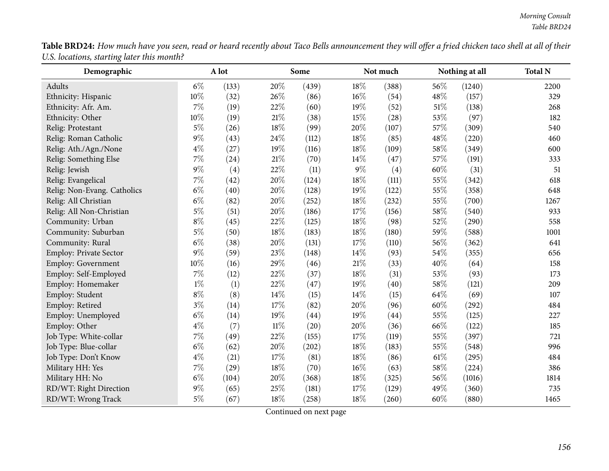| <b>Table BRD24:</b> How much have you seen, read or heard recently about Taco Bells announcement they will offer a fried chicken taco shell at all of their |  |  |
|-------------------------------------------------------------------------------------------------------------------------------------------------------------|--|--|
| U.S. locations, starting later this month?                                                                                                                  |  |  |

| Demographic                 |        | A lot |        | Some  |       | Not much |      | Nothing at all | <b>Total N</b> |
|-----------------------------|--------|-------|--------|-------|-------|----------|------|----------------|----------------|
| Adults                      | $6\%$  | (133) | 20%    | (439) | 18\%  | (388)    | 56%  | (1240)         | 2200           |
| Ethnicity: Hispanic         | 10%    | (32)  | 26%    | (86)  | 16%   | (54)     | 48%  | (157)          | 329            |
| Ethnicity: Afr. Am.         | $7\%$  | (19)  | 22%    | (60)  | 19%   | (52)     | 51\% | (138)          | 268            |
| Ethnicity: Other            | 10%    | (19)  | $21\%$ | (38)  | 15%   | (28)     | 53%  | (97)           | 182            |
| Relig: Protestant           | $5\%$  | (26)  | 18%    | (99)  | 20%   | (107)    | 57%  | (309)          | 540            |
| Relig: Roman Catholic       | $9\%$  | (43)  | 24\%   | (112) | 18%   | (85)     | 48%  | (220)          | 460            |
| Relig: Ath./Agn./None       | $4\%$  | (27)  | 19%    | (116) | 18%   | (109)    | 58%  | (349)          | 600            |
| Relig: Something Else       | 7%     | (24)  | $21\%$ | (70)  | 14%   | (47)     | 57%  | (191)          | 333            |
| Relig: Jewish               | $9\%$  | (4)   | 22%    | (11)  | $9\%$ | (4)      | 60%  | (31)           | 51             |
| Relig: Evangelical          | 7%     | (42)  | 20%    | (124) | 18%   | (111)    | 55%  | (342)          | 618            |
| Relig: Non-Evang. Catholics | $6\%$  | (40)  | 20%    | (128) | 19%   | (122)    | 55%  | (358)          | 648            |
| Relig: All Christian        | $6\%$  | (82)  | 20%    | (252) | 18%   | (232)    | 55%  | (700)          | 1267           |
| Relig: All Non-Christian    | $5\%$  | (51)  | 20%    | (186) | 17%   | (156)    | 58%  | (540)          | 933            |
| Community: Urban            | $8\%$  | (45)  | 22%    | (125) | 18%   | (98)     | 52%  | (290)          | 558            |
| Community: Suburban         | $5\%$  | (50)  | 18%    | (183) | 18%   | (180)    | 59%  | (588)          | 1001           |
| Community: Rural            | $6\%$  | (38)  | 20%    | (131) | 17%   | (110)    | 56%  | (362)          | 641            |
| Employ: Private Sector      | $9\%$  | (59)  | 23%    | (148) | 14%   | (93)     | 54%  | (355)          | 656            |
| <b>Employ: Government</b>   | $10\%$ | (16)  | 29%    | (46)  | 21\%  | (33)     | 40%  | (64)           | 158            |
| Employ: Self-Employed       | $7\%$  | (12)  | 22%    | (37)  | 18%   | (31)     | 53%  | (93)           | 173            |
| Employ: Homemaker           | $1\%$  | (1)   | 22%    | (47)  | 19%   | (40)     | 58%  | (121)          | 209            |
| Employ: Student             | $8\%$  | (8)   | $14\%$ | (15)  | 14%   | (15)     | 64%  | (69)           | 107            |
| Employ: Retired             | $3\%$  | (14)  | 17%    | (82)  | 20%   | (96)     | 60%  | (292)          | 484            |
| Employ: Unemployed          | $6\%$  | (14)  | 19%    | (44)  | 19%   | (44)     | 55%  | (125)          | 227            |
| Employ: Other               | $4\%$  | (7)   | $11\%$ | (20)  | 20%   | (36)     | 66%  | (122)          | 185            |
| Job Type: White-collar      | 7%     | (49)  | 22%    | (155) | 17%   | (119)    | 55%  | (397)          | 721            |
| Job Type: Blue-collar       | $6\%$  | (62)  | 20%    | (202) | 18%   | (183)    | 55%  | (548)          | 996            |
| Job Type: Don't Know        | $4\%$  | (21)  | 17%    | (81)  | 18%   | (86)     | 61\% | (295)          | 484            |
| Military HH: Yes            | 7%     | (29)  | 18%    | (70)  | 16%   | (63)     | 58%  | (224)          | 386            |
| Military HH: No             | $6\%$  | (104) | 20%    | (368) | 18%   | (325)    | 56%  | (1016)         | 1814           |
| RD/WT: Right Direction      | $9\%$  | (65)  | 25%    | (181) | 17%   | (129)    | 49%  | (360)          | 735            |
| RD/WT: Wrong Track          | $5\%$  | (67)  | 18%    | (258) | 18%   | (260)    | 60%  | (880)          | 1465           |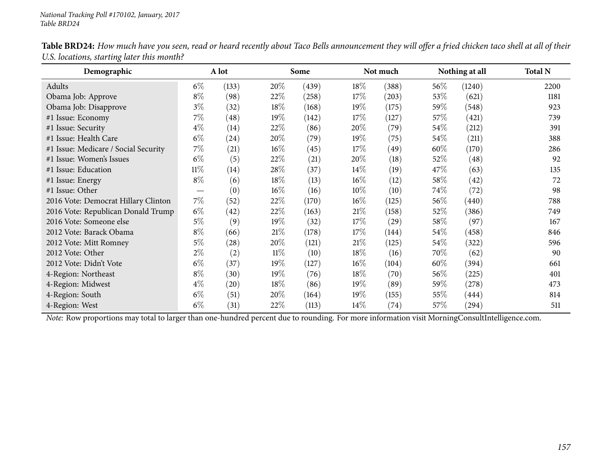| Demographic                          |        | A lot              |        | Some  |        | Not much  |        | Nothing at all      | <b>Total N</b> |
|--------------------------------------|--------|--------------------|--------|-------|--------|-----------|--------|---------------------|----------------|
| Adults                               | $6\%$  | (133)              | 20%    | (439) | $18\%$ | (388)     | $56\%$ | (1240)              | 2200           |
| Obama Job: Approve                   | $8\%$  | (98)               | 22\%   | (258) | $17\%$ | (203)     | 53\%   | (621)               | 1181           |
| Obama Job: Disapprove                | $3\%$  | (32)               | 18%    | (168) | 19%    | (175)     | 59\%   | (548)               | 923            |
| #1 Issue: Economy                    | 7%     | (48)               | $19\%$ | (142) | 17%    | (127)     | 57\%   | (421)               | 739            |
| #1 Issue: Security                   | $4\%$  | $\left(14\right)$  | 22\%   | (86)  | 20%    | (79)      | $54\%$ | (212)               | 391            |
| #1 Issue: Health Care                | $6\%$  | $^{(24)}$          | 20%    | (79)  | $19\%$ | (75)      | $54\%$ | (211)               | 388            |
| #1 Issue: Medicare / Social Security | 7%     | (21)               | $16\%$ | (45)  | 17%    | (49)      | 60%    | (170)               | 286            |
| #1 Issue: Women's Issues             | $6\%$  | (5)                | 22\%   | (21)  | 20\%   | (18)      | 52\%   | (48)                | 92             |
| #1 Issue: Education                  | $11\%$ | (14)               | 28\%   | (37)  | $14\%$ | (19)      | 47\%   | (63)                | 135            |
| #1 Issue: Energy                     | $8\%$  | (6)                | 18\%   | (13)  | $16\%$ | (12)      | 58\%   | (42)                | 72             |
| #1 Issue: Other                      |        | (0)                | $16\%$ | (16)  | $10\%$ | (10)      | 74\%   | (72)                | 98             |
| 2016 Vote: Democrat Hillary Clinton  | $7\%$  | (52)               | 22\%   | (170) | $16\%$ | (125)     | 56\%   | (440)               | 788            |
| 2016 Vote: Republican Donald Trump   | $6\%$  | (42)               | 22\%   | (163) | 21%    | (158)     | 52\%   | (386)               | 749            |
| 2016 Vote: Someone else              | $5\%$  | (9)                | $19\%$ | (32)  | $17\%$ | (29)      | 58\%   | (97)                | 167            |
| 2012 Vote: Barack Obama              | $8\%$  | (66)               | 21%    | (178) | 17%    | (144)     | $54\%$ | (458)               | 846            |
| 2012 Vote: Mitt Romney               | $5\%$  | $\left( 28\right)$ | 20%    | (121) | 21%    | (125)     | 54\%   | (322)               | 596            |
| 2012 Vote: Other                     | $2\%$  | (2)                | $11\%$ | (10)  | $18\%$ | (16)      | 70%    | (62)                | 90             |
| 2012 Vote: Didn't Vote               | $6\%$  | (37)               | $19\%$ | (127) | $16\%$ | (104)     | $60\%$ | (394)               | 661            |
| 4-Region: Northeast                  | $8\%$  | (30)               | $19\%$ | (76)  | $18\%$ | (70)      | 56\%   | (225)               | 401            |
| 4-Region: Midwest                    | $4\%$  | $\left( 20\right)$ | 18\%   | (86)  | $19\%$ | (89)      | 59%    | (278)               | 473            |
| 4-Region: South                      | $6\%$  | (51)               | 20%    | (164) | 19%    | (155)     | $55\%$ | (444)               | 814            |
| 4-Region: West                       | $6\%$  | (31)               | 22\%   | (113) | $14\%$ | $^{(74)}$ | 57%    | $\left( 294\right)$ | 511            |

Table BRD24: How much have you seen, read or heard recently about Taco Bells announcement they will offer a fried chicken taco shell at all of their *U.S. locations, starting later this month?*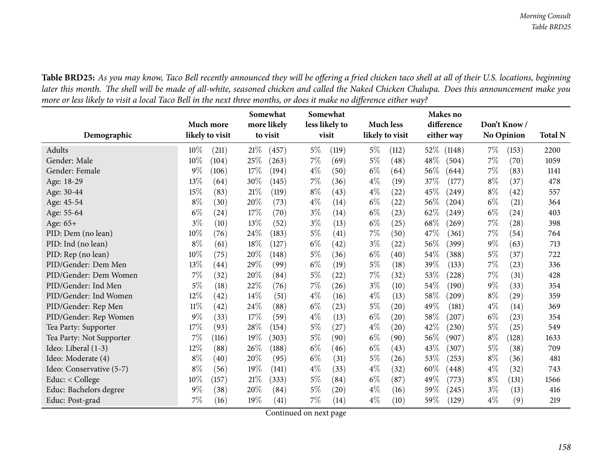Table BRD25: As you may know, Taco Bell recently announced they will be offering a fried chicken taco shell at all of their U.S. locations, beginning later this month. The shell will be made of all-white, seasoned chicken and called the Naked Chicken Chalupa. Does this announcement make you more or less likely to visit a local Taco Bell in the next three months, or does it make no difference either way?

|                          | Much more                 | Somewhat<br>more likely | Somewhat<br>less likely to  | <b>Much less</b>            | Makes no<br>difference     | Don't Know/    |                |
|--------------------------|---------------------------|-------------------------|-----------------------------|-----------------------------|----------------------------|----------------|----------------|
| Demographic              | likely to visit           | to visit                | visit                       | likely to visit             | either way                 | No Opinion     | <b>Total N</b> |
| Adults                   | $10\%$<br>(211)           | 21%<br>(457)            | $5\%$<br>(119)              | $5\%$<br>(112)              | $52\%$<br>(1148)           | $7\%$<br>(153) | 2200           |
| Gender: Male             | 10%<br>(104)              | 25%<br>(263)            | $7\%$<br>(69)               | $5\%$<br>(48)               | 48\%<br>(504)              | 7%<br>(70)     | 1059           |
| Gender: Female           | 9%<br>(106)               | $17\%$<br>(194)         | $4\%$<br>(50)               | $6\%$<br>(64)               | 56%<br>(644)               | 7%<br>(83)     | 1141           |
| Age: 18-29               | 13%<br>(64)               | 30%<br>(145)            | $7\%$<br>(36)               | $4\%$<br>(19)               | 37%<br>(177)               | $8\%$<br>(37)  | 478            |
| Age: 30-44               | 15%<br>(83)               | 21%<br>(119)            | $8\%$<br>(43)               | $4\%$<br>(22)               | 45%<br>$\left( 249\right)$ | $8\%$<br>(42)  | 557            |
| Age: 45-54               | $8\%$<br>(30)             | 20%<br>(73)             | $4\%$<br>(14)               | $6\%$<br>(22)               | 56%<br>(204)               | $6\%$<br>(21)  | 364            |
| Age: 55-64               | $6\%$<br>(24)             | 17%<br>(70)             | $3\%$<br>(14)               | $6\%$<br>(23)               | 62%<br>$\left( 249\right)$ | $6\%$<br>(24)  | 403            |
| Age: 65+                 | $3\%$<br>(10)             | 13%<br>(52)             | $3\%$<br>(13)               | $6\%$<br>(25)               | 68\%<br>(269)              | 7%<br>(28)     | 398            |
| PID: Dem (no lean)       | 10%<br>(76)               | 24\%<br>(183)           | $5\%$<br>(41)               | 7%<br>(50)                  | 47%<br>(361)               | 7%<br>(54)     | 764            |
| PID: Ind (no lean)       | $8\%$<br>(61)             | 18%<br>(127)            | $6\%$<br>$\left( 42\right)$ | $3\%$<br>$\left( 22\right)$ | 56%<br>(399)               | $9\%$<br>(63)  | 713            |
| PID: Rep (no lean)       | 10%<br>(75)               | 20%<br>(148)            | $5\%$<br>(36)               | $6\%$<br>(40)               | $54\%$<br>(388)            | $5\%$<br>(37)  | 722            |
| PID/Gender: Dem Men      | 13%<br>$\left( 44\right)$ | 29%<br>(99)             | $6\%$<br>(19)               | $5\%$<br>(18)               | 39%<br>(133)               | 7%<br>(23)     | 336            |
| PID/Gender: Dem Women    | 7%<br>(32)                | 20%<br>(84)             | $5\%$<br>(22)               | 7%<br>(32)                  | 53%<br>(228)               | 7%<br>(31)     | 428            |
| PID/Gender: Ind Men      | 5%<br>(18)                | 22%<br>(76)             | $7\%$<br>(26)               | $3\%$<br>(10)               | 54\%<br>(190)              | $9\%$<br>(33)  | 354            |
| PID/Gender: Ind Women    | 12%<br>(42)               | 14%<br>(51)             | $4\%$<br>(16)               | $4\%$<br>(13)               | 58%<br>(209)               | $8\%$<br>(29)  | 359            |
| PID/Gender: Rep Men      | $11\%$<br>(42)            | 24%<br>(88)             | $6\%$<br>(23)               | $5\%$<br>(20)               | 49%<br>(181)               | $4\%$<br>(14)  | 369            |
| PID/Gender: Rep Women    | 9%<br>(33)                | 17%<br>(59)             | $4\%$<br>(13)               | $6\%$<br>(20)               | 58%<br>(207)               | $6\%$<br>(23)  | 354            |
| Tea Party: Supporter     | 17%<br>(93)               | 28\%<br>(154)           | $5\%$<br>(27)               | $4\%$<br>$\left( 20\right)$ | 42%<br>(230)               | $5\%$<br>(25)  | 549            |
| Tea Party: Not Supporter | 7%<br>(116)               | 19%<br>(303)            | $5\%$<br>(90)               | $6\%$<br>(90)               | 56\%<br>(907)              | $8\%$<br>(128) | 1633           |
| Ideo: Liberal (1-3)      | 12%<br>(88)               | 26%<br>(188)            | $6\%$<br>(46)               | $6\%$<br>(43)               | 43%<br>(307)               | $5\%$<br>(38)  | 709            |
| Ideo: Moderate (4)       | $8\%$<br>(40)             | 20%<br>(95)             | $6\%$<br>(31)               | $5\%$<br>(26)               | 53%<br>(253)               | $8\%$<br>(36)  | 481            |
| Ideo: Conservative (5-7) | $8\%$<br>(56)             | 19%<br>(141)            | $4\%$<br>(33)               | $4\%$<br>(32)               | 60%<br>(448)               | $4\%$<br>(32)  | 743            |
| Educ: < College          | 10%<br>(157)              | 21%<br>(333)            | $5\%$<br>(84)               | $6\%$<br>(87)               | 49\%<br>(773)              | $8\%$<br>(131) | 1566           |
| Educ: Bachelors degree   | 9%<br>(38)                | 20%<br>(84)             | $5\%$<br>$\left( 20\right)$ | $4\%$<br>(16)               | 59%<br>(245)               | $3\%$<br>(13)  | 416            |
| Educ: Post-grad          | 7%<br>(16)                | 19%<br>(41)             | 7%<br>(14)                  | $4\%$<br>(10)               | $59\%$<br>(129)            | $4\%$<br>(9)   | 219            |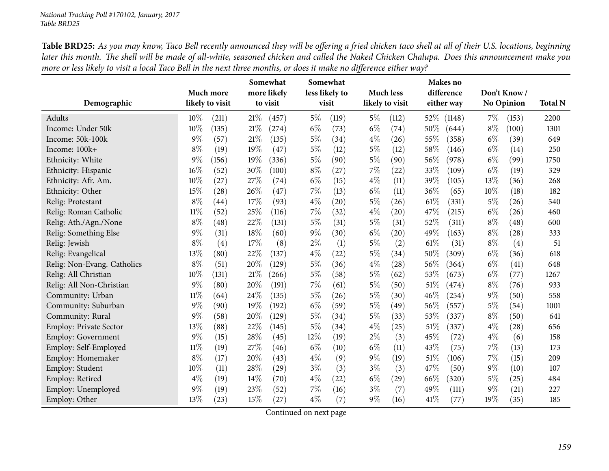Table BRD25: As you may know, Taco Bell recently announced they will be offering a fried chicken taco shell at all of their U.S. locations, beginning later this month. The shell will be made of all-white, seasoned chicken and called the Naked Chicken Chalupa. Does this announcement make you more or less likely to visit a local Taco Bell in the next three months, or does it make no difference either way?

|                             | Much more                   | Somewhat<br>more likely | Somewhat<br>less likely to | <b>Much less</b>            | Makes no<br>difference | Don't Know/       |                |
|-----------------------------|-----------------------------|-------------------------|----------------------------|-----------------------------|------------------------|-------------------|----------------|
| Demographic                 | likely to visit             | to visit                | visit                      | likely to visit             | either way             | <b>No Opinion</b> | <b>Total N</b> |
| Adults                      | 10%<br>(211)                | 21%<br>(457)            | $5\%$<br>(119)             | $5\%$<br>(112)              | 52\%<br>(1148)         | $7\%$<br>(153)    | 2200           |
| Income: Under 50k           | 10%<br>(135)                | 21%<br>(274)            | $6\%$<br>(73)              | $6\%$<br>(74)               | 50%<br>(644)           | $8\%$<br>(100)    | 1301           |
| Income: 50k-100k            | $9\%$<br>(57)               | 21\%<br>(135)           | $5\%$<br>(34)              | $4\%$<br>(26)               | 55%<br>(358)           | $6\%$<br>(39)     | 649            |
| Income: 100k+               | $8\%$<br>(19)               | 19%<br>(47)             | $5\%$<br>(12)              | $5\%$<br>(12)               | 58%<br>(146)           | $6\%$<br>(14)     | 250            |
| Ethnicity: White            | $9\%$<br>(156)              | 19%<br>(336)            | 5%<br>(90)                 | $5\%$<br>(90)               | 56%<br>(978)           | $6\%$<br>(99)     | 1750           |
| Ethnicity: Hispanic         | 16%<br>(52)                 | 30%<br>(100)            | $8\%$<br>(27)              | 7%<br>(22)                  | 33%<br>(109)           | $6\%$<br>(19)     | 329            |
| Ethnicity: Afr. Am.         | 10%<br>(27)                 | 27%<br>(74)             | $6\%$<br>(15)              | $4\%$<br>(11)               | 39%<br>(105)           | 13%<br>(36)       | 268            |
| Ethnicity: Other            | 15%<br>(28)                 | 26%<br>(47)             | 7%<br>(13)                 | $6\%$<br>(11)               | 36%<br>(65)            | 10%<br>(18)       | 182            |
| Relig: Protestant           | $8\%$<br>$\left( 44\right)$ | 17%<br>(93)             | $4\%$<br>(20)              | $5\%$<br>(26)               | 61\%<br>(331)          | $5\%$<br>(26)     | 540            |
| Relig: Roman Catholic       | $11\%$<br>(52)              | 25%<br>(116)            | 7%<br>(32)                 | $4\%$<br>$\left( 20\right)$ | 47%<br>(215)           | $6\%$<br>(26)     | 460            |
| Relig: Ath./Agn./None       | $8\%$<br>(48)               | 22%<br>(131)            | $5\%$<br>(31)              | $5\%$<br>(31)               | 52%<br>(311)           | $8\%$<br>(48)     | 600            |
| Relig: Something Else       | $9\%$<br>(31)               | 18%<br>(60)             | $9\%$<br>(30)              | $6\%$<br>$\left( 20\right)$ | 49%<br>(163)           | $8\%$<br>(28)     | 333            |
| Relig: Jewish               | $8\%$<br>(4)                | 17%<br>(8)              | $2\%$<br>(1)               | $5\%$<br>(2)                | 61%<br>(31)            | $8\%$<br>(4)      | 51             |
| Relig: Evangelical          | 13%<br>(80)                 | 22%<br>(137)            | $4\%$<br>(22)              | $5\%$<br>(34)               | 50%<br>(309)           | $6\%$<br>(36)     | 618            |
| Relig: Non-Evang. Catholics | $8\%$<br>(51)               | 20%<br>(129)            | $5\%$<br>(36)              | $4\%$<br>(28)               | 56%<br>(364)           | $6\%$<br>(41)     | 648            |
| Relig: All Christian        | 10%<br>(131)                | 21%<br>(266)            | $5\%$<br>(58)              | $5\%$<br>(62)               | 53%<br>(673)           | $6\%$<br>(77)     | 1267           |
| Relig: All Non-Christian    | $9\%$<br>(80)               | 20%<br>(191)            | 7%<br>(61)                 | 5%<br>(50)                  | 51%<br>(474)           | $8\%$<br>(76)     | 933            |
| Community: Urban            | $11\%$<br>(64)              | 24%<br>(135)            | $5\%$<br>(26)              | $5\%$<br>(30)               | 46%<br>(254)           | $9\%$<br>(50)     | 558            |
| Community: Suburban         | $9\%$<br>(90)               | 19%<br>(192)            | $6\%$<br>(59)              | 5%<br>(49)                  | 56%<br>(557)           | $5\%$<br>(54)     | 1001           |
| Community: Rural            | $9\%$<br>(58)               | 20%<br>(129)            | $5\%$<br>(34)              | $5\%$<br>(33)               | 53%<br>(337)           | $8\%$<br>(50)     | 641            |
| Employ: Private Sector      | 13%<br>(88)                 | 22%<br>(145)            | $5\%$<br>(34)              | $4\%$<br>(25)               | 51%<br>(337)           | $4\%$<br>(28)     | 656            |
| Employ: Government          | $9\%$<br>(15)               | 28%<br>(45)             | $12\%$<br>(19)             | $2\%$<br>(3)                | 45%<br>(72)            | $4\%$<br>(6)      | 158            |
| Employ: Self-Employed       | $11\%$<br>(19)              | 27%<br>(46)             | $6\%$<br>(10)              | $6\%$<br>(11)               | 43%<br>(75)            | 7%<br>(13)        | 173            |
| Employ: Homemaker           | $8\%$<br>(17)               | 20%<br>(43)             | $4\%$<br>(9)               | $9\%$<br>(19)               | $51\%$<br>(106)        | 7%<br>(15)        | 209            |
| Employ: Student             | 10%<br>(11)                 | 28%<br>(29)             | $3\%$<br>(3)               | $3\%$<br>(3)                | 47%<br>(50)            | $9\%$<br>(10)     | 107            |
| Employ: Retired             | $4\%$<br>(19)               | 14%<br>(70)             | $4\%$<br>(22)              | $6\%$<br>(29)               | 66%<br>(320)           | $5\%$<br>(25)     | 484            |
| Employ: Unemployed          | $9\%$<br>(19)               | 23%<br>(52)             | $7\%$<br>(16)              | $3\%$<br>(7)                | 49%<br>(111)           | $9\%$<br>(21)     | 227            |
| Employ: Other               | 13%<br>(23)                 | 15%<br>(27)             | $4\%$<br>(7)               | $9\%$<br>(16)               | 41\%<br>(77)           | 19%<br>(35)       | 185            |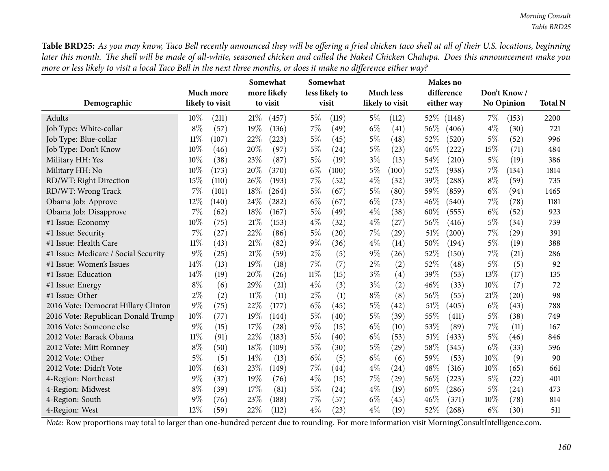Table BRD25: As you may know, Taco Bell recently announced they will be offering a fried chicken taco shell at all of their U.S. locations, beginning later this month. The shell will be made of all-white, seasoned chicken and called the Naked Chicken Chalupa. Does this announcement make you more or less likely to visit a local Taco Bell in the next three months, or does it make no difference either way?

| Demographic                          |        | Much more<br>likely to visit |        | Somewhat<br>more likely<br>to visit |        | Somewhat<br>less likely to<br>visit |       | <b>Much less</b><br>likely to visit |        | Makes no<br>difference<br>either way |        | Don't Know/<br><b>No Opinion</b> | <b>Total N</b> |
|--------------------------------------|--------|------------------------------|--------|-------------------------------------|--------|-------------------------------------|-------|-------------------------------------|--------|--------------------------------------|--------|----------------------------------|----------------|
| Adults                               | $10\%$ | (211)                        | 21%    | (457)                               | $5\%$  | (119)                               | $5\%$ | (112)                               | $52\%$ | (1148)                               | 7%     | (153)                            | 2200           |
| Job Type: White-collar               | $8\%$  | (57)                         | 19%    | (136)                               | 7%     | (49)                                | $6\%$ | (41)                                | 56%    | (406)                                | $4\%$  | (30)                             | 721            |
| Job Type: Blue-collar                | $11\%$ | (107)                        | 22%    | (223)                               | $5\%$  | (45)                                | $5\%$ | (48)                                | 52%    | (520)                                | $5\%$  | (52)                             | 996            |
| Job Type: Don't Know                 | 10%    | (46)                         | 20%    | (97)                                | $5\%$  | (24)                                | $5\%$ | (23)                                | 46%    | (222)                                | 15%    | (71)                             | 484            |
| Military HH: Yes                     | 10%    | (38)                         | 23%    | (87)                                | $5\%$  | (19)                                | $3\%$ | (13)                                | 54%    | (210)                                | $5\%$  | (19)                             | 386            |
| Military HH: No                      | 10%    | (173)                        | 20%    | (370)                               | $6\%$  | (100)                               | $5\%$ | (100)                               | 52%    | (938)                                | 7%     | (134)                            | 1814           |
| RD/WT: Right Direction               | 15%    | (110)                        | 26%    | (193)                               | 7%     | (52)                                | $4\%$ | (32)                                | 39%    | (288)                                | $8\%$  | (59)                             | 735            |
| RD/WT: Wrong Track                   | 7%     | (101)                        | 18%    | (264)                               | $5\%$  | (67)                                | $5\%$ | (80)                                | 59%    | (859)                                | $6\%$  | (94)                             | 1465           |
| Obama Job: Approve                   | 12%    | (140)                        | 24%    | (282)                               | $6\%$  | (67)                                | $6\%$ | (73)                                | 46%    | (540)                                | 7%     | (78)                             | 1181           |
| Obama Job: Disapprove                | 7%     | (62)                         | 18%    | (167)                               | $5\%$  | (49)                                | $4\%$ | (38)                                | 60%    | (555)                                | $6\%$  | (52)                             | 923            |
| #1 Issue: Economy                    | 10%    | (75)                         | 21%    | (153)                               | $4\%$  | (32)                                | $4\%$ | (27)                                | 56%    | (416)                                | $5\%$  | (34)                             | 739            |
| #1 Issue: Security                   | 7%     | (27)                         | 22%    | (86)                                | $5\%$  | (20)                                | 7%    | (29)                                | 51\%   | (200)                                | $7\%$  | (29)                             | 391            |
| #1 Issue: Health Care                | $11\%$ | (43)                         | 21%    | (82)                                | $9\%$  | (36)                                | $4\%$ | (14)                                | 50%    | (194)                                | $5\%$  | (19)                             | 388            |
| #1 Issue: Medicare / Social Security | 9%     | (25)                         | 21%    | (59)                                | $2\%$  | (5)                                 | $9\%$ | (26)                                | 52%    | (150)                                | 7%     | (21)                             | 286            |
| #1 Issue: Women's Issues             | 14%    | (13)                         | 19%    | (18)                                | 7%     | (7)                                 | $2\%$ | (2)                                 | 52%    | (48)                                 | $5\%$  | (5)                              | 92             |
| #1 Issue: Education                  | 14%    | (19)                         | 20%    | (26)                                | $11\%$ | (15)                                | $3\%$ | (4)                                 | 39%    | (53)                                 | 13%    | (17)                             | 135            |
| #1 Issue: Energy                     | $8\%$  | (6)                          | 29%    | (21)                                | $4\%$  | (3)                                 | $3\%$ | (2)                                 | 46%    | (33)                                 | $10\%$ | (7)                              | 72             |
| #1 Issue: Other                      | $2\%$  | (2)                          | $11\%$ | (11)                                | $2\%$  | (1)                                 | $8\%$ | (8)                                 | 56%    | (55)                                 | 21%    | (20)                             | 98             |
| 2016 Vote: Democrat Hillary Clinton  | 9%     | (75)                         | 22%    | (177)                               | $6\%$  | (45)                                | $5\%$ | (42)                                | 51\%   | (405)                                | $6\%$  | (43)                             | 788            |
| 2016 Vote: Republican Donald Trump   | 10%    | (77)                         | 19%    | (144)                               | $5\%$  | (40)                                | $5\%$ | (39)                                | 55%    | (411)                                | $5\%$  | (38)                             | 749            |
| 2016 Vote: Someone else              | $9\%$  | (15)                         | 17%    | (28)                                | $9\%$  | (15)                                | $6\%$ | (10)                                | 53%    | (89)                                 | $7\%$  | (11)                             | 167            |
| 2012 Vote: Barack Obama              | $11\%$ | (91)                         | 22%    | (183)                               | $5\%$  | (40)                                | $6\%$ | (53)                                | 51%    | (433)                                | $5\%$  | (46)                             | 846            |
| 2012 Vote: Mitt Romney               | $8\%$  | (50)                         | 18%    | (109)                               | 5%     | (30)                                | $5\%$ | $^{(29)}$                           | 58%    | (345)                                | $6\%$  | (33)                             | 596            |
| 2012 Vote: Other                     | $5\%$  | (5)                          | 14%    | (13)                                | $6\%$  | (5)                                 | $6\%$ | (6)                                 | 59%    | (53)                                 | 10%    | (9)                              | 90             |
| 2012 Vote: Didn't Vote               | 10%    | (63)                         | 23%    | (149)                               | 7%     | (44)                                | $4\%$ | (24)                                | 48%    | (316)                                | 10%    | (65)                             | 661            |
| 4-Region: Northeast                  | $9\%$  | (37)                         | 19%    | (76)                                | $4\%$  | (15)                                | 7%    | $^{(29)}$                           | 56%    | (223)                                | $5\%$  | (22)                             | 401            |
| 4-Region: Midwest                    | $8\%$  | (39)                         | 17%    | (81)                                | $5\%$  | (24)                                | $4\%$ | (19)                                | 60%    | (286)                                | $5\%$  | (24)                             | 473            |
| 4-Region: South                      | $9\%$  | (76)                         | 23%    | (188)                               | 7%     | (57)                                | $6\%$ | (45)                                | 46%    | (371)                                | 10%    | (78)                             | 814            |
| 4-Region: West                       | 12%    | (59)                         | 22%    | (112)                               | $4\%$  | (23)                                | $4\%$ | (19)                                | 52%    | (268)                                | $6\%$  | (30)                             | 511            |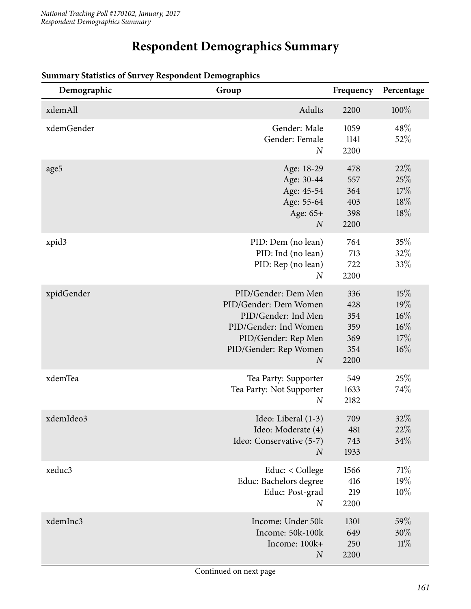# **Respondent Demographics Summary**

| Demographic | Group                                                                                                                                                            | Frequency                                      | Percentage                                   |
|-------------|------------------------------------------------------------------------------------------------------------------------------------------------------------------|------------------------------------------------|----------------------------------------------|
| xdemAll     | Adults                                                                                                                                                           | 2200                                           | $100\%$                                      |
| xdemGender  | Gender: Male<br>Gender: Female<br>$\boldsymbol{N}$                                                                                                               | 1059<br>1141<br>2200                           | 48\%<br>52%                                  |
| age5        | Age: 18-29<br>Age: 30-44<br>Age: 45-54<br>Age: 55-64<br>Age: 65+<br>$\boldsymbol{N}$                                                                             | 478<br>557<br>364<br>403<br>398<br>2200        | 22%<br>25%<br>17%<br>18%<br>18%              |
| xpid3       | PID: Dem (no lean)<br>PID: Ind (no lean)<br>PID: Rep (no lean)<br>$\boldsymbol{N}$                                                                               | 764<br>713<br>722<br>2200                      | 35%<br>32%<br>33\%                           |
| xpidGender  | PID/Gender: Dem Men<br>PID/Gender: Dem Women<br>PID/Gender: Ind Men<br>PID/Gender: Ind Women<br>PID/Gender: Rep Men<br>PID/Gender: Rep Women<br>$\boldsymbol{N}$ | 336<br>428<br>354<br>359<br>369<br>354<br>2200 | 15%<br>19%<br>$16\%$<br>16%<br>17%<br>$16\%$ |
| xdemTea     | Tea Party: Supporter<br>Tea Party: Not Supporter<br>$\boldsymbol{N}$                                                                                             | 549<br>1633<br>2182                            | 25%<br>74%                                   |
| xdemIdeo3   | Ideo: Liberal (1-3)<br>Ideo: Moderate (4)<br>Ideo: Conservative (5-7)<br>$\boldsymbol{N}$                                                                        | 709<br>481<br>743<br>1933                      | 32%<br>22\%<br>34%                           |
| xeduc3      | Educ: < College<br>Educ: Bachelors degree<br>Educ: Post-grad<br>$\boldsymbol{N}$                                                                                 | 1566<br>416<br>219<br>2200                     | 71\%<br>19%<br>10%                           |
| xdemInc3    | Income: Under 50k<br>Income: 50k-100k<br>Income: 100k+<br>$\boldsymbol{N}$                                                                                       | 1301<br>649<br>250<br>2200                     | 59\%<br>30%<br>11%                           |

#### **Summary Statistics of Survey Respondent Demographics**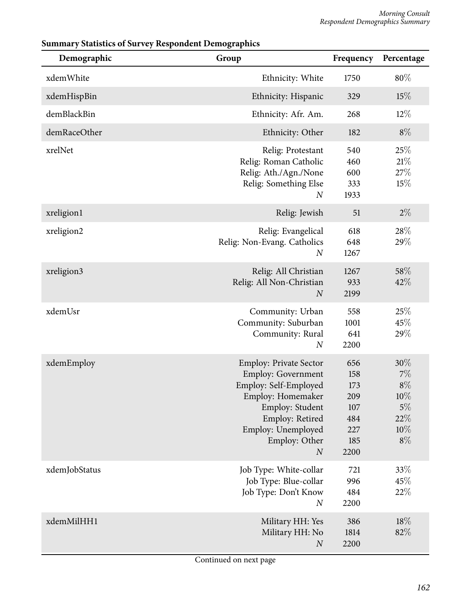| Demographic   | U<br>$\overline{\phantom{a}}$<br>Group                                                                                                                                                                    | Frequency                                                    | Percentage                                                   |
|---------------|-----------------------------------------------------------------------------------------------------------------------------------------------------------------------------------------------------------|--------------------------------------------------------------|--------------------------------------------------------------|
| xdemWhite     | Ethnicity: White                                                                                                                                                                                          | 1750                                                         | $80\%$                                                       |
| xdemHispBin   | Ethnicity: Hispanic                                                                                                                                                                                       | 329                                                          | 15%                                                          |
| demBlackBin   | Ethnicity: Afr. Am.                                                                                                                                                                                       | 268                                                          | $12\%$                                                       |
| demRaceOther  | Ethnicity: Other                                                                                                                                                                                          | 182                                                          | $8\%$                                                        |
| xrelNet       | Relig: Protestant<br>Relig: Roman Catholic<br>Relig: Ath./Agn./None<br>Relig: Something Else<br>$\cal N$                                                                                                  | 540<br>460<br>600<br>333<br>1933                             | 25%<br>21%<br>27\%<br>15%                                    |
| xreligion1    | Relig: Jewish                                                                                                                                                                                             | 51                                                           | $2\%$                                                        |
| xreligion2    | Relig: Evangelical<br>Relig: Non-Evang. Catholics<br>$\boldsymbol{N}$                                                                                                                                     | 618<br>648<br>1267                                           | 28%<br>29%                                                   |
| xreligion3    | Relig: All Christian<br>Relig: All Non-Christian<br>$\boldsymbol{N}$                                                                                                                                      | 1267<br>933<br>2199                                          | 58%<br>42%                                                   |
| xdemUsr       | Community: Urban<br>Community: Suburban<br>Community: Rural<br>$\boldsymbol{N}$                                                                                                                           | 558<br>1001<br>641<br>2200                                   | 25%<br>45%<br>29%                                            |
| xdemEmploy    | <b>Employ: Private Sector</b><br><b>Employ: Government</b><br>Employ: Self-Employed<br>Employ: Homemaker<br>Employ: Student<br>Employ: Retired<br>Employ: Unemployed<br>Employ: Other<br>$\boldsymbol{N}$ | 656<br>158<br>173<br>209<br>107<br>484<br>227<br>185<br>2200 | 30%<br>7%<br>$8\%$<br>$10\%$<br>$5\%$<br>22%<br>10%<br>$8\%$ |
| xdemJobStatus | Job Type: White-collar<br>Job Type: Blue-collar<br>Job Type: Don't Know<br>$\boldsymbol{N}$                                                                                                               | 721<br>996<br>484<br>2200                                    | 33%<br>45%<br>22%                                            |
| xdemMilHH1    | Military HH: Yes<br>Military HH: No<br>$\boldsymbol{N}$                                                                                                                                                   | 386<br>1814<br>2200                                          | 18%<br>82%                                                   |

## **Summary Statistics of Survey Respondent Demographics**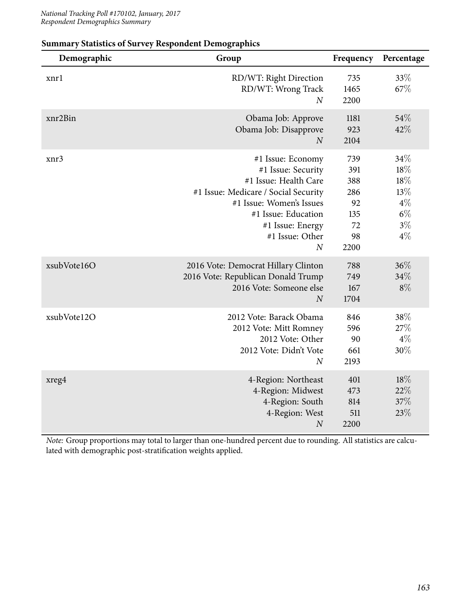| Demographic | Group                                                                                                                                                                                                                | Frequency                                                 | Percentage                                                         |
|-------------|----------------------------------------------------------------------------------------------------------------------------------------------------------------------------------------------------------------------|-----------------------------------------------------------|--------------------------------------------------------------------|
| xnrl        | RD/WT: Right Direction<br>RD/WT: Wrong Track<br>$\overline{N}$                                                                                                                                                       | 735<br>1465<br>2200                                       | 33%<br>67%                                                         |
| xnr2Bin     | Obama Job: Approve<br>Obama Job: Disapprove<br>$\boldsymbol{N}$                                                                                                                                                      | 1181<br>923<br>2104                                       | 54%<br>42%                                                         |
| xnr3        | #1 Issue: Economy<br>#1 Issue: Security<br>#1 Issue: Health Care<br>#1 Issue: Medicare / Social Security<br>#1 Issue: Women's Issues<br>#1 Issue: Education<br>#1 Issue: Energy<br>#1 Issue: Other<br>$\overline{N}$ | 739<br>391<br>388<br>286<br>92<br>135<br>72<br>98<br>2200 | 34%<br>$18\%$<br>$18\%$<br>13%<br>$4\%$<br>$6\%$<br>$3\%$<br>$4\%$ |
| xsubVote16O | 2016 Vote: Democrat Hillary Clinton<br>2016 Vote: Republican Donald Trump<br>2016 Vote: Someone else<br>$\overline{N}$                                                                                               | 788<br>749<br>167<br>1704                                 | 36%<br>34%<br>$8\%$                                                |
| xsubVote12O | 2012 Vote: Barack Obama<br>2012 Vote: Mitt Romney<br>2012 Vote: Other<br>2012 Vote: Didn't Vote<br>$\overline{N}$                                                                                                    | 846<br>596<br>90<br>661<br>2193                           | 38%<br>27%<br>$4\%$<br>30%                                         |
| xreg4       | 4-Region: Northeast<br>4-Region: Midwest<br>4-Region: South<br>4-Region: West<br>$\boldsymbol{N}$                                                                                                                    | 401<br>473<br>814<br>511<br>2200                          | 18%<br>22%<br>37%<br>23%                                           |

### **Summary Statistics of Survey Respondent Demographics**

*Note:* Group proportions may total to larger than one-hundred percent due to rounding. All statistics are calculated with demographic post-stratification weights applied.